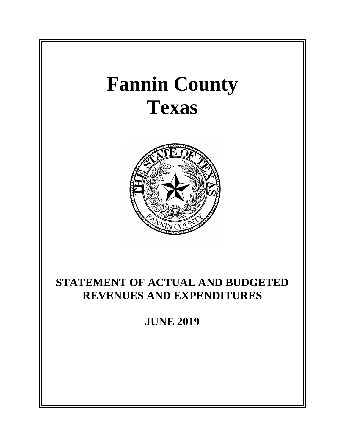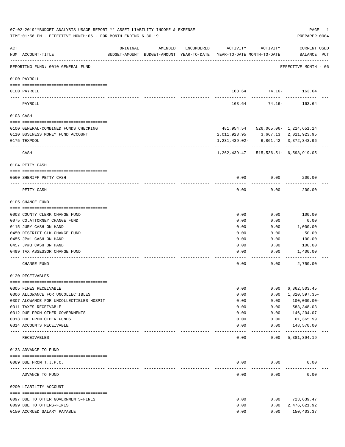|     | 07-02-2019**BUDGET ANALYSIS USAGE REPORT ** ASSET LIABILITY INCOME & EXPENSE<br>TIME: 01:56 PM - EFFECTIVE MONTH: 06 - FOR MONTH ENDING 6-30-19 |                                                                                 |         |            |               |                                     | PAGE<br>PREPARER: 0004         | 1 |
|-----|-------------------------------------------------------------------------------------------------------------------------------------------------|---------------------------------------------------------------------------------|---------|------------|---------------|-------------------------------------|--------------------------------|---|
| ACT | NUM ACCOUNT-TITLE                                                                                                                               | ORIGINAL<br>BUDGET-AMOUNT BUDGET-AMOUNT YEAR-TO-DATE YEAR-TO-DATE MONTH-TO-DATE | AMENDED | ENCUMBERED | ACTIVITY      | ACTIVITY                            | CURRENT USED<br>BALANCE PCT    |   |
|     | REPORTING FUND: 0010 GENERAL FUND                                                                                                               |                                                                                 |         |            |               |                                     | EFFECTIVE MONTH - 06           |   |
|     | 0100 PAYROLL                                                                                                                                    |                                                                                 |         |            |               |                                     |                                |   |
|     | 0100 PAYROLL                                                                                                                                    |                                                                                 |         |            |               | 163.64 74.16- 163.64                |                                |   |
|     | ---- ----<br>PAYROLL                                                                                                                            |                                                                                 |         |            | 163.64        | 74.16-                              | 163.64                         |   |
|     | 0103 CASH                                                                                                                                       |                                                                                 |         |            |               |                                     |                                |   |
|     | 0100 GENERAL-COMBINED FUNDS CHECKING                                                                                                            |                                                                                 |         |            |               | 481,954.54 526,065.06- 1,214,651.14 |                                |   |
|     | 0110 BUSINESS MONEY FUND ACCOUNT                                                                                                                |                                                                                 |         |            | 2,011,923.95  |                                     | 3,667.13 2,011,923.95          |   |
|     | 0175 TEXPOOL                                                                                                                                    |                                                                                 |         |            | 1,231,439.02- |                                     | 6,861.42 3,372,343.96          |   |
|     | CASH                                                                                                                                            |                                                                                 |         |            | 1,262,439.47  |                                     | $515, 536.51 - 6, 598, 919.05$ |   |
|     | 0104 PETTY CASH                                                                                                                                 |                                                                                 |         |            |               |                                     |                                |   |
|     | 0560 SHERIFF PETTY CASH                                                                                                                         |                                                                                 |         |            | 0.00          | 0.00                                | 200.00                         |   |
|     | PETTY CASH                                                                                                                                      |                                                                                 |         |            | 0.00          | 0.00                                | 200.00                         |   |
|     | 0105 CHANGE FUND                                                                                                                                |                                                                                 |         |            |               |                                     |                                |   |
|     |                                                                                                                                                 |                                                                                 |         |            |               |                                     |                                |   |
|     | 0003 COUNTY CLERK CHANGE FUND<br>0075 CO. ATTORNEY CHANGE FUND                                                                                  |                                                                                 |         |            | 0.00<br>0.00  | 0.00<br>0.00                        | 100.00<br>0.00                 |   |
|     | 0115 JURY CASH ON HAND                                                                                                                          |                                                                                 |         |            | 0.00          | 0.00                                | 1,000.00                       |   |
|     | 0450 DISTRICT CLK. CHANGE FUND                                                                                                                  |                                                                                 |         |            | 0.00          | 0.00                                | 50.00                          |   |
|     | 0455 JP#1 CASH ON HAND                                                                                                                          |                                                                                 |         |            | 0.00          | 0.00                                | 100.00                         |   |
|     | 0457 JP#3 CASH ON HAND                                                                                                                          |                                                                                 |         |            | 0.00          | 0.00                                | 100.00                         |   |
|     | 0499 TAX ASSESSOR CHANGE FUND                                                                                                                   |                                                                                 |         |            | 0.00          | 0.00                                | 1,400.00                       |   |
|     | CHANGE FUND                                                                                                                                     |                                                                                 |         |            | 0.00          | 0.00                                | 2,750.00                       |   |
|     | 0120 RECEIVABLES                                                                                                                                |                                                                                 |         |            |               |                                     |                                |   |
|     | 0305 FINES RECEIVABLE                                                                                                                           |                                                                                 |         |            | 0.00          | 0.00                                | 6,362,503.45                   |   |
|     | 0306 ALLOWANCE FOR UNCOLLECTIBLES                                                                                                               |                                                                                 |         |            | 0.00          | 0.00                                | 1,820,597.35-                  |   |
|     | 0307 ALOWANCE FOR UNCOLLECTIBLES HOSPIT                                                                                                         |                                                                                 |         |            | 0.00          | 0.00                                | $100,000.00 -$                 |   |
|     | 0311 TAXES RECEIVABLE                                                                                                                           |                                                                                 |         |            | 0.00          | 0.00                                | 583, 348.03                    |   |
|     | 0312 DUE FROM OTHER GOVERNMENTS                                                                                                                 |                                                                                 |         |            | 0.00          | 0.00                                | 146,204.07                     |   |
|     | 0313 DUE FROM OTHER FUNDS                                                                                                                       |                                                                                 |         |            | 0.00          | 0.00                                | 61,365.99                      |   |
|     | 0314 ACCOUNTS RECEIVABLE<br>----- -------                                                                                                       | ------------- ------------                                                      |         |            | 0.00          | 0.00<br>.                           | 148,570.00<br>-------------    |   |
|     | RECEIVABLES                                                                                                                                     |                                                                                 |         |            | 0.00          | 0.00                                | 5,381,394.19                   |   |
|     | 0133 ADVANCE TO FUND                                                                                                                            |                                                                                 |         |            |               |                                     |                                |   |
|     | 0089 DUE FROM T.J.P.C.                                                                                                                          |                                                                                 |         |            | 0.00          | 0.00                                | 0.00                           |   |
|     | ADVANCE TO FUND                                                                                                                                 |                                                                                 |         |            | 0.00          | 0.00                                | 0.00                           |   |
|     | 0200 LIABILITY ACCOUNT                                                                                                                          |                                                                                 |         |            |               |                                     |                                |   |
|     |                                                                                                                                                 |                                                                                 |         |            |               |                                     |                                |   |
|     | 0097 DUE TO OTHER GOVERNMENTS-FINES                                                                                                             |                                                                                 |         |            | 0.00          | 0.00                                | 723,639.47                     |   |
|     | 0099 DUE TO OTHERS-FINES                                                                                                                        |                                                                                 |         |            | 0.00          | 0.00                                | 2,476,621.92                   |   |
|     | 0150 ACCRUED SALARY PAYABLE                                                                                                                     |                                                                                 |         |            | 0.00          | 0.00                                | 150,403.37                     |   |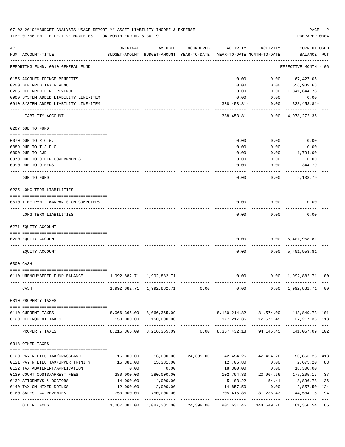|     | 07-02-2019**BUDGET ANALYSIS USAGE REPORT ** ASSET LIABILITY INCOME & EXPENSE<br>TIME:01:56 PM - EFFECTIVE MONTH:06 - FOR MONTH ENDING 6-30-19 |                           |                                                     |            |                                        |            | PAGE<br>PREPARER: 0004                                       |    |
|-----|-----------------------------------------------------------------------------------------------------------------------------------------------|---------------------------|-----------------------------------------------------|------------|----------------------------------------|------------|--------------------------------------------------------------|----|
| ACT | NUM ACCOUNT-TITLE                                                                                                                             | ORIGINAL                  | AMENDED<br>BUDGET-AMOUNT BUDGET-AMOUNT YEAR-TO-DATE | ENCUMBERED | ACTIVITY<br>YEAR-TO-DATE MONTH-TO-DATE | ACTIVITY   | <b>CURRENT USED</b><br>BALANCE PCT                           |    |
|     | REPORTING FUND: 0010 GENERAL FUND                                                                                                             |                           |                                                     |            |                                        |            | EFFECTIVE MONTH - 06                                         |    |
|     | 0155 ACCRUED FRINGE BENEFITS                                                                                                                  |                           |                                                     |            | 0.00                                   | 0.00       | 67,427.05                                                    |    |
|     | 0200 DEFERRED TAX REVENUE                                                                                                                     |                           |                                                     |            | 0.00                                   | 0.00       | 556,989.63                                                   |    |
|     | 0205 DEFERRED FINE REVENUE                                                                                                                    |                           |                                                     |            | 0.00                                   | 0.00       | 1,341,644.73                                                 |    |
|     | 0900 SYSTEM ADDED LIABILITY LINE-ITEM                                                                                                         |                           |                                                     |            | 0.00                                   | 0.00       | 0.00                                                         |    |
|     | 0910 SYSTEM ADDED LIABILITY LINE-ITEM                                                                                                         |                           |                                                     |            | $338, 453.81 -$                        | 0.00       | 338,453.81-                                                  |    |
|     | LIABILITY ACCOUNT                                                                                                                             |                           |                                                     |            | 338,453.81-                            |            | $0.00 \quad 4,978,272.36$                                    |    |
|     | 0207 DUE TO FUND                                                                                                                              |                           |                                                     |            |                                        |            |                                                              |    |
|     | 0070 DUE TO R.O.W.                                                                                                                            |                           |                                                     |            | 0.00                                   | 0.00       | 0.00                                                         |    |
|     | 0089 DUE TO T.J.P.C.                                                                                                                          |                           |                                                     |            | 0.00                                   | 0.00       | 0.00                                                         |    |
|     | 0090 DUE TO CJD                                                                                                                               |                           |                                                     |            | 0.00                                   | 0.00       | 1,794.00                                                     |    |
|     | 0970 DUE TO OTHER GOVERNMENTS                                                                                                                 |                           |                                                     |            | 0.00                                   | 0.00       | 0.00                                                         |    |
|     | 0990 DUE TO OTHERS                                                                                                                            |                           |                                                     |            | 0.00                                   | 0.00       | 344.79                                                       |    |
|     | DUE TO FUND                                                                                                                                   |                           |                                                     |            | 0.00                                   | 0.00       | 2,138.79                                                     |    |
|     | 0225 LONG TERM LIABILITIES                                                                                                                    |                           |                                                     |            |                                        |            |                                                              |    |
|     | 0510 TIME PYMT. WARRANTS ON COMPUTERS                                                                                                         |                           |                                                     |            | 0.00                                   | 0.00       | 0.00                                                         |    |
|     | LONG TERM LIABILITIES                                                                                                                         |                           |                                                     |            | 0.00                                   | 0.00       | 0.00                                                         |    |
|     | 0271 EQUITY ACCOUNT                                                                                                                           |                           |                                                     |            |                                        |            |                                                              |    |
|     | 0200 EQUITY ACCOUNT                                                                                                                           |                           |                                                     |            | 0.00                                   |            | 0.00 5,401,958.81                                            |    |
|     | EQUITY ACCOUNT                                                                                                                                |                           |                                                     |            | 0.00                                   |            | 0.00 5,401,958.81                                            |    |
|     | 0300 CASH                                                                                                                                     |                           |                                                     |            |                                        |            |                                                              |    |
|     | 0110 UNENCUMBERED FUND BALANCE                                                                                                                | 1,992,882.71 1,992,882.71 |                                                     |            | 0.00                                   |            | $0.00 \quad 1,992,882.71 \quad 00$                           |    |
|     | CASH                                                                                                                                          |                           | 1,992,882.71 1,992,882.71 0.00                      |            | 0.00                                   |            | $0.00 \quad 1,992,882.71 \quad 00$                           |    |
|     | 0310 PROPERTY TAXES                                                                                                                           |                           |                                                     |            |                                        |            |                                                              |    |
|     |                                                                                                                                               |                           |                                                     |            |                                        |            |                                                              |    |
|     | 0110 CURRENT TAXES<br>0120 DELINQUENT TAXES                                                                                                   |                           | 8,066,365.09 8,066,365.09<br>150,000.00 150,000.00  |            | 177,217.36                             | 12,571.45  | 8, 180, 214.82 81, 574.00 113, 849.73+ 101<br>27,217.36+ 118 |    |
|     | ----------------- ---------------<br>PROPERTY TAXES                                                                                           |                           | -------------<br>8, 216, 365.09 8, 216, 365.09      |            | 0.00 8,357,432.18                      | 94,145.45  | -------------<br>141,067.09+ 102                             |    |
|     | 0318 OTHER TAXES                                                                                                                              |                           |                                                     |            |                                        |            |                                                              |    |
|     |                                                                                                                                               |                           |                                                     |            |                                        |            |                                                              |    |
|     | 0120 PAY N LIEU TAX/GRASSLAND                                                                                                                 | 16,000.00                 | 16,000.00                                           | 24,399.00  | 42,454.26                              | 42,454.26  | 50,853.26+ 418                                               |    |
|     | 0121 PAY N LIEU TAX/UPPER TRINITY                                                                                                             | 15,381.00                 | 15,381.00                                           |            | 12,705.80                              | 0.00       | 2,675.20                                                     | 83 |
|     | 0122 TAX ABATEMENT/APPLICATION                                                                                                                | 0.00                      | 0.00                                                |            | 18,300.00                              | 0.00       | $18,300.00+$                                                 |    |
|     | 0130 COURT COSTS/ARREST FEES                                                                                                                  | 280,000.00                | 280,000.00                                          |            | 102,794.83                             | 20,904.66  | 177,205.17                                                   | 37 |
|     | 0132 ATTORNEYS & DOCTORS                                                                                                                      | 14,000.00                 | 14,000.00                                           |            | 5,103.22                               | 54.41      | 8,896.78                                                     | 36 |
|     | 0140 TAX ON MIXED DRINKS                                                                                                                      | 12,000.00                 | 12,000.00                                           |            | 14,857.50                              | 0.00       | 2,857.50+ 124                                                |    |
|     | 0160 SALES TAX REVENUES                                                                                                                       | 750,000.00                | 750,000.00                                          |            | 705,415.85                             | 81,236.43  | 44,584.15                                                    | 94 |
|     | OTHER TAXES                                                                                                                                   | 1,087,381.00              | 1,087,381.00                                        | 24,399.00  | -----------<br>901,631.46              | 144,649.76 | . _ _ _ _ _ _ _ _ _ _<br>161,350.54                          | 85 |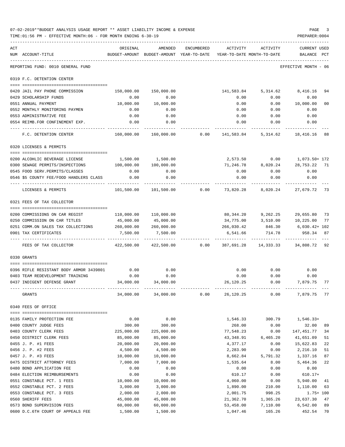|     | 07-02-2019**BUDGET ANALYSIS USAGE REPORT ** ASSET LIABILITY INCOME & EXPENSE<br>TIME:01:56 PM - EFFECTIVE MONTH:06 - FOR MONTH ENDING 6-30-19 |              |                                                                                    |            |           |             | PAGE<br>PREPARER: 0004          | 3            |
|-----|-----------------------------------------------------------------------------------------------------------------------------------------------|--------------|------------------------------------------------------------------------------------|------------|-----------|-------------|---------------------------------|--------------|
| ACT | NUM ACCOUNT-TITLE                                                                                                                             | ORIGINAL     | AMENDED<br>BUDGET-AMOUNT BUDGET-AMOUNT YEAR-TO-DATE YEAR-TO-DATE MONTH-TO-DATE     | ENCUMBERED | ACTIVITY  | ACTIVITY    | CURRENT USED<br>BALANCE PCT     |              |
|     | REPORTING FUND: 0010 GENERAL FUND                                                                                                             |              |                                                                                    |            |           |             | EFFECTIVE MONTH - 06            |              |
|     | 0319 F.C. DETENTION CENTER                                                                                                                    |              |                                                                                    |            |           |             |                                 |              |
|     |                                                                                                                                               |              |                                                                                    |            |           |             |                                 |              |
|     | 0420 JAIL PAY PHONE COMMISSION                                                                                                                |              | 150,000.00 150,000.00                                                              |            |           |             | 141,583.84 5,314.62 8,416.16    | 94           |
|     | 0429 SCHOLARSHIP FUNDS                                                                                                                        | 0.00         | 0.00                                                                               |            | 0.00      | 0.00        | 0.00                            |              |
|     | 0551 ANNUAL PAYMENT                                                                                                                           | 10,000.00    | 10,000.00                                                                          |            | 0.00      |             | 0.00 10,000.00                  | 00           |
|     | 0552 MONTHLY MONITORING PAYMEN                                                                                                                | 0.00         | 0.00<br>0.00                                                                       |            | 0.00      | 0.00        | 0.00                            |              |
|     | 0553 ADMINISTRATIVE FEE<br>0554 REIMB.FOR CONFINEMENT EXP.                                                                                    | 0.00<br>0.00 | 0.00                                                                               |            |           | $0.00$ 0.00 | $0.00$ $0.00$ $0.00$<br>0.00    |              |
|     | F.C. DETENTION CENTER                                                                                                                         |              | 160,000.00 160,000.00 0.00 141,583.84 5,314.62 18,416.16 88                        |            |           |             |                                 |              |
|     | 0320 LICENSES & PERMITS                                                                                                                       |              |                                                                                    |            |           |             |                                 |              |
|     |                                                                                                                                               |              |                                                                                    |            |           |             |                                 |              |
|     | 0200 ALCOHLIC BEVERAGE LICENSE                                                                                                                |              | 1,500.00 1,500.00                                                                  |            |           |             | 2,573.50   0.00   1,073.50+ 172 |              |
|     | 0300 SEWAGE PERMITS/INSPECTIONS 100,000.00 100,000.00                                                                                         |              |                                                                                    |            |           |             | 71,246.78 8,020.24 28,753.22 71 |              |
|     | 0545 FOOD SERV. PERMITS/CLASSES                                                                                                               | 0.00         | 0.00                                                                               |            | 0.00      | 0.00        | 0.00                            |              |
|     | 0546 \$5 COUNTY FEE/FOOD HANDLERS CLASS                                                                                                       | 0.00         | 0.00                                                                               |            | 0.00      | 0.00        | 0.00                            |              |
|     | LICENSES & PERMITS                                                                                                                            |              | 101,500.00 101,500.00      0.00      73,820.28      8,020.24      27,679.72     73 |            |           |             |                                 |              |
|     | 0321 FEES OF TAX COLLECTOR                                                                                                                    |              |                                                                                    |            |           |             |                                 |              |
|     |                                                                                                                                               |              | 110,000.00    110,000.00                                                           |            |           |             | 80,344.20 9,262.25 29,655.80 73 |              |
|     | 0200 COMMISSIONS ON CAR REGIST<br>0250 COMMISSION ON CAR TITLES                                                                               | 45,000.00    | 45,000.00                                                                          |            |           |             | 34,775.00 3,510.00 10,225.00    | 77           |
|     | 0251 COMM.ON SALES TAX COLLECTIONS 260,000.00 260,000.00                                                                                      |              |                                                                                    |            |           |             | 266,030.42 846.30 6,030.42+102  |              |
|     | 0901 TAX CERTIFICATES                                                                                                                         | 7,500.00     | 7,500.00                                                                           |            | 6,541.66  | 714.78      | 958.34                          | 87           |
|     | FEES OF TAX COLLECTOR                                                                                                                         |              | 422,500.00  422,500.00   0.00  387,691.28  14,333.33  34,808.72  92                |            |           |             |                                 |              |
|     | 0330 GRANTS                                                                                                                                   |              |                                                                                    |            |           |             |                                 |              |
|     | 0396 RIFLE RESISTANT BODY ARMOR 3439801                                                                                                       | 0.00         | 0.00                                                                               |            | 0.00      | 0.00        | 0.00                            |              |
|     | 0403 TEAM REDEVELOPMENT TRAINING                                                                                                              | 0.00         | 0.00                                                                               |            | 0.00      | 0.00        | 0.00                            |              |
|     | 0437 INDIGENT DEFENSE GRANT                                                                                                                   | 34,000.00    | 34,000.00                                                                          |            | 26,120.25 | 0.00        | 7,879.75 77                     |              |
|     | GRANTS                                                                                                                                        | 34,000.00    | 34,000.00                                                                          | 0.00       | 26,120.25 | 0.00        | 7,879.75                        | 77           |
|     | 0340 FEES OF OFFICE                                                                                                                           |              |                                                                                    |            |           |             |                                 |              |
|     | 0135 FAMILY PROTECTION FEE                                                                                                                    | 0.00         | 0.00                                                                               |            | 1,546.33  | 300.79      | $1,546.33+$                     |              |
|     | 0400 COUNTY JUDGE FEES                                                                                                                        | 300.00       | 300.00                                                                             |            | 268.00    | 0.00        | 32.00                           | 89           |
|     | 0403 COUNTY CLERK FEES                                                                                                                        | 225,000.00   | 225,000.00                                                                         |            | 77,548.23 | 0.00        | 147,451.77                      | 34           |
|     | 0450 DISTRICT CLERK FEES                                                                                                                      | 85,000.00    | 85,000.00                                                                          |            | 43,348.91 | 6,465.20    | 41,651.09                       | 51           |
|     | 0455 J. P. #1 FEES                                                                                                                            | 20,000.00    | 20,000.00                                                                          |            | 4,377.17  | 0.00        | 15,622.83                       | 22           |
|     | 0456 J. P. #2 FEES                                                                                                                            | 4,500.00     | 4,500.00                                                                           |            | 2,283.90  | 0.00        | 2,216.10                        | 51           |
|     | 0457 J. P. #3 FEES                                                                                                                            | 10,000.00    | 10,000.00                                                                          |            | 8,662.84  | 5,791.32    | 1,337.16                        | 87           |
|     | 0475 DISTRICT ATTORNEY FEES                                                                                                                   | 7,000.00     | 7,000.00                                                                           |            | 1,535.64  | 8.00        | 5,464.36                        | 22           |
|     | 0480 BOND APPLICATION FEE                                                                                                                     | 0.00         | 0.00                                                                               |            | 0.00      | 0.00        | 0.00                            |              |
|     | 0484 ELECTION REIMBURSEMENTS                                                                                                                  | 0.00         | 0.00                                                                               |            | 610.17    | 0.00        | $610.17+$                       |              |
|     | 0551 CONSTABLE PCT. 1 FEES                                                                                                                    | 10,000.00    | 10,000.00                                                                          |            | 4,060.00  | 0.00        | 5,940.00                        | 41           |
|     | 0552 CONSTABLE PCT. 2 FEES                                                                                                                    | 3,000.00     | 3,000.00                                                                           |            | 1,890.00  | 210.00      | 1,110.00                        | 63           |
|     | 0553 CONSTABLE PCT. 3 FEES                                                                                                                    | 2,000.00     | 2,000.00                                                                           |            | 2,001.75  | 998.25      |                                 | $1.75 + 100$ |
|     | 0560 SHERIFF FEES                                                                                                                             | 45,000.00    | 45,000.00                                                                          |            | 21,362.70 | 1,365.26    | 23,637.30                       | 47           |
|     | 0573 BOND SUPERVISION FEES                                                                                                                    | 60,000.00    | 60,000.00                                                                          |            | 53,458.00 | 7,110.00    | 6,542.00                        | 89           |
|     | 0600 D.C.6TH COURT OF APPEALS FEE                                                                                                             | 1,500.00     | 1,500.00                                                                           |            | 1,047.46  | 165.26      | 452.54                          | 70           |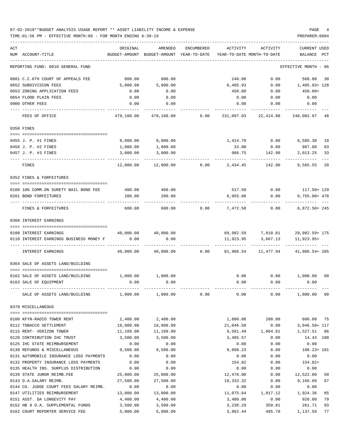### 07-02-2019\*\*BUDGET ANALYSIS USAGE REPORT \*\* ASSET LIABILITY INCOME & EXPENSE PAGE 4 TIME:01:56 PM - EFFECTIVE MONTH:06 - FOR MONTH ENDING 6-30-19 PREPARER:0004

| ACT |                                                       | ORIGINAL          | AMENDED           | <b>ENCUMBERED</b> | ACTIVITY   | ACTIVITY                       | CURRENT USED                   |
|-----|-------------------------------------------------------|-------------------|-------------------|-------------------|------------|--------------------------------|--------------------------------|
|     | NUM ACCOUNT-TITLE                                     | BUDGET-AMOUNT     | BUDGET-AMOUNT     | YEAR-TO-DATE      |            | YEAR-TO-DATE MONTH-TO-DATE     | BALANCE<br>PCT                 |
|     | REPORTING FUND: 0010 GENERAL FUND                     |                   |                   |                   |            |                                | EFFECTIVE MONTH - 06           |
|     | 0601 C.C.6TH COURT OF APPEALS FEE                     | 800.00            | 800.00            |                   | 240.00     | 0.00                           | 560.00<br>30                   |
|     | 0652 SUBDIVISION FEES                                 | 5,000.00          | 5,000.00          |                   | 6,405.93   | 0.00                           | 1,405.93+ 128                  |
|     | 0653 ZONING APPLICATION FEES                          | 0.00              | 0.00              |                   | 450.00     | 0.00                           | $450.00+$                      |
|     | 0654 FLOOD PLAIN FEES                                 | 0.00              | 0.00              |                   | 0.00       | 0.00                           | 0.00                           |
|     | 0900 OTHER FEES                                       | 0.00              | 0.00              |                   | 0.00       | 0.00                           | 0.00                           |
|     | FEES OF OFFICE                                        | 479,100.00        | 479,100.00        | 0.00              | 231,097.03 | 22,414.08                      | 248,002.97 48                  |
|     | 0350 FINES                                            |                   |                   |                   |            |                                |                                |
|     |                                                       |                   |                   |                   |            |                                |                                |
|     | 0455 J. P. #1 FINES                                   | 8,000.00          | 8,000.00          |                   | 1,414.70   | 0.00                           | 6,585.30<br>18                 |
|     | 0456 J. P. #2 FINES                                   | 1,000.00          | 1,000.00          |                   | 33.00      | 0.00                           | 967.00<br>03                   |
|     | 0457 J. P. #3 FINES                                   | 3,000.00          | 3,000.00          |                   | 986.75     | 142.90                         | 2,013.25<br>33                 |
|     | FINES                                                 | 12,000.00         | 12,000.00         | 0.00              | 2,434.45   | 142.90                         | 9,565.55<br>20                 |
|     | 0352 FINES & FORFEITURES                              |                   |                   |                   |            |                                |                                |
|     |                                                       |                   |                   |                   |            |                                |                                |
|     | 0100 10% COMM.ON SURETY BAIL BOND FEE                 | 400.00            | 400.00            |                   | 517.50     |                                | $0.00$ 117.50+ 129             |
|     | 0201 BOND FORFEITURES                                 | 200.00            | 200.00            |                   | 6,955.00   | 0.00                           | $6,755.00+478$                 |
|     | FINES & FORFEITURES                                   | 600.00            | 600.00            | 0.00              | 7,472.50   | 0.00                           | $6,872.50+245$                 |
|     | 0360 INTEREST EARNINGS                                |                   |                   |                   |            |                                |                                |
|     |                                                       |                   |                   |                   |            |                                |                                |
|     | 0100 INTEREST EARNINGS                                | 40,000.00<br>0.00 | 40,000.00<br>0.00 |                   |            | 69,982.59 7,810.81<br>3,667.13 | 29,982.59+ 175<br>$11,923.95+$ |
|     | 0110 INTEREST EARNINGS BUSINESS MONEY F               |                   |                   |                   | 11,923.95  |                                |                                |
|     | INTEREST EARNINGS                                     | 40,000.00         | 40,000.00         | 0.00              | 81,906.54  | 11,477.94                      | 41,906.54+ 205                 |
|     | 0364 SALE OF ASSETS LAND/BUILDING                     |                   |                   |                   |            |                                |                                |
|     |                                                       |                   |                   |                   |            |                                |                                |
|     | 0162 SALE OF ASSETS LAND/BUILDING                     | 1,000.00          | 1,000.00          |                   | 0.00       | 0.00                           | 1,000.00 00                    |
|     | 0163 SALE OF EQUIPMENT                                | 0.00              | 0.00              |                   | 0.00       | 0.00                           | 0.00                           |
|     | SALE OF ASSETS LAND/BUILDING                          | 1,000.00          | 1,000.00          | 0.00              | 0.00       | 0.00                           | 1,000.00<br>00                 |
|     | 0370 MISCELLANEOUS                                    |                   |                   |                   |            |                                |                                |
|     |                                                       | 2,400.00          | 2,400.00          |                   | 1,800.00   | 200.00                         | 600.00<br>75                   |
|     | 0100 KFYN-RADIO TOWER RENT<br>0112 TOBACCO SETTLEMENT | 18,000.00         | 18,000.00         |                   | 21,046.50  | 0.00                           | 3,046.50+ 117                  |
|     | 0115 RENT- VERIZON TOWER                              | 11,109.00         | 11,109.00         |                   | 9,581.49   | 1,064.61                       | 1,527.51<br>86                 |
|     | 0120 CONTRIBUTION IHC TRUST                           | 3,500.00          | 3,500.00          |                   | 3,485.57   | 0.00                           | 14.43 100                      |
|     | 0125 IHC STATE REIMBURSEMENT                          | 0.00              | 0.00              |                   | 0.00       | 0.00                           | 0.00                           |
|     | 0130 REFUNDS & MISCELLANEOUS                          | 9,500.00          | 9,500.00          |                   | 9,608.23   | 0.00                           | $108.23 + 101$                 |
|     | 0131 AUTOMOBILE INSURANCE LOSS PAYMENTS               | 0.00              | 0.00              |                   | 0.00       | 0.00                           | 0.00                           |
|     | 0132 PROPERTY INSURANCE LOSS PAYMENTS                 | 0.00              | 0.00              |                   | 154.82     | 0.00                           | $154.82+$                      |
|     | 0135 HEALTH INS. SURPLUS DISTRIBUTION                 | 0.00              | 0.00              |                   | 0.00       | 0.00                           | 0.00                           |
|     | 0139 STATE JUROR REIMB.FEE                            | 25,000.00         | 25,000.00         |                   | 12,478.00  | 0.00                           | 12,522.00<br>50                |
|     | 0143 D.A.SALARY REIMB.                                | 27,500.00         | 27,500.00         |                   | 18,333.32  | 0.00                           | 9,166.68<br>67                 |
|     | 0144 CO. JUDGE COURT FEES SALARY REIMB.               | 0.00              | 0.00              |                   | 0.00       | 0.00                           | 0.00                           |
|     | 0147 UTILITIES REIMBURSEMENT                          | 13,000.00         | 13,000.00         |                   | 11,075.64  | 1,017.12                       | 85<br>1,924.36                 |
|     | 0151 ASST. DA LONGEVITY PAY                           | 4,400.00          | 4,400.00          |                   | 3,480.00   | 0.00                           | 920.00<br>79                   |
|     | 0152 HB 9 D.A. SUPPLEMENTAL FUNDS                     | 3,500.00          | 3,500.00          |                   | 3,238.29   | 359.81                         | 261.71<br>93                   |
|     | 0162 COURT REPORTER SERVICE FEE                       | 5,000.00          | 5,000.00          |                   | 3,862.44   | 495.79                         | 1,137.56<br>77                 |
|     |                                                       |                   |                   |                   |            |                                |                                |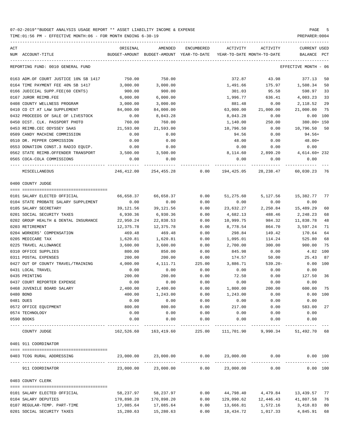| ACT | NUM ACCOUNT-TITLE                                    | ORIGINAL   | AMENDED<br>BUDGET-AMOUNT BUDGET-AMOUNT YEAR-TO-DATE | ENCUMBERED | ACTIVITY   | ACTIVITY<br>YEAR-TO-DATE MONTH-TO-DATE   | CURRENT USED<br>BALANCE PCT |     |
|-----|------------------------------------------------------|------------|-----------------------------------------------------|------------|------------|------------------------------------------|-----------------------------|-----|
|     | REPORTING FUND: 0010 GENERAL FUND                    |            |                                                     |            |            |                                          | EFFECTIVE MONTH - 06        |     |
|     |                                                      |            |                                                     |            |            |                                          |                             |     |
|     | 0163 ADM.OF COURT JUSTICE 10% SB 1417                | 750.00     | 750.00                                              |            | 372.87     | 43.98                                    | 377.13                      | 50  |
|     | 0164 TIME PAYMENT FEE 40% SB 1417                    | 3,000.00   | 3,000.00                                            |            | 1,491.66   | 175.97                                   | 1,508.34                    | 50  |
|     | 0166 JUDICIAL SUPP.FEE(60 CENTS)                     | 900.00     | 900.00                                              |            | 301.03     | 95.58                                    | 598.97 33                   |     |
|     | 0167 JUROR REIMB.FEE                                 | 6,000.00   | 6,000.00                                            |            | 1,996.77   | 636.41                                   | 4,003.23 33                 |     |
|     | 0408 COUNTY WELLNESS PROGRAM                         | 3,000.00   | 3,000.00                                            |            | 881.48     | 0.00                                     | 2,118.52                    | 29  |
|     | 0410 CO CT AT LAW SUPPLEMENT                         | 84,000.00  | 84,000.00                                           |            | 63,000.00  | 21,000.00                                | 21,000.00 75                |     |
|     | 0432 PROCEEDS OF SALE OF LIVESTOCK                   | 0.00       | 8,043.28                                            |            | 8,043.28   | 0.00                                     | $0.00$ 100                  |     |
|     | 0450 DIST. CLK. PASSPORT PHOTO                       | 760.00     | 760.00                                              |            | 1,140.00   | 250.00                                   | 380.00+ 150                 |     |
|     | 0453 REIMB.CEC ODYSSEY SAAS                          | 21,593.00  | 21,593.00                                           |            | 10,796.50  | 0.00                                     | 10,796.50 50                |     |
|     | 0509 CANDY MACHINE COMMISSION                        | 0.00       | 0.00                                                |            | 94.56      | 0.00                                     | 94.56+                      |     |
|     | 0510 DR. PEPPER COMMISSION                           | 0.00       | 0.00                                                |            | 48.00      | 0.00                                     | $48.00+$                    |     |
|     | 0553 DONATION CONST.3 RADIO EQUIP.                   | 0.00       | 0.00                                                |            | 0.00       | 0.00                                     | 0.00                        |     |
|     | 0562 STATE REIMB.OFFENDER TRANSPORT 3,500.00         |            | 3,500.00                                            |            |            | 8,114.60 2,899.20 4,614.60+232           |                             |     |
|     | 0565 COCA-COLA COMMISSIONS                           | 0.00       | 0.00                                                |            | 0.00       | 0.00                                     | 0.00                        |     |
|     | MISCELLANEOUS                                        |            | 246,412.00 254,455.28                               |            |            | $0.00$ 194,425.05 28,238.47 60,030.23 76 |                             |     |
|     | 0400 COUNTY JUDGE                                    |            |                                                     |            |            |                                          |                             |     |
|     |                                                      |            |                                                     |            |            |                                          |                             |     |
|     | 0101 SALARY ELECTED OFFICIAL                         | 66,658.37  | 66,658.37                                           | 0.00       | 51,275.60  | 5,127.56                                 | 15,382.77 77                |     |
|     | 0104 STATE PROBATE SALARY SUPPLEMENT                 | 0.00       | 0.00                                                | 0.00       | 0.00       | 0.00                                     | 0.00                        |     |
|     | 0105 SALARY SECRETARY                                | 39,121.56  | 39,121.56                                           | 0.00       | 23,632.27  | 2,250.84                                 | 15,489.29                   | 60  |
|     | 0201 SOCIAL SECURITY TAXES                           | 6,930.36   | 6,930.36                                            | 0.00       | 4,682.13   | 488.46                                   | 2,248.23                    | 68  |
|     | 0202 GROUP HEALTH & DENTAL INSURANCE                 | 22,950.24  | 22,838.53                                           | 0.00       | 10,999.75  | 984.32                                   | 11,838.78                   | 48  |
|     | 0203 RETIREMENT                                      | 12,375.78  | 12,375.78                                           | 0.00       | 8,778.54   | 864.70                                   | 3,597.24                    | 71  |
|     | 0204 WORKERS' COMPENSATION                           | 469.48     | 469.48                                              | 0.00       | 298.84     | 149.42                                   | 170.64                      | 64  |
|     | 0205 MEDICARE TAX                                    | 1,620.81   | 1,620.81                                            | 0.00       | 1,095.01   | 114.24                                   | 525.80                      | 68  |
|     | 0225 TRAVEL ALLOWANCE                                | 3,600.00   | 3,600.00                                            | 0.00       | 2,700.00   | 300.00                                   | 900.00                      | 75  |
|     | 0310 OFFICE SUPPLIES                                 | 800.00     | 850.00                                              | 0.00       | 845.98     | 0.00                                     | 4.02                        | 100 |
|     | 0311 POSTAL EXPENSES                                 | 200.00     | 200.00                                              | 0.00       | 174.57     | 50.00                                    | 25.43                       | 87  |
|     | 0427 OUT OF COUNTY TRAVEL/TRAINING                   | 4,000.00   | 4,111.71                                            | 225.00     | 3,886.71   | $539.20 -$                               | $0.00$ 100                  |     |
|     | 0431 LOCAL TRAVEL                                    | 0.00       | 0.00                                                | 0.00       | 0.00       | 0.00                                     | 0.00                        |     |
|     | 0435 PRINTING                                        | 200.00     | 200.00                                              | 0.00       | 72.50      | 0.00                                     | 127.50 36                   |     |
|     | 0437 COURT REPORTER EXPENSE                          | 0.00       | 0.00                                                | 0.00       | 0.00       | 0.00                                     | 0.00                        |     |
|     | 0468 JUVENILE BOARD SALARY                           | 2,400.00   | 2,400.00                                            | 0.00       | 1,800.00   | 200.00                                   | 600.00                      | 75  |
|     | 0480 BOND                                            | 400.00     | 1,243.00                                            | 0.00       | 1,243.00   | 0.00                                     | 0.00 100                    |     |
|     | 0481 DUES                                            | 0.00       | 0.00                                                | 0.00       | 0.00       | 0.00                                     | 0.00                        |     |
|     | 0572 OFFICE EQUIPMENT                                | 800.00     | 800.00                                              | 0.00       | 217.00     | 0.00                                     | 583.00                      | 27  |
|     | 0574 TECHNOLOGY                                      | 0.00       | 0.00                                                | 0.00       | 0.00       | 0.00                                     | 0.00                        |     |
|     | 0590 BOOKS                                           | 0.00       | 0.00                                                | 0.00       | 0.00       | 0.00                                     | 0.00                        |     |
|     | ------------------------ -----------<br>COUNTY JUDGE |            | 162,526.60 163,419.60                               | 225.00     |            | 111,701.90 9,990.34 51,492.70 68         |                             |     |
|     | 0401 911 COORDINATOR                                 |            |                                                     |            |            |                                          |                             |     |
|     | 0403 TCOG RURAL ADDRESSING                           | 23,000.00  | 23,000.00                                           | 0.00       | 23,000.00  | 0.00                                     | 0.00 100                    |     |
|     |                                                      |            |                                                     |            |            | ------------ -------------               |                             |     |
|     | 911 COORDINATOR                                      | 23,000.00  | 23,000.00                                           | 0.00       | 23,000.00  | 0.00                                     | 0.00 100                    |     |
|     | 0403 COUNTY CLERK                                    |            |                                                     |            |            |                                          |                             |     |
|     | 0101 SALARY ELECTED OFFICIAL                         | 58,237.97  | 58,237.97                                           | 0.00       | 44,798.40  | 4,479.84                                 | 13,439.57                   | 77  |
|     | 0104 SALARY DEPUTIES                                 | 170,898.20 | 170,898.20                                          | 0.00       | 129,090.62 | 12,446.43                                | 41,807.58                   | 76  |
|     | 0107 REGULAR-TEMP. PART-TIME                         | 17,085.64  | 17,085.64                                           | 0.00       | 13,666.81  | 1,572.16                                 | 3,418.83                    | 80  |
|     | 0201 SOCIAL SECURITY TAXES                           | 15,280.63  | 15,280.63                                           | 0.00       | 10,434.72  | 1,017.33                                 | 4,845.91                    | 68  |
|     |                                                      |            |                                                     |            |            |                                          |                             |     |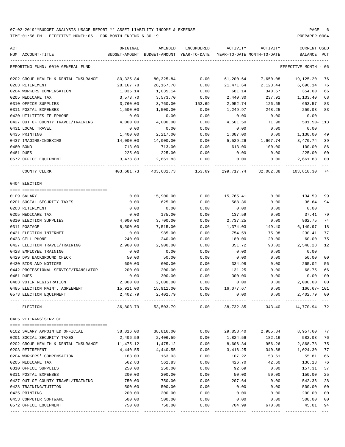| ACT | NUM ACCOUNT-TITLE                    | ORIGINAL   | AMENDED<br>BUDGET-AMOUNT BUDGET-AMOUNT YEAR-TO-DATE | ENCUMBERED | ACTIVITY   | ACTIVITY<br>YEAR-TO-DATE MONTH-TO-DATE | CURRENT USED<br>BALANCE | PCT |
|-----|--------------------------------------|------------|-----------------------------------------------------|------------|------------|----------------------------------------|-------------------------|-----|
|     | REPORTING FUND: 0010 GENERAL FUND    |            |                                                     |            |            |                                        | EFFECTIVE MONTH - 06    |     |
|     |                                      |            |                                                     |            |            |                                        |                         |     |
|     | 0202 GROUP HEALTH & DENTAL INSURANCE | 80,325.84  | 80,325.84                                           | 0.00       | 61,200.64  | 7,650.08                               | 19,125.20               | 76  |
|     | 0203 RETIREMENT                      | 28,167.78  | 28,167.78                                           | 0.00       | 21,471.64  | 2,123.44                               | 6,696.14                | 76  |
|     | 0204 WORKERS COMPENSATION            | 1,035.14   | 1,035.14                                            | 0.00       | 681.14     | 340.57                                 | 354.00                  | 66  |
|     | 0205 MEDICARE TAX                    | 3,573.70   | 3,573.70                                            | 0.00       | 2,440.30   | 237.91                                 | 1,133.40                | 68  |
|     | 0310 OFFICE SUPPLIES                 | 3,760.00   | 3,760.00                                            | 153.69     | 2,952.74   | 126.65                                 | 653.57                  | 83  |
|     | 0311 POSTAL EXPENSES                 | 1,500.00   | 1,500.00                                            | 0.00       | 1,249.97   | 248.25                                 | 250.03                  | 83  |
|     | 0420 UTILITIES TELEPHONE             | 0.00       | 0.00                                                | 0.00       | 0.00       | 0.00                                   | 0.00                    |     |
|     | 0427 OUT OF COUNTY TRAVEL/TRAINING   | 4,000.00   | 4,000.00                                            | 0.00       | 4,501.50   | 71.98                                  | 501.50- 113             |     |
|     | 0431 LOCAL TRAVEL                    | 0.00       | 0.00                                                | 0.00       | 0.00       | 0.00                                   | 0.00                    |     |
|     | 0435 PRINTING                        | 1,400.00   | 2,217.00                                            | 0.00       | 1,087.00   | 0.00                                   | 1,130.00                | 49  |
|     | 0437 IMAGING/INDEXING                | 14,000.00  | 14,000.00                                           | 0.00       | 5,529.26   | 1,667.74                               | 8,470.74                | 39  |
|     | 0480 BOND                            | 713.00     | 713.00                                              | 0.00       | 613.00     | 100.00                                 | 100.00                  | 86  |
|     | 0481 DUES                            | 225.00     | 225.00                                              | 0.00       | 0.00       | 0.00                                   | 225.00                  | 00  |
|     | 0572 OFFICE EQUIPMENT                | 3,478.83   | 2,661.83                                            | 0.00       | 0.00       | 0.00                                   | 2,661.83                | 00  |
|     | COUNTY CLERK                         | 403,681.73 | 403,681.73 153.69                                   |            | 299,717.74 | 32,082.38                              | 103,810.30              | 74  |
|     | 0404 ELECTION                        |            |                                                     |            |            |                                        |                         |     |
|     |                                      |            |                                                     |            |            |                                        |                         |     |
|     | 0109 SALARY                          | 0.00       | 15,900.00                                           | 0.00       | 15,765.41  | 0.00                                   | 134.59                  | 99  |
|     | 0201 SOCIAL SECURITY TAXES           | 0.00       | 625.00                                              | 0.00       | 588.36     | 0.00                                   | 36.64                   | 94  |
|     | 0203 RETIREMENT                      | 0.00       | 0.00                                                | 0.00       | 0.00       | 0.00                                   | 0.00                    |     |
|     | 0205 MEDICARE TAX                    | 0.00       | 175.00                                              | 0.00       | 137.59     | 0.00                                   | 37.41                   | 79  |
|     | 0310 ELECTION SUPPLIES               | 4,000.00   | 3,700.00                                            | 0.00       | 2,737.25   | 0.00                                   | 962.75                  | 74  |
|     | 0311 POSTAGE                         | 8,500.00   | 7,515.00                                            | 0.00       | 1,374.03   | 149.40                                 | 6,140.97                | 18  |
|     | 0421 ELECTION INTERNET               | 0.00       | 985.00                                              | 0.00       | 754.59     | 75.98                                  | 230.41                  | 77  |
|     | 0423 CELL PHONE                      | 240.00     | 240.00                                              | 0.00       | 180.00     | 20.00                                  | 60.00                   | 75  |
|     | 0427 ELECTION TRAVEL/TRAINING        | 2,900.00   | 2,900.00                                            | 0.00       | 351.72     | 98.02                                  | 2,548.28                | 12  |
|     | 0428 EMPLOYEE TRAINING               | 0.00       | 0.00                                                | 0.00       | 0.00       | 0.00                                   | 0.00                    |     |
|     | 0429 DPS BACKGROUND CHECK            | 50.00      | 50.00                                               | 0.00       | 0.00       | 0.00                                   | 50.00                   | 00  |
|     | 0430 BIDS AND NOTICES                | 600.00     | 600.00                                              | 0.00       | 334.98     | 0.00                                   | 265.02                  | 56  |
|     | 0442 PROFESSIONAL SERVICE/TRANSLATOR | 200.00     | 200.00                                              | 0.00       | 131.25     | 0.00                                   | 68.75                   | 66  |
|     | 0481 DUES                            | 0.00       | 300.00                                              | 0.00       | 300.00     | 0.00                                   | 0.00 100                |     |
|     | 0483 VOTER REGISTRATION              | 2,000.00   | 2,000.00                                            | 0.00       | 0.00       | 0.00                                   | 2,000.00                | 00  |
|     | 0485 ELECTION MAINT. AGREEMENT       | 15,911.00  | 15,911.00                                           | 0.00       | 16,077.67  | 0.00                                   | 166.67- 101             |     |
|     | 0573 ELECTION EQUIPMENT              | 2,402.79   | 2,402.79                                            | 0.00       | 0.00       | 0.00                                   | 2,402.79 00             |     |
|     | ELECTION                             | 36,803.79  | 53,503.79                                           | 0.00       | 38,732.85  | 343.40                                 | 14,770.94 72            |     |
|     | 0405 VETERANS'SERVICE                |            |                                                     |            |            |                                        |                         |     |
|     |                                      |            |                                                     |            |            |                                        |                         |     |
|     | 0102 SALARY APPOINTED OFFICIAL       | 38,816.00  | 38,816.00                                           | 0.00       | 29,858.40  | 2,985.84                               | 8,957.60                | 77  |
|     | 0201 SOCIAL SECURITY TAXES           | 2,406.59   | 2,406.59                                            | 0.00       | 1,824.56   | 182.16                                 | 582.03                  | 76  |
|     | 0202 GROUP HEALTH & DENTAL INSURANCE | 11,475.12  | 11,475.12                                           | 0.00       | 8,606.34   | 956.26                                 | 2,868.78                | 75  |
|     | 0203 RETIREMENT                      | 4,440.55   | 4,440.55                                            | 0.00       | 3,416.25   | 340.68                                 | 1,024.30                | 77  |
|     | 0204 WORKERS' COMPENSATION           | 163.03     | 163.03                                              | 0.00       | 107.22     | 53.61                                  | 55.81                   | 66  |
|     | 0205 MEDICARE TAX                    | 562.83     | 562.83                                              | 0.00       | 426.70     | 42.60                                  | 136.13                  | 76  |
|     | 0310 OFFICE SUPPLIES                 | 250.00     | 250.00                                              | 0.00       | 92.69      | 0.00                                   | 157.31                  | 37  |
|     | 0311 POSTAL EXPENSES                 | 200.00     | 200.00                                              | 0.00       | 50.00      | 50.00                                  | 150.00                  | 25  |
|     | 0427 OUT OF COUNTY TRAVEL/TRAINING   | 750.00     | 750.00                                              | 0.00       | 207.64     | 0.00                                   | 542.36                  | 28  |
|     | 0428 TRAINING/TUITION                | 500.00     | 500.00                                              | 0.00       | 0.00       | 0.00                                   | 500.00                  | 00  |
|     | 0435 PRINTING                        | 200.00     | 200.00                                              | 0.00       | 0.00       | 0.00                                   | 200.00                  | 00  |
|     | 0453 COMPUTER SOFTWARE               | 500.00     | 500.00                                              | 0.00       | 0.00       | 0.00                                   | 500.00                  | 00  |
|     | 0572 OFFICE EQUIPMENT                | 750.00     | 750.00                                              | 0.00       | 704.99     | 670.00                                 | 45.01                   | 94  |
|     |                                      |            |                                                     |            |            |                                        |                         |     |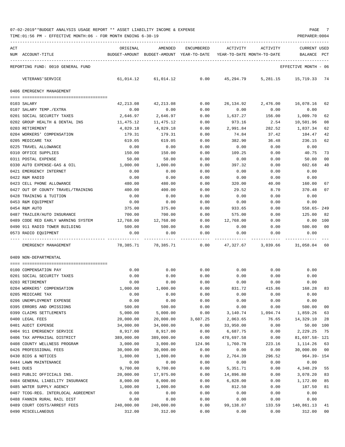| ACT |                                                                               | ORIGINAL       | AMENDED                                  | ENCUMBERED   | ACTIVITY                   | ACTIVITY           | <b>CURRENT USED</b>  |                |
|-----|-------------------------------------------------------------------------------|----------------|------------------------------------------|--------------|----------------------------|--------------------|----------------------|----------------|
|     | NUM ACCOUNT-TITLE                                                             |                | BUDGET-AMOUNT BUDGET-AMOUNT YEAR-TO-DATE |              | YEAR-TO-DATE MONTH-TO-DATE |                    | BALANCE              | PCT            |
|     | REPORTING FUND: 0010 GENERAL FUND                                             |                |                                          |              |                            |                    | EFFECTIVE MONTH - 06 |                |
|     | VETERANS ' SERVICE                                                            | 61,014.12      | 61,014.12                                | 0.00         | 45,294.79                  | 5,281.15           | 15,719.33            | 74             |
|     | 0406 EMERGENCY MANAGEMENT                                                     |                |                                          |              |                            |                    |                      |                |
|     |                                                                               |                |                                          |              |                            |                    |                      |                |
|     | 0103 SALARY                                                                   | 42,213.08      | 42,213.08                                | 0.00         | 26,134.92                  | 2,476.00           | 16,078.16            | 62             |
|     | 0107 SALARY TEMP./EXTRA                                                       | 0.00           | 0.00                                     | 0.00         | 0.00                       | 0.00               | 0.00                 |                |
|     | 0201 SOCIAL SECURITY TAXES                                                    | 2,646.97       | 2,646.97                                 | 0.00         | 1,637.27                   | 156.00             | 1,009.70             | 62             |
|     | 0202 GROUP HEALTH & DENTAL INS                                                | 11,475.12      | 11,475.12                                | 0.00         | 973.16                     | 2.54               | 10,501.96            | 08             |
|     | 0203 RETIREMENT                                                               | 4,829.18       | 4,829.18                                 | 0.00         | 2,991.84                   | 282.52             | 1,837.34             | 62             |
|     | 0204 WORKERS' COMPENSATION                                                    | 179.31         | 179.31                                   | 0.00         | 74.84                      | 37.42              | 104.47               | 42             |
|     | 0205 MEDICARE TAX                                                             | 619.05         | 619.05                                   | 0.00         | 382.90                     | 36.48              | 236.15               | 62             |
|     | 0225 TRAVEL ALLOWANCE                                                         | 0.00           | 0.00                                     | 0.00         | 0.00                       | 0.00               | 0.00                 |                |
|     | 0310 OFFICE SUPPLIES                                                          | 150.00         | 150.00                                   | 0.00         | 109.25                     | 0.00               | 40.75                | 73             |
|     | 0311 POSTAL EXPENSE                                                           | 50.00          | 50.00                                    | 0.00         | 0.00                       | 0.00               | 50.00                | 00             |
|     | 0330 AUTO EXPENSE-GAS & OIL                                                   | 1,000.00       | 1,000.00                                 | 0.00         | 397.32                     | 0.00               | 602.68               | 40             |
|     | 0421 EMERGENCY INTERNET                                                       | 0.00           | 0.00                                     | 0.00         | 0.00                       | 0.00               | 0.00                 |                |
|     | 0422 R&M RADIO                                                                | 0.00           | 0.00                                     | 0.00         | 0.00                       | 0.00               | 0.00                 |                |
|     | 0423 CELL PHONE ALLOWANCE                                                     | 480.00         | 480.00                                   | 0.00         | 320.00                     | 40.00              | 160.00               | 67             |
|     | 0427 OUT OF COUNTY TRAVEL/TRAINING                                            | 400.00         | 400.00                                   | 0.00         | 29.52                      | 8.70               | 370.48               | 07             |
|     | 0428 TRAINING & TUITION                                                       | 0.00           | 0.00                                     | 0.00         | 0.00                       | 0.00               | 0.00                 |                |
|     | 0453 R&M EQUIPMENT                                                            | 0.00           | 0.00                                     | 0.00         | 0.00                       | 0.00               | 0.00                 |                |
|     | 0454 R&M AUTO                                                                 | 375.00         | 375.00                                   | 0.00         | 933.65                     | 0.00               | $558.65 - 249$       |                |
|     | 0487 TRAILER/AUTO INSURANCE                                                   | 700.00         | 700.00                                   | 0.00         | 575.00                     | 0.00               | 125.00               | 82             |
|     | 0489 CODE RED EARLY WARNING SYSTEM 12,768.00<br>0490 911 RADIO TOWER BUILDING |                | 12,768.00                                | 0.00<br>0.00 | 12,768.00                  | 0.00               | 0.00<br>500.00       | 100<br>00      |
|     | 0573 RADIO EQUIPMENT                                                          | 500.00<br>0.00 | 500.00<br>0.00                           | 0.00         | 0.00<br>0.00               | 0.00<br>0.00       | 0.00                 |                |
|     |                                                                               |                |                                          |              |                            |                    |                      |                |
|     | EMERGENCY MANAGEMENT                                                          |                | 78,385.71 78,385.71                      | 0.00         |                            | 47,327.67 3,039.66 | 31,058.04            | 60             |
|     | 0409 NON-DEPARTMENTAL                                                         |                |                                          |              |                            |                    |                      |                |
|     |                                                                               |                |                                          |              |                            |                    |                      |                |
|     | 0100 COMPENSATION PAY                                                         | 0.00           | 0.00                                     | 0.00         | 0.00                       | 0.00               | 0.00                 |                |
|     | 0201 SOCIAL SECURITY TAXES<br>0203 RETIREMENT                                 | 0.00           | 0.00                                     | 0.00         | 0.00                       | 0.00               | 0.00                 |                |
|     | 0204 WORKERS' COMPENSATION                                                    | 0.00           | 0.00                                     | 0.00         | 0.00<br>831.72             | 0.00               | 0.00<br>168.28       |                |
|     |                                                                               | 1,000.00       | 1,000.00                                 | 0.00         |                            | 415.86             |                      | 83             |
|     | 0205 MEDICARE TAX<br>0206 UNEMPLOYMENT EXPENSE                                | 0.00<br>0.00   | 0.00<br>0.00                             | 0.00<br>0.00 | 0.00<br>0.00               | 0.00<br>0.00       | 0.00<br>0.00         |                |
|     | 0395 ERRORS AND OMISSIONS                                                     | 500.00         | 500.00                                   | 0.00         | 0.00                       | 0.00               | 500.00               | 0 <sub>0</sub> |
|     | 0399 CLAIMS SETTLEMENTS                                                       | 5,000.00       | 5,000.00                                 | 0.00         | 3,140.74                   | 1,094.74           | 1,859.26             | 63             |
|     | 0400 LEGAL FEES                                                               | 20,000.00      | 20,000.00                                | 3,607.25     | 2,063.65                   | 76.65              | 14,329.10            | 28             |
|     | 0401 AUDIT EXPENSE                                                            | 34,000.00      | 34,000.00                                | 0.00         | 33,950.00                  | 0.00               | 50.00                | 100            |
|     | 0404 911 EMERGENCY SERVICE                                                    | 8,917.00       | 8,917.00                                 | 0.00         | 6,687.75                   | 0.00               | 2,229.25             | 75             |
|     | 0406 TAX APPRAISAL DISTRICT                                                   | 389,000.00     | 389,000.00                               | 0.00         | 470,697.58                 | 0.00               | 81,697.58- 121       |                |
|     | 0408 COUNTY WELLNESS PROGRAM                                                  | 3,000.00       | 3,000.00                                 | 124.96       | 1,760.78                   | 223.16             | 1,114.26             | 63             |
|     | 0426 PROFESSIONAL FEES                                                        | 30,000.00      | 30,000.00                                | 0.00         | 0.00                       | 0.00               | 30,000.00            | 0 <sub>0</sub> |
|     | 0430 BIDS & NOTICES                                                           | 1,800.00       | 1,800.00                                 | 0.00         | 2,764.39                   | 296.52             | $964.39 - 154$       |                |
|     | 0444 LAWN MAINTENANCE                                                         | 0.00           | 0.00                                     | 0.00         | 0.00                       | 0.00               | 0.00                 |                |
|     | 0481 DUES                                                                     | 9,700.00       | 9,700.00                                 | 0.00         | 5,351.71                   | 0.00               | 4,348.29             | 55             |
|     | 0483 PUBLIC OFFICIALS INS.                                                    | 20,000.00      | 17,975.00                                | 0.00         | 14,896.80                  | 0.00               | 3,078.20             | 83             |
|     | 0484 GENERAL LIABILITY INSURANCE                                              | 8,000.00       | 8,000.00                                 | 0.00         | 6,828.00                   | 0.00               | 1,172.00             | 85             |
|     | 0485 WATER SUPPLY AGENCY                                                      | 1,000.00       | 1,000.00                                 | 0.00         | 812.50                     | 0.00               | 187.50               | 81             |
|     | 0487 TCOG-REG. INTERLOCAL AGREEMENT                                           | 0.00           | 0.00                                     | 0.00         | 0.00                       | 0.00               | 0.00                 |                |
|     | 0488 FANNIN RURAL RAIL DIST                                                   | 0.00           | 0.00                                     | 0.00         | 0.00                       | 0.00               | 0.00                 |                |
|     | 0489 COURT COSTS/ARREST FEES                                                  | 240,000.00     | 240,000.00                               | 0.00         | 99,138.87                  | 133.59             | 140,861.13           | 41             |
|     | 0490 MISCELLANEOUS                                                            | 312.00         | 312.00                                   | 0.00         | 0.00                       | 0.00               | 312.00               | 0 <sub>0</sub> |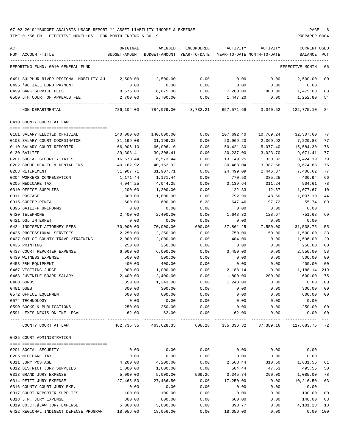| ACT                                     | ORIGINAL   | AMENDED                                  | ENCUMBERED | ACTIVITY                   | ACTIVITY  | <b>CURRENT USED</b>  |                |
|-----------------------------------------|------------|------------------------------------------|------------|----------------------------|-----------|----------------------|----------------|
| NUM ACCOUNT-TITLE                       |            | BUDGET-AMOUNT BUDGET-AMOUNT YEAR-TO-DATE |            | YEAR-TO-DATE MONTH-TO-DATE |           | BALANCE              | PCT            |
| REPORTING FUND: 0010 GENERAL FUND       |            |                                          |            |                            |           | EFFECTIVE MONTH - 06 |                |
| 0491 SULPHUR RIVER REGIONAL MOBILITY AU | 2,500.00   | 2,500.00                                 | 0.00       | 0.00                       | 0.00      | 2,500.00             | 00             |
| 0495 '98 JAIL BOND PAYMENT              | 0.00       | 0.00                                     | 0.00       | 0.00                       | 0.00      | 0.00                 |                |
| 0499 BANK SERVICE FEES                  | 8,675.00   | 8,675.00                                 | 0.00       | 7,200.00                   | 800.00    | 1,475.00             | 83             |
| 0500 6TH COURT OF APPEALS FEE           | 2,700.00   | 2,700.00                                 | 0.00       | 1,447.20                   | 0.00      | 1,252.80             | 54             |
| NON-DEPARTMENTAL                        |            | 786,104.00 784,079.00                    |            | 3,732.21 657,571.69        | 3,040.52  | 122,775.10 84        |                |
| 0410 COUNTY COURT AT LAW                |            |                                          |            |                            |           |                      |                |
|                                         |            |                                          |            |                            |           |                      |                |
| 0101 SALARY ELECTED OFFICIAL            | 140,000.00 | 140,000.00                               | 0.00       | 107,692.40                 | 10,769.24 | 32,307.60            | 77             |
| 0103 SALARY COURT COORDINATOR           | 31,199.08  | 31,199.08                                | 0.00       | 23,969.20                  | 2,369.92  | 7,229.88             | 77             |
| 0110 SALARY COURT REPORTER              | 66,006.10  | 66,006.10                                | 0.00       | 50,421.80                  | 5,077.40  | 15,584.30            | 76             |
| 0130 BAILIFF                            | 39,308.41  | 39,308.41                                | 0.00       | 30,237.00                  | 3,023.70  | 9,071.41             | 77             |
| 0201 SOCIAL SECURITY TAXES              | 16,573.44  | 16,573.44                                | 0.00       | 13,149.25                  | 1,330.82  | 3,424.19             | 79             |
| 0202 GROUP HEALTH & DENTAL INS          | 40,162.92  | 40,162.92                                | 0.00       | 30,488.04                  | 3,387.56  | 9,674.88             | 76             |
| 0203 RETIREMENT                         | 31,907.71  | 31,907.71                                | 0.00       | 24,499.09                  | 2,446.37  | 7,408.62             | 77             |
| 0204 WORKERS COMPENSATION               | 1,171.44   | 1,171.44                                 | 0.00       | 770.50                     | 385.25    | 400.94               | 66             |
| 0205 MEDICARE TAX                       | 4,044.25   | 4,044.25                                 | 0.00       | 3,139.64                   | 311.24    | 904.61               | 78             |
| 0310 OFFICE SUPPLIES                    | 1,200.00   | 1,200.00                                 | 0.00       | 122.33                     | 12.67     | 1,077.67             | 10             |
| 0311 POSTAGE                            | 1,800.00   | 1,800.00                                 | 0.00       | 792.90                     | 148.60    | 1,007.10             | 44             |
| 0315 COPIER RENTAL                      | 600.00     | 600.00                                   | 8.28       | 647.46                     | 97.72     | 55.74- 109           |                |
| 0395 BAILIFF UNIFORMS                   | 0.00       | 0.00                                     | 0.00       | 0.00                       | 0.00      | 0.00                 |                |
| 0420 TELEPHONE                          | 2,400.00   | 2,400.00                                 | 0.00       | 1,648.32                   | 128.67    | 751.68               | 69             |
| 0421 DSL INTERNET                       | 0.00       | 0.00                                     | 0.00       | 0.00                       | 0.00      | 0.00                 |                |
| 0424 INDIGENT ATTORNEY FEES             | 70,000.00  | 70,000.00                                | 600.00     | 37,861.25                  | 7,550.00  | 31,538.75            | 55             |
| 0425 PROFESSIONAL SERVICES              | 2,250.00   | 2,250.00                                 | 0.00       | 750.00                     | 150.00    | 1,500.00             | 33             |
| 0427 OUT OF COUNTY TRAVEL/TRAINING      | 2,000.00   | 2,000.00                                 | 0.00       | 404.00                     | 0.00      | 1,596.00             | 20             |
| 0435 PRINTING                           | 250.00     | 250.00                                   | 0.00       | 0.00                       | 0.00      | 250.00               | 00             |
| 0437 COURT REPORTER EXPENSE             | 6,000.00   | 6,000.00                                 | 0.00       | 3,450.00                   | 0.00      | 2,550.00             | 58             |
| 0439 WITNESS EXPENSE                    | 500.00     | 500.00                                   | 0.00       | 0.00                       | 0.00      | 500.00               | 00             |
|                                         |            |                                          |            |                            |           |                      | 0 <sup>0</sup> |
| 0453 R&M EQUIPMENT                      | 400.00     | 400.00                                   | 0.00       | 0.00                       | 0.00      | 400.00               |                |
| 0467 VISITING JUDGE                     | 1,000.00   | 1,000.00                                 | 0.00       | 2,188.14                   | 0.00      | 1,188.14- 219        |                |
| 0468 JUVENILE BOARD SALARY              | 2,400.00   | 2,400.00                                 | 0.00       | 1,800.00                   | 200.00    | 600.00               | 75             |
| 0480 BONDS                              | 350.00     | 1,243.00                                 | 0.00       | 1,243.00                   | 0.00      | 0.00                 | 100            |
| 0481 DUES                               | 300.00     | 300.00                                   | 0.00       | 0.00                       | 0.00      | 300.00               | 00             |
| 0572 OFFICE EQUIPMENT                   | 600.00     | 600.00                                   | 0.00       | 0.00                       | 0.00      | 600.00               | 00             |
| 0574 TECHNOLOGY                         | 0.00       | 0.00                                     | 0.00       | 0.00                       | 0.00      | 0.00                 |                |
| 0590 BOOKS & PUBLICATIONS               | 250.00     | 250.00                                   | 0.00       | 0.00                       | 0.00      | 250.00               | 00             |
| 0591 LEXIS NEXIS ONLINE LEGAL           | 62.00      | 62.00<br>-------------                   | 0.00       | 62.00                      | 0.00      | 0.00 100             | $- - -$        |
| COUNTY COURT AT LAW                     | 462,735.35 | 463,628.35                               | 608.28     | 335,336.32                 | 37,389.16 | 127,683.75 72        |                |
| 0425 COURT ADMINISTRATION               |            |                                          |            |                            |           |                      |                |
|                                         |            |                                          |            |                            |           |                      |                |
| 0201 SOCIAL SECURITY                    | 0.00       | 0.00                                     | 0.00       | 0.00                       | 0.00      | 0.00                 |                |
| 0205 MEDICARE TAX                       | 0.00       | 0.00                                     | 0.00       | 0.00                       | 0.00      | 0.00                 |                |
| 0311 JURY POSTAGE                       | 4,200.00   | 4,200.00                                 | 0.00       | 2,568.44                   | 310.50    | 1,631.56             | 61             |
| 0312 DISTRICT JURY SUPPLIES             | 1,000.00   | 1,000.00                                 | 0.00       | 504.44                     | 47.53     | 495.56               | 50             |
| 0313 GRAND JURY EXPENSE                 | 5,000.00   | 5,000.00                                 | 569.26     | 3,345.74                   | 290.00    | 1,085.00             | 78             |
| 0314 PETIT JURY EXPENSE                 | 27,466.50  | 27,466.50                                | 0.00       | 17,250.00                  | 0.00      | 10,216.50            | 63             |
| 0316 COUNTY COURT JURY EXP.             | 0.00       | 0.00                                     | 0.00       | 0.00                       | 0.00      | 0.00                 |                |
| 0317 COURT REPORTER SUPPLIES            | 100.00     | 100.00                                   | 0.00       | 0.00                       | 0.00      | 100.00               | 00             |
| 0318 J.P. JURY EXPENSE                  | 800.00     | 800.00                                   | 0.00       | 660.00                     | 0.00      | 140.00               | 83             |
| 0319 CO.CT.@LAW JURY EXPENSE            | 5,000.00   | 5,000.00                                 | 0.00       | 898.77                     | 0.00      | 4,101.23             | 18             |
| 0422 REGIONAL INDIGENT DEFENSE PROGRAM  | 18,056.00  | 18,056.00                                | 0.00       | 18,056.00                  | 0.00      | 0.00 100             |                |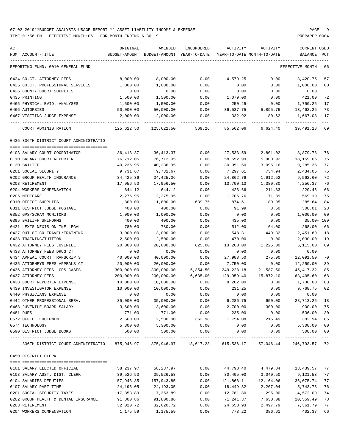| ACT                                                                                                   | ORIGINAL      | AMENDED                    | ENCUMBERED | ACTIVITY                   | ACTIVITY  | <b>CURRENT USED</b>  |             |
|-------------------------------------------------------------------------------------------------------|---------------|----------------------------|------------|----------------------------|-----------|----------------------|-------------|
| NUM ACCOUNT-TITLE                                                                                     | BUDGET-AMOUNT | BUDGET-AMOUNT YEAR-TO-DATE |            | YEAR-TO-DATE MONTH-TO-DATE |           | BALANCE              | PCT         |
| REPORTING FUND: 0010 GENERAL FUND                                                                     |               |                            |            |                            |           | EFFECTIVE MONTH - 06 |             |
| 0424 CO.CT. ATTORNEY FEES                                                                             | 8,000.00      | 8,000.00                   | 0.00       | 4,579.25                   | 0.00      | 3,420.75             | 57          |
| 0425 CO.CT. PROFESSIONAL SERVICES                                                                     | 1,000.00      | 1,000.00                   | 0.00       | 0.00                       | 0.00      | 1,000.00             | 00          |
| 0426 COUNTY COURT SUPPLIES                                                                            | 0.00          | 0.00                       | 0.00       | 0.00                       | 0.00      | 0.00                 |             |
| 0435 PRINTING                                                                                         | 1,500.00      | 1,500.00                   | 0.00       | 1,079.00                   | 0.00      | 421.00               | 72          |
| 0465 PHYSICAL EVID. ANALYSES                                                                          | 1,500.00      | 1,500.00                   | 0.00       | 250.25-                    | 0.00      | 1,750.25             | 17          |
| 0466 AUTOPSIES                                                                                        | 50,000.00     | 50,000.00                  | 0.00       | 36,537.75                  | 5,895.75  | 13,462.25            | 73          |
| 0467 VISITING JUDGE EXPENSE                                                                           | 2,000.00      | 2,000.00                   | 0.00       | 332.92                     | 80.62     | 1,667.08             | 17          |
| COURT ADMINISTRATION                                                                                  | 125,622.50    | 125,622.50                 | 569.26     | 85,562.06                  | 6,624.40  | 39,491.18            | 69          |
| 0435 336TH DISTRICT COURT ADMINISTRATIO                                                               |               |                            |            |                            |           |                      |             |
|                                                                                                       |               |                            |            |                            |           |                      |             |
| 0103 SALARY COURT COORDINATOR                                                                         | 36,413.37     | 36, 413.37                 | 0.00       | 27,533.59                  | 2,801.02  | 8,879.78             | 76          |
| 0110 SALARY COURT REPORTER                                                                            | 76,712.05     | 76,712.05                  | 0.00       | 58,552.99                  | 5,900.92  | 18,159.06            | 76          |
| 0130 BAILIFF                                                                                          | 40,236.95     | 40,236.95                  | 0.00       | 30,951.60                  | 3,095.16  | 9,285.35             | 77          |
| 0201 SOCIAL SECURITY                                                                                  | 9,731.67      | 9,731.67                   | 0.00       | 7,297.61                   | 734.94    | 2,434.06             | 75          |
| 0202 GROUP HEALTH INSURANCE                                                                           | 34,425.36     | 34,425.36                  | 0.00       | 24,862.76                  | 1,912.52  | 9,562.60             | 72          |
| 0203 RETIREMENT                                                                                       | 17,956.50     | 17,956.50                  | 0.00       | 13,700.13                  | 1,380.30  | 4,256.37             | 76          |
| 0204 WORKERS COMPENSATION                                                                             | 644.12        | 644.12                     | 0.00       | 423.66                     | 211.83    | 220.46               | 66          |
| 0205 MEDICARE                                                                                         | 2,275.95      | 2,275.95                   | 0.00       | 1,706.76                   | 171.89    | 569.19               | 75          |
| 0310 OFFICE SUPPLIES                                                                                  | 1,800.00      | 1,800.00                   | 639.75     | 874.61                     | 189.95    | 285.64               | 84          |
| 0311 DISTRICT JUDGE POSTAGE                                                                           | 400.00        | 400.00                     | 0.00       | 91.99                      | 8.50      | 308.01               | 23          |
| 0352 GPS/SCRAM MONITORS                                                                               | 1,000.00      | 1,000.00                   | 0.00       | 0.00                       | 0.00      | 1,000.00             | 00          |
| 0395 BAILIFF UNIFORMS                                                                                 | 400.00        | 400.00                     | 0.00       | 435.00                     | 0.00      | 35.00- 109           |             |
| 0421 LEXIS NEXIS ONLINE LEGAL                                                                         | 780.00        | 780.00                     | 0.00       | 512.00                     | 64.00     | 268.00               | 66          |
| 0427 OUT OF CO TRAVEL/TRAINING                                                                        | 3,000.00      | 3,000.00                   | 0.00       | 548.31                     | 449.32    | 2,451.69             | 18          |
| 0428 TRAINING/TUITION                                                                                 | 2,500.00      | 2,500.00                   | 0.00       | 470.00                     | 0.00      | 2,030.00             | 19          |
| 0432 ATTORNEY FEES JUVENILE                                                                           | 20,000.00     | 20,000.00                  | 625.00     | 13,260.00                  | 1,225.00  | 6, 115.00            | 69          |
| 0433 ATTORNEY FEES DRUG CT                                                                            | 0.00          | 0.00                       | 0.00       | 0.00                       | 0.00      | 0.00                 |             |
| 0434 APPEAL COURT TRANSCRIPTS                                                                         | 40,000.00     | 40,000.00                  | 0.00       | 27,908.50                  | 275.00    | 12,091.50            | 70          |
| 0435 ATTORNEYS FEES APPEALS CT                                                                        | 20,000.00     | 20,000.00                  | 0.00       | 7,750.00                   | 0.00      | 12,250.00            | 39          |
| 0436 ATTORNEY FEES- CPS CASES                                                                         | 300,000.00    | 300,000.00                 | 5,354.50   | 249,228.18                 | 21,587.50 | 45, 417.32           | 85          |
| 0437 ATTORNEY FEES                                                                                    | 200,000.00    | 200,000.00                 | 6,635.00   | 129,959.40                 | 15,872.10 | 63,405.60            | 68          |
| 0438 COURT REPORTER EXPENSE                                                                           | 10,000.00     | 10,000.00                  | 0.00       | 8,262.00                   | 0.00      | 1,738.00             | 83          |
| 0439 INVESTIGATOR EXPENSE                                                                             | 10,000.00     | 10,000.00                  | 0.00       | 231.25                     | 0.00      | 9,768.75             | 02          |
| 0440 PHYSICIANS EXPENSE                                                                               | 0.00          | 0.00                       | 0.00       | 0.00                       | 0.00      | 0.00                 |             |
| 0442 OTHER PROFESSIONAL SERV.                                                                         | 35,000.00     | 35,000.00                  | 0.00       | 6,286.75                   | 650.00    | 28,713.25            | 18          |
| 0468 JUVENILE BOARD SALARY                                                                            | 3,600.00      | 3,600.00                   | 0.00       | 2,700.00                   | 300.00    | 900.00               | 75          |
| 0481 DUES                                                                                             | 771.00        | 771.00                     | 0.00       | 235.00                     | 0.00      | 536.00               | 30          |
| 0572 OFFICE EQUIPMENT                                                                                 | 2,500.00      | 2,500.00                   | 362.98     | 1,754.08                   | 216.49    | 382.94               | 85          |
| 0574 TECHNOLOGY                                                                                       | 5,300.00      | 5,300.00                   | 0.00       | 0.00                       | 0.00      | 5,300.00             | $00\,$      |
| 0590 DISTRICT JUDGE BOOKS                                                                             | 500.00        | 500.00                     | 0.00       | 0.00                       | 0.00      | 500.00               | 00<br>$---$ |
| 336TH DISTRICT COURT ADMINISTRATIO 875,946.97 875,946.97 13,617.23 615,536.17 57,046.44 246,793.57 72 |               |                            |            |                            |           |                      |             |
| 0450 DISTRICT CLERK                                                                                   |               |                            |            |                            |           |                      |             |
|                                                                                                       |               |                            |            |                            |           |                      |             |
| 0101 SALARY ELECTED OFFICIAL                                                                          | 58,237.97     | 58,237.97                  | 0.00       | 44,798.40                  | 4,479.84  | 13,439.57 77         |             |
| 0103 SALARY ASST. DIST. CLERK                                                                         | 39,526.53     | 39,526.53                  | 0.00       | 30,405.00                  | 3,040.50  | 9,121.53             | 77          |
| 0104 SALARIES DEPUTIES                                                                                | 157,943.85    | 157,943.85                 | 0.00       | 121,868.11                 | 12,164.06 | 36,075.74            | 77          |
| 0107 SALARY PART-TIME                                                                                 | 24,193.05     | 24,193.05                  | 0.00       | 18,449.32                  | 2,207.04  | 5,743.73             | 76          |
| 0201 SOCIAL SECURITY TAXES                                                                            | 17,353.89     | 17,353.89                  | 0.00       | 12,781.80                  | 1,295.00  | 4,572.09             | 74          |
| 0202 GROUP HEALTH & DENTAL INSURANCE                                                                  | 91,800.86     | 91,800.86                  | 0.00       | 71,241.37                  | 7,650.08  | 20,559.49            | 78          |
| 0203 RETIREMENT                                                                                       | 32,020.72     | 32,020.72                  | 0.00       | 24,658.93                  | 2,497.79  | 7,361.79             | 77          |
| 0204 WORKERS COMPENSATION                                                                             | 1,175.59      | 1,175.59                   | 0.00       | 773.22                     | 386.61    | 402.37               | 66          |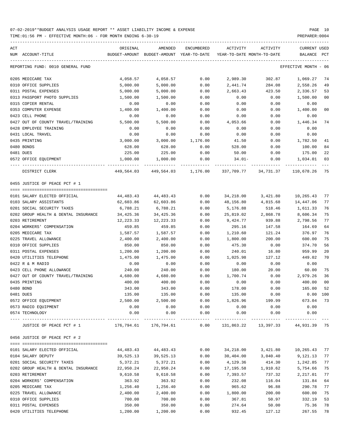TIME:01:56 PM - EFFECTIVE MONTH:06 - FOR MONTH ENDING 6-30-19 PREPARER:0004

| ACT<br>NUM ACCOUNT-TITLE             | ORIGINAL  | AMENDED<br>BUDGET-AMOUNT BUDGET-AMOUNT YEAR-TO-DATE | ENCUMBERED           |                        | ACTIVITY ACTIVITY<br>YEAR-TO-DATE MONTH-TO-DATE   | CURRENT USED<br>BALANCE PCT |                |
|--------------------------------------|-----------|-----------------------------------------------------|----------------------|------------------------|---------------------------------------------------|-----------------------------|----------------|
| REPORTING FUND: 0010 GENERAL FUND    |           |                                                     |                      |                        |                                                   | EFFECTIVE MONTH - 06        |                |
| 0205 MEDICARE TAX                    | 4,058.57  | 4,058.57                                            | 0.00                 | 2,989.30               | 302.87                                            | 1,069.27                    | 74             |
| 0310 OFFICE SUPPLIES                 | 5,000.00  | 5,000.00                                            | 0.00                 | 2,441.74               | 284.08                                            | 2,558.26                    | 49             |
| 0311 POSTAL EXPENSES                 | 5,000.00  | 5,000.00                                            | 0.00                 | 2,663.43               | 423.50                                            | 2,336.57                    | 53             |
| 0313 PASSPORT PHOTO SUPPLIES         | 1,500.00  | 1,500.00                                            | 0.00                 | 0.00                   | 0.00                                              | 1,500.00                    | 0 <sub>0</sub> |
| 0315 COPIER RENTAL                   | 0.00      | 0.00                                                | 0.00                 | 0.00                   | 0.00                                              | 0.00                        |                |
| 0353 COMPUTER EXPENSE                | 1,400.00  | 1,400.00                                            | 0.00                 | 0.00                   | 0.00                                              | 1,400.00                    | 0 <sub>0</sub> |
| 0423 CELL PHONE                      | 0.00      | 0.00                                                | 0.00                 | 0.00                   | 0.00                                              | 0.00                        |                |
| 0427 OUT OF COUNTY TRAVEL/TRAINING   | 5,500.00  | 5,500.00                                            | 0.00                 | 4,053.66               | 0.00                                              | 1,446.34                    | 74             |
| 0428 EMPLOYEE TRAINING               | 0.00      | 0.00                                                | 0.00                 | 0.00                   | 0.00                                              | 0.00                        |                |
| 0431 LOCAL TRAVEL                    | 0.00      | 0.00                                                | 0.00                 | 0.00                   | 0.00                                              | 0.00                        |                |
| 0435 PRINTING                        | 3,000.00  | 3,000.00                                            | 1,176.00             | 41.50                  | 0.00                                              | 1,782.50                    | 41             |
| 0480 BONDS                           | 628.00    | 628.00                                              | 0.00                 | 528.00                 | 0.00                                              | 100.00                      | 84             |
| 0481 DUES                            | 225.00    | 225.00                                              | 0.00                 | 50.00                  | 0.00                                              | 175.00                      | 22             |
| 0572 OFFICE EQUIPMENT                | 1,000.00  | 1,000.00                                            | 0.00                 | 34.01-                 | 0.00                                              | 1,034.01                    | 03             |
| DISTRICT CLERK                       |           | 449,564.03 449,564.03 1,176.00 337,709.77 34,731.37 |                      |                        |                                                   | 110,678.26                  | 75             |
| 0455 JUSTICE OF PEACE PCT # 1        |           |                                                     |                      |                        |                                                   |                             |                |
| 0101 SALARY ELECTED OFFICIAL         | 44,483.43 | 44,483.43                                           | 0.00                 | 34,218.00              | 3,421.80                                          | 10,265.43                   | 77             |
| 0103 SALARY ASSISTANTS               | 62,603.86 | 62,603.86                                           |                      | 48,156.80              | 4,815.68                                          | 14,447.06                   | 77             |
|                                      |           |                                                     | 0.00                 |                        |                                                   |                             | 76             |
| 0201 SOCIAL SECURITY TAXES           | 6,788.21  | 6,788.21                                            | 0.00                 | 5,176.88               | 518.46                                            | 1,611.33                    | 75             |
| 0202 GROUP HEALTH & DENTAL INSURANCE | 34,425.36 | 34,425.36                                           | 0.00                 | 25,819.02              | 2,868.78                                          | 8,606.34                    | 77             |
| 0203 RETIREMENT                      | 12,223.33 | 12,223.33                                           | 0.00                 | 9,424.77               | 939.88                                            | 2,798.56                    |                |
| 0204 WORKERS' COMPENSATION           | 459.85    | 459.85                                              | 0.00                 | 295.16                 | 147.58                                            | 164.69                      | 64             |
| 0205 MEDICARE TAX                    | 1,587.57  | 1,587.57                                            | 0.00                 | 1,210.60               | 121.24                                            | 376.97                      | 76             |
| 0225 TRAVEL ALLOWANCE                | 2,400.00  | 2,400.00                                            | 0.00                 | 1,800.00               | 200.00                                            | 600.00                      | 75             |
| 0310 OFFICE SUPPLIES                 | 850.00    | 850.00                                              | 0.00                 | 475.30                 | 0.00                                              | 374.70                      | 56             |
| 0311 POSTAL EXPENSES                 | 1,200.00  | 1,200.00                                            | 0.00                 | 240.01                 | 16.80                                             | 959.99                      | 20             |
| 0420 UTILITIES TELEPHONE             | 1,475.00  | 1,475.00                                            | 0.00                 | 1,025.98               | 127.12                                            | 449.02                      | 70             |
| 0422 R & M RADIO                     | 0.00      | 0.00                                                | 0.00                 | 0.00                   | 0.00                                              | 0.00                        |                |
| 0423 CELL PHONE ALLOWANCE            | 240.00    | 240.00                                              | 0.00                 | 180.00                 | 20.00                                             | 60.00                       | 75             |
| 0427 OUT OF COUNTY TRAVEL/TRAINING   | 4,680.00  | 4,680.00                                            | 0.00                 | 1,700.74               | 0.00                                              | 2,979.26                    | 36             |
| 0435 PRINTING                        | 400.00    | 400.00                                              | 0.00                 | 0.00                   | 0.00                                              | 400.00                      | 0 <sub>0</sub> |
| 0480 BOND                            | 343.00    | 343.00                                              | 0.00                 | 178.00                 | 0.00                                              | 165.00                      | 52             |
| 0481 DUES                            | 135.00    | 135.00                                              | 0.00                 | 135.00                 | 0.00                                              | $0.00$ 100                  |                |
| 0572 OFFICE EQUIPMENT                | 2,500.00  | 2,500.00                                            | 0.00                 | 1,826.96               | 199.99                                            | 673.04 73                   |                |
| 0573 RADIO EQUIPMENT                 | 0.00      | 0.00                                                | 0.00                 | 0.00                   | 0.00                                              | 0.00                        |                |
| 0574 TECHNOLOGY                      | 0.00      | 0.00                                                | 0.00                 | 0.00<br>-------------- | 0.00                                              | 0.00<br>-------------       |                |
| JUSTICE OF PEACE PCT # 1             |           | 176,794.61 176,794.61                               | ------------<br>0.00 |                        | ------------<br>131,863.22 13,397.33 44,931.39 75 |                             |                |
| 0456 JUSTICE OF PEACE PCT # 2        |           |                                                     |                      |                        |                                                   |                             |                |
|                                      |           |                                                     |                      |                        |                                                   |                             |                |
| 0101 SALARY ELECTED OFFICIAL         | 44,483.43 | 44,483.43                                           | 0.00                 | 34,218.00              | 3,421.80                                          | 10,265.43                   | 77             |
| 0104 SALARY DEPUTY                   | 39,525.13 | 39,525.13                                           | 0.00                 | 30,404.00              | 3,040.40                                          | 9,121.13                    | 77             |
| 0201 SOCIAL SECURITY TAXES           | 5,372.21  | 5,372.21                                            | 0.00                 | 4,129.36               | 414.30                                            | 1,242.85                    | 77             |
| 0202 GROUP HEALTH & DENTAL INSURANCE | 22,950.24 | 22,950.24                                           | 0.00                 | 17,195.58              | 1,910.62                                          | 5,754.66                    | 75             |
| 0203 RETIREMENT                      | 9,610.58  | 9,610.58                                            | 0.00                 | 7,393.57               | 737.32                                            | 2,217.01                    | 77             |
| 0204 WORKERS' COMPENSATION           | 363.92    | 363.92                                              | 0.00                 | 232.08                 | 116.04                                            | 131.84                      | 64             |
| 0205 MEDICARE TAX                    | 1,256.40  | 1,256.40                                            | 0.00                 | 965.62                 | 96.88                                             | 290.78                      | 77             |
| 0225 TRAVEL ALLOWANCE                | 2,400.00  | 2,400.00                                            | 0.00                 | 1,800.00               | 200.00                                            | 600.00                      | 75             |
| 0310 OFFICE SUPPLIES                 | 700.00    | 700.00                                              | 0.00                 | 367.81                 | 50.97                                             | 332.19                      | 53             |
| 0311 POSTAL EXPENSES                 | 350.00    | 350.00                                              | 0.00                 | 274.64                 | 50.00                                             | 75.36                       | 78             |

0420 UTILITIES TELEPHONE 1,200.00 1,200.00 0.00 932.45 127.12 267.55 78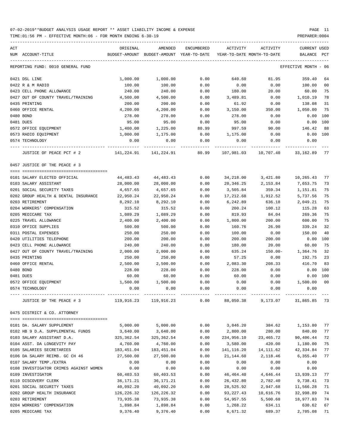TIME:01:56 PM - EFFECTIVE MONTH:06 - FOR MONTH ENDING 6-30-19 PREPARER:0004

| ACT                                                                                       | ORIGINAL               | AMENDED                                  | ENCUMBERED   | ACTIVITY                   | ACTIVITY                                  | <b>CURRENT USED</b>   |                |
|-------------------------------------------------------------------------------------------|------------------------|------------------------------------------|--------------|----------------------------|-------------------------------------------|-----------------------|----------------|
| NUM ACCOUNT-TITLE                                                                         |                        | BUDGET-AMOUNT BUDGET-AMOUNT YEAR-TO-DATE |              | YEAR-TO-DATE MONTH-TO-DATE |                                           | BALANCE PCT           |                |
| REPORTING FUND: 0010 GENERAL FUND                                                         |                        |                                          |              |                            |                                           | EFFECTIVE MONTH - 06  |                |
| 0421 DSL LINE                                                                             | 1,000.00               | 1,000.00                                 | 0.00         | 640.60                     | 81.95                                     | 359.40                | 64             |
| 0422 R & M RADIO                                                                          | 100.00                 | 100.00                                   | 0.00         | 0.00                       | 0.00                                      | 100.00                | 00             |
| 0423 CELL PHONE ALLOWANCE                                                                 | 240.00                 | 240.00                                   | 0.00         | 180.00                     | 20.00                                     | 60.00                 | 75             |
| 0427 OUT OF COUNTY TRAVEL/TRAINING                                                        | 4,500.00               | 4,500.00                                 | 0.00         | 3,489.81                   | 0.00                                      | 1,010.19              | 78             |
| 0435 PRINTING                                                                             | 200.00                 | 200.00                                   | 0.00         | 61.92                      | 0.00                                      | 138.08                | 31             |
| 0460 OFFICE RENTAL                                                                        | 4,200.00               | 4,200.00                                 | 0.00         | 3,150.00                   | 350.00                                    | 1,050.00              | 75             |
| 0480 BOND                                                                                 | 278.00                 | 278.00                                   | 0.00         | 278.00                     | 0.00                                      | 0.00                  | 100            |
| 0481 DUES                                                                                 | 95.00                  | 95.00                                    | 0.00         | 95.00                      | 0.00                                      | 0.00                  | 100            |
| 0572 OFFICE EQUIPMENT                                                                     | 1,400.00               | 1,225.00                                 | 80.99        | 997.59                     | 90.00                                     | 146.42                | 88             |
| 0573 RADIO EQUIPMENT<br>0574 TECHNOLOGY                                                   | 1,000.00<br>0.00       | 1,175.00<br>0.00                         | 0.00<br>0.00 | 1,175.00<br>0.00           | 0.00<br>0.00                              | 0.00 100<br>0.00      |                |
|                                                                                           |                        | ----------                               |              |                            |                                           |                       |                |
| JUSTICE OF PEACE PCT # 2                                                                  | 141,224.91             | 141,224.91                               | 80.99        | 107,981.03                 | 10,707.40                                 | 33,162.89             | 77             |
| 0457 JUSTICE OF THE PEACE # 3                                                             |                        |                                          |              |                            |                                           |                       |                |
|                                                                                           |                        |                                          |              |                            |                                           |                       |                |
| 0101 SALARY ELECTED OFFICIAL                                                              | 44,483.43              | 44,483.43                                | 0.00         | 34,218.00                  | 3,421.80                                  | 10,265.43             | 77             |
| 0103 SALARY ASSISTANT<br>0201 SOCIAL SECURITY TAXES                                       | 28,000.00<br>4,657.65  | 28,000.00<br>4,657.65                    | 0.00<br>0.00 | 20,346.25<br>3,505.84      | 2,153.84<br>359.34                        | 7,653.75<br>1,151.81  | 73<br>75       |
| 0202 GROUP HEALTH & DENTAL INSURANCE                                                      | 22,950.24              | 22,950.24                                | 0.00         | 17,212.68                  | 1,912.52                                  | 5,737.56              | 75             |
| 0203 RETIREMENT                                                                           | 8,292.10               | 8,292.10                                 | 0.00         | 6,242.89                   | 636.18                                    | 2,049.21              | 75             |
| 0204 WORKERS' COMPENSATION                                                                | 315.52                 | 315.52                                   | 0.00         | 200.24                     | 100.12                                    | 115.28                | 63             |
| 0205 MEDICARE TAX                                                                         | 1,089.29               | 1,089.29                                 | 0.00         | 819.93                     | 84.04                                     | 269.36                | 75             |
| 0225 TRAVEL ALLOWANCE                                                                     | 2,400.00               | 2,400.00                                 | 0.00         | 1,800.00                   | 200.00                                    | 600.00                | 75             |
| 0310 OFFICE SUPPLIES                                                                      | 500.00                 | 500.00                                   | 0.00         | 160.76                     | 26.90                                     | 339.24                | 32             |
| 0311 POSTAL EXPENSES                                                                      | 250.00                 | 250.00                                   | 0.00         | 100.00                     | 0.00                                      | 150.00                | 40             |
| 0420 UTILITIES TELEPHONE                                                                  | 200.00                 | 200.00                                   | 0.00         | 200.00                     | 200.00                                    | 0.00                  | 100            |
| 0423 CELL PHONE ALLOWANCE                                                                 | 240.00                 | 240.00                                   | 0.00         | 180.00                     | 20.00                                     | 60.00                 | 75             |
| 0427 OUT OF COUNTY TRAVEL/TRAINING                                                        | 2,000.00               | 2,000.00                                 | 0.00         | 635.24                     | $150.00 -$                                | 1,364.76              | 32             |
| 0435 PRINTING                                                                             | 250.00                 | 250.00                                   | 0.00         | 57.25                      | 0.00                                      | 192.75                | 23             |
| 0460 OFFICE RENTAL                                                                        | 2,500.00               | 2,500.00                                 | 0.00         | 2,083.30                   | 208.33                                    | 416.70                | 83             |
| 0480 BOND                                                                                 | 228.00                 | 228.00                                   | 0.00         | 228.00                     | 0.00                                      | 0.00                  | 100            |
| 0481 DUES                                                                                 | 60.00                  | 60.00                                    | 0.00         | 60.00                      | 0.00                                      | 0.00 100              |                |
| 0572 OFFICE EQUIPMENT                                                                     | 1,500.00               | 1,500.00                                 | 0.00         | 0.00                       | 0.00                                      | 1,500.00              | 0 <sub>0</sub> |
| 0574 TECHNOLOGY                                                                           | 0.00                   | 0.00                                     | 0.00         | 0.00                       | 0.00                                      | 0.00                  |                |
| JUSTICE OF THE PEACE # 3 (865.85) 119,916.23 119,916.23 0.00 88,050.38 9,173.07 31,865.85 |                        |                                          |              |                            |                                           |                       | -73            |
| 0475 DISTRICT & CO. ATTORNEY                                                              |                        |                                          |              |                            |                                           |                       |                |
| --------------------------------------                                                    |                        |                                          |              |                            |                                           |                       |                |
| 0101 DA. SALARY SUPPLEMENT                                                                |                        | 5,000.00 5,000.00                        |              |                            | $0.00$ 3,846.20 384.62 1,153.80<br>280.00 |                       | 77<br>77       |
| 0102 HB 9 D.A. SUPPLEMENTAL FUNDS<br>0103 SALARY ASSISTANT D.A.                           | 3,640.00               | 3,640.00                                 | 0.00         | 2,800.00                   |                                           | 840.00                | 72             |
| 0104 ASST. DA LONGEVITY PAY                                                               | 325,362.54<br>4,760.00 | 325,362.54<br>4,760.00                   | 0.00<br>0.00 | 234,956.10<br>3,580.00     | 23,465.72<br>420.00                       | 90,406.44<br>1,180.00 | 75             |
| 0105 SALARIES SECRETARIES                                                                 | 183,451.04             | 183,451.04                               | 0.00         | 141,116.20                 | 14,111.62                                 | 42,334.84             | 77             |
| 0106 DA SALARY REIMB. GC CH 46                                                            | 27,500.00              | 27,500.00                                | 0.00         | 21,144.60                  | 2,118.46                                  | 6,355.40              | 77             |
| 0107 SALARY TEMP./EXTRA                                                                   | 0.00                   | 0.00                                     | 0.00         | 0.00                       | 0.00                                      | 0.00                  |                |
| 0108 INVESTIGATOR CRIMES AGAINST WOMEN                                                    | 0.00                   | 0.00                                     | 0.00         | 0.00                       | 0.00                                      | 0.00                  |                |
| 0109 INVESTIGATOR                                                                         | 60,403.53              | 60,403.53                                | 0.00         | 46,464.40                  | 4,646.44                                  | 13,939.13             | 77             |
| 0110 DISCOVERY CLERK                                                                      | 36,171.21              | 36,171.21                                | 0.00         | 26,432.80                  | 2,782.40                                  | 9,738.41              | 73             |
| 0201 SOCIAL SECURITY TAXES                                                                | 40,092.20              | 40,092.20                                | 0.00         | 28,525.92                  | 2,947.68                                  | 11,566.28             | 71             |
| 0202 GROUP HEALTH INSURANCE                                                               | 126,226.32             | 126,226.32                               | 0.00         | 93,227.43                  | 10,616.76                                 | 32,998.89             | 74             |
| 0203 RETIREMENT                                                                           |                        | 73,935.38 73,935.38                      | 0.00         |                            | 54,957.55 5,500.68                        | 18,977.83             | 74             |
| 0204 WORKERS' COMPENSATION                                                                |                        | 1,898.84 1,898.84                        | 0.00         | 1,268.22                   | 634.11                                    | 630.62                | 67             |

0205 MEDICARE TAX 9,376.40 9,376.40 0.00 6,671.32 689.37 2,705.08 71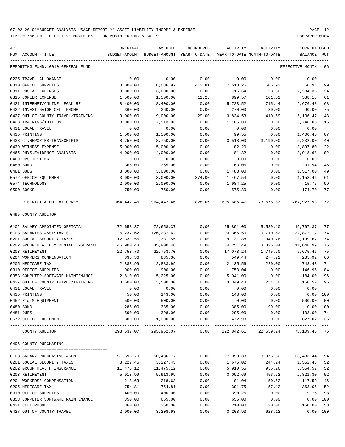| ACT | NUM ACCOUNT-TITLE                    | ORIGINAL           | AMENDED<br>BUDGET-AMOUNT BUDGET-AMOUNT YEAR-TO-DATE | ENCUMBERED   | ACTIVITY<br>YEAR-TO-DATE MONTH-TO-DATE | ACTIVITY             | <b>CURRENT USED</b><br>BALANCE | PCT      |
|-----|--------------------------------------|--------------------|-----------------------------------------------------|--------------|----------------------------------------|----------------------|--------------------------------|----------|
|     | REPORTING FUND: 0010 GENERAL FUND    |                    |                                                     |              |                                        |                      | EFFECTIVE MONTH - 06           |          |
|     |                                      |                    |                                                     |              |                                        |                      |                                |          |
|     | 0225 TRAVEL ALLOWANCE                | 0.00               | 0.00                                                | 0.00         | 0.00                                   | 0.00                 | 0.00                           |          |
|     | 0310 OFFICE SUPPLIES                 | 8,000.00           | 8,086.97                                            | 412.81       | 7,613.25                               | 606.92               | 60.91                          | 99       |
|     | 0311 POSTAL EXPENSES                 | 3,000.00           | 3,000.00                                            | 0.00         | 715.64                                 | 23.50                | 2,284.36                       | 24       |
|     | 0315 COPIER EXPENSE                  | 1,500.00           | 1,500.00                                            | 12.25        | 899.57                                 | 101.52               | 588.18                         | 61       |
|     | 0421 INTERNET/ONLINE LEGAL RE        | 8,400.00           | 8,400.00                                            | 0.00         | 5,723.52                               | 715.44               | 2,676.48                       | 68       |
|     | 0422 INVESTIGATOR CELL PHONE         | 360.00             | 360.00                                              | 0.00         | 270.00                                 | 30.00                | 90.00                          | 75       |
|     | 0427 OUT OF COUNTY TRAVEL/TRAINING   | 9,000.00           | 9,000.00                                            | 29.00        | 3,834.53                               | 410.59               | 5,136.47                       | 43       |
|     | 0428 TRAINING/TUITION                | 8,000.00           | 7,913.03                                            | 0.00         | 1,165.00                               | 0.00                 | 6,748.03                       | 15       |
|     | 0431 LOCAL TRAVEL                    | 0.00               | 0.00                                                | 0.00         | 0.00                                   | 0.00                 | 0.00                           |          |
|     | 0435 PRINTING                        | 1,500.00           | 1,500.00                                            | 0.00         | 99.55                                  | 0.00                 | 1,400.45                       | 07       |
|     | 0438 CT.REPORTER-TRANSCRIPTS         | 8,750.00           | 8,750.00                                            | 0.00         | 3,518.00                               | 3,190.00             | 5,232.00                       | 40       |
|     | 0439 WITNESS EXPENSE                 | 5,000.00           | 5,000.00                                            | 0.00         | 1,102.20                               | 0.00                 | 3,897.80                       | 22       |
|     | 0465 PHYS. EVIDENCE ANALYSIS         | 4,000.00           | 4,000.00                                            | 0.00         | 81.32                                  | 0.00                 | 3,918.68                       | 02       |
|     | 0469 DPS TESTING                     | 0.00               | 0.00                                                | 0.00         | 0.00                                   | 0.00                 | 0.00                           |          |
|     | 0480 BOND                            | 365.00             | 365.00                                              | 0.00         | 163.06                                 | 0.00                 | 201.94                         | 45       |
|     | 0481 DUES                            | 3,000.00           | 3,000.00                                            | 0.00         | 1,483.00                               | 0.00                 | 1,517.00                       | 49       |
|     | 0572 OFFICE EQUIPMENT                | 3,000.00           | 3,000.00                                            | 374.00       | 1,467.54                               | 0.00                 | 1,158.46                       | 61       |
|     | 0574 TECHNOLOGY                      | 2,000.00           | 2,000.00                                            | 0.00         | 1,984.25                               | 0.00                 | 15.75                          | 99       |
|     | 0590 BOOKS                           | 750.00             | 750.00                                              | 0.00         | 575.30                                 | 0.00                 | 174.70                         | 77       |
|     | DISTRICT & CO. ATTORNEY              | 964,442.46         | 964,442.46                                          | 828.06       |                                        | 695,686.47 73,675.83 | 267,927.93                     | 72       |
|     | 0495 COUNTY AUDITOR                  |                    |                                                     |              |                                        |                      |                                |          |
|     |                                      |                    |                                                     |              |                                        |                      |                                |          |
|     | 0102 SALARY APPOINTED OFFICIAL       | 72,658.37          | 72,658.37                                           | 0.00         | 55,891.00                              | 5,589.10             | 16,767.37                      | 77       |
|     | 0103 SALARIES ASSISTANTS             | 126,237.62         | 126,237.62                                          | 0.00         | 93,365.50                              | 9,710.62             | 32,872.12                      | 74       |
|     | 0201 SOCIAL SECURITY TAXES           | 12,331.55          | 12,331.55                                           | 0.00         | 9,131.88                               | 940.76               | 3,199.67                       | 74       |
|     | 0202 GROUP HEALTH & DENTAL INSURANCE | 45,900.48          | 45,900.48                                           | 0.00         | 34,251.49                              | 3,825.04             | 11,648.99                      | 75       |
|     | 0203 RETIREMENT                      | 22,753.70          | 22,753.70                                           | 0.00         | 17,078.24                              | 1,745.70             | 5,675.46                       | 75       |
|     | 0204 WORKERS COMPENSATION            | 835.36             | 835.36                                              | 0.00         | 549.44                                 | 274.72               | 285.92                         | 66       |
|     | 0205 MEDICARE TAX                    | 2,883.99           | 2,883.99                                            | 0.00         | 2,135.56                               | 220.00               | 748.43                         | 74       |
|     | 0310 OFFICE SUPPLIES                 | 900.00             | 900.00                                              | 0.00         | 753.04                                 | 0.00                 | 146.96                         | 84       |
|     | 0353 COMPUTER SOFTWARE MAINTENANCE   | 2,810.00           | 5,225.00                                            | 0.00         | 5,041.00                               | 0.00                 | 184.00                         | 96       |
|     | 0427 OUT OF COUNTY TRAVEL/TRAINING   | 3,500.00           | 3,500.00                                            | 0.00         | 3,349.48                               | 254.30               | 150.52                         | 96       |
|     | 0431 LOCAL TRAVEL                    | 0.00               | 0.00                                                | 0.00         | 0.00                                   | 0.00                 | 0.00                           |          |
|     | 0435 PRINTING                        | 50.00              | 143.00                                              | 0.00         | 143.00                                 | 0.00                 | 0.00                           | 100      |
|     | 0452 R & M EQUIPMENT                 | 500.00             | 500.00                                              | 0.00         | 0.00                                   | 0.00                 | 500.00                         | 00       |
|     | 0480 BOND                            | 286.00             | 385.00                                              | 0.00         | 385.00                                 | 99.00                | 0.00 100                       |          |
|     | 0481 DUES<br>0572 OFFICE EQUIPMENT   | 590.00<br>1,300.00 | 398.00<br>1,300.00                                  | 0.00<br>0.00 | 295.00<br>472.98                       | 0.00<br>0.00         | 103.00<br>827.02 36            | 74       |
|     |                                      |                    | -------------                                       |              |                                        |                      |                                |          |
|     | COUNTY AUDITOR                       | 293,537.07         | 295,952.07                                          | 0.00         | 222,842.61                             | 22,659.24            | 73,109.46 75                   |          |
|     | 0496 COUNTY PURCHASING               |                    |                                                     |              |                                        |                      |                                |          |
|     | 0103 SALARY PURCHASING AGENT         | 51,695.70          | 50,486.77                                           | 0.00         | 27,053.33                              | 3,976.52             | 23, 433. 44                    | 54       |
|     | 0201 SOCIAL SECURITY TAXES           | 3,227.45           | 3,227.45                                            | 0.00         | 1,675.02                               | 244.24               | 1,552.43                       | 52       |
|     | 0202 GROUP HEALTH INSURANCE          | 11,475.12          | 11,475.12                                           | 0.00         | 5,910.55                               | 956.26               | 5,564.57                       | 52       |
|     | 0203 RETIREMENT                      | 5,913.99           | 5,913.99                                            | 0.00         | 3,092.69                               | 453.72               | 2,821.30                       | 52       |
|     | 0204 WORKERS' COMPENSATION           | 218.63             | 218.63                                              | 0.00         | 101.04                                 | 50.52                | 117.59                         | 46       |
|     | 0205 MEDICARE TAX                    | 754.81             | 754.81                                              | 0.00         | 391.75                                 | 57.12                | 363.06                         | 52       |
|     | 0310 OFFICE SUPPLIES                 | 400.00             | 400.00                                              | 0.00         | 390.25                                 | 0.00                 | 9.75                           | 98       |
|     | 0353 COMPUTER SOFTWARE MAINTENANCE   | 350.00             | 655.00                                              | 0.00         | 655.00                                 | 0.00                 | 0.00                           | 100      |
|     | 0421 CELL PHONE                      | 360.00             | 360.00                                              | 0.00         | 210.00                                 | 30.00                | 150.00                         | 58       |
|     | 0427 OUT OF COUNTY TRAVEL            | 2,000.00           | 3,208.93                                            | 0.00         | 3,208.93                               | 628.12               |                                | 0.00 100 |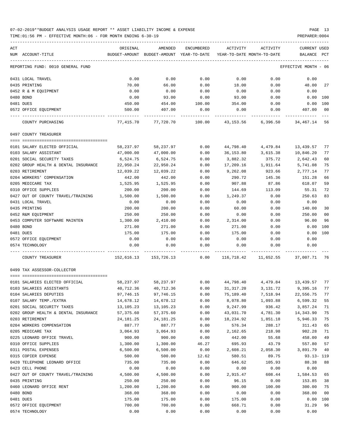TIME:01:56 PM - EFFECTIVE MONTH:06 - FOR MONTH ENDING 6-30-19 PREPARER:0004

| ACT<br>NUM ACCOUNT-TITLE                           | ORIGINAL             | AMENDED<br>BUDGET-AMOUNT BUDGET-AMOUNT YEAR-TO-DATE | ENCUMBERED    | ACTIVITY<br>YEAR-TO-DATE MONTH-TO-DATE | ACTIVITY           | CURRENT USED<br>BALANCE PCT |                |
|----------------------------------------------------|----------------------|-----------------------------------------------------|---------------|----------------------------------------|--------------------|-----------------------------|----------------|
| REPORTING FUND: 0010 GENERAL FUND                  |                      |                                                     |               |                                        |                    | EFFECTIVE MONTH - 06        |                |
| 0431 LOCAL TRAVEL                                  | 0.00                 | 0.00                                                | 0.00          | 0.00                                   | 0.00               | 0.00                        |                |
| 0435 PRINTING                                      | 70.00                | 66.00                                               | 0.00          | 18.00                                  | 0.00               | 48.00                       | 27             |
| 0452 R & M EQUIPMENT                               | 0.00                 | 0.00                                                | 0.00          | 0.00                                   | 0.00               | 0.00                        |                |
| 0480 BOND                                          | 0.00                 | 93.00                                               | 0.00          | 93.00                                  | 0.00               | 0.00 100                    |                |
| 0481 DUES                                          | 450.00               | 454.00                                              | 100.00        | 354.00                                 | 0.00               | 0.00 100                    |                |
| 0572 OFFICE EQUIPMENT                              | 500.00               | 407.00                                              | 0.00          | 0.00                                   | 0.00               | 407.00                      | 0 <sub>0</sub> |
| COUNTY PURCHASING                                  | 77,415.70            | 77,720.70                                           | 100.00        |                                        | 43,153.56 6,396.50 | 34,467.14                   | 56             |
| 0497 COUNTY TREASURER                              |                      |                                                     |               |                                        |                    |                             |                |
| 0101 SALARY ELECTED OFFICIAL                       | 58,237.97            | 58,237.97                                           | 0.00          | 44,798.40                              | 4,479.84           | 13,439.57                   | 77             |
| 0103 SALARY ASSISTANT                              | 47,000.00            | 47,000.00                                           | 0.00          | 36,153.80                              | 3,615.38           | 10,846.20                   | 77             |
| 0201 SOCIAL SECURITY TAXES                         | 6,524.75             | 6,524.75                                            | 0.00          | 3,882.32                               | 375.72             | 2,642.43                    | 60             |
| 0202 GROUP HEALTH & DENTAL INSURANCE               | 22,950.24            | 22,950.24                                           | 0.00          | 17,209.16                              | 1,911.64           | 5,741.08                    | 75             |
| 0203 RETIREMENT                                    | 12,039.22            | 12,039.22                                           | 0.00          | 9,262.08                               | 923.66             | 2,777.14                    | 77             |
| 0204 WORKERS' COMPENSATION                         | 442.00               | 442.00                                              | 0.00          | 290.72                                 | 145.36             | 151.28                      | 66             |
| 0205 MEDICARE TAX                                  | 1,525.95             | 1,525.95                                            | 0.00          | 907.88                                 | 87.86              | 618.07                      | 59             |
| 0310 OFFICE SUPPLIES                               | 200.00               | 200.00                                              | 0.00          | 144.69                                 | 113.09             | 55.31                       | 72             |
| 0427 OUT OF COUNTY TRAVEL/TRAINING                 | 1,500.00             | 1,500.00                                            | 0.00          | 1,249.37                               | 0.00               | 250.63                      | 83             |
| 0431 LOCAL TRAVEL                                  | 0.00                 | 0.00                                                | 0.00          | 0.00                                   | 0.00               | 0.00                        |                |
| 0435 PRINTING                                      | 200.00               | 200.00                                              | 0.00          | 60.00                                  | 0.00               | 140.00                      | 30             |
| 0452 R&M EQUIPMENT                                 | 250.00               | 250.00                                              | 0.00          | 0.00                                   | 0.00               | 250.00                      | 0 <sub>0</sub> |
| 0453 COMPUTER SOFTWARE MAINTEN                     | 1,300.00             | 2,410.00                                            | 0.00          | 2,314.00                               | 0.00               | 96.00                       | 96             |
| 0480 BOND                                          | 271.00               | 271.00                                              | 0.00          | 271.00                                 | 0.00               | 0.00                        | 100            |
| 0481 DUES                                          | 175.00               | 175.00                                              | 0.00          | 175.00                                 | 0.00               | 0.00                        | 100            |
| 0572 OFFICE EQUIPMENT                              | 0.00                 | 0.00                                                | 0.00          | 0.00                                   | 0.00               | 0.00                        |                |
| 0574 TECHNOLOGY                                    | 0.00                 | 0.00                                                | 0.00          | 0.00                                   | 0.00               | 0.00                        |                |
| COUNTY TREASURER                                   | 152,616.13           | 153,726.13                                          | 0.00          | 116,718.42                             | 11,652.55          | 37,007.71                   | 76             |
| 0499 TAX ASSESSOR-COLLECTOR                        |                      |                                                     |               |                                        |                    |                             |                |
| 0101 SALARIES ELECTED OFFICIAL                     | 58,237.97            | 58,237.97                                           | 0.00          | 44,798.40                              | 4,479.84           | 13,439.57                   | 77             |
| 0103 SALARIES ASSISTANTS                           | 40,712.36            | 40,712.36                                           | 0.00          | 31,317.20                              | 3,131.72           | 9,395.16                    | 77             |
| 0104 SALARIES DEPUTIES                             | 97,746.15            | 97,746.15                                           | 0.00          | 75,189.40                              | 7,518.94           | 22,556.75                   | 77             |
| 0107 SALARY TEMP./EXTRA                            | 14,678.12            | 14,678.12                                           | 0.00          | 8,078.80                               | 1,093.88           | 6,599.32                    | 55             |
| 0201 SOCIAL SECURITY TAXES                         | 13,105.23            | 13,105.23                                           | 0.00          | 9,247.99                               | 936.42             | 3,857.24                    | 71             |
| 0202 GROUP HEALTH & DENTAL INSURANCE               | 57,375.60            | 57,375.60                                           | 0.00          | 43,031.70                              | 4,781.30           | 14,343.90                   | 75             |
| 0203 RETIREMENT                                    | 24, 181. 25          | 24, 181. 25                                         | 0.00          | 18,234.92                              | 1,851.18           | 5,946.33                    | 75             |
| 0204 WORKERS COMPENSATION                          | 887.77               | 887.77                                              | 0.00          | 576.34                                 | 288.17             | 311.43                      | 65             |
| 0205 MEDICARE TAX                                  | 3,064.93             | 3,064.93                                            | 0.00          | 2,162.65                               | 218.98             | 902.28                      | 71             |
| 0225 LEONARD OFFICE TRAVEL<br>0310 OFFICE SUPPLIES | 900.00               | 900.00                                              | 0.00<br>46.27 | 442.00<br>695.93                       | 55.68<br>43.79     | 458.00<br>557.80            | 49<br>57       |
| 0311 POSTAL EXPENSES                               | 1,300.00<br>6,500.00 | 1,300.00<br>6,500.00                                | 0.00          | 2,608.21                               | 2,058.30           | 3,891.79                    | 40             |
| 0315 COPIER EXPENSE                                | 500.00               | 500.00                                              | 12.62         | 580.51                                 | 89.75              | $93.13 - 119$               |                |
| 0420 TELEPHONE LEONARD OFFICE                      | 735.00               | 735.00                                              | 0.00          | 646.62                                 | 105.93             | 88.38                       | 88             |
| 0423 CELL PHONE                                    | 0.00                 | 0.00                                                | 0.00          | 0.00                                   | 0.00               | 0.00                        |                |
| 0427 OUT OF COUNTY TRAVEL/TRAINING                 | 4,500.00             | 4,500.00                                            | 0.00          | 2,915.47                               | 608.44             | 1,584.53                    | 65             |
| 0435 PRINTING                                      | 250.00               | 250.00                                              | 0.00          | 96.15                                  | 0.00               | 153.85                      | 38             |
| 0460 LEONARD OFFICE RENT                           | 1,200.00             | 1,200.00                                            | 0.00          | 900.00                                 | 100.00             | 300.00                      | 75             |
| 0480 BOND                                          | 368.00               | 368.00                                              | 0.00          | 0.00                                   | 0.00               | 368.00                      | 0 <sub>0</sub> |
| 0481 DUES                                          | 175.00               | 175.00                                              | 0.00          | 175.00                                 | 0.00               | 0.00                        | 100            |
| 0572 OFFICE EQUIPMENT                              | 700.00               | 700.00                                              | 0.00          | 668.71                                 | 0.00               | 31.29                       | 96             |

0574 TECHNOLOGY 0.00 0.00 0.00 0.00 0.00 0.00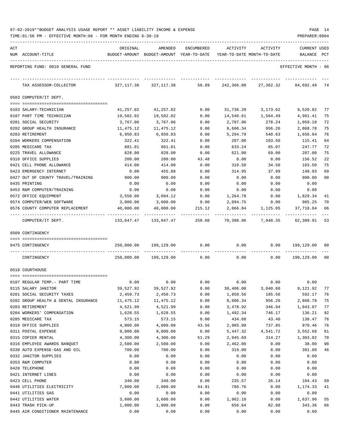| 07-02-2019**BUDGET ANALYSIS USAGE REPORT ** ASSET LIABILITY INCOME & EXPENSE |  |  | PAGE |  |
|------------------------------------------------------------------------------|--|--|------|--|
|                                                                              |  |  |      |  |

TIME:01:56 PM - EFFECTIVE MONTH:06 - FOR MONTH ENDING 6-30-19 PREPARER:0004

| ACT | NUM ACCOUNT-TITLE                                               | ORIGINAL                 | AMENDED<br>BUDGET-AMOUNT BUDGET-AMOUNT YEAR-TO-DATE | ENCUMBERED        | ACTIVITY<br>YEAR-TO-DATE MONTH-TO-DATE | ACTIVITY           | CURRENT USED<br>BALANCE | PCT |
|-----|-----------------------------------------------------------------|--------------------------|-----------------------------------------------------|-------------------|----------------------------------------|--------------------|-------------------------|-----|
|     | REPORTING FUND: 0010 GENERAL FUND                               |                          |                                                     |                   |                                        |                    | EFFECTIVE MONTH - 06    |     |
|     | TAX ASSESSOR-COLLECTOR                                          | 327,117.38               | 327,117.38                                          | 58.89             | 242,366.00                             | 27,362.32          | 84,692.49               | -74 |
|     | 0503 COMPUTER/IT DEPT.                                          |                          |                                                     |                   |                                        |                    |                         |     |
|     | 0103 SALARY-TECHNICIAN                                          | 41,257.02                | 41,257.02                                           | 0.00              | 31,736.20                              | 3,173.62           | 9,520.82                | 77  |
|     | 0107 PART TIME TECHNICIAN                                       | 19,502.02                | 19,502.02                                           | 0.00              | 14,540.61                              | 1,564.49           | 4,961.41                | 75  |
|     | 0201 SOCIAL SECURITY                                            | 3,767.06                 | 3,767.06                                            | 0.00              | 2,707.96                               | 278.24             | 1,059.10                | 72  |
|     | 0202 GROUP HEALTH INSURANCE                                     | 11,475.12                | 11,475.12                                           | 0.00              | 8,606.34                               | 956.26             | 2,868.78                | 75  |
|     | 0203 RETIREMENT                                                 | 6,950.83                 | 6,950.83                                            | 0.00              | 5,294.79                               | 540.63             | 1,656.04                | 76  |
|     | 0204 WORKERS COMPENSATION                                       | 322.41                   | 322.41                                              | 0.00              | 207.00                                 | 103.50             | 115.41                  | 64  |
|     | 0205 MEDICARE TAX                                               | 881.01                   | 881.01                                              | 0.00              | 633.24                                 | 65.07              | 247.77                  | 72  |
|     | 0225 TRAVEL ALLOWANCE                                           | 828.00                   | 828.00                                              | 0.00              | 621.00                                 | 69.00              | 207.00                  | 75  |
|     | 0310 OFFICE SUPPLIES                                            | 200.00                   | 200.00                                              | 43.48             | 0.00                                   | 0.00               | 156.52                  | 22  |
|     | 0421 CELL PHONE ALLOWANCE                                       | 414.00                   | 414.00                                              | 0.00              | 310.50                                 | 34.50              | 103.50                  | 75  |
|     | 0423 EMERGENCY INTERNET                                         | 0.00                     | 455.88                                              | 0.00              | 314.95                                 | 37.99              | 140.93                  | 69  |
|     | 0427 OUT OF COUNTY TRAVEL/TRAINING                              | 900.00                   | 900.00                                              | 0.00              | 0.00                                   | 0.00               | 900.00                  | 00  |
|     | 0435 PRINTING                                                   | 0.00                     | 0.00                                                | 0.00              | 0.00                                   | 0.00               | 0.00                    |     |
|     | 0453 R&M COMPUTER/TRAINING                                      | 0.00                     | 0.00                                                | 0.00              | 0.00                                   | 0.00               | 0.00                    |     |
|     | 0572 OFFICE EQUIPMENT                                           | 3,550.00                 | 3,094.12                                            | 0.00              | 1,264.78                               | 0.00               | 1,829.34                | 41  |
|     | 0574 COMPUTER/WEB SOFTWARE                                      | 3,000.00                 | 3,000.00                                            | 0.00              | 2,094.75                               | 0.00               | 905.25                  | 70  |
|     | 0576 COUNTY COMPUTER REPLACEMENT<br>--------------------------- | 40,000.00<br>----------- | 40,000.00                                           | 215.12            | 2,066.84                               | 1,125.05           | 37,718.04               | 06  |
|     | COMPUTER/IT DEPT.                                               | 133,047.47               |                                                     | 133,047.47 258.60 |                                        | 70,398.96 7,948.35 | 62,389.91               | 53  |
|     | 0509 CONTINGENCY                                                |                          |                                                     |                   |                                        |                    |                         |     |
|     | 0475 CONTINGENCY                                                | 250,000.00               | 199,129.00                                          | 0.00              | 0.00                                   | 0.00               | 199,129.00 00           |     |
|     | CONTINGENCY                                                     |                          | 250,000.00 199,129.00                               | 0.00              |                                        | $0.00$ 0.00        | 199,129.00              | 00  |
|     | 0510 COURTHOUSE                                                 |                          |                                                     |                   |                                        |                    |                         |     |
|     | 0107 REGULAR TEMP. - PART TIME                                  | 0.00                     | 0.00                                                | 0.00              |                                        | 0.00               | 0.00<br>0.00            |     |
|     | 0115 SALARY JANITOR                                             | 39,527.92                | 39,527.92                                           | 0.00              | 30,406.00                              | 3,040.60           | 9,121.92                | 77  |
|     | 0201 SOCIAL SECURITY TAXES                                      | 2,450.73                 | 2,450.73                                            | 0.00              | 1,858.56                               | 185.56             | 592.17                  | 76  |
|     | 0202 GROUP HEALTH & DENTAL INSURANCE                            | 11,475.12                | 11,475.12                                           | 0.00              | 8,606.34                               | 956.26             | 2,868.78                | 75  |
|     | 0203 RETIREMENT                                                 | 4,521.99                 | 4,521.99                                            | 0.00              | 3,478.92                               | 346.94             | 1,043.07                | 77  |
|     | 0204 WORKERS' COMPENSATION                                      | 1,628.55                 | 1,628.55                                            | 0.00              | 1,492.34                               | 746.17             | 136.21                  | 92  |
|     | 0205 MEDICARE TAX                                               | 573.15                   | 573.15                                              | 0.00              | 434.68                                 | 43.40              | 138.47                  | 76  |
|     | 0310 OFFICE SUPPLIES                                            | 4,000.00                 | 4,000.00                                            | 43.56             | 2,985.98                               | 737.85             | 970.46                  | 76  |
|     | 0311 POSTAL EXPENSE                                             | 9,000.00                 | 9,000.00                                            | 0.00              | 5,447.32                               | 4,541.72           | 3,552.68                | 61  |
|     | 0315 COPIER RENTAL                                              | 4,300.00                 | 4,300.00                                            | 51.29             | 2,945.69                               | 314.27             | 1,303.02                | 70  |
|     | 0316 EMPLOYEE AWARDS BANQUET                                    | 2,500.00                 | 2,500.00                                            | 0.00              | 2,462.00                               | 0.00               | 38.00                   | 98  |
|     | 0330 AUTO EXPENSE-GAS AND OIL                                   | 700.00                   | 700.00                                              | 0.00              | 319.00                                 | 0.00               | 381.00                  | 46  |
|     | 0332 JANITOR SUPPLIES                                           | 0.00                     | 0.00                                                | 0.00              | 0.00                                   | 0.00               | 0.00                    |     |
|     | 0353 R&M COMPUTER                                               | 0.00                     | 0.00                                                | 0.00              | 0.00                                   | 0.00               | 0.00                    |     |
|     | 0420 TELEPHONE                                                  | 0.00                     | 0.00                                                | 0.00              | 0.00                                   | 0.00               | 0.00                    |     |
|     | 0421 INTERNET LINES                                             | 0.00                     | 0.00                                                | 0.00              | 0.00                                   | 0.00               | 0.00                    |     |
|     | 0423 CELL PHONE                                                 | 340.00                   | 340.00                                              | 0.00              | 235.57                                 | 26.14              | 104.43                  | 69  |
|     | 0440 UTILITIES ELECTRICITY                                      | 7,000.00                 | 2,000.00                                            | 44.91             | 780.76                                 | 0.00               | 1,174.33                | 41  |
|     | 0441 UTILITIES GAS                                              | 0.00                     | 0.00                                                | 0.00              | 0.00                                   | 0.00               | 0.00                    |     |
|     | 0442 UTILITIES WATER                                            | 3,600.00                 | 3,600.00                                            | 0.00              | 1,962.10                               | 0.00               | 1,637.90                | 55  |
|     | 0443 TRASH PICK-UP                                              | 1,000.00                 | 1,000.00                                            | 0.00              | 656.64                                 | 82.08              | 343.36                  | 66  |

0445 AIR CONDITIONER MAINTENANCE  $0.00$  0.00 0.00 0.00 0.00 0.00 0.00 0.00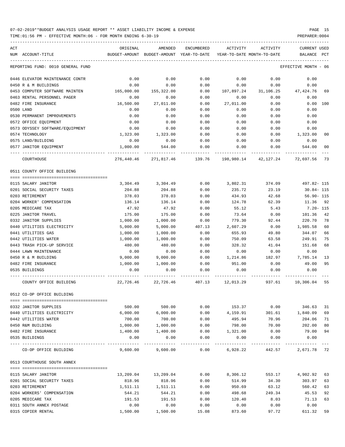TIME:01:56 PM - EFFECTIVE MONTH:06 - FOR MONTH ENDING 6-30-19 PREPARER:0004

| ACT                                   | ORIGINAL      | AMENDED           | ENCUMBERED   | ACTIVITY   | ACTIVITY                   | CURRENT USED       |      |
|---------------------------------------|---------------|-------------------|--------------|------------|----------------------------|--------------------|------|
| NUM ACCOUNT-TITLE                     | BUDGET-AMOUNT | BUDGET-AMOUNT     | YEAR-TO-DATE |            | YEAR-TO-DATE MONTH-TO-DATE | BALANCE            | PCT  |
| REPORTING FUND: 0010 GENERAL FUND     |               |                   |              |            |                            | EFFECTIVE MONTH    | - 06 |
| 0446 ELEVATOR MAINTENANCE CONTR       | 0.00          | 0.00              | 0.00         | 0.00       | 0.00                       | 0.00               |      |
| 0450 R & M BUILDINGS                  | 0.00          | 0.00              | 0.00         | 0.00       | 0.00                       | 0.00               |      |
| 0453 COMPUTER SOFTWARE MAINTEN        | 165,000.00    | 155,322.00        | 0.00         | 107,897.24 | 31,106.25                  | 47,424.76          | 69   |
| 0463 RENTAL PERSONNEL PAGER           | 0.00          | 0.00              | 0.00         | 0.00       | 0.00                       | 0.00               |      |
| 0482 FIRE INSURANCE                   | 16,500.00     | 27,011.00         | 0.00         | 27,011.00  | 0.00                       | 0.00               | 100  |
| 0500 LAND                             | 0.00          | 0.00              | 0.00         | 0.00       | 0.00                       | 0.00               |      |
| 0530 PERMANENT IMPROVEMENTS           | 0.00          | 0.00              | 0.00         | 0.00       | 0.00                       | 0.00               |      |
| 0572 OFFICE EQUIPMENT                 | 0.00          | 0.00              | 0.00         | 0.00       | 0.00                       | 0.00               |      |
| 0573 ODYSSEY SOFTWARE/EQUIPMENT       | 0.00          | 0.00              | 0.00         | 0.00       | 0.00                       | 0.00               |      |
| 0574 TECHNOLOGY                       | 1,323.00      | 1,323.00          | 0.00         | 0.00       | 0.00                       | 1,323.00           | 00   |
| 0575 LAND/BUILDING                    | 0.00          | 0.00              | 0.00         | 0.00       | 0.00                       | 0.00               |      |
| 0577 JANITOR EQUIPMENT                | 1,000.00      | 544.00            | 0.00         | 0.00       | 0.00                       | 544.00             | 00   |
| COURTHOUSE                            | 276,440.46    | 271,817.46        | 139.76       | 198,980.14 | 42,127.24                  | 72,697.56          | -73  |
| 0511 COUNTY OFFICE BUILDING           |               |                   |              |            |                            |                    |      |
|                                       |               |                   |              |            |                            |                    |      |
| 0115 SALARY JANITOR                   | 3,304.49      | 3,304.49          | 0.00         | 3,802.31   | 374.09                     | 497.82- 115        |      |
| 0201 SOCIAL SECURITY TAXES            | 204.88        | 204.88            | 0.00         | 235.72     | 23.19                      | $30.84 - 115$      |      |
| 0203 RETIREMENT                       | 378.03        | 378.03            | 0.00         | 434.93     | 42.68                      | $56.90 - 115$      |      |
| 0204 WORKER' COMPENSATION             | 136.14        | 136.14            | 0.00         | 124.78     | 62.39                      | 11.36              | 92   |
| 0205 MEDICARE TAX                     | 47.92         | 47.92             | 0.00         | 55.12      | 5.43                       | $7.20 - 115$       |      |
| 0225 JANITOR TRAVEL                   | 175.00        | 175.00            | 0.00         | 73.64      | 0.00                       | 101.36             | 42   |
| 0332 JANITOR SUPPLIES                 | 1,000.00      | 1,000.00          | 0.00         | 779.30     | 92.44                      | 220.70             | 78   |
| 0440 UTILITIES ELECTRICITY            | 5,000.00      | 5,000.00          | 407.13       | 2,607.29   | 0.00                       | 1,985.58           | 60   |
| 0441 UTILITIES GAS                    | 1,000.00      | 1,000.00          | 0.00         | 655.93     | 49.80                      | 344.07             | 66   |
| 0442 UTILITIES WATER                  | 1,000.00      | 1,000.00          | 0.00         | 750.09     | 63.58                      | 249.91             | 75   |
| 0443 TRASH PICK-UP SERVICE            | 480.00        | 480.00            | 0.00         | 328.32     | 41.04                      | 151.68             | 68   |
| 0444 LAWN MAINTENANCE                 | 0.00          | 0.00              | 0.00         | 0.00       | 0.00                       | 0.00               |      |
| 0450 R & M BUILDING                   | 9,000.00      | 9,000.00          | 0.00         | 1,214.86   | 182.97                     | 7,785.14           | 13   |
| 0482 FIRE INSURANCE                   | 1,000.00      | 1,000.00          | 0.00         | 951.00     | 0.00                       | 49.00              | 95   |
| 0535 BUILDINGS                        | 0.00          | 0.00              | 0.00         | 0.00       | 0.00                       | 0.00               |      |
| COUNTY OFFICE BUILDING                | 22,726.46     | 22,726.46         | 407.13       | 12,013.29  | 937.61                     | 10,306.04          | 55   |
| 0512 CO-OP OFFICE BUILDING            |               |                   |              |            |                            |                    |      |
| 0332 JANITOR SUPPLIES                 | 500.00        | 500.00            | 0.00         | 153.37     | 0.00                       | 346.63             | 31   |
| 0440 UTILITIES ELECTRICITY            | 6,000.00      | 6,000.00          | 0.00         | 4,159.91   | 301.61                     | 1,840.09           | 69   |
| 0442 UTILITIES WATER                  | 700.00        | 700.00            | 0.00         | 495.94     | 70.96                      | 204.06             | 71   |
|                                       |               |                   | 0.00         | 798.00     | 70.00                      |                    | 80   |
| 0450 R&M BUILDING                     | 1,000.00      | 1,000.00          |              |            |                            | 202.00             |      |
| 0482 FIRE INSURANCE<br>0535 BUILDINGS | 1,400.00      | 1,400.00          | 0.00         | 1,321.00   | 0.00                       | 79.00<br>0.00      | 94   |
|                                       | 0.00          | 0.00              | 0.00         | 0.00       | 0.00                       |                    |      |
| CO-OP OFFICE BUILDING                 |               | 9,600.00 9,600.00 | 0.00         | 6,928.22   |                            | 442.57 2,671.78 72 |      |
| 0513 COURTHOUSE SOUTH ANNEX           |               |                   |              |            |                            |                    |      |
| 0115 SALARY JANITOR                   | 13,209.04     | 13,209.04         | 0.00         | 8,306.12   | 553.17                     | 4,902.92 63        |      |
| 0201 SOCIAL SECURITY TAXES            | 818.96        | 818.96            | 0.00         | 514.99     | 34.30                      | 303.97             | 63   |
| 0203 RETIREMENT                       | 1,511.11      | 1,511.11          | 0.00         | 950.69     | 63.12                      | 560.42             | 63   |
| 0204 WORKERS' COMPENSATION            | 544.21        | 544.21            | 0.00         | 498.68     | 249.34                     | 45.53              | 92   |
| 0205 MEDICARE TAX                     | 191.53        | 191.53            | 0.00         | 120.40     | 8.03                       | 71.13              | 63   |
| 0311 SOUTH ANNEX POSTAGE              | 0.00          | 0.00              | 0.00         | 0.00       | 0.00                       | 0.00               |      |
|                                       |               |                   |              |            |                            |                    |      |

0315 COPIER RENTAL 1,500.00 1,500.00 15.08 873.60 97.72 611.32 59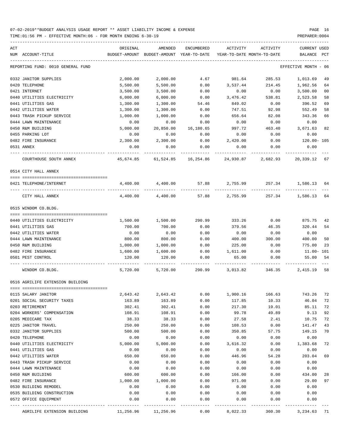| ACT<br>NUM ACCOUNT-TITLE          | ORIGINAL            | AMENDED<br>BUDGET-AMOUNT BUDGET-AMOUNT YEAR-TO-DATE | ENCUMBERED          | ACTIVITY       | ACTIVITY<br>YEAR-TO-DATE MONTH-TO-DATE | CURRENT USED<br>BALANCE | PCT |
|-----------------------------------|---------------------|-----------------------------------------------------|---------------------|----------------|----------------------------------------|-------------------------|-----|
|                                   |                     |                                                     |                     |                |                                        |                         |     |
| REPORTING FUND: 0010 GENERAL FUND |                     |                                                     |                     |                |                                        | EFFECTIVE MONTH - 06    |     |
| 0332 JANITOR SUPPLIES             | 2,000.00            | 2,000.00                                            | 4.67                | 981.64         | 285.53                                 | 1,013.69                | 49  |
| 0420 TELEPHONE                    | 5,500.00            | 5,500.00                                            | 0.00                | 3,537.44       | 214.45                                 | 1,962.56                | 64  |
| 0421 INTERNET                     | 3,500.00            | 3,500.00                                            | 0.00                | 0.00           | 0.00                                   | 3,500.00                | 00  |
| 0440 UTILITIES ELECTRICITY        | 6,000.00            | 6,000.00                                            | 0.00                | 3,476.42       | 538.81                                 | 2,523.58                | 58  |
| 0441 UTILITIES GAS                | 1,300.00            | 1,300.00                                            | 54.46               | 849.02         | 0.00                                   | 396.52                  | 69  |
| 0442 UTILITIES WATER              | 1,300.00            | 1,300.00                                            | 0.00                | 747.51         | 92.98                                  | 552.49                  | 58  |
| 0443 TRASH PICKUP SERVICE         | 1,000.00            | 1,000.00                                            | 0.00                | 656.64         | 82.08                                  | 343.36                  | 66  |
| 0444 LAWN MAINTENANCE             | 0.00                | 0.00                                                | 0.00                | 0.00           | 0.00                                   | 0.00                    |     |
| 0450 R&M BUILDING                 | 5,000.00            | 20,850.00                                           | 16,180.65           | 997.72         | 463.40                                 | 3,671.63                | 82  |
| 0455 PARKING LOT                  | 0.00                | 0.00                                                | 0.00                | 0.00           | 0.00                                   | 0.00                    |     |
| 0482 FIRE INSURANCE               | 2,300.00            | 2,300.00                                            | 0.00                | 2,420.00       | 0.00                                   | 120.00- 105             |     |
| 0531 ANNEX                        | 0.00                | 0.00                                                | 0.00                | 0.00           | 0.00                                   | 0.00                    |     |
| COURTHOUSE SOUTH ANNEX            | 45,674.85           |                                                     | 61,524.85 16,254.86 | 24,930.87      | 2,682.93                               | 20,339.12 67            |     |
| 0514 CITY HALL ANNEX              |                     |                                                     |                     |                |                                        |                         |     |
| 0421 TELEPHONE/INTERNET           |                     | 4,400.00 4,400.00                                   |                     |                | 57.88 2,755.99 257.34 1,586.13 64      |                         |     |
| CITY HALL ANNEX                   | 4,400.00            | 4,400.00                                            |                     | 57.88 2,755.99 |                                        | 257.34 1,586.13 64      |     |
| 0515 WINDOM CO.BLDG.              |                     |                                                     |                     |                |                                        |                         |     |
|                                   |                     |                                                     |                     |                |                                        |                         |     |
| 0440 UTILITIES ELECTRICITY        | 1,500.00            | 1,500.00                                            | 290.99              | 333.26         | 0.00                                   | 875.75                  | 42  |
| 0441 UTILITIES GAS                | 700.00              | 700.00                                              | 0.00                | 379.56         | 46.35                                  | 320.44                  | 54  |
| 0442 UTILITIES WATER              | 0.00                | 0.00                                                | 0.00                | 0.00           | 0.00                                   | 0.00                    |     |
| 0444 LAWN MAINTENANCE             | 800.00              | 800.00                                              | 0.00                | 400.00         | 300.00                                 | 400.00                  | 50  |
| 0450 R&M BUILDING                 | 1,000.00            | 1,000.00                                            | 0.00                | 225.00         | 0.00                                   | 775.00                  | 23  |
| 0482 FIRE INSURANCE               | 1,600.00            | 1,600.00                                            | 0.00                | 1,611.00       | 0.00                                   | 11.00- 101              |     |
| 0501 PEST CONTROL                 | 120.00              | 120.00                                              | 0.00                | 65.00          | 0.00                                   | 55.00                   | 54  |
| WINDOM CO.BLDG.                   | 5,720.00            |                                                     | 5,720.00 290.99     |                | 3,013.82 346.35                        | 2,415.19 58             |     |
| 0516 AGRILIFE EXTENSION BUILDING  |                     |                                                     |                     |                |                                        |                         |     |
| UIID SALARY JANITOR               | 2,643.42            | 2,643.42                                            | 0.00                | 1,900.16       | 166.63                                 | 743.26                  | 72  |
| 0201 SOCIAL SECURITY TAXES        | 163.89              | 163.89                                              | 0.00                | 117.85         | 10.33                                  | 46.04                   | 72  |
| 0203 RETIREMENT                   | 302.41              | 302.41                                              | 0.00                | 217.30         | 19.01                                  | 85.11                   | 72  |
| 0204 WORKERS' COMPENSATION        | 108.91              | 108.91                                              | 0.00                | 99.78          | 49.89                                  | 9.13                    | 92  |
| 0205 MEDICARE TAX                 | 38.33               | 38.33                                               | 0.00                | 27.58          | 2.41                                   | 10.75                   | 72  |
| 0225 JANITOR TRAVEL               | 250.00              | 250.00                                              | 0.00                | 108.53         | 0.00                                   | 141.47                  | 43  |
| 0332 JANITOR SUPPLIES             | 500.00              | 500.00                                              | 0.00                | 350.85         | 57.75                                  | 149.15                  | 70  |
| 0420 TELEPHONE                    | 0.00                | 0.00                                                | 0.00                | 0.00           | 0.00                                   | 0.00                    |     |
| 0440 UTILITIES ELECTRICITY        | 5,000.00            | 5,000.00                                            | 0.00                | 3,616.32       | 0.00                                   | 1,383.68                | 72  |
| 0441 UTILITIES GAS                | 0.00                | 0.00                                                | 0.00                | 0.00           | 0.00                                   | 0.00                    |     |
| 0442 UTILITIES WATER              | 650.00              | 650.00                                              | 0.00                | 446.96         | 54.28                                  | 203.04                  | 69  |
| 0443 TRASH PICKUP SERVICE         | 0.00                | 0.00                                                | 0.00                | 0.00           | 0.00                                   | 0.00                    |     |
| 0444 LAWN MAINTENANCE             | 0.00                | 0.00                                                | 0.00                | 0.00           | 0.00                                   | 0.00                    |     |
| 0450 R&M BUILDING                 | 600.00              | 600.00                                              | 0.00                | 166.00         | 0.00                                   | 434.00                  | 28  |
| 0482 FIRE INSURANCE               | 1,000.00            | 1,000.00                                            | 0.00                | 971.00         | 0.00                                   | 29.00                   | 97  |
| 0530 BUILDING REMODEL             | 0.00                | 0.00                                                | 0.00                | 0.00           | 0.00                                   | 0.00                    |     |
| 0535 BUILDING CONSTRUCTION        | 0.00                | 0.00                                                | 0.00                | 0.00           | 0.00                                   | 0.00                    |     |
| 0572 OFFICE EQUIPMENT             | 0.00                | 0.00                                                | 0.00                | 0.00           | 0.00                                   | 0.00                    |     |
| AGRILIFE EXTENSION BUILDING       | 11,256.96 11,256.96 |                                                     | 0.00                | 8,022.33       | 360.30                                 | 3,234.63 71             |     |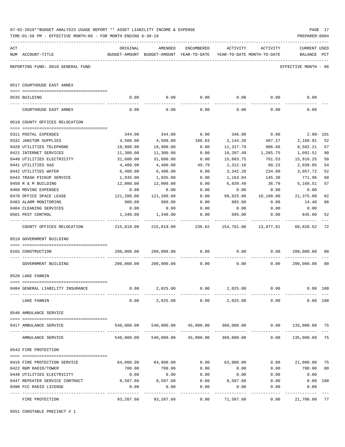| CURRENT USED<br>ORIGINAL<br>AMENDED<br>ENCUMBERED<br>ACTIVITY<br>ACTIVITY<br>NUM ACCOUNT-TITLE<br>BUDGET-AMOUNT BUDGET-AMOUNT YEAR-TO-DATE YEAR-TO-DATE MONTH-TO-DATE<br>BALANCE PCT<br>--------------------------------<br>REPORTING FUND: 0010 GENERAL FUND<br>EFFECTIVE MONTH - 06<br>0517 COURTHOUSE EAST ANNEX<br>0.00<br>0.00<br>0.00<br>0.00<br>0.00<br>0.00<br>0535 BUILDING<br>0.00<br>0.00<br>0.00<br>0.00<br>0.00<br>0.00<br>COURTHOUSE EAST ANNEX<br>0518 COUNTY OFFICES RELOCATION<br>346.00<br>0.00<br>344.00<br>344.00<br>0.00<br>$2.00 - 101$<br>0311 POSTAL EXPENSES<br>0332 JANITOR SUPPLIES<br>4,500.00<br>4,500.00<br>186.83<br>2,144.26<br>467.27<br>2,168.91<br>52<br>57<br>0420 UTILITIES TELEPHONE<br>19,900.00<br>19,900.00<br>0.00<br>11,317.79<br>906.66<br>8,582.21<br>0421 INTERNET SERVICES<br>11,300.00<br>90<br>11,300.00<br>0.00<br>10,207.49<br>1,265.75<br>1,092.51<br>0440 UTILITIES ELECTRICITY<br>761.53<br>50<br>31,600.00<br>31,600.00<br>0.00<br>15,683.75<br>15,916.25<br>54<br>0441 UTILITIES GAS<br>4,400.00<br>4,400.00<br>49.79<br>2,312.16<br>60.23<br>2,038.05<br>0442 UTILITIES WATER<br>0.00<br>52<br>6,400.00<br>6,400.00<br>3,342.28<br>234.00<br>3,057.72<br>0443 TRASH PICKUP SERVICE<br>771.96<br>60<br>1,935.00<br>1,935.00<br>0.00<br>1,163.04<br>145.38<br>57<br>12,000.00<br>36.79<br>5,160.51<br>0450 R & M BUILDING<br>12,000.00<br>0.00<br>6,839.49<br>0460 MOVING EXPENSES<br>0.00<br>0.00<br>0.00<br>0.00<br>0.00<br>0.00<br>99,825.00<br>82<br>0470 OFFICE SPACE LEASE<br>121,200.00<br>121,200.00<br>10,100.00<br>21,375.00<br>0.00<br>0483 ALARM MONITORING<br>900.00<br>900.00<br>885.60<br>14.40<br>98<br>0.00<br>0.00<br>0484 CLEANING SERVICES<br>0.00<br>0.00<br>0.00<br>0.00<br>0.00<br>0.00<br>0.00<br>52<br>0501 PEST CONTROL<br>1,340.00<br>1,340.00<br>695.00<br>0.00<br>645.00<br>----------<br>236.62 154,761.86 13,977.61<br>72<br>COUNTY OFFICES RELOCATION<br>215,819.00 215,819.00<br>60,820.52<br>0519 GOVERNMENT BUILDING<br>200,000.00 200,000.00<br>0.00<br>0.00<br>0.00<br>200,000.00 00<br>0165 CONSTRUCTION<br>$200,000.00$ $200,000.00$ $0.00$<br>0.00<br>0.000000000000<br>0 <sub>0</sub><br>GOVERNMENT BUILDING<br>0520 LAKE FANNIN<br>2,025.00<br>0.00<br>2,025.00<br>0.00<br>0.00<br>$0.00$ 100<br>0484 GENERAL LIABILITY INSURANCE<br>0.00<br>0.00<br>2,025.00<br>0.00<br>2,025.00<br>$0.00$ 100<br>LAKE FANNIN<br>0540 AMBULANCE SERVICE<br>$540,000.00$ $540,000.00$ $45,000.00$ $360,000.00$ $0$ $0.00$ $135,000.00$<br>0417 AMBULANCE SERVICE<br>75<br>75<br>540,000.00 45,000.00<br>360,000.00<br>135,000.00<br>540,000.00<br>0.00<br>AMBULANCE SERVICE<br>0543 FIRE PROTECTION<br>0.00 21,000.00<br>84,000.00<br>84,000.00<br>$0.00$ 63,000.00<br>75<br>0416 FIRE PROTECTION SERVICE<br>0.00<br>0 <sub>0</sub><br>0422 R&M RADIO/TOWER<br>700.00<br>700.00<br>0.00<br>0.00<br>700.00<br>0440 UTILITIES ELECTRICITY<br>0.00<br>0.00<br>0.00<br>0.00<br>0.00<br>0.00<br>8,507.60<br>0447 REPEATER SERVICE CONTRACT<br>8,507.60<br>8,507.60<br>0.00<br>0.00<br>$0.00$ 100<br>0.00<br>0.00<br>0.00<br>0.00<br>0.00<br>0490 FCC RADIO LICENSE<br>0.00<br>93,207.60 93,207.60<br>0.00<br>71,507.60<br>0.00<br>21,700.00<br>77<br>FIRE PROTECTION |     | 07-02-2019**BUDGET ANALYSIS USAGE REPORT ** ASSET LIABILITY INCOME & EXPENSE<br>TIME: 01:56 PM - EFFECTIVE MONTH: 06 - FOR MONTH ENDING 6-30-19 |  |  | PREPARER: 0004 | PAGE 17 |
|--------------------------------------------------------------------------------------------------------------------------------------------------------------------------------------------------------------------------------------------------------------------------------------------------------------------------------------------------------------------------------------------------------------------------------------------------------------------------------------------------------------------------------------------------------------------------------------------------------------------------------------------------------------------------------------------------------------------------------------------------------------------------------------------------------------------------------------------------------------------------------------------------------------------------------------------------------------------------------------------------------------------------------------------------------------------------------------------------------------------------------------------------------------------------------------------------------------------------------------------------------------------------------------------------------------------------------------------------------------------------------------------------------------------------------------------------------------------------------------------------------------------------------------------------------------------------------------------------------------------------------------------------------------------------------------------------------------------------------------------------------------------------------------------------------------------------------------------------------------------------------------------------------------------------------------------------------------------------------------------------------------------------------------------------------------------------------------------------------------------------------------------------------------------------------------------------------------------------------------------------------------------------------------------------------------------------------------------------------------------------------------------------------------------------------------------------------------------------------------------------------------------------------------------------------------------------------------------------------------------------------------------------------------------------------------------------------------------------------------------------------------------------------------------------------------------------------------------------------------------------------------------------------------------------------------------------------------------------------------------------------------------------------------------------------------------------------------------------------------------------------------------------------------------------------------------------------------------------------------------------|-----|-------------------------------------------------------------------------------------------------------------------------------------------------|--|--|----------------|---------|
|                                                                                                                                                                                                                                                                                                                                                                                                                                                                                                                                                                                                                                                                                                                                                                                                                                                                                                                                                                                                                                                                                                                                                                                                                                                                                                                                                                                                                                                                                                                                                                                                                                                                                                                                                                                                                                                                                                                                                                                                                                                                                                                                                                                                                                                                                                                                                                                                                                                                                                                                                                                                                                                                                                                                                                                                                                                                                                                                                                                                                                                                                                                                                                                                                                                  | ACT |                                                                                                                                                 |  |  |                |         |
|                                                                                                                                                                                                                                                                                                                                                                                                                                                                                                                                                                                                                                                                                                                                                                                                                                                                                                                                                                                                                                                                                                                                                                                                                                                                                                                                                                                                                                                                                                                                                                                                                                                                                                                                                                                                                                                                                                                                                                                                                                                                                                                                                                                                                                                                                                                                                                                                                                                                                                                                                                                                                                                                                                                                                                                                                                                                                                                                                                                                                                                                                                                                                                                                                                                  |     |                                                                                                                                                 |  |  |                |         |
|                                                                                                                                                                                                                                                                                                                                                                                                                                                                                                                                                                                                                                                                                                                                                                                                                                                                                                                                                                                                                                                                                                                                                                                                                                                                                                                                                                                                                                                                                                                                                                                                                                                                                                                                                                                                                                                                                                                                                                                                                                                                                                                                                                                                                                                                                                                                                                                                                                                                                                                                                                                                                                                                                                                                                                                                                                                                                                                                                                                                                                                                                                                                                                                                                                                  |     |                                                                                                                                                 |  |  |                |         |
|                                                                                                                                                                                                                                                                                                                                                                                                                                                                                                                                                                                                                                                                                                                                                                                                                                                                                                                                                                                                                                                                                                                                                                                                                                                                                                                                                                                                                                                                                                                                                                                                                                                                                                                                                                                                                                                                                                                                                                                                                                                                                                                                                                                                                                                                                                                                                                                                                                                                                                                                                                                                                                                                                                                                                                                                                                                                                                                                                                                                                                                                                                                                                                                                                                                  |     |                                                                                                                                                 |  |  |                |         |
|                                                                                                                                                                                                                                                                                                                                                                                                                                                                                                                                                                                                                                                                                                                                                                                                                                                                                                                                                                                                                                                                                                                                                                                                                                                                                                                                                                                                                                                                                                                                                                                                                                                                                                                                                                                                                                                                                                                                                                                                                                                                                                                                                                                                                                                                                                                                                                                                                                                                                                                                                                                                                                                                                                                                                                                                                                                                                                                                                                                                                                                                                                                                                                                                                                                  |     |                                                                                                                                                 |  |  |                |         |
|                                                                                                                                                                                                                                                                                                                                                                                                                                                                                                                                                                                                                                                                                                                                                                                                                                                                                                                                                                                                                                                                                                                                                                                                                                                                                                                                                                                                                                                                                                                                                                                                                                                                                                                                                                                                                                                                                                                                                                                                                                                                                                                                                                                                                                                                                                                                                                                                                                                                                                                                                                                                                                                                                                                                                                                                                                                                                                                                                                                                                                                                                                                                                                                                                                                  |     |                                                                                                                                                 |  |  |                |         |
|                                                                                                                                                                                                                                                                                                                                                                                                                                                                                                                                                                                                                                                                                                                                                                                                                                                                                                                                                                                                                                                                                                                                                                                                                                                                                                                                                                                                                                                                                                                                                                                                                                                                                                                                                                                                                                                                                                                                                                                                                                                                                                                                                                                                                                                                                                                                                                                                                                                                                                                                                                                                                                                                                                                                                                                                                                                                                                                                                                                                                                                                                                                                                                                                                                                  |     |                                                                                                                                                 |  |  |                |         |
|                                                                                                                                                                                                                                                                                                                                                                                                                                                                                                                                                                                                                                                                                                                                                                                                                                                                                                                                                                                                                                                                                                                                                                                                                                                                                                                                                                                                                                                                                                                                                                                                                                                                                                                                                                                                                                                                                                                                                                                                                                                                                                                                                                                                                                                                                                                                                                                                                                                                                                                                                                                                                                                                                                                                                                                                                                                                                                                                                                                                                                                                                                                                                                                                                                                  |     |                                                                                                                                                 |  |  |                |         |
|                                                                                                                                                                                                                                                                                                                                                                                                                                                                                                                                                                                                                                                                                                                                                                                                                                                                                                                                                                                                                                                                                                                                                                                                                                                                                                                                                                                                                                                                                                                                                                                                                                                                                                                                                                                                                                                                                                                                                                                                                                                                                                                                                                                                                                                                                                                                                                                                                                                                                                                                                                                                                                                                                                                                                                                                                                                                                                                                                                                                                                                                                                                                                                                                                                                  |     |                                                                                                                                                 |  |  |                |         |
|                                                                                                                                                                                                                                                                                                                                                                                                                                                                                                                                                                                                                                                                                                                                                                                                                                                                                                                                                                                                                                                                                                                                                                                                                                                                                                                                                                                                                                                                                                                                                                                                                                                                                                                                                                                                                                                                                                                                                                                                                                                                                                                                                                                                                                                                                                                                                                                                                                                                                                                                                                                                                                                                                                                                                                                                                                                                                                                                                                                                                                                                                                                                                                                                                                                  |     |                                                                                                                                                 |  |  |                |         |
|                                                                                                                                                                                                                                                                                                                                                                                                                                                                                                                                                                                                                                                                                                                                                                                                                                                                                                                                                                                                                                                                                                                                                                                                                                                                                                                                                                                                                                                                                                                                                                                                                                                                                                                                                                                                                                                                                                                                                                                                                                                                                                                                                                                                                                                                                                                                                                                                                                                                                                                                                                                                                                                                                                                                                                                                                                                                                                                                                                                                                                                                                                                                                                                                                                                  |     |                                                                                                                                                 |  |  |                |         |
|                                                                                                                                                                                                                                                                                                                                                                                                                                                                                                                                                                                                                                                                                                                                                                                                                                                                                                                                                                                                                                                                                                                                                                                                                                                                                                                                                                                                                                                                                                                                                                                                                                                                                                                                                                                                                                                                                                                                                                                                                                                                                                                                                                                                                                                                                                                                                                                                                                                                                                                                                                                                                                                                                                                                                                                                                                                                                                                                                                                                                                                                                                                                                                                                                                                  |     |                                                                                                                                                 |  |  |                |         |
|                                                                                                                                                                                                                                                                                                                                                                                                                                                                                                                                                                                                                                                                                                                                                                                                                                                                                                                                                                                                                                                                                                                                                                                                                                                                                                                                                                                                                                                                                                                                                                                                                                                                                                                                                                                                                                                                                                                                                                                                                                                                                                                                                                                                                                                                                                                                                                                                                                                                                                                                                                                                                                                                                                                                                                                                                                                                                                                                                                                                                                                                                                                                                                                                                                                  |     |                                                                                                                                                 |  |  |                |         |
|                                                                                                                                                                                                                                                                                                                                                                                                                                                                                                                                                                                                                                                                                                                                                                                                                                                                                                                                                                                                                                                                                                                                                                                                                                                                                                                                                                                                                                                                                                                                                                                                                                                                                                                                                                                                                                                                                                                                                                                                                                                                                                                                                                                                                                                                                                                                                                                                                                                                                                                                                                                                                                                                                                                                                                                                                                                                                                                                                                                                                                                                                                                                                                                                                                                  |     |                                                                                                                                                 |  |  |                |         |
|                                                                                                                                                                                                                                                                                                                                                                                                                                                                                                                                                                                                                                                                                                                                                                                                                                                                                                                                                                                                                                                                                                                                                                                                                                                                                                                                                                                                                                                                                                                                                                                                                                                                                                                                                                                                                                                                                                                                                                                                                                                                                                                                                                                                                                                                                                                                                                                                                                                                                                                                                                                                                                                                                                                                                                                                                                                                                                                                                                                                                                                                                                                                                                                                                                                  |     |                                                                                                                                                 |  |  |                |         |
|                                                                                                                                                                                                                                                                                                                                                                                                                                                                                                                                                                                                                                                                                                                                                                                                                                                                                                                                                                                                                                                                                                                                                                                                                                                                                                                                                                                                                                                                                                                                                                                                                                                                                                                                                                                                                                                                                                                                                                                                                                                                                                                                                                                                                                                                                                                                                                                                                                                                                                                                                                                                                                                                                                                                                                                                                                                                                                                                                                                                                                                                                                                                                                                                                                                  |     |                                                                                                                                                 |  |  |                |         |
|                                                                                                                                                                                                                                                                                                                                                                                                                                                                                                                                                                                                                                                                                                                                                                                                                                                                                                                                                                                                                                                                                                                                                                                                                                                                                                                                                                                                                                                                                                                                                                                                                                                                                                                                                                                                                                                                                                                                                                                                                                                                                                                                                                                                                                                                                                                                                                                                                                                                                                                                                                                                                                                                                                                                                                                                                                                                                                                                                                                                                                                                                                                                                                                                                                                  |     |                                                                                                                                                 |  |  |                |         |
|                                                                                                                                                                                                                                                                                                                                                                                                                                                                                                                                                                                                                                                                                                                                                                                                                                                                                                                                                                                                                                                                                                                                                                                                                                                                                                                                                                                                                                                                                                                                                                                                                                                                                                                                                                                                                                                                                                                                                                                                                                                                                                                                                                                                                                                                                                                                                                                                                                                                                                                                                                                                                                                                                                                                                                                                                                                                                                                                                                                                                                                                                                                                                                                                                                                  |     |                                                                                                                                                 |  |  |                |         |
|                                                                                                                                                                                                                                                                                                                                                                                                                                                                                                                                                                                                                                                                                                                                                                                                                                                                                                                                                                                                                                                                                                                                                                                                                                                                                                                                                                                                                                                                                                                                                                                                                                                                                                                                                                                                                                                                                                                                                                                                                                                                                                                                                                                                                                                                                                                                                                                                                                                                                                                                                                                                                                                                                                                                                                                                                                                                                                                                                                                                                                                                                                                                                                                                                                                  |     |                                                                                                                                                 |  |  |                |         |
|                                                                                                                                                                                                                                                                                                                                                                                                                                                                                                                                                                                                                                                                                                                                                                                                                                                                                                                                                                                                                                                                                                                                                                                                                                                                                                                                                                                                                                                                                                                                                                                                                                                                                                                                                                                                                                                                                                                                                                                                                                                                                                                                                                                                                                                                                                                                                                                                                                                                                                                                                                                                                                                                                                                                                                                                                                                                                                                                                                                                                                                                                                                                                                                                                                                  |     |                                                                                                                                                 |  |  |                |         |
|                                                                                                                                                                                                                                                                                                                                                                                                                                                                                                                                                                                                                                                                                                                                                                                                                                                                                                                                                                                                                                                                                                                                                                                                                                                                                                                                                                                                                                                                                                                                                                                                                                                                                                                                                                                                                                                                                                                                                                                                                                                                                                                                                                                                                                                                                                                                                                                                                                                                                                                                                                                                                                                                                                                                                                                                                                                                                                                                                                                                                                                                                                                                                                                                                                                  |     |                                                                                                                                                 |  |  |                |         |
|                                                                                                                                                                                                                                                                                                                                                                                                                                                                                                                                                                                                                                                                                                                                                                                                                                                                                                                                                                                                                                                                                                                                                                                                                                                                                                                                                                                                                                                                                                                                                                                                                                                                                                                                                                                                                                                                                                                                                                                                                                                                                                                                                                                                                                                                                                                                                                                                                                                                                                                                                                                                                                                                                                                                                                                                                                                                                                                                                                                                                                                                                                                                                                                                                                                  |     |                                                                                                                                                 |  |  |                |         |
|                                                                                                                                                                                                                                                                                                                                                                                                                                                                                                                                                                                                                                                                                                                                                                                                                                                                                                                                                                                                                                                                                                                                                                                                                                                                                                                                                                                                                                                                                                                                                                                                                                                                                                                                                                                                                                                                                                                                                                                                                                                                                                                                                                                                                                                                                                                                                                                                                                                                                                                                                                                                                                                                                                                                                                                                                                                                                                                                                                                                                                                                                                                                                                                                                                                  |     |                                                                                                                                                 |  |  |                |         |
|                                                                                                                                                                                                                                                                                                                                                                                                                                                                                                                                                                                                                                                                                                                                                                                                                                                                                                                                                                                                                                                                                                                                                                                                                                                                                                                                                                                                                                                                                                                                                                                                                                                                                                                                                                                                                                                                                                                                                                                                                                                                                                                                                                                                                                                                                                                                                                                                                                                                                                                                                                                                                                                                                                                                                                                                                                                                                                                                                                                                                                                                                                                                                                                                                                                  |     |                                                                                                                                                 |  |  |                |         |
|                                                                                                                                                                                                                                                                                                                                                                                                                                                                                                                                                                                                                                                                                                                                                                                                                                                                                                                                                                                                                                                                                                                                                                                                                                                                                                                                                                                                                                                                                                                                                                                                                                                                                                                                                                                                                                                                                                                                                                                                                                                                                                                                                                                                                                                                                                                                                                                                                                                                                                                                                                                                                                                                                                                                                                                                                                                                                                                                                                                                                                                                                                                                                                                                                                                  |     |                                                                                                                                                 |  |  |                |         |
|                                                                                                                                                                                                                                                                                                                                                                                                                                                                                                                                                                                                                                                                                                                                                                                                                                                                                                                                                                                                                                                                                                                                                                                                                                                                                                                                                                                                                                                                                                                                                                                                                                                                                                                                                                                                                                                                                                                                                                                                                                                                                                                                                                                                                                                                                                                                                                                                                                                                                                                                                                                                                                                                                                                                                                                                                                                                                                                                                                                                                                                                                                                                                                                                                                                  |     |                                                                                                                                                 |  |  |                |         |
|                                                                                                                                                                                                                                                                                                                                                                                                                                                                                                                                                                                                                                                                                                                                                                                                                                                                                                                                                                                                                                                                                                                                                                                                                                                                                                                                                                                                                                                                                                                                                                                                                                                                                                                                                                                                                                                                                                                                                                                                                                                                                                                                                                                                                                                                                                                                                                                                                                                                                                                                                                                                                                                                                                                                                                                                                                                                                                                                                                                                                                                                                                                                                                                                                                                  |     |                                                                                                                                                 |  |  |                |         |
|                                                                                                                                                                                                                                                                                                                                                                                                                                                                                                                                                                                                                                                                                                                                                                                                                                                                                                                                                                                                                                                                                                                                                                                                                                                                                                                                                                                                                                                                                                                                                                                                                                                                                                                                                                                                                                                                                                                                                                                                                                                                                                                                                                                                                                                                                                                                                                                                                                                                                                                                                                                                                                                                                                                                                                                                                                                                                                                                                                                                                                                                                                                                                                                                                                                  |     |                                                                                                                                                 |  |  |                |         |
|                                                                                                                                                                                                                                                                                                                                                                                                                                                                                                                                                                                                                                                                                                                                                                                                                                                                                                                                                                                                                                                                                                                                                                                                                                                                                                                                                                                                                                                                                                                                                                                                                                                                                                                                                                                                                                                                                                                                                                                                                                                                                                                                                                                                                                                                                                                                                                                                                                                                                                                                                                                                                                                                                                                                                                                                                                                                                                                                                                                                                                                                                                                                                                                                                                                  |     |                                                                                                                                                 |  |  |                |         |
|                                                                                                                                                                                                                                                                                                                                                                                                                                                                                                                                                                                                                                                                                                                                                                                                                                                                                                                                                                                                                                                                                                                                                                                                                                                                                                                                                                                                                                                                                                                                                                                                                                                                                                                                                                                                                                                                                                                                                                                                                                                                                                                                                                                                                                                                                                                                                                                                                                                                                                                                                                                                                                                                                                                                                                                                                                                                                                                                                                                                                                                                                                                                                                                                                                                  |     |                                                                                                                                                 |  |  |                |         |
|                                                                                                                                                                                                                                                                                                                                                                                                                                                                                                                                                                                                                                                                                                                                                                                                                                                                                                                                                                                                                                                                                                                                                                                                                                                                                                                                                                                                                                                                                                                                                                                                                                                                                                                                                                                                                                                                                                                                                                                                                                                                                                                                                                                                                                                                                                                                                                                                                                                                                                                                                                                                                                                                                                                                                                                                                                                                                                                                                                                                                                                                                                                                                                                                                                                  |     |                                                                                                                                                 |  |  |                |         |
|                                                                                                                                                                                                                                                                                                                                                                                                                                                                                                                                                                                                                                                                                                                                                                                                                                                                                                                                                                                                                                                                                                                                                                                                                                                                                                                                                                                                                                                                                                                                                                                                                                                                                                                                                                                                                                                                                                                                                                                                                                                                                                                                                                                                                                                                                                                                                                                                                                                                                                                                                                                                                                                                                                                                                                                                                                                                                                                                                                                                                                                                                                                                                                                                                                                  |     |                                                                                                                                                 |  |  |                |         |
|                                                                                                                                                                                                                                                                                                                                                                                                                                                                                                                                                                                                                                                                                                                                                                                                                                                                                                                                                                                                                                                                                                                                                                                                                                                                                                                                                                                                                                                                                                                                                                                                                                                                                                                                                                                                                                                                                                                                                                                                                                                                                                                                                                                                                                                                                                                                                                                                                                                                                                                                                                                                                                                                                                                                                                                                                                                                                                                                                                                                                                                                                                                                                                                                                                                  |     |                                                                                                                                                 |  |  |                |         |
|                                                                                                                                                                                                                                                                                                                                                                                                                                                                                                                                                                                                                                                                                                                                                                                                                                                                                                                                                                                                                                                                                                                                                                                                                                                                                                                                                                                                                                                                                                                                                                                                                                                                                                                                                                                                                                                                                                                                                                                                                                                                                                                                                                                                                                                                                                                                                                                                                                                                                                                                                                                                                                                                                                                                                                                                                                                                                                                                                                                                                                                                                                                                                                                                                                                  |     |                                                                                                                                                 |  |  |                |         |
|                                                                                                                                                                                                                                                                                                                                                                                                                                                                                                                                                                                                                                                                                                                                                                                                                                                                                                                                                                                                                                                                                                                                                                                                                                                                                                                                                                                                                                                                                                                                                                                                                                                                                                                                                                                                                                                                                                                                                                                                                                                                                                                                                                                                                                                                                                                                                                                                                                                                                                                                                                                                                                                                                                                                                                                                                                                                                                                                                                                                                                                                                                                                                                                                                                                  |     |                                                                                                                                                 |  |  |                |         |
|                                                                                                                                                                                                                                                                                                                                                                                                                                                                                                                                                                                                                                                                                                                                                                                                                                                                                                                                                                                                                                                                                                                                                                                                                                                                                                                                                                                                                                                                                                                                                                                                                                                                                                                                                                                                                                                                                                                                                                                                                                                                                                                                                                                                                                                                                                                                                                                                                                                                                                                                                                                                                                                                                                                                                                                                                                                                                                                                                                                                                                                                                                                                                                                                                                                  |     |                                                                                                                                                 |  |  |                |         |
|                                                                                                                                                                                                                                                                                                                                                                                                                                                                                                                                                                                                                                                                                                                                                                                                                                                                                                                                                                                                                                                                                                                                                                                                                                                                                                                                                                                                                                                                                                                                                                                                                                                                                                                                                                                                                                                                                                                                                                                                                                                                                                                                                                                                                                                                                                                                                                                                                                                                                                                                                                                                                                                                                                                                                                                                                                                                                                                                                                                                                                                                                                                                                                                                                                                  |     |                                                                                                                                                 |  |  |                |         |
|                                                                                                                                                                                                                                                                                                                                                                                                                                                                                                                                                                                                                                                                                                                                                                                                                                                                                                                                                                                                                                                                                                                                                                                                                                                                                                                                                                                                                                                                                                                                                                                                                                                                                                                                                                                                                                                                                                                                                                                                                                                                                                                                                                                                                                                                                                                                                                                                                                                                                                                                                                                                                                                                                                                                                                                                                                                                                                                                                                                                                                                                                                                                                                                                                                                  |     |                                                                                                                                                 |  |  |                |         |
|                                                                                                                                                                                                                                                                                                                                                                                                                                                                                                                                                                                                                                                                                                                                                                                                                                                                                                                                                                                                                                                                                                                                                                                                                                                                                                                                                                                                                                                                                                                                                                                                                                                                                                                                                                                                                                                                                                                                                                                                                                                                                                                                                                                                                                                                                                                                                                                                                                                                                                                                                                                                                                                                                                                                                                                                                                                                                                                                                                                                                                                                                                                                                                                                                                                  |     |                                                                                                                                                 |  |  |                |         |
|                                                                                                                                                                                                                                                                                                                                                                                                                                                                                                                                                                                                                                                                                                                                                                                                                                                                                                                                                                                                                                                                                                                                                                                                                                                                                                                                                                                                                                                                                                                                                                                                                                                                                                                                                                                                                                                                                                                                                                                                                                                                                                                                                                                                                                                                                                                                                                                                                                                                                                                                                                                                                                                                                                                                                                                                                                                                                                                                                                                                                                                                                                                                                                                                                                                  |     |                                                                                                                                                 |  |  |                |         |

0551 CONSTABLE PRECINCT # 1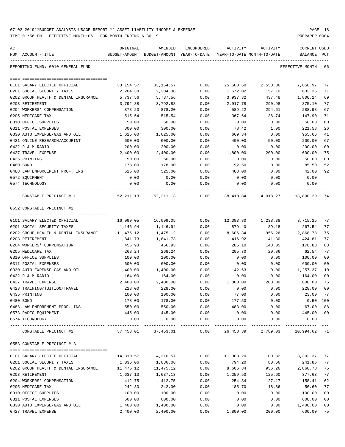| 07-02-2019**BUDGET ANALYSIS USAGE REPORT ** ASSET LIABILITY INCOME & EXPENSE |  |  |  |  | PAGE |  |
|------------------------------------------------------------------------------|--|--|--|--|------|--|
|                                                                              |  |  |  |  |      |  |

TIME:01:56 PM - EFFECTIVE MONTH:06 - FOR MONTH ENDING 6-30-19 PREPARER:0004

| ACT | NUM ACCOUNT-TITLE                    | ORIGINAL  | AMENDED<br>BUDGET-AMOUNT BUDGET-AMOUNT YEAR-TO-DATE YEAR-TO-DATE MONTH-TO-DATE | ENCUMBERED | ACTIVITY  | ACTIVITY           | CURRENT USED<br>BALANCE PCT |                |
|-----|--------------------------------------|-----------|--------------------------------------------------------------------------------|------------|-----------|--------------------|-----------------------------|----------------|
|     |                                      |           |                                                                                |            |           |                    |                             |                |
|     | REPORTING FUND: 0010 GENERAL FUND    |           |                                                                                |            |           |                    | EFFECTIVE MONTH - 06        |                |
|     | 0101 SALARY ELECTED OFFICIAL         |           | 33, 154. 57 33, 154. 57                                                        | 0.00       |           | 25,503.60 2,550.36 | 7,650.97                    | 77             |
|     | 0201 SOCIAL SECURITY TAXES           | 2,204.38  | 2,204.38                                                                       | 0.00       | 1,572.02  | 157.10             | 632.36                      | 71             |
|     | 0202 GROUP HEALTH & DENTAL INSURANCE | 5,737.56  | 5,737.56                                                                       | 0.00       | 3,937.32  | 437.48             | 1,800.24                    | 69             |
|     | 0203 RETIREMENT                      | 3,792.88  | 3,792.88                                                                       | 0.00       | 2,917.78  | 290.98             | 875.10                      | 77             |
|     | 0204 WORKERS' COMPENSATION           | 878.20    | 878.20                                                                         | 0.00       | 589.22    | 294.61             | 288.98                      | 67             |
|     | 0205 MEDICARE TAX                    | 515.54    | 515.54                                                                         | 0.00       | 367.64    | 36.74              | 147.90                      | 71             |
|     | 0310 OFFICE SUPPLIES                 | 50.00     | 50.00                                                                          | 0.00       | 0.00      | 0.00               | 50.00                       | 0 <sub>0</sub> |
|     | 0311 POSTAL EXPENSES                 | 300.00    | 300.00                                                                         | 0.00       | 78.42     | 1.00               | 221.58                      | 26             |
|     | 0330 AUTO EXPENSE-GAS AND OIL        | 1,625.00  | 1,625.00                                                                       | 0.00       | 669.34    | 0.00               | 955.66                      | 41             |
|     | 0421 ONLINE RESEARCH/ACCURINT        | 600.00    | 600.00                                                                         | 0.00       | 400.00    | 50.00              | 200.00                      | 67             |
|     | 0422 R & M RADIO                     | 200.00    | 200.00                                                                         | 0.00       | 0.00      | 0.00               | 200.00                      | 0 <sub>0</sub> |
|     | 0427 TRAVEL EXPENSE                  | 2,400.00  | 2,400.00                                                                       | 0.00       | 1,800.00  | 200.00             | 600.00                      | 75             |
|     | 0435 PRINTING                        | 50.00     | 50.00                                                                          | 0.00       | 0.00      | 0.00               | 50.00                       | 0 <sub>0</sub> |
|     | 0480 BOND                            | 178.00    | 178.00                                                                         | 0.00       | 92.50     | 0.00               | 85.50                       | 52             |
|     | 0488 LAW ENFORCEMENT PROF. INS       | 525.00    | 525.00                                                                         | 0.00       | 483.00    | 0.00               | 42.00                       | 92             |
|     | 0572 EQUIPMENT                       | 0.00      | 0.00                                                                           | 0.00       | 0.00      | 0.00               | 0.00                        |                |
|     | 0574 TECHNOLOGY                      | 0.00      | 0.00                                                                           | 0.00       | 0.00      | 0.00               | 0.00                        |                |
|     | CONSTABLE PRECINCT # 1               |           | 52,211.13 52,211.13 0.00 38,410.84 4,018.27 13,800.29                          |            |           |                    |                             | 74             |
|     | 0552 CONSTABLE PRECINCT #2           |           |                                                                                |            |           |                    |                             |                |
|     |                                      |           |                                                                                |            |           |                    |                             |                |
|     | 0101 SALARY ELECTED OFFICIAL         | 16,099.05 | 16,099.05                                                                      | 0.00       |           | 12,383.80 1,238.38 | 3,715.25                    | 77             |
|     | 0201 SOCIAL SECURITY TAXES           | 1,146.94  | 1,146.94                                                                       | 0.00       | 879.40    | 89.18              | 267.54                      | 77             |
|     | 0202 GROUP HEALTH & DENTAL INSURANCE | 11,475.12 | 11,475.12                                                                      | 0.00       | 8,606.34  | 956.26             | 2,868.78                    | 75             |
|     | 0203 RETIREMENT                      | 1,841.73  | 1,841.73                                                                       | 0.00       | 1,416.92  | 141.30             | 424.81                      | 77             |
|     | 0204 WORKERS' COMPENSATION           | 456.93    | 456.93                                                                         | 0.00       | 286.10    | 143.05             | 170.83                      | 63             |
|     | 0205 MEDICARE TAX                    | 268.24    | 268.24                                                                         | 0.00       | 205.70    | 20.86              | 62.54                       | 77             |
|     | 0310 OFFICE SUPPLIES                 | 100.00    | 100.00                                                                         | 0.00       | 0.00      | 0.00               | 100.00                      | 0 <sub>0</sub> |
|     | 0311 POSTAL EXPENSES                 | 600.00    | 600.00                                                                         | 0.00       | 0.00      | 0.00               | 600.00                      | 0 <sub>0</sub> |
|     | 0330 AUTO EXPENSE-GAS AND OIL        | 1,400.00  | 1,400.00                                                                       | 0.00       | 142.63    | 0.00               | 1,257.37                    | 10             |
|     | 0422 R & M RADIO                     | 164.00    | 164.00                                                                         | 0.00       | 0.00      | 0.00               | 164.00                      | 0 <sub>0</sub> |
|     | 0427 TRAVEL EXPENSE                  | 2,400.00  | 2,400.00                                                                       | 0.00       | 1,800.00  | 200.00             | 600.00                      | 75             |
|     | 0428 TRAINING/TUITION/TRAVEL         | 228.00    | 228.00                                                                         | 0.00       | 0.00      | 0.00               | 228.00                      | 0 <sub>0</sub> |
|     | 0435 PRINTING                        | 100.00    | 100.00                                                                         | 0.00       | 77.00     | 0.00               | 23.00                       | 77             |
|     | 0480 BOND                            | 178.00    | 178.00                                                                         | 0.00       | 177.50    | 0.00               | $0.50$ 100                  |                |
|     | 0488 LAW ENFOREMENT PROF. INS.       | 550.00    | 550.00                                                                         | 0.00       | 483.00    | 0.00               | 67.00                       | 88             |
|     | 0573 RADIO EQUIPMENT                 | 445.00    | 445.00                                                                         | 0.00       | 0.00      | 0.00               | 445.00                      | 0 <sub>0</sub> |
|     | 0574 TECHNOLOGY                      | 0.00      | 0.00                                                                           | 0.00       | 0.00      | 0.00               | 0.00<br>-------------       | $\frac{1}{2}$  |
|     | CONSTABLE PRECINCT #2                |           | 37,453.01 37,453.01 0.00 26,458.39 2,789.03 10,994.62 71                       |            |           |                    |                             |                |
|     | 0553 CONSTABLE PRECINCT # 3          |           |                                                                                |            |           |                    |                             |                |
|     | 0101 SALARY ELECTED OFFICIAL         | 14,310.57 | 14,310.57                                                                      | 0.00       | 11,008.20 | 1,100.82           | 3,302.37                    | 77             |
|     | 0201 SOCIAL SECURITY TAXES           | 1,036.06  | 1,036.06                                                                       | 0.00       | 794.20    | 80.66              | 241.86                      | 77             |
|     | 0202 GROUP HEALTH & DENTAL INSURANCE | 11,475.12 | 11,475.12                                                                      | 0.00       | 8,606.34  | 956.26             | 2,868.78                    | 75             |
|     | 0203 RETIREMENT                      | 1,637.13  | 1,637.13                                                                       | 0.00       | 1,259.50  | 125.60             | 377.63                      | 77             |
|     | 0204 WORKERS' COMPENSATION           | 412.75    | 412.75                                                                         | 0.00       | 254.34    | 127.17             | 158.41                      | 62             |
|     | 0205 MEDICARE TAX                    | 242.30    | 242.30                                                                         | 0.00       | 185.70    | 18.86              | 56.60                       | 77             |
|     | 0310 OFFICE SUPPLIES                 | 100.00    | 100.00                                                                         | 0.00       | 0.00      | 0.00               | 100.00                      | 0 <sub>0</sub> |
|     | 0311 POSTAL EXPENSES                 | 600.00    | 600.00                                                                         | 0.00       | 0.00      | 0.00               | 600.00                      | 0 <sub>0</sub> |
|     | 0330 AUTO EXPENSE-GAS AND OIL        | 1,400.00  | 1,400.00                                                                       | 0.00       | 0.00      | 0.00               | 1,400.00                    | 0 <sub>0</sub> |
|     |                                      |           |                                                                                |            |           |                    |                             |                |

0427 TRAVEL EXPENSE 2,400.00 2,400.00 0.00 1,800.00 200.00 600.00 75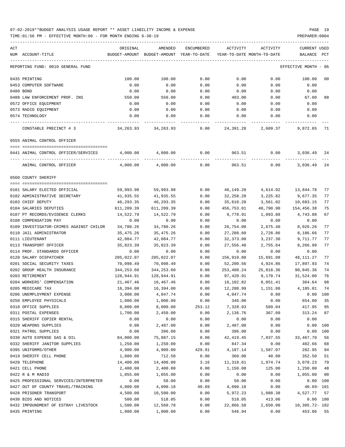| ACT<br>NUM ACCOUNT-TITLE                | ORIGINAL<br>BUDGET-AMOUNT | AMENDED<br>BUDGET-AMOUNT YEAR-TO-DATE | ENCUMBERED | ACTIVITY<br>YEAR-TO-DATE MONTH-TO-DATE | ACTIVITY  | CURRENT USED<br>BALANCE | PCT            |
|-----------------------------------------|---------------------------|---------------------------------------|------------|----------------------------------------|-----------|-------------------------|----------------|
| REPORTING FUND: 0010 GENERAL FUND       |                           |                                       |            |                                        |           | EFFECTIVE MONTH - 06    |                |
| 0435 PRINTING                           | 100.00                    | 100.00                                | 0.00       | 0.00                                   | 0.00      | 100.00                  | 00             |
| 0453 COMPUTER SOFTWARE                  | 0.00                      | 0.00                                  | 0.00       | 0.00                                   | 0.00      | 0.00                    |                |
| 0480 BOND                               | 0.00                      | 0.00                                  | 0.00       | 0.00                                   | 0.00      | 0.00                    |                |
| 0488 LAW ENFORCEMENT PROF. INS          | 550.00                    | 550.00                                | 0.00       | 483.00                                 | 0.00      | 67.00                   | 88             |
| 0572 OFFICE EQUIPMENT                   | 0.00                      | 0.00                                  | 0.00       | 0.00                                   | 0.00      | 0.00                    |                |
| 0573 RADIO EQUIPMENT                    | 0.00                      | 0.00                                  | 0.00       | 0.00                                   | 0.00      | 0.00                    |                |
| 0574 TECHNOLOGY                         | 0.00                      | 0.00                                  | 0.00       | 0.00                                   | 0.00      | 0.00                    |                |
| CONSTABLE PRECINCT # 3                  | 34,263.93                 | 34,263.93                             | 0.00       | 24,391.28                              | 2,609.37  | 9,872.65                | 71             |
| 0555 ANIMAL CONTROL OFFICER             |                           |                                       |            |                                        |           |                         |                |
| 0441 ANIMAL CONTROL OFFICER/SERVICES    | 4,000.00                  | 4,000.00                              | 0.00       | 963.51                                 | 0.00      | 3,036.49                | 24             |
|                                         |                           |                                       |            |                                        |           |                         |                |
| ANIMAL CONTROL OFFICER                  | 4,000.00                  | 4,000.00                              | 0.00       | 963.51                                 | 0.00      | 3,036.49                | 24             |
| 0560 COUNTY SHERIFF                     |                           |                                       |            |                                        |           |                         |                |
| 0101 SALARY ELECTED OFFICIAL            | 59,993.98                 | 59,993.98                             | 0.00       | 46,149.20                              | 4,614.92  | 13,844.78               | 77             |
| 0102 ADMINISTRATIVE SECRETARY           | 41,935.55                 | 41,935.55                             | 0.00       | 32,258.20                              | 3,225.82  | 9,677.35                | 77             |
| 0103 CHIEF DEPUTY                       | 46,293.35                 | 46,293.35                             | 0.00       | 35,610.20                              | 3,561.02  | 10,683.15               | 77             |
| 0104 SALARIES DEPUTIES                  | 611,209.39                | 611,209.39                            | 0.00       | 456,753.01                             | 40,790.90 | 154,456.38              | 75             |
| 0107 PT RECORDS/EVIDENCE CLERKS         | 14,522.79                 | 14,522.79                             | 0.00       | 9,778.91                               | 1,093.88  | 4,743.88                | 67             |
| 0108 COMPENSATION PAY                   | 0.00                      | 0.00                                  | 0.00       | 0.00                                   | 0.00      | 0.00                    |                |
| 0109 INVESTIGATOR-CRIMES AGAINST CHILDR | 34,780.26                 | 34,780.26                             | 0.00       | 26,754.00                              | 2,675.40  | 8,026.26                | 77             |
| 0110 JAIL ADMINISTRATOR                 | 35,475.26                 | 35,475.26                             | 0.00       | 27,288.60                              | 2,728.86  | 8,186.66                | 77             |
| 0111 LIEUTENANT                         | 42,084.77                 | 42,084.77                             | 0.00       | 32,373.00                              | 3,237.30  | 9,711.77                | 77             |
| 0113 TRANSPORT OFFICER                  | 35,823.39                 | 35,823.39                             | 0.00       | 27,556.40                              | 2,755.64  | 8,266.99                | 77             |
| 0114 PROF. STANDARDS OFFICER            | 0.00                      | 0.00                                  | 0.00       | 0.00                                   | 0.00      | 0.00                    |                |
| 0120 SALARY DISPATCHER                  | 205,022.07                | 205,022.07                            | 0.00       | 156,910.80                             | 15,691.08 | 48,111.27               | 77             |
| 0201 SOCIAL SECURITY TAXES              | 70,098.49                 | 70,098.49                             | 0.00       | 52,200.56                              | 4,924.86  | 17,897.93               | 74             |
| 0202 GROUP HEALTH INSURANCE             | 344,253.60                | 344,253.60                            | 0.00       | 253,408.24                             | 25,818.36 | 90,845.36               | 74             |
| 0203 RETIREMENT                         | 128,944.91                | 128,944.91                            | 0.00       | 97,420.91                              | 9,170.74  | 31,524.00               | 76             |
| 0204 WORKERS' COMPENSATION              | 21,467.46                 | 16,467.46                             | 0.00       | 16,102.82                              | 8,051.41  | 364.64                  | 98             |
| 0205 MEDICARE TAX                       | 16,394.00                 | 16,394.00                             | 0.00       | 12,208.99                              | 1,151.88  | 4,185.01                | 74             |
| 0206 UNEMPLOYMENT EXPENSE               | 3,000.00                  | 4,047.74                              | 0.00       | 4,047.74                               | 0.00      | 0.00                    | 100            |
| 0250 EMPLOYEE PHYSICALS                 | 1,000.00                  | 1,000.00                              | 0.00       | 346.00                                 | 0.00      | 654.00                  | 35             |
| 0310 OFFICE SUPPLIES                    | 8,000.00                  | 8,000.00                              | 253.12     | 7,328.93                               | 589.04    | 417.95                  | 95             |
| 0311 POSTAL EXPENSES                    | 1,700.00                  | 2,450.00                              | 0.00       | 2,136.76                               | 367.09    | 313.24                  | 87             |
| 0315 SHERIFF COPIER RENTAL              | 0.00                      | 0.00                                  | 0.00       | 0.00                                   | 0.00      | 0.00                    |                |
| 0320 WEAPONS SUPPLIES                   | 0.00                      | 2,487.00                              | 0.00       | 2,487.00                               | 0.00      | 0.00                    | 100            |
| 0321 PATROL SUPPLIES                    | 0.00                      | 396.00                                | 0.00       | 396.00                                 | 0.00      | 0.00                    | 100            |
| 0330 AUTO EXPENSE GAS & OIL             | 84,000.00                 | 75,887.15                             | 0.00       | 42, 419.45                             | 7,037.55  | 33, 467. 70             | 56             |
| 0332 SHERIFF JANITOR SUPPLIES           | 1,250.00                  | 1,250.00                              | 0.00       | 847.34                                 | 0.00      | 402.66                  | 68             |
| 0395 UNIFORMS/OTHER                     | 4,900.00                  | 4,900.00                              | 429.91     | 4,187.14                               | 1,587.07  | 282.95                  | 94             |
| 0419 SHERIFF CELL PHONE                 | 1,080.00                  | 712.50                                | 0.00       | 360.00                                 | 40.00     | 352.50                  | 51             |
| 0420 TELEPHONE                          | 14,400.00                 | 14,400.00                             | 3.16       | 11,318.61                              | 1,974.74  | 3,078.23                | 79             |
| 0421 CELL PHONE                         | 2,400.00                  | 2,400.00                              | 0.00       | 1,150.00                               | 125.00    | 1,250.00                | 48             |
| 0422 R & M RADIO                        | 1,055.00                  | 1,055.00                              | 0.00       | 0.00                                   | 0.00      | 1,055.00                | 0 <sub>0</sub> |
| 0425 PROFESSIONAL SERVICES/INTERPRETER  | 0.00                      | 50.00                                 | 0.00       | 50.00                                  | 0.00      | 0.00 100                |                |
| 0427 OUT OF COUNTY TRAVEL/TRAINING      | 4,000.00                  | 4,090.18                              | 40.69      | 4,090.18                               | 0.00      | $40.69 - 101$           |                |
| 0428 PRISONER TRANSPORT                 | 4,500.00                  | 10,500.00                             | 0.00       | 5,972.23                               | 1,088.38  | 4,527.77                | 57             |
| 0430 BIDS AND NOTICES                   | 500.00                    | 518.05                                | 0.00       | 518.05                                 | 413.06    |                         | 0.00 100       |
| 0432 IMPOUNDMENT OF ESTRAY LIVESTOCK    | 1,500.00                  | 12,560.78                             | 0.00       | 22,866.50                              | 2,650.00  | 10,305.72- 182          |                |
| 0435 PRINTING                           | 1,000.00                  | 1,000.00                              | 0.00       | 546.94                                 | 0.00      | 453.06                  | 55             |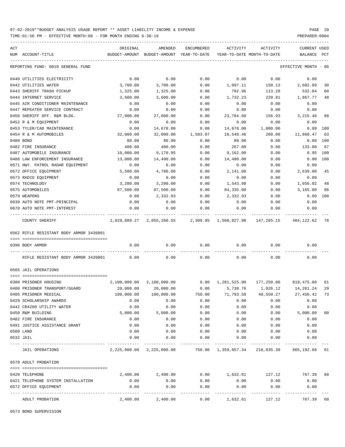TIME:01:56 PM - EFFECTIVE MONTH:06 - FOR MONTH ENDING 6-30-19 PREPARER:0004

| ACT |                                                             | ORIGINAL     | AMENDED                                                  | ENCUMBERED            | ACTIVITY     | ACTIVITY                                                              | CURRENT USED         |                |
|-----|-------------------------------------------------------------|--------------|----------------------------------------------------------|-----------------------|--------------|-----------------------------------------------------------------------|----------------------|----------------|
|     | NUM ACCOUNT-TITLE                                           |              | BUDGET-AMOUNT BUDGET-AMOUNT YEAR-TO-DATE                 |                       |              | YEAR-TO-DATE MONTH-TO-DATE                                            | BALANCE PCT          |                |
|     | REPORTING FUND: 0010 GENERAL FUND                           |              |                                                          |                       |              |                                                                       | EFFECTIVE MONTH - 06 |                |
|     | 0440 UTILITIES ELECTRICITY                                  | 0.00         | 0.00                                                     | 0.00                  | 0.00         | 0.00                                                                  | 0.00                 |                |
|     | 0442 UTILITIES WATER                                        | 3,700.00     | 3,700.00                                                 | 0.00                  | 1,097.11     | 150.13                                                                | 2,602.89             | 30             |
|     | 0443 SHERIFF TRASH PICKUP                                   | 1,325.00     | 1,325.00                                                 | 0.00                  | 792.96       | 113.28                                                                | 532.04               | 60             |
|     | 0444 INTERNET SERVICE                                       | 3,600.00     | 3,600.00                                                 | 0.00                  | 1,732.23     | 220.81                                                                | 1,867.77             | 48             |
|     | 0445 AIR CONDITIONER MAINTENANCE                            | 0.00         | 0.00                                                     | 0.00                  | 0.00         | 0.00                                                                  | 0.00                 |                |
|     | 0447 REPEATER SERVICE CONTRACT                              | 0.00         | 0.00                                                     | 0.00                  | 0.00         | 0.00                                                                  | 0.00                 |                |
|     | 0450 SHERIFF OFF. R&M BLDG.                                 | 27,000.00    | 27,000.00                                                | 0.00                  | 23,784.60    | 156.93                                                                | 3,215.40             | 88             |
|     | 0452 R & M EQUIPMENT                                        | 0.00         | 0.00                                                     | 0.00                  | 0.00         | 0.00                                                                  | 0.00                 |                |
|     | 0453 TYLER/CAD MAINTENANCE                                  | 0.00         | 14,678.00                                                | 0.00                  | 14,678.00    | 1,000.00                                                              | 0.00 100             |                |
|     | 0454 R & M AUTOMOBILES                                      | 32,000.00    | 32,000.00                                                | 1,583.07              | 18,548.46    | 260.00                                                                | 11,868.47            | 63             |
|     | 0480 BOND                                                   | 80.00        | 80.00                                                    | 0.00                  | 80.00        | 0.00                                                                  | 0.00 100             |                |
|     | 0482 FIRE INSURANCE                                         | 400.00       | 400.00                                                   | 0.00                  | 267.00       | 0.00                                                                  | 133.00               | 67             |
|     | 0487 AUTOMOBILE INSURANCE                                   | 10,000.00    | 9,170.95                                                 | 0.00                  | 9,162.00     | 0.00                                                                  | 8.95 100             |                |
|     | 0488 LAW ENFORCEMENT INSURANCE                              | 13,000.00    | 14,490.00                                                | 0.00                  | 14,490.00    | 0.00                                                                  | 0.00 100             |                |
|     | 0571 HWY. PATROL RADAR EQUIPMENT                            | 0.00         | 0.00                                                     | 0.00                  | 0.00         | 0.00                                                                  | 0.00                 |                |
|     | 0572 OFFICE EQUIPMENT                                       | 5,500.00     | 4,780.00                                                 | 0.00                  | 2,141.00     | 0.00                                                                  | 2,639.00             | 45             |
|     | 0573 RADIO EQUIPMENT                                        | 0.00         | 0.00                                                     | 0.00                  | 0.00         | 0.00                                                                  | 0.00                 |                |
|     | 0574 TECHNOLOGY                                             | 3,200.00     | 3,200.00                                                 | 0.00                  | 1,543.98     | 0.00                                                                  | 1,656.02             | 48             |
|     | 0575 AUTOMOBILES                                            | 87,500.00    | 87,500.00                                                | 0.00                  | 84,335.00    | 0.00                                                                  | 3,165.00             | 96             |
|     | 0579 WEAPONS                                                | 0.00         | 2,332.93                                                 | 0.00                  | 2,332.93     | 0.00                                                                  | 0.00 100             |                |
|     | 0630 AUTO NOTE PMT-PRINCIPAL                                | 0.00         | 0.00                                                     | 0.00                  | 0.00         | 0.00                                                                  | 0.00                 |                |
|     | 0670 AUTO NOTE PMT-INTEREST                                 | 0.00         | 0.00                                                     | 0.00                  | 0.00         | 0.00                                                                  | 0.00                 |                |
|     | COUNTY SHERIFF                                              |              |                                                          |                       | -----------  | 2,029,889.27 2,055,260.55 2,309.95 1,568,827.98 147,265.15 484,122.62 |                      | -76            |
|     | 0562 RIFLE RESISTANT BODY ARMOR 3439801                     |              |                                                          |                       |              |                                                                       |                      |                |
|     |                                                             |              |                                                          |                       |              |                                                                       |                      |                |
|     | 0396 BODY ARMOR                                             | 0.00         | 0.00                                                     | 0.00                  |              | 0.00<br>0.00                                                          | 0.00                 |                |
|     | RIFLE RESISTANT BODY ARMOR 3439801                          | 0.00         | 0.00                                                     | 0.00                  | 0.00         | 0.00                                                                  | 0.00                 |                |
|     | 0565 JAIL OPERATIONS                                        |              |                                                          |                       |              |                                                                       |                      |                |
|     | 0380 PRISONER HOUSING                                       |              | 2,100,000.00 2,100,000.00                                |                       |              | $0.00 \qquad 1,281,525.00 \qquad 177,250.00 \qquad 818,475.00$        |                      | 61             |
|     | 0400 PRISONER TRANSPORT/GUARD                               | 20,000.00    | 20,000.00                                                | 0.00                  | 5,738.76     | 1,026.12                                                              | 14,261.24            | 29             |
|     | 0405 PRISONER MEDICAL                                       | 100,000.00   | 100,000.00                                               | 750.00                | 71,793.58    | 40,559.27                                                             | 27,456.42            | 73             |
|     | 0429 SCHOLARSHIP AWARDS                                     | 0.00         | 0.00                                                     | 0.00                  | 0.00         | 0.00                                                                  | 0.00                 |                |
|     | 0442 CR4200 UTILITY WATER                                   | 0.00         | 0.00                                                     | 0.00                  | 0.00         | 0.00                                                                  | 0.00                 |                |
|     | 0450 R&M BUILDING                                           | 5,000.00     | 5,000.00                                                 | 0.00                  | 0.00         | 0.00                                                                  | 5,000.00             | 0 <sub>0</sub> |
|     | 0482 FIRE INSURANCE                                         | 0.00         | 0.00                                                     | 0.00                  | 0.00         | 0.00                                                                  | 0.00                 |                |
|     | 0491 JUSTICE ASSISTANCE GRANT                               | 0.00         | 0.00                                                     | 0.00                  | 0.00         | 0.00                                                                  | 0.00                 |                |
|     | 0500 LAND                                                   | 0.00         | 0.00                                                     | 0.00                  | 0.00         | 0.00                                                                  | 0.00                 |                |
|     | 0532 JAIL                                                   | 0.00         | 0.00                                                     | 0.00                  | 0.00         | 0.00                                                                  | 0.00                 |                |
|     | JAIL OPERATIONS                                             |              | 2,225,000.00 2,225,000.00 750.00 1,359,057.34 218,835.39 |                       |              |                                                                       | 865,192.66           | 61             |
|     | 0570 ADULT PROBATION                                        |              |                                                          |                       |              |                                                                       |                      |                |
|     |                                                             |              | 2,400.00                                                 |                       |              |                                                                       |                      |                |
|     | 0420 TELEPHONE                                              | 2,400.00     |                                                          |                       |              | $0.00$ 1,632.61 127.12 767.39                                         |                      | 68             |
|     | 0421 TELEPHONE SYSTEM INSTALLATION<br>0572 OFFICE EQUIPMENT | 0.00<br>0.00 | 0.00<br>0.00                                             | 0.00<br>0.00          | 0.00<br>0.00 | 0.00<br>0.00                                                          | 0.00<br>0.00         |                |
|     | ---- ------------<br>ADULT PROBATION                        | 2,400.00     | 2,400.00                                                 | $- - - - - -$<br>0.00 | 1,632.61     | 127.12                                                                | 767.39               | 68             |

0573 BOND SUPERVISION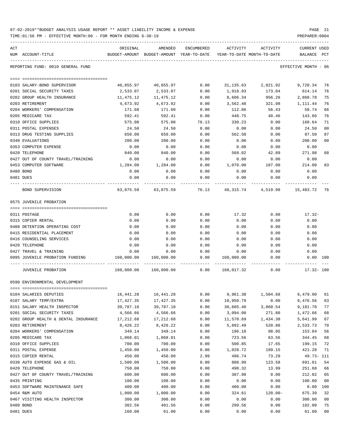| 07-02-2019**BUDGET ANALYSIS USAGE REPORT ** ASSET LIABILITY INCOME & EXPENSE |  |  |  | PAGE |  |
|------------------------------------------------------------------------------|--|--|--|------|--|
|                                                                              |  |  |  |      |  |

TIME:01:56 PM - EFFECTIVE MONTH:06 - FOR MONTH ENDING 6-30-19 PREPARER:0004

| ACT | NUM ACCOUNT-TITLE                          | ORIGINAL<br>BUDGET-AMOUNT BUDGET-AMOUNT YEAR-TO-DATE YEAR-TO-DATE MONTH-TO-DATE     BALANCE PCT | AMENDED    |       |            | ENCUMBERED ACTIVITY ACTIVITY                                     | <b>CURRENT USED</b>  |                      |
|-----|--------------------------------------------|-------------------------------------------------------------------------------------------------|------------|-------|------------|------------------------------------------------------------------|----------------------|----------------------|
|     | REPORTING FUND: 0010 GENERAL FUND          |                                                                                                 |            |       |            |                                                                  | EFFECTIVE MONTH - 06 |                      |
|     |                                            |                                                                                                 |            |       |            |                                                                  |                      |                      |
|     | 0103 SALARY-BOND SUPERVISOR                |                                                                                                 |            |       |            | $40,855.97$ $40,855.97$ $0.00$ $31,135.63$ $2,821.92$ $9,720.34$ |                      | 76                   |
|     | 0201 SOCIAL SECURITY TAXES                 | 2,533.07                                                                                        | 2,533.07   | 0.00  | 1,918.93   | 173.04                                                           | 614.14               | 76                   |
|     | 0202 GROUP HEALTH INSURANCE                | 11,475.12                                                                                       | 11, 475.12 | 0.00  | 8,606.34   | 956.26                                                           | 2,868.78             | 75                   |
|     | 0203 RETIREMENT                            | 4,673.92                                                                                        | 4,673.92   | 0.00  | 3,562.48   | 321.98                                                           | 1,111.44             | 76                   |
|     | 0204 WORKERS' COMPENSATION                 | 171.60                                                                                          | 171.60     | 0.00  | 112.86     | 56.43                                                            | 58.74                | 66                   |
|     | 0205 MEDICARE TAX                          | 592.41                                                                                          | 592.41     | 0.00  | 448.75     |                                                                  | 40.46 143.66         | 76                   |
|     | 0310 OFFICE SUPPLIES                       | 575.00                                                                                          | 575.00     | 76.13 | 330.23     | 0.00                                                             | 168.64               | 71                   |
|     | 0311 POSTAL EXPENSES                       | 24.50                                                                                           | 24.50      | 0.00  | 0.00       | 0.00                                                             | 24.50                | 0 <sub>0</sub>       |
|     | 0313 DRUG TESTING SUPPLIES                 | 650.00                                                                                          | 650.00     | 0.00  | 562.50     | 0.00                                                             | 87.50                | 87                   |
|     | 0340 EVALUATIONS                           | 200.00                                                                                          | 200.00     | 0.00  | 0.00       | 0.00                                                             | 200.00               | 0 <sub>0</sub>       |
|     | 0353 COMPUTER EXPENSE                      | 0.00                                                                                            | 0.00       | 0.00  | 0.00       | 0.00                                                             | 0.00                 |                      |
|     | 0420 TELEPHONE                             | 840.00                                                                                          | 840.00     | 0.00  | 568.02     | 42.89                                                            | 271.98               | 68                   |
|     | 0427 OUT OF COUNTY TRAVEL/TRAINING         | 0.00                                                                                            | 0.00       | 0.00  | 0.00       | 0.00                                                             | 0.00                 |                      |
|     | 0453 COMPUTER SOFTWARE                     | 1,284.00                                                                                        | 1,284.00   | 0.00  | 1,070.00   | 107.00                                                           | 214.00               | 83                   |
|     | 0480 BOND                                  | 0.00                                                                                            | 0.00       | 0.00  | 0.00       | 0.00                                                             | 0.00                 |                      |
|     | 0481 DUES                                  | 0.00                                                                                            | 0.00       | 0.00  | 0.00       | 0.00                                                             | 0.00                 |                      |
|     | BOND SUPERVISION                           | $63,875.59$ $63,875.59$ $76.13$ $48,315.74$ $4,519.98$ $15,483.72$                              |            |       |            |                                                                  |                      | 76                   |
|     | 0575 JUVENILE PROBATION                    |                                                                                                 |            |       |            |                                                                  |                      |                      |
|     | 0311 POSTAGE                               | 0.00                                                                                            | 0.00       | 0.00  | 17.32      | 0.00                                                             | $17.32 -$            |                      |
|     | 0315 COPIER RENTAL                         | 0.00                                                                                            | 0.00       | 0.00  | 0.00       | 0.00                                                             | 0.00                 |                      |
|     | 0408 DETENTION OPERATING COST              | 0.00                                                                                            | 0.00       | 0.00  | 0.00       | 0.00                                                             | 0.00                 |                      |
|     | 0415 RESIDENTIAL PLACEMENT                 | 0.00                                                                                            | 0.00       | 0.00  | 0.00       | 0.00                                                             | 0.00                 |                      |
|     | 0416 COUNSELING SERVICES                   | 0.00                                                                                            | 0.00       | 0.00  | 0.00       | 0.00                                                             | 0.00                 |                      |
|     | 0420 TELEPHONE                             | 0.00                                                                                            | 0.00       | 0.00  | 0.00       | 0.00                                                             | 0.00                 |                      |
|     | 0427 TRAVEL & TRAINING                     | 0.00                                                                                            | 0.00       | 0.00  | 0.00       | 0.00                                                             | 0.00                 |                      |
|     | 0995 JUVENILE PROBATION FUNDING 160,000.00 |                                                                                                 | 160,000.00 | 0.00  | 160,000.00 | 0.00                                                             | $0.00$ 100           |                      |
|     | JUVENILE PROBATION                         |                                                                                                 |            |       |            | 160,000.00 160,000.00 0.00 160,017.32 0.00 17.32-100             |                      |                      |
|     | 0590 ENVIRONMENTAL DEVELOPMENT             |                                                                                                 |            |       |            |                                                                  |                      |                      |
|     |                                            |                                                                                                 |            |       |            |                                                                  |                      |                      |
|     | 0104 SALARIES DEPUTIES                     | 16,441.28                                                                                       | 16,441.28  | 0.00  | 9,961.38   | 1,504.68                                                         | 6,479.90             | 61                   |
|     | 0107 SALARY TEMP/EXTRA                     | 17,427.35                                                                                       | 17,427.35  | 0.00  | 10,950.79  | 0.00                                                             | 6,476.56             | 63                   |
|     | 0151 SALARY HEALTH INSPECTOR               | 39,787.10                                                                                       | 39,787.10  | 0.00  | 30,605.40  | 3,060.54                                                         | 9,181.70             | 77                   |
|     | 0201 SOCIAL SECURITY TAXES                 | 4,566.66                                                                                        | 4,566.66   | 0.00  | 3,094.00   | 271.80                                                           | 1,472.66             | 68                   |
|     | 0202 GROUP HEALTH & DENTAL INSURANCE       | 17,212.68                                                                                       | 17,212.68  | 0.00  | 11,570.69  | 1,434.38                                                         | 5,641.99             | 67                   |
|     | 0203 RETIREMENT                            | 8,426.22                                                                                        | 8,426.22   | 0.00  | 5,892.49   | 520.88                                                           | 2,533.73             | 70                   |
|     | 0204 WORKERS' COMPENSATION                 | 349.14                                                                                          | 349.14     | 0.00  | 196.10     | 98.05                                                            | 153.04               | 56                   |
|     | 0205 MEDICARE TAX                          | 1,068.01                                                                                        | 1,068.01   | 0.00  | 723.56     | 63.56                                                            | 344.45               | 68                   |
|     | 0310 OFFICE SUPPLIES                       | 700.00                                                                                          | 700.00     | 0.00  | 500.85     | 17.65                                                            | 199.15               | 72                   |
|     | 0311 POSTAL EXPENSE                        | 1,450.00                                                                                        | 1,450.00   | 0.00  | 1,028.72   | 189.15                                                           | 421.28               | 71                   |
|     | 0315 COPIER RENTAL                         | 450.00                                                                                          | 450.00     | 2.99  | 496.74     | 73.29                                                            | 49.73- 111           |                      |
|     | 0330 AUTO EXPENSE GAS & OIL                | 1,500.00                                                                                        | 1,500.00   | 0.00  | 808.99     | 123.58                                                           | 691.01               | 54                   |
|     | 0420 TELEPHONE                             | 750.00                                                                                          | 750.00     | 0.00  | 498.32     | 13.99                                                            | 251.68               | 66                   |
|     | 0427 OUT OF COUNTY TRAVEL/TRAINING         | 600.00                                                                                          | 600.00     | 0.00  | 387.98     | 0.00                                                             | 212.02               | 65                   |
|     | 0435 PRINTING                              | 100.00                                                                                          | 100.00     | 0.00  | 0.00       | 0.00                                                             | 100.00               | 0 <sub>0</sub>       |
|     | 0453 SOFTWARE MAINTENANCE SAFE             | 400.00                                                                                          | 400.00     | 0.00  | 400.00     | 0.00                                                             | 0.00                 | 100                  |
|     | 0454 R&M AUTO                              | 1,000.00                                                                                        | 1,000.00   | 0.00  | 324.61     | $120.00 -$                                                       | 675.39               | 32<br>0 <sub>0</sub> |
|     | 0467 VISITING HEALTH INSPECTOR             | 300.00                                                                                          | 300.00     | 0.00  | 0.00       | 0.00                                                             | 300.00               |                      |
|     | 0480 BOND                                  | 302.56                                                                                          | 401.56     | 0.00  | 299.56     | 0.00                                                             | 102.00               | 75                   |

0481 DUES 160.00 61.00 0.00 0.00 0.00 61.00 00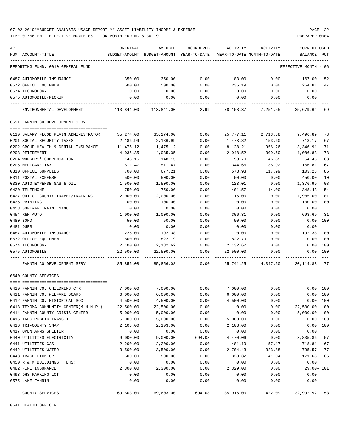TIME:01:56 PM - EFFECTIVE MONTH:06 - FOR MONTH ENDING 6-30-19 PREPARER:0004

| ACT | NUM ACCOUNT-TITLE                                                                       | ORIGINAL<br>BUDGET-AMOUNT BUDGET-AMOUNT YEAR-TO-DATE | AMENDED               | ENCUMBERED | ACTIVITY<br>YEAR-TO-DATE MONTH-TO-DATE | ACTIVITY                                                               | CURRENT USED<br>BALANCE | PCT      |
|-----|-----------------------------------------------------------------------------------------|------------------------------------------------------|-----------------------|------------|----------------------------------------|------------------------------------------------------------------------|-------------------------|----------|
|     |                                                                                         |                                                      |                       |            |                                        |                                                                        |                         |          |
|     | REPORTING FUND: 0010 GENERAL FUND                                                       |                                                      |                       |            |                                        |                                                                        | EFFECTIVE MONTH - 06    |          |
|     | 0487 AUTOMOBILE INSURANCE                                                               | 350.00                                               | 350.00                | 0.00       | 183.00                                 | 0.00                                                                   | 167.00                  | 52       |
|     | 0572 OFFICE EQUIPMENT                                                                   | 500.00                                               | 500.00                | 0.00       | 235.19                                 | 0.00                                                                   | 264.81                  | 47       |
|     | 0574 TECHNOLOGY                                                                         | 0.00                                                 | 0.00                  | 0.00       | 0.00                                   | 0.00                                                                   | 0.00                    |          |
|     | 0575 AUTOMOBILE/PICKUP                                                                  | 0.00                                                 | 0.00                  | 0.00       | 0.00                                   | 0.00                                                                   | 0.00                    |          |
|     | ENVIRONMENTAL DEVELOPMENT 69 113,841.00 113,841.00 2.99 78,158.37 7,251.55 35,679.64 69 |                                                      |                       |            |                                        |                                                                        |                         |          |
|     | 0591 FANNIN CO DEVELOPMENT SERV.                                                        |                                                      |                       |            |                                        |                                                                        |                         |          |
|     |                                                                                         |                                                      |                       | 0.00       |                                        |                                                                        |                         |          |
|     | 0110 SALARY FLOOD PLAIN ADMINISTRATOR<br>0201 SOCIAL SECURITY TAXES                     | 35,274.00<br>2,186.99                                | 35,274.00<br>2,186.99 | 0.00       | 25,777.11<br>1,473.82                  | 2,713.38<br>153.60                                                     | 9,496.89<br>713.17      | 73<br>67 |
|     |                                                                                         |                                                      | 11,475.12             | 0.00       |                                        |                                                                        |                         | 71       |
|     | 0202 GROUP HEALTH & DENTAL INSURANCE 11,475.12<br>0203 RETIREMENT                       | 4,035.35                                             | 4,035.35              | 0.00       | 8,128.21<br>2,948.52                   | 956.26<br>309.60                                                       | 3,346.91<br>1,086.83    | 73       |
|     | 0204 WORKERS' COMPENSATION                                                              | 148.15                                               | 148.15                | 0.00       | 93.70                                  | 46.85                                                                  | 54.45                   | 63       |
|     | 0205 MEDICARE TAX                                                                       | 511.47                                               | 511.47                | 0.00       | 344.66                                 | 35.92                                                                  | 166.81                  | 67       |
|     | 0310 OFFICE SUPPLIES                                                                    | 700.00                                               | 677.21                | 0.00       | 573.93                                 | 117.99                                                                 | 103.28                  | 85       |
|     | 0311 POSTAL EXPENSE                                                                     | 500.00                                               | 500.00                | 0.00       | 50.00                                  | 0.00                                                                   | 450.00                  | 10       |
|     | 0330 AUTO EXPENSE GAS & OIL                                                             | 1,500.00                                             | 1,500.00              | 0.00       | 123.01                                 | 0.00                                                                   | 1,376.99                | 08       |
|     | 0420 TELEPHONE                                                                          | 750.00                                               | 750.00                | 0.00       | 401.57                                 | 14.00                                                                  | 348.43                  | 54       |
|     | 0427 OUT OF COUNTY TRAVEL/TRAINING                                                      | 2,000.00                                             | 2,000.00              | 0.00       | 15.00                                  | 0.00                                                                   | 1,985.00                | 01       |
|     | 0435 PRINTING                                                                           | 100.00                                               | 100.00                | 0.00       | 0.00                                   | 0.00                                                                   | 100.00                  | 00       |
|     | 0453 SOFTWARE MAINTENANCE                                                               | 0.00                                                 | 0.00                  | 0.00       | 0.00                                   | 0.00                                                                   | 0.00                    |          |
|     | 0454 R&M AUTO                                                                           | 1,000.00                                             | 1,000.00              | 0.00       | 306.31                                 | 0.00                                                                   | 693.69                  | 31       |
|     | 0480 BOND                                                                               | 50.00                                                | 50.00                 | 0.00       | 50.00                                  | 0.00                                                                   | 0.00                    | 100      |
|     | 0481 DUES                                                                               | 0.00                                                 | 0.00                  | 0.00       | 0.00                                   | 0.00                                                                   | 0.00                    |          |
|     | 0487 AUTOMOBILE INSURANCE                                                               | 225.00                                               | 192.38                | 0.00       | 0.00                                   | 0.00                                                                   | 192.38                  | 00       |
|     | 0572 OFFICE EQUIPMENT                                                                   | 800.00                                               | 822.79                | 0.00       | 822.79                                 | 0.00                                                                   | 0.00                    | 100      |
|     | 0574 TECHNOLOGY                                                                         | 2,100.00                                             | 2,132.62              | 0.00       | 2,132.62                               | 0.00                                                                   | 0.00 100                |          |
|     | 0575 AUTOMOBILE                                                                         | 22,500.00                                            | 22,500.00             | 0.00       | 22,500.00                              | 0.00                                                                   | 0.00 100                |          |
|     | FANNIN CO DEVELOPMENT SERV.                                                             |                                                      |                       |            |                                        | 85,856.08   85,856.08      0.00   65,741.25   4,347.60   20,114.83  77 |                         |          |
|     | 0640 COUNTY SERVICES                                                                    |                                                      |                       |            |                                        |                                                                        |                         |          |
|     | 0410 FANNIN CO. CHILDRENS CTR                                                           | 7,000.00                                             | 7,000.00              | 0.00       | 7,000.00                               | 0.00                                                                   |                         | 0.00 100 |
|     | 0411 FANNIN CO. WELFARE BOARD                                                           | 6,000.00                                             | 6,000.00              | 0.00       | 6,000.00                               | 0.00                                                                   | 0.00 100                |          |
|     | 0412 FANNIN CO. HISTORICAL SOC                                                          | 4,500.00                                             | 4,500.00              | 0.00       | 4,500.00                               | 0.00                                                                   |                         | 0.00 100 |
|     | 0413 TEXOMA COMMUNITY CENTER (M.H.M.R.)                                                 | 22,500.00                                            | 22,500.00             | 0.00       | 0.00                                   | 0.00                                                                   | 22,500.00               | 00       |
|     | 0414 FANNIN COUNTY CRISIS CENTER                                                        | 5,000.00                                             | 5,000.00              | 0.00       | 0.00                                   | 0.00                                                                   | 5,000.00                | 00       |
|     | 0415 TAPS PUBLIC TRANSIT                                                                | 5,000.00                                             | 5,000.00              | 0.00       | 5,000.00                               | 0.00                                                                   | 0.00                    | 100      |
|     | 0416 TRI-COUNTY SNAP                                                                    | 2,103.00                                             | 2,103.00              | 0.00       | 2,103.00                               | 0.00                                                                   | 0.00                    | 100      |
|     | 0417 OPEN ARMS SHELTER                                                                  | 0.00                                                 | 0.00                  | 0.00       | 0.00                                   | 0.00                                                                   | 0.00                    |          |
|     | 0440 UTILITIES ELECTRICITY                                                              | 9,000.00                                             | 9,000.00              | 694.08     | 4,470.06                               | 0.00                                                                   | 3,835.86                | 57       |
|     | 0441 UTILITIES GAS                                                                      | 2,200.00                                             | 2,200.00              | 0.00       | 1,481.19                               | 57.17                                                                  | 718.81                  | 67       |
|     | 0442 UTILITIES WATER                                                                    | 3,500.00                                             | 3,500.00              | 0.00       | 2,704.43                               | 323.88                                                                 | 795.57                  | 77       |
|     | 0443 TRASH PICK-UP                                                                      | 500.00                                               | 500.00                | 0.00       | 328.32                                 | 41.04                                                                  | 171.68                  | 66       |
|     | 0450 R & M BUILDINGS (TDHS)                                                             | 0.00                                                 | 0.00                  | 0.00       | 0.00                                   | 0.00                                                                   | 0.00                    |          |
|     | 0482 FIRE INSURANCE                                                                     | 2,300.00                                             | 2,300.00              | 0.00       | 2,329.00                               | 0.00                                                                   | $29.00 - 101$           |          |
|     | 0493 DHS PARKING LOT                                                                    | 0.00                                                 | 0.00                  | 0.00       | 0.00                                   | 0.00                                                                   | 0.00                    |          |
|     | 0575 LAKE FANNIN                                                                        | 0.00                                                 | 0.00                  | 0.00       | 0.00                                   | 0.00                                                                   | 0.00                    |          |
|     | COUNTY SERVICES                                                                         | 69,603.00                                            | 69,603.00             | 694.08     | 35,916.00                              | 422.09                                                                 | 32,992.92               | 53       |

0641 HEALTH OFFICER

==== ===================================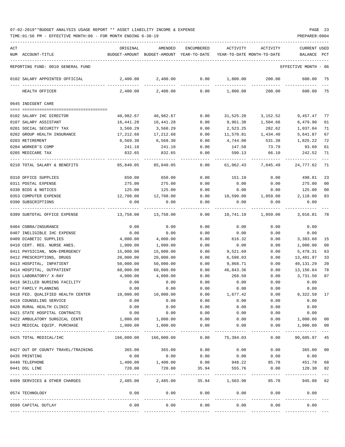| ACT | NUM ACCOUNT-TITLE                                         | ORIGINAL<br>BUDGET-AMOUNT | AMENDED<br>BUDGET-AMOUNT YEAR-TO-DATE | <b>ENCUMBERED</b> | ACTIVITY  | ACTIVITY<br>YEAR-TO-DATE MONTH-TO-DATE | CURRENT USED<br><b>BALANCE</b> | PCT            |
|-----|-----------------------------------------------------------|---------------------------|---------------------------------------|-------------------|-----------|----------------------------------------|--------------------------------|----------------|
|     | REPORTING FUND: 0010 GENERAL FUND                         |                           |                                       |                   |           |                                        | EFFECTIVE MONTH                | - 06           |
|     | 0102 SALARY APPOINTED OFFICIAL                            | 2,400.00                  | 2,400.00                              | 0.00              | 1,800.00  | 200.00                                 | 600.00                         | 75             |
|     | HEALTH OFFICER                                            | 2,400.00                  | 2,400.00                              | 0.00              | 1,800.00  | 200.00                                 | 600.00                         | 75             |
|     | 0645 INDIGENT CARE                                        |                           |                                       |                   |           |                                        |                                |                |
|     | 0102 SALARY IHC DIRECTOR                                  | 40,982.67                 | 40,982.67                             | 0.00              | 31,525.20 | 3,152.52                               | 9,457.47                       | 77             |
|     | 0107 SALARY ASSISTANT                                     | 16,441.28                 | 16,441.28                             | 0.00              | 9,961.38  | 1,504.68                               | 6,479.90                       | 61             |
|     | 0201 SOCIAL SECURITY TAX                                  | 3,560.29                  | 3,560.29                              | 0.00              | 2,523.25  | 282.62                                 | 1,037.04                       | 71             |
|     | 0202 GROUP HEALTH INSURANCE                               | 17,212.68                 | 17,212.68                             | 0.00              | 11,570.81 | 1,434.40                               | 5,641.87                       | 67             |
|     | 0203 RETIREMENT                                           | 6,569.30                  | 6,569.30                              | 0.00              | 4,744.08  | 531.38                                 | 1,825.22                       | 72             |
|     | 0204 WORKER'S COMP                                        | 241.18                    | 241.18                                | 0.00              | 147.58    | 73.79                                  | 93.60                          | 61             |
|     | 0205 MEDICARE TAX                                         | 832.65                    | 832.65                                | 0.00              | 590.13    | 66.10                                  | 242.52                         | 71             |
|     | 0210 TOTAL SALARY & BENEFITS                              | 85,840.05                 | 85,840.05                             | 0.00              | 61,062.43 | 7,045.49                               | 24,777.62                      | 71             |
|     | 0310 OFFICE SUPPLIES                                      | 650.00                    | 650.00                                | 0.00              | 151.19    | 0.00                                   | 498.81                         | 23             |
|     | 0311 POSTAL EXPENSE                                       | 275.00                    | 275.00                                | 0.00              | 0.00      | 0.00                                   | 275.00                         | 0 <sub>0</sub> |
|     | 0330 BIDS & NOTICES                                       | 125.00                    | 125.00                                | 0.00              | 0.00      | 0.00                                   | 125.00                         | 0 <sub>0</sub> |
|     | 0353 COMPUTER EXPENSE                                     | 12,708.00                 | 12,708.00                             | 0.00              | 10,590.00 | 1,059.00                               | 2,118.00                       | 83             |
|     | 0390 SUBSCRIPTIONS                                        | 0.00                      | 0.00                                  | 0.00              | 0.00      | 0.00                                   | 0.00                           |                |
|     | 0399 SUBTOTAL OFFICE EXPENSE                              | 13,758.00                 | 13,758.00                             | 0.00              | 10,741.19 | 1,059.00                               | 3,016.81                       | 78             |
|     | 0404 COBRA/INSURANCE                                      | 0.00                      | 0.00                                  | 0.00              | 0.00      | 0.00                                   | 0.00                           |                |
|     | 0407 INELIGIBLE IHC EXPENSE                               | 0.00                      | 0.00                                  | 0.00              | 0.00      | 0.00                                   | 0.00                           |                |
|     | 0409 DIABETIC SUPPLIES                                    | 4,000.00                  | 4,000.00                              | 0.00              | 616.32    | 0.00                                   | 3,383.68                       | 15             |
|     | 0410 CERT. REG. NURSE ANES.                               | 1,000.00                  | 1,000.00                              | 0.00              | 0.00      | 0.00                                   | 1,000.00                       | 00             |
|     | 0411 PHYSICIAN, NON-EMERGENCY                             | 15,000.00                 | 15,000.00                             | 0.00              | 9,521.69  | 0.00                                   | 5,478.31                       | 63             |
|     | 0412 PRESCRIPTIONS, DRUGS                                 | 20,000.00                 | 20,000.00                             | 0.00              | 6,598.03  | 0.00                                   | 13,401.97                      | 33             |
|     | 0413 HOSPITAL, INPATIENT                                  | 50,000.00                 | 50,000.00                             | 0.00              | 9,868.71  | 0.00                                   | 40,131.29                      | 20             |
|     | 0414 HOSPITAL, OUTPATIENT                                 | 60,000.00                 | 60,000.00                             | 0.00              | 46,843.36 | 0.00                                   | 13, 156.64                     | 78             |
|     | 0415 LABORATORY/ X-RAY                                    | 4,000.00                  | 4,000.00                              | 0.00              | 268.50    | 0.00                                   | 3,731.50                       | 07             |
|     | 0416 SKILLED NURSING FACILITY                             | 0.00                      | 0.00                                  | 0.00              | 0.00      | 0.00                                   | 0.00                           |                |
|     | 0417 FAMILY PLANNING                                      | 0.00                      | 0.00                                  | 0.00              | 0.00      | 0.00                                   | 0.00                           |                |
|     | 0418 FED. QUALIFIED HEALTH CENTER                         | 10,000.00                 | 10,000.00                             | 0.00              | 1,677.42  | 0.00                                   | 8,322.58                       |                |
|     | 0419 COUNSELING SERVICE                                   | 0.00                      | 0.00                                  | 0.00              | 0.00      | 0.00                                   | 0.00                           |                |
|     | 0420 RURAL HEALTH CLINIC                                  | 0.00                      | 0.00                                  | 0.00              | 0.00      | 0.00                                   | 0.00                           |                |
|     | 0421 STATE HOSPITAL CONTRACTS                             | 0.00                      | 0.00                                  | 0.00              | 0.00      | 0.00                                   | 0.00                           |                |
|     | 0422 AMBULATORY SURGICAL CENTE                            | 1,000.00                  | 1,000.00                              | 0.00              | 0.00      | 0.00                                   | 1,000.00                       | 00             |
|     | 0423 MEDICAL EQUIP. PURCHASE                              | 1,000.00                  | 1,000.00                              | 0.00              | 0.00      | 0.00                                   | 1,000.00                       | 00             |
|     | 0425 TOTAL MEDICAL/IHC                                    | 166,000.00                | -------------<br>166,000.00           | 0.00              | 75,394.03 | 0.00                                   | ----------<br>90,605.97        | 45             |
|     | 0427 OUT OF COUNTY TRAVEL/TRAINING                        | 365.00                    | 365.00                                | 0.00              | 0.00      | 0.00                                   | 365.00                         | 00             |
|     | 0435 PRINTING                                             | 0.00                      | 0.00                                  | 0.00              | 0.00      | 0.00                                   | 0.00                           |                |
|     | 0440 TELEPHONE                                            | 1,400.00                  | 1,400.00                              | 0.00              | 948.22    | 85.78                                  | 451.78                         | 68             |
|     | 0441 DSL LINE                                             | 720.00                    | 720.00                                | 35.94             | 555.76    | 0.00                                   | 128.30                         | 82             |
|     | 0499 SERVICES & OTHER CHARGES                             | 2,485.00                  | 2,485.00                              | 35.94             | 1,503.98  | 85.78                                  | 945.08                         | 62             |
|     | 0574 TECHNOLOGY                                           | 0.00                      | 0.00                                  | 0.00              | 0.00      | 0.00                                   | 0.00                           |                |
|     |                                                           |                           |                                       | ----------        |           |                                        |                                |                |
|     | 0599 CAPITAL OUTLAY<br>-------------------- ------------- | 0.00                      | 0.00                                  | 0.00              | 0.00      | 0.00                                   | 0.00                           |                |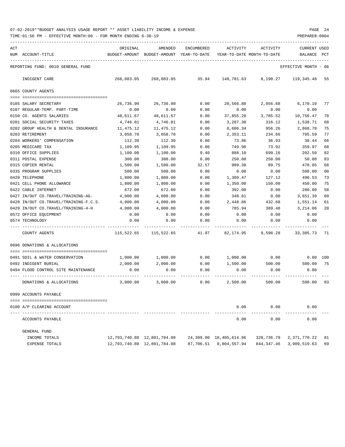| ACT |                                       | ORIGINAL      | AMENDED                     | <b>ENCUMBERED</b> | ACTIVITY                   | ACTIVITY   | CURRENT USED    |      |
|-----|---------------------------------------|---------------|-----------------------------|-------------------|----------------------------|------------|-----------------|------|
| NUM | ACCOUNT-TITLE                         | BUDGET-AMOUNT | BUDGET-AMOUNT               | YEAR-TO-DATE      | YEAR-TO-DATE MONTH-TO-DATE |            | BALANCE         | PCT  |
|     | REPORTING FUND: 0010 GENERAL FUND     |               |                             |                   |                            |            | EFFECTIVE MONTH | - 06 |
|     | INDIGENT CARE                         | 268,083.05    | 268,083.05                  | 35.94             | 148,701.63                 | 8,190.27   | 119, 345.48     | 55   |
|     | 0665 COUNTY AGENTS                    |               |                             |                   |                            |            |                 |      |
|     | 0105 SALARY SECRETARY                 | 26,736.90     | 26,736.90                   | 0.00              | 20,566.80                  | 2,056.68   | 6,170.10        | 77   |
|     | 0107 REGULAR-TEMP. PART-TIME          | 0.00          | 0.00                        | 0.00              | 0.00                       | 0.00       | 0.00            |      |
|     | 0150 CO. AGENTS SALARIES              | 48,611.67     | 48,611.67                   | 0.00              | 37,855.20                  | 3,785.52   | 10,756.47       | 78   |
|     | 0201 SOCIAL SECURITY TAXES            | 4,746.01      | 4,746.01                    | 0.00              | 3,207.30                   | 316.12     | 1,538.71        | 68   |
|     | 0202 GROUP HEALTH & DENTAL INSURANCE  | 11,475.12     | 11,475.12                   | 0.00              | 8,606.34                   | 956.26     | 2,868.78        | 75   |
|     | 0203 RETIREMENT                       | 3,058.70      | 3,058.70                    | 0.00              | 2,353.11                   | 234.66     | 705.59          | 77   |
|     | 0204 WORKERS' COMPENSATION            | 112.30        | 112.30                      | 0.00              | 73.86                      | 36.93      | 38.44           | 66   |
|     | 0205 MEDICARE TAX                     | 1,109.95      | 1,109.95                    | 0.00              | 749.98                     | 73.92      | 359.97          | 68   |
|     | 0310 OFFICE SUPPLIES                  | 1,100.00      | 1,100.00                    | 9.40              | 888.10                     | 699.16     | 202.50          | 82   |
|     | 0311 POSTAL EXPENSE                   | 300.00        | 300.00                      | 0.00              | 250.00                     | 250.00     | 50.00           | 83   |
|     | 0315 COPIER RENTAL                    | 1,500.00      | 1,500.00                    | 32.57             | 989.38                     | 89.75      | 478.05          | 68   |
|     | 0335 PROGRAM SUPPLIES                 | 500.00        | 500.00                      | 0.00              | 0.00                       | 0.00       | 500.00          | 00   |
|     | 0420 TELEPHONE                        | 1,800.00      | 1,800.00                    | 0.00              | 1,309.47                   | 127.12     | 490.53          | 73   |
|     | 0421 CELL PHONE ALLOWANCE             | 1,800.00      | 1,800.00                    | 0.00              | 1,350.00                   | 150.00     | 450.00          | 75   |
|     | 0422 CABLE INTERNET                   | 672.00        | 672.00                      | 0.00              | 392.00                     | 0.00       | 280.00          | 58   |
|     | 0427 IN/OUT CO.TRAVEL/TRAINING-AG.    | 4,000.00      | 4,000.00                    | 0.00              | 348.61                     | 0.00       | 3,651.39        | 09   |
|     | 0428 IN/OUT CO.TRAVEL/TRAINING-F.C.S. | 4,000.00      | 4,000.00                    | 0.00              | 2,448.86                   | 432.68     | 1,551.14        | 61   |
|     | 0429 IN/OUT CO.TRAVEL/TRAINING-4-H    | 4,000.00      | 4,000.00                    | 0.00              | 785.94                     | 389.48     | 3,214.06        | 20   |
|     | 0572 OFFICE EQUIPMENT                 | 0.00          | 0.00                        | 0.00              | 0.00                       | 0.00       | 0.00            |      |
|     | 0574 TECHNOLOGY                       | 0.00          | 0.00                        | 0.00              | 0.00                       | 0.00       | 0.00            |      |
|     | COUNTY AGENTS                         | 115,522.65    | 115,522.65                  | 41.97             | 82,174.95                  | 9,598.28   | 33,305.73       | 71   |
|     | 0696 DONATIONS & ALLOCATIONS          |               |                             |                   |                            |            |                 |      |
|     | 0491 SOIL & WATER CONSERVATION        | 1,000.00      | 1,000.00                    | 0.00              | 1,000.00                   | 0.00       | $0.00$ 100      |      |
|     | 0492 INDIGENT BURIAL                  | 2,000.00      | 2,000.00                    | 0.00              | 1,500.00                   | 500.00     | 500.00          | 75   |
|     | 0494 FLOOD CONTROL SITE MAINTENANCE   | 0.00          | 0.00                        | 0.00              | 0.00                       | 0.00       | 0.00            |      |
|     | DONATIONS & ALLOCATIONS               | 3,000.00      | 3,000.00                    | 0.00              | 2,500.00                   | 500.00     | 500.00          | 83   |
|     | 0999 ACCOUNTS PAYABLE                 |               |                             |                   |                            |            |                 |      |
|     |                                       |               |                             |                   |                            |            |                 |      |
|     | 0100 A/P CLEARING ACCOUNT             |               |                             |                   | 0.00                       | 0.00       | 0.00            |      |
|     | ACCOUNTS PAYABLE                      |               |                             |                   | 0.00                       | 0.00       | 0.00            |      |
|     | GENERAL FUND                          |               |                             |                   |                            |            |                 |      |
|     | INCOME TOTALS                         |               | 12,793,740.80 12,801,784.08 |                   | 24,399.00 10,405,614.86    | 328,736.79 | 2,371,770.22    | 81   |
|     | EXPENSE TOTALS                        |               | 12,793,740.80 12,801,784.08 | 87,706.51         | 8,804,557.94               | 844,347.46 | 3,909,519.63    | 69   |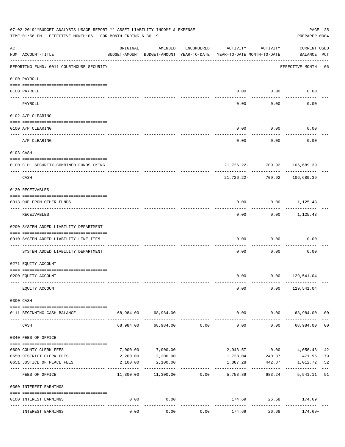|     | 07-02-2019**BUDGET ANALYSIS USAGE REPORT ** ASSET LIABILITY INCOME & EXPENSE<br>TIME:01:56 PM - EFFECTIVE MONTH:06 - FOR MONTH ENDING 6-30-19 |           |                                                     |            |                                        |                                   | PREPARER: 0004                          | PAGE 25        |
|-----|-----------------------------------------------------------------------------------------------------------------------------------------------|-----------|-----------------------------------------------------|------------|----------------------------------------|-----------------------------------|-----------------------------------------|----------------|
| ACT | NUM ACCOUNT-TITLE                                                                                                                             | ORIGINAL  | AMENDED<br>BUDGET-AMOUNT BUDGET-AMOUNT YEAR-TO-DATE | ENCUMBERED | ACTIVITY<br>YEAR-TO-DATE MONTH-TO-DATE | ACTIVITY                          | <b>CURRENT USED</b><br>BALANCE PCT      |                |
|     | REPORTING FUND: 0011 COURTHOUSE SECURITY                                                                                                      |           |                                                     |            |                                        |                                   | EFFECTIVE MONTH - 06                    |                |
|     | 0100 PAYROLL                                                                                                                                  |           |                                                     |            |                                        |                                   |                                         |                |
|     | 0100 PAYROLL                                                                                                                                  |           |                                                     |            | 0.00                                   | 0.00                              | 0.00                                    |                |
|     | ------------------------- --------<br>---- ----<br>PAYROLL                                                                                    |           |                                                     |            | 0.00                                   | -------<br>0.00                   | 0.00                                    |                |
|     | 0102 A/P CLEARING                                                                                                                             |           |                                                     |            |                                        |                                   |                                         |                |
|     | 0100 A/P CLEARING                                                                                                                             |           |                                                     |            | 0.00                                   | 0.00                              | 0.00                                    |                |
|     | A/P CLEARING                                                                                                                                  |           |                                                     |            | 0.00                                   | 0.00                              | 0.00                                    |                |
|     | 0103 CASH                                                                                                                                     |           |                                                     |            |                                        |                                   |                                         |                |
|     | 0100 C.H. SECURITY-COMBINED FUNDS CKING                                                                                                       |           |                                                     |            |                                        | 21,726.22- 709.92                 | 106,689.39                              |                |
|     | CASH                                                                                                                                          |           |                                                     |            |                                        | ------------<br>21,726.22- 709.92 | ---------<br>106,689.39                 |                |
|     | 0120 RECEIVABLES                                                                                                                              |           |                                                     |            |                                        |                                   |                                         |                |
|     | 0313 DUE FROM OTHER FUNDS                                                                                                                     |           |                                                     |            | 0.00                                   |                                   | $0.00$ 1,125.43                         |                |
|     | RECEIVABLES                                                                                                                                   |           |                                                     |            | 0.00                                   | ---------                         | -----------<br>$0.00$ 1,125.43          |                |
|     | 0200 SYSTEM ADDED LIABILITY DEPARTMENT                                                                                                        |           |                                                     |            |                                        |                                   |                                         |                |
|     | 0910 SYSTEM ADDED LIABILITY LINE-ITEM                                                                                                         |           |                                                     |            | 0.00                                   | 0.00                              | 0.00                                    |                |
|     | SYSTEM ADDED LIABILITY DEPARTMENT                                                                                                             |           |                                                     |            | 0.00                                   | 0.00                              | 0.00                                    |                |
|     | 0271 EQUITY ACCOUNT                                                                                                                           |           |                                                     |            |                                        |                                   |                                         |                |
|     | 0200 EQUITY ACCOUNT                                                                                                                           |           |                                                     |            |                                        |                                   | $0.00$ $0.00$ $129,541.04$              |                |
|     | EQUITY ACCOUNT                                                                                                                                |           |                                                     |            | 0.00                                   |                                   | $0.00$ 129,541.04                       |                |
|     | 0300 CASH                                                                                                                                     |           |                                                     |            |                                        |                                   |                                         |                |
|     | 0111 BEGINNING CASH BALANCE                                                                                                                   |           | 68,984.00 68,984.00                                 |            | 0.00                                   |                                   | $0.00$ 68,984.00 00                     |                |
|     | CASH                                                                                                                                          | 68,984.00 | -------------<br>68,984.00                          | 0.00       | -------------<br>0.00                  | .<br>0.00                         | 68,984.00                               | 0 <sub>0</sub> |
|     | 0340 FEES OF OFFICE                                                                                                                           |           |                                                     |            |                                        |                                   |                                         |                |
|     | 0600 COUNTY CLERK FEES                                                                                                                        | 7,000.00  | 7,000.00                                            |            |                                        | 2,943.57 0.00                     | 4,056.43                                | 42             |
|     | 0650 DISTRICT CLERK FEES                                                                                                                      | 2,200.00  | 2,200.00                                            |            | 1,728.04                               | 240.37                            | 471.96                                  | 79             |
|     | 0651 JUSTICE OF PEACE FEES<br>-------------------- -------------                                                                              | 2,100.00  | 2,100.00<br>-----------                             |            | 1,087.28<br>. <u>.</u> .               | 442.87                            | 1,012.72<br>------------- ------------- | 52             |
|     | FEES OF OFFICE                                                                                                                                |           | $11,300.00$ $11,300.00$                             | 0.00       | 5,758.89                               | 683.24                            | 5,541.11                                | 51             |
|     | 0360 INTEREST EARNINGS                                                                                                                        |           |                                                     |            |                                        |                                   |                                         |                |
|     | 0100 INTEREST EARNINGS                                                                                                                        | 0.00      | 0.00<br>$- - - - -$                                 |            | -------------                          | ------------                      | 174.69 26.68 174.69+                    |                |
|     | INTEREST EARNINGS                                                                                                                             | 0.00      | 0.00                                                | 0.00       | 174.69                                 | 26.68                             | $174.69+$                               |                |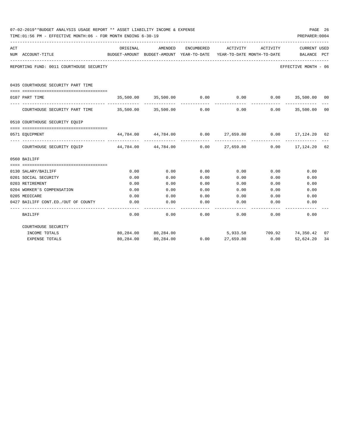|     | 07-02-2019**BUDGET ANALYSIS USAGE REPORT ** ASSET LIABILITY INCOME & EXPENSE<br>TIME:01:56 PM - EFFECTIVE MONTH:06 - FOR MONTH ENDING 6-30-19 |                          |                                                            |             |                       |                                        |                                                               |     |  |  |
|-----|-----------------------------------------------------------------------------------------------------------------------------------------------|--------------------------|------------------------------------------------------------|-------------|-----------------------|----------------------------------------|---------------------------------------------------------------|-----|--|--|
| ACT | NUM ACCOUNT-TITLE                                                                                                                             | ORIGINAL                 | <b>AMENDED</b><br>BUDGET-AMOUNT BUDGET-AMOUNT YEAR-TO-DATE | ENCUMBERED  | ACTIVITY              | ACTIVITY<br>YEAR-TO-DATE MONTH-TO-DATE | <b>CURRENT USED</b><br>BALANCE                                | PCT |  |  |
|     | REPORTING FUND: 0011 COURTHOUSE SECURITY                                                                                                      |                          |                                                            |             |                       |                                        | EFFECTIVE MONTH - 06                                          |     |  |  |
|     | 0435 COURTHOUSE SECURITY PART TIME<br>--------------------------------------                                                                  |                          |                                                            |             |                       |                                        |                                                               |     |  |  |
|     | 0107 PART TIME                                                                                                                                | 35,500.00 35,500.00 0.00 |                                                            |             |                       |                                        | $0.00$ $0.00$ $35,500.00$ $00$                                |     |  |  |
|     | COURTHOUSE SECURITY PART TIME 35,500.00 35,500.00                                                                                             |                          |                                                            | 0.00        | 0.00                  | 0.00                                   | 35,500.00                                                     | 00  |  |  |
|     | 0510 COURTHOUSE SECURITY EQUIP                                                                                                                |                          |                                                            |             |                       |                                        |                                                               |     |  |  |
|     | 0571 EOUIPMENT                                                                                                                                |                          |                                                            |             |                       |                                        | $44,784.00$ $44,784.00$ $0.00$ $27,659.80$ $0.00$ $17,124.20$ | -62 |  |  |
|     | COURTHOUSE SECURITY EQUIP 44,784.00 44,784.00 0.00                                                                                            |                          |                                                            | ----------- |                       | -------------                          | 27,659.80 0.00 17,124.20                                      | 62  |  |  |
|     | 0560 BAILIFF                                                                                                                                  |                          |                                                            |             |                       |                                        |                                                               |     |  |  |
|     |                                                                                                                                               | 0.00                     | 0.00                                                       | 0.00        | 0.00                  | 0.00                                   | 0.00                                                          |     |  |  |
|     | 0130 SALARY/BAILIFF<br>0201 SOCIAL SECURITY                                                                                                   | 0.00                     | 0.00                                                       | 0.00        | 0.00                  | 0.00                                   | 0.00                                                          |     |  |  |
|     | 0203 RETIREMENT                                                                                                                               | 0.00                     | 0.00                                                       | 0.00        | 0.00                  | 0.00                                   | 0.00                                                          |     |  |  |
|     | 0204 WORKER'S COMPENSATION                                                                                                                    | 0.00                     | 0.00                                                       | 0.00        | 0.00                  | 0.00                                   | 0.00                                                          |     |  |  |
|     | 0205 MEDICARE                                                                                                                                 | 0.00                     | 0.00                                                       | 0.00        | 0.00                  | 0.00                                   | 0.00                                                          |     |  |  |
|     | 0427 BAILIFF CONT.ED./OUT OF COUNTY                                                                                                           | 0.00                     | 0.00                                                       | 0.00        | 0.00                  | 0.00                                   | 0.00                                                          |     |  |  |
|     | BAILIFF                                                                                                                                       | 0.00                     | 0.00                                                       | 0.00        | 0.00                  | 0.00                                   | 0.00                                                          |     |  |  |
|     | COURTHOUSE SECURITY                                                                                                                           |                          |                                                            |             |                       |                                        |                                                               |     |  |  |
|     | INCOME TOTALS                                                                                                                                 |                          | 80,284.00 80,284.00                                        |             |                       |                                        | 5,933.58 709.92 74,350.42                                     | 07  |  |  |
|     | <b>EXPENSE TOTALS</b>                                                                                                                         |                          | 80,284.00 80,284.00                                        |             | $0.00$ 27,659.80 0.00 |                                        | 52,624.20                                                     | 34  |  |  |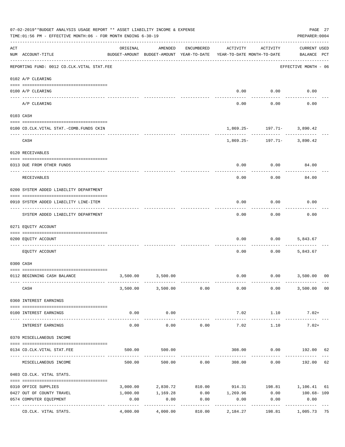|     | 07-02-2019**BUDGET ANALYSIS USAGE REPORT ** ASSET LIABILITY INCOME & EXPENSE<br>TIME: 01:56 PM - EFFECTIVE MONTH: 06 - FOR MONTH ENDING 6-30-19 |                                       |                                                     |             |                                        |                                                                | PAGE 27<br>PREPARER: 0004          |                |
|-----|-------------------------------------------------------------------------------------------------------------------------------------------------|---------------------------------------|-----------------------------------------------------|-------------|----------------------------------------|----------------------------------------------------------------|------------------------------------|----------------|
| ACT | NUM ACCOUNT-TITLE                                                                                                                               | ORIGINAL                              | AMENDED<br>BUDGET-AMOUNT BUDGET-AMOUNT YEAR-TO-DATE | ENCUMBERED  | ACTIVITY<br>YEAR-TO-DATE MONTH-TO-DATE | ACTIVITY                                                       | <b>CURRENT USED</b><br>BALANCE PCT |                |
|     | REPORTING FUND: 0012 CO.CLK.VITAL STAT.FEE                                                                                                      |                                       |                                                     |             |                                        |                                                                | EFFECTIVE MONTH - 06               |                |
|     | 0102 A/P CLEARING                                                                                                                               |                                       |                                                     |             |                                        |                                                                |                                    |                |
|     | 0100 A/P CLEARING                                                                                                                               |                                       |                                                     |             | 0.00                                   | 0.00                                                           | 0.00                               |                |
|     | ---- ----------<br>A/P CLEARING                                                                                                                 |                                       |                                                     |             | 0.00                                   | 0.00                                                           | 0.00                               |                |
|     | 0103 CASH                                                                                                                                       |                                       |                                                     |             |                                        |                                                                |                                    |                |
|     | 0100 CO.CLK.VITAL STAT.-COMB.FUNDS CKIN                                                                                                         |                                       |                                                     |             |                                        | $1,869.25 - 197.71 - 3,890.42$                                 |                                    |                |
|     | CASH                                                                                                                                            |                                       |                                                     |             |                                        | -----------<br>$1,869.25 - 197.71 - 3,890.42$                  |                                    |                |
|     | 0120 RECEIVABLES                                                                                                                                |                                       |                                                     |             |                                        |                                                                |                                    |                |
|     | 0313 DUE FROM OTHER FUNDS                                                                                                                       |                                       |                                                     |             | 0.00                                   | 0.00                                                           | 84.00                              |                |
|     | RECEIVABLES                                                                                                                                     |                                       |                                                     |             | 0.00                                   | 0.00                                                           | 84.00                              |                |
|     | 0200 SYSTEM ADDED LIABILITY DEPARTMENT                                                                                                          |                                       |                                                     |             |                                        |                                                                |                                    |                |
|     | 0910 SYSTEM ADDED LIABILITY LINE-ITEM                                                                                                           |                                       |                                                     |             | 0.00                                   | 0.00                                                           | 0.00                               |                |
|     | SYSTEM ADDED LIABILITY DEPARTMENT                                                                                                               |                                       |                                                     |             | 0.00                                   | 0.00                                                           | 0.00                               |                |
|     | 0271 EQUITY ACCOUNT                                                                                                                             |                                       |                                                     |             |                                        |                                                                |                                    |                |
|     | 0200 EQUITY ACCOUNT                                                                                                                             |                                       |                                                     |             | 0.00                                   | 0.00                                                           | 5,843.67                           |                |
|     | EQUITY ACCOUNT                                                                                                                                  |                                       |                                                     |             | 0.00                                   | 0.00                                                           | 5,843.67                           |                |
|     | 0300 CASH                                                                                                                                       |                                       |                                                     |             |                                        |                                                                |                                    |                |
|     | 0112 BEGINNING CASH BALANCE                                                                                                                     |                                       | 3,500.00 3,500.00                                   |             |                                        | $0.00$ $0.00$ $3,500.00$                                       |                                    | 0 <sup>0</sup> |
|     | CASH                                                                                                                                            |                                       | 3,500.00 3,500.00 0.00                              |             | 0.00                                   | 0.00                                                           | 3,500.00 00                        |                |
|     | 0360 INTEREST EARNINGS                                                                                                                          |                                       |                                                     |             |                                        |                                                                |                                    |                |
|     | 0100 INTEREST EARNINGS                                                                                                                          | 0.00                                  | 0.00                                                |             | 7.02                                   | 1.10                                                           | $7.02+$                            |                |
|     | INTEREST EARNINGS                                                                                                                               | -------------- --------------<br>0.00 | .<br>0.00                                           | 0.00        | -------------<br>7.02                  | ----------<br>1.10                                             | $7.02+$                            |                |
|     | 0370 MISCELLANEOUS INCOME                                                                                                                       |                                       |                                                     |             |                                        |                                                                |                                    |                |
|     | 0134 CO. CLK. VITAL STAT. FEE                                                                                                                   | 500.00                                | 500.00                                              |             |                                        | 308.00   0.00   192.00                                         |                                    | 62             |
|     | MISCELLANEOUS INCOME                                                                                                                            |                                       | 500.00                                              | 500.00 0.00 | 308.00                                 | 0.00                                                           | 192.00                             | 62             |
|     | 0403 CO.CLK. VITAL STATS.                                                                                                                       |                                       |                                                     |             |                                        |                                                                |                                    |                |
|     | 0310 OFFICE SUPPLIES                                                                                                                            |                                       |                                                     |             |                                        | $3,000.00$ $2,830.72$ $810.00$ $914.31$ $198.81$ $1,106.41$ 61 |                                    |                |
|     | 0427 OUT OF COUNTY TRAVEL                                                                                                                       | 1,000.00                              | 1,169.28                                            |             | $0.00$ 1,269.96 0.00                   |                                                                | 100.68-109                         |                |
|     | 0574 COMPUTER EQUIPMENT                                                                                                                         | 0.00                                  | 0.00                                                | 0.00        | 0.00                                   | 0.00                                                           | 0.00                               |                |
|     | CO.CLK. VITAL STATS.                                                                                                                            | 4,000.00                              | . <u>.</u> .<br>4,000.00                            | 810.00      | .<br>2,184.27                          | -----------<br>198.81                                          | ------------<br>1,005.73 75        |                |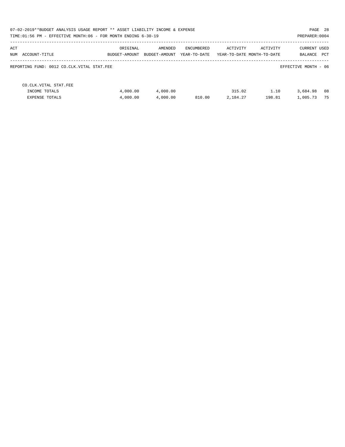|                                                             | PAGE 28<br>07-02-2019**BUDGET ANALYSIS USAGE REPORT ** ASSET LIABILITY INCOME & EXPENSE<br>TIME:01:56 PM - EFFECTIVE MONTH:06 - FOR MONTH ENDING 6-30-19<br>PREPARER: 0004 |                          |                            |                    |                                        |                                       |  |  |  |  |
|-------------------------------------------------------------|----------------------------------------------------------------------------------------------------------------------------------------------------------------------------|--------------------------|----------------------------|--------------------|----------------------------------------|---------------------------------------|--|--|--|--|
| ACT<br>NUM ACCOUNT-TITLE                                    | ORIGINAL<br>BUDGET-AMOUNT                                                                                                                                                  | AMENDED<br>BUDGET-AMOUNT | ENCUMBERED<br>YEAR-TO-DATE | ACTIVITY           | ACTIVITY<br>YEAR-TO-DATE MONTH-TO-DATE | <b>CURRENT USED</b><br>PCT<br>BALANCE |  |  |  |  |
| REPORTING FUND: 0012 CO.CLK.VITAL STAT.FEE                  |                                                                                                                                                                            |                          |                            |                    |                                        | EFFECTIVE MONTH - 06                  |  |  |  |  |
| CO. CLK. VITAL STAT. FEE<br>INCOME TOTALS<br>EXPENSE TOTALS | 4,000.00<br>4,000.00                                                                                                                                                       | 4,000.00<br>4,000.00     | 810.00                     | 315.02<br>2,184.27 | 1.10<br>198.81                         | 08<br>3,684.98<br>75<br>1,005.73      |  |  |  |  |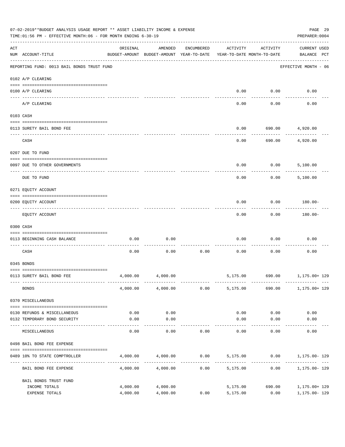|     | 07-02-2019**BUDGET ANALYSIS USAGE REPORT ** ASSET LIABILITY INCOME & EXPENSE<br>TIME: 01:56 PM - EFFECTIVE MONTH: 06 - FOR MONTH ENDING 6-30-19 |          |                                                     |            |                                        |                   | PAGE 29<br>PREPARER: 0004                 |
|-----|-------------------------------------------------------------------------------------------------------------------------------------------------|----------|-----------------------------------------------------|------------|----------------------------------------|-------------------|-------------------------------------------|
| ACT | NUM ACCOUNT-TITLE                                                                                                                               | ORIGINAL | AMENDED<br>BUDGET-AMOUNT BUDGET-AMOUNT YEAR-TO-DATE | ENCUMBERED | ACTIVITY<br>YEAR-TO-DATE MONTH-TO-DATE | ACTIVITY          | <b>CURRENT USED</b><br>BALANCE PCT        |
|     | REPORTING FUND: 0013 BAIL BONDS TRUST FUND                                                                                                      |          |                                                     |            |                                        |                   | EFFECTIVE MONTH - 06                      |
|     | 0102 A/P CLEARING                                                                                                                               |          |                                                     |            |                                        |                   |                                           |
|     | 0100 A/P CLEARING<br>---- ---------                                                                                                             |          |                                                     |            | 0.00                                   | 0.00              | 0.00                                      |
|     | A/P CLEARING                                                                                                                                    |          |                                                     |            | 0.00                                   | 0.00              | 0.00                                      |
|     | 0103 CASH                                                                                                                                       |          |                                                     |            |                                        |                   |                                           |
|     | 0113 SURETY BAIL BOND FEE                                                                                                                       |          |                                                     |            | 0.00                                   | 690.00            | 4,920.00                                  |
|     | CASH                                                                                                                                            |          |                                                     |            | 0.00                                   | 690.00            | 4,920.00                                  |
|     | 0207 DUE TO FUND                                                                                                                                |          |                                                     |            |                                        |                   |                                           |
|     | 0097 DUE TO OTHER GOVERNMENTS                                                                                                                   |          |                                                     |            | 0.00                                   | 0.00              | 5,100.00                                  |
|     | DUE TO FUND                                                                                                                                     |          |                                                     |            | 0.00                                   | 0.00              | 5,100.00                                  |
|     | 0271 EQUITY ACCOUNT                                                                                                                             |          |                                                     |            |                                        |                   |                                           |
|     | 0200 EQUITY ACCOUNT                                                                                                                             |          |                                                     |            | 0.00                                   | 0.00              | 180.00-                                   |
|     | EQUITY ACCOUNT                                                                                                                                  |          |                                                     |            | 0.00                                   | 0.00              | 180.00-                                   |
|     | 0300 CASH                                                                                                                                       |          |                                                     |            |                                        |                   |                                           |
|     | 0113 BEGINNING CASH BALANCE                                                                                                                     | 0.00     | 0.00                                                |            | 0.00                                   | 0.00              | 0.00                                      |
|     | CASH                                                                                                                                            | 0.00     | 0.00                                                | 0.00       | 0.00                                   | 0.00              | 0.00                                      |
|     | 0345 BONDS                                                                                                                                      |          |                                                     |            |                                        |                   |                                           |
|     | 0113 SURETY BAIL BOND FEE                                                                                                                       | 4,000.00 | 4,000.00                                            |            |                                        |                   | 5,175.00 690.00 1,175.00+ 129             |
|     | <b>BONDS</b>                                                                                                                                    |          | 4,000.00 4,000.00                                   | 0.00       | 5,175.00                               |                   | 690.00 1,175.00+ 129                      |
|     | 0370 MISCELLANEOUS                                                                                                                              |          |                                                     |            |                                        |                   |                                           |
|     | 0130 REFUNDS & MISCELLANEOUS                                                                                                                    | 0.00     | 0.00                                                |            | 0.00                                   | 0.00              | 0.00                                      |
|     | 0132 TEMPORARY BOND SECURITY                                                                                                                    | 0.00     | 0.00                                                |            | 0.00                                   | 0.00              | 0.00                                      |
|     | MISCELLANEOUS                                                                                                                                   | 0.00     | ----------<br>0.00                                  | 0.00       | -----------<br>0.00                    | ---------<br>0.00 | 0.00                                      |
|     | 0498 BAIL BOND FEE EXPENSE                                                                                                                      |          |                                                     |            |                                        |                   |                                           |
|     | 0489 10% TO STATE COMPTROLLER                                                                                                                   |          | 4,000.00 4,000.00                                   |            |                                        |                   | $0.00$ $5,175.00$ $0.00$ $1,175.00$ $129$ |
|     | BAIL BOND FEE EXPENSE                                                                                                                           | 4,000.00 | 4,000.00                                            | 0.00       | 5,175.00                               | 0.00              | 1,175.00- 129                             |
|     | BAIL BONDS TRUST FUND                                                                                                                           |          |                                                     |            |                                        |                   |                                           |
|     | INCOME TOTALS                                                                                                                                   | 4,000.00 | 4,000.00                                            |            | 5,175.00                               | 690.00            | 1,175.00+ 129                             |
|     | EXPENSE TOTALS                                                                                                                                  | 4,000.00 | 4,000.00                                            | 0.00       | 5,175.00                               | 0.00              | 1,175.00- 129                             |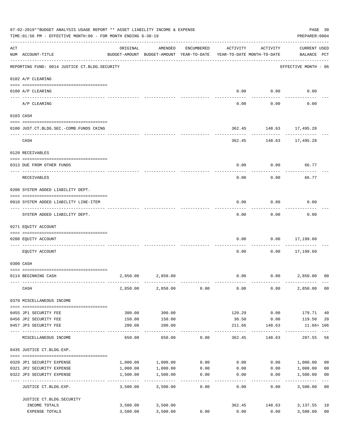|     | 07-02-2019**BUDGET ANALYSIS USAGE REPORT ** ASSET LIABILITY INCOME & EXPENSE<br>TIME: 01:56 PM - EFFECTIVE MONTH: 06 - FOR MONTH ENDING 6-30-19<br>PREPARER: 0004<br>---------------- |                             |                                                                                |                         |          |                   |                                    |                           |  |
|-----|---------------------------------------------------------------------------------------------------------------------------------------------------------------------------------------|-----------------------------|--------------------------------------------------------------------------------|-------------------------|----------|-------------------|------------------------------------|---------------------------|--|
| ACT | NUM ACCOUNT-TITLE                                                                                                                                                                     | ORIGINAL                    | AMENDED<br>BUDGET-AMOUNT BUDGET-AMOUNT YEAR-TO-DATE YEAR-TO-DATE MONTH-TO-DATE | ENCUMBERED              | ACTIVITY | ACTIVITY          | <b>CURRENT USED</b><br>BALANCE PCT |                           |  |
|     | REPORTING FUND: 0014 JUSTICE CT. BLDG. SECURITY                                                                                                                                       |                             |                                                                                |                         |          |                   | EFFECTIVE MONTH - 06               |                           |  |
|     | 0102 A/P CLEARING                                                                                                                                                                     |                             |                                                                                |                         |          |                   |                                    |                           |  |
|     | 0100 A/P CLEARING                                                                                                                                                                     |                             |                                                                                |                         | 0.00     | 0.00              | 0.00                               |                           |  |
|     | A/P CLEARING                                                                                                                                                                          |                             |                                                                                |                         | 0.00     | 0.00              | 0.00                               |                           |  |
|     | 0103 CASH                                                                                                                                                                             |                             |                                                                                |                         |          |                   |                                    |                           |  |
|     | 0100 JUST.CT.BLDG.SEC.-COMB.FUNDS CKING                                                                                                                                               |                             |                                                                                |                         |          |                   | 362.45 148.63 17,495.28            |                           |  |
|     | ---------------------------------<br>CASH                                                                                                                                             |                             |                                                                                |                         |          | ---------         | 362.45 148.63 17,495.28            |                           |  |
|     | 0120 RECEIVABLES                                                                                                                                                                      |                             |                                                                                |                         |          |                   |                                    |                           |  |
|     |                                                                                                                                                                                       |                             |                                                                                |                         |          |                   |                                    |                           |  |
|     | 0313 DUE FROM OTHER FUNDS                                                                                                                                                             |                             |                                                                                |                         | 0.00     | 0.00              | 66.77                              |                           |  |
|     | RECEIVABLES                                                                                                                                                                           |                             |                                                                                |                         | 0.00     | 0.00              | 66.77                              |                           |  |
|     | 0200 SYSTEM ADDED LIABILITY DEPT.                                                                                                                                                     |                             |                                                                                |                         |          |                   |                                    |                           |  |
|     | 0910 SYSTEM ADDED LIABILITY LINE-ITEM                                                                                                                                                 |                             |                                                                                |                         | 0.00     | 0.00              | 0.00                               |                           |  |
|     | SYSTEM ADDED LIABILITY DEPT.                                                                                                                                                          |                             |                                                                                |                         | 0.00     | 0.00              | 0.00                               |                           |  |
|     | 0271 EQUITY ACCOUNT                                                                                                                                                                   |                             |                                                                                |                         |          |                   |                                    |                           |  |
|     | 0200 EQUITY ACCOUNT                                                                                                                                                                   |                             |                                                                                |                         | 0.00     | 0.00              | 17,199.60                          |                           |  |
|     | EOUITY ACCOUNT                                                                                                                                                                        |                             |                                                                                |                         | 0.00     | 0.00              | ---------<br>17,199.60             |                           |  |
|     | 0300 CASH                                                                                                                                                                             |                             |                                                                                |                         |          |                   |                                    |                           |  |
|     |                                                                                                                                                                                       |                             |                                                                                |                         |          |                   |                                    |                           |  |
|     | 0114 BEGINNING CASH                                                                                                                                                                   | 2,850.00                    | 2,850.00                                                                       |                         | 0.00     | 0.00              | 2,850.00                           | 00                        |  |
|     | CASH                                                                                                                                                                                  | 2,850.00                    | 2,850.00                                                                       | 0.00                    | 0.00     | 0.00              | 2,850.00                           | 0 <sub>0</sub>            |  |
|     | 0370 MISCELLANEOUS INCOME                                                                                                                                                             |                             |                                                                                |                         |          |                   |                                    |                           |  |
|     | 0455 JP1 SECURITY FEE                                                                                                                                                                 | 300.00                      | 300.00                                                                         |                         | 120.29   | 0.00              | 179.71                             | 40                        |  |
|     | 0456 JP2 SECURITY FEE                                                                                                                                                                 | 150.00                      | 150.00                                                                         |                         | 30.50    | 0.00              | 119.50                             | 20                        |  |
|     | 0457 JP3 SECURITY FEE<br>----- -------------                                                                                                                                          | 200.00                      | 200.00                                                                         |                         | 211.66   | 148.63<br>------- | 11.66+ 106                         |                           |  |
|     | MISCELLANEOUS INCOME                                                                                                                                                                  | 650.00                      | 650.00                                                                         | 0.00                    | 362.45   | 148.63            | 287.55                             | 56                        |  |
|     | 0435 JUSTICE CT.BLDG.EXP.                                                                                                                                                             |                             |                                                                                |                         |          |                   |                                    |                           |  |
|     | 0320 JP1 SECURITY EXPENSE                                                                                                                                                             | 1,000.00                    | 1,000.00                                                                       | 0.00                    | 0.00     |                   | 0.00 1,000.00                      | 0 <sub>0</sub>            |  |
|     | 0321 JP2 SECURITY EXPENSE                                                                                                                                                             | 1,000.00                    | 1,000.00                                                                       | 0.00                    | 0.00     | 0.00              | 1,000.00                           | 0 <sub>0</sub>            |  |
|     | 0322 JP3 SECURITY EXPENSE                                                                                                                                                             | 1,500.00<br>- ------------- | 1,500.00<br>----------                                                         | 0.00<br>$- - - - - - -$ | 0.00     | 0.00              | 1,500.00<br>-----------            | 0 <sub>0</sub><br>$- - -$ |  |
|     | JUSTICE CT.BLDG.EXP.                                                                                                                                                                  | 3,500.00                    | 3,500.00                                                                       | 0.00                    | 0.00     | 0.00              | 3,500.00                           | 0 <sub>0</sub>            |  |
|     | JUSTICE CT.BLDG.SECURITY                                                                                                                                                              |                             |                                                                                |                         |          |                   |                                    |                           |  |
|     | INCOME TOTALS                                                                                                                                                                         | 3,500.00                    | 3,500.00                                                                       |                         | 362.45   | 148.63            | 3,137.55                           | 10                        |  |
|     | EXPENSE TOTALS                                                                                                                                                                        | 3,500.00                    | 3,500.00                                                                       | 0.00                    | 0.00     | 0.00              | 3,500.00                           | 0 <sub>0</sub>            |  |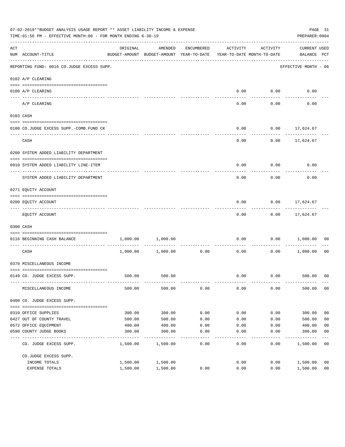|     | 07-02-2019**BUDGET ANALYSIS USAGE REPORT ** ASSET LIABILITY INCOME & EXPENSE<br>TIME: 01:56 PM - EFFECTIVE MONTH: 06 - FOR MONTH ENDING 6-30-19 |          |                                                     |                             |                                        |          | PREPARER: 0004                     | PAGE 31        |
|-----|-------------------------------------------------------------------------------------------------------------------------------------------------|----------|-----------------------------------------------------|-----------------------------|----------------------------------------|----------|------------------------------------|----------------|
| ACT | NUM ACCOUNT-TITLE                                                                                                                               | ORIGINAL | AMENDED<br>BUDGET-AMOUNT BUDGET-AMOUNT YEAR-TO-DATE | ENCUMBERED                  | ACTIVITY<br>YEAR-TO-DATE MONTH-TO-DATE | ACTIVITY | <b>CURRENT USED</b><br>BALANCE PCT |                |
|     | REPORTING FUND: 0016 CO.JUDGE EXCESS SUPP.                                                                                                      |          |                                                     |                             |                                        |          | EFFECTIVE MONTH - 06               |                |
|     | 0102 A/P CLEARING                                                                                                                               |          |                                                     |                             |                                        |          |                                    |                |
|     | 0100 A/P CLEARING                                                                                                                               |          |                                                     |                             | 0.00                                   | 0.00     | 0.00                               |                |
|     | ---- -------                                                                                                                                    |          |                                                     |                             |                                        |          |                                    |                |
|     | A/P CLEARING                                                                                                                                    |          |                                                     |                             | 0.00                                   | 0.00     | 0.00                               |                |
|     | 0103 CASH                                                                                                                                       |          |                                                     |                             |                                        |          |                                    |                |
|     |                                                                                                                                                 |          |                                                     |                             | 0.00                                   | 0.00     |                                    |                |
|     | 0100 CO.JUDGE EXCESS SUPP.-COMB.FUND CK                                                                                                         |          |                                                     |                             |                                        |          | 17,624.67                          |                |
|     | CASH                                                                                                                                            |          |                                                     |                             | 0.00                                   | 0.00     | 17,624.67                          |                |
|     | 0200 SYSTEM ADDED LIABILITY DEPARTMENT                                                                                                          |          |                                                     |                             |                                        |          |                                    |                |
|     | 0910 SYSTEM ADDED LIABILITY LINE-ITEM                                                                                                           |          |                                                     |                             | 0.00                                   | 0.00     | 0.00                               |                |
|     |                                                                                                                                                 |          |                                                     |                             |                                        |          |                                    |                |
|     | SYSTEM ADDED LIABILITY DEPARTMENT                                                                                                               |          |                                                     |                             | 0.00                                   | 0.00     | 0.00                               |                |
|     | 0271 EQUITY ACCOUNT                                                                                                                             |          |                                                     |                             |                                        |          |                                    |                |
|     | 0200 EQUITY ACCOUNT                                                                                                                             |          |                                                     |                             | 0.00                                   | 0.00     | 17,624.67                          |                |
|     | EQUITY ACCOUNT                                                                                                                                  |          |                                                     |                             | 0.00                                   |          | $0.00$ 17,624.67                   |                |
|     | 0300 CASH                                                                                                                                       |          |                                                     |                             |                                        |          |                                    |                |
|     | 0116 BEGINNING CASH BALANCE                                                                                                                     | 1,000.00 | 1,000.00                                            |                             | 0.00                                   | 0.00     | 1,000.00                           | 00             |
|     | CASH                                                                                                                                            | 1,000.00 | 1,000.00                                            | ------------ ------<br>0.00 | 0.00                                   | 0.00     | 1,000.00                           | 0 <sub>0</sub> |
|     | 0370 MISCELLANEOUS INCOME                                                                                                                       |          |                                                     |                             |                                        |          |                                    |                |
|     |                                                                                                                                                 |          |                                                     |                             |                                        |          |                                    |                |
|     | 0149 CO. JUDGE EXCESS SUPP.                                                                                                                     |          | 500.00 500.00                                       |                             | 0.00                                   |          | $0.00$ 500.00 00                   |                |
|     | MISCELLANEOUS INCOME                                                                                                                            | 500.00   | 500.00                                              | 0.00                        | 0.00                                   | 0.00     | 500.00                             | 0 <sub>0</sub> |
|     | 0400 CO. JUDGE EXCESS SUPP.                                                                                                                     |          |                                                     |                             |                                        |          |                                    |                |
|     | 0310 OFFICE SUPPLIES                                                                                                                            | 300.00   | 300.00                                              | 0.00                        | 0.00                                   | 0.00     | 300.00                             | 0 <sub>0</sub> |
|     | 0427 OUT OF COUNTY TRAVEL                                                                                                                       | 500.00   | 500.00                                              | 0.00                        | 0.00                                   | 0.00     | 500.00                             | 0 <sub>0</sub> |
|     | 0572 OFFICE EQUIPMENT                                                                                                                           | 400.00   | 400.00                                              | 0.00                        | 0.00                                   | 0.00     | 400.00                             | 0 <sub>0</sub> |
|     | 0590 COUNTY JUDGE BOOKS                                                                                                                         | 300.00   | 300.00                                              | 0.00                        | 0.00                                   | 0.00     | 300.00                             | 0 <sub>0</sub> |
|     | CO. JUDGE EXCESS SUPP.                                                                                                                          | 1,500.00 | 1,500.00                                            | $- - - -$<br>0.00           | 0.00                                   | 0.00     | --------<br>1,500.00               | 00             |
|     | CO.JUDGE EXCESS SUPP.                                                                                                                           |          |                                                     |                             |                                        |          |                                    |                |
|     | INCOME TOTALS                                                                                                                                   | 1,500.00 | 1,500.00                                            |                             | 0.00                                   | 0.00     | 1,500.00                           | 0 <sub>0</sub> |
|     | EXPENSE TOTALS                                                                                                                                  | 1,500.00 | 1,500.00                                            | 0.00                        | 0.00                                   | 0.00     | 1,500.00                           | 0 <sub>0</sub> |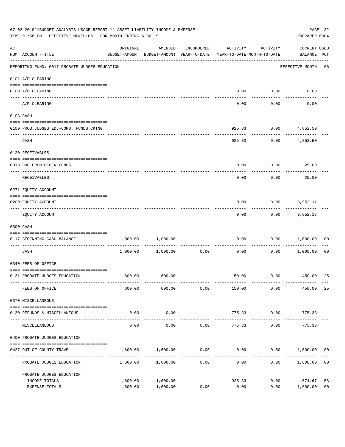|     | 07-02-2019**BUDGET ANALYSIS USAGE REPORT ** ASSET LIABILITY INCOME & EXPENSE<br>TIME:01:56 PM - EFFECTIVE MONTH:06 - FOR MONTH ENDING 6-30-19 |                      |                                                                                |            |                         |                    | PREPARER: 0004                          | PAGE 32        |
|-----|-----------------------------------------------------------------------------------------------------------------------------------------------|----------------------|--------------------------------------------------------------------------------|------------|-------------------------|--------------------|-----------------------------------------|----------------|
| ACT | NUM ACCOUNT-TITLE                                                                                                                             | ORIGINAL             | AMENDED<br>BUDGET-AMOUNT BUDGET-AMOUNT YEAR-TO-DATE YEAR-TO-DATE MONTH-TO-DATE | ENCUMBERED | ACTIVITY                | ACTIVITY           | <b>CURRENT USED</b><br>BALANCE PCT      |                |
|     | REPORTING FUND: 0017 PROBATE JUDGES EDUCATION                                                                                                 |                      |                                                                                |            |                         |                    | ---------------<br>EFFECTIVE MONTH - 06 |                |
|     | 0102 A/P CLEARING                                                                                                                             |                      |                                                                                |            |                         |                    |                                         |                |
|     | 0100 A/P CLEARING                                                                                                                             |                      |                                                                                |            |                         | $0.00$ $0.00$      | 0.00                                    |                |
|     | A/P CLEARING                                                                                                                                  |                      |                                                                                |            | 0.00                    | ----------<br>0.00 | 0.00                                    |                |
|     | 0103 CASH                                                                                                                                     |                      |                                                                                |            |                         |                    |                                         |                |
|     | 0100 PROB.JUDGES ED.-COMB. FUNDS CKING                                                                                                        |                      |                                                                                |            |                         |                    | 925.33 0.00 4,852.50                    |                |
|     | CASH                                                                                                                                          |                      |                                                                                |            | 925.33                  | ------------       | $0.00$ 4,852.50                         |                |
|     | 0120 RECEIVABLES                                                                                                                              |                      |                                                                                |            |                         |                    |                                         |                |
|     | 0313 DUE FROM OTHER FUNDS                                                                                                                     |                      |                                                                                |            | 0.00                    |                    | $0.00$ 25.00                            |                |
|     | RECEIVABLES                                                                                                                                   |                      |                                                                                |            | 0.00                    | 0.00               | 25.00                                   |                |
|     | 0271 EQUITY ACCOUNT                                                                                                                           |                      |                                                                                |            |                         |                    |                                         |                |
|     | 0200 EQUITY ACCOUNT                                                                                                                           |                      |                                                                                |            | 0.00                    |                    | $0.00$ 3,952.17                         |                |
|     | EQUITY ACCOUNT                                                                                                                                |                      |                                                                                |            | 0.00                    | ---------          | $0.00$ 3,952.17                         |                |
|     | 0300 CASH                                                                                                                                     |                      |                                                                                |            |                         |                    |                                         |                |
|     | 0117 BEGINNING CASH BALANCE                                                                                                                   | 1,000.00             | 1,000.00                                                                       |            | 0.00                    |                    | 0.00 1,000.00                           | 00             |
|     | ---------------------------- ------<br>CASH                                                                                                   |                      | 1,000.00 1,000.00                                                              | 0.00       | 0.00                    |                    | $0.00$ 1,000.00                         | 0 <sub>0</sub> |
|     | 0340 FEES OF OFFICE                                                                                                                           |                      |                                                                                |            |                         |                    |                                         |                |
|     | 0131 PROBATE JUDGES EDUCATION                                                                                                                 |                      | 600.00 600.00                                                                  |            |                         |                    | 150.00   0.00   450.00                  | 25             |
|     | FEES OF OFFICE                                                                                                                                | 600.00               | 600.00                                                                         | 0.00       | 150.00                  | 0.00               | 450.00                                  | 25             |
|     | 0370 MISCELLANEOUS                                                                                                                            |                      |                                                                                |            |                         |                    |                                         |                |
|     | 0130 REFUNDS & MISCELLANEOUS                                                                                                                  | 0.00                 | 0.00                                                                           |            | 775.33                  | 0.00               | $775.33+$                               |                |
|     | MISCELLANEOUS                                                                                                                                 | 0.00                 | . <u>.</u> .<br>0.00                                                           | 0.00       | -------------<br>775.33 | ----------<br>0.00 | $775.33+$                               |                |
|     | 0400 PROBATE JUDGES EDUCATION                                                                                                                 |                      |                                                                                |            |                         |                    |                                         |                |
|     | 0427 OUT OF COUNTY TRAVEL                                                                                                                     | 1,600.00             | 1,600.00                                                                       | 0.00       | 0.00                    | 0.00               | 1,600.00                                | 00             |
|     | PROBATE JUDGES EDUCATION                                                                                                                      |                      | 1,600.00 1,600.00                                                              | 0.00       | 0.00                    | 0.00               | 1,600.00                                | 0 <sub>0</sub> |
|     | PROBATE JUDGES EDUCATION                                                                                                                      |                      |                                                                                |            |                         |                    |                                         |                |
|     | INCOME TOTALS<br>EXPENSE TOTALS                                                                                                               | 1,600.00<br>1,600.00 | 1,600.00<br>1,600.00                                                           | 0.00       | 925.33<br>0.00          | 0.00<br>0.00       | 674.67<br>1,600.00                      | 58<br>00       |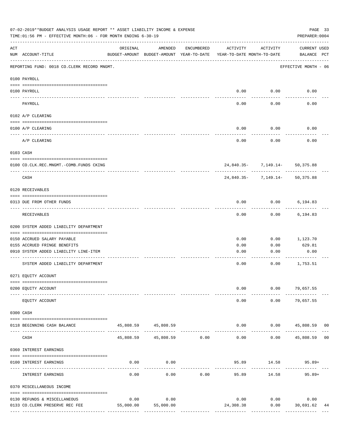|          | 07-02-2019**BUDGET ANALYSIS USAGE REPORT ** ASSET LIABILITY INCOME & EXPENSE<br>TIME: 01:56 PM - EFFECTIVE MONTH: 06 - FOR MONTH ENDING 6-30-19 |           |                                                     |               |                                        |                                | PAGE 33<br>PREPARER: 0004          |
|----------|-------------------------------------------------------------------------------------------------------------------------------------------------|-----------|-----------------------------------------------------|---------------|----------------------------------------|--------------------------------|------------------------------------|
| ACT      | NUM ACCOUNT-TITLE                                                                                                                               | ORIGINAL  | AMENDED<br>BUDGET-AMOUNT BUDGET-AMOUNT YEAR-TO-DATE | ENCUMBERED    | ACTIVITY<br>YEAR-TO-DATE MONTH-TO-DATE | ACTIVITY                       | <b>CURRENT USED</b><br>BALANCE PCT |
|          | REPORTING FUND: 0018 CO.CLERK RECORD MNGMT.                                                                                                     |           |                                                     |               |                                        |                                | EFFECTIVE MONTH - 06               |
|          | 0100 PAYROLL                                                                                                                                    |           |                                                     |               |                                        |                                |                                    |
| ---- --- | 0100 PAYROLL                                                                                                                                    |           |                                                     |               | 0.00                                   | 0.00                           | 0.00                               |
|          | PAYROLL                                                                                                                                         |           |                                                     |               | 0.00                                   | 0.00                           | 0.00                               |
|          | 0102 A/P CLEARING                                                                                                                               |           |                                                     |               |                                        |                                |                                    |
|          | 0100 A/P CLEARING                                                                                                                               |           |                                                     |               | 0.00                                   | 0.00                           | 0.00                               |
|          | A/P CLEARING                                                                                                                                    |           |                                                     |               | 0.00                                   | 0.00                           | 0.00                               |
|          | 0103 CASH                                                                                                                                       |           |                                                     |               |                                        |                                |                                    |
|          | 0100 CO.CLK.REC.MNGMT.-COMB.FUNDS CKING                                                                                                         |           |                                                     |               |                                        | 24,840.35- 7,149.14- 50,375.88 |                                    |
|          | ---------------------------------<br>CASH                                                                                                       |           |                                                     |               |                                        | 24,840.35- 7,149.14- 50,375.88 |                                    |
|          | 0120 RECEIVABLES                                                                                                                                |           |                                                     |               |                                        |                                |                                    |
|          | 0313 DUE FROM OTHER FUNDS                                                                                                                       |           |                                                     |               | 0.00                                   | 0.00                           | 6,194.83                           |
|          | RECEIVABLES                                                                                                                                     |           |                                                     |               | 0.00                                   | 0.00                           | 6,194.83                           |
|          | 0200 SYSTEM ADDED LIABILITY DEPARTMENT                                                                                                          |           |                                                     |               |                                        |                                |                                    |
|          | 0150 ACCRUED SALARY PAYABLE                                                                                                                     |           |                                                     |               | 0.00                                   | 0.00                           | 1,123.70                           |
|          | 0155 ACCRUED FRINGE BENEFITS<br>0910 SYSTEM ADDED LIABILITY LINE-ITEM                                                                           |           |                                                     |               | 0.00<br>0.00                           | 0.00<br>0.00                   | 629.81<br>0.00                     |
|          |                                                                                                                                                 |           |                                                     |               |                                        |                                |                                    |
|          | SYSTEM ADDED LIABILITY DEPARTMENT                                                                                                               |           |                                                     |               | 0.00                                   | 0.00                           | 1,753.51                           |
|          | 0271 EQUITY ACCOUNT                                                                                                                             |           |                                                     |               |                                        |                                |                                    |
|          | 0200 EQUITY ACCOUNT                                                                                                                             |           |                                                     |               | 0.00                                   |                                | $0.00$ 79,657.55                   |
|          | EQUITY ACCOUNT                                                                                                                                  |           |                                                     |               | 0.00                                   | 0.00                           | 79,657.55                          |
|          | 0300 CASH                                                                                                                                       |           |                                                     |               |                                        |                                |                                    |
|          | 0118 BEGINNING CASH BALANCE                                                                                                                     |           | 45,808.59 45,808.59<br>--------------               |               | 0.00                                   |                                | $0.00$ 45,808.59 00                |
|          | CASH                                                                                                                                            | 45,808.59 | 45,808.59 0.00                                      | ------------- | $- - - - -$<br>0.00                    | 0.00                           | 45,808.59 00                       |
|          | 0360 INTEREST EARNINGS                                                                                                                          |           |                                                     |               |                                        |                                |                                    |
|          | 0100 INTEREST EARNINGS                                                                                                                          | 0.00      | 0.00                                                |               |                                        | 95.89 14.58                    | 95.89+                             |
|          | INTEREST EARNINGS                                                                                                                               | 0.00      | 0.00                                                | 0.00          | 95.89                                  | 14.58                          | $95.89+$                           |
|          | 0370 MISCELLANEOUS INCOME                                                                                                                       |           |                                                     |               |                                        |                                |                                    |
|          | 0130 REFUNDS & MISCELLANEOUS                                                                                                                    | 0.00      | 0.00                                                |               | 0.00                                   | 0.00                           | 0.00                               |
|          | 0133 CO. CLERK PRESERVE REC FEE                                                                                                                 | 55,000.00 | 55,000.00                                           |               | 24,308.38                              | 0.00                           | 30,691.62<br>44                    |
|          |                                                                                                                                                 |           |                                                     |               |                                        | -------------                  | --------------                     |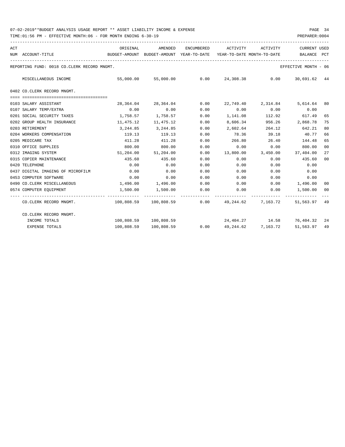| ACT | NUM ACCOUNT-TITLE<br>--------------------------------                                                  | ORIGINAL<br>BUDGET-AMOUNT BUDGET-AMOUNT YEAR-TO-DATE YEAR-TO-DATE MONTH-TO-DATE | AMENDED               |               | ENCUMBERED ACTIVITY ACTIVITY |       | CURRENT USED<br>BALANCE                              | PCT |
|-----|--------------------------------------------------------------------------------------------------------|---------------------------------------------------------------------------------|-----------------------|---------------|------------------------------|-------|------------------------------------------------------|-----|
|     | REPORTING FUND: 0018 CO.CLERK RECORD MNGMT.                                                            |                                                                                 |                       |               |                              |       | EFFECTIVE MONTH - 06                                 |     |
|     | MISCELLANEOUS INCOME                                                                                   |                                                                                 |                       |               |                              |       | 55,000.00 55,000.00 0.00 24,308.38 0.00 30,691.62 44 |     |
|     | 0402 CO.CLERK RECORD MNGMT.                                                                            |                                                                                 |                       |               |                              |       |                                                      |     |
|     | 0103 SALARY ASSISTANT                                                                                  |                                                                                 | 28,364.04 28,364.04   | 0.00          |                              |       | 22,749.40 2,314.84 5,614.64 80                       |     |
|     | 0107 SALARY TEMP/EXTRA                                                                                 | 0.00                                                                            | 0.00                  | 0.00          |                              |       | $0.00$ $0.00$ $0.00$ $0.00$                          |     |
|     | 0201 SOCIAL SECURITY TAXES                                                                             | 1,758.57 1,758.57                                                               |                       | 0.00          | 1, 141.08 112.92 617.49      |       |                                                      | 65  |
|     | 0202 GROUP HEALTH INSURANCE                                                                            | 11,475.12 11,475.12                                                             |                       | 0.00          | 8,606.34                     |       | 956.26 2,868.78                                      | 75  |
|     | 0203 RETIREMENT                                                                                        |                                                                                 | 3, 244.85 3, 244.85   | 0.00          | 2,602.64                     |       | 264.12 642.21                                        | 80  |
|     | 0204 WORKERS COMPENSATION                                                                              | 119.13                                                                          | 119.13                | 0.00          | 78.36                        | 39.18 | 40.77                                                | 66  |
|     | 0205 MEDICARE TAX                                                                                      |                                                                                 | 411.28 411.28         | 0.00          | 266.80 26.40                 |       | 144.48                                               | 65  |
|     | 0310 OFFICE SUPPLIES                                                                                   |                                                                                 | 800.00 800.00         | 0.00          | 0.00                         | 0.00  | 800.00                                               | 00  |
|     | 0312 IMAGING SYSTEM                                                                                    |                                                                                 | 51,204.00 51,204.00   | 0.00          |                              |       | 13,800.00 3,450.00 37,404.00                         | 27  |
|     | 0315 COPIER MAINTENANCE                                                                                | 435.60                                                                          | 435.60                | 0.00          | 0.00                         | 0.00  | 435.60                                               | 00  |
|     | 0420 TELEPHONE                                                                                         | 0.00                                                                            | 0.00                  | 0.00          | 0.00                         | 0.00  | 0.00                                                 |     |
|     | 0437 DIGITAL IMAGING OF MICROFILM                                                                      | 0.00                                                                            | 0.00                  | 0.00          | 0.00                         | 0.00  | 0.00                                                 |     |
|     | 0453 COMPUTER SOFTWARE                                                                                 | 0.00                                                                            | 0.00                  | 0.00          | 0.00                         | 0.00  | 0.00                                                 |     |
|     | 0490 CO.CLERK MISCELLANEOUS                                                                            | $1,496.00$ 1,496.00                                                             |                       | 0.00          |                              |       | $0.00$ $0.00$ $1,496.00$                             | 00  |
|     | 0574 COMPUTER EQUIPMENT                                                                                |                                                                                 | 1,500.00 1,500.00     | 0.00          |                              |       | $0.00$ $0.00$ $1,500.00$ $00$                        |     |
|     | CO.CLERK RECORD MNGMT. 49 (2008) 100,808.59 100,808.59 100,808.59 0.00 49,244.62 7,163.72 51,563.97 49 |                                                                                 |                       | ------------- |                              |       |                                                      |     |
|     | CO.CLERK RECORD MNGMT.                                                                                 |                                                                                 |                       |               |                              |       |                                                      |     |
|     | INCOME TOTALS                                                                                          |                                                                                 | 100,808.59 100,808.59 |               |                              |       | 24,404.27 14.58 76,404.32 24                         |     |
|     | <b>EXPENSE TOTALS</b>                                                                                  |                                                                                 | 100,808.59 100,808.59 |               | $0.00$ 49, 244.62 7, 163.72  |       | 51,563.97 49                                         |     |
|     |                                                                                                        |                                                                                 |                       |               |                              |       |                                                      |     |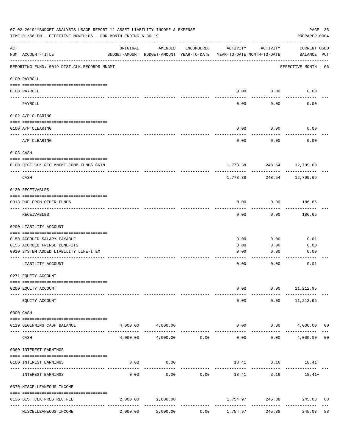| 07-02-2019**BUDGET ANALYSIS USAGE REPORT ** ASSET LIABILITY INCOME & EXPENSE<br>TIME:01:56 PM - EFFECTIVE MONTH:06 - FOR MONTH ENDING 6-30-19 |                                                                          |          |                                                     |                 |                                        |                                           |                                    |                |
|-----------------------------------------------------------------------------------------------------------------------------------------------|--------------------------------------------------------------------------|----------|-----------------------------------------------------|-----------------|----------------------------------------|-------------------------------------------|------------------------------------|----------------|
| ACT                                                                                                                                           | NUM ACCOUNT-TITLE                                                        | ORIGINAL | AMENDED<br>BUDGET-AMOUNT BUDGET-AMOUNT YEAR-TO-DATE | ENCUMBERED      | ACTIVITY<br>YEAR-TO-DATE MONTH-TO-DATE | ACTIVITY                                  | <b>CURRENT USED</b><br>BALANCE PCT |                |
|                                                                                                                                               | REPORTING FUND: 0019 DIST.CLK.RECORDS MNGMT.                             |          |                                                     |                 |                                        |                                           | EFFECTIVE MONTH - 06               |                |
|                                                                                                                                               | 0100 PAYROLL                                                             |          |                                                     |                 |                                        |                                           |                                    |                |
|                                                                                                                                               | 0100 PAYROLL                                                             |          |                                                     |                 | 0.00                                   | 0.00                                      | 0.00                               |                |
|                                                                                                                                               | PAYROLL                                                                  |          |                                                     |                 | 0.00                                   | 0.00                                      | 0.00                               |                |
|                                                                                                                                               | 0102 A/P CLEARING                                                        |          |                                                     |                 |                                        |                                           |                                    |                |
|                                                                                                                                               | 0100 A/P CLEARING                                                        |          |                                                     |                 | 0.00                                   | 0.00                                      | 0.00                               |                |
|                                                                                                                                               | A/P CLEARING                                                             |          |                                                     |                 | 0.00                                   | 0.00                                      | 0.00                               |                |
|                                                                                                                                               | 0103 CASH                                                                |          |                                                     |                 |                                        |                                           |                                    |                |
|                                                                                                                                               | 0100 DIST.CLK.REC.MNGMT-COMB.FUNDS CKIN<br>_____________________________ |          |                                                     |                 |                                        | 1,773.38 248.54 12,799.69<br>------------ |                                    |                |
|                                                                                                                                               | CASH                                                                     |          |                                                     |                 | 1,773.38                               | 248.54                                    | 12,799.69                          |                |
|                                                                                                                                               | 0120 RECEIVABLES                                                         |          |                                                     |                 |                                        |                                           |                                    |                |
|                                                                                                                                               | 0313 DUE FROM OTHER FUNDS                                                |          |                                                     |                 | 0.00                                   | 0.00                                      | 186.65                             |                |
|                                                                                                                                               | RECEIVABLES                                                              |          |                                                     |                 | 0.00                                   | 0.00                                      | 186.65                             |                |
|                                                                                                                                               | 0200 LIABILITY ACCOUNT                                                   |          |                                                     |                 |                                        |                                           |                                    |                |
|                                                                                                                                               | 0150 ACCRUED SALARY PAYABLE                                              |          |                                                     |                 | 0.00                                   | 0.00                                      | 0.01                               |                |
|                                                                                                                                               | 0155 ACCRUED FRINGE BENEFITS                                             |          |                                                     |                 | 0.00                                   | 0.00                                      | 0.00                               |                |
|                                                                                                                                               | 0910 SYSTEM ADDED LIABILITY LINE-ITEM                                    |          |                                                     |                 | 0.00                                   | 0.00                                      | 0.00                               |                |
|                                                                                                                                               | LIABILITY ACCOUNT                                                        |          |                                                     |                 | 0.00                                   | 0.00                                      | 0.01                               |                |
|                                                                                                                                               | 0271 EQUITY ACCOUNT                                                      |          |                                                     |                 |                                        |                                           |                                    |                |
|                                                                                                                                               | 0200 EQUITY ACCOUNT                                                      |          |                                                     |                 | 0.00                                   | 0.00                                      | 11,212.95                          |                |
|                                                                                                                                               | EQUITY ACCOUNT                                                           |          |                                                     |                 | 0.00                                   | 0.00                                      | 11,212.95                          |                |
|                                                                                                                                               | 0300 CASH                                                                |          |                                                     |                 |                                        |                                           |                                    |                |
|                                                                                                                                               | 0119 BEGINNING CASH BALANCE                                              |          | 4,000.00 4,000.00                                   |                 | 0.00                                   |                                           | $0.00$ $4,000.00$ 00               |                |
|                                                                                                                                               | CASH                                                                     | 4,000.00 |                                                     | $4,000.00$ 0.00 | 0.00                                   | 0.00                                      | 4,000.00                           | 0 <sub>0</sub> |
|                                                                                                                                               | 0360 INTEREST EARNINGS                                                   |          |                                                     |                 |                                        |                                           |                                    |                |
|                                                                                                                                               | 0100 INTEREST EARNINGS                                                   | 0.00     | 0.00                                                |                 | ---------                              | 18.41 3.16<br>---------                   | $18.41+$                           |                |
|                                                                                                                                               | INTEREST EARNINGS                                                        | 0.00     | 0.00                                                | 0.00            |                                        | 18.41 3.16                                | $18.41+$                           |                |
|                                                                                                                                               | 0370 MISCELLEANEOUS INCOME                                               |          |                                                     |                 |                                        |                                           |                                    |                |
|                                                                                                                                               | 0136 DIST.CLK.PRES.REC.FEE                                               | 2,000.00 | 2,000.00                                            |                 | 1,754.97                               | 245.38<br>------------                    | 245.03                             | 88             |
|                                                                                                                                               | MISCELLEANEOUS INCOME                                                    | 2,000.00 | 2,000.00                                            | 0.00            | 1,754.97                               | 245.38                                    | 245.03                             | 88             |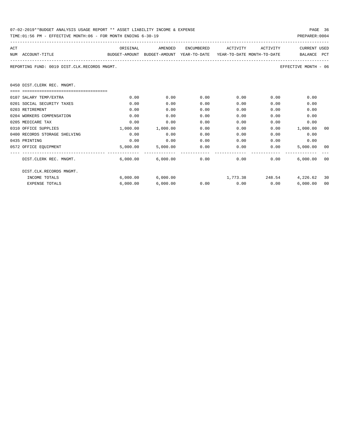| 07-02-2019**BUDGET ANALYSIS USAGE REPORT ** ASSET LIABILITY INCOME & EXPENSE | PAGE 36        |
|------------------------------------------------------------------------------|----------------|
| TIME:01:56 PM - EFFECTIVE MONTH:06 - FOR MONTH ENDING 6-30-19                | PREPARER: 0004 |

| ACT |                                                                                          | ORIGINAL | AMENDED                                           | ENCUMBERED | ACTIVITY             | ACTIVITY                                                                                                                                                                                                                            | <b>CURRENT USED</b>         |    |
|-----|------------------------------------------------------------------------------------------|----------|---------------------------------------------------|------------|----------------------|-------------------------------------------------------------------------------------------------------------------------------------------------------------------------------------------------------------------------------------|-----------------------------|----|
|     | NUM ACCOUNT-TITLE<br>BUDGET-AMOUNT BUDGET-AMOUNT YEAR-TO-DATE YEAR-TO-DATE_MONTH-TO-DATE |          |                                                   |            |                      |                                                                                                                                                                                                                                     | BALANCE PCT                 |    |
|     | REPORTING FUND: 0019 DIST.CLK.RECORDS MNGMT.                                             |          |                                                   |            |                      |                                                                                                                                                                                                                                     | EFFECTIVE MONTH - 06        |    |
|     | 0450 DIST.CLERK REC. MNGMT.                                                              |          |                                                   |            |                      |                                                                                                                                                                                                                                     |                             |    |
|     | -----------------------------------                                                      |          |                                                   |            |                      |                                                                                                                                                                                                                                     |                             |    |
|     | 0107 SALARY TEMP/EXTRA                                                                   | 0.00     | 0.00                                              | 0.00       |                      | 0.00<br>$0.00$ and $0.00$ and $0.00$ and $0.00$ and $0.00$ and $0.00$ and $0.00$ and $0.00$ and $0.00$ and $0.00$ and $0.00$ and $0.00$ and $0.00$ and $0.00$ and $0.00$ and $0.00$ and $0.00$ and $0.00$ and $0.00$ and $0.00$ and | 0.00                        |    |
|     | 0201 SOCIAL SECURITY TAXES                                                               | 0.00     | 0.00                                              | 0.00       | 0.00                 | 0.00                                                                                                                                                                                                                                | 0.00                        |    |
|     | 0203 RETIREMENT                                                                          | 0.00     | 0.00                                              | 0.00       | 0.00                 | 0.00                                                                                                                                                                                                                                | 0.00                        |    |
|     | 0204 WORKERS COMPENSATION                                                                | 0.00     | 0.00                                              | 0.00       | 0.00                 | 0.00                                                                                                                                                                                                                                | 0.00                        |    |
|     | 0205 MEDICARE TAX                                                                        | 0.00     | 0.00                                              | 0.00       | 0.00                 | 0.00                                                                                                                                                                                                                                | 0.00                        |    |
|     | 0310 OFFICE SUPPLIES                                                                     | 1,000.00 | 1,000.00                                          | 0.00       | 0.00                 |                                                                                                                                                                                                                                     | $0.00$ 1,000.00             | 00 |
|     | 0400 RECORDS STORAGE SHELVING                                                            | 0.00     | 0.00                                              | 0.00       | 0.00                 | 0.00                                                                                                                                                                                                                                | 0.00                        |    |
|     | 0435 PRINTING                                                                            | 0.00     | 0.00                                              | 0.00       | 0.00                 | 0.00                                                                                                                                                                                                                                | 0.00                        |    |
|     | 0572 OFFICE EQUIPMENT                                                                    |          | 5,000.00 5,000.00                                 | 0.00       | 0.00                 |                                                                                                                                                                                                                                     | 0.00<br>5,000.00            | 00 |
|     | DIST.CLERK REC. MNGMT.                                                                   |          | $6,000.00$ $6,000.00$ $0.00$ $0.00$ $0.00$ $0.00$ |            |                      |                                                                                                                                                                                                                                     | 6.000.00                    | 00 |
|     | DIST.CLK.RECORDS MNGMT.                                                                  |          |                                                   |            |                      |                                                                                                                                                                                                                                     |                             |    |
|     | INCOME TOTALS                                                                            |          | 6,000.00 6,000.00                                 |            |                      |                                                                                                                                                                                                                                     | 1,773.38 248.54 4,226.62 30 |    |
|     | <b>EXPENSE TOTALS</b>                                                                    | 6.000.00 | 6,000.00                                          |            | $0.00$ $0.00$ $0.00$ |                                                                                                                                                                                                                                     | 6.000.00                    | 00 |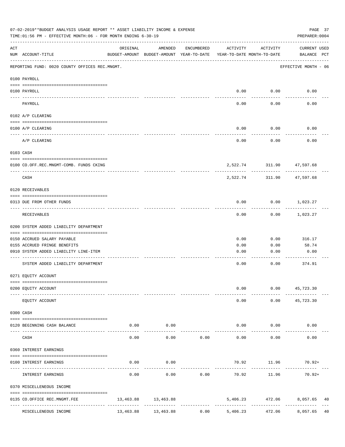| 07-02-2019**BUDGET ANALYSIS USAGE REPORT ** ASSET LIABILITY INCOME & EXPENSE<br>TIME:01:56 PM - EFFECTIVE MONTH:06 - FOR MONTH ENDING 6-30-19<br>PREPARER: 0004 |                                                |           |                                                     |                      |                                        |                        |                                |  |  |  |
|-----------------------------------------------------------------------------------------------------------------------------------------------------------------|------------------------------------------------|-----------|-----------------------------------------------------|----------------------|----------------------------------------|------------------------|--------------------------------|--|--|--|
| ACT                                                                                                                                                             | NUM ACCOUNT-TITLE                              | ORIGINAL  | AMENDED<br>BUDGET-AMOUNT BUDGET-AMOUNT YEAR-TO-DATE | ENCUMBERED           | ACTIVITY<br>YEAR-TO-DATE MONTH-TO-DATE | ACTIVITY               | CURRENT USED<br>BALANCE PCT    |  |  |  |
|                                                                                                                                                                 | REPORTING FUND: 0020 COUNTY OFFICES REC.MNGMT. |           |                                                     |                      |                                        |                        | EFFECTIVE MONTH - 06           |  |  |  |
|                                                                                                                                                                 | 0100 PAYROLL                                   |           |                                                     |                      |                                        |                        |                                |  |  |  |
|                                                                                                                                                                 | 0100 PAYROLL                                   |           |                                                     |                      | 0.00                                   | 0.00                   | 0.00                           |  |  |  |
|                                                                                                                                                                 | ---- -------<br>PAYROLL                        |           |                                                     |                      | 0.00                                   | 0.00                   | 0.00                           |  |  |  |
|                                                                                                                                                                 | 0102 A/P CLEARING                              |           |                                                     |                      |                                        |                        |                                |  |  |  |
|                                                                                                                                                                 | 0100 A/P CLEARING                              |           |                                                     |                      | 0.00                                   | 0.00                   | 0.00                           |  |  |  |
|                                                                                                                                                                 | A/P CLEARING                                   |           |                                                     |                      | 0.00                                   | 0.00                   | 0.00                           |  |  |  |
|                                                                                                                                                                 | 0103 CASH                                      |           |                                                     |                      |                                        |                        |                                |  |  |  |
|                                                                                                                                                                 | 0100 CO.OFF.REC.MNGMT-COMB. FUNDS CKING        |           |                                                     |                      |                                        |                        | 2,522.74 311.90 47,597.68      |  |  |  |
|                                                                                                                                                                 | CASH                                           |           |                                                     |                      | 2,522.74                               | ---------<br>311.90    | ---------<br>47,597.68         |  |  |  |
|                                                                                                                                                                 | 0120 RECEIVABLES                               |           |                                                     |                      |                                        |                        |                                |  |  |  |
|                                                                                                                                                                 | 0313 DUE FROM OTHER FUNDS                      |           |                                                     |                      | 0.00                                   |                        | $0.00$ 1,023.27                |  |  |  |
|                                                                                                                                                                 | RECEIVABLES                                    |           |                                                     |                      | 0.00                                   | 0.00                   | 1,023.27                       |  |  |  |
|                                                                                                                                                                 | 0200 SYSTEM ADDED LIABILITY DEPARTMENT         |           |                                                     |                      |                                        |                        |                                |  |  |  |
|                                                                                                                                                                 | 0150 ACCRUED SALARY PAYABLE                    |           |                                                     |                      | 0.00                                   | 0.00                   | 316.17                         |  |  |  |
|                                                                                                                                                                 | 0155 ACCRUED FRINGE BENEFITS                   |           |                                                     |                      | 0.00                                   | 0.00                   | 58.74                          |  |  |  |
|                                                                                                                                                                 | 0910 SYSTEM ADDED LIABILITY LINE-ITEM          |           |                                                     |                      | 0.00                                   | 0.00                   | 0.00                           |  |  |  |
|                                                                                                                                                                 | SYSTEM ADDED LIABILITY DEPARTMENT              |           |                                                     |                      | 0.00                                   | 0.00                   | --------<br>374.91             |  |  |  |
|                                                                                                                                                                 | 0271 EQUITY ACCOUNT                            |           |                                                     |                      |                                        |                        |                                |  |  |  |
|                                                                                                                                                                 | 0200 EQUITY ACCOUNT                            |           |                                                     |                      | 0.00                                   |                        | $0.00$ 45,723.30               |  |  |  |
|                                                                                                                                                                 | EQUITY ACCOUNT                                 |           |                                                     |                      | 0.00                                   | 0.00                   | 45,723.30                      |  |  |  |
|                                                                                                                                                                 | 0300 CASH                                      |           |                                                     |                      |                                        |                        |                                |  |  |  |
|                                                                                                                                                                 | 0120 BEGINNING CASH BALANCE                    | 0.00      | 0.00                                                |                      | 0.00                                   | 0.00                   | 0.00                           |  |  |  |
|                                                                                                                                                                 | ----------------- ------<br>CASH               | 0.00      | $- - - - -$<br>0.00                                 | 0.00                 | 0.00                                   | 0.00                   | 0.00                           |  |  |  |
|                                                                                                                                                                 | 0360 INTEREST EARNINGS                         |           |                                                     |                      |                                        |                        |                                |  |  |  |
|                                                                                                                                                                 | 0100 INTEREST EARNINGS                         | 0.00      | 0.00                                                |                      |                                        | 70.92 11.96            | $70.92+$                       |  |  |  |
|                                                                                                                                                                 | INTEREST EARNINGS                              | 0.00      | 0.00                                                | 0.00                 | 70.92                                  | 11.96                  | 70.92+                         |  |  |  |
|                                                                                                                                                                 | 0370 MISCELLENEOUS INCOME                      |           |                                                     |                      |                                        |                        |                                |  |  |  |
|                                                                                                                                                                 | 0135 CO.OFFICE REC.MNGMT.FEE                   |           | 13,463.88 13,463.88                                 |                      |                                        |                        | 5,406.23 472.06 8,057.65<br>40 |  |  |  |
|                                                                                                                                                                 | ----------------<br>MISCELLENEOUS INCOME       | 13,463.88 | 13,463.88                                           | ------------<br>0.00 | ------------<br>5,406.23               | ------------<br>472.06 | 8,057.65<br>40                 |  |  |  |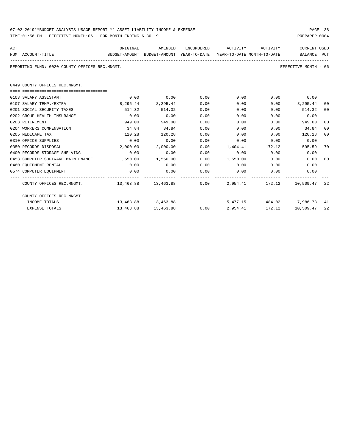| 07-02-2019**BUDGET ANALYSIS USAGE REPORT ** ASSET LIABILITY INCOME & EXPENSE | PAGE 38        |
|------------------------------------------------------------------------------|----------------|
| TIME:01:56 PM - EFFECTIVE MONTH:06 - FOR MONTH ENDING 6-30-19                | PREPARER: 0004 |

| ACT<br>NUM ACCOUNT-TITLE<br>BUDGET-AMOUNT BUDGET-AMOUNT YEAR-TO-DATE YEAR-TO-DATE MONTH-TO-DATE                 |          | ORIGINAL AMENDED    |      | ENCUMBERED ACTIVITY ACTIVITY |             | CURRENT USED<br>BALANCE PCT |                |
|-----------------------------------------------------------------------------------------------------------------|----------|---------------------|------|------------------------------|-------------|-----------------------------|----------------|
|                                                                                                                 |          |                     |      |                              |             |                             |                |
| REPORTING FUND: 0020 COUNTY OFFICES REC.MNGMT.                                                                  |          |                     |      |                              |             | EFFECTIVE MONTH - 06        |                |
|                                                                                                                 |          |                     |      |                              |             |                             |                |
| 0449 COUNTY OFFICES REC.MNGMT.                                                                                  |          |                     |      |                              |             |                             |                |
|                                                                                                                 |          |                     |      |                              |             |                             |                |
| 0103 SALARY ASSISTANT                                                                                           | 0.00     | 0.00                | 0.00 | $0.00$ $0.00$ $0.00$ $0.00$  |             |                             |                |
| 0107 SALARY TEMP./EXTRA                                                                                         | 8,295.44 | 8,295.44            | 0.00 | 0.00                         |             | $0.00$ $8,295.44$           | 00             |
| 0201 SOCIAL SECURITY TAXES                                                                                      | 514.32   | 514.32              | 0.00 | 0.00                         | 0.00        | 514.32                      | 00             |
| 0202 GROUP HEALTH INSURANCE                                                                                     | 0.00     | 0.00                | 0.00 | 0.00                         | 0.00        | 0.00                        |                |
| 0203 RETIREMENT                                                                                                 | 949.00   | 949.00              | 0.00 | 0.00                         | 0.00        | 949.00                      | 00             |
| 0204 WORKERS COMPENSATION                                                                                       | 34.84    | 34.84               | 0.00 | 0.00                         | 0.00        | 34.84                       | 0 <sup>0</sup> |
| 0205 MEDICARE TAX                                                                                               | 120.28   | 120.28              | 0.00 | 0.00                         | 0.00        | 120.28                      | 00             |
| 0310 OFFICE SUPPLIES                                                                                            | 0.00     | 0.00                | 0.00 | 0.00                         | 0.00        | 0.00                        |                |
| 0350 RECORDS DISPOSAL                                                                                           | 2,000.00 | 2,000.00            | 0.00 | 1,404.41 172.12              |             | 595.59                      | 70             |
| 0400 RECORDS STORAGE SHELVING                                                                                   | 0.00     | 0.00                | 0.00 |                              | $0.00$ 0.00 | 0.00                        |                |
| 0453 COMPUTER SOFTWARE MAINTENANCE 1.550.00                                                                     |          | 1,550.00            | 0.00 | 1,550.00 0.00                |             | 0.00 100                    |                |
| 0460 EOUIPMENT RENTAL                                                                                           | 0.00     | 0.00                | 0.00 | $0.00$ 0.00                  |             | 0.00                        |                |
| 0574 COMPUTER EQUIPMENT                                                                                         | 0.00     | 0.00                | 0.00 | $0.00$ 0.00                  |             | 0.00                        |                |
| COUNTY OFFICES REC.MNGMT. 42 13,463.88 13,463.88 13,463.88 13,463.88 13,463.88 16.00 12,954.41 172.12 10,509.47 |          |                     |      |                              |             |                             |                |
| COUNTY OFFICES REC.MNGMT.                                                                                       |          |                     |      |                              |             |                             |                |
| INCOME TOTALS                                                                                                   |          | 13,463.88 13,463.88 |      | 5,477.15 484.02 7,986.73 41  |             |                             |                |
| <b>EXPENSE TOTALS</b>                                                                                           |          | 13,463.88 13,463.88 |      | $0.00$ 2,954.41 172.12       |             | 10,509.47 22                |                |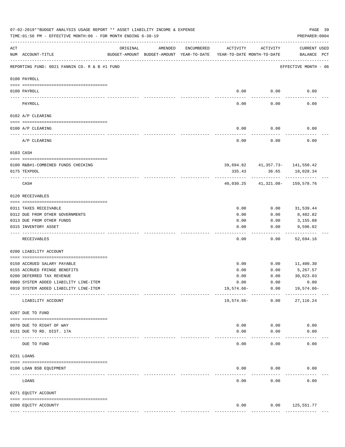|     | 07-02-2019**BUDGET ANALYSIS USAGE REPORT ** ASSET LIABILITY INCOME & EXPENSE<br>TIME:01:56 PM - EFFECTIVE MONTH:06 - FOR MONTH ENDING 6-30-19 |                                                                                 |         |            |               |                                     |                             |  |  |  |  |
|-----|-----------------------------------------------------------------------------------------------------------------------------------------------|---------------------------------------------------------------------------------|---------|------------|---------------|-------------------------------------|-----------------------------|--|--|--|--|
| ACT | NUM ACCOUNT-TITLE                                                                                                                             | ORIGINAL<br>BUDGET-AMOUNT BUDGET-AMOUNT YEAR-TO-DATE YEAR-TO-DATE MONTH-TO-DATE | AMENDED | ENCUMBERED | ACTIVITY      | ACTIVITY                            | CURRENT USED<br>BALANCE PCT |  |  |  |  |
|     | REPORTING FUND: 0021 FANNIN CO. R & B #1 FUND                                                                                                 |                                                                                 |         |            |               |                                     | EFFECTIVE MONTH - 06        |  |  |  |  |
|     | 0100 PAYROLL                                                                                                                                  |                                                                                 |         |            |               |                                     |                             |  |  |  |  |
|     | 0100 PAYROLL                                                                                                                                  |                                                                                 |         |            | 0.00          | 0.00                                | 0.00                        |  |  |  |  |
|     | ---- -------<br>PAYROLL                                                                                                                       |                                                                                 |         |            | ----<br>0.00  | -------<br>0.00                     | 0.00                        |  |  |  |  |
|     | 0102 A/P CLEARING                                                                                                                             |                                                                                 |         |            |               |                                     |                             |  |  |  |  |
|     | 0100 A/P CLEARING                                                                                                                             |                                                                                 |         |            | 0.00          | 0.00                                | 0.00                        |  |  |  |  |
|     | A/P CLEARING                                                                                                                                  |                                                                                 |         |            | 0.00          | 0.00                                | 0.00                        |  |  |  |  |
|     | 0103 CASH                                                                                                                                     |                                                                                 |         |            |               |                                     |                             |  |  |  |  |
|     | 0100 R&B#1-COMBINED FUNDS CHECKING                                                                                                            |                                                                                 |         |            |               | 39,694.82 41,357.73- 141,550.42     |                             |  |  |  |  |
|     | 0175 TEXPOOL                                                                                                                                  |                                                                                 |         |            | 335.43        |                                     | 36.65 18,028.34             |  |  |  |  |
|     | CASH                                                                                                                                          |                                                                                 |         |            | 40,030.25     | . <u>.</u><br>41,321.08- 159,578.76 |                             |  |  |  |  |
|     | 0120 RECEIVABLES                                                                                                                              |                                                                                 |         |            |               |                                     |                             |  |  |  |  |
|     | 0311 TAXES RECEIVABLE                                                                                                                         |                                                                                 |         |            | 0.00          | 0.00                                | 31,539.44                   |  |  |  |  |
|     | 0312 DUE FROM OTHER GOVERNMENTS                                                                                                               |                                                                                 |         |            | 0.00          | 0.00                                | 8,402.82                    |  |  |  |  |
|     | 0313 DUE FROM OTHER FUNDS                                                                                                                     |                                                                                 |         |            | 0.00          | 0.00                                | 3,155.88                    |  |  |  |  |
|     | 0315 INVENTORY ASSET                                                                                                                          |                                                                                 |         |            | 0.00<br>----  | 0.00<br>-----                       | 9,596.02<br>----------      |  |  |  |  |
|     | RECEIVABLES                                                                                                                                   |                                                                                 |         |            | 0.00          | 0.00                                | 52,694.16                   |  |  |  |  |
|     | 0200 LIABILITY ACCOUNT                                                                                                                        |                                                                                 |         |            |               |                                     |                             |  |  |  |  |
|     | 0150 ACCRUED SALARY PAYABLE                                                                                                                   |                                                                                 |         |            | 0.00          |                                     | $0.00$ 11,400.30            |  |  |  |  |
|     | 0155 ACCRUED FRINGE BENEFITS                                                                                                                  |                                                                                 |         |            | 0.00          | 0.00                                | 5,267.57                    |  |  |  |  |
|     | 0200 DEFERRED TAX REVENUE                                                                                                                     |                                                                                 |         |            | 0.00          | 0.00                                | 30,023.03                   |  |  |  |  |
|     | 0900 SYSTEM ADDED LIABILITY LINE-ITEM                                                                                                         |                                                                                 |         |            | 0.00          | 0.00                                | 0.00                        |  |  |  |  |
|     | 0910 SYSTEM ADDED LIABILITY LINE-ITEM                                                                                                         |                                                                                 |         |            | 19,574.66-    | 0.00<br>------------                | 19,574.66-                  |  |  |  |  |
|     | LIABILITY ACCOUNT                                                                                                                             |                                                                                 |         |            | 19,574.66-    | 0.00                                | 27, 116.24                  |  |  |  |  |
|     | 0207 DUE TO FUND                                                                                                                              |                                                                                 |         |            |               |                                     |                             |  |  |  |  |
|     | 0070 DUE TO RIGHT OF WAY                                                                                                                      |                                                                                 |         |            | 0.00          | 0.00                                | 0.00                        |  |  |  |  |
|     | 0131 DUE TO RD. DIST. 17A                                                                                                                     |                                                                                 |         |            | 0.00          | 0.00                                | 0.00                        |  |  |  |  |
|     | DUE TO FUND                                                                                                                                   | ------------- --------------                                                    |         |            | 0.00          | 0.00                                | 0.00                        |  |  |  |  |
|     | 0231 LOANS                                                                                                                                    |                                                                                 |         |            |               |                                     |                             |  |  |  |  |
|     | 0100 LOAN BSB EQUIPMENT                                                                                                                       |                                                                                 |         |            | 0.00          | 0.00                                | 0.00                        |  |  |  |  |
|     | LOANS                                                                                                                                         |                                                                                 |         |            | 0.00          | 0.00                                | 0.00                        |  |  |  |  |
|     |                                                                                                                                               |                                                                                 |         |            |               |                                     |                             |  |  |  |  |
|     | 0271 EQUITY ACCOUNT                                                                                                                           |                                                                                 |         |            |               |                                     |                             |  |  |  |  |
|     | 0200 EQUITY ACCOUNTY                                                                                                                          |                                                                                 |         |            | 0.00          |                                     | $0.00$ 125,551.77           |  |  |  |  |
|     |                                                                                                                                               |                                                                                 |         |            | ------------- | -------------                       | --------------              |  |  |  |  |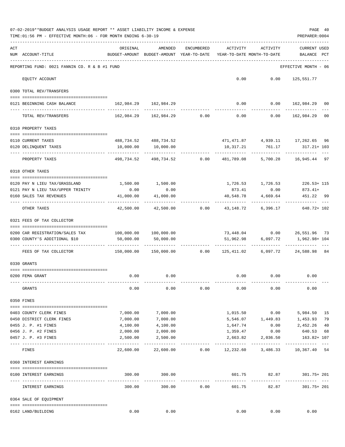|     | 07-02-2019**BUDGET ANALYSIS USAGE REPORT ** ASSET LIABILITY INCOME & EXPENSE<br>PAGE 40<br>TIME: 01:56 PM - EFFECTIVE MONTH: 06 - FOR MONTH ENDING 6-30-19<br>PREPARER: 0004 |                                                                           |                         |            |                                        |                              |                                                             |    |  |  |  |  |
|-----|------------------------------------------------------------------------------------------------------------------------------------------------------------------------------|---------------------------------------------------------------------------|-------------------------|------------|----------------------------------------|------------------------------|-------------------------------------------------------------|----|--|--|--|--|
| ACT | NUM ACCOUNT-TITLE                                                                                                                                                            | ORIGINAL<br>BUDGET-AMOUNT BUDGET-AMOUNT YEAR-TO-DATE                      | AMENDED                 | ENCUMBERED | ACTIVITY<br>YEAR-TO-DATE MONTH-TO-DATE | ACTIVITY                     | <b>CURRENT USED</b><br>BALANCE PCT                          |    |  |  |  |  |
|     | REPORTING FUND: 0021 FANNIN CO. R & B #1 FUND                                                                                                                                |                                                                           |                         |            |                                        |                              | EFFECTIVE MONTH - 06                                        |    |  |  |  |  |
|     | EQUITY ACCOUNT                                                                                                                                                               |                                                                           |                         |            |                                        | $0.00$ $0.00$ $125,551.77$   |                                                             |    |  |  |  |  |
|     | 0300 TOTAL REV/TRANSFERS                                                                                                                                                     |                                                                           |                         |            |                                        |                              |                                                             |    |  |  |  |  |
|     | 0121 BEGINNING CASH BALANCE                                                                                                                                                  | 162,984.29 162,984.29                                                     |                         |            |                                        |                              | $0.00$ $0.00$ $162,984.29$ 00                               |    |  |  |  |  |
|     | TOTAL REV/TRANSFERS                                                                                                                                                          |                                                                           |                         |            |                                        |                              | $162,984.29$ $162,984.29$ $0.00$ $0.00$ $0.00$ $162,984.29$ | 00 |  |  |  |  |
|     | 0310 PROPERTY TAXES                                                                                                                                                          |                                                                           |                         |            |                                        |                              |                                                             |    |  |  |  |  |
|     | 0110 CURRENT TAXES                                                                                                                                                           |                                                                           | 488,734.52 488,734.52   |            |                                        |                              | 471, 471.87  4, 939.11  17, 262.65  96                      |    |  |  |  |  |
|     | 0120 DELINQUENT TAXES                                                                                                                                                        |                                                                           | 10,000.00   10,000.00   |            |                                        | 10,317.21 761.17             | 317.21+ 103                                                 |    |  |  |  |  |
|     | -------------------- -------------<br>PROPERTY TAXES                                                                                                                         |                                                                           | -----------             |            | .                                      | <u>La de de de de dec</u>    | 498,734.52 498,734.52 0.00 481,789.08 5,700.28 16,945.44 97 |    |  |  |  |  |
|     | 0318 OTHER TAXES                                                                                                                                                             |                                                                           |                         |            |                                        |                              |                                                             |    |  |  |  |  |
|     | 0120 PAY N LIEU TAX/GRASSLAND                                                                                                                                                |                                                                           |                         |            |                                        |                              |                                                             |    |  |  |  |  |
|     | 0121 PAY N LIEU TAX/UPPER TRINITY                                                                                                                                            | 1,500.00 1,500.00<br>0.00                                                 | 0.00                    |            |                                        | 873.41 0.00                  | 1,726.53 1,726.53 226.53 + 115<br>$873.41+$                 |    |  |  |  |  |
|     | 0160 SALES TAX REVENUES                                                                                                                                                      | 41,000.00<br>. <u>.</u>                                                   | 41,000.00               |            | 40,548.78                              | 4,669.64                     | 451.22 99                                                   |    |  |  |  |  |
|     | OTHER TAXES                                                                                                                                                                  | 42,500.00                                                                 | 42,500.00 0.00          |            |                                        | 43,148.72 6,396.17           | 648.72+ 102                                                 |    |  |  |  |  |
|     | 0321 FEES OF TAX COLLECTOR                                                                                                                                                   |                                                                           |                         |            |                                        |                              |                                                             |    |  |  |  |  |
|     | 0200 CAR REGISTRATION/SALES TAX                                                                                                                                              | 100,000.00 100,000.00                                                     |                         |            |                                        |                              | 73,448.04   0.00   26,551.96   73                           |    |  |  |  |  |
|     | 0300 COUNTY'S ADDITIONAL \$10                                                                                                                                                | 50,000.00                                                                 | 50,000.00               |            |                                        | 51,962.98 6,097.72           | 1,962.98+ 104                                               |    |  |  |  |  |
|     |                                                                                                                                                                              |                                                                           |                         |            |                                        | -------------                |                                                             |    |  |  |  |  |
|     | FEES OF TAX COLLECTOR                                                                                                                                                        | 150,000.00   150,000.00      0.00   125,411.02   6,097.72   24,588.98  84 |                         |            |                                        |                              |                                                             |    |  |  |  |  |
|     | 0330 GRANTS                                                                                                                                                                  |                                                                           |                         |            |                                        |                              |                                                             |    |  |  |  |  |
|     |                                                                                                                                                                              |                                                                           |                         |            |                                        |                              |                                                             |    |  |  |  |  |
|     | 0200 FEMA GRANT                                                                                                                                                              | 0.00                                                                      | 0.00                    |            |                                        | $0.00$ $0.00$ $0.00$ $0.00$  |                                                             |    |  |  |  |  |
|     | GRANTS                                                                                                                                                                       | 0.00                                                                      | 0.00                    | 0.00       | 0.00                                   | 0.00                         | 0.00                                                        |    |  |  |  |  |
|     | 0350 FINES                                                                                                                                                                   |                                                                           |                         |            |                                        |                              |                                                             |    |  |  |  |  |
|     | 0403 COUNTY CLERK FINES                                                                                                                                                      | 7,000.00                                                                  | 7,000.00                |            |                                        | 1,015.50 0.00                | 5,984.50 15                                                 |    |  |  |  |  |
|     | 0450 DISTRICT CLERK FINES                                                                                                                                                    | 7,000.00                                                                  | 7,000.00                |            |                                        |                              | 5,546.07 1,449.83 1,453.93                                  | 79 |  |  |  |  |
|     | 0455 J. P. #1 FINES                                                                                                                                                          | 4,100.00                                                                  | 4,100.00                |            | 1,647.74                               |                              | $0.00$ 2,452.26                                             | 40 |  |  |  |  |
|     | 0456 J. P. #2 FINES                                                                                                                                                          | 2,000.00                                                                  | 2,000.00                |            | 1,359.47                               | 0.00                         | 640.53                                                      | 68 |  |  |  |  |
|     | 0457 J. P. #3 FINES                                                                                                                                                          | 2,500.00                                                                  | 2,500.00                |            | 2,663.82                               | 2,036.50                     | 163.82+ 107                                                 |    |  |  |  |  |
|     | FINES                                                                                                                                                                        | 22,600.00                                                                 | 22,600.00               |            |                                        |                              | $0.00$ 12,232.60 3,486.33 10,367.40 54                      |    |  |  |  |  |
|     | 0360 INTEREST EARNINGS                                                                                                                                                       |                                                                           |                         |            |                                        |                              |                                                             |    |  |  |  |  |
|     | 0100 INTEREST EARNINGS<br>-------------------                                                                                                                                | 300.00                                                                    | 300.00<br>_____________ |            | --------------                         | 601.75 82.87<br>------------ | 301.75+ 201<br>------------                                 |    |  |  |  |  |
|     | INTEREST EARNINGS                                                                                                                                                            | 300.00                                                                    | 300.00                  | 0.00       | 601.75                                 | 82.87                        | 301.75+ 201                                                 |    |  |  |  |  |
|     | 0364 SALE OF EQUIPMENT                                                                                                                                                       |                                                                           |                         |            |                                        |                              |                                                             |    |  |  |  |  |
|     | 0162 LAND/BUILDING                                                                                                                                                           | 0.00                                                                      | 0.00                    |            | 0.00                                   | 0.00                         | 0.00                                                        |    |  |  |  |  |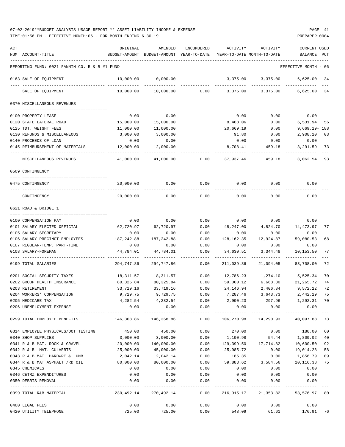| ACT |                                               | ORIGINAL                       | AMENDED                                                             | ENCUMBERED       | ACTIVITY        | ACTIVITY                             | <b>CURRENT USED</b>  |      |
|-----|-----------------------------------------------|--------------------------------|---------------------------------------------------------------------|------------------|-----------------|--------------------------------------|----------------------|------|
|     | NUM ACCOUNT-TITLE                             |                                | BUDGET-AMOUNT BUDGET-AMOUNT YEAR-TO-DATE YEAR-TO-DATE MONTH-TO-DATE |                  |                 |                                      | BALANCE              | PCT  |
|     |                                               |                                |                                                                     |                  |                 |                                      |                      |      |
|     | REPORTING FUND: 0021 FANNIN CO. R & B #1 FUND |                                |                                                                     |                  |                 |                                      | EFFECTIVE MONTH - 06 |      |
|     | 0163 SALE OF EQUIPMENT                        | 10,000.00                      | 10,000.00                                                           |                  | 3,375.00        | 3,375.00                             | 6,625.00             | - 34 |
|     | SALE OF EQUIPMENT                             | 10,000.00                      |                                                                     | $10,000.00$ 0.00 | 3,375.00        | 3,375.00                             | 6,625.00 34          |      |
|     | 0370 MISCELLANEOUS REVENUES                   |                                |                                                                     |                  |                 |                                      |                      |      |
|     |                                               |                                |                                                                     |                  |                 |                                      |                      |      |
|     | 0100 PROPERTY LEASE                           | 0.00                           | 0.00                                                                |                  | 0.00            | 0.00                                 | 0.00                 |      |
|     | 0120 STATE LATERAL ROAD                       | 15,000.00                      | 15,000.00                                                           |                  | 8,468.06        | 0.00                                 | 6,531.94             | 56   |
|     | 0125 TDT. WEIGHT FEES                         | 11,000.00                      | 11,000.00                                                           |                  | 20,669.19       | 0.00                                 | $9,669.19 + 188$     |      |
|     | 0130 REFUNDS & MISCELLANEOUS                  | 3,000.00                       | 3,000.00                                                            |                  | 91.80           | 0.00                                 | 2,908.20             | 03   |
|     | 0140 PROCEEDS OF LOAN                         | 0.00                           | 0.00                                                                |                  | 0.00            | 0.00                                 | 0.00                 |      |
|     | 0145 REIMBURSEMENT OF MATERIALS               | 12,000.00                      | 12,000.00                                                           |                  | 8,708.41        | 459.18                               | 3,291.59             | 73   |
|     | MISCELLANEOUS REVENUES                        | 41,000.00                      | 41,000.00                                                           | 0.00             | 37,937.46       | 459.18                               | 3,062.54 93          |      |
|     | 0509 CONTINGENCY                              |                                |                                                                     |                  |                 |                                      |                      |      |
|     | 0475 CONTINGENCY                              | 20,000.00                      | 0.00                                                                | 0.00             | 0.00            | 0.00                                 | 0.00                 |      |
|     |                                               |                                |                                                                     |                  |                 |                                      |                      |      |
|     | CONTINGENCY                                   | 20,000.00                      | 0.00                                                                | 0.00             | 0.00            | 0.00                                 | 0.00                 |      |
|     | 0621 ROAD & BRIDGE 1                          |                                |                                                                     |                  |                 |                                      |                      |      |
|     |                                               |                                |                                                                     |                  |                 |                                      |                      |      |
|     | 0100 COMPENSATION PAY                         | 0.00                           | 0.00                                                                | 0.00             | 0.00            | 0.00                                 | 0.00                 |      |
|     | 0101 SALARY ELECTED OFFICIAL                  | 62,720.97                      | 62,720.97                                                           | 0.00             | 48,247.00       | 4,824.70                             | 14,473.97            | 77   |
|     | 0105 SALARY SECRETARY                         | 0.00                           | 0.00                                                                | 0.00             | 0.00            | 0.00                                 | 0.00                 |      |
|     | 0106 SALARY PRECINCT EMPLOYEES                | 187,242.88                     | 187,242.88                                                          | 0.00             | 128, 162.35     | 12,924.87                            | 59,080.53            | 68   |
|     | 0107 REGULAR-TEMP. PART-TIME                  | 0.00                           | 0.00                                                                | 0.00             | 0.00            | 0.00                                 | 0.00                 |      |
|     | 0108 SALARY-FOREMAN                           | 44,784.01                      | 44,784.01                                                           | 0.00<br>------   | 34,630.51       | 3,344.48                             | 10,153.50            | 77   |
|     | 0199 TOTAL SALARIES                           | 294,747.86                     | 294,747.86                                                          | 0.00             | 211,039.86      | 21,094.05                            | 83,708.00            | 72   |
|     | 0201 SOCIAL SECURITY TAXES                    | 18,311.57                      | 18,311.57                                                           | 0.00             |                 | 12,786.23   1,274.10   5,525.34      |                      | 70   |
|     | 0202 GROUP HEALTH INSURANCE                   | 80,325.84                      | 80,325.84                                                           | 0.00             | 59,060.12       |                                      | 6,668.30 21,265.72   | 74   |
|     | 0203 RETIREMENT                               | 33,719.16                      | 33,719.16                                                           | 0.00             | 24,146.94       | 2,406.84                             | 9,572.22             | 72   |
|     | 0204 WORKERS' COMPENSATION                    |                                | 9,729.75 9,729.75                                                   |                  |                 | $0.00$ 7,287.46 3,643.73 2,442.29 75 |                      |      |
|     | 0205 MEDICARE TAX                             | 4,282.54                       | 4, 282.54                                                           |                  | $0.00$ 2,990.23 |                                      | 297.96 1,292.31 70   |      |
|     | 0206 UNEMPLOYMENT EXPENSE                     | 0.00                           |                                                                     | $0.00$ 0.00      | 0.00            | 0.00                                 | 0.00                 |      |
|     | 0299 TOTAL EMPLOYEE BENEFITS                  | $146,368.86$ $146,368.86$ 0.00 | -------------                                                       | -----------      |                 | 106,270.98  14,290.93  40,097.88  73 |                      |      |
|     | 0314 EMPLOYEE PHYSICALS/DOT TESTING           | 450.00                         | 450.00                                                              | 0.00             | 270.00          |                                      | $0.00$ 180.00        | 60   |
|     | 0340 SHOP SUPPLIES                            | 3,000.00                       | 3,000.00                                                            |                  | $0.00$ 1,190.98 |                                      | 54.44 1,809.02       | 40   |
|     | 0341 R & B MAT. ROCK & GRAVEL 120,000.00      |                                |                                                                     | 140,000.00 0.00  |                 | 129,399.50   17,714.82   10,600.50   |                      | 92   |
|     | 0342 R & B MAT. CULVERTS                      | 25,000.00                      |                                                                     | 45,000.00 0.00   | 25,985.72       | 0.00                                 | 19,014.28            | 58   |
|     | 0343 R & B MAT. HARDWRE & LUMB                | 2,042.14                       | 2,042.14                                                            | 0.00             | 185.35          | 0.00                                 | 1,856.79             | 09   |
|     | 0344 R & B MAT ASPHALT /RD OIL                | 80,000.00                      | 80,000.00                                                           | 0.00             |                 | 59,883.62 3,584.56                   | 20,116.38 75         |      |
|     | 0345 CHEMICALS                                | 0.00                           | 0.00                                                                | 0.00             | 0.00            | 0.00                                 | 0.00                 |      |
|     | 0346 CETRZ EXPENDITURES                       | 0.00                           |                                                                     | $0.00$ $0.00$    | 0.00            | 0.00                                 | 0.00                 |      |
|     | 0350 DEBRIS REMOVAL                           | 0.00                           | 0.00                                                                | 0.00             |                 | $0.00$ $0.00$ $0.00$ $0.00$          |                      |      |
|     | 0399 TOTAL R&B MATERIAL                       |                                | 230,492.14 270,492.14 0.00 216,915.17 21,353.82 53,576.97 80        |                  |                 |                                      |                      |      |
|     | 0400 LEGAL FEES                               | 0.00                           | 0.00                                                                | 0.00             |                 | $0.00$ 0.00                          | 0.00                 |      |
|     | 0420 UTILITY TELEPHONE                        | 725.00                         | 725.00                                                              | 0.00             |                 | 548.09 61.61 176.91 76               |                      |      |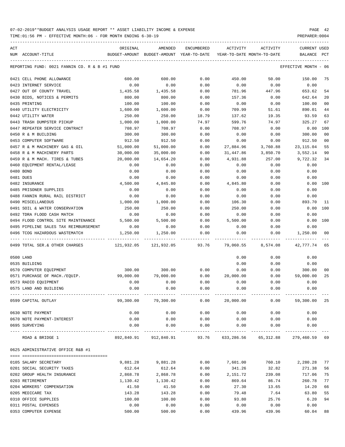| ACT<br>NUM ACCOUNT-TITLE                      | ORIGINAL<br>BUDGET-AMOUNT | AMENDED<br>BUDGET-AMOUNT YEAR-TO-DATE | <b>ENCUMBERED</b> | ACTIVITY<br>YEAR-TO-DATE MONTH-TO-DATE | ACTIVITY                                                       | <b>CURRENT USED</b><br>BALANCE | PCT            |
|-----------------------------------------------|---------------------------|---------------------------------------|-------------------|----------------------------------------|----------------------------------------------------------------|--------------------------------|----------------|
| REPORTING FUND: 0021 FANNIN CO. R & B #1 FUND |                           |                                       |                   |                                        |                                                                | EFFECTIVE MONTH                | - 06           |
| 0421 CELL PHONE ALLOWANCE                     | 600.00                    | 600.00                                | 0.00              | 450.00                                 | 50.00                                                          | 150.00                         | 75             |
| 0423 INTERNET SERVICE                         | 0.00                      | 0.00                                  | 0.00              | 0.00                                   | 0.00                                                           | 0.00                           |                |
| 0427 OUT OF COUNTY TRAVEL                     | 1,435.58                  | 1,435.58                              | 0.00              | 781.96                                 | 447.96                                                         | 653.62                         | 54             |
| 0430 BIDS, NOTICES & PERMITS                  | 800.00                    | 800.00                                | 0.00              | 157.36                                 | 0.00                                                           | 642.64                         | 20             |
| 0435 PRINTING                                 | 100.00                    | 100.00                                | 0.00              | 0.00                                   | 0.00                                                           | 100.00                         | 0 <sub>0</sub> |
| 0440 UTILITY ELECTRICITY                      | 1,600.00                  | 1,600.00                              | 0.00              | 709.99                                 | 51.61                                                          | 890.01                         | 44             |
| 0442 UTILITY WATER                            | 250.00                    | 250.00                                | 18.79             | 137.62                                 | 19.35                                                          | 93.59                          | 63             |
| 0443 TRASH DUMPSTER PICKUP                    | 1,000.00                  | 1,000.00                              | 74.97             | 599.76                                 | 74.97                                                          | 325.27                         | 67             |
| 0447 REPEATER SERVICE CONTRACT                | 708.97                    | 708.97                                | 0.00              | 708.97                                 | 0.00                                                           | 0.00                           | 100            |
| 0450 R & M BUILDING                           | 300.00                    | 300.00                                | 0.00              | 0.00                                   | 0.00                                                           | 300.00                         | 00             |
| 0453 COMPUTER SOFTWARE                        | 912.50                    | 912.50                                | 0.00              | 0.00                                   | 0.00                                                           | 912.50                         | 00             |
| 0457 R & M MACHINERY GAS & OIL                | 51,000.00                 | 51,000.00                             | 0.00              | 27,884.96                              | 3,760.88                                                       | 23, 115.04                     | 55             |
| 0458 R & M MACHINERY PARTS                    | 30,000.00                 | 35,000.00                             | 0.00              | 31,447.86                              | 3,850.70                                                       | 3,552.14                       | 90             |
| 0459 R & M MACH. TIRES & TUBES                | 20,000.00                 | 14,654.20                             | 0.00              | 4,931.88                               | 257.00                                                         | 9,722.32                       | 34             |
| 0460 EQUIPMENT RENTAL/LEASE                   | 0.00                      | 0.00                                  | 0.00              | 0.00                                   | 0.00                                                           | 0.00                           |                |
| 0480 BOND                                     | 0.00                      | 0.00                                  | 0.00              | 0.00                                   | 0.00                                                           | 0.00                           |                |
| 0481 DUES                                     | 0.00                      | 0.00                                  | 0.00              | 0.00                                   | 0.00                                                           | 0.00                           |                |
| 0482 INSURANCE                                | 4,500.00                  | 4,845.80                              | 0.00              | 4,845.80                               | 0.00                                                           | 0.00                           | 100            |
| 0485 PRISONER SUPPLIES                        | 0.00                      | 0.00                                  | 0.00              | 0.00                                   | 0.00                                                           | 0.00                           |                |
| 0488 FANNIN RURAL RAIL DISTRICT               | 0.00                      | 0.00                                  | 0.00              | 0.00                                   | 0.00                                                           | 0.00                           |                |
| 0490 MISCELLANEOUS                            | 1,000.00                  | 1,000.00                              | 0.00              | 106.30                                 | 0.00                                                           | 893.70                         | -11            |
| 0491 SOIL & WATER CONSERVATION                | 250.00                    | 250.00                                | 0.00              | 250.00                                 | 0.00                                                           | 0.00                           | 100            |
| 0492 TDRA FLOOD CASH MATCH                    | 0.00                      | 0.00                                  | 0.00              | 0.00                                   | 0.00                                                           | 0.00                           |                |
| 0494 FLOOD CONTROL SITE MAINTENANCE           | 5,500.00                  | 5,500.00                              | 0.00              | 5,500.00                               | 0.00                                                           | 0.00                           | 100            |
| 0495 PIPELINE SALES TAX REIMBURSEMENT         | 0.00                      | 0.00                                  | 0.00              | 0.00                                   | 0.00                                                           | 0.00                           |                |
| 0496 TCOG HAZARDOUS WASTEMATCH                | 1,250.00                  | 1,250.00                              | 0.00              | 0.00                                   | 0.00                                                           | 1,250.00                       | 00             |
| 0499 TOTAL SER. & OTHER CHARGES               | 121,932.05                | 121,932.05                            | 93.76             | 79,060.55                              | 8,574.08                                                       | 42,777.74                      | 65             |
| 0500 LAND                                     |                           |                                       |                   | 0.00                                   | 0.00                                                           | 0.00                           |                |
| 0535 BUILDING                                 |                           |                                       |                   | 0.00                                   | 0.00                                                           | 0.00                           |                |
| 0570 COMPUTER EQUIPMENT                       | 300.00                    | 300.00                                | 0.00              | 0.00                                   | 0.00                                                           | 300.00                         | 00             |
| 0571 PURCHASE OF MACH./EQUIP.                 | 99,000.00                 | 79,000.00                             | 0.00              | 20,000.00                              | 0.00                                                           | 59,000.00                      | 25             |
| 0573 RADIO EQUIPMENT                          | 0.00                      | 0.00                                  | 0.00              | 0.00                                   | 0.00                                                           | 0.00                           |                |
| 0575 LAND AND BUILDING                        | 0.00                      | 0.00                                  | 0.00              | 0.00                                   | 0.00                                                           | 0.00                           |                |
| 0599 CAPITAL OUTLAY                           |                           |                                       |                   |                                        |                                                                |                                |                |
| 0630 NOTE PAYMENT                             | 0.00                      | 0.00                                  | 0.00              | 0.00                                   | 0.00                                                           | 0.00                           |                |
| 0670 NOTE PAYMENT-INTEREST                    | 0.00                      | 0.00                                  |                   | $0.00$ $0.00$ $0.00$ $0.00$            |                                                                | 0.00                           |                |
| 0695 SURVEYING                                | 0.00                      | 0.00                                  | 0.00              | 0.00                                   | 0.00                                                           | 0.00                           |                |
| ROAD & BRIDGE 1                               |                           |                                       |                   |                                        | 892,840.91 912,840.91 93.76 633,286.56 65,312.88 279,460.59 69 |                                |                |
| 0625 ADMINISTRATIVE OFFICE R&B #1             |                           |                                       |                   |                                        |                                                                |                                |                |
|                                               |                           |                                       |                   |                                        |                                                                |                                |                |
| 0105 SALARY SECRETARY                         | 9,881.28                  | 9,881.28                              | 0.00              | 7,601.00                               | 760.10                                                         | 2,280.28                       | 77             |
| 0201 SOCIAL SECURITY TAXES                    | 612.64                    | 612.64                                | 0.00              | 341.26                                 | 32.82                                                          | 271.38                         | 56             |
| 0202 GROUP HEALTH INSURANCE                   | 2,868.78                  | 2,868.78                              | 0.00              | 2,151.72                               | 239.08                                                         | 717.06                         | 75             |
| 0203 RETIREMENT                               | 1,130.42                  | 1,130.42                              | 0.00              | 869.64                                 | 86.74                                                          | 260.78                         | 77             |
| 0204 WORKERS' COMPENSATION                    | 41.50                     | 41.50                                 | 0.00              | 27.30                                  | 13.65                                                          | 14.20                          | 66             |
| 0205 MEDICARE TAX                             | 143.28                    | 143.28                                | 0.00              | 79.48                                  | 7.64                                                           | 63.80                          | 55             |
| 0310 OFFICE SUPPLIES                          | 100.00                    | 100.00                                | 0.00              | 93.80                                  | 25.76                                                          | 6.20                           | 94             |
| 0311 POSTAL EXPENSES                          | 0.00                      | 0.00                                  | 0.00              | 0.00                                   | 0.00                                                           | 0.00                           |                |
| 0353 COMPUTER EXPENSE                         | 500.00                    | 500.00                                | 0.00              | 439.96                                 | 439.96                                                         | 60.04                          | 88             |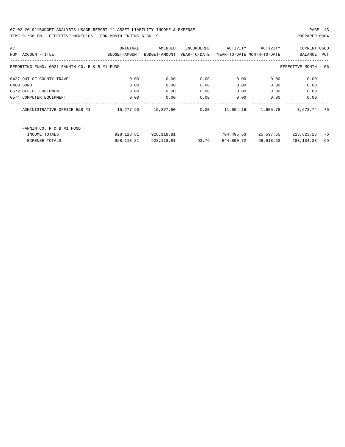| ACT |                                                                       | ORIGINAL      | AMENDED       | ENCUMBERED   | ACTIVITY   | ACTIVITY                   | <b>CURRENT USED</b> |     |  |  |
|-----|-----------------------------------------------------------------------|---------------|---------------|--------------|------------|----------------------------|---------------------|-----|--|--|
| NUM | ACCOUNT-TITLE                                                         | BUDGET-AMOUNT | BUDGET-AMOUNT | YEAR-TO-DATE |            | YEAR-TO-DATE MONTH-TO-DATE | BALANCE             | PCT |  |  |
|     |                                                                       |               |               |              |            |                            |                     |     |  |  |
|     | REPORTING FUND: 0021 FANNIN CO. R & B #1 FUND<br>EFFECTIVE MONTH - 06 |               |               |              |            |                            |                     |     |  |  |
|     |                                                                       |               |               |              |            |                            |                     |     |  |  |
|     | 0427 OUT OF COUNTY TRAVEL                                             | 0.00          | 0.00          | 0.00         | 0.00       | 0.00                       | 0.00                |     |  |  |
|     | 0480 BOND                                                             | 0.00          | 0.00          | 0.00         | 0.00       | 0.00                       | 0.00                |     |  |  |
|     | 0572 OFFICE EQUIPMENT                                                 | 0.00          | 0.00          | 0.00         | 0.00       | 0.00                       | 0.00                |     |  |  |
|     | 0574 COMPUTER EQUIPMENT                                               | 0.00          | 0.00          | 0.00         | 0.00       | 0.00                       | 0.00                |     |  |  |
|     | ADMINISTRATIVE OFFICE R&B #1                                          | 15,277.90     | 15,277.90     | 0.00         | 11,604.16  | 1,605.75                   | 3,673.74            | 76  |  |  |
|     |                                                                       |               |               |              |            |                            |                     |     |  |  |
|     | FANNIN CO. R & B #1 FUND                                              |               |               |              |            |                            |                     |     |  |  |
|     |                                                                       |               |               |              |            |                            |                     |     |  |  |
|     | INCOME TOTALS                                                         | 928,118.81    | 928,118.81    |              | 704,495.63 | 25,597.55                  | 223,623.18          | 76  |  |  |
|     | <b>EXPENSE TOTALS</b>                                                 | 928,118.81    | 928,118.81    | 93.76        | 644,890.72 | 66,918.63                  | 283, 134.33         | 69  |  |  |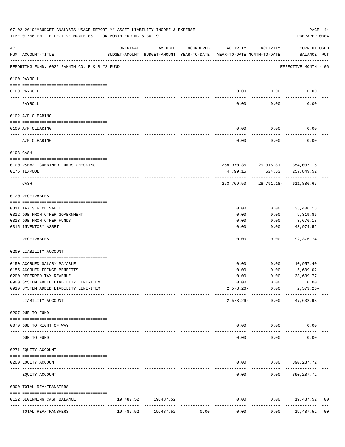|     | 07-02-2019**BUDGET ANALYSIS USAGE REPORT ** ASSET LIABILITY INCOME & EXPENSE<br>TIME:01:56 PM - EFFECTIVE MONTH:06 - FOR MONTH ENDING 6-30-19 |                           |                     |              |                                                                                 |                                            |                             |                |  |  |  |
|-----|-----------------------------------------------------------------------------------------------------------------------------------------------|---------------------------|---------------------|--------------|---------------------------------------------------------------------------------|--------------------------------------------|-----------------------------|----------------|--|--|--|
| ACT | NUM ACCOUNT-TITLE                                                                                                                             | ORIGINAL                  | AMENDED             | ENCUMBERED   | ACTIVITY<br>BUDGET-AMOUNT BUDGET-AMOUNT YEAR-TO-DATE YEAR-TO-DATE MONTH-TO-DATE | ACTIVITY                                   | CURRENT USED<br>BALANCE PCT |                |  |  |  |
|     | REPORTING FUND: 0022 FANNIN CO. R & B #2 FUND                                                                                                 |                           |                     |              |                                                                                 |                                            | EFFECTIVE MONTH - 06        |                |  |  |  |
|     | 0100 PAYROLL                                                                                                                                  |                           |                     |              |                                                                                 |                                            |                             |                |  |  |  |
|     | 0100 PAYROLL                                                                                                                                  |                           |                     |              | 0.00                                                                            | 0.00                                       | 0.00                        |                |  |  |  |
|     | ---- ----<br>PAYROLL                                                                                                                          |                           |                     |              | $---$<br>0.00                                                                   | -------<br>0.00                            | 0.00                        |                |  |  |  |
|     | 0102 A/P CLEARING                                                                                                                             |                           |                     |              |                                                                                 |                                            |                             |                |  |  |  |
|     | 0100 A/P CLEARING                                                                                                                             |                           |                     |              | 0.00                                                                            | 0.00                                       | 0.00                        |                |  |  |  |
|     | A/P CLEARING                                                                                                                                  |                           |                     |              | 0.00                                                                            | 0.00                                       | 0.00                        |                |  |  |  |
|     | 0103 CASH                                                                                                                                     |                           |                     |              |                                                                                 |                                            |                             |                |  |  |  |
|     |                                                                                                                                               |                           |                     |              |                                                                                 |                                            |                             |                |  |  |  |
|     | 0100 R&B#2- COMBINED FUNDS CHECKING<br>0175 TEXPOOL                                                                                           |                           |                     |              | 4,799.15                                                                        | 258,970.35 29,315.81- 354,037.15<br>524.63 | 257,849.52                  |                |  |  |  |
|     | CASH                                                                                                                                          |                           |                     |              | 263,769.50                                                                      |                                            | 28,791.18- 611,886.67       |                |  |  |  |
|     | 0120 RECEIVABLES                                                                                                                              |                           |                     |              |                                                                                 |                                            |                             |                |  |  |  |
|     | 0311 TAXES RECEIVABLE                                                                                                                         |                           |                     |              | 0.00                                                                            | 0.00                                       | 35,406.18                   |                |  |  |  |
|     | 0312 DUE FROM OTHER GOVERNMENT                                                                                                                |                           |                     |              | 0.00                                                                            | 0.00                                       | 9,319.86                    |                |  |  |  |
|     | 0313 DUE FROM OTHER FUNDS                                                                                                                     |                           |                     |              | 0.00                                                                            | 0.00                                       | 3,676.18                    |                |  |  |  |
|     | 0315 INVENTORY ASSET                                                                                                                          |                           |                     |              | 0.00                                                                            | 0.00                                       | 43,974.52<br>----------     |                |  |  |  |
|     | RECEIVABLES                                                                                                                                   |                           |                     |              | ----<br>0.00                                                                    | $- - - - - -$<br>0.00                      | 92,376.74                   |                |  |  |  |
|     | 0200 LIABILITY ACCOUNT                                                                                                                        |                           |                     |              |                                                                                 |                                            |                             |                |  |  |  |
|     | 0150 ACCRUED SALARY PAYABLE                                                                                                                   |                           |                     |              | 0.00                                                                            |                                            | $0.00$ 10,957.40            |                |  |  |  |
|     | 0155 ACCRUED FRINGE BENEFITS                                                                                                                  |                           |                     |              | 0.00                                                                            | 0.00                                       | 5,609.02                    |                |  |  |  |
|     | 0200 DEFERRED TAX REVENUE                                                                                                                     |                           |                     |              | 0.00                                                                            | 0.00                                       | 33,639.77                   |                |  |  |  |
|     | 0900 SYSTEM ADDED LIABILITY LINE-ITEM                                                                                                         |                           |                     |              | 0.00                                                                            | 0.00                                       | 0.00                        |                |  |  |  |
|     | 0910 SYSTEM ADDED LIABILITY LINE-ITEM                                                                                                         |                           |                     |              | 2,573.26-                                                                       | 0.00                                       | $2,573.26 -$                |                |  |  |  |
|     | LIABILITY ACCOUNT                                                                                                                             |                           |                     |              | $2,573.26 -$                                                                    | ------------<br>0.00                       | 47,632.93                   |                |  |  |  |
|     | 0207 DUE TO FUND                                                                                                                              |                           |                     |              |                                                                                 |                                            |                             |                |  |  |  |
|     | 0070 DUE TO RIGHT OF WAY                                                                                                                      |                           |                     |              | 0.00                                                                            | 0.00                                       | 0.00                        |                |  |  |  |
|     | DUE TO FUND                                                                                                                                   | ----------- ------------- |                     |              | 0.00                                                                            | 0.00                                       | 0.00                        |                |  |  |  |
|     | 0271 EQUITY ACCOUNT                                                                                                                           |                           |                     |              |                                                                                 |                                            |                             |                |  |  |  |
|     |                                                                                                                                               |                           |                     |              |                                                                                 |                                            |                             |                |  |  |  |
|     | 0200 EQUITY ACCOUNT                                                                                                                           |                           |                     |              | 0.00                                                                            |                                            | $0.00$ 390, 287.72          |                |  |  |  |
|     | EQUITY ACCOUNT                                                                                                                                |                           |                     |              | 0.00                                                                            | 0.00                                       | 390,287.72                  |                |  |  |  |
|     | 0300 TOTAL REV/TRANSFERS                                                                                                                      |                           |                     |              |                                                                                 |                                            |                             |                |  |  |  |
|     | 0122 BEGINNING CASH BALANCE<br>-------------- -------------<br>--------------                                                                 |                           | 19,487.52 19,487.52 | ------------ | 0.00<br>-------------                                                           |                                            | $0.00$ 19,487.52            | 00             |  |  |  |
|     | TOTAL REV/TRANSFERS                                                                                                                           | 19,487.52                 | 19,487.52           | 0.00         | 0.00                                                                            | 0.00                                       | 19,487.52                   | 0 <sub>0</sub> |  |  |  |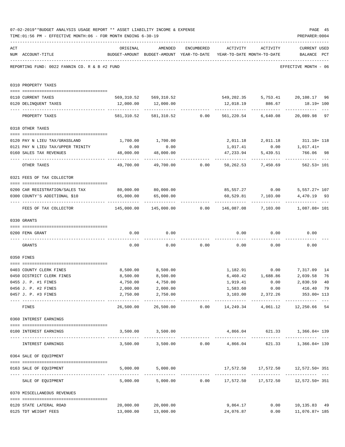|     | 07-02-2019**BUDGET ANALYSIS USAGE REPORT ** ASSET LIABILITY INCOME & EXPENSE<br>TIME: 01:56 PM - EFFECTIVE MONTH: 06 - FOR MONTH ENDING 6-30-19 |                                                                                 |                                                                   |            |                                    |                          | PAGE 45<br>PREPARER: 0004                                            |    |
|-----|-------------------------------------------------------------------------------------------------------------------------------------------------|---------------------------------------------------------------------------------|-------------------------------------------------------------------|------------|------------------------------------|--------------------------|----------------------------------------------------------------------|----|
| ACT | NUM ACCOUNT-TITLE                                                                                                                               | ORIGINAL<br>BUDGET-AMOUNT BUDGET-AMOUNT YEAR-TO-DATE YEAR-TO-DATE MONTH-TO-DATE | AMENDED                                                           | ENCUMBERED |                                    | ACTIVITY ACTIVITY        | <b>CURRENT USED</b><br>BALANCE PCT                                   |    |
|     | REPORTING FUND: 0022 FANNIN CO. R & B #2 FUND                                                                                                   |                                                                                 |                                                                   |            |                                    |                          | EFFECTIVE MONTH - 06                                                 |    |
|     | 0310 PROPERTY TAXES                                                                                                                             |                                                                                 |                                                                   |            |                                    |                          |                                                                      |    |
|     | 0110 CURRENT TAXES                                                                                                                              |                                                                                 | 569,310.52 569,310.52 549,202.35 5,753.41 20,108.17 96            |            |                                    |                          |                                                                      |    |
|     | 0120 DELINQUENT TAXES                                                                                                                           |                                                                                 | 12,000.00   12,000.00                                             |            |                                    | 12,018.19 886.67         | 18.19+ 100                                                           |    |
|     | PROPERTY TAXES                                                                                                                                  | 581,310.52                                                                      |                                                                   |            |                                    |                          | 581,310.52   0.00   561,220.54   6,640.08   20,089.98   97           |    |
|     | 0318 OTHER TAXES                                                                                                                                |                                                                                 |                                                                   |            |                                    |                          |                                                                      |    |
|     |                                                                                                                                                 |                                                                                 |                                                                   |            |                                    |                          |                                                                      |    |
|     | 0120 PAY N LIEU TAX/GRASSLAND                                                                                                                   | 1,700.00                                                                        | 1,700.00                                                          |            |                                    |                          | $2,011.18$ $2,011.18$ $311.18+118$                                   |    |
|     | 0121 PAY N LIEU TAX/UPPER TRINITY                                                                                                               | 0.00                                                                            | 0.00                                                              |            | 1,017.41                           |                          | $0.00$ 1,017.41+                                                     |    |
|     | 0160 SALES TAX REVENUES                                                                                                                         | 48,000.00<br>----------------- ------------- - -                                | 48,000.00                                                         |            | 47,233.94                          | 5,439.51<br>------------ | 766.06 98                                                            |    |
|     | OTHER TAXES                                                                                                                                     | 49,700.00                                                                       |                                                                   |            |                                    |                          | 49,700.00        0.00      50,262.53      7,450.69       562.53+ 101 |    |
|     | 0321 FEES OF TAX COLLECTOR                                                                                                                      |                                                                                 |                                                                   |            |                                    |                          |                                                                      |    |
|     |                                                                                                                                                 | 80,000.00 80,000.00                                                             |                                                                   |            | 85,557.27 0.00                     |                          |                                                                      |    |
|     | 0200 CAR REGISTRATION/SALES TAX<br>0300 COUNTY'S ADDITIONAL \$10                                                                                | 65,000.00                                                                       | 65,000.00                                                         |            |                                    | 60,529.81 7,103.00       | $5,557.27+107$<br>4,470.19 93                                        |    |
|     | FEES OF TAX COLLECTOR                                                                                                                           | 145,000.00   145,000.00      0.00   146,087.08   7,103.00    1,087.08+ 101      | ----------------------------                                      |            |                                    |                          |                                                                      |    |
|     | 0330 GRANTS                                                                                                                                     |                                                                                 |                                                                   |            |                                    |                          |                                                                      |    |
|     |                                                                                                                                                 |                                                                                 |                                                                   |            |                                    |                          |                                                                      |    |
|     | 0200 FEMA GRANT                                                                                                                                 | 0.00                                                                            | 0.00                                                              |            |                                    | $0.00$ 0.00              | 0.00                                                                 |    |
|     | GRANTS                                                                                                                                          | 0.00                                                                            |                                                                   |            | $0.00$ $0.00$ $0.00$ $0.00$ $0.00$ |                          | 0.00                                                                 |    |
|     | 0350 FINES                                                                                                                                      |                                                                                 |                                                                   |            |                                    |                          |                                                                      |    |
|     | 0403 COUNTY CLERK FINES                                                                                                                         |                                                                                 | 8,500.00 8,500.00                                                 |            |                                    |                          | 1,182.91 0.00 7,317.09                                               | 14 |
|     | 0450 DISTRICT CLERK FINES                                                                                                                       | 8,500.00                                                                        | 8,500.00                                                          |            |                                    | $6,460.42$ 1,688.86      | 2,039.58                                                             | 76 |
|     | 0455 J. P. #1 FINES                                                                                                                             | 4,750.00                                                                        | 4,750.00                                                          |            | 1,919.41                           | 0.00                     | 2,830.59 40                                                          |    |
|     | 0456 J. P. #2 FINES                                                                                                                             | 2,000.00                                                                        | 2,000.00                                                          |            | 1,583.60                           | 0.00                     | 416.40 79                                                            |    |
|     | 0457 J. P. #3 FINES                                                                                                                             | 2,750.00                                                                        | 2,750.00                                                          |            |                                    |                          | 3,103.00 2,372.26 353.00+113                                         |    |
|     | FINES                                                                                                                                           | 26,500.00                                                                       |                                                                   |            |                                    |                          | 26,500.00   0.00   14,249.34   4,061.12   12,250.66   54             |    |
|     | 0360 INTEREST EARNINGS                                                                                                                          |                                                                                 |                                                                   |            |                                    |                          |                                                                      |    |
|     | 0100 INTEREST EARNINGS                                                                                                                          |                                                                                 | 3,500.00 3,500.00                                                 |            |                                    |                          | $4,866.04$ $621.33$ $1,366.04+139$                                   |    |
|     | INTEREST EARNINGS                                                                                                                               |                                                                                 | $3,500.00$ $3,500.00$ $0.00$ $4,866.04$ $621.33$ $1,366.04$ $139$ |            |                                    |                          |                                                                      |    |
|     | 0364 SALE OF EQUIPMENT                                                                                                                          |                                                                                 |                                                                   |            |                                    |                          |                                                                      |    |
|     | --------------------------------------<br>0163 SALE OF EQUIPMENT                                                                                |                                                                                 | 5,000.00 5,000.00                                                 |            |                                    |                          | $17,572.50$ $17,572.50$ $12,572.50+351$                              |    |
|     | SALE OF EQUIPMENT                                                                                                                               |                                                                                 | 5,000.00 5,000.00 0.00 17,572.50 17,572.50 12,572.50 5,000.00     |            |                                    |                          |                                                                      |    |
|     | 0370 MISCELLANEOUS REVENUES                                                                                                                     |                                                                                 |                                                                   |            |                                    |                          |                                                                      |    |
|     | 0120 STATE LATERAL ROAD                                                                                                                         | 20,000.00                                                                       | 20,000.00                                                         |            | 9,864.17                           |                          | $0.00$ 10,135.83 49                                                  |    |
|     | 0125 TDT WEIGHT FEES                                                                                                                            |                                                                                 | 13,000.00 13,000.00                                               |            | 24,076.87                          |                          | $0.00$ 11,076.87+185                                                 |    |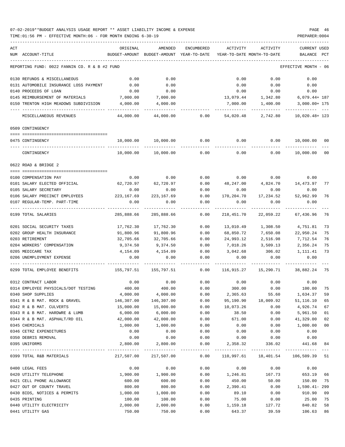| ACT |                                               | ORIGINAL               | AMENDED                    | <b>ENCUMBERED</b> | ACTIVITY               | ACTIVITY                                  | <b>CURRENT USED</b>   |        |
|-----|-----------------------------------------------|------------------------|----------------------------|-------------------|------------------------|-------------------------------------------|-----------------------|--------|
|     | NUM ACCOUNT-TITLE                             | BUDGET-AMOUNT          | BUDGET-AMOUNT YEAR-TO-DATE |                   |                        | YEAR-TO-DATE MONTH-TO-DATE                | BALANCE               | PCT    |
|     | REPORTING FUND: 0022 FANNIN CO. R & B #2 FUND |                        |                            |                   |                        |                                           | EFFECTIVE MONTH - 06  |        |
|     | 0130 REFUNDS & MISCELLANEOUS                  | 0.00                   | 0.00                       |                   | 0.00                   | 0.00                                      | 0.00                  |        |
|     | 0131 AUTOMOBILE INSURANCE LOSS PAYMENT        | 0.00                   | 0.00                       |                   | 0.00                   | 0.00                                      | 0.00                  |        |
|     | 0140 PROCEEDS OF LOAN                         | 0.00                   | 0.00                       |                   | 0.00                   | 0.00                                      | 0.00                  |        |
|     | 0145 REIMBURSEMENT OF MATERIALS               | 7,000.00               | 7,000.00                   |                   | 13,079.44              | 1,342.80                                  | $6,079.44+187$        |        |
|     | 0150 TRENTON HIGH MEADOWS SUBDIVISION         | 4,000.00               | 4,000.00                   |                   | 7,000.00               | 1,400.00                                  | 3,000.00+ 175         |        |
|     | MISCELLANEOUS REVENUES                        | 44,000.00              | 44,000.00                  | 0.00              | 54,020.48              | 2,742.80                                  | 10,020.48+ 123        |        |
|     | 0509 CONTINGENCY                              |                        |                            |                   |                        |                                           |                       |        |
|     |                                               |                        |                            |                   |                        |                                           |                       |        |
|     | 0475 CONTINGENCY                              | 10,000.00              | 10,000.00                  | 0.00              | 0.00                   | 0.00                                      | 10,000.00             | 00     |
|     | CONTINGENCY                                   | 10,000.00              | 10,000.00                  | 0.00              | 0.00                   | 0.00                                      | 10,000.00             | 00     |
|     | 0622 ROAD & BRIDGE 2                          |                        |                            |                   |                        |                                           |                       |        |
|     | 0100 COMPENSATION PAY                         | 0.00                   | 0.00                       | 0.00              |                        | $0.00$ 0.00                               | 0.00                  |        |
|     | 0101 SALARY ELECTED OFFICIAL                  | 62,720.97              | 62,720.97                  | 0.00              | 48,247.00              | 4,824.70                                  | 14,473.97             | 77     |
|     | 0105 SALARY SECRETARY                         | 0.00                   | 0.00                       | 0.00              | 0.00                   | 0.00                                      | 0.00                  |        |
|     | 0106 SALARY PRECINCT EMPLOYEES                | 223,167.69             | 223,167.69                 | 0.00              | 170,204.70             | 17,234.52                                 | 52,962.99             | 76     |
|     | 0107 REGULAR-TEMP. PART-TIME                  | 0.00                   | 0.00                       | 0.00              | 0.00                   | 0.00                                      | 0.00                  |        |
|     | 0199 TOTAL SALARIES                           | 285,888.66             | 285,888.66                 | 0.00              | 218,451.70             | 22,059.22                                 | 67,436.96             | 76     |
|     | 0201 SOCIAL SECURITY TAXES                    |                        |                            | 0.00              |                        |                                           |                       | 73     |
|     | 0202 GROUP HEALTH INSURANCE                   | 17,762.30<br>91,800.96 | 17,762.30<br>91,800.96     | 0.00              | 13,010.49<br>68,850.72 | 1,308.50<br>7,650.08                      | 4,751.81<br>22,950.24 | 75     |
|     | 0203 RETIREMENT                               | 32,705.66              | 32,705.66                  | 0.00              | 24,993.12              | 2,516.98                                  | 7,712.54              | 76     |
|     | 0204 WORKERS' COMPENSATION                    | 9,374.50               | 9,374.50                   | 0.00              | 7,018.26               | 3,509.13                                  | 2,356.24              | 75     |
|     | 0205 MEDICARE TAX                             | 4,154.09               | 4,154.09                   | 0.00              | 3,042.68               | 306.02                                    | 1,111.41              | 73     |
|     | 0206 UNEMPLOYMENT EXPENSE                     | 0.00                   | 0.00                       | 0.00              | 0.00                   | 0.00                                      | 0.00                  |        |
|     |                                               |                        |                            |                   |                        |                                           |                       |        |
|     | 0299 TOTAL EMPLOYEE BENEFITS                  | 155,797.51             | 155,797.51                 | 0.00              | 116,915.27             | 15,290.71                                 | 38,882.24 75          |        |
|     | 0312 CONTRACT LABOR                           | 0.00                   | 0.00                       | 0.00              | 0.00                   | 0.00                                      | 0.00                  |        |
|     | 0314 EMPLOYEE PHYSICALS/DOT TESTING           | 400.00                 | 400.00                     | 0.00              | 300.00                 | 0.00                                      | 100.00                | 75     |
|     | 0340 SHOP SUPPLIES                            | 4,000.00               | 4,000.00                   | 0.00              |                        | 2,365.63 55.60                            | 1,634.37              | 59     |
|     | 0341 R & B MAT. ROCK & GRAVEL                 | 146,307.00             | 146,307.00                 | 0.00              | 95,190.90              | 18,009.92                                 | 51,116.10             | 65     |
|     | 0342 R & B MAT. CULVERTS                      | 15,000.00              | 15,000.00                  | 0.00              | 10,073.26              | 0.00                                      | 4,926.74              | 67     |
|     | 0343 R & B MAT. HARDWRE & LUMB                | 6,000.00               | 6,000.00                   | 0.00              | 38.50                  | 0.00                                      | 5,961.50              | 01     |
|     | 0344 R & B MAT. ASPHALT/RD OIL                | 42,000.00              | 42,000.00                  | 0.00              | 671.00                 | 0.00                                      | 41,329.00             | 02     |
|     | 0345 CHEMICALS                                | 1,000.00               | 1,000.00                   | 0.00              | 0.00                   | 0.00                                      | 1,000.00              | $00\,$ |
|     | 0346 CETRZ EXPENDITURES                       | 0.00                   | 0.00                       | 0.00              | 0.00                   | 0.00                                      | 0.00                  |        |
|     | 0350 DEBRIS REMOVAL                           | 0.00                   | 0.00                       | 0.00              | 0.00                   | 0.00                                      | 0.00                  |        |
|     | 0395 UNIFORMS                                 | 2,800.00               | 2,800.00<br>-------------  | 0.00              | 2,358.32               | 336.02                                    | 441.68                | 84     |
|     | 0399 TOTAL R&B MATERIALS                      |                        | 217,507.00 217,507.00      |                   |                        | $0.00$ 110,997.61 18,401.54 106,509.39 51 |                       |        |
|     | 0400 LEGAL FEES                               | 0.00                   | 0.00                       | 0.00              | 0.00                   | 0.00                                      | 0.00                  |        |
|     | 0420 UTILITY TELEPHONE                        | 1,900.00               | 1,900.00                   | 0.00              | 1,246.81               | 167.73                                    | 653.19                | 66     |
|     | 0421 CELL PHONE ALLOWANCE                     | 600.00                 | 600.00                     | 0.00              | 450.00                 | 50.00                                     | 150.00                | 75     |
|     | 0427 OUT OF COUNTY TRAVEL                     | 800.00                 | 800.00                     | 0.00              | 2,390.41               | 0.00                                      | 1,590.41- 299         |        |
|     | 0430 BIDS, NOTICES & PERMITS                  | 1,000.00               | 1,000.00                   | 0.00              | 89.10                  | 0.00                                      | 910.90                | 09     |
|     | 0435 PRINTING                                 | 100.00                 | 100.00                     | 0.00              | 75.00                  | 0.00                                      | 25.00                 | 75     |
|     | 0440 UTILITY ELECTRICITY                      | 2,000.00               | 2,000.00                   | 0.00              | 1,159.18               | 127.72                                    | 840.82                | 58     |
|     | 0441 UTILITY GAS                              | 750.00                 | 750.00                     | 0.00              | 643.37                 | 39.59                                     | 106.63                | 86     |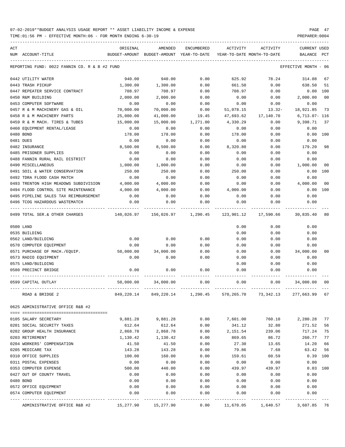| ACT |                                               | ORIGINAL   | AMENDED                                  | <b>ENCUMBERED</b> | ACTIVITY                   | ACTIVITY  | <b>CURRENT USED</b>  |                |
|-----|-----------------------------------------------|------------|------------------------------------------|-------------------|----------------------------|-----------|----------------------|----------------|
|     | NUM ACCOUNT-TITLE                             |            | BUDGET-AMOUNT BUDGET-AMOUNT YEAR-TO-DATE |                   | YEAR-TO-DATE MONTH-TO-DATE |           | <b>BALANCE</b>       | PCT            |
|     |                                               |            |                                          |                   |                            |           |                      |                |
|     | REPORTING FUND: 0022 FANNIN CO. R & B #2 FUND |            |                                          |                   |                            |           | EFFECTIVE MONTH - 06 |                |
|     | 0442 UTILITY WATER                            | 940.00     | 940.00                                   | 0.00              | 625.92                     | 78.24     | 314.08               | 67             |
|     | 0443 TRASH PICKUP                             | 1,300.00   | 1,300.00                                 | 0.00              | 661.50                     | 0.00      | 638.50               | 51             |
|     | 0447 REPEATER SERVICE CONTRACT                | 708.97     | 708.97                                   | 0.00              | 708.97                     | 0.00      | 0.00                 | 100            |
|     | 0450 R&M BUILDING                             | 2,000.00   | 2,000.00                                 | 0.00              | 0.00                       | 0.00      | 2,000.00             | 0 <sub>0</sub> |
|     | 0453 COMPUTER SOFTWARE                        | 0.00       | 0.00                                     | 0.00              | 0.00                       | 0.00      | 0.00                 |                |
|     | 0457 R & M MACHINERY GAS & OIL                | 70,000.00  | 70,000.00                                | 0.00              | 51,078.15                  | $13.32-$  | 18,921.85            | 73             |
|     | 0458 R & M MACHINERY PARTS                    | 25,000.00  | 41,000.00                                | 19.45             | 47,693.62                  | 17,140.70 | $6,713.07 - 116$     |                |
|     | 0459 R & M MACH. TIRES & TUBES                | 15,000.00  | 15,000.00                                | 1,271.00          | 4,330.29                   | 0.00      | 9,398.71             | 37             |
|     | 0460 EQUIPMENT RENTAL/LEASE                   | 0.00       | 0.00                                     | 0.00              | 0.00                       | 0.00      | 0.00                 |                |
|     |                                               |            |                                          |                   |                            |           |                      |                |
|     | 0480 BOND                                     | 178.00     | 178.00                                   | 0.00              | 178.00                     | 0.00      | 0.00                 | 100            |
|     | 0481 DUES                                     | 0.00       | 0.00                                     | 0.00              | 0.00                       | 0.00      | 0.00                 |                |
|     | 0482 INSURANCE                                | 8,500.00   | 8,500.00                                 | 0.00              | 8,320.80                   | 0.00      | 179.20               | 98             |
|     | 0485 PRISONER SUPPLIES                        | 0.00       | 0.00                                     | 0.00              | 0.00                       | 0.00      | 0.00                 |                |
|     | 0488 FANNIN RURAL RAIL DISTRICT               | 0.00       | 0.00                                     | 0.00              | 0.00                       | 0.00      | 0.00                 |                |
|     | 0490 MISCELLANEOUS                            | 1,000.00   | 1,000.00                                 | 0.00              | 0.00                       | 0.00      | 1,000.00             | 00             |
|     | 0491 SOIL & WATER CONSERVATION                | 250.00     | 250.00                                   | 0.00              | 250.00                     | 0.00      | 0.00                 | 100            |
|     | 0492 TDRA FLOOD CASH MATCH                    | 0.00       | 0.00                                     | 0.00              | 0.00                       | 0.00      | 0.00                 |                |
|     | 0493 TRENTON HIGH MEADOWS SUBDIVISION         | 4,000.00   | 4,000.00                                 | 0.00              | 0.00                       | 0.00      | 4,000.00             | 00             |
|     | 0494 FLOOD CONTROL SITE MAINTENANCE           | 4,000.00   | 4,000.00                                 | 0.00              | 4,000.00                   | 0.00      | 0.00                 | 100            |
|     | 0495 PIPELINE SALES TAX REIMBURSEMENT         | 0.00       | 0.00                                     | 0.00              | 0.00                       | 0.00      | 0.00                 |                |
|     | 0496 TCOG HAZARDOUS WASTEMATCH                | 0.00       | 0.00                                     | 0.00              | 0.00                       | 0.00      | 0.00                 |                |
|     |                                               |            |                                          |                   |                            |           |                      |                |
|     | 0499 TOTAL SER.& OTHER CHARGES                | 140,026.97 | 156,026.97                               | 1,290.45          | 123,901.12                 | 17,590.66 | 30,835.40            | 80             |
|     | 0500 LAND                                     |            |                                          |                   | 0.00                       | 0.00      | 0.00                 |                |
|     | 0535 BUILDING                                 |            |                                          |                   | 0.00                       | 0.00      | 0.00                 |                |
|     | 0562 LAND/BUILDING                            | 0.00       | 0.00                                     | 0.00              | 0.00                       | 0.00      | 0.00                 |                |
|     | 0570 COMPUTER EQUIPMENT                       | 0.00       | 0.00                                     | 0.00              | 0.00                       | 0.00      | 0.00                 |                |
|     | 0571 PURCHASE OF MACH./EQUIP.                 | 50,000.00  | 34,000.00                                | 0.00              | 0.00                       | 0.00      | 34,000.00            | 00             |
|     | 0573 RADIO EQUIPMENT                          | 0.00       | 0.00                                     | 0.00              | 0.00                       | 0.00      | 0.00                 |                |
|     | 0575 LAND/BUILDING                            |            |                                          |                   | 0.00                       | 0.00      | 0.00                 |                |
|     |                                               |            |                                          |                   |                            |           |                      |                |
|     | 0580 PRECINCT BRIDGE                          | 0.00       | 0.00                                     | 0.00              | 0.00                       | 0.00      | 0.00                 |                |
|     | 0599 CAPITAL OUTLAY                           | 50,000.00  | 34,000.00                                | 0.00              | 0.00                       | 0.00      | 34,000.00            | 00             |
|     | ROAD & BRIDGE 2                               | 849,220.14 | 849,220.14                               | 1,290.45          | 570,265.70                 | 73,342.13 | 277,663.99 67        |                |
|     | 0625 ADMINISTRATIVE OFFICE R&B #2             |            |                                          |                   |                            |           |                      |                |
|     |                                               |            |                                          |                   |                            |           |                      |                |
|     | 0105 SALARY SECRETARY                         | 9,881.28   | 9,881.28                                 | 0.00              | 7,601.00                   | 760.10    | 2,280.28             | 77             |
|     | 0201 SOCIAL SECURITY TAXES                    | 612.64     | 612.64                                   | 0.00              | 341.12                     | 32.80     | 271.52               | 56             |
|     | 0202 GROUP HEALTH INSURANCE                   | 2,868.78   | 2,868.78                                 | 0.00              | 2,151.54                   | 239.06    | 717.24               | 75             |
|     | 0203 RETIREMENT                               | 1,130.42   | 1,130.42                                 | 0.00              | 869.65                     | 86.72     | 260.77               | 77             |
|     | 0204 WORKERS' COMPENSATION                    | 41.50      | 41.50                                    | 0.00              | 27.30                      | 13.65     | 14.20                | 66             |
|     | 0205 MEDICARE TAX                             | 143.28     | 143.28                                   | 0.00              | 79.86                      | 7.68      | 63.42                | 56             |
|     | 0310 OFFICE SUPPLIES                          | 100.00     | 160.00                                   | 0.00              | 159.61                     | 60.59     | $0.39$ 100           |                |
|     | 0311 POSTAL EXPENSES                          | 0.00       | 0.00                                     | 0.00              | 0.00                       | 0.00      | 0.00                 |                |
|     | 0353 COMPUTER EXPENSE                         | 500.00     | 440.00                                   | 0.00              | 439.97                     | 439.97    | 0.03                 | 100            |
|     | 0427 OUT OF COUNTY TRAVEL                     | 0.00       | 0.00                                     | 0.00              | 0.00                       | 0.00      | 0.00                 |                |
|     | 0480 BOND                                     | 0.00       | 0.00                                     | 0.00              | 0.00                       | 0.00      | 0.00                 |                |
|     | 0572 OFFICE EQUIPMENT                         | 0.00       | 0.00                                     | 0.00              | 0.00                       | 0.00      | 0.00                 |                |
|     | 0574 COMPUTER EQUIPMENT                       | 0.00       | 0.00                                     | 0.00              | 0.00                       | 0.00      | 0.00                 |                |
|     |                                               |            |                                          | -----------       |                            |           |                      |                |
|     | ADMINISTRATIVE OFFICE R&B #2                  | 15,277.90  | 15,277.90                                | 0.00              | 11,670.05                  | 1,640.57  | 3,607.85 76          |                |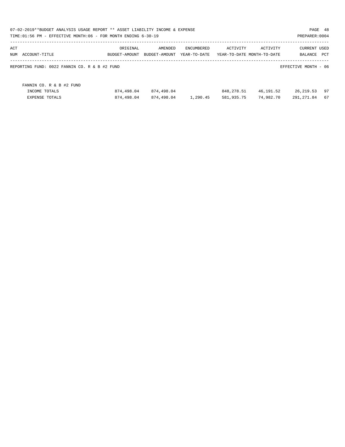|                                               | 07-02-2019**BUDGET ANALYSIS USAGE REPORT ** ASSET LIABILITY INCOME & EXPENSE<br>PAGE 48<br>TIME:01:56 PM - EFFECTIVE MONTH:06 - FOR MONTH ENDING 6-30-19<br>PREPARER: 0004 |               |              |            |                            |                      |     |  |  |  |
|-----------------------------------------------|----------------------------------------------------------------------------------------------------------------------------------------------------------------------------|---------------|--------------|------------|----------------------------|----------------------|-----|--|--|--|
| ACT                                           | ORIGINAL                                                                                                                                                                   | AMENDED       | ENCUMBERED   | ACTIVITY   | ACTIVITY                   | <b>CURRENT USED</b>  |     |  |  |  |
| NUM<br>ACCOUNT-TITLE                          | BUDGET-AMOUNT                                                                                                                                                              | BUDGET-AMOUNT | YEAR-TO-DATE |            | YEAR-TO-DATE MONTH-TO-DATE | BALANCE              | PCT |  |  |  |
| REPORTING FUND: 0022 FANNIN CO. R & B #2 FUND |                                                                                                                                                                            |               |              |            |                            | EFFECTIVE MONTH - 06 |     |  |  |  |
| FANNIN CO. R & B #2 FUND                      |                                                                                                                                                                            |               |              |            |                            |                      |     |  |  |  |
| INCOME TOTALS                                 | 874,498.04                                                                                                                                                                 | 874,498.04    |              | 848,278.51 | 46,191.52                  | 26, 219.53           | 97  |  |  |  |
| <b>EXPENSE TOTALS</b>                         | 874,498.04                                                                                                                                                                 | 874,498.04    | 1,290.45     | 581,935.75 | 74,982.70                  | 291, 271.84          | 67  |  |  |  |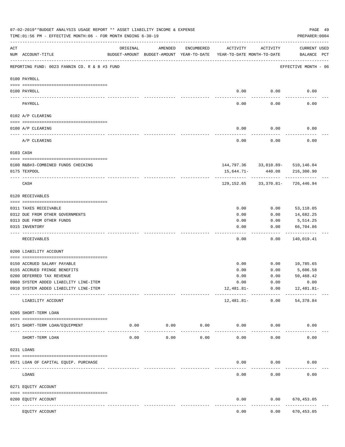|           | 07-02-2019**BUDGET ANALYSIS USAGE REPORT ** ASSET LIABILITY INCOME & EXPENSE<br>TIME: 01:56 PM - EFFECTIVE MONTH: 06 - FOR MONTH ENDING 6-30-19 |                                                      |                     |                     |                                        |                               | PREPARER: 0004                                 | PAGE 49 |
|-----------|-------------------------------------------------------------------------------------------------------------------------------------------------|------------------------------------------------------|---------------------|---------------------|----------------------------------------|-------------------------------|------------------------------------------------|---------|
| ACT       | NUM ACCOUNT-TITLE                                                                                                                               | ORIGINAL<br>BUDGET-AMOUNT BUDGET-AMOUNT YEAR-TO-DATE | AMENDED             | ENCUMBERED          | ACTIVITY<br>YEAR-TO-DATE MONTH-TO-DATE | ACTIVITY                      | <b>CURRENT USED</b><br>BALANCE PCT             |         |
|           | REPORTING FUND: 0023 FANNIN CO. R & B #3 FUND                                                                                                   |                                                      |                     |                     |                                        |                               | EFFECTIVE MONTH - 06                           |         |
|           | 0100 PAYROLL                                                                                                                                    |                                                      |                     |                     |                                        |                               |                                                |         |
|           | 0100 PAYROLL                                                                                                                                    |                                                      |                     |                     | 0.00                                   | 0.00                          | 0.00                                           |         |
| ---- ---- | PAYROLL                                                                                                                                         |                                                      |                     |                     | 0.00                                   | 0.00                          | 0.00                                           |         |
|           | 0102 A/P CLEARING                                                                                                                               |                                                      |                     |                     |                                        |                               |                                                |         |
|           | 0100 A/P CLEARING                                                                                                                               |                                                      |                     |                     | 0.00                                   | 0.00                          | 0.00                                           |         |
|           | ----------------------------------<br>A/P CLEARING                                                                                              |                                                      |                     |                     | 0.00                                   | --------<br>0.00              | 0.00                                           |         |
|           | 0103 CASH                                                                                                                                       |                                                      |                     |                     |                                        |                               |                                                |         |
|           |                                                                                                                                                 |                                                      |                     |                     |                                        |                               |                                                |         |
|           | 0100 R&B#3-COMBINED FUNDS CHECKING<br>0175 TEXPOOL                                                                                              |                                                      |                     |                     | 15,644.71-                             | 440.08                        | 144,797.36 33,810.89- 510,146.04<br>216,300.90 |         |
|           |                                                                                                                                                 |                                                      |                     |                     |                                        |                               |                                                |         |
|           | CASH                                                                                                                                            |                                                      |                     |                     |                                        |                               | 129, 152.65 33, 370.81 - 726, 446.94           |         |
|           | 0120 RECEIVABLES                                                                                                                                |                                                      |                     |                     |                                        |                               |                                                |         |
|           | 0311 TAXES RECEIVABLE                                                                                                                           |                                                      |                     |                     | 0.00                                   | 0.00                          | 53,118.05                                      |         |
|           | 0312 DUE FROM OTHER GOVERNMENTS                                                                                                                 |                                                      |                     |                     | 0.00                                   | 0.00                          | 14,682.25                                      |         |
|           | 0313 DUE FROM OTHER FUNDS                                                                                                                       |                                                      |                     |                     | 0.00                                   | 0.00                          | 5,514.25                                       |         |
|           | 0315 INVENTORY                                                                                                                                  |                                                      |                     |                     | 0.00                                   | 0.00                          | 66,704.86<br>.                                 |         |
|           | RECEIVABLES                                                                                                                                     |                                                      |                     |                     | 0.00                                   | 0.00                          | 140,019.41                                     |         |
|           | 0200 LIABILITY ACCOUNT                                                                                                                          |                                                      |                     |                     |                                        |                               |                                                |         |
|           |                                                                                                                                                 |                                                      |                     |                     |                                        |                               |                                                |         |
|           | 0150 ACCRUED SALARY PAYABLE                                                                                                                     |                                                      |                     |                     | 0.00                                   | 0.00                          | 10,785.65                                      |         |
|           | 0155 ACCRUED FRINGE BENEFITS<br>0200 DEFERRED TAX REVENUE                                                                                       |                                                      |                     |                     | 0.00<br>0.00                           | 0.00<br>0.00                  | 5,606.58<br>50,468.42                          |         |
|           | 0900 SYSTEM ADDED LIABILITY LINE-ITEM                                                                                                           |                                                      |                     |                     | 0.00                                   | 0.00                          | 0.00                                           |         |
|           | 0910 SYSTEM ADDED LIABILITY LINE-ITEM                                                                                                           |                                                      |                     |                     | 12,481.81-                             | 0.00                          | 12,481.81-                                     |         |
|           | LIABILITY ACCOUNT                                                                                                                               |                                                      |                     |                     | 12,481.81-                             | -------- ------------<br>0.00 | -----------<br>54,378.84                       |         |
|           | 0205 SHORT-TERM LOAN                                                                                                                            |                                                      |                     |                     |                                        |                               |                                                |         |
|           | 0571 SHORT-TERM LOAN/EQUIPMENT                                                                                                                  | 0.00                                                 | 0.00<br>----------- | 0.00<br>$- - - - -$ |                                        | 0.00<br>0.00                  | 0.00                                           |         |
|           | SHORT-TERM LOAN                                                                                                                                 | 0.00                                                 | 0.00                | 0.00                | 0.00                                   | 0.00                          | 0.00                                           |         |
|           | 0231 LOANS                                                                                                                                      |                                                      |                     |                     |                                        |                               |                                                |         |
|           | 0571 LOAN OF CAPITAL EQUIP. PURCHASE                                                                                                            |                                                      |                     |                     | 0.00                                   | 0.00                          | 0.00                                           |         |
|           | LOANS                                                                                                                                           |                                                      |                     |                     | 0.00                                   | 0.00                          | 0.00                                           |         |
|           | 0271 EQUITY ACCOUNT                                                                                                                             |                                                      |                     |                     |                                        |                               |                                                |         |
|           | 0200 EQUITY ACCOUNT                                                                                                                             |                                                      |                     |                     | 0.00                                   | 0.00                          | 670,453.05                                     |         |
|           | -- -----------<br>------------------- -------------<br>EQUITY ACCOUNT                                                                           |                                                      |                     |                     | 0.00                                   | 0.00                          | .<br>670,453.05                                |         |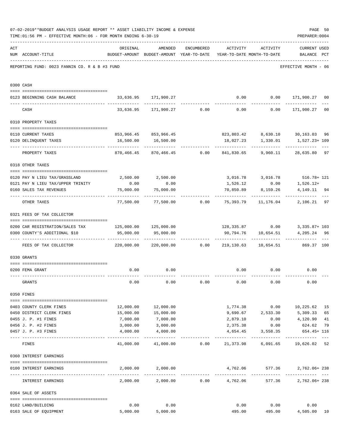|     | 07-02-2019**BUDGET ANALYSIS USAGE REPORT ** ASSET LIABILITY INCOME & EXPENSE<br>TIME: 01:56 PM - EFFECTIVE MONTH: 06 - FOR MONTH ENDING 6-30-19 |                                  |                                                                                |      |                              |                 | PAGE 50<br>PREPARER: 0004                                                        |                |
|-----|-------------------------------------------------------------------------------------------------------------------------------------------------|----------------------------------|--------------------------------------------------------------------------------|------|------------------------------|-----------------|----------------------------------------------------------------------------------|----------------|
| ACT | NUM ACCOUNT-TITLE                                                                                                                               | ORIGINAL                         | AMENDED<br>BUDGET-AMOUNT BUDGET-AMOUNT YEAR-TO-DATE YEAR-TO-DATE MONTH-TO-DATE |      | ENCUMBERED ACTIVITY ACTIVITY |                 | <b>CURRENT USED</b><br>BALANCE PCT                                               |                |
|     | REPORTING FUND: 0023 FANNIN CO. R & B #3 FUND                                                                                                   |                                  |                                                                                |      |                              |                 | EFFECTIVE MONTH - 06                                                             |                |
|     | 0300 CASH                                                                                                                                       |                                  |                                                                                |      |                              |                 |                                                                                  |                |
|     | 0123 BEGINNING CASH BALANCE                                                                                                                     |                                  | 33,636.95 171,900.27                                                           |      |                              |                 | $0.00$ $0.00$ $171,900.27$ 00                                                    |                |
|     | CASH                                                                                                                                            |                                  |                                                                                |      |                              |                 | $33,636.95$ $171,900.27$ $0.00$ $0.00$ $0.00$ $171,900.27$                       | 0 <sub>0</sub> |
|     | 0310 PROPERTY TAXES                                                                                                                             |                                  |                                                                                |      |                              |                 |                                                                                  |                |
|     |                                                                                                                                                 |                                  |                                                                                |      |                              |                 |                                                                                  |                |
|     | 0110 CURRENT TAXES                                                                                                                              |                                  | 853,966.45 853,966.45                                                          |      |                              |                 |                                                                                  | 96             |
|     | 0120 DELINQUENT TAXES<br>-------------------- --------------                                                                                    |                                  | 16,500.00 16,500.00<br>-------------                                           |      | . <u>.</u>                   | ------------    | 18,027.23 1,330.01 1,527.23+109<br><u>. Le celesce de l</u>                      |                |
|     | PROPERTY TAXES                                                                                                                                  | 870,466.45                       |                                                                                |      |                              |                 | 870,466.45   0.00   841,830.65   9,960.11   28,635.80   97                       |                |
|     | 0318 OTHER TAXES                                                                                                                                |                                  |                                                                                |      |                              |                 |                                                                                  |                |
|     | 0120 PAY N LIEU TAX/GRASSLAND                                                                                                                   |                                  | 2,500.00 2,500.00                                                              |      |                              |                 | 3,016.78 3,016.78 516.78 516.78 5178                                             |                |
|     | 0121 PAY N LIEU TAX/UPPER TRINITY                                                                                                               | 0.00                             | 0.00                                                                           |      |                              |                 | $1,526.12$ 0.00 1,526.12+                                                        |                |
|     | 0160 SALES TAX REVENUES                                                                                                                         | 75,000.00                        | 75,000.00                                                                      |      | 70,850.89                    | 8,159.26        | 4, 149, 11 94                                                                    |                |
|     | OTHER TAXES                                                                                                                                     |                                  |                                                                                |      |                              | .               | -----------<br>$77,500.00$ $77,500.00$ $0.00$ $75,393.79$ $11,176.04$ $2,106.21$ | $- - -$<br>97  |
|     | 0321 FEES OF TAX COLLECTOR                                                                                                                      |                                  |                                                                                |      |                              |                 |                                                                                  |                |
|     |                                                                                                                                                 |                                  |                                                                                |      |                              |                 |                                                                                  |                |
|     | 0200 CAR REGISTRATION/SALES TAX 125,000.00 125,000.00<br>0300 COUNTY'S ADDITIONAL \$10                                                          | 95,000.00                        | 95,000.00                                                                      |      |                              |                 | 128,335.87   0.00   3,335.87+ 103<br>4,205.24 96                                 |                |
|     | FEES OF TAX COLLECTOR                                                                                                                           | $220,000.00$ $220,000.00$ $0.00$ |                                                                                |      |                              |                 | -------------<br>219,130.63  10,654.51  869.37  100                              |                |
|     |                                                                                                                                                 |                                  |                                                                                |      |                              |                 |                                                                                  |                |
|     | 0330 GRANTS                                                                                                                                     |                                  |                                                                                |      |                              |                 |                                                                                  |                |
|     | 0200 FEMA GRANT                                                                                                                                 | 0.00                             | 0.00                                                                           |      |                              |                 | $0.00$ $0.00$ $0.00$ $0.00$                                                      |                |
|     |                                                                                                                                                 |                                  |                                                                                |      |                              |                 |                                                                                  |                |
|     | GRANTS                                                                                                                                          | 0.00                             | 0.00                                                                           | 0.00 | 0.00                         | 0.00            | 0.00                                                                             |                |
|     | 0350 FINES                                                                                                                                      |                                  |                                                                                |      |                              |                 |                                                                                  |                |
|     | 0403 COUNTY CLERK FINES                                                                                                                         | 12,000.00                        | 12,000.00                                                                      |      |                              |                 | 1,774.38 0.00 10,225.62                                                          | 15             |
|     | 0450 DISTRICT CLERK FINES                                                                                                                       | 15,000.00                        | 15,000.00                                                                      |      |                              |                 | 9,690.67 2,533.30 5,309.33                                                       | 65             |
|     | 0455 J. P. #1 FINES                                                                                                                             | 7,000.00                         | 7,000.00                                                                       |      | 2,879.10                     | 0.00            | 4,120.90                                                                         | 41             |
|     | 0456 J. P. #2 FINES                                                                                                                             | 3,000.00                         | 3,000.00                                                                       |      | 2,375.38                     | 0.00            | 624.62                                                                           | 79             |
|     | 0457 J. P. #3 FINES                                                                                                                             | 4,000.00                         | 4,000.00                                                                       |      | 4,654.45                     | 3,558.35        | 654.45+ 116                                                                      |                |
|     | FINES                                                                                                                                           |                                  |                                                                                |      |                              |                 | $41,000.00$ $41,000.00$ $0.00$ $21,373.98$ $6,091.65$ $19,626.02$ 52             |                |
|     | 0360 INTEREST EARNINGS                                                                                                                          |                                  |                                                                                |      |                              |                 |                                                                                  |                |
|     |                                                                                                                                                 |                                  |                                                                                |      |                              |                 |                                                                                  |                |
|     | 0100 INTEREST EARNINGS                                                                                                                          |                                  | 2,000.00 2,000.00                                                              |      |                              | 4,762.06 577.36 | 2,762.06+238                                                                     |                |
|     | INTEREST EARNINGS                                                                                                                               | 2,000.00                         |                                                                                |      |                              | 577.36          | 2,762.06+238                                                                     |                |
|     | 0364 SALE OF ASSETS                                                                                                                             |                                  |                                                                                |      |                              |                 |                                                                                  |                |
|     | 0162 LAND/BUILDING                                                                                                                              | 0.00                             | 0.00                                                                           |      | 0.00                         | 0.00            | 0.00                                                                             |                |
|     | 0163 SALE OF EQUIPMENT                                                                                                                          | 5,000.00                         | 5,000.00                                                                       |      | 495.00                       | 495.00          | 4,505.00                                                                         | 10             |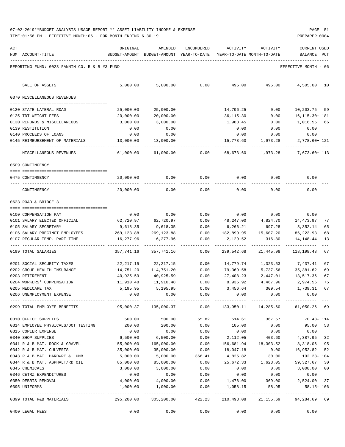| ACT |                                                         | ORIGINAL                                 | AMENDED                | ENCUMBERED   | ACTIVITY                   | ACTIVITY            | <b>CURRENT USED</b>               |
|-----|---------------------------------------------------------|------------------------------------------|------------------------|--------------|----------------------------|---------------------|-----------------------------------|
|     | NUM ACCOUNT-TITLE                                       | BUDGET-AMOUNT BUDGET-AMOUNT YEAR-TO-DATE |                        |              | YEAR-TO-DATE MONTH-TO-DATE |                     | BALANCE PCT                       |
|     | REPORTING FUND: 0023 FANNIN CO. R & B #3 FUND           |                                          |                        |              |                            |                     | EFFECTIVE MONTH - 06              |
|     | SALE OF ASSETS                                          | 5,000.00                                 | 5,000.00               | 0.00         | 495.00                     | 495.00              | 4,505.00<br>10                    |
|     | 0370 MISCELLANEOUS REVENUES                             |                                          |                        |              |                            |                     |                                   |
|     | 0120 STATE LATERAL ROAD                                 | 25,000.00                                | 25,000.00              |              | 14,796.25                  | 0.00                | 10,203.75 59                      |
|     | 0125 TDT WEIGHT FEES                                    | 20,000.00                                | 20,000.00              |              | 36,115.30                  | 0.00                | 16, 115. 30+ 181                  |
|     | 0130 REFUNDS & MISCELLANEOUS                            | 3,000.00                                 | 3,000.00               |              | 1,983.45                   | 0.00                | 1,016.55<br>66                    |
|     | 0139 RESTITUTION                                        | 0.00                                     | 0.00                   |              | 0.00                       | 0.00                | 0.00                              |
|     | 0140 PROCEEDS OF LOANS                                  | 0.00                                     | 0.00                   |              | 0.00                       | 0.00                | 0.00                              |
|     | 0145 REIMBURSEMENT OF MATERIALS                         | 13,000.00                                | 13,000.00              |              | 15,778.60                  | 1,973.28            | 2,778.60+ 121                     |
|     | MISCELLANEOUS REVENUES                                  | 61,000.00                                | 61,000.00              | 0.00         | 68,673.60                  | 1,973.28            | 7,673.60+ 113                     |
|     | 0509 CONTINGENCY                                        |                                          |                        |              |                            |                     |                                   |
|     | 0475 CONTINGENCY                                        | 20,000.00                                | 0.00                   | 0.00         | 0.00                       | 0.00                | 0.00                              |
|     | CONTINGENCY                                             | 20,000.00                                | 0.00                   | 0.00         | 0.00                       | 0.00                | 0.00                              |
|     | 0623 ROAD & BRIDGE 3                                    |                                          |                        |              |                            |                     |                                   |
|     |                                                         |                                          |                        |              |                            |                     |                                   |
|     | 0100 COMPENSATION PAY                                   | 0.00                                     | 0.00                   | 0.00         | 0.00                       | 0.00                | 0.00                              |
|     | 0101 SALARY ELECTED OFFICIAL                            | 62,720.97                                | 62,720.97              | 0.00         | 48,247.00                  | 4,824.70            | 14,473.97<br>77                   |
|     | 0105 SALARY SECRETARY<br>0106 SALARY PRECINCT EMPLOYEES | 9,618.35<br>269,123.88                   | 9,618.35<br>269,123.88 | 0.00<br>0.00 | 6,266.21<br>182,899.95     | 697.28<br>15,607.20 | 3,352.14<br>65<br>86,223.93<br>68 |
|     | 0107 REGULAR-TEMP. PART-TIME                            | 16,277.96                                | 16,277.96              | 0.00         | 2,129.52                   | 316.80              | 13<br>14,148.44                   |
|     | 0199 TOTAL SALARIES                                     | 357,741.16                               | 357,741.16             | 0.00         | 239,542.68                 | 21,445.98           | 118,198.48<br>67                  |
|     | 0201 SOCIAL SECURITY TAXES                              | 22,217.15                                | 22,217.15              | 0.00         | 14,779.74                  | 1,323.53            | 7,437.41<br>67                    |
|     | 0202 GROUP HEALTH INSURANCE                             | 114,751.20                               | 114,751.20             | 0.00         | 79,369.58                  | 5,737.56            | 35,381.62<br>69                   |
|     | 0203 RETIREMENT                                         | 40,925.59                                | 40,925.59              | 0.00         | 27,408.23                  | 2,447.01            | 13,517.36<br>67                   |
|     | 0204 WORKERS' COMPENSATION                              | 11,910.48                                | 11,910.48              | 0.00         | 8,935.92                   | 4,467.96            | 75<br>2,974.56                    |
|     | 0205 MEDICARE TAX                                       | 5,195.95                                 | 5,195.95               | 0.00         | 3,456.64                   | 309.54              | 1,739.31<br>67                    |
|     | 0206 UNEMPLOYMENT EXPENSE                               | 0.00                                     | 0.00                   | 0.00         | 0.00                       | 0.00                | 0.00                              |
|     | 0299 TOTAL EMPLOYEE BENEFITS                            |                                          |                        | 0.00         | 133,950.11 14,285.60       |                     | 61,050.26 69                      |
|     | 0310 OFFICE SUPPLIES                                    | 500.00                                   | 500.00                 | 55.82        | 514.61                     | 367.57              | $70.43 - 114$                     |
|     | 0314 EMPLOYEE PHYSICALS/DOT TESTING                     | 200.00                                   | 200.00                 | 0.00         | 105.00                     | 0.00                | 95.00<br>53                       |
|     | 0315 COPIER EXPENSE                                     | 0.00                                     | 0.00                   | 0.00         | 0.00                       | 0.00                | 0.00                              |
|     | 0340 SHOP SUPPLIES                                      | 6,500.00                                 | 6,500.00               | 0.00         | 2,112.05                   | 403.60              | 4,387.95 32                       |
|     | 0341 R & B MAT. ROCK & GRAVEL                           | 155,000.00                               | 165,000.00             | 0.00         | 156,681.94                 | 18,303.52           | 8,318.06 95                       |
|     | 0342 R & B MAT. CULVERTS                                | 35,000.00                                | 35,000.00              | 0.00         | 18,047.18                  | 0.00                | 16,952.82 52                      |
|     | 0343 R & B MAT. HARDWRE & LUMB                          | 5,000.00                                 | 5,000.00               | 366.41       | 4,825.82                   | 30.00               | 192.23-104                        |
|     | 0344 R & B MAT. ASPHALT/RD OIL                          | 85,000.00                                | 85,000.00              | 0.00         | 25,672.33                  | 1,623.05            | 59, 327.67 30                     |
|     | 0345 CHEMICALS                                          | 3,000.00                                 | 3,000.00               | 0.00         | 0.00                       | 0.00                | 3,000.00 00                       |
|     | 0346 CETRZ EXPENDITURES                                 | 0.00                                     | 0.00                   | 0.00         | 0.00                       | 0.00                | 0.00                              |
|     | 0350 DEBRIS REMOVAL                                     | 4,000.00                                 | 4,000.00               | 0.00         | 1,476.00                   | 369.00              | 2,524.00 37                       |
|     | 0395 UNIFORMS                                           | 1,000.00                                 | 1,000.00               | 0.00         | 1,058.15                   | 58.95               | $58.15 - 106$                     |
|     | 0399 TOTAL R&B MATERIALS                                | 295,200.00                               | 305,200.00             | 422.23       | 210,493.08                 | 21,155.69           | 94,284.69 69                      |
|     | 0400 LEGAL FEES                                         | 0.00                                     | 0.00                   | 0.00         | 0.00                       | 0.00                | 0.00                              |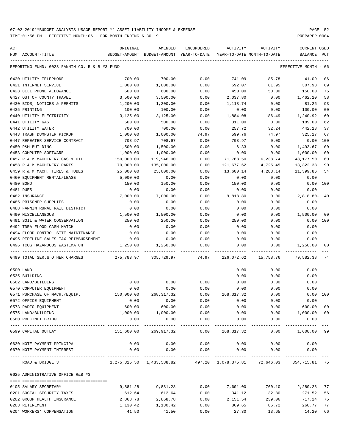TIME:01:56 PM - EFFECTIVE MONTH:06 - FOR MONTH ENDING 6-30-19 PREPARER:0004

| ACT |                                               | ORIGINAL                      | AMENDED                                  | ENCUMBERED           | ACTIVITY                      | ACTIVITY             | <b>CURRENT USED</b>  |                |
|-----|-----------------------------------------------|-------------------------------|------------------------------------------|----------------------|-------------------------------|----------------------|----------------------|----------------|
|     | NUM ACCOUNT-TITLE                             |                               | BUDGET-AMOUNT BUDGET-AMOUNT YEAR-TO-DATE |                      | YEAR-TO-DATE MONTH-TO-DATE    |                      | BALANCE PCT          |                |
|     | REPORTING FUND: 0023 FANNIN CO. R & B #3 FUND |                               |                                          |                      |                               |                      | EFFECTIVE MONTH - 06 |                |
|     | 0420 UTILITY TELEPHONE                        | 700.00                        | 700.00                                   | 0.00                 | 741.09                        | 85.78                | $41.09 - 106$        |                |
|     | 0421 INTERNET SERVICE                         | 1,000.00                      | 1,000.00                                 | 0.00                 | 692.07                        | 81.95                | 307.93               | 69             |
|     | 0423 CELL PHONE ALLOWANCE                     | 600.00                        | 600.00                                   | 0.00                 | 450.00                        | 50.00                | 150.00               | 75             |
|     | 0427 OUT OF COUNTY TRAVEL                     | 3,500.00                      | 3,500.00                                 | 0.00                 | 2,037.80                      | 0.00                 | 1,462.20             | 58             |
|     | 0430 BIDS, NOTICES & PERMITS                  | 1,200.00                      | 1,200.00                                 | 0.00                 | 1,118.74                      | 0.00                 | 81.26                | 93             |
|     | 0435 PRINTING                                 | 100.00                        | 100.00                                   | 0.00                 | 0.00                          | 0.00                 | 100.00               | 0 <sub>0</sub> |
|     | 0440 UTILITY ELECTRICITY                      | 3,125.00                      | 3,125.00                                 | 0.00                 | 1,884.08                      | 186.49               | 1,240.92             | 60             |
|     | 0441 UTILITY GAS                              | 500.00                        | 500.00                                   | 0.00                 | 311.00                        | 0.00                 | 189.00               | 62             |
|     | 0442 UTILITY WATER                            | 700.00                        | 700.00                                   | 0.00                 | 257.72                        | 32.24                | 442.28               | 37             |
|     | 0443 TRASH DUMPSTER PICKUP                    | 1,000.00                      | 1,000.00                                 | 74.97                | 599.76                        | 74.97                | 325.27               | 67             |
|     | 0447 REPEATER SERVICE CONTRACT                | 708.97                        | 708.97                                   | 0.00                 | 708.97                        | 0.00                 | 0.00                 | 100            |
|     | 0450 R&M BUILDING                             | 1,500.00                      | 1,500.00                                 | 0.00                 | 6.33                          | 0.00                 | 1,493.67             | 0 <sub>0</sub> |
|     | 0453 COMPUTER SOFTWARE                        | 1,000.00                      | 1,000.00                                 | 0.00                 | 0.00                          | 0.00                 | 1,000.00             | 00             |
|     | 0457 R & M MACHINERY GAS & OIL                | 150,000.00                    | 119,946.00                               | 0.00                 | 71,768.50                     | 6,238.74             | 48,177.50            | 60             |
|     | 0458 R & M MACHINERY PARTS                    | 70,000.00                     | 135,000.00                               | 0.00                 | 121,677.62                    | 4,725.45             | 13,322.38            | 90             |
|     | 0459 R & M MACH. TIRES & TUBES                | 25,000.00                     | 25,000.00                                | 0.00                 | 13,600.14                     | 4,283.14             | 11,399.86            | 54             |
|     | 0460 EOUIPMENT RENTAL/LEASE                   | 5,000.00                      | 0.00                                     | 0.00                 | 0.00                          | 0.00                 | 0.00                 |                |
|     | 0480 BOND                                     | 150.00                        | 150.00                                   | 0.00                 | 150.00                        | 0.00                 | $0.00$ 100           |                |
|     | 0481 DUES                                     | 0.00                          | 0.00                                     | 0.00                 | 0.00                          | 0.00                 | 0.00                 |                |
|     | 0482 INSURANCE                                | 7,000.00                      | 7,000.00                                 | 0.00                 | 9,818.80                      | 0.00                 | 2,818.80- 140        |                |
|     | 0485 PRISONER SUPPLIES                        | 0.00                          | 0.00                                     | 0.00                 | 0.00                          | 0.00                 | 0.00                 |                |
|     | 0488 FANNIN RURAL RAIL DISTRICT               | 0.00                          | 0.00                                     | 0.00                 | 0.00                          | 0.00                 | 0.00                 |                |
|     | 0490 MISCELLANEOUS                            | 1,500.00                      | 1,500.00                                 | 0.00                 | 0.00                          | 0.00                 | 1,500.00             | 00             |
|     | 0491 SOIL & WATER CONSERVATION                | 250.00                        | 250.00                                   | 0.00                 | 250.00                        | 0.00                 | 0.00 100             |                |
|     | 0492 TDRA FLOOD CASH MATCH                    | 0.00                          | 0.00                                     | 0.00                 | 0.00                          | 0.00                 | 0.00                 |                |
|     | 0494 FLOOD CONTROL SITE MAINTENANCE           | 0.00                          | 0.00                                     | 0.00                 | 0.00                          | 0.00                 | 0.00                 |                |
|     | 0495 PIPELINE SALES TAX REIMBURSEMENT         | 0.00                          | 0.00                                     | 0.00                 | 0.00                          | 0.00                 | 0.00                 |                |
|     | 0496 TCOG HAZARDOUS WASTEMATCH                | 1,250.00                      | 1,250.00                                 | 0.00                 | 0.00                          | 0.00                 | 1,250.00             | 00             |
|     | 0499 TOTAL SER. & OTHER CHARGES               | 275,783.97                    | 305,729.97                               | 74.97                | 226,072.62                    | 15,758.76            | 79,582.38            | 74             |
|     | 0500 LAND                                     |                               |                                          |                      | 0.00                          | 0.00                 | 0.00                 |                |
|     | 0535 BUILDING                                 |                               |                                          |                      | 0.00                          | 0.00                 | 0.00                 |                |
|     | 0562 LAND/BUILDING                            | 0.00                          | 0.00                                     | 0.00                 | 0.00                          | 0.00                 | 0.00                 |                |
|     | 0570 COMPUTER EQUIPMENT                       | 0.00                          | 0.00                                     | 0.00                 | 0.00                          | 0.00                 | 0.00                 |                |
|     | 0571 PURCHASE OF MACH./EQUIP.                 | 150,000.00                    | 268,317.32                               | 0.00                 | 268, 317.32                   | 0.00                 | 0.00 100             |                |
|     | 0572 OFFICE EQUIPMENT                         | 0.00                          | 0.00                                     | 0.00                 | 0.00                          | 0.00                 | 0.00                 |                |
|     | 0573 RADIO EQUIPMENT                          | 600.00                        | 600.00                                   | 0.00                 | 0.00                          | 0.00                 | 600.00               | 0 <sub>0</sub> |
|     | 0575 LAND/BUILDING                            | 1,000.00                      | 1,000.00                                 | 0.00                 | 0.00                          | 0.00                 | 1,000.00             | 0 <sub>0</sub> |
|     | 0580 PRECINCT BRIDGE                          | 0.00                          | 0.00<br>-----------                      | 0.00<br>------------ | 0.00<br>-----------           | 0.00<br>------------ | 0.00<br>-----------  | $---$          |
|     | 0599 CAPITAL OUTLAY                           | 151,600.00                    | 269,917.32                               | 0.00                 | 268,317.32                    | 0.00                 | 1,600.00 99          |                |
|     | 0630 NOTE PAYMENT-PRINCIPAL                   | 0.00                          | 0.00                                     | 0.00                 | 0.00                          | 0.00                 | 0.00                 |                |
|     | 0670 NOTE PAYMENT-INTEREST                    | 0.00                          | 0.00<br>----------------------------     | 0.00                 | 0.00                          | 0.00<br>------------ | 0.00                 |                |
|     | ROAD & BRIDGE 3                               | 1, 275, 325.50 1, 433, 588.82 |                                          |                      | 497.20 1,078,375.81 72,646.03 |                      | 354,715.81           | 75             |
|     | 0625 ADMINISTRATIVE OFFICE R&B #3             |                               |                                          |                      |                               |                      |                      |                |
|     | 0105 SALARY SECRETARY                         | 9,881.28                      | 9,881.28                                 | 0.00                 | 7,601.00                      | 760.10               | 2,280.28             | 77             |
|     | 0201 SOCIAL SECURITY TAXES                    | 612.64                        | 612.64                                   | 0.00                 | 341.12                        | 32.80                | 271.52               | 56             |
|     | 0202 GROUP HEALTH INSURANCE                   | 2,868.78                      | 2,868.78                                 | 0.00                 | 2,151.54                      | 239.06               | 717.24               | 75             |
|     | 0203 RETIREMENT                               |                               |                                          | 0.00                 |                               |                      |                      | 77             |
|     |                                               | 1,130.42                      | 1,130.42                                 |                      | 869.65                        | 86.72                | 260.77               |                |

0204 WORKERS' COMPENSATION 41.50 41.50 0.00 27.30 13.65 14.20 66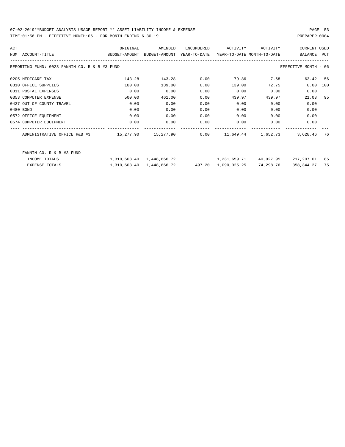| ACT |                                                                                          | ORIGINAL | AMENDED | ENCUMBERED | ACTIVITY ACTIVITY                                |           | CURRENT USED         |     |
|-----|------------------------------------------------------------------------------------------|----------|---------|------------|--------------------------------------------------|-----------|----------------------|-----|
|     | BUDGET-AMOUNT BUDGET-AMOUNT YEAR-TO-DATE YEAR-TO-DATE MONTH-TO-DATE<br>NUM ACCOUNT-TITLE |          |         |            |                                                  |           | BALANCE PCT          |     |
|     | REPORTING FUND: 0023 FANNIN CO. R & B #3 FUND                                            |          |         |            |                                                  |           | EFFECTIVE MONTH - 06 |     |
|     | 0205 MEDICARE TAX                                                                        | 143.28   | 143.28  | 0.00       | 79.86 7.68                                       |           | 63.42 56             |     |
|     | 0310 OFFICE SUPPLIES                                                                     | 100.00   | 139.00  | 0.00       | 139.00                                           | 72.75     | 0.00                 | 100 |
|     | 0311 POSTAL EXPENSES                                                                     | 0.00     | 0.00    | 0.00       | 0.00                                             | 0.00      | 0.00                 |     |
|     | 0353 COMPUTER EXPENSE                                                                    | 500.00   | 461.00  | 0.00       | 439.97                                           | 439.97    | 21.03 95             |     |
|     | 0427 OUT OF COUNTY TRAVEL                                                                | 0.00     | 0.00    | 0.00       | 0.00                                             | 0.00      | 0.00                 |     |
|     | 0480 BOND                                                                                | 0.00     | 0.00    | 0.00       | 0.00                                             | 0.00      | 0.00                 |     |
|     | 0572 OFFICE EQUIPMENT                                                                    | 0.00     | 0.00    | 0.00       | 0.00                                             | 0.00      | 0.00                 |     |
|     | 0574 COMPUTER EQUIPMENT                                                                  | 0.00     | 0.00    | 0.00       | $0.00$ 0.00                                      |           | 0.00                 |     |
|     |                                                                                          |          |         |            |                                                  |           | 3,628.46 76          |     |
|     | FANNIN CO. R & B #3 FUND                                                                 |          |         |            |                                                  |           |                      |     |
|     | INCOME TOTALS                                                                            |          |         |            | 1,310,603.40 1,448,866.72 1,231,659.71 40,927.95 |           | 217,207.01 85        |     |
|     | <b>EXPENSE TOTALS</b>                                                                    |          |         |            | 1,310,603.40  1,448,866.72  497.20  1,090,025.25 | 74,298.76 | 358, 344. 27 75      |     |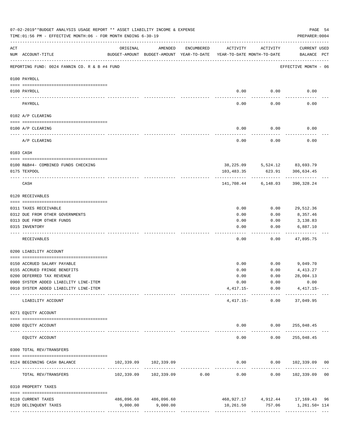|                    | 07-02-2019**BUDGET ANALYSIS USAGE REPORT ** ASSET LIABILITY INCOME & EXPENSE<br>TIME: 01:56 PM - EFFECTIVE MONTH: 06 - FOR MONTH ENDING 6-30-19 |                                                      |                       |                               |            |                                        | PAGE 54<br>PREPARER: 0004              |
|--------------------|-------------------------------------------------------------------------------------------------------------------------------------------------|------------------------------------------------------|-----------------------|-------------------------------|------------|----------------------------------------|----------------------------------------|
| $\mathop{\rm ACT}$ | NUM ACCOUNT-TITLE                                                                                                                               | ORIGINAL<br>BUDGET-AMOUNT BUDGET-AMOUNT YEAR-TO-DATE | AMENDED               | ENCUMBERED                    | ACTIVITY   | ACTIVITY<br>YEAR-TO-DATE MONTH-TO-DATE | <b>CURRENT USED</b><br>BALANCE PCT     |
|                    | REPORTING FUND: 0024 FANNIN CO. R & B #4 FUND                                                                                                   |                                                      |                       |                               |            |                                        | EFFECTIVE MONTH - 06                   |
|                    | 0100 PAYROLL                                                                                                                                    |                                                      |                       |                               |            |                                        |                                        |
|                    | 0100 PAYROLL                                                                                                                                    |                                                      |                       |                               | 0.00       | 0.00                                   | 0.00                                   |
| ---- ---           | PAYROLL                                                                                                                                         |                                                      |                       |                               | 0.00       | 0.00                                   | 0.00                                   |
|                    | 0102 A/P CLEARING                                                                                                                               |                                                      |                       |                               |            |                                        |                                        |
|                    | 0100 A/P CLEARING                                                                                                                               |                                                      |                       |                               | 0.00       | 0.00                                   | 0.00                                   |
|                    | A/P CLEARING                                                                                                                                    |                                                      |                       |                               | 0.00       | 0.00                                   | 0.00                                   |
|                    | 0103 CASH                                                                                                                                       |                                                      |                       |                               |            |                                        |                                        |
|                    | 0100 R&B#4- COMBINED FUNDS CHECKING                                                                                                             |                                                      |                       |                               |            | 38, 225.09 5, 524.12 83, 693.79        |                                        |
|                    | 0175 TEXPOOL                                                                                                                                    |                                                      |                       |                               | 103,483.35 | 623.91                                 | 306,634.45                             |
|                    | CASH                                                                                                                                            |                                                      |                       |                               | 141,708.44 | 6,148.03                               | 390,328.24                             |
|                    | 0120 RECEIVABLES                                                                                                                                |                                                      |                       |                               |            |                                        |                                        |
|                    | 0311 TAXES RECEIVABLE                                                                                                                           |                                                      |                       |                               | 0.00       | 0.00                                   | 29,512.36                              |
|                    | 0312 DUE FROM OTHER GOVERNMENTS                                                                                                                 |                                                      |                       |                               | 0.00       | 0.00                                   | 8,357.46                               |
|                    | 0313 DUE FROM OTHER FUNDS                                                                                                                       |                                                      |                       |                               | 0.00       | 0.00                                   | 3,138.83                               |
|                    | 0315 INVENTORY                                                                                                                                  |                                                      |                       |                               | 0.00       | 0.00                                   | 6,887.10                               |
|                    | RECEIVABLES                                                                                                                                     |                                                      |                       |                               | 0.00       | 0.00                                   | 47,895.75                              |
|                    | 0200 LIABILITY ACCOUNT                                                                                                                          |                                                      |                       |                               |            |                                        |                                        |
|                    | 0150 ACCRUED SALARY PAYABLE                                                                                                                     |                                                      |                       |                               | 0.00       |                                        | $0.00$ 9,049.70                        |
|                    | 0155 ACCRUED FRINGE BENEFITS                                                                                                                    |                                                      |                       |                               | 0.00       | 0.00                                   | 4,413.27                               |
|                    | 0200 DEFERRED TAX REVENUE                                                                                                                       |                                                      |                       |                               | 0.00       | 0.00                                   | 28,004.13                              |
|                    | 0900 SYSTEM ADDED LIABILITY LINE-ITEM                                                                                                           |                                                      |                       |                               | 0.00       | 0.00                                   | 0.00                                   |
|                    | 0910 SYSTEM ADDED LIABILITY LINE-ITEM                                                                                                           |                                                      |                       |                               |            | $4,417.15 - 0.00$<br>------------      | $4,417.15-$                            |
|                    | LIABILITY ACCOUNT                                                                                                                               |                                                      |                       |                               |            | $4,417.15-$<br>0.00                    | 37,049.95                              |
|                    | 0271 EQUITY ACCOUNT                                                                                                                             |                                                      |                       |                               |            |                                        |                                        |
|                    | 0200 EQUITY ACCOUNT<br>------------------- -------------                                                                                        |                                                      |                       |                               |            | $0.00$ $0.00$ $255,048.45$             | ------------                           |
|                    | EQUITY ACCOUNT                                                                                                                                  |                                                      |                       |                               | 0.00       | 0.00                                   | 255,048.45                             |
|                    | 0300 TOTAL REV/TRANSFERS                                                                                                                        |                                                      |                       |                               |            |                                        |                                        |
|                    | 0124 BEGINNING CASH BALANCE                                                                                                                     |                                                      | 102,339.09 102,339.09 |                               |            |                                        | $0.00$ $0.00$ $102,339.09$ 00          |
|                    | TOTAL REV/TRANSFERS                                                                                                                             |                                                      |                       | ----------------------------- | 0.00       | ------------                           | $0.00$ $102,339.09$ 00                 |
|                    | 0310 PROPERTY TAXES                                                                                                                             |                                                      |                       |                               |            |                                        |                                        |
|                    | 0110 CURRENT TAXES                                                                                                                              |                                                      | 486,096.60 486,096.60 |                               |            |                                        | 468, 927. 17 4, 912. 44 17, 169. 43 96 |
|                    | 0120 DELINQUENT TAXES                                                                                                                           | 9,000.00                                             | 9,000.00              |                               |            |                                        | 10,261.50 757.06 1,261.50+114          |
|                    |                                                                                                                                                 |                                                      |                       |                               |            |                                        |                                        |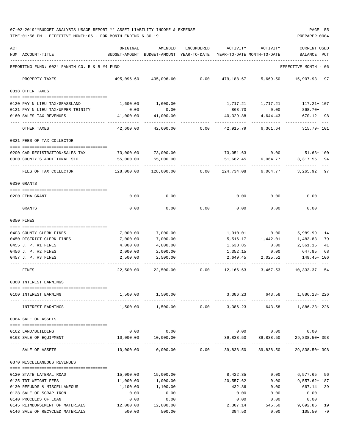07-02-2019\*\*BUDGET ANALYSIS USAGE REPORT \*\* ASSET LIABILITY INCOME & EXPENSE PAGE 55 TIME:01:56 PM - EFFECTIVE MONTH:06 - FOR MONTH ENDING 6-30-19 PREPARER:0004

| ACT |                                                                    | ORIGINAL             | AMENDED                                  | ENCUMBERED                   | ACTIVITY                   | ACTIVITY                          | CURRENT USED         |          |
|-----|--------------------------------------------------------------------|----------------------|------------------------------------------|------------------------------|----------------------------|-----------------------------------|----------------------|----------|
|     | NUM ACCOUNT-TITLE                                                  |                      | BUDGET-AMOUNT BUDGET-AMOUNT YEAR-TO-DATE |                              | YEAR-TO-DATE MONTH-TO-DATE |                                   | <b>BALANCE</b>       | PCT      |
|     | REPORTING FUND: 0024 FANNIN CO. R & B #4 FUND                      |                      |                                          |                              |                            |                                   | EFFECTIVE MONTH - 06 |          |
|     | PROPERTY TAXES                                                     |                      | 495,096.60 495,096.60                    | 0.00                         | 479,188.67                 | 5,669.50                          | 15,907.93 97         |          |
|     | 0318 OTHER TAXES                                                   |                      |                                          |                              |                            |                                   |                      |          |
|     | 0120 PAY N LIEU TAX/GRASSLAND                                      | 1,600.00             | 1,600.00                                 |                              | 1,717.21                   | 1,717.21                          | 117.21+ 107          |          |
|     | 0121 PAY N LIEU TAX/UPPER TRINITY                                  | 0.00                 | 0.00                                     |                              | 868.70                     | 0.00                              | 868.70+              |          |
|     | 0160 SALES TAX REVENUES                                            | 41,000.00            | 41,000.00                                |                              | 40,329.88                  | 4,644.43                          | 670.12 98            |          |
|     | OTHER TAXES                                                        | 42,600.00            | 42,600.00                                | 0.00                         | 42,915.79                  | 6,361.64                          | 315.79+ 101          |          |
|     | 0321 FEES OF TAX COLLECTOR                                         |                      |                                          |                              |                            |                                   |                      |          |
|     | 0200 CAR REGISTRATION/SALES TAX                                    | 73,000.00            | 73,000.00                                |                              |                            | 73,051.63 0.00 51.63+ 100         |                      |          |
|     | 0300 COUNTY'S ADDITIONAL \$10                                      | 55,000.00            | 55,000.00                                |                              | 51,682.45                  | 6,064.77                          | 3, 317.55 94         |          |
|     |                                                                    |                      |                                          |                              |                            |                                   |                      |          |
|     | FEES OF TAX COLLECTOR                                              | 128,000.00           | 128,000.00                               | 0.00                         | 124,734.08                 | 6,064.77                          | 3,265.92 97          |          |
|     | 0330 GRANTS                                                        |                      |                                          |                              |                            |                                   |                      |          |
|     | 0200 FEMA GRANT                                                    | 0.00                 | 0.00                                     |                              | 0.00                       | 0.00                              | 0.00                 |          |
|     | GRANTS                                                             | 0.00                 | 0.00                                     | 0.00                         | 0.00                       | 0.00                              | 0.00                 |          |
|     | 0350 FINES                                                         |                      |                                          |                              |                            |                                   |                      |          |
|     |                                                                    |                      |                                          |                              |                            |                                   |                      |          |
|     | 0403 COUNTY CLERK FINES<br>0450 DISTRICT CLERK FINES               | 7,000.00<br>7,000.00 | 7,000.00<br>7,000.00                     |                              | 1,010.01                   | 0.00<br>1,442.01                  | 5,989.99<br>1,483.83 | 14<br>79 |
|     | 0455 J. P. #1 FINES                                                | 4,000.00             | 4,000.00                                 |                              | 5,516.17<br>1,638.85       | 0.00                              | 2,361.15             | 41       |
|     | 0456 J. P. #2 FINES                                                | 2,000.00             | 2,000.00                                 |                              | 1,352.15                   | 0.00                              | 647.85               | 68       |
|     | 0457 J. P. #3 FINES                                                | 2,500.00             | 2,500.00                                 |                              | 2,649.45                   | 2,025.52                          | 149.45+ 106          |          |
|     | FINES                                                              | 22,500.00            | 22,500.00                                | 0.00                         | 12,166.63                  | 3,467.53                          | 10,333.37 54         |          |
|     | 0360 INTEREST EARNINGS                                             |                      |                                          |                              |                            |                                   |                      |          |
|     | -------------------------------------<br>0100 INTEREST EARNING     | 1,500.00             | 1,500.00                                 |                              |                            | 3,386.23 643.58 1,886.23+226      |                      |          |
|     |                                                                    |                      |                                          |                              |                            |                                   |                      |          |
|     | INTEREST EARNINGS                                                  |                      | 1,500.00 1,500.00                        |                              | $0.00$ 3,386.23            |                                   | 643.58 1,886.23+226  |          |
|     | 0364 SALE OF ASSETS                                                |                      |                                          |                              |                            |                                   |                      |          |
|     | 0162 LAND/BUILDING                                                 | 0.00                 | 0.00                                     |                              |                            | $0.00$ $0.00$ $0.00$              |                      |          |
|     | 0163 SALE OF EQUIPMENT                                             | 10,000.00            | 10,000.00                                |                              |                            | 39,838.50 39,838.50 29,838.50+398 |                      |          |
|     | SALE OF ASSETS                                                     | 10,000.00            |                                          | 10,000.00   0.00   39,838.50 |                            | 39,838.50                         | 29,838.50+398        |          |
|     |                                                                    |                      |                                          |                              |                            |                                   |                      |          |
|     | 0370 MISCELLANEOUS REVENUES                                        |                      |                                          |                              |                            |                                   |                      |          |
|     | 0120 STATE LATERAL ROAD                                            | 15,000.00            | 15,000.00                                |                              | 8,422.35                   | 0.00                              | 6,577.65 56          |          |
|     | 0125 TDT WEIGHT FEES                                               | 11,000.00            | 11,000.00                                |                              | 20,557.62                  | 0.00                              | $9,557.62 + 187$     |          |
|     | 0130 REFUNDS & MISCELLANEOUS                                       | 1,100.00             | 1,100.00                                 |                              | 432.86                     | 0.00                              | 667.14 39            |          |
|     | 0138 SALE OF SCRAP IRON                                            | 0.00                 | 0.00                                     |                              | 0.00                       | 0.00                              | 0.00                 |          |
|     | 0140 PROCEEDS OF LOAN                                              | 0.00                 | 0.00                                     |                              | 0.00                       | 0.00                              | 0.00                 |          |
|     | 0145 REIMBURSEMENT OF MATERIALS<br>0146 SALE OF RECYCLED MATERIALS | 12,000.00<br>500.00  | 12,000.00<br>500.00                      |                              | 2,307.14<br>394.50         | 545.50<br>0.00                    | 9,692.86<br>105.50   | 19<br>79 |
|     |                                                                    |                      |                                          |                              |                            |                                   |                      |          |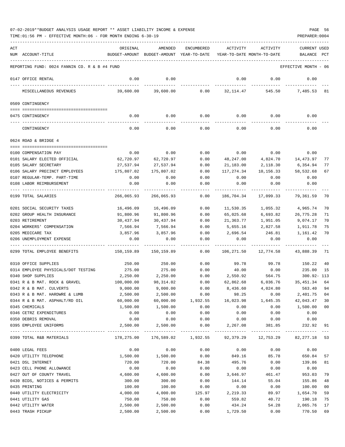| ACT |                                               | ORIGINAL      | AMENDED                    | <b>ENCUMBERED</b> | <b>ACTIVITY</b>            | ACTIVITY     | CURRENT USED         |     |
|-----|-----------------------------------------------|---------------|----------------------------|-------------------|----------------------------|--------------|----------------------|-----|
|     | NUM ACCOUNT-TITLE                             | BUDGET-AMOUNT | BUDGET-AMOUNT YEAR-TO-DATE |                   | YEAR-TO-DATE MONTH-TO-DATE |              | BALANCE              | PCT |
|     |                                               |               |                            |                   |                            |              |                      |     |
|     | REPORTING FUND: 0024 FANNIN CO. R & B #4 FUND |               |                            |                   |                            |              | EFFECTIVE MONTH - 06 |     |
|     | 0147 OFFICE RENTAL                            | 0.00          | 0.00                       |                   | 0.00                       | 0.00         | 0.00                 |     |
|     | MISCELLANEOUS REVENUES                        | 39,600.00     | 39,600.00                  | 0.00              | 32, 114.47                 | 545.50       | 7,485.53             | 81  |
|     | 0509 CONTINGENCY                              |               |                            |                   |                            |              |                      |     |
|     | 0475 CONTINGENCY                              | 0.00          | 0.00                       | 0.00              | 0.00                       | 0.00         | 0.00                 |     |
|     | CONTINGENCY                                   | 0.00          | 0.00                       | 0.00              | 0.00                       | 0.00         | 0.00                 |     |
|     | 0624 ROAD & BRIDGE 4                          |               |                            |                   |                            |              |                      |     |
|     |                                               |               |                            |                   |                            |              |                      |     |
|     | 0100 COMPENSATION PAY                         | 0.00          | 0.00                       | 0.00              | 0.00                       | 0.00         | 0.00                 |     |
|     | 0101 SALARY ELECTED OFFICIAL                  | 62,720.97     | 62,720.97                  | 0.00              | 48,247.00                  | 4,824.70     | 14,473.97            | 77  |
|     | 0105 SALARY SECRETARY                         | 27,537.94     | 27,537.94                  | 0.00              | 21,183.00                  | 2,118.30     | 6,354.94             | 77  |
|     | 0106 SALARY PRECINCT EMPLOYEES                | 175,807.02    | 175,807.02                 | 0.00              | 117,274.34                 | 10,156.33    | 58,532.68            | 67  |
|     | 0107 REGULAR-TEMP. PART-TIME                  | 0.00          | 0.00                       | 0.00              | 0.00                       | 0.00         | 0.00                 |     |
|     | 0108 LABOR REIMBURSEMENT                      | 0.00          | 0.00                       | 0.00              | 0.00                       | 0.00         | 0.00                 |     |
|     | 0199 TOTAL SALARIES                           | 266,065.93    | 266,065.93                 | 0.00              | 186,704.34                 | 17,099.33    | 79,361.59            | 70  |
|     | 0201 SOCIAL SECURITY TAXES                    | 16,496.09     | 16,496.09                  | 0.00              | 11,530.35                  | 1,055.32     | 4,965.74             | 70  |
|     | 0202 GROUP HEALTH INSURANCE                   | 91,800.96     | 91,800.96                  | 0.00              | 65,025.68                  | 6,693.82     | 26,775.28            | 71  |
|     | 0203 RETIREMENT                               | 30,437.94     | 30,437.94                  | 0.00              | 21,363.77                  | 1,951.05     | 9,074.17             | 70  |
|     | 0204 WORKERS' COMPENSATION                    | 7,566.94      | 7,566.94                   | 0.00              | 5,655.16                   | 2,827.58     | 1,911.78             | 75  |
|     | 0205 MEDICARE TAX                             | 3,857.96      | 3,857.96                   | 0.00              | 2,696.54                   | 246.81       | 1,161.42             | 70  |
|     | 0206 UNEMPLOYMENT EXPENSE                     | 0.00          | 0.00                       | 0.00              | 0.00                       | 0.00         | 0.00                 |     |
|     | 0299 TOTAL EMPLOYEE BENEFITS                  | 150,159.89    | 150,159.89                 | 0.00              | 106,271.50                 | 12,774.58    | 43,888.39            | 71  |
|     |                                               |               |                            |                   |                            |              |                      |     |
|     | 0310 OFFICE SUPPLIES                          | 250.00        | 250.00                     | 0.00              | 99.78                      | 99.78        | 150.22               | 40  |
|     | 0314 EMPLOYEE PHYSICALS/DOT TESTING           | 275.00        | 275.00                     | 0.00              | 40.00                      | 0.00         | 235.00               | 15  |
|     | 0340 SHOP SUPPLIES                            | 2,250.00      | 2,250.00                   | 0.00              | 2,550.92                   | 564.75       | $300.92 - 113$       |     |
|     | 0341 R & B MAT. ROCK & GRAVEL                 | 100,000.00    | 98,314.02                  | 0.00              | 62,862.68                  | 6,036.76     | 35, 451.34           | 64  |
|     | 0342 R & B MAT. CULVERTS                      | 9,000.00      | 9,000.00                   | 0.00              | 8,436.60                   | 4,024.80     | 563.40               | 94  |
|     | 0343 R & B MAT. HARDWRE & LUMB                | 2,500.00      | 2,500.00                   | 0.00              | 98.25                      | 0.00         | 2,401.75             | 04  |
|     | 0344 R & B MAT. ASPHALT/RD OIL                | 60,000.00     | 60,000.00                  | 1,932.55          | 16,023.98                  | 1,645.35     | 42,043.47            | 30  |
|     | 0345 CHEMICALS                                | 1,500.00      | 1,500.00                   | 0.00              | 0.00                       | 0.00         | 1,500.00             | 00  |
|     | 0346 CETRZ EXPENDITURES                       | 0.00          | 0.00                       | 0.00              | 0.00                       | 0.00         | 0.00                 |     |
|     | 0350 DEBRIS REMOVAL                           | 0.00          | 0.00                       | 0.00              | 0.00                       | 0.00         | 0.00                 |     |
|     | 0395 EMPLOYEE UNIFORMS                        | 2,500.00      | 2,500.00                   | 0.00              | 2,267.08                   | 381.85       | 232.92               | 91  |
|     |                                               |               | -------------              | ------------      | _____________              | ------------ |                      |     |
|     | 0399 TOTAL R&B MATERIALS                      | 178,275.00    | 176,589.02                 | 1,932.55          | 92,379.29                  | 12,753.29    | 82, 277. 18 53       |     |
|     | 0400 LEGAL FEES                               | 0.00          | 0.00                       | 0.00              | 0.00                       | 0.00         | 0.00                 |     |
|     | 0420 UTILITY TELEPHONE                        | 1,500.00      | 1,500.00                   | 0.00              | 849.16                     | 85.78        | 650.84               | 57  |
|     | 0421 DSL INTERNET                             | 720.00        | 720.00                     | 84.38             | 495.76                     | 0.00         | 139.86               | 81  |
|     | 0423 CELL PHONE ALLOWANCE                     | 0.00          | 0.00                       | 0.00              | 0.00                       | 0.00         | 0.00                 |     |
|     | 0427 OUT OF COUNTY TRAVEL                     | 4,600.00      | 4,600.00                   | 0.00              | 3,646.97                   | 461.47       | 953.03               | 79  |
|     | 0430 BIDS, NOTICES & PERMITS                  | 300.00        | 300.00                     | 0.00              | 144.14                     | 55.04        | 155.86               | 48  |
|     | 0435 PRINTING                                 | 100.00        | 100.00                     | 0.00              | 0.00                       | 0.00         | 100.00               | 00  |
|     | 0440 UTILITY ELECTRICITY                      | 4,000.00      | 4,000.00                   | 125.97            | 2,219.33                   | 89.97        | 1,654.70             | 59  |
|     | 0441 UTILITY GAS                              | 750.00        | 750.00                     | 0.00              | 559.82                     | 40.72        | 190.18               | 75  |
|     |                                               |               |                            |                   |                            |              |                      |     |
|     | 0442 UTILITY WATER                            | 2,500.00      | 2,500.00                   | 0.00              | 434.24                     | 54.28        | 2,065.76             | 17  |
|     | 0443 TRASH PICKUP                             | 2,500.00      | 2,500.00                   | 0.00              | 1,729.50                   | 0.00         | 770.50               | 69  |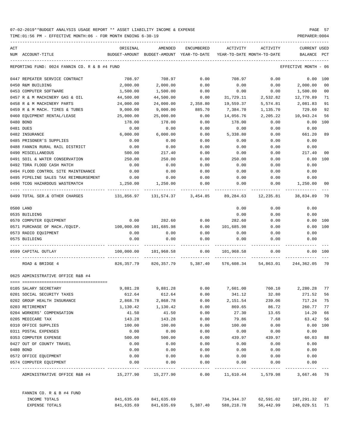| ACT |                                                                                             | ORIGINAL                                 | AMENDED                         | ENCUMBERED | ACTIVITY                   | ACTIVITY                                                                                                    | <b>CURRENT USED</b>  |                |
|-----|---------------------------------------------------------------------------------------------|------------------------------------------|---------------------------------|------------|----------------------------|-------------------------------------------------------------------------------------------------------------|----------------------|----------------|
|     | NUM ACCOUNT-TITLE                                                                           | BUDGET-AMOUNT BUDGET-AMOUNT YEAR-TO-DATE |                                 |            | YEAR-TO-DATE MONTH-TO-DATE |                                                                                                             | BALANCE              | PCT            |
|     | REPORTING FUND: 0024 FANNIN CO. R & B #4 FUND                                               |                                          |                                 |            |                            |                                                                                                             | EFFECTIVE MONTH - 06 |                |
|     | 0447 REPEATER SERVICE CONTRACT                                                              | 708.97                                   | 708.97                          | 0.00       | 708.97                     | 0.00                                                                                                        |                      | 0.00 100       |
|     | 0450 R&M BUILDING                                                                           | 2,000.00                                 | 2,000.00                        | 0.00       | 0.00                       |                                                                                                             | $0.00$ 2,000.00      | 00             |
|     | 0453 COMPUTER SOFTWARE                                                                      | 1,500.00                                 | 1,500.00                        | 0.00       | 0.00                       | 0.00                                                                                                        | 1,500.00             | 0 <sub>0</sub> |
|     | 0457 R & M MACHINERY GAS & OIL                                                              | 44,500.00                                | 44,500.00                       | 0.00       |                            | 31,729.11 2,532.82 12,770.89                                                                                |                      | 71             |
|     | 0458 R & M MACHINERY PARTS                                                                  | 24,000.00                                | 24,000.00                       | 2,358.80   | 19,559.37                  | 5,574.81                                                                                                    | 2,081.83             | 91             |
|     | 0459 R & M MACH. TIRES & TUBES                                                              | 9,000.00                                 | 9,000.00                        | 885.70     | 7,384.70                   | 1,135.70                                                                                                    | 729.60               | 92             |
|     | 0460 EOUIPMENT RENTAL/LEASE                                                                 | 25,000.00                                | 25,000.00                       | 0.00       | 14,056.76                  |                                                                                                             | 2,205.22 10,943.24   | 56             |
|     | 0480 BOND                                                                                   | 178.00                                   | 178.00                          | 0.00       | 178.00                     | 0.00                                                                                                        | 0.00                 | 100            |
|     | 0481 DUES                                                                                   | 0.00                                     | 0.00                            | 0.00       | 0.00                       | 0.00                                                                                                        | 0.00                 |                |
|     | 0482 INSURANCE                                                                              | 6,000.00                                 | 6,000.00                        | 0.00       | 5,338.80                   | 0.00                                                                                                        | 661.20               | 89             |
|     | 0485 PRISONER'S SUPPLIES                                                                    | 0.00                                     | 0.00                            | 0.00       | 0.00                       | 0.00                                                                                                        | 0.00                 |                |
|     | 0488 FANNIN RURAL RAIL DISTRICT                                                             | 0.00                                     | 0.00                            | 0.00       | 0.00                       | 0.00                                                                                                        | 0.00                 |                |
|     | 0490 MISCELLANEOUS                                                                          | 500.00                                   | 217.40                          | 0.00       | 0.00                       | 0.00                                                                                                        | 217.40               | 0 <sub>0</sub> |
|     | 0491 SOIL & WATER CONSERVATION                                                              | 250.00                                   | 250.00                          | 0.00       | 250.00                     | 0.00                                                                                                        | 0.00                 | 100            |
|     | 0492 TDRA FLOOD CASH MATCH                                                                  | 0.00                                     | 0.00                            | 0.00       | 0.00                       | 0.00                                                                                                        | 0.00                 |                |
|     | 0494 FLOOD CONTROL SITE MAINTENANCE                                                         | 0.00                                     | 0.00                            | 0.00       | 0.00                       | 0.00                                                                                                        | 0.00                 |                |
|     | 0495 PIPELINE SALES TAX REIMBURSEMENT                                                       | 0.00                                     | 0.00                            | 0.00       | 0.00                       | 0.00                                                                                                        | 0.00                 |                |
|     | 0496 TCOG HAZARDOUS WASTEMATCH                                                              |                                          | 1,250.00 1,250.00               | 0.00       | 0.00                       | 0.00                                                                                                        | 1,250.00             | 00             |
|     | 0499 TOTAL SER.& OTHER CHARGES 131,856.97 131,574.37 3,454.85 89,284.63 12,235.81 38,834.89 |                                          |                                 |            |                            |                                                                                                             |                      | 70             |
|     | 0500 LAND                                                                                   |                                          |                                 |            | 0.00                       | 0.00                                                                                                        | 0.00                 |                |
|     | 0535 BUILDING                                                                               |                                          |                                 |            | 0.00                       | 0.00                                                                                                        | 0.00                 |                |
|     | 0570 COMPUTER EQUIPMENT                                                                     | 0.00                                     | 282.60                          | 0.00       | 282.60                     | 0.00                                                                                                        | 0.00                 | 100            |
|     | 0571 PURCHASE OF MACH./EQUIP. 100,000.00                                                    |                                          | 101,685.98                      | 0.00       | 101,685.98                 | 0.00                                                                                                        | 0.00                 | 100            |
|     | 0573 RADIO EQUIPMENT                                                                        | 0.00                                     | 0.00                            | 0.00       | 0.00                       | 0.00                                                                                                        | 0.00                 |                |
|     | 0575 BUILDING                                                                               | 0.00                                     | 0.00                            | 0.00       | 0.00                       | 0.00                                                                                                        | 0.00                 |                |
|     | 0599 CAPITAL OUTLAY                                                                         |                                          |                                 |            |                            | $100,000.00$ $101,968.58$ 0.00 $101,968.58$ 0.00                                                            | $0.00$ 100           |                |
|     | ROAD & BRIDGE 4                                                                             |                                          | --- ------------- ------------- |            |                            | ------------ ------------ ------------<br>826,357.79 826,357.79 5,387.40 576,608.34 54,863.01 244,362.05 70 |                      |                |
|     | 0625 ADMINISTRATIVE OFFICE R&B #4                                                           |                                          |                                 |            |                            |                                                                                                             |                      |                |
|     |                                                                                             |                                          |                                 |            |                            |                                                                                                             |                      |                |
|     | 0105 SALARY SECRETARY                                                                       |                                          |                                 |            |                            | 9,881.28 9,881.28 0.00 7,601.00 760.10 2,280.28 77                                                          |                      |                |
|     | 0201 SOCIAL SECURITY TAXES                                                                  | 612.64                                   | 612.64                          | 0.00       | 341.12                     | 32.80                                                                                                       | 271.52               | 56             |
|     | 0202 GROUP HEALTH INSURANCE                                                                 | 2,868.78                                 | 2,868.78                        | 0.00       | 2,151.54                   | 239.06                                                                                                      | 717.24               | 75             |
|     | 0203 RETIREMENT                                                                             | 1,130.42                                 | 1,130.42                        | 0.00       | 869.65                     | 86.72                                                                                                       | 260.77               | 77             |
|     | 0204 WORKERS' COMPENSATION                                                                  | 41.50                                    | 41.50                           | 0.00       | 27.30                      | 13.65                                                                                                       | 14.20                | 66             |
|     | 0205 MEDICARE TAX                                                                           | 143.28                                   | 143.28                          | 0.00       | 79.86                      | 7.68                                                                                                        | 63.42                | 56             |
|     | 0310 OFFICE SUPPLIES                                                                        | 100.00                                   | 100.00                          | 0.00       | 100.00                     | 0.00                                                                                                        | 0.00                 | 100            |
|     | 0311 POSTAL EXPENSES                                                                        | 0.00                                     | 0.00                            | 0.00       | 0.00                       | 0.00                                                                                                        | 0.00                 |                |
|     | 0353 COMPUTER EXPENSE                                                                       | 500.00                                   | 500.00                          | 0.00       | 439.97                     | 439.97                                                                                                      | 60.03                | 88             |
|     | 0427 OUT OF COUNTY TRAVEL                                                                   | 0.00                                     | 0.00                            | 0.00       | 0.00                       | 0.00                                                                                                        | 0.00                 |                |
|     | 0480 BOND                                                                                   | 0.00                                     | 0.00                            | 0.00       | 0.00                       | 0.00                                                                                                        | 0.00                 |                |
|     | 0572 OFFICE EQUIPMENT                                                                       | 0.00                                     | 0.00                            | 0.00       | 0.00                       | 0.00                                                                                                        | 0.00                 |                |
|     | 0574 COMPUTER EQUIPMENT                                                                     | 0.00                                     | 0.00                            | 0.00       | 0.00                       | 0.00                                                                                                        | 0.00                 |                |
|     | ADMINISTRATIVE OFFICE R&B #4                                                                |                                          | 15,277.90 15,277.90             | 0.00       |                            |                                                                                                             |                      |                |
|     | FANNIN CO. R & B #4 FUND                                                                    |                                          |                                 |            |                            |                                                                                                             |                      |                |
|     | INCOME TOTALS                                                                               |                                          | 841,635.69 841,635.69           |            |                            | 734,344.37 62,591.02                                                                                        | 107,291.32 87        |                |
|     | EXPENSE TOTALS                                                                              | 841,635.69                               | 841,635.69                      | 5,387.40   | 588,218.78                 | 56,442.99                                                                                                   | 248,029.51 71        |                |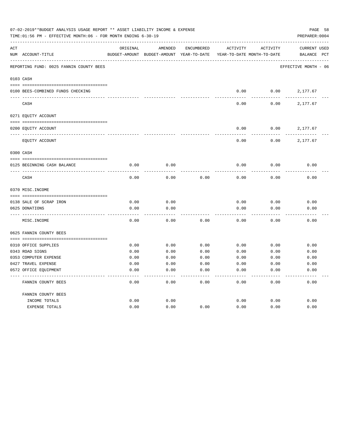|     | 07-02-2019**BUDGET ANALYSIS USAGE REPORT ** ASSET LIABILITY INCOME & EXPENSE<br>TIME:01:56 PM - EFFECTIVE MONTH:06 - FOR MONTH ENDING 6-30-19 |               |               |              |                            |          | PREPARER: 0004       | PAGE 58      |
|-----|-----------------------------------------------------------------------------------------------------------------------------------------------|---------------|---------------|--------------|----------------------------|----------|----------------------|--------------|
| ACT |                                                                                                                                               | ORIGINAL      | AMENDED       | ENCUMBERED   | <b>ACTIVITY</b>            | ACTIVITY | <b>CURRENT USED</b>  |              |
|     | NUM ACCOUNT-TITLE                                                                                                                             | BUDGET-AMOUNT | BUDGET-AMOUNT | YEAR-TO-DATE | YEAR-TO-DATE MONTH-TO-DATE |          | BALANCE              | $_{\rm PCT}$ |
|     | REPORTING FUND: 0025 FANNIN COUNTY BEES                                                                                                       |               |               |              |                            |          | EFFECTIVE MONTH - 06 |              |
|     | 0103 CASH                                                                                                                                     |               |               |              |                            |          |                      |              |
|     | 0100 BEES-COMBINED FUNDS CHECKING                                                                                                             |               |               |              | 0.00                       | 0.00     | 2,177.67             |              |
|     | CASH                                                                                                                                          |               |               |              | 0.00                       | 0.00     | 2,177.67             |              |
|     | 0271 EQUITY ACCOUNT                                                                                                                           |               |               |              |                            |          |                      |              |
|     | 0200 EQUITY ACCOUNT                                                                                                                           |               |               |              | 0.00                       | 0.00     | 2,177.67             |              |
|     | EQUITY ACCOUNT                                                                                                                                |               |               |              | 0.00                       | 0.00     | 2,177.67             |              |
|     | 0300 CASH                                                                                                                                     |               |               |              |                            |          |                      |              |
|     | 0125 BEGINNING CASH BALANCE                                                                                                                   | 0.00          | 0.00          |              | 0.00                       | 0.00     | 0.00                 |              |
|     | CASH                                                                                                                                          | 0.00          | 0.00          | 0.00         | 0.00                       | 0.00     | 0.00                 |              |
|     | 0370 MISC. INCOME                                                                                                                             |               |               |              |                            |          |                      |              |
|     | 0138 SALE OF SCRAP IRON                                                                                                                       | 0.00          | 0.00          |              | 0.00                       | 0.00     | 0.00                 |              |
|     | 0625 DONATIONS                                                                                                                                | 0.00          | 0.00          |              | 0.00                       | 0.00     | 0.00                 |              |
|     | MISC. INCOME                                                                                                                                  | 0.00          | 0.00          | 0.00         | 0.00                       | 0.00     | 0.00                 |              |
|     | 0625 FANNIN COUNTY BEES                                                                                                                       |               |               |              |                            |          |                      |              |
|     | 0310 OFFICE SUPPLIES                                                                                                                          | 0.00          | 0.00          | 0.00         | 0.00                       | 0.00     | 0.00                 |              |
|     | 0343 ROAD SIGNS                                                                                                                               | 0.00          | 0.00          | 0.00         | 0.00                       | 0.00     | 0.00                 |              |
|     | 0353 COMPUTER EXPENSE                                                                                                                         | 0.00          | 0.00          | 0.00         | 0.00                       | 0.00     | 0.00                 |              |
|     | 0427 TRAVEL EXPENSE                                                                                                                           | 0.00          | 0.00          | 0.00         | 0.00                       | 0.00     | 0.00                 |              |
|     | 0572 OFFICE EQUIPMENT                                                                                                                         | 0.00          | 0.00          | 0.00         | 0.00                       | 0.00     | 0.00                 |              |
|     | FANNIN COUNTY BEES                                                                                                                            | 0.00          | 0.00          | 0.00         | 0.00                       | 0.00     | 0.00                 |              |
|     | FANNIN COUNTY BEES                                                                                                                            |               |               |              |                            |          |                      |              |
|     | INCOME TOTALS                                                                                                                                 | 0.00          | 0.00          |              | 0.00                       | 0.00     | 0.00                 |              |
|     | <b>EXPENSE TOTALS</b>                                                                                                                         | 0.00          | 0.00          | 0.00         | 0.00                       | 0.00     | 0.00                 |              |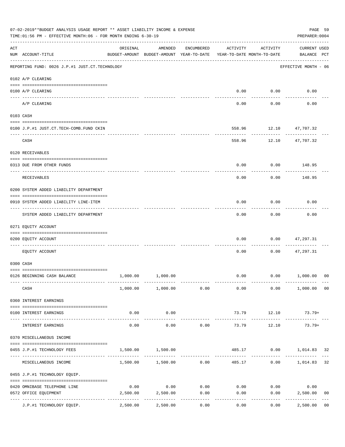|     | 07-02-2019**BUDGET ANALYSIS USAGE REPORT ** ASSET LIABILITY INCOME & EXPENSE<br>TIME:01:56 PM - EFFECTIVE MONTH:06 - FOR MONTH ENDING 6-30-19 |                                        |                                                                                |            |          |                        |                             |                |  |  |
|-----|-----------------------------------------------------------------------------------------------------------------------------------------------|----------------------------------------|--------------------------------------------------------------------------------|------------|----------|------------------------|-----------------------------|----------------|--|--|
| ACT | NUM ACCOUNT-TITLE                                                                                                                             | ORIGINAL                               | AMENDED<br>BUDGET-AMOUNT BUDGET-AMOUNT YEAR-TO-DATE YEAR-TO-DATE MONTH-TO-DATE | ENCUMBERED | ACTIVITY | ACTIVITY               | CURRENT USED<br>BALANCE PCT |                |  |  |
|     | REPORTING FUND: 0026 J.P.#1 JUST.CT.TECHNOLOGY                                                                                                |                                        |                                                                                |            |          |                        | EFFECTIVE MONTH - 06        |                |  |  |
|     | 0102 A/P CLEARING                                                                                                                             |                                        |                                                                                |            |          |                        |                             |                |  |  |
|     | 0100 A/P CLEARING                                                                                                                             |                                        |                                                                                |            |          | $0.00$ $0.00$          | 0.00                        |                |  |  |
|     | A/P CLEARING                                                                                                                                  |                                        |                                                                                |            | 0.00     | 0.00                   | 0.00                        |                |  |  |
|     | 0103 CASH                                                                                                                                     |                                        |                                                                                |            |          |                        |                             |                |  |  |
|     | 0100 J.P.#1 JUST.CT.TECH-COMB.FUND CKIN                                                                                                       |                                        |                                                                                |            |          | 558.96 12.10 47,707.32 |                             |                |  |  |
|     | CASH                                                                                                                                          |                                        |                                                                                |            | 558.96   | ----------             | 12.10 47,707.32             |                |  |  |
|     | 0120 RECEIVABLES                                                                                                                              |                                        |                                                                                |            |          |                        |                             |                |  |  |
|     | 0313 DUE FROM OTHER FUNDS                                                                                                                     |                                        |                                                                                |            | 0.00     |                        | $0.00$ 148.95               |                |  |  |
|     | RECEIVABLES                                                                                                                                   |                                        |                                                                                |            | 0.00     | 0.00                   | 148.95                      |                |  |  |
|     | 0200 SYSTEM ADDED LIABILITY DEPARTMENT                                                                                                        |                                        |                                                                                |            |          |                        |                             |                |  |  |
|     | 0910 SYSTEM ADDED LIABILITY LINE-ITEM                                                                                                         |                                        |                                                                                |            | 0.00     | 0.00                   | 0.00                        |                |  |  |
|     | SYSTEM ADDED LIABILITY DEPARTMENT                                                                                                             |                                        |                                                                                |            | 0.00     | .<br>0.00              | 0.00                        |                |  |  |
|     | 0271 EQUITY ACCOUNT                                                                                                                           |                                        |                                                                                |            |          |                        |                             |                |  |  |
|     | 0200 EQUITY ACCOUNT                                                                                                                           |                                        |                                                                                |            | 0.00     | 0.00                   | 47,297.31                   |                |  |  |
|     | EQUITY ACCOUNT                                                                                                                                |                                        |                                                                                |            | 0.00     | 0.00                   | 47,297.31                   |                |  |  |
|     | 0300 CASH                                                                                                                                     |                                        |                                                                                |            |          |                        |                             |                |  |  |
|     | 0126 BEGINNING CASH BALANCE                                                                                                                   | 1,000.00                               | 1,000.00                                                                       |            |          |                        | $0.00$ $0.00$ $1,000.00$    | 00             |  |  |
|     | CASH                                                                                                                                          |                                        | 1,000.00 1,000.00 0.00                                                         |            | 0.00     |                        | $0.00$ $1,000.00$ 00        |                |  |  |
|     | 0360 INTEREST EARNINGS                                                                                                                        |                                        |                                                                                |            |          |                        |                             |                |  |  |
|     | 0100 INTEREST EARNINGS                                                                                                                        | 0.00                                   | 0.00                                                                           |            | 73.79    | 12.10                  | 73.79+                      |                |  |  |
|     | INTEREST EARNINGS                                                                                                                             | $- - - - - -$<br>0.00                  | ----------<br>0.00                                                             | 0.00       | 73.79    | ---------<br>12.10     | $73.79+$                    |                |  |  |
|     | 0370 MISCELLANEOUS INCOME                                                                                                                     |                                        |                                                                                |            |          |                        |                             |                |  |  |
|     | 0455 J.P.#1 TECHNOLOGY FEES                                                                                                                   | 1,500.00                               | 1,500.00                                                                       |            |          |                        | 485.17 0.00 1,014.83 32     |                |  |  |
|     | MISCELLANEOUS INCOME                                                                                                                          |                                        | $1,500.00$ $1,500.00$ 0.00                                                     |            |          | 485.17                 | $0.00$ 1,014.83             | 32             |  |  |
|     | 0455 J.P.#1 TECHNOLOGY EQUIP.                                                                                                                 |                                        |                                                                                |            |          |                        |                             |                |  |  |
|     | 0420 OMNIBASE TELEPHONE LINE                                                                                                                  | 0.00                                   | 0.00                                                                           | 0.00       | 0.00     | 0.00                   | 0.00                        |                |  |  |
|     | 0572 OFFICE EQUIPMENT                                                                                                                         | 2,500.00                               | 2,500.00                                                                       | 0.00       | 0.00     | 0.00                   | 2,500.00                    | 0 <sub>0</sub> |  |  |
|     | J.P.#1 TECHNOLOGY EQUIP.                                                                                                                      | ------------ -------------<br>2,500.00 | 2,500.00                                                                       | 0.00       | 0.00     | 0.00                   | 2,500.00                    | 0 <sub>0</sub> |  |  |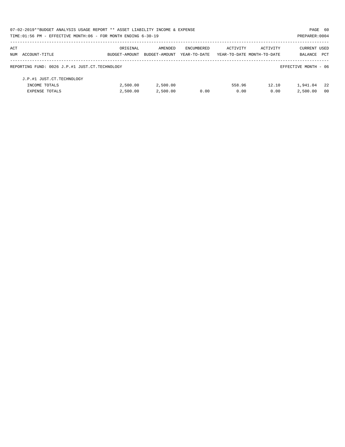|     | 07-02-2019**BUDGET ANALYSIS USAGE REPORT ** ASSET LIABILITY INCOME & EXPENSE |               |               |              |                            |          | PAGE 60              |            |
|-----|------------------------------------------------------------------------------|---------------|---------------|--------------|----------------------------|----------|----------------------|------------|
|     | TIME: 01:56 PM - EFFECTIVE MONTH: 06 - FOR MONTH ENDING 6-30-19              |               |               |              |                            |          | PREPARER: 0004       |            |
| ACT |                                                                              | ORIGINAL      | AMENDED       | ENCUMBERED   | ACTIVITY                   | ACTIVITY | <b>CURRENT USED</b>  |            |
|     | NUM ACCOUNT-TITLE                                                            | BUDGET-AMOUNT | BUDGET-AMOUNT | YEAR-TO-DATE | YEAR-TO-DATE MONTH-TO-DATE |          | BALANCE              | <b>PCT</b> |
|     | REPORTING FUND: 0026 J.P.#1 JUST.CT.TECHNOLOGY                               |               |               |              |                            |          | EFFECTIVE MONTH - 06 |            |
|     | J.P.#1 JUST.CT.TECHNOLOGY                                                    |               |               |              |                            |          |                      |            |
|     | INCOME TOTALS                                                                | 2,500.00      | 2,500.00      |              | 558.96                     | 12.10    | 1,941.04             | -22        |
|     | <b>EXPENSE TOTALS</b>                                                        | 2.500.00      | 2,500.00      | 0.00         | 0.00                       | 0.00     | 2,500.00             | - 00       |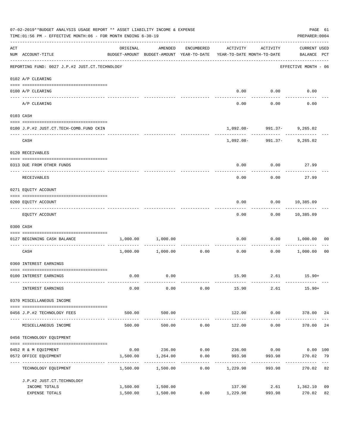|     | 07-02-2019**BUDGET ANALYSIS USAGE REPORT ** ASSET LIABILITY INCOME & EXPENSE<br>TIME: 01:56 PM - EFFECTIVE MONTH: 06 - FOR MONTH ENDING 6-30-19<br>PREPARER: 0004 |                      |                                                     |                                    |                                                |                                                     |                                    |                |  |  |
|-----|-------------------------------------------------------------------------------------------------------------------------------------------------------------------|----------------------|-----------------------------------------------------|------------------------------------|------------------------------------------------|-----------------------------------------------------|------------------------------------|----------------|--|--|
| ACT | NUM ACCOUNT-TITLE                                                                                                                                                 | ORIGINAL             | AMENDED<br>BUDGET-AMOUNT BUDGET-AMOUNT YEAR-TO-DATE | ENCUMBERED                         | ACTIVITY<br>YEAR-TO-DATE MONTH-TO-DATE         | ACTIVITY                                            | <b>CURRENT USED</b><br>BALANCE PCT |                |  |  |
|     | REPORTING FUND: 0027 J.P.#2 JUST.CT.TECHNOLOGY                                                                                                                    |                      |                                                     |                                    |                                                |                                                     | EFFECTIVE MONTH - 06               |                |  |  |
|     | 0102 A/P CLEARING                                                                                                                                                 |                      |                                                     |                                    |                                                |                                                     |                                    |                |  |  |
|     | 0100 A/P CLEARING                                                                                                                                                 |                      |                                                     |                                    | 0.00                                           | 0.00                                                | 0.00                               |                |  |  |
|     | ---- -------<br>A/P CLEARING                                                                                                                                      |                      |                                                     |                                    | 0.00                                           | 0.00                                                | 0.00                               |                |  |  |
|     | 0103 CASH                                                                                                                                                         |                      |                                                     |                                    |                                                |                                                     |                                    |                |  |  |
|     | 0100 J.P.#2 JUST.CT.TECH-COMB.FUND CKIN                                                                                                                           |                      |                                                     |                                    |                                                | $1,092.08 - 991.37 - 9,265.02$                      |                                    |                |  |  |
|     | CASH                                                                                                                                                              |                      |                                                     |                                    |                                                | - - - - - - - - -<br>$1,092.08 - 991.37 - 9,265.02$ |                                    |                |  |  |
|     | 0120 RECEIVABLES                                                                                                                                                  |                      |                                                     |                                    |                                                |                                                     |                                    |                |  |  |
|     | 0313 DUE FROM OTHER FUNDS                                                                                                                                         |                      |                                                     |                                    | 0.00                                           | 0.00                                                | 27.99                              |                |  |  |
|     | RECEIVABLES                                                                                                                                                       |                      |                                                     |                                    | 0.00                                           | 0.00                                                | 27.99                              |                |  |  |
|     | 0271 EQUITY ACCOUNT                                                                                                                                               |                      |                                                     |                                    |                                                |                                                     |                                    |                |  |  |
|     | 0200 EQUITY ACCOUNT                                                                                                                                               |                      |                                                     |                                    | 0.00                                           | 0.00                                                | 10,385.09                          |                |  |  |
|     | EQUITY ACCOUNT                                                                                                                                                    |                      |                                                     |                                    | 0.00                                           |                                                     | $0.00$ 10,385.09                   |                |  |  |
|     | 0300 CASH                                                                                                                                                         |                      |                                                     |                                    |                                                |                                                     |                                    |                |  |  |
|     | 0127 BEGINNING CASH BALANCE                                                                                                                                       | 1,000.00             | 1,000.00                                            | ----------                         | 0.00                                           | 0.00                                                | 1,000.00                           | 00             |  |  |
|     | CASH                                                                                                                                                              | 1,000.00             | 1,000.00                                            | 0.00                               | 0.00                                           | 0.00                                                | 1,000.00                           | 0 <sub>0</sub> |  |  |
|     | 0360 INTEREST EARNINGS                                                                                                                                            |                      |                                                     |                                    |                                                |                                                     |                                    |                |  |  |
|     | 0100 INTEREST EARNINGS                                                                                                                                            | 0.00                 | 0.00                                                |                                    |                                                | 15.90 2.61 15.90+                                   |                                    |                |  |  |
|     | INTEREST EARNINGS                                                                                                                                                 | 0.00                 | 0.00                                                | 0.00                               | 15.90                                          | 2.61                                                | $15.90+$                           |                |  |  |
|     | 0370 MISCELLANEOUS INCOME                                                                                                                                         |                      |                                                     |                                    |                                                |                                                     |                                    |                |  |  |
|     | 0456 J.P.#2 TECHNOLOGY FEES                                                                                                                                       | 500.00               | 500.00                                              |                                    | 122.00                                         |                                                     | 0.00 378.00 24                     |                |  |  |
|     | MISCELLANEOUS INCOME                                                                                                                                              | 500.00               | 500.00                                              | 0.00                               | 122.00                                         | 0.00                                                | _____________<br>378.00            | 24             |  |  |
|     | 0456 TECHNOLOGY EQUIPMENT                                                                                                                                         |                      |                                                     |                                    |                                                |                                                     |                                    |                |  |  |
|     | 0452 R & M EQUIPMENT                                                                                                                                              |                      |                                                     |                                    | $0.00$ 236.00 $0.00$ 236.00 $0.00$ 0.00 $0.00$ |                                                     |                                    |                |  |  |
|     | 0572 OFFICE EQUIPMENT                                                                                                                                             |                      | 1,500.00 1,264.00                                   | 0.00<br>------------ ------------- | 993.98<br>--------------                       | 993.98<br>------------                              | 270.02<br>--------------           | 79             |  |  |
|     | TECHNOLOGY EQUIPMENT                                                                                                                                              | 1,500.00             | 1,500.00                                            | 0.00                               | 1,229.98                                       | 993.98                                              | 270.02 82                          |                |  |  |
|     | J.P.#2 JUST.CT.TECHNOLOGY                                                                                                                                         |                      |                                                     |                                    |                                                |                                                     |                                    |                |  |  |
|     | INCOME TOTALS<br>EXPENSE TOTALS                                                                                                                                   | 1,500.00<br>1,500.00 | 1,500.00<br>1,500.00                                |                                    | 137.90<br>$0.00$ 1,229.98                      | 993.98                                              | 2.61 1,362.10<br>270.02            | 09<br>82       |  |  |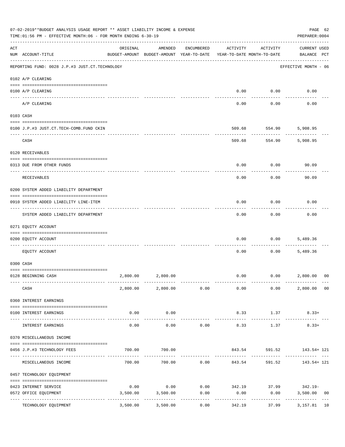|     | 07-02-2019**BUDGET ANALYSIS USAGE REPORT ** ASSET LIABILITY INCOME & EXPENSE<br>TIME:01:56 PM - EFFECTIVE MONTH:06 - FOR MONTH ENDING 6-30-19<br>PREPARER: 0004 |                                         |                                                                                |            |                       |                     |                                                  |    |  |  |
|-----|-----------------------------------------------------------------------------------------------------------------------------------------------------------------|-----------------------------------------|--------------------------------------------------------------------------------|------------|-----------------------|---------------------|--------------------------------------------------|----|--|--|
| ACT | NUM ACCOUNT-TITLE                                                                                                                                               | ORIGINAL                                | AMENDED<br>BUDGET-AMOUNT BUDGET-AMOUNT YEAR-TO-DATE YEAR-TO-DATE MONTH-TO-DATE | ENCUMBERED | ACTIVITY              | ACTIVITY            | <b>CURRENT USED</b><br>BALANCE PCT               |    |  |  |
|     | REPORTING FUND: 0028 J.P.#3 JUST.CT.TECHNOLOGY                                                                                                                  |                                         |                                                                                |            |                       |                     | EFFECTIVE MONTH - 06                             |    |  |  |
|     | 0102 A/P CLEARING                                                                                                                                               |                                         |                                                                                |            |                       |                     |                                                  |    |  |  |
|     | 0100 A/P CLEARING                                                                                                                                               |                                         |                                                                                |            | 0.00                  | 0.00                | 0.00                                             |    |  |  |
|     | A/P CLEARING                                                                                                                                                    |                                         |                                                                                |            | 0.00                  | 0.00                | 0.00                                             |    |  |  |
|     | 0103 CASH                                                                                                                                                       |                                         |                                                                                |            |                       |                     |                                                  |    |  |  |
|     | 0100 J.P.#3 JUST.CT.TECH-COMB.FUND CKIN                                                                                                                         |                                         |                                                                                |            | 509.68                | 554.90              | 5,908.95                                         |    |  |  |
|     | CASH                                                                                                                                                            |                                         |                                                                                |            | 509.68                | 554.90              | ------------<br>5,908.95                         |    |  |  |
|     | 0120 RECEIVABLES                                                                                                                                                |                                         |                                                                                |            |                       |                     |                                                  |    |  |  |
|     | 0313 DUE FROM OTHER FUNDS                                                                                                                                       |                                         |                                                                                |            | 0.00                  |                     | 0.00<br>90.09                                    |    |  |  |
|     | RECEIVABLES                                                                                                                                                     |                                         |                                                                                |            | 0.00                  | 0.00                | 90.09                                            |    |  |  |
|     | 0200 SYSTEM ADDED LIABILITY DEPARTMENT                                                                                                                          |                                         |                                                                                |            |                       |                     |                                                  |    |  |  |
|     | 0910 SYSTEM ADDED LIABILITY LINE-ITEM                                                                                                                           |                                         |                                                                                |            | 0.00                  | 0.00                | 0.00                                             |    |  |  |
|     | SYSTEM ADDED LIABILITY DEPARTMENT                                                                                                                               |                                         |                                                                                |            | 0.00                  | 0.00                | 0.00                                             |    |  |  |
|     | 0271 EQUITY ACCOUNT                                                                                                                                             |                                         |                                                                                |            |                       |                     |                                                  |    |  |  |
|     | 0200 EQUITY ACCOUNT                                                                                                                                             |                                         |                                                                                |            | 0.00                  | 0.00                | 5,489.36                                         |    |  |  |
|     | EOUITY ACCOUNT                                                                                                                                                  |                                         |                                                                                |            | 0.00                  | 0.00                | 5,489.36                                         |    |  |  |
|     | 0300 CASH                                                                                                                                                       |                                         |                                                                                |            |                       |                     |                                                  |    |  |  |
|     | 0128 BEGINNING CASH                                                                                                                                             | 2,800.00                                | 2,800.00                                                                       |            | 0.00                  |                     | $0.00$ 2,800.00                                  | 00 |  |  |
|     | CASH                                                                                                                                                            |                                         | 2,800.00 2,800.00 0.00                                                         |            |                       | $0.00$ 0.00         | 2,800.00 00                                      |    |  |  |
|     | 0360 INTEREST EARNINGS                                                                                                                                          |                                         |                                                                                |            |                       |                     |                                                  |    |  |  |
|     | 0100 INTEREST EARNINGS                                                                                                                                          | 0.00<br>--------------- --------------- | 0.00                                                                           |            | 8.33<br>------------- | 1.37<br>----------- | $8.33+$                                          |    |  |  |
|     | INTEREST EARNINGS                                                                                                                                               | 0.00                                    | -----------<br>0.00                                                            | 0.00       | 8.33                  | 1.37                | $8.33+$                                          |    |  |  |
|     | 0370 MISCELLANEOUS INCOME                                                                                                                                       |                                         |                                                                                |            |                       |                     |                                                  |    |  |  |
|     | 0456 J.P.#3 TECHNOLOGY FEES                                                                                                                                     | 700.00                                  | 700.00                                                                         |            |                       | 843.54 591.52       | 143.54+ 121                                      |    |  |  |
|     | MISCELLANEOUS INCOME                                                                                                                                            |                                         | $700.00$ $700.00$ $0.00$ $843.54$                                              |            |                       |                     | 591.52 143.54+ 121                               |    |  |  |
|     | 0457 TECHNOLOGY EQUIPMENT                                                                                                                                       |                                         |                                                                                |            |                       |                     |                                                  |    |  |  |
|     | 0423 INTERNET SERVICE                                                                                                                                           | 0.00                                    |                                                                                |            |                       |                     | $0.00$ $0.00$ $342.19$ $37.99$ $342.19$ $342.19$ |    |  |  |
|     | 0572 OFFICE EQUIPMENT                                                                                                                                           | 3,500.00                                | 3,500.00                                                                       | 0.00       | 0.00                  | 0.00                | 3,500.00                                         | 00 |  |  |
|     | TECHNOLOGY EQUIPMENT                                                                                                                                            | ---------------------------<br>3,500.00 | 3,500.00                                                                       | 0.00       | 342.19                | 37.99               | 3,157.81                                         | 10 |  |  |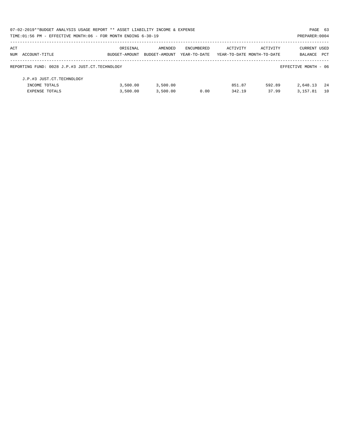|     | 07-02-2019**BUDGET ANALYSIS USAGE REPORT ** ASSET LIABILITY INCOME & EXPENSE |               |               |              |                            |          | PAGE 63              |            |
|-----|------------------------------------------------------------------------------|---------------|---------------|--------------|----------------------------|----------|----------------------|------------|
|     | TIME: 01:56 PM - EFFECTIVE MONTH: 06 - FOR MONTH ENDING 6-30-19              |               |               |              |                            |          | PREPARER: 0004       |            |
| ACT |                                                                              | ORIGINAL      | AMENDED       | ENCUMBERED   | ACTIVITY                   | ACTIVITY | <b>CURRENT USED</b>  |            |
|     | NUM ACCOUNT-TITLE                                                            | BUDGET-AMOUNT | BUDGET-AMOUNT | YEAR-TO-DATE | YEAR-TO-DATE MONTH-TO-DATE |          | BALANCE              | <b>PCT</b> |
|     | REPORTING FUND: 0028 J.P.#3 JUST.CT.TECHNOLOGY                               |               |               |              |                            |          | EFFECTIVE MONTH - 06 |            |
|     | J.P.#3 JUST.CT.TECHNOLOGY                                                    |               |               |              |                            |          |                      |            |
|     | INCOME TOTALS                                                                | 3,500.00      | 3,500.00      |              | 851.87                     | 592.89   | 2,648.13             | - 24       |
|     | <b>EXPENSE TOTALS</b>                                                        | 3,500.00      | 3,500.00      | 0.00         | 342.19                     | 37.99    | 3, 157.81            | 10         |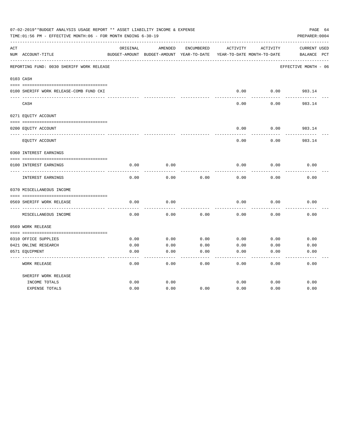|     | 07-02-2019**BUDGET ANALYSIS USAGE REPORT ** ASSET LIABILITY INCOME & EXPENSE<br>TIME:01:56 PM - EFFECTIVE MONTH:06 - FOR MONTH ENDING 6-30-19 |          |                                                     |            |          |                                        | PAGE 64<br>PREPARER: 0004          |
|-----|-----------------------------------------------------------------------------------------------------------------------------------------------|----------|-----------------------------------------------------|------------|----------|----------------------------------------|------------------------------------|
| ACT | NUM ACCOUNT-TITLE                                                                                                                             | ORIGINAL | AMENDED<br>BUDGET-AMOUNT BUDGET-AMOUNT YEAR-TO-DATE | ENCUMBERED | ACTIVITY | ACTIVITY<br>YEAR-TO-DATE MONTH-TO-DATE | <b>CURRENT USED</b><br>BALANCE PCT |
|     | REPORTING FUND: 0030 SHERIFF WORK RELEASE                                                                                                     |          |                                                     |            |          |                                        | EFFECTIVE MONTH - 06               |
|     | 0103 CASH                                                                                                                                     |          |                                                     |            |          |                                        |                                    |
|     | 0100 SHERIFF WORK RELEASE-COMB FUND CKI                                                                                                       |          |                                                     |            | 0.00     | 0.00                                   | 983.14                             |
|     | CASH                                                                                                                                          |          |                                                     |            | 0.00     | 0.00                                   | 983.14                             |
|     | 0271 EQUITY ACCOUNT                                                                                                                           |          |                                                     |            |          |                                        |                                    |
|     | 0200 EQUITY ACCOUNT                                                                                                                           |          |                                                     |            | 0.00     | 0.00                                   | 983.14                             |
|     | EQUITY ACCOUNT                                                                                                                                |          |                                                     |            | 0.00     | 0.00                                   | 983.14                             |
|     | 0360 INTEREST EARNINGS                                                                                                                        |          |                                                     |            |          |                                        |                                    |
|     | 0100 INTEREST EARNINGS                                                                                                                        | 0.00     | 0.00                                                |            | 0.00     | 0.00                                   | 0.00                               |
|     | INTEREST EARNINGS                                                                                                                             | 0.00     | 0.00                                                | 0.00       | 0.00     | 0.00                                   | 0.00                               |
|     | 0370 MISCELLANEOUS INCOME                                                                                                                     |          |                                                     |            |          |                                        |                                    |
|     | 0569 SHERIFF WORK RELEASE                                                                                                                     | 0.00     | 0.00                                                |            | 0.00     | 0.00                                   | 0.00                               |
|     | MISCELLANEOUS INCOME                                                                                                                          | 0.00     | 0.00                                                | 0.00       | 0.00     | 0.00                                   | 0.00                               |
|     | 0569 WORK RELEASE                                                                                                                             |          |                                                     |            |          |                                        |                                    |
|     |                                                                                                                                               |          |                                                     |            |          |                                        |                                    |
|     | 0310 OFFICE SUPPLIES                                                                                                                          | 0.00     | 0.00                                                | 0.00       | 0.00     | 0.00                                   | 0.00                               |
|     | 0421 ONLINE RESEARCH                                                                                                                          | 0.00     | 0.00                                                | 0.00       | 0.00     | 0.00                                   | 0.00                               |
|     | 0571 EQUIPMENT                                                                                                                                | 0.00     | 0.00                                                | 0.00       | 0.00     | 0.00                                   | 0.00                               |
|     | <b>WORK RELEASE</b>                                                                                                                           | 0.00     | 0.00                                                | 0.00       | 0.00     | 0.00                                   | 0.00                               |
|     | SHERIFF WORK RELEASE                                                                                                                          |          |                                                     |            |          |                                        |                                    |
|     | INCOME TOTALS                                                                                                                                 | 0.00     | 0.00                                                |            | 0.00     | 0.00                                   | 0.00                               |
|     | <b>EXPENSE TOTALS</b>                                                                                                                         | 0.00     | 0.00                                                | 0.00       | 0.00     | 0.00                                   | 0.00                               |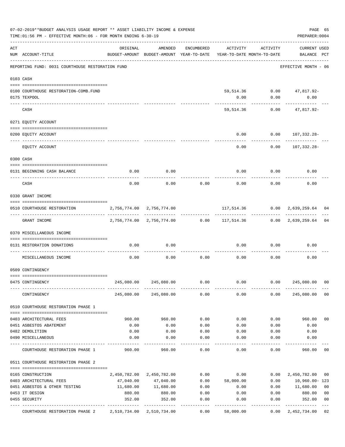|     | 07-02-2019**BUDGET ANALYSIS USAGE REPORT ** ASSET LIABILITY INCOME & EXPENSE<br>TIME:01:56 PM - EFFECTIVE MONTH:06 - FOR MONTH ENDING 6-30-19 |                                                                                 |                           |            |                                                             |          | PAGE 65<br>PREPARER: 0004          |                |
|-----|-----------------------------------------------------------------------------------------------------------------------------------------------|---------------------------------------------------------------------------------|---------------------------|------------|-------------------------------------------------------------|----------|------------------------------------|----------------|
| ACT | NUM ACCOUNT-TITLE                                                                                                                             | ORIGINAL<br>BUDGET-AMOUNT BUDGET-AMOUNT YEAR-TO-DATE YEAR-TO-DATE MONTH-TO-DATE | AMENDED                   | ENCUMBERED | ACTIVITY                                                    | ACTIVITY | <b>CURRENT USED</b><br>BALANCE PCT |                |
|     | REPORTING FUND: 0031 COURTHOUSE RESTORATION FUND                                                                                              |                                                                                 |                           |            |                                                             |          | EFFECTIVE MONTH - 06               |                |
|     | 0103 CASH                                                                                                                                     |                                                                                 |                           |            |                                                             |          |                                    |                |
|     | 0100 COURTHOUSE RESTORATION-COMB.FUND                                                                                                         |                                                                                 |                           |            |                                                             |          | 59,514.36 0.00 47,817.92-          |                |
|     | 0175 TEXPOOL                                                                                                                                  |                                                                                 |                           |            | 0.00                                                        | 0.00     | 0.00<br>----------                 |                |
|     | CASH                                                                                                                                          |                                                                                 |                           |            | 59,514.36                                                   | 0.00     | 47,817.92-                         |                |
|     | 0271 EQUITY ACCOUNT                                                                                                                           |                                                                                 |                           |            |                                                             |          |                                    |                |
|     |                                                                                                                                               |                                                                                 |                           |            |                                                             |          |                                    |                |
|     | 0200 EQUITY ACCOUNT                                                                                                                           |                                                                                 |                           |            | 0.00                                                        |          | $0.00 107,332.28-$                 |                |
|     | EQUITY ACCOUNT                                                                                                                                |                                                                                 |                           |            | 0.00                                                        | 0.00     | 107,332.28-                        |                |
|     | 0300 CASH                                                                                                                                     |                                                                                 |                           |            |                                                             |          |                                    |                |
|     |                                                                                                                                               |                                                                                 |                           |            |                                                             |          |                                    |                |
|     | 0131 BEGINNING CASH BALANCE<br>-------------------------- --                                                                                  | 0.00                                                                            | 0.00                      |            | 0.00                                                        | 0.00     | 0.00                               |                |
|     | CASH                                                                                                                                          | 0.00                                                                            | 0.00                      | 0.00       | 0.00                                                        | 0.00     | 0.00                               |                |
|     | 0330 GRANT INCOME                                                                                                                             |                                                                                 |                           |            |                                                             |          |                                    |                |
|     | 0510 COURTHOUSE RESTORATION                                                                                                                   | 2,756,774.00 2,756,774.00                                                       |                           |            |                                                             |          |                                    | 04             |
|     | GRANT INCOME                                                                                                                                  |                                                                                 |                           |            | 2,756,774.00 2,756,774.00 0.00 117,514.36 0.00 2,639,259.64 |          |                                    | 04             |
|     | 0370 MISCELLANEOUS INCOME                                                                                                                     |                                                                                 |                           |            |                                                             |          |                                    |                |
|     | 0131 RESTORATION DONATIONS                                                                                                                    | 0.00                                                                            | 0.00                      |            | 0.00                                                        | 0.00     | 0.00                               |                |
|     | MISCELLANEOUS INCOME                                                                                                                          | 0.00                                                                            | 0.00                      | 0.00       | 0.00                                                        | 0.00     | 0.00                               |                |
|     | 0509 CONTINGENCY                                                                                                                              |                                                                                 |                           |            |                                                             |          |                                    |                |
|     | 0475 CONTINGENCY                                                                                                                              | 245,080.00                                                                      | 245,080.00                | 0.00       | 0.00                                                        | 0.00     | 245,080.00                         | 00             |
|     | CONTINGENCY                                                                                                                                   |                                                                                 | 245,080.00 245,080.00     | 0.00       | 0.00                                                        | 0.00     | 245,080.00                         | 0 <sub>0</sub> |
|     | 0510 COURTHOUSE RESTORATION PHASE 1                                                                                                           |                                                                                 |                           |            |                                                             |          |                                    |                |
|     |                                                                                                                                               |                                                                                 |                           |            |                                                             |          |                                    |                |
|     | 0403 ARCHITECTURAL FEES                                                                                                                       | 960.00                                                                          | 960.00                    | 0.00       | 0.00                                                        | 0.00     | 960.00                             | 0 <sub>0</sub> |
|     | 0451 ASBESTOS ABATEMENT                                                                                                                       | 0.00                                                                            | 0.00                      | 0.00       | 0.00                                                        | 0.00     | 0.00                               |                |
|     | 0482 DEMOLITION                                                                                                                               | 0.00                                                                            | 0.00                      | 0.00       | 0.00                                                        | 0.00     | 0.00                               |                |
|     | 0490 MISCELLANEOUS                                                                                                                            | 0.00                                                                            | 0.00                      | 0.00       | 0.00                                                        | 0.00     | 0.00                               |                |
|     | COURTHOUSE RESTORATION PHASE 1                                                                                                                | 960.00                                                                          | 960.00                    | 0.00       | 0.00                                                        | 0.00     | 960.00                             | 00             |
|     | 0511 COURTHOUSE RESTORATION PHASE 2                                                                                                           |                                                                                 |                           |            |                                                             |          |                                    |                |
|     | 0165 CONSTRUCTION                                                                                                                             |                                                                                 | 2,450,782.00 2,450,782.00 | 0.00       | 0.00                                                        | 0.00     | 2,450,782.00                       | 00             |
|     | 0403 ARCHITECTURAL FEES                                                                                                                       | 47,040.00                                                                       | 47,040.00                 | 0.00       | 58,000.00                                                   | 0.00     | 10,960.00-123                      |                |
|     | 0451 ASBESTOS & OTHER TESTING                                                                                                                 | 11,680.00                                                                       | 11,680.00                 | 0.00       | 0.00                                                        | 0.00     | 11,680.00                          | 0 <sub>0</sub> |
|     | 0453 IT DESIGN                                                                                                                                | 880.00                                                                          | 880.00                    | 0.00       | 0.00                                                        | 0.00     | 880.00                             | 0 <sub>0</sub> |
|     | 0455 SECURITY                                                                                                                                 | 352.00                                                                          | 352.00                    | 0.00       | 0.00                                                        | 0.00     | 352.00                             | 0 <sub>0</sub> |
|     | COURTHOUSE RESTORATION PHASE 2                                                                                                                | 2,510,734.00 2,510,734.00                                                       |                           | 0.00       | 58,000.00                                                   | 0.00     | 2,452,734.00                       | 02             |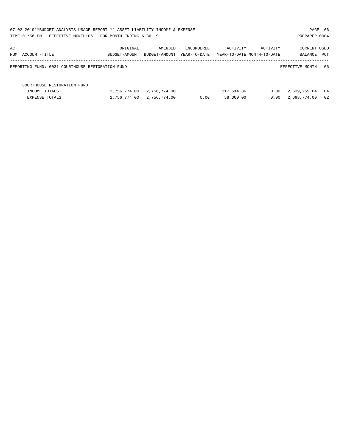| 07-02-2019**BUDGET ANALYSIS USAGE REPORT ** ASSET LIABILITY INCOME & EXPENSE |               |               |              |            |                            |                      | PAGE 66 |
|------------------------------------------------------------------------------|---------------|---------------|--------------|------------|----------------------------|----------------------|---------|
| TIME:01:56 PM - EFFECTIVE MONTH:06 - FOR MONTH ENDING 6-30-19                |               |               |              |            |                            | PREPARER: 0004       |         |
| ACT                                                                          | ORIGINAL      | AMENDED       | ENCUMBERED   | ACTIVITY   | ACTIVITY                   | CURRENT USED         |         |
| NUM ACCOUNT-TITLE                                                            | BUDGET-AMOUNT | BUDGET-AMOUNT | YEAR-TO-DATE |            | YEAR-TO-DATE MONTH-TO-DATE | BALANCE PCT          |         |
| REPORTING FUND: 0031 COURTHOUSE RESTORATION FUND                             |               |               |              |            |                            | EFFECTIVE MONTH - 06 |         |
| COURTHOUSE RESTORATION FUND                                                  |               |               |              |            |                            |                      |         |
| INCOME TOTALS                                                                | 2,756,774.00  | 2,756,774.00  |              | 117,514.36 | 0.00                       | 2,639,259.64         | 04      |
| <b>EXPENSE TOTALS</b>                                                        | 2,756,774.00  | 2,756,774.00  | 0.00         | 58,000.00  | 0.00                       | 2,698,774.00         | 02      |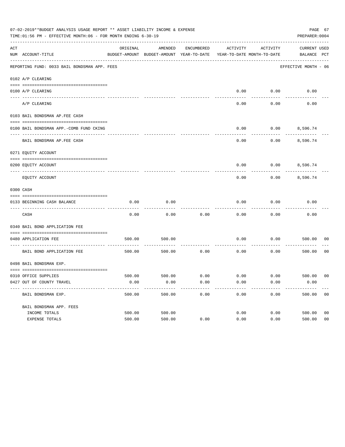| 07-02-2019**BUDGET ANALYSIS USAGE REPORT ** ASSET LIABILITY INCOME & EXPENSE<br>PAGE 67<br>TIME:01:56 PM - EFFECTIVE MONTH:06 - FOR MONTH ENDING 6-30-19<br>PREPARER: 0004 |                                              |          |                                                     |            |                                        |          |                                    |                |
|----------------------------------------------------------------------------------------------------------------------------------------------------------------------------|----------------------------------------------|----------|-----------------------------------------------------|------------|----------------------------------------|----------|------------------------------------|----------------|
| ACT                                                                                                                                                                        | NUM ACCOUNT-TITLE                            | ORIGINAL | AMENDED<br>BUDGET-AMOUNT BUDGET-AMOUNT YEAR-TO-DATE | ENCUMBERED | ACTIVITY<br>YEAR-TO-DATE MONTH-TO-DATE | ACTIVITY | <b>CURRENT USED</b><br>BALANCE PCT |                |
|                                                                                                                                                                            | REPORTING FUND: 0033 BAIL BONDSMAN APP. FEES |          |                                                     |            |                                        |          | EFFECTIVE MONTH - 06               |                |
|                                                                                                                                                                            | 0102 A/P CLEARING                            |          |                                                     |            |                                        |          |                                    |                |
|                                                                                                                                                                            | 0100 A/P CLEARING                            |          |                                                     |            | 0.00                                   | 0.00     | 0.00                               |                |
|                                                                                                                                                                            | ---- --------<br>A/P CLEARING                |          |                                                     |            | 0.00                                   | 0.00     | 0.00                               |                |
|                                                                                                                                                                            | 0103 BAIL BONDSMAN AP.FEE CASH               |          |                                                     |            |                                        |          |                                    |                |
|                                                                                                                                                                            | 0100 BAIL BONDSMAN APP.-COMB FUND CKING      |          |                                                     |            | 0.00                                   | 0.00     | 8,596.74                           |                |
|                                                                                                                                                                            | BAIL BONDSMAN AP.FEE CASH                    |          |                                                     |            | 0.00                                   | 0.00     | 8,596.74                           |                |
|                                                                                                                                                                            | 0271 EQUITY ACCOUNT                          |          |                                                     |            |                                        |          |                                    |                |
|                                                                                                                                                                            | 0200 EQUITY ACCOUNT                          |          |                                                     |            | 0.00                                   |          | $0.00$ 8,596.74                    |                |
|                                                                                                                                                                            | EQUITY ACCOUNT                               |          |                                                     |            | 0.00                                   | 0.00     | 8,596.74                           |                |
|                                                                                                                                                                            | 0300 CASH                                    |          |                                                     |            |                                        |          |                                    |                |
|                                                                                                                                                                            | 0133 BEGINNING CASH BALANCE                  | 0.00     | 0.00                                                |            | 0.00                                   | 0.00     | 0.00                               |                |
|                                                                                                                                                                            | CASH                                         | 0.00     | 0.00                                                | 0.00       | 0.00                                   | 0.00     | 0.00                               |                |
|                                                                                                                                                                            | 0340 BAIL BOND APPLICATION FEE               |          |                                                     |            |                                        |          |                                    |                |
|                                                                                                                                                                            | 0480 APPLICATION FEE                         | 500.00   | 500.00                                              |            | 0.00                                   | 0.00     | 500.00                             | 00             |
|                                                                                                                                                                            | BAIL BOND APPLICATION FEE                    | 500.00   | 500.00                                              | 0.00       | 0.00                                   | 0.00     | 500.00                             | 0 <sub>0</sub> |
|                                                                                                                                                                            | 0498 BAIL BONDSMAN EXP.                      |          |                                                     |            |                                        |          |                                    |                |
|                                                                                                                                                                            | 0310 OFFICE SUPPLIES                         | 500.00   | 500.00 0.00                                         |            | $0.00$ $0.00$ $500.00$                 |          |                                    | 00             |
|                                                                                                                                                                            | 0427 OUT OF COUNTY TRAVEL                    | 0.00     | 0.00                                                | 0.00       | 0.00                                   | 0.00     | 0.00                               |                |
|                                                                                                                                                                            | BAIL BONDSMAN EXP.                           | 500.00   | 500.00                                              | 0.00       | 0.00                                   | 0.00     | 500.00                             | 0 <sub>0</sub> |
|                                                                                                                                                                            | BAIL BONDSMAN APP. FEES                      |          |                                                     |            |                                        |          |                                    |                |
|                                                                                                                                                                            | INCOME TOTALS                                | 500.00   | 500.00                                              |            | 0.00                                   | 0.00     | 500.00                             | 0 <sub>0</sub> |
|                                                                                                                                                                            | EXPENSE TOTALS                               | 500.00   | 500.00                                              | 0.00       | 0.00                                   | 0.00     | 500.00                             | 0 <sub>0</sub> |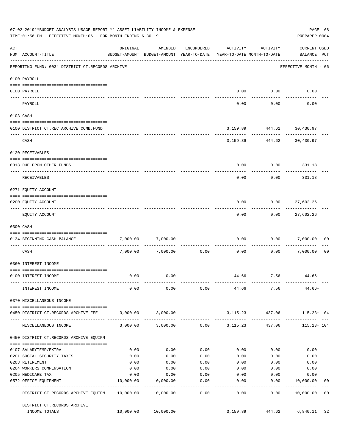|     | 07-02-2019**BUDGET ANALYSIS USAGE REPORT ** ASSET LIABILITY INCOME & EXPENSE<br>PAGE 68<br>TIME:01:56 PM - EFFECTIVE MONTH:06 - FOR MONTH ENDING 6-30-19<br>PREPARER: 0004 |                   |                                                                                |                     |                   |                              |                                    |                |  |
|-----|----------------------------------------------------------------------------------------------------------------------------------------------------------------------------|-------------------|--------------------------------------------------------------------------------|---------------------|-------------------|------------------------------|------------------------------------|----------------|--|
| ACT | NUM ACCOUNT-TITLE                                                                                                                                                          | ORIGINAL          | AMENDED<br>BUDGET-AMOUNT BUDGET-AMOUNT YEAR-TO-DATE YEAR-TO-DATE MONTH-TO-DATE | ENCUMBERED          | ACTIVITY          | ACTIVITY                     | <b>CURRENT USED</b><br>BALANCE PCT |                |  |
|     | REPORTING FUND: 0034 DISTRICT CT.RECORDS ARCHIVE                                                                                                                           |                   |                                                                                |                     |                   |                              | EFFECTIVE MONTH - 06               |                |  |
|     | 0100 PAYROLL                                                                                                                                                               |                   |                                                                                |                     |                   |                              |                                    |                |  |
|     | 0100 PAYROLL                                                                                                                                                               |                   |                                                                                |                     |                   | $0.00$ $0.00$                | 0.00                               |                |  |
|     | ---- -------<br>PAYROLL                                                                                                                                                    |                   |                                                                                |                     | 0.00              | 0.00                         | 0.00                               |                |  |
|     | 0103 CASH                                                                                                                                                                  |                   |                                                                                |                     |                   |                              |                                    |                |  |
|     | 0100 DISTRICT CT.REC.ARCHIVE COMB.FUND                                                                                                                                     |                   |                                                                                |                     |                   | 3, 159.89 444.62 30, 430.97  |                                    |                |  |
|     | CASH                                                                                                                                                                       |                   |                                                                                |                     |                   | 3, 159.89 444.62 30, 430.97  | ------------- -------------        |                |  |
|     | 0120 RECEIVABLES                                                                                                                                                           |                   |                                                                                |                     |                   |                              |                                    |                |  |
|     | 0313 DUE FROM OTHER FUNDS                                                                                                                                                  |                   |                                                                                |                     | 0.00              |                              | $0.00$ 331.18                      |                |  |
|     | RECEIVABLES                                                                                                                                                                |                   |                                                                                |                     | 0.00              | 0.00                         | 331.18                             |                |  |
|     | 0271 EQUITY ACCOUNT                                                                                                                                                        |                   |                                                                                |                     |                   |                              |                                    |                |  |
|     | 0200 EQUITY ACCOUNT                                                                                                                                                        |                   |                                                                                |                     | 0.00              |                              | $0.00$ 27,602.26                   |                |  |
|     | EQUITY ACCOUNT                                                                                                                                                             |                   |                                                                                |                     | 0.00              | ---------<br>0.00            | -----------<br>27,602.26           |                |  |
|     | 0300 CASH                                                                                                                                                                  |                   |                                                                                |                     |                   |                              |                                    |                |  |
|     | 0134 BEGINNING CASH BALANCE                                                                                                                                                | 7,000.00          | 7,000.00                                                                       |                     | 0.00              |                              | $0.00$ 7,000.00                    | 00             |  |
|     | ----------------------------<br>CASH                                                                                                                                       |                   | 7,000.00 7,000.00                                                              | 0.00                | 0.00              |                              | 0.00 7,000.00                      | 0 <sub>0</sub> |  |
|     | 0360 INTEREST INCOME                                                                                                                                                       |                   |                                                                                |                     |                   |                              |                                    |                |  |
|     | 0100 INTEREST INCOME                                                                                                                                                       | 0.00              | 0.00                                                                           |                     |                   | 44.66 7.56                   | 44.66+                             |                |  |
|     | INTEREST INCOME                                                                                                                                                            | 0.00              |                                                                                |                     |                   | $0.00$ $0.00$ $44.66$ $7.56$ | 44.66+                             |                |  |
|     | 0370 MISCELLANEOUS INCOME                                                                                                                                                  |                   |                                                                                |                     |                   |                              |                                    |                |  |
|     | 0450 DISTRICT CT.RECORDS ARCHIVE FEE                                                                                                                                       |                   | 3,000.00 3,000.00                                                              |                     |                   |                              | 3, 115. 23 437. 06 115. 23 + 104   |                |  |
|     | MISCELLANEOUS INCOME                                                                                                                                                       |                   | $3,000.00$ $3,000.00$ $0.00$ $3,115.23$                                        |                     |                   |                              | 437.06 115.23+ 104                 |                |  |
|     | 0450 DISTRICT CT.RECORDS ARCHIVE EQUIPM                                                                                                                                    |                   |                                                                                |                     |                   |                              |                                    |                |  |
|     |                                                                                                                                                                            |                   |                                                                                |                     |                   |                              |                                    |                |  |
|     | 0107 SALARYTEMP/EXTRA                                                                                                                                                      | 0.00<br>0.00      | 0.00<br>0.00                                                                   | 0.00<br>0.00        | 0.00              | 0.00                         | 0.00<br>0.00                       |                |  |
|     | 0201 SOCIAL SECURITY TAXES<br>0203 RETIREMENT                                                                                                                              | 0.00              | 0.00                                                                           | 0.00                | 0.00<br>0.00      | 0.00<br>0.00                 | 0.00                               |                |  |
|     | 0204 WORKERS COMPENSATION                                                                                                                                                  | 0.00              | 0.00                                                                           | 0.00                | 0.00              | 0.00                         | 0.00                               |                |  |
|     |                                                                                                                                                                            |                   |                                                                                |                     |                   |                              |                                    |                |  |
|     | 0205 MEDICARE TAX<br>0572 OFFICE EQUIPMENT                                                                                                                                 | 0.00<br>10,000.00 | 0.00<br>10,000.00                                                              | 0.00<br>0.00        | 0.00<br>0.00      | 0.00<br>0.00                 | 0.00<br>10,000.00                  | 00             |  |
|     | DISTRICT CT.RECORDS ARCHIVE EQUIPM 10,000.00 10,000.00                                                                                                                     |                   |                                                                                | -----------<br>0.00 | ---------<br>0.00 | ----------<br>0.00           | ------------<br>10,000.00          | 0 <sub>0</sub> |  |
|     | DISTRICT CT.RECORDS ARCHIVE                                                                                                                                                |                   |                                                                                |                     |                   |                              |                                    |                |  |
|     | INCOME TOTALS                                                                                                                                                              |                   | 10,000.00 10,000.00                                                            |                     | 3,159.89          | 444.62                       | 6,840.11                           | 32             |  |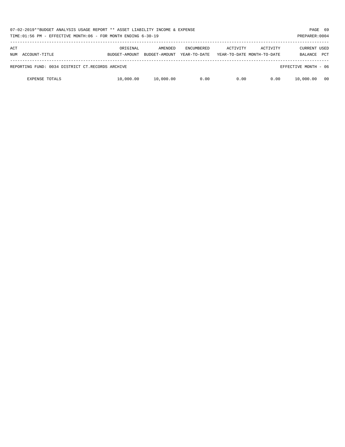|            | 07-02-2019**BUDGET ANALYSIS USAGE REPORT ** ASSET LIABILITY INCOME & EXPENSE<br>TIME:01:56 PM - EFFECTIVE MONTH:06 - FOR MONTH ENDING 6-30-19<br>PREPARER: 0004 |                           |                          |                                   |          |                                        |                                       |            |
|------------|-----------------------------------------------------------------------------------------------------------------------------------------------------------------|---------------------------|--------------------------|-----------------------------------|----------|----------------------------------------|---------------------------------------|------------|
| ACT<br>NUM | ACCOUNT-TITLE                                                                                                                                                   | ORIGINAL<br>BUDGET-AMOUNT | AMENDED<br>BUDGET-AMOUNT | <b>ENCUMBERED</b><br>YEAR-TO-DATE | ACTIVITY | ACTIVITY<br>YEAR-TO-DATE MONTH-TO-DATE | <b>CURRENT USED</b><br><b>BALANCE</b> | <b>PCT</b> |
|            | REPORTING FUND: 0034 DISTRICT CT.RECORDS ARCHIVE                                                                                                                |                           |                          |                                   |          |                                        | EFFECTIVE MONTH - 06                  |            |
|            | <b>EXPENSE TOTALS</b>                                                                                                                                           | 10,000.00                 | 10,000.00                | 0.00                              | 0.00     | 0.00                                   | 10,000.00                             | - 00       |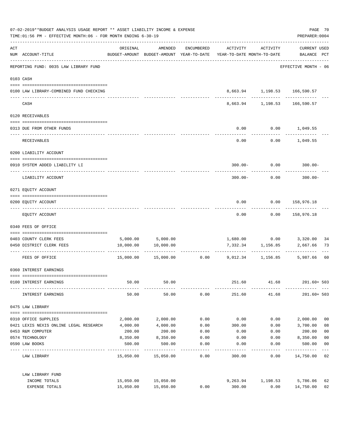| 07-02-2019**BUDGET ANALYSIS USAGE REPORT ** ASSET LIABILITY INCOME & EXPENSE<br>TIME: 01:56 PM - EFFECTIVE MONTH: 06 - FOR MONTH ENDING 6-30-19 |                                         |           |                     |            |                                                                                 |                   |                                                                   |                |
|-------------------------------------------------------------------------------------------------------------------------------------------------|-----------------------------------------|-----------|---------------------|------------|---------------------------------------------------------------------------------|-------------------|-------------------------------------------------------------------|----------------|
| $\mathtt{ACT}$                                                                                                                                  | NUM ACCOUNT-TITLE                       | ORIGINAL  | AMENDED             | ENCUMBERED | ACTIVITY<br>BUDGET-AMOUNT BUDGET-AMOUNT YEAR-TO-DATE YEAR-TO-DATE MONTH-TO-DATE | ACTIVITY          | <b>CURRENT USED</b><br>BALANCE PCT                                |                |
|                                                                                                                                                 | REPORTING FUND: 0035 LAW LIBRARY FUND   |           |                     |            |                                                                                 |                   | EFFECTIVE MONTH - 06                                              |                |
|                                                                                                                                                 | 0103 CASH                               |           |                     |            |                                                                                 |                   |                                                                   |                |
|                                                                                                                                                 | 0100 LAW LIBRARY-COMBINED FUND CHECKING |           |                     |            |                                                                                 |                   | 8,663.94 1,198.53 166,590.57<br>--------- ------------ ---------- |                |
|                                                                                                                                                 | CASH                                    |           |                     |            |                                                                                 |                   | 8,663.94 1,198.53 166,590.57                                      |                |
|                                                                                                                                                 | 0120 RECEIVABLES                        |           |                     |            |                                                                                 |                   |                                                                   |                |
|                                                                                                                                                 | 0313 DUE FROM OTHER FUNDS               |           |                     |            | 0.00                                                                            |                   | $0.00$ 1,049.55                                                   |                |
|                                                                                                                                                 | <b>RECEIVABLES</b>                      |           |                     |            | 0.00                                                                            |                   | $0.00$ 1,049.55                                                   |                |
|                                                                                                                                                 | 0200 LIABILITY ACCOUNT                  |           |                     |            |                                                                                 |                   |                                                                   |                |
|                                                                                                                                                 | 0910 SYSTEM ADDED LIABILITY LI          |           |                     |            | $300.00 -$                                                                      | 0.00              | $300.00 -$                                                        |                |
|                                                                                                                                                 | LIABILITY ACCOUNT                       |           |                     |            | $300.00 -$                                                                      | 0.00              | $300.00 -$                                                        |                |
|                                                                                                                                                 | 0271 EQUITY ACCOUNT                     |           |                     |            |                                                                                 |                   |                                                                   |                |
|                                                                                                                                                 | 0200 EQUITY ACCOUNT                     |           |                     |            | 0.00                                                                            |                   | 0.00 158,976.18                                                   |                |
|                                                                                                                                                 | EQUITY ACCOUNT                          |           |                     |            | 0.00                                                                            | 0.00              | 158,976.18                                                        |                |
|                                                                                                                                                 | 0340 FEES OF OFFICE                     |           |                     |            |                                                                                 |                   |                                                                   |                |
|                                                                                                                                                 |                                         |           |                     |            |                                                                                 |                   |                                                                   |                |
|                                                                                                                                                 | 0403 COUNTY CLERK FEES                  |           | 5,000.00 5,000.00   |            |                                                                                 |                   | 1,680.00   0.00   3,320.00                                        | 34             |
|                                                                                                                                                 | 0450 DISTRICT CLERK FEES                | 10,000.00 | 10,000.00           |            |                                                                                 | 7,332.34 1,156.85 | 2,667.66                                                          | 73             |
|                                                                                                                                                 | FEES OF OFFICE                          | 15,000.00 | 15,000.00           |            | $0.00$ 9,012.34 1,156.85                                                        |                   | 5,987.66                                                          | 60             |
|                                                                                                                                                 | 0360 INTEREST EARNINGS                  |           |                     |            |                                                                                 |                   |                                                                   |                |
|                                                                                                                                                 | 0100 INTEREST EARNINGS                  | 50.00     | 50.00               |            | 251.60                                                                          | 41.68             | $201.60 + 503$                                                    |                |
|                                                                                                                                                 | INTEREST EARNINGS                       | 50.00     | 50.00               | 0.00       | 251.60                                                                          | 41.68             | $201.60 + 503$                                                    |                |
|                                                                                                                                                 | 0475 LAW LIBRARY                        |           |                     |            |                                                                                 |                   |                                                                   |                |
|                                                                                                                                                 | 0310 OFFICE SUPPLIES                    | 2,000.00  | 2,000.00            | 0.00       | 0.00                                                                            | 0.00              | 2,000.00                                                          | 0 <sub>0</sub> |
|                                                                                                                                                 | 0421 LEXIS NEXIS ONLINE LEGAL RESEARCH  | 4,000.00  | 4,000.00            | 0.00       | 300.00                                                                          | 0.00              | 3,700.00                                                          | 08             |
|                                                                                                                                                 | 0453 R&M COMPUTER                       | 200.00    | 200.00              | 0.00       | 0.00                                                                            | 0.00              | 200.00                                                            | 0 <sub>0</sub> |
|                                                                                                                                                 | 0574 TECHNOLOGY                         | 8,350.00  | 8,350.00            | 0.00       | 0.00                                                                            | 0.00              | 8,350.00                                                          | 0 <sub>0</sub> |
|                                                                                                                                                 | 0590 LAW BOOKS                          | 500.00    | 500.00              | 0.00       | 0.00                                                                            | 0.00              | 500.00                                                            | 0 <sub>0</sub> |
|                                                                                                                                                 | LAW LIBRARY                             |           | 15,050.00 15,050.00 | 0.00       | 300.00                                                                          | 0.00              | 14,750.00                                                         | 02             |
|                                                                                                                                                 | LAW LIBRARY FUND                        |           |                     |            |                                                                                 |                   |                                                                   |                |
|                                                                                                                                                 | INCOME TOTALS                           | 15,050.00 | 15,050.00           |            | 9,263.94                                                                        | 1,198.53          | 5,786.06                                                          | 62             |
|                                                                                                                                                 | EXPENSE TOTALS                          | 15,050.00 | 15,050.00           | 0.00       | 300.00                                                                          | 0.00              | 14,750.00                                                         | 02             |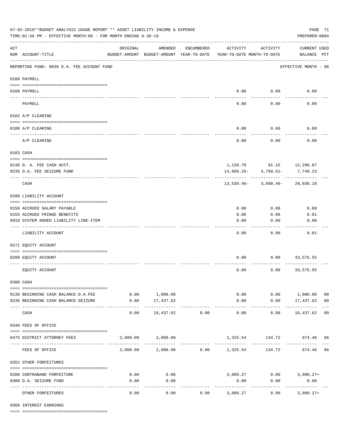| 07-02-2019**BUDGET ANALYSIS USAGE REPORT ** ASSET LIABILITY INCOME & EXPENSE<br>PAGE 71<br>TIME: 01:56 PM - EFFECTIVE MONTH: 06 - FOR MONTH ENDING 6-30-19<br>PREPARER: 0004 |                                            |                                                      |                                 |                       |                                        |                          |                                    |                |  |  |
|------------------------------------------------------------------------------------------------------------------------------------------------------------------------------|--------------------------------------------|------------------------------------------------------|---------------------------------|-----------------------|----------------------------------------|--------------------------|------------------------------------|----------------|--|--|
| $\mathop{\rm ACT}$                                                                                                                                                           | NUM ACCOUNT-TITLE                          | ORIGINAL<br>BUDGET-AMOUNT BUDGET-AMOUNT YEAR-TO-DATE | AMENDED                         | ENCUMBERED            | ACTIVITY<br>YEAR-TO-DATE MONTH-TO-DATE | ACTIVITY                 | <b>CURRENT USED</b><br>BALANCE PCT |                |  |  |
|                                                                                                                                                                              | REPORTING FUND: 0036 D.A. FEE ACCOUNT FUND |                                                      |                                 |                       |                                        |                          | EFFECTIVE MONTH - 06               |                |  |  |
|                                                                                                                                                                              | 0100 PAYROLL                               |                                                      |                                 |                       |                                        |                          |                                    |                |  |  |
| ---- ---                                                                                                                                                                     | 0100 PAYROLL                               |                                                      |                                 |                       |                                        | $0.00$ 0.00              | 0.00                               |                |  |  |
|                                                                                                                                                                              | PAYROLL                                    |                                                      |                                 |                       | 0.00                                   | 0.00                     | 0.00                               |                |  |  |
|                                                                                                                                                                              | 0102 A/P CLEARING                          |                                                      |                                 |                       |                                        |                          |                                    |                |  |  |
|                                                                                                                                                                              | 0100 A/P CLEARING                          |                                                      |                                 |                       | 0.00                                   | 0.00                     | 0.00                               |                |  |  |
|                                                                                                                                                                              | A/P CLEARING                               |                                                      |                                 |                       | 0.00                                   | 0.00                     | 0.00                               |                |  |  |
|                                                                                                                                                                              | 0103 CASH                                  |                                                      |                                 |                       |                                        |                          |                                    |                |  |  |
|                                                                                                                                                                              | 0136 D. A. FEE CASH ACCT.                  |                                                      |                                 |                       |                                        |                          | 1,128.79 81.15 12,286.87           |                |  |  |
|                                                                                                                                                                              | 0236 D.A. FEE SEIZURE FUND                 |                                                      |                                 |                       |                                        | $14,668.25 - 3,769.61 -$ | 7,749.23                           |                |  |  |
|                                                                                                                                                                              | CASH                                       |                                                      |                                 |                       |                                        |                          | $13,539.46 - 3,688.46 - 20,036.10$ |                |  |  |
|                                                                                                                                                                              | 0200 LIABILITY ACCOUNT                     |                                                      |                                 |                       |                                        |                          |                                    |                |  |  |
|                                                                                                                                                                              | 0150 ACCRUED SALARY PAYABLE                |                                                      |                                 |                       | 0.00                                   | 0.00                     | 0.00                               |                |  |  |
|                                                                                                                                                                              | 0155 ACCRUED FRINGE BENEFITS               |                                                      |                                 |                       | 0.00                                   | 0.00                     | 0.01                               |                |  |  |
|                                                                                                                                                                              | 0910 SYSTEM ADDED LIABILITY LINE-ITEM      |                                                      |                                 |                       | 0.00                                   | 0.00                     | 0.00                               |                |  |  |
|                                                                                                                                                                              | LIABILITY ACCOUNT                          |                                                      |                                 |                       | 0.00                                   | 0.00                     | 0.01                               |                |  |  |
|                                                                                                                                                                              | 0271 EQUITY ACCOUNT                        |                                                      |                                 |                       |                                        |                          |                                    |                |  |  |
|                                                                                                                                                                              | 0200 EQUITY ACCOUNT                        |                                                      |                                 |                       | 0.00                                   | 0.00                     | 33,575.55                          |                |  |  |
|                                                                                                                                                                              | EQUITY ACCOUNT                             |                                                      |                                 |                       | 0.00                                   | 0.00                     | 33,575.55                          |                |  |  |
|                                                                                                                                                                              | 0300 CASH                                  |                                                      |                                 |                       |                                        |                          |                                    |                |  |  |
|                                                                                                                                                                              | 0136 BEGINNING CASH BALANCE-D.A.FEE        |                                                      | 0.00 1,000.00                   |                       |                                        |                          | $0.00$ $0.00$ $1,000.00$           | 0 <sub>0</sub> |  |  |
|                                                                                                                                                                              | 0236 BEGINNING CASH BALANCE-SEIZURE        | 0.00                                                 | 17,437.62                       |                       | 0.00                                   |                          | $0.00$ 17,437.62 00                |                |  |  |
|                                                                                                                                                                              | CASH                                       | 0.00                                                 | -------------<br>18,437.62      | -------------<br>0.00 | -------------<br>0.00                  | -----------<br>0.00      | .<br>18,437.62 00                  |                |  |  |
|                                                                                                                                                                              | 0340 FEES OF OFFICE                        |                                                      |                                 |                       |                                        |                          |                                    |                |  |  |
|                                                                                                                                                                              | 0475 DISTRICT ATTORNEY FEES                |                                                      | 2,000.00 2,000.00               |                       |                                        |                          | 1,325.54 134.72 674.46 66          |                |  |  |
|                                                                                                                                                                              | FEES OF OFFICE                             |                                                      | 2,000.00 2,000.00 0.00 1,325.54 |                       |                                        | 134.72                   | 674.46 66                          |                |  |  |
|                                                                                                                                                                              | 0352 OTHER FORFEITURES                     |                                                      |                                 |                       |                                        |                          |                                    |                |  |  |
|                                                                                                                                                                              | 0200 CONTRABAND FORFEITURE                 | 0.00                                                 | 0.00                            |                       |                                        |                          | $3,080.27$ $0.00$ $3,080.27+$      |                |  |  |
|                                                                                                                                                                              | 0300 D.A. SEIZURE FUND                     | 0.00                                                 | 0.00                            |                       | 0.00                                   | 0.00                     | 0.00                               |                |  |  |
|                                                                                                                                                                              | OTHER FORFEITURES                          | 0.00                                                 | . <u>.</u> .<br>0.00            | 0.00                  | -----------<br>3,080.27                | 0.00                     | -----------<br>$3,080.27+$         |                |  |  |

0360 INTEREST EARNINGS

==== ===================================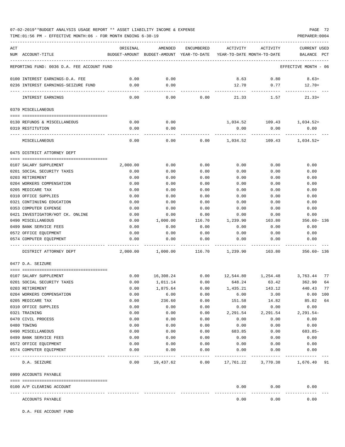TIME:01:56 PM - EFFECTIVE MONTH:06 - FOR MONTH ENDING 6-30-19 PREPARER:0004

| ACT         |                                                      | ORIGINAL     | AMENDED                                                             | ENCUMBERED          | ACTIVITY            | ACTIVITY                    | <b>CURRENT USED</b>          |
|-------------|------------------------------------------------------|--------------|---------------------------------------------------------------------|---------------------|---------------------|-----------------------------|------------------------------|
|             | NUM ACCOUNT-TITLE                                    |              | BUDGET-AMOUNT BUDGET-AMOUNT YEAR-TO-DATE YEAR-TO-DATE MONTH-TO-DATE |                     |                     |                             | BALANCE<br>PCT               |
|             | REPORTING FUND: 0036 D.A. FEE ACCOUNT FUND           |              |                                                                     |                     |                     |                             | EFFECTIVE MONTH - 06         |
|             |                                                      |              |                                                                     |                     |                     |                             |                              |
|             | 0100 INTEREST EARNINGS-D.A. FEE                      | 0.00<br>0.00 | 0.00<br>0.00                                                        |                     | 8.63<br>12.70       | 0.80                        | $8.63+$                      |
|             | 0236 INTEREST EARNINGS-SEIZURE FUND                  | -------      | -----                                                               |                     |                     | 0.77                        | $12.70+$                     |
|             | <b>INTEREST EARNINGS</b>                             | 0.00         | 0.00                                                                | 0.00                | 21.33               | 1.57                        | $21.33+$                     |
|             | 0370 MISCELLANEOUS                                   |              |                                                                     |                     |                     |                             |                              |
|             | 0130 REFUNDS & MISCELLANEOUS                         | 0.00         | 0.00                                                                |                     |                     | 1,034.52 109.43             | 1,034.52+                    |
|             | 0319 RESTITUTION                                     | 0.00         | 0.00                                                                |                     | 0.00                | 0.00                        | 0.00                         |
|             |                                                      |              |                                                                     |                     |                     |                             |                              |
|             | MISCELLANEOUS                                        | 0.00         | 0.00                                                                | 0.00                | 1,034.52            | 109.43                      | $1,034.52+$                  |
|             | 0475 DISTRICT ATTORNEY DEPT                          |              |                                                                     |                     |                     |                             |                              |
|             | 0107 SALARY SUPPLEMENT                               | 2,000.00     | 0.00                                                                | 0.00                | 0.00                | 0.00                        | 0.00                         |
|             | 0201 SOCIAL SECURITY TAXES                           | 0.00         | 0.00                                                                | 0.00                | 0.00                | 0.00                        | 0.00                         |
|             | 0203 RETIREMENT                                      | 0.00         | 0.00                                                                | 0.00                | 0.00                | 0.00                        | 0.00                         |
|             | 0204 WORKERS COMPENSATION                            | 0.00         | 0.00                                                                | 0.00                | 0.00                | 0.00                        | 0.00                         |
|             | 0205 MEDICARE TAX                                    | 0.00         | 0.00                                                                | 0.00                | 0.00                | 0.00                        | 0.00                         |
|             | 0310 OFFICE SUPPLIES                                 | 0.00         | 0.00                                                                | 0.00                | 0.00                | 0.00                        | 0.00                         |
|             | 0321 CONTINUING EDUCATION                            | 0.00         | 0.00                                                                | 0.00                | 0.00                | 0.00                        | 0.00                         |
|             | 0353 COMPUTER EXPENSE                                | 0.00         | 0.00                                                                | 0.00                | 0.00                | 0.00                        | 0.00                         |
|             | 0421 INVESTIGATOR/HOT CK. ONLINE                     | 0.00         | 0.00                                                                | 0.00                | 0.00                | 0.00                        | 0.00                         |
|             | 0490 MISCELLANEOUS                                   | 0.00         | 1,000.00                                                            | 116.70              | 1,239.90            | 163.80                      | $356.60 - 136$               |
|             | 0499 BANK SERVICE FEES                               | 0.00         | 0.00                                                                | 0.00                | 0.00                | 0.00                        | 0.00                         |
|             | 0572 OFFICE EQUIPMENT                                | 0.00         | 0.00                                                                | 0.00                | 0.00                | 0.00                        | 0.00                         |
|             | 0574 COMPUTER EQUIPMENT                              | 0.00         | 0.00                                                                | 0.00                | 0.00                | 0.00                        | 0.00                         |
|             | DISTRICT ATTORNEY DEPT                               | 2,000.00     | 1,000.00                                                            | 116.70              | 1,239.90            | 163.80                      | $356.60 - 136$               |
|             | 0477 D.A. SEIZURE                                    |              |                                                                     |                     |                     |                             |                              |
|             |                                                      |              |                                                                     |                     |                     |                             |                              |
|             | 0107 SALARY SUPPLEMENT<br>0201 SOCIAL SECURITY TAXES | 0.00         | 16,308.24                                                           | 0.00                |                     | 12,544.80 1,254.48 3,763.44 | 77                           |
|             | 0203 RETIREMENT                                      | 0.00<br>0.00 | 1,011.14<br>1,875.64                                                | 0.00<br>0.00        | 648.24<br>1,435.21  | 63.42<br>143.12             | 362.90<br>64<br>440.43<br>77 |
|             | 0204 WORKERS COMPENSATION                            | 0.00         | 6.00                                                                | 0.00                | 6.00                | 3.00                        | $0.00$ 100                   |
|             | 0205 MEDICARE TAX                                    | 0.00         | 236.60                                                              | 0.00                | 151.58              | 14.82                       | 85.02 64                     |
|             | 0310 OFFICE SUPPLIES                                 | 0.00         | 0.00                                                                | 0.00                | 0.00                | 0.00                        | 0.00                         |
|             | 0321 TRAINING                                        | 0.00         | 0.00                                                                | 0.00                | 2,291.54            | 2,291.54                    | $2,291.54-$                  |
|             | 0470 CIVIL PROCESS                                   | 0.00         | 0.00                                                                | 0.00                | 0.00                | 0.00                        | 0.00                         |
| 0480 TOWING |                                                      | 0.00         | 0.00                                                                | 0.00                | 0.00                | 0.00                        | 0.00                         |
|             | 0490 MISCELLANEOUS                                   | 0.00         | 0.00                                                                | 0.00                | 683.85              | 0.00                        | 683.85-                      |
|             | 0499 BANK SERVICE FEES                               | 0.00         | 0.00                                                                | 0.00                | 0.00                | 0.00                        | 0.00                         |
|             | 0572 OFFICE EQUIPMENT                                | 0.00         | 0.00                                                                | 0.00                | 0.00                | 0.00                        | 0.00                         |
|             | 0574 COMPUTER EQUIPMENT                              | 0.00         | 0.00                                                                | 0.00<br>----------- | 0.00<br>----------- | 0.00<br>------------        | 0.00                         |
|             | D.A. SEIZURE                                         | 0.00         | 19,437.62                                                           |                     |                     | $0.00$ 17, 761.22 3, 770.38 | 1,676.40 91                  |
|             | 0999 ACCOUNTS PAYABLE                                |              |                                                                     |                     |                     |                             |                              |
|             | 0100 A/P CLEARING ACCOUNT                            |              |                                                                     |                     | 0.00                | 0.00                        | 0.00                         |
|             | ACCOUNTS PAYABLE                                     |              |                                                                     |                     | 0.00                | 0.00                        | 0.00                         |

D.A. FEE ACCOUNT FUND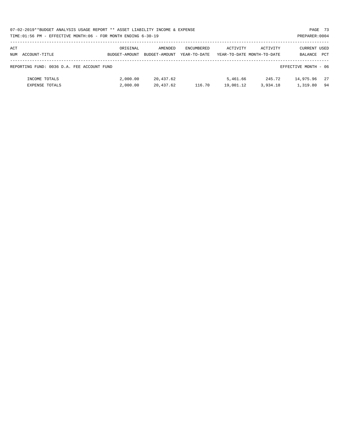|     | 07-02-2019**BUDGET ANALYSIS USAGE REPORT ** ASSET LIABILITY INCOME & EXPENSE |               |               |                   |                            |          |                      | PAGE 73 |
|-----|------------------------------------------------------------------------------|---------------|---------------|-------------------|----------------------------|----------|----------------------|---------|
|     | TIME:01:56 PM - EFFECTIVE MONTH:06 - FOR MONTH ENDING 6-30-19                |               |               |                   |                            |          | PREPARER: 0004       |         |
| ACT |                                                                              | ORIGINAL      | AMENDED       | <b>ENCUMBERED</b> | ACTIVITY                   | ACTIVITY | CURRENT USED         |         |
|     | NUM ACCOUNT-TITLE                                                            | BUDGET-AMOUNT | BUDGET-AMOUNT | YEAR-TO-DATE      | YEAR-TO-DATE MONTH-TO-DATE |          | BALANCE PCT          |         |
|     | REPORTING FUND: 0036 D.A. FEE ACCOUNT FUND                                   |               |               |                   |                            |          | EFFECTIVE MONTH - 06 |         |
|     | INCOME TOTALS                                                                | 2,000.00      | 20,437.62     |                   | 5,461.66                   | 245.72   | 14,975.96            | 27      |

EXPENSE TOTALS 2,000.00 20,437.62 116.70 19,001.12 3,934.18 1,319.80 94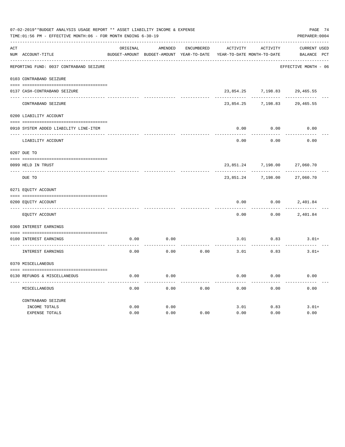|             | 07-02-2019**BUDGET ANALYSIS USAGE REPORT ** ASSET LIABILITY INCOME & EXPENSE<br>PAGE 74<br>TIME: 01:56 PM - EFFECTIVE MONTH: 06 - FOR MONTH ENDING 6-30-19<br>PREPARER: 0004 |          |                                          |                   |           |                            |                      |  |  |  |  |
|-------------|------------------------------------------------------------------------------------------------------------------------------------------------------------------------------|----------|------------------------------------------|-------------------|-----------|----------------------------|----------------------|--|--|--|--|
| ACT         |                                                                                                                                                                              | ORIGINAL | AMENDED                                  | <b>ENCUMBERED</b> | ACTIVITY  | <b>ACTIVITY</b>            | CURRENT USED         |  |  |  |  |
|             | NUM ACCOUNT-TITLE                                                                                                                                                            |          | BUDGET-AMOUNT BUDGET-AMOUNT YEAR-TO-DATE |                   |           | YEAR-TO-DATE MONTH-TO-DATE | BALANCE PCT          |  |  |  |  |
|             | REPORTING FUND: 0037 CONTRABAND SEIZURE                                                                                                                                      |          |                                          |                   |           |                            | EFFECTIVE MONTH - 06 |  |  |  |  |
|             | 0103 CONTRABAND SEIZURE                                                                                                                                                      |          |                                          |                   |           |                            |                      |  |  |  |  |
|             | 0137 CASH-CONTRABAND SEIZURE                                                                                                                                                 |          |                                          |                   | 23,854.25 | 7,198.83                   | 29,465.55            |  |  |  |  |
|             | CONTRABAND SEIZURE                                                                                                                                                           |          |                                          |                   | 23,854.25 | 7,198.83                   | 29, 465.55           |  |  |  |  |
|             | 0200 LIABILITY ACCOUNT                                                                                                                                                       |          |                                          |                   |           |                            |                      |  |  |  |  |
|             | 0910 SYSTEM ADDED LIABILITY LINE-ITEM                                                                                                                                        |          |                                          |                   | 0.00      | 0.00                       | 0.00                 |  |  |  |  |
|             |                                                                                                                                                                              |          |                                          |                   |           |                            |                      |  |  |  |  |
|             | LIABILITY ACCOUNT                                                                                                                                                            |          |                                          |                   | 0.00      | 0.00                       | 0.00                 |  |  |  |  |
|             | 0207 DUE TO                                                                                                                                                                  |          |                                          |                   |           |                            |                      |  |  |  |  |
|             | 0099 HELD IN TRUST                                                                                                                                                           |          |                                          |                   | 23,851.24 | 7,198.00                   | 27,060.70            |  |  |  |  |
| $- - - - -$ | DUE TO                                                                                                                                                                       |          |                                          |                   | 23,851.24 | 7,198.00                   | 27,060.70            |  |  |  |  |
|             | 0271 EQUITY ACCOUNT                                                                                                                                                          |          |                                          |                   |           |                            |                      |  |  |  |  |
|             | 0200 EQUITY ACCOUNT                                                                                                                                                          |          |                                          |                   | 0.00      | 0.00                       | 2,401.84             |  |  |  |  |
|             | EQUITY ACCOUNT                                                                                                                                                               |          |                                          |                   | 0.00      | 0.00                       | 2,401.84             |  |  |  |  |
|             | 0360 INTEREST EARNINGS                                                                                                                                                       |          |                                          |                   |           |                            |                      |  |  |  |  |
|             | 0100 INTEREST EARNINGS                                                                                                                                                       | 0.00     | 0.00                                     |                   | 3.01      | 0.83                       | $3.01+$              |  |  |  |  |
|             | INTEREST EARNINGS                                                                                                                                                            | 0.00     | 0.00                                     | 0.00              | 3.01      | 0.83                       | $3.01+$              |  |  |  |  |
|             | 0370 MISCELLANEOUS                                                                                                                                                           |          |                                          |                   |           |                            |                      |  |  |  |  |
|             | 0130 REFUNDS & MISCELLANEOUS                                                                                                                                                 | 0.00     | 0.00                                     |                   | 0.00      | 0.00                       | 0.00                 |  |  |  |  |
|             | MISCELLANEOUS                                                                                                                                                                | 0.00     | 0.00                                     | 0.00              | 0.00      | 0.00                       | 0.00                 |  |  |  |  |
|             | CONTRABAND SEIZURE                                                                                                                                                           |          |                                          |                   |           |                            |                      |  |  |  |  |
|             | INCOME TOTALS                                                                                                                                                                | 0.00     | 0.00                                     |                   | 3.01      | 0.83                       | $3.01+$              |  |  |  |  |
|             | EXPENSE TOTALS                                                                                                                                                               | 0.00     | 0.00                                     | 0.00              | 0.00      | 0.00                       | 0.00                 |  |  |  |  |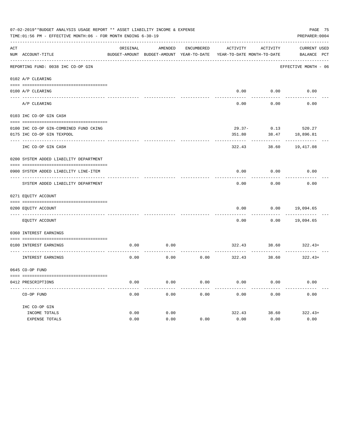|     | 07-02-2019**BUDGET ANALYSIS USAGE REPORT ** ASSET LIABILITY INCOME & EXPENSE<br>TIME: 01:56 PM - EFFECTIVE MONTH: 06 - FOR MONTH ENDING 6-30-19 |          |                                                                                |                   |           |          | PAGE 75<br>PREPARER: 0004          |  |
|-----|-------------------------------------------------------------------------------------------------------------------------------------------------|----------|--------------------------------------------------------------------------------|-------------------|-----------|----------|------------------------------------|--|
| ACT | NUM ACCOUNT-TITLE                                                                                                                               | ORIGINAL | AMENDED<br>BUDGET-AMOUNT BUDGET-AMOUNT YEAR-TO-DATE YEAR-TO-DATE MONTH-TO-DATE | <b>ENCUMBERED</b> | ACTIVITY  | ACTIVITY | <b>CURRENT USED</b><br>BALANCE PCT |  |
|     | REPORTING FUND: 0038 IHC CO-OP GIN                                                                                                              |          |                                                                                |                   |           |          | EFFECTIVE MONTH - 06               |  |
|     | 0102 A/P CLEARING                                                                                                                               |          |                                                                                |                   |           |          |                                    |  |
|     | 0100 A/P CLEARING                                                                                                                               |          |                                                                                |                   | 0.00      | 0.00     | 0.00                               |  |
|     | A/P CLEARING                                                                                                                                    |          |                                                                                |                   | 0.00      | 0.00     | 0.00                               |  |
|     | 0103 IHC CO-OP GIN CASH                                                                                                                         |          |                                                                                |                   |           |          |                                    |  |
|     | 0100 IHC CO-OP GIN-COMBINED FUND CKING                                                                                                          |          |                                                                                |                   | $29.37 -$ | 0.13     | 520.27                             |  |
|     | 0175 IHC CO-OP GIN TEXPOOL                                                                                                                      |          |                                                                                |                   | 351.80    | 38.47    | 18,896.81                          |  |
|     | IHC CO-OP GIN CASH                                                                                                                              |          |                                                                                |                   | 322.43    | 38.60    | 19,417.08                          |  |
|     | 0200 SYSTEM ADDED LIABILITY DEPARTMENT                                                                                                          |          |                                                                                |                   |           |          |                                    |  |
|     | 0900 SYSTEM ADDED LIABILITY LINE-ITEM                                                                                                           |          |                                                                                |                   | 0.00      | 0.00     | 0.00                               |  |
|     | SYSTEM ADDED LIABILITY DEPARTMENT                                                                                                               |          |                                                                                |                   | 0.00      | 0.00     | 0.00                               |  |
|     | 0271 EQUITY ACCOUNT                                                                                                                             |          |                                                                                |                   |           |          |                                    |  |
|     |                                                                                                                                                 |          |                                                                                |                   |           |          |                                    |  |
|     | 0200 EQUITY ACCOUNT<br>---- ----------------                                                                                                    |          |                                                                                |                   | 0.00      | 0.00     | 19,094.65                          |  |
|     | EQUITY ACCOUNT                                                                                                                                  |          |                                                                                |                   | 0.00      | 0.00     | 19,094.65                          |  |
|     | 0360 INTEREST EARNINGS                                                                                                                          |          |                                                                                |                   |           |          |                                    |  |
|     | 0100 INTEREST EARNINGS                                                                                                                          | 0.00     | 0.00                                                                           |                   | 322.43    | 38.60    | $322.43+$                          |  |
|     | <b>INTEREST EARNINGS</b>                                                                                                                        | 0.00     | 0.00                                                                           | 0.00              | 322.43    | 38.60    | $322.43+$                          |  |
|     | 0645 CO-OP FUND                                                                                                                                 |          |                                                                                |                   |           |          |                                    |  |
|     | 0412 PRESCRIPTIONS                                                                                                                              | 0.00     | 0.00                                                                           | 0.00              | 0.00      | 0.00     | 0.00                               |  |
|     | CO-OP FUND                                                                                                                                      | 0.00     | 0.00                                                                           | 0.00              | 0.00      | 0.00     | 0.00                               |  |
|     | IHC CO-OP GIN                                                                                                                                   |          |                                                                                |                   |           |          |                                    |  |
|     | INCOME TOTALS                                                                                                                                   | 0.00     | 0.00                                                                           |                   | 322.43    | 38.60    | $322.43+$                          |  |
|     | <b>EXPENSE TOTALS</b>                                                                                                                           | 0.00     | 0.00                                                                           | 0.00              | 0.00      | 0.00     | 0.00                               |  |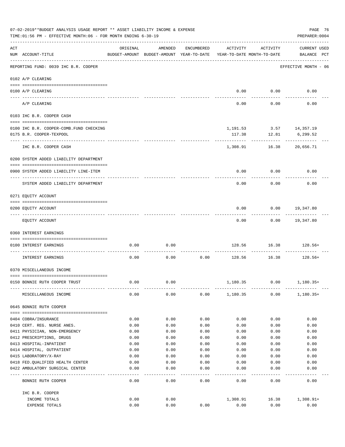|     | 07-02-2019**BUDGET ANALYSIS USAGE REPORT ** ASSET LIABILITY INCOME & EXPENSE<br>TIME: 01:56 PM - EFFECTIVE MONTH: 06 - FOR MONTH ENDING 6-30-19 |              |                                                                                |                   |              |                           | PAGE 76<br>PREPARER: 0004          |
|-----|-------------------------------------------------------------------------------------------------------------------------------------------------|--------------|--------------------------------------------------------------------------------|-------------------|--------------|---------------------------|------------------------------------|
| ACT | NUM ACCOUNT-TITLE                                                                                                                               | ORIGINAL     | AMENDED<br>BUDGET-AMOUNT BUDGET-AMOUNT YEAR-TO-DATE YEAR-TO-DATE MONTH-TO-DATE | ENCUMBERED        | ACTIVITY     | ACTIVITY                  | <b>CURRENT USED</b><br>BALANCE PCT |
|     | REPORTING FUND: 0039 IHC B.R. COOPER                                                                                                            |              |                                                                                |                   |              |                           | EFFECTIVE MONTH - 06               |
|     | 0102 A/P CLEARING                                                                                                                               |              |                                                                                |                   |              |                           |                                    |
|     | 0100 A/P CLEARING                                                                                                                               |              |                                                                                |                   |              | $0.00$ 0.00               | 0.00                               |
|     | ---- ---------<br>---------------------- ---------<br>A/P CLEARING                                                                              |              |                                                                                |                   | 0.00         | 0.00                      | 0.00                               |
|     | 0103 IHC B.R. COOPER CASH                                                                                                                       |              |                                                                                |                   |              |                           |                                    |
|     |                                                                                                                                                 |              |                                                                                |                   |              |                           |                                    |
|     | 0100 IHC B.R. COOPER-COMB.FUND CHECKING                                                                                                         |              |                                                                                |                   |              | 1, 191.53 3.57 14, 357.19 |                                    |
|     | 0175 B.R. COOPER-TEXPOOL                                                                                                                        |              |                                                                                |                   | 117.38       | 12.81                     | 6,299.52                           |
|     | IHC B.R. COOPER CASH                                                                                                                            |              |                                                                                |                   | 1,308.91     |                           | 16.38 20,656.71                    |
|     | 0200 SYSTEM ADDED LIABILITY DEPARTMENT                                                                                                          |              |                                                                                |                   |              |                           |                                    |
|     | 0900 SYSTEM ADDED LIABILITY LINE-ITEM                                                                                                           |              |                                                                                |                   | 0.00         | 0.00                      | 0.00                               |
|     | SYSTEM ADDED LIABILITY DEPARTMENT                                                                                                               |              |                                                                                |                   | 0.00         | 0.00                      | 0.00                               |
|     | 0271 EQUITY ACCOUNT                                                                                                                             |              |                                                                                |                   |              |                           |                                    |
|     |                                                                                                                                                 |              |                                                                                |                   |              |                           |                                    |
|     | 0200 EQUITY ACCOUNT                                                                                                                             |              |                                                                                |                   | 0.00         |                           | 0.00 19,347.80                     |
|     | EQUITY ACCOUNT                                                                                                                                  |              |                                                                                |                   | 0.00         |                           | $0.00$ 19,347.80                   |
|     | 0360 INTEREST EARNINGS                                                                                                                          |              |                                                                                |                   |              |                           |                                    |
|     | 0100 INTEREST EARNINGS                                                                                                                          | 0.00         | 0.00                                                                           |                   | 128.56       | 16.38                     | $128.56+$                          |
|     | INTEREST EARNINGS                                                                                                                               | 0.00         | 0.00                                                                           | 0.00              |              | 128.56 16.38              | 128.56+                            |
|     | 0370 MISCELLANEOUS INCOME                                                                                                                       |              |                                                                                |                   |              |                           |                                    |
|     |                                                                                                                                                 |              |                                                                                |                   |              |                           |                                    |
|     | 0150 BONNIE RUTH COOPER TRUST                                                                                                                   | 0.00         | 0.00                                                                           |                   | 1,180.35     | 0.00                      | $1,180.35+$                        |
|     | MISCELLANEOUS INCOME                                                                                                                            | 0.00         | 0.00                                                                           | 0.00              | 1,180.35     | 0.00                      | $1,180.35+$                        |
|     | 0645 BONNIE RUTH COOPER                                                                                                                         |              |                                                                                |                   |              |                           |                                    |
|     |                                                                                                                                                 |              |                                                                                |                   |              |                           |                                    |
|     | 0404 COBRA/INSURANCE                                                                                                                            | 0.00         | 0.00                                                                           | 0.00              | 0.00         | 0.00                      | 0.00                               |
|     | 0410 CERT. REG. NURSE ANES.<br>0411 PHYSICIAN, NON-EMERGENCY                                                                                    | 0.00<br>0.00 | 0.00<br>0.00                                                                   | 0.00<br>0.00      | 0.00         | 0.00                      | 0.00<br>0.00                       |
|     | 0412 PRESCRIPTIONS, DRUGS                                                                                                                       | 0.00         | 0.00                                                                           | 0.00              | 0.00<br>0.00 | 0.00<br>0.00              | 0.00                               |
|     | 0413 HOSPITAL-INPATIENT                                                                                                                         | 0.00         | 0.00                                                                           | 0.00              | 0.00         | 0.00                      | 0.00                               |
|     | 0414 HOSPITAL, OUTPATIENT                                                                                                                       | 0.00         | 0.00                                                                           | 0.00              | 0.00         | 0.00                      | 0.00                               |
|     | 0415 LABORATORY/X-RAY                                                                                                                           | 0.00         | 0.00                                                                           | 0.00              | 0.00         | 0.00                      | 0.00                               |
|     | 0418 FED. QUALIFIED HEALTH CENTER                                                                                                               | 0.00         | 0.00                                                                           | 0.00              | 0.00         | 0.00                      | 0.00                               |
|     | 0422 AMBULATORY SURGICAL CENTER                                                                                                                 | 0.00         | 0.00                                                                           | 0.00              | 0.00         | 0.00                      | 0.00                               |
|     | --------------------------------<br>BONNIE RUTH COOPER                                                                                          | 0.00         | $- - - -$<br>0.00                                                              | $- - - -$<br>0.00 | 0.00         | 0.00                      | 0.00                               |
|     | IHC B.R. COOPER                                                                                                                                 |              |                                                                                |                   |              |                           |                                    |
|     | INCOME TOTALS                                                                                                                                   | 0.00         | 0.00                                                                           |                   | 1,308.91     | 16.38                     | $1,308.91+$                        |
|     | EXPENSE TOTALS                                                                                                                                  | 0.00         | 0.00                                                                           | 0.00              | 0.00         | 0.00                      | 0.00                               |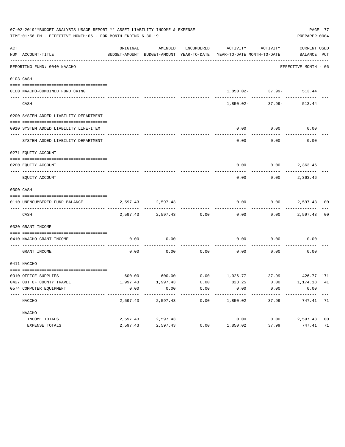|     | 07-02-2019**BUDGET ANALYSIS USAGE REPORT ** ASSET LIABILITY INCOME & EXPENSE<br>TIME: 01:56 PM - EFFECTIVE MONTH: 06 - FOR MONTH ENDING 6-30-19 |          |                   |      |                                                                                                                 |                                      | PREPARER: 0004       | PAGE 77        |
|-----|-------------------------------------------------------------------------------------------------------------------------------------------------|----------|-------------------|------|-----------------------------------------------------------------------------------------------------------------|--------------------------------------|----------------------|----------------|
| ACT | NUM ACCOUNT-TITLE                                                                                                                               | ORIGINAL | AMENDED           |      | ENCUMBERED ACTIVITY ACTIVITY<br>BUDGET-AMOUNT BUDGET-AMOUNT YEAR-TO-DATE YEAR-TO-DATE MONTH-TO-DATE BALANCE PCT |                                      | CURRENT USED         |                |
|     |                                                                                                                                                 |          |                   |      |                                                                                                                 |                                      |                      |                |
|     | REPORTING FUND: 0040 NAACHO                                                                                                                     |          |                   |      |                                                                                                                 |                                      | EFFECTIVE MONTH - 06 |                |
|     | 0103 CASH                                                                                                                                       |          |                   |      |                                                                                                                 |                                      |                      |                |
|     | 0100 NAACHO-COMBINED FUND CKING                                                                                                                 |          |                   |      |                                                                                                                 | 1,850.02- 37.99- 513.44              |                      |                |
|     | CASH                                                                                                                                            |          |                   |      |                                                                                                                 | ____________<br>$1.850.02 - 37.99 -$ | 513.44               |                |
|     | 0200 SYSTEM ADDED LIABILITY DEPARTMENT                                                                                                          |          |                   |      |                                                                                                                 |                                      |                      |                |
|     | 0910 SYSTEM ADDED LIABILITY LINE-ITEM                                                                                                           |          |                   |      | 0.00                                                                                                            | 0.00<br>.                            | 0.00                 |                |
|     | SYSTEM ADDED LIABILITY DEPARTMENT                                                                                                               |          |                   |      | 0.00                                                                                                            | 0.00                                 | 0.00                 |                |
|     | 0271 EOUITY ACCOUNT                                                                                                                             |          |                   |      |                                                                                                                 |                                      |                      |                |
|     | 0200 EQUITY ACCOUNT                                                                                                                             |          |                   |      |                                                                                                                 | $0.00$ $0.00$ $2,363.46$             |                      |                |
|     | EQUITY ACCOUNT                                                                                                                                  |          |                   |      | 0.00                                                                                                            |                                      | $0.00$ 2,363.46      |                |
|     | 0300 CASH                                                                                                                                       |          |                   |      |                                                                                                                 |                                      |                      |                |
|     | 0110 UNENCUMBERED FUND BALANCE                                                                                                                  |          | 2,597.43 2,597.43 |      | 0.00                                                                                                            |                                      | $0.00$ 2,597.43 00   |                |
|     | CASH                                                                                                                                            |          | 2,597.43 2,597.43 | 0.00 | 0.00                                                                                                            |                                      | $0.00$ 2,597.43      | 0 <sub>0</sub> |
|     | 0330 GRANT INCOME                                                                                                                               |          |                   |      |                                                                                                                 |                                      |                      |                |
|     | 0410 NAACHO GRANT INCOME                                                                                                                        | 0.00     | 0.00              |      | 0.00                                                                                                            | 0.00                                 | 0.00                 |                |
|     | GRANT INCOME                                                                                                                                    | 0.00     | 0.00              |      | $0.00$ 0.00                                                                                                     | 0.00                                 | 0.00                 |                |
|     | 0411 NACCHO                                                                                                                                     |          |                   |      |                                                                                                                 |                                      |                      |                |
|     | 0310 OFFICE SUPPLIES                                                                                                                            |          |                   |      | 600.00 600.00 600.00 0.00 1,026.77 37.99 426.77-171                                                             |                                      |                      |                |
|     | 0427 OUT OF COUNTY TRAVEL                                                                                                                       | 1,997.43 | 1,997.43          | 0.00 | 823.25                                                                                                          | 0.00                                 | 1,174.18 41          |                |
|     | 0574 COMPUTER EOUIPMENT                                                                                                                         | 0.00     | 0.00<br>--------- | 0.00 | 0.00<br>---------                                                                                               | 0.00                                 | 0.00                 |                |
|     | NACCHO                                                                                                                                          | 2,597.43 | 2,597.43          | 0.00 | 1,850.02                                                                                                        | 37.99                                | 747.41               | 71             |
|     | NAACHO                                                                                                                                          |          |                   |      |                                                                                                                 |                                      |                      |                |
|     | INCOME TOTALS                                                                                                                                   | 2,597.43 | 2,597.43          |      | 0.00                                                                                                            | 0.00                                 | 2,597.43             | 0 <sub>0</sub> |
|     | EXPENSE TOTALS                                                                                                                                  | 2,597.43 | 2,597.43          | 0.00 | 1,850.02                                                                                                        | 37.99                                | 747.41               | 71             |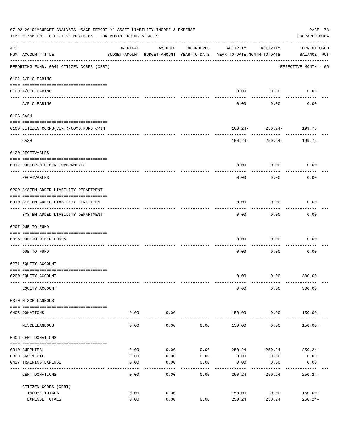|     | 07-02-2019**BUDGET ANALYSIS USAGE REPORT ** ASSET LIABILITY INCOME & EXPENSE<br>TIME:01:56 PM - EFFECTIVE MONTH:06 - FOR MONTH ENDING 6-30-19 |                                                                                 |                      |            |                  |                                            | PAGE 78<br>PREPARER: 0004                  |
|-----|-----------------------------------------------------------------------------------------------------------------------------------------------|---------------------------------------------------------------------------------|----------------------|------------|------------------|--------------------------------------------|--------------------------------------------|
| ACT | NUM ACCOUNT-TITLE                                                                                                                             | ORIGINAL<br>BUDGET-AMOUNT BUDGET-AMOUNT YEAR-TO-DATE YEAR-TO-DATE MONTH-TO-DATE | AMENDED              | ENCUMBERED | ACTIVITY         | ACTIVITY                                   | <b>CURRENT USED</b><br>BALANCE PCT         |
|     | REPORTING FUND: 0041 CITIZEN CORPS (CERT)                                                                                                     |                                                                                 |                      |            |                  |                                            | ------------------<br>EFFECTIVE MONTH - 06 |
|     | 0102 A/P CLEARING                                                                                                                             |                                                                                 |                      |            |                  |                                            |                                            |
|     | 0100 A/P CLEARING                                                                                                                             |                                                                                 |                      |            |                  | $0.00$ 0.00<br>----------                  | 0.00                                       |
|     | A/P CLEARING                                                                                                                                  |                                                                                 |                      |            | 0.00             | 0.00                                       | 0.00                                       |
|     | 0103 CASH                                                                                                                                     |                                                                                 |                      |            |                  |                                            |                                            |
|     | 0100 CITIZEN CORPS (CERT)-COMB. FUND CKIN                                                                                                     |                                                                                 |                      |            |                  | $100.24 - 250.24 - 199.76$                 |                                            |
|     | CASH                                                                                                                                          |                                                                                 |                      |            |                  | ------------<br>$100.24 - 250.24 - 199.76$ |                                            |
|     | 0120 RECEIVABLES                                                                                                                              |                                                                                 |                      |            |                  |                                            |                                            |
|     | 0312 DUE FROM OTHER GOVERNMENTS                                                                                                               |                                                                                 |                      |            | 0.00             | 0.00                                       | 0.00                                       |
|     | RECEIVABLES                                                                                                                                   |                                                                                 |                      |            | 0.00             | 0.00                                       | 0.00                                       |
|     | 0200 SYSTEM ADDED LIABILITY DEPARTMENT                                                                                                        |                                                                                 |                      |            |                  |                                            |                                            |
|     | 0910 SYSTEM ADDED LIABILITY LINE-ITEM                                                                                                         |                                                                                 |                      |            | 0.00             | 0.00                                       | 0.00                                       |
|     | SYSTEM ADDED LIABILITY DEPARTMENT                                                                                                             |                                                                                 |                      |            | 0.00             | ---------<br>0.00                          | 0.00                                       |
|     | 0207 DUE TO FUND                                                                                                                              |                                                                                 |                      |            |                  |                                            |                                            |
|     | 0095 DUE TO OTHER FUNDS                                                                                                                       |                                                                                 |                      |            | 0.00             | 0.00                                       | 0.00                                       |
|     | DUE TO FUND                                                                                                                                   |                                                                                 |                      |            | 0.00             | 0.00                                       | 0.00                                       |
|     | 0271 EQUITY ACCOUNT                                                                                                                           |                                                                                 |                      |            |                  |                                            |                                            |
|     | 0200 EQUITY ACCOUNT                                                                                                                           |                                                                                 |                      |            |                  | $0.00$ $0.00$ $300.00$                     |                                            |
|     | EQUITY ACCOUNT                                                                                                                                |                                                                                 |                      |            | 0.00             | 0.00                                       | 300.00                                     |
|     | 0370 MISCELLANEOUS                                                                                                                            |                                                                                 |                      |            |                  |                                            |                                            |
|     | 0406 DONATIONS                                                                                                                                | 0.00                                                                            | 0.00                 |            | 150.00           | 0.00                                       | 150.00+                                    |
|     | MISCELLANEOUS                                                                                                                                 | 0.00                                                                            | . <u>.</u> .<br>0.00 | 0.00       | 150.00           | -----------<br>0.00                        | $150.00+$                                  |
|     | 0406 CERT DONATIONS                                                                                                                           |                                                                                 |                      |            |                  |                                            |                                            |
|     | 0310 SUPPLIES                                                                                                                                 | 0.00                                                                            | 0.00                 | 0.00       | 250.24           | 250.24                                     | 250.24-                                    |
|     | 0330 GAS & OIL                                                                                                                                | 0.00                                                                            | 0.00                 | 0.00       | 0.00             | 0.00                                       | 0.00                                       |
|     | 0427 TRAINING EXPENSE                                                                                                                         | 0.00                                                                            | 0.00                 | 0.00       | 0.00             | 0.00                                       | 0.00                                       |
|     | CERT DONATIONS                                                                                                                                | 0.00                                                                            | 0.00                 | 0.00       | 250.24           | 250.24                                     | $250.24-$                                  |
|     | CITIZEN CORPS (CERT)                                                                                                                          |                                                                                 |                      |            |                  |                                            |                                            |
|     | INCOME TOTALS<br>EXPENSE TOTALS                                                                                                               | 0.00<br>0.00                                                                    | 0.00<br>0.00         | 0.00       | 150.00<br>250.24 | 0.00<br>250.24                             | $150.00+$<br>$250.24-$                     |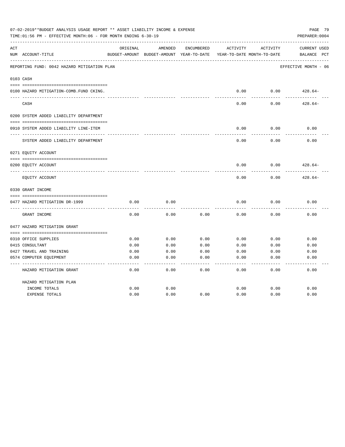|     | 07-02-2019**BUDGET ANALYSIS USAGE REPORT ** ASSET LIABILITY INCOME & EXPENSE<br>PAGE 79<br>TIME: 01:56 PM - EFFECTIVE MONTH: 06 - FOR MONTH ENDING 6-30-19<br>PREPARER: 0004 |          |                                                     |            |          |                                        |                                    |  |  |  |  |
|-----|------------------------------------------------------------------------------------------------------------------------------------------------------------------------------|----------|-----------------------------------------------------|------------|----------|----------------------------------------|------------------------------------|--|--|--|--|
| ACT | NUM ACCOUNT-TITLE                                                                                                                                                            | ORIGINAL | AMENDED<br>BUDGET-AMOUNT BUDGET-AMOUNT YEAR-TO-DATE | ENCUMBERED | ACTIVITY | ACTIVITY<br>YEAR-TO-DATE MONTH-TO-DATE | <b>CURRENT USED</b><br>BALANCE PCT |  |  |  |  |
|     | REPORTING FUND: 0042 HAZARD MITIGATION PLAN                                                                                                                                  |          |                                                     |            |          |                                        | EFFECTIVE MONTH - 06               |  |  |  |  |
|     | 0103 CASH                                                                                                                                                                    |          |                                                     |            |          |                                        |                                    |  |  |  |  |
|     | 0100 HAZARD MITIGATION-COMB.FUND CKING.                                                                                                                                      |          |                                                     |            | 0.00     | 0.00                                   | $428.64-$                          |  |  |  |  |
|     | CASH                                                                                                                                                                         |          |                                                     |            | 0.00     | 0.00                                   | $428.64-$                          |  |  |  |  |
|     | 0200 SYSTEM ADDED LIABILITY DEPARTMENT                                                                                                                                       |          |                                                     |            |          |                                        |                                    |  |  |  |  |
|     | 0910 SYSTEM ADDED LIABILITY LINE-ITEM                                                                                                                                        |          |                                                     |            | 0.00     | 0.00                                   | 0.00                               |  |  |  |  |
|     | SYSTEM ADDED LIABILITY DEPARTMENT                                                                                                                                            |          |                                                     |            | 0.00     | 0.00                                   | 0.00                               |  |  |  |  |
|     | 0271 EQUITY ACCOUNT                                                                                                                                                          |          |                                                     |            |          |                                        |                                    |  |  |  |  |
|     | 0200 EQUITY ACCOUNT                                                                                                                                                          |          |                                                     |            | 0.00     | 0.00                                   | $428.64-$                          |  |  |  |  |
|     | EQUITY ACCOUNT                                                                                                                                                               |          |                                                     |            | 0.00     | 0.00                                   | $428.64-$                          |  |  |  |  |
|     | 0330 GRANT INCOME                                                                                                                                                            |          |                                                     |            |          |                                        |                                    |  |  |  |  |
|     | 0477 HAZARD MITIGATION DR-1999                                                                                                                                               | 0.00     | 0.00                                                |            | 0.00     | 0.00                                   | 0.00                               |  |  |  |  |
|     | GRANT INCOME                                                                                                                                                                 | 0.00     | 0.00                                                | 0.00       | 0.00     | 0.00                                   | 0.00                               |  |  |  |  |
|     | 0477 HAZARD MITIGATION GRANT                                                                                                                                                 |          |                                                     |            |          |                                        |                                    |  |  |  |  |
|     |                                                                                                                                                                              |          |                                                     |            |          |                                        |                                    |  |  |  |  |
|     | 0310 OFFICE SUPPLIES                                                                                                                                                         | 0.00     | 0.00                                                | 0.00       | 0.00     | 0.00                                   | 0.00                               |  |  |  |  |
|     | 0415 CONSULTANT                                                                                                                                                              | 0.00     | 0.00                                                | 0.00       | 0.00     | 0.00                                   | 0.00                               |  |  |  |  |
|     | 0427 TRAVEL AND TRAINING                                                                                                                                                     | 0.00     | 0.00                                                | 0.00       | 0.00     | 0.00                                   | 0.00                               |  |  |  |  |
|     | 0574 COMPUTER EQUIPMENT                                                                                                                                                      | 0.00     | 0.00                                                | 0.00       | 0.00     | 0.00                                   | 0.00                               |  |  |  |  |
|     | HAZARD MITIGATION GRANT                                                                                                                                                      | 0.00     | 0.00                                                | 0.00       | 0.00     | 0.00                                   | 0.00                               |  |  |  |  |
|     | HAZARD MITIGATION PLAN                                                                                                                                                       |          |                                                     |            |          |                                        |                                    |  |  |  |  |
|     | INCOME TOTALS                                                                                                                                                                | 0.00     | 0.00                                                |            | 0.00     | 0.00                                   | 0.00                               |  |  |  |  |
|     | <b>EXPENSE TOTALS</b>                                                                                                                                                        | 0.00     | 0.00                                                | 0.00       | 0.00     | 0.00                                   | 0.00                               |  |  |  |  |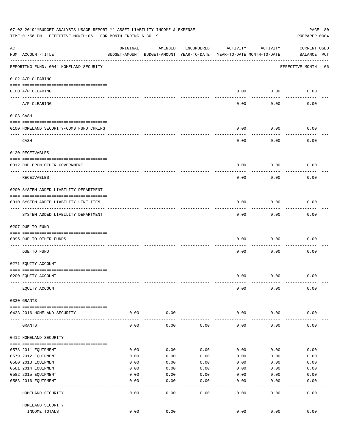|     | 07-02-2019**BUDGET ANALYSIS USAGE REPORT ** ASSET LIABILITY INCOME & EXPENSE<br>PAGE 80<br>TIME: 01:56 PM - EFFECTIVE MONTH: 06 - FOR MONTH ENDING 6-30-19<br>PREPARER: 0004 |                     |                                                     |                 |                                        |           |                                    |  |  |  |  |
|-----|------------------------------------------------------------------------------------------------------------------------------------------------------------------------------|---------------------|-----------------------------------------------------|-----------------|----------------------------------------|-----------|------------------------------------|--|--|--|--|
| ACT | NUM ACCOUNT-TITLE                                                                                                                                                            | ORIGINAL            | AMENDED<br>BUDGET-AMOUNT BUDGET-AMOUNT YEAR-TO-DATE | ENCUMBERED      | ACTIVITY<br>YEAR-TO-DATE MONTH-TO-DATE | ACTIVITY  | <b>CURRENT USED</b><br>BALANCE PCT |  |  |  |  |
|     | REPORTING FUND: 0044 HOMELAND SECURITY                                                                                                                                       |                     |                                                     |                 |                                        |           | EFFECTIVE MONTH - 06               |  |  |  |  |
|     | 0102 A/P CLEARING                                                                                                                                                            |                     |                                                     |                 |                                        |           |                                    |  |  |  |  |
|     | 0100 A/P CLEARING<br>---- ----------                                                                                                                                         |                     |                                                     |                 | 0.00                                   | 0.00      | 0.00                               |  |  |  |  |
|     | A/P CLEARING                                                                                                                                                                 |                     |                                                     |                 | 0.00                                   | 0.00      | 0.00                               |  |  |  |  |
|     | 0103 CASH                                                                                                                                                                    |                     |                                                     |                 |                                        |           |                                    |  |  |  |  |
|     | 0100 HOMELAND SECURITY-COMB.FUND CHKING                                                                                                                                      |                     |                                                     |                 | 0.00                                   | 0.00      | 0.00                               |  |  |  |  |
|     | CASH                                                                                                                                                                         |                     |                                                     |                 | 0.00                                   | 0.00      | 0.00                               |  |  |  |  |
|     | 0120 RECEIVABLES                                                                                                                                                             |                     |                                                     |                 |                                        |           |                                    |  |  |  |  |
|     |                                                                                                                                                                              |                     |                                                     |                 |                                        |           |                                    |  |  |  |  |
|     | 0312 DUE FROM OTHER GOVERNMENT                                                                                                                                               |                     |                                                     |                 | 0.00                                   | 0.00      | 0.00                               |  |  |  |  |
|     | RECEIVABLES                                                                                                                                                                  |                     |                                                     |                 | 0.00                                   | 0.00      | 0.00                               |  |  |  |  |
|     | 0200 SYSTEM ADDED LIABILITY DEPARTMENT                                                                                                                                       |                     |                                                     |                 |                                        |           |                                    |  |  |  |  |
|     | 0910 SYSTEM ADDED LIABILITY LINE-ITEM                                                                                                                                        |                     |                                                     |                 | 0.00                                   | 0.00      | 0.00                               |  |  |  |  |
|     | SYSTEM ADDED LIABILITY DEPARTMENT                                                                                                                                            |                     |                                                     |                 | 0.00                                   | 0.00      | 0.00                               |  |  |  |  |
|     | 0207 DUE TO FUND                                                                                                                                                             |                     |                                                     |                 |                                        |           |                                    |  |  |  |  |
|     | 0095 DUE TO OTHER FUNDS                                                                                                                                                      |                     |                                                     |                 | 0.00                                   | 0.00      | 0.00                               |  |  |  |  |
|     | DUE TO FUND                                                                                                                                                                  |                     |                                                     |                 | 0.00                                   | 0.00      | 0.00                               |  |  |  |  |
|     | 0271 EQUITY ACCOUNT                                                                                                                                                          |                     |                                                     |                 |                                        |           |                                    |  |  |  |  |
|     | 0200 EQUITY ACCOUNT                                                                                                                                                          |                     |                                                     |                 | 0.00                                   | 0.00      | 0.00                               |  |  |  |  |
|     | EQUITY ACCOUNT                                                                                                                                                               |                     |                                                     |                 |                                        |           |                                    |  |  |  |  |
|     | 0330 GRANTS                                                                                                                                                                  |                     |                                                     |                 | 0.00                                   | 0.00      | 0.00                               |  |  |  |  |
|     |                                                                                                                                                                              |                     |                                                     |                 |                                        |           |                                    |  |  |  |  |
|     | 0423 2016 HOMELAND SECURITY                                                                                                                                                  | 0.00                | 0.00                                                |                 | 0.00                                   | 0.00      | 0.00                               |  |  |  |  |
|     | GRANTS                                                                                                                                                                       | $- - - - -$<br>0.00 | 0.00                                                | 0.00            | 0.00                                   | 0.00      | 0.00                               |  |  |  |  |
|     | 0412 HOMELAND SECURITY                                                                                                                                                       |                     |                                                     |                 |                                        |           |                                    |  |  |  |  |
|     | 0578 2011 EQUIPMENT                                                                                                                                                          | 0.00                | 0.00                                                | 0.00            | 0.00                                   | 0.00      | 0.00                               |  |  |  |  |
|     | 0579 2012 EQUIPMENT                                                                                                                                                          | 0.00                | 0.00                                                | 0.00            | 0.00                                   | 0.00      | 0.00                               |  |  |  |  |
|     | 0580 2013 EQUIPMENT                                                                                                                                                          | 0.00                | 0.00                                                | 0.00            | 0.00                                   | 0.00      | 0.00                               |  |  |  |  |
|     | 0581 2014 EQUIPMENT                                                                                                                                                          | 0.00                | 0.00                                                | 0.00            | 0.00                                   | 0.00      | 0.00                               |  |  |  |  |
|     | 0582 2015 EQUIPMENT                                                                                                                                                          | 0.00                | 0.00                                                | 0.00            | 0.00                                   | 0.00      | 0.00                               |  |  |  |  |
|     | 0583 2016 EQUIPMENT                                                                                                                                                          | 0.00                | 0.00                                                | 0.00            | 0.00                                   | 0.00      | 0.00                               |  |  |  |  |
|     | HOMELAND SECURITY                                                                                                                                                            | 0.00                | ----<br>0.00                                        | - - - -<br>0.00 | $--- - - -$<br>0.00                    | .<br>0.00 | -----<br>0.00                      |  |  |  |  |
|     | HOMELAND SECURITY                                                                                                                                                            |                     |                                                     |                 |                                        |           |                                    |  |  |  |  |
|     | INCOME TOTALS                                                                                                                                                                | 0.00                | 0.00                                                |                 | 0.00                                   | 0.00      | 0.00                               |  |  |  |  |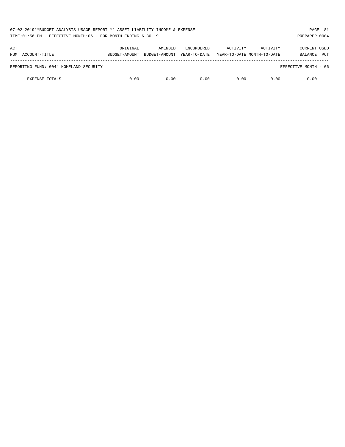| 07-02-2019**BUDGET ANALYSIS USAGE REPORT ** ASSET LIABILITY INCOME & EXPENSE<br>TIME:01:56 PM - EFFECTIVE MONTH:06 - FOR MONTH ENDING 6-30-19 |          |                                        |                                   |                                        |          | PAGE 81<br>PREPARER: 0004                    |
|-----------------------------------------------------------------------------------------------------------------------------------------------|----------|----------------------------------------|-----------------------------------|----------------------------------------|----------|----------------------------------------------|
| ACT<br>NUM ACCOUNT-TITLE                                                                                                                      | ORIGINAL | AMENDED<br>BUDGET-AMOUNT BUDGET-AMOUNT | <b>ENCUMBERED</b><br>YEAR-TO-DATE | ACTIVITY<br>YEAR-TO-DATE MONTH-TO-DATE | ACTIVITY | <b>CURRENT USED</b><br><b>PCT</b><br>BALANCE |
| REPORTING FUND: 0044 HOMELAND SECURITY                                                                                                        |          |                                        |                                   |                                        |          | EFFECTIVE MONTH - 06                         |
| <b>EXPENSE TOTALS</b>                                                                                                                         | 0.00     | 0.00                                   | 0.00                              | 0.00                                   | 0.00     | 0.00                                         |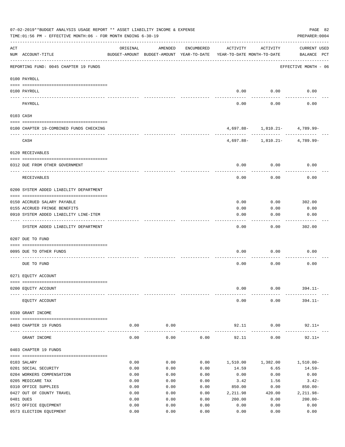|     | 07-02-2019**BUDGET ANALYSIS USAGE REPORT ** ASSET LIABILITY INCOME & EXPENSE<br>TIME:01:56 PM - EFFECTIVE MONTH:06 - FOR MONTH ENDING 6-30-19 |              |                                                     |              |                                        |                                    | PAGE 82<br>PREPARER: 0004   |
|-----|-----------------------------------------------------------------------------------------------------------------------------------------------|--------------|-----------------------------------------------------|--------------|----------------------------------------|------------------------------------|-----------------------------|
| ACT | NUM ACCOUNT-TITLE                                                                                                                             | ORIGINAL     | AMENDED<br>BUDGET-AMOUNT BUDGET-AMOUNT YEAR-TO-DATE | ENCUMBERED   | ACTIVITY<br>YEAR-TO-DATE MONTH-TO-DATE | ACTIVITY                           | CURRENT USED<br>BALANCE PCT |
|     | REPORTING FUND: 0045 CHAPTER 19 FUNDS                                                                                                         |              |                                                     |              |                                        |                                    | EFFECTIVE MONTH - 06        |
|     | 0100 PAYROLL                                                                                                                                  |              |                                                     |              |                                        |                                    |                             |
|     | 0100 PAYROLL                                                                                                                                  |              |                                                     |              | 0.00                                   | 0.00                               | 0.00                        |
|     | ---- -------<br>PAYROLL                                                                                                                       |              |                                                     |              | 0.00                                   | 0.00                               | 0.00                        |
|     | 0103 CASH                                                                                                                                     |              |                                                     |              |                                        |                                    |                             |
|     | 0100 CHAPTER 19-COMBINED FUNDS CHECKING                                                                                                       |              |                                                     |              |                                        | $4,697.88 - 1,810.21 - 4,789.99 -$ |                             |
|     | CASH                                                                                                                                          |              |                                                     |              |                                        | $4,697.88 - 1,810.21 - 4,789.99 -$ |                             |
|     | 0120 RECEIVABLES                                                                                                                              |              |                                                     |              |                                        |                                    |                             |
|     | 0312 DUE FROM OTHER GOVERNMENT                                                                                                                |              |                                                     |              | 0.00                                   | 0.00                               | 0.00                        |
|     | RECEIVABLES                                                                                                                                   |              |                                                     |              | 0.00                                   | 0.00                               | 0.00                        |
|     | 0200 SYSTEM ADDED LIABILITY DEPARTMENT                                                                                                        |              |                                                     |              |                                        |                                    |                             |
|     | 0150 ACCRUED SALARY PAYABLE                                                                                                                   |              |                                                     |              | 0.00                                   | 0.00                               | 302.00                      |
|     | 0155 ACCRUED FRINGE BENEFITS                                                                                                                  |              |                                                     |              | 0.00                                   | 0.00                               | 0.00                        |
|     | 0910 SYSTEM ADDED LIABILITY LINE-ITEM                                                                                                         |              |                                                     |              | 0.00                                   | 0.00                               | 0.00                        |
|     | SYSTEM ADDED LIABILITY DEPARTMENT                                                                                                             |              |                                                     |              | 0.00                                   | 0.00                               | 302.00                      |
|     | 0207 DUE TO FUND                                                                                                                              |              |                                                     |              |                                        |                                    |                             |
|     | 0095 DUE TO OTHER FUNDS                                                                                                                       |              |                                                     |              | 0.00                                   | 0.00                               | 0.00                        |
|     | DUE TO FUND                                                                                                                                   |              |                                                     |              | 0.00                                   | 0.00                               | 0.00                        |
|     | 0271 EQUITY ACCOUNT                                                                                                                           |              |                                                     |              |                                        |                                    |                             |
|     |                                                                                                                                               |              |                                                     |              |                                        |                                    |                             |
|     | 0200 EQUITY ACCOUNT                                                                                                                           |              |                                                     |              | 0.00                                   | 0.00                               | $394.11 -$                  |
|     | EQUITY ACCOUNT                                                                                                                                |              |                                                     |              | 0.00                                   | 0.00                               | $394.11-$                   |
|     | 0330 GRANT INCOME                                                                                                                             |              |                                                     |              |                                        |                                    |                             |
|     | 0403 CHAPTER 19 FUNDS                                                                                                                         | 0.00         | 0.00                                                |              | 92.11                                  | 0.00                               | $92.11+$                    |
|     | GRANT INCOME                                                                                                                                  | 0.00         | $- - - -$<br>0.00                                   | 0.00         | 92.11                                  | 0.00                               | $92.11+$                    |
|     | 0403 CHAPTER 19 FUNDS                                                                                                                         |              |                                                     |              |                                        |                                    |                             |
|     | 0103 SALARY                                                                                                                                   | 0.00         | 0.00                                                | 0.00         |                                        | 1,510.00    1,382.00    1,510.00-  |                             |
|     | 0201 SOCIAL SECURITY                                                                                                                          | 0.00         | 0.00                                                | 0.00         | 14.59                                  | 6.65                               | $14.59-$                    |
|     | 0204 WORKERS COMPENSATION                                                                                                                     | 0.00         | 0.00                                                | 0.00         | 0.00                                   | 0.00                               | 0.00                        |
|     | 0205 MEDICARE TAX                                                                                                                             | 0.00         | 0.00                                                | 0.00         | 3.42                                   | 1.56                               | $3.42-$                     |
|     | 0310 OFFICE SUPPLIES                                                                                                                          | 0.00         | 0.00                                                | 0.00         | 850.00                                 | 0.00                               | $850.00 -$                  |
|     | 0427 OUT OF COUNTY TRAVEL                                                                                                                     | 0.00         | 0.00                                                | 0.00         | 2,211.98                               | 420.00                             | $2,211.98-$                 |
|     | 0481 DUES                                                                                                                                     | 0.00         | 0.00                                                | 0.00         | 200.00                                 | 0.00                               | $200.00 -$                  |
|     | 0572 OFFICE EQUIPMENT<br>0573 ELECTION EQUIPMENT                                                                                              | 0.00<br>0.00 | 0.00<br>0.00                                        | 0.00<br>0.00 | 0.00<br>0.00                           | 0.00<br>0.00                       | 0.00<br>0.00                |
|     |                                                                                                                                               |              |                                                     |              |                                        |                                    |                             |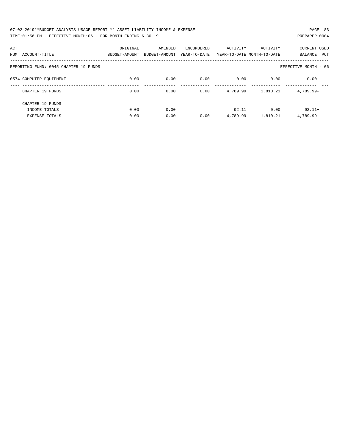| 07-02-2019**BUDGET ANALYSIS USAGE REPORT ** ASSET LIABILITY INCOME & EXPENSE | PAGE 83        |
|------------------------------------------------------------------------------|----------------|
| TIME:01:56 PM - EFFECTIVE MONTH:06 - FOR MONTH ENDING 6-30-19                | PREPARER: 0004 |

| ACT                                   | ORIGINAL      | AMENDED       | <b>ENCUMBERED</b> | ACTIVITY | ACTIVITY                   | <b>CURRENT USED</b>   |
|---------------------------------------|---------------|---------------|-------------------|----------|----------------------------|-----------------------|
| ACCOUNT-TITLE<br>NUM                  | BUDGET-AMOUNT | BUDGET-AMOUNT | YEAR-TO-DATE      |          | YEAR-TO-DATE MONTH-TO-DATE | BALANCE<br><b>PCT</b> |
|                                       |               |               |                   |          |                            |                       |
| REPORTING FUND: 0045 CHAPTER 19 FUNDS |               |               |                   |          |                            | EFFECTIVE MONTH - 06  |
|                                       |               |               |                   |          |                            |                       |
| 0574 COMPUTER EQUIPMENT               | 0.00          | 0.00          | 0.00              | 0.00     | 0.00                       | 0.00                  |
| CHAPTER 19 FUNDS                      | 0.00          | 0.00          | 0.00              | 4,789.99 | 1,810.21                   | $4.789.99 -$          |
|                                       |               |               |                   |          |                            |                       |
| CHAPTER 19 FUNDS                      |               |               |                   |          |                            |                       |
| INCOME TOTALS                         | 0.00          | 0.00          |                   | 92.11    | 0.00                       | $92.11+$              |
| <b>EXPENSE TOTALS</b>                 | 0.00          | 0.00          | 0.00              | 4,789.99 | 1,810.21                   | 4,789.99-             |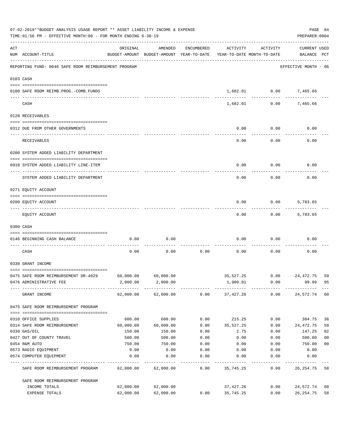| 07-02-2019**BUDGET ANALYSIS USAGE REPORT ** ASSET LIABILITY INCOME & EXPENSE<br>TIME: 01:56 PM - EFFECTIVE MONTH: 06 - FOR MONTH ENDING 6-30-19 |                                                                  |           |                                                                                |            |           |                |                                    |                |
|-------------------------------------------------------------------------------------------------------------------------------------------------|------------------------------------------------------------------|-----------|--------------------------------------------------------------------------------|------------|-----------|----------------|------------------------------------|----------------|
| ACT                                                                                                                                             | NUM ACCOUNT-TITLE                                                | ORIGINAL  | AMENDED<br>BUDGET-AMOUNT BUDGET-AMOUNT YEAR-TO-DATE YEAR-TO-DATE MONTH-TO-DATE | ENCUMBERED | ACTIVITY  | ACTIVITY       | <b>CURRENT USED</b><br>BALANCE PCT |                |
|                                                                                                                                                 | REPORTING FUND: 0046 SAFE ROOM REIMBURSEMENT PROGRAM             |           |                                                                                |            |           |                | EFFECTIVE MONTH - 06               |                |
| 0103 CASH                                                                                                                                       |                                                                  |           |                                                                                |            |           |                |                                    |                |
|                                                                                                                                                 | 0100 SAFE ROOM REIMB.PROG.-COMB.FUNDS                            |           |                                                                                |            |           | 1,682.01 0.00  | 7,465.66                           |                |
|                                                                                                                                                 | CASH                                                             |           |                                                                                |            | 1,682.01  | 0.00           | 7,465.66                           |                |
|                                                                                                                                                 | 0120 RECEIVABLES                                                 |           |                                                                                |            |           |                |                                    |                |
|                                                                                                                                                 | 0312 DUE FROM OTHER GOVERNMENTS                                  |           |                                                                                |            | 0.00      | 0.00           | 0.00                               |                |
|                                                                                                                                                 | RECEIVABLES                                                      |           |                                                                                |            | 0.00      | 0.00           | 0.00                               |                |
|                                                                                                                                                 | 0200 SYSTEM ADDED LIABILITY DEPARTMENT                           |           |                                                                                |            |           |                |                                    |                |
|                                                                                                                                                 | 0910 SYSTEM ADDED LIABILITY LINE-ITEM                            |           |                                                                                |            | 0.00      | 0.00           | 0.00                               |                |
|                                                                                                                                                 | SYSTEM ADDED LIABILITY DEPARTMENT                                |           |                                                                                |            | 0.00      | 0.00           | 0.00                               |                |
|                                                                                                                                                 | 0271 EQUITY ACCOUNT                                              |           |                                                                                |            |           |                |                                    |                |
|                                                                                                                                                 |                                                                  |           |                                                                                |            |           |                |                                    |                |
|                                                                                                                                                 | 0200 EQUITY ACCOUNT                                              |           |                                                                                |            | 0.00      | 0.00           | 5,783.65                           |                |
|                                                                                                                                                 | EQUITY ACCOUNT                                                   |           |                                                                                |            | 0.00      | 0.00           | 5,783.65                           |                |
| 0300 CASH                                                                                                                                       |                                                                  |           |                                                                                |            |           |                |                                    |                |
|                                                                                                                                                 | 0146 BEGINNING CASH BALANCE<br>--------------------------------- | 0.00      | 0.00                                                                           |            | 0.00      | 0.00           | 0.00                               |                |
|                                                                                                                                                 | CASH                                                             | 0.00      | 0.00                                                                           | 0.00       | 0.00      | 0.00           | 0.00                               |                |
|                                                                                                                                                 | 0330 GRANT INCOME                                                |           |                                                                                |            |           |                |                                    |                |
|                                                                                                                                                 | 0475 SAFE ROOM REIMBURSEMENT DR-4029                             | 60,000.00 | 60,000.00                                                                      |            |           | 35,527.25 0.00 | 24,472.75                          | 59             |
|                                                                                                                                                 | 0476 ADMINISTRATIVE FEE                                          | 2,000.00  | 2,000.00                                                                       |            | 1,900.01  | 0.00           | 99.99                              | 95             |
|                                                                                                                                                 | GRANT INCOME                                                     |           | 62,000.00 62,000.00                                                            | 0.00       | 37,427.26 | 0.00           | 24,572.74                          | 60             |
|                                                                                                                                                 | 0475 SAFE ROOM REIMBURSEMENT PROGRAM                             |           |                                                                                |            |           |                |                                    |                |
|                                                                                                                                                 | 0310 OFFICE SUPPLIES                                             | 600.00    | 600.00                                                                         | 0.00       | 215.25    | 0.00           | 384.75                             | 36             |
|                                                                                                                                                 | 0314 SAFE ROOM REIMBURSEMENT                                     | 60,000.00 | 60,000.00                                                                      | 0.00       | 35,527.25 | 0.00           | 24,472.75                          | 59             |
|                                                                                                                                                 | 0330 GAS/OIL                                                     | 150.00    | 150.00                                                                         | 0.00       | 2.75      | 0.00           | 147.25                             | 02             |
|                                                                                                                                                 | 0427 OUT OF COUNTY TRAVEL                                        | 500.00    | 500.00                                                                         | 0.00       | 0.00      | 0.00           | 500.00                             | 0 <sub>0</sub> |
|                                                                                                                                                 | 0454 R&M AUTO                                                    | 750.00    | 750.00                                                                         | 0.00       | 0.00      | 0.00           | 750.00                             | 0 <sub>0</sub> |
|                                                                                                                                                 | 0573 RADIO EQUIPMENT                                             | 0.00      | 0.00                                                                           | 0.00       | 0.00      | 0.00           | 0.00                               |                |
|                                                                                                                                                 | 0574 COMPUTER EQUIPMENT                                          | 0.00      | 0.00                                                                           | 0.00       | 0.00      | 0.00           | 0.00                               |                |
|                                                                                                                                                 | SAFE ROOM REIMBURSEMENT PROGRAM                                  | 62,000.00 | 62,000.00                                                                      | 0.00       | 35,745.25 | 0.00           | 26, 254.75                         | 58             |
|                                                                                                                                                 | SAFE ROOM REIMBURSEMENT PROGRAM                                  |           |                                                                                |            |           |                |                                    |                |
|                                                                                                                                                 | INCOME TOTALS                                                    | 62,000.00 | 62,000.00                                                                      |            | 37,427.26 | 0.00           | 24,572.74                          | 60             |
|                                                                                                                                                 | EXPENSE TOTALS                                                   | 62,000.00 | 62,000.00                                                                      | 0.00       | 35,745.25 | 0.00           | 26, 254.75                         | 58             |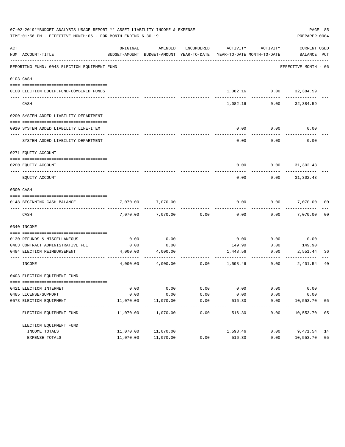|     | 07-02-2019**BUDGET ANALYSIS USAGE REPORT ** ASSET LIABILITY INCOME & EXPENSE<br>TIME: 01:56 PM - EFFECTIVE MONTH: 06 - FOR MONTH ENDING 6-30-19 |           |                                                     |                    |                                        |                             | PAGE 85<br>PREPARER: 0004          |                |
|-----|-------------------------------------------------------------------------------------------------------------------------------------------------|-----------|-----------------------------------------------------|--------------------|----------------------------------------|-----------------------------|------------------------------------|----------------|
| ACT | NUM ACCOUNT-TITLE                                                                                                                               | ORIGINAL  | AMENDED<br>BUDGET-AMOUNT BUDGET-AMOUNT YEAR-TO-DATE | ENCUMBERED         | ACTIVITY<br>YEAR-TO-DATE MONTH-TO-DATE | ACTIVITY                    | <b>CURRENT USED</b><br>BALANCE PCT |                |
|     | REPORTING FUND: 0048 ELECTION EQUIPMENT FUND                                                                                                    |           |                                                     |                    |                                        |                             | EFFECTIVE MONTH - 06               |                |
|     | 0103 CASH                                                                                                                                       |           |                                                     |                    |                                        |                             |                                    |                |
|     | 0100 ELECTION EQUIP.FUND-COMBINED FUNDS                                                                                                         |           |                                                     |                    |                                        | 1,082.16   0.00   32,384.59 |                                    |                |
|     | CASH                                                                                                                                            |           |                                                     |                    | 1,082.16                               | 0.00                        | 32,384.59                          |                |
|     | 0200 SYSTEM ADDED LIABILITY DEPARTMENT                                                                                                          |           |                                                     |                    |                                        |                             |                                    |                |
|     | 0910 SYSTEM ADDED LIABILITY LINE-ITEM                                                                                                           |           |                                                     |                    | 0.00                                   | 0.00                        | 0.00                               |                |
|     | SYSTEM ADDED LIABILITY DEPARTMENT                                                                                                               |           |                                                     |                    | 0.00                                   | 0.00                        | 0.00                               |                |
|     | 0271 EQUITY ACCOUNT                                                                                                                             |           |                                                     |                    |                                        |                             |                                    |                |
|     | 0200 EQUITY ACCOUNT                                                                                                                             |           |                                                     |                    | 0.00                                   |                             | $0.00$ $31,302.43$                 |                |
|     |                                                                                                                                                 |           |                                                     |                    |                                        |                             |                                    |                |
|     | EQUITY ACCOUNT                                                                                                                                  |           |                                                     |                    | 0.00                                   | 0.00                        | 31,302.43                          |                |
|     | 0300 CASH                                                                                                                                       |           |                                                     |                    |                                        |                             |                                    |                |
|     | 0148 BEGINNING CASH BALANCE                                                                                                                     | 7,070.00  | 7,070.00                                            |                    | 0.00                                   | 0.00                        | 7,070.00                           | 00             |
|     | CASH                                                                                                                                            | 7,070.00  | 7,070.00                                            | 0.00               | 0.00                                   | 0.00                        | 7,070.00                           | 0 <sub>0</sub> |
|     | 0340 INCOME                                                                                                                                     |           |                                                     |                    |                                        |                             |                                    |                |
|     | 0130 REFUNDS & MISCELLANEOUS                                                                                                                    | 0.00      | 0.00                                                |                    | 0.00                                   | 0.00                        | 0.00                               |                |
|     | 0403 CONTRACT ADMINISTRATIVE FEE                                                                                                                | 0.00      | 0.00                                                |                    | 149.90                                 | 0.00                        | $149.90+$                          |                |
|     | 0484 ELECTION REIMBURSEMENT                                                                                                                     | 4,000.00  | 4,000.00                                            |                    | 1,448.56                               | 0.00                        | 2,551.44                           | 36             |
|     | INCOME                                                                                                                                          | 4,000.00  | 4,000.00                                            | 0.00               | 1,598.46                               | 0.00                        | 2,401.54                           | 40             |
|     | 0403 ELECTION EQUIPMENT FUND                                                                                                                    |           |                                                     |                    |                                        |                             |                                    |                |
|     | 0421 ELECTION INTERNET                                                                                                                          | 0.00      | 0.00                                                | 0.00               | 0.00                                   | 0.00                        | 0.00                               |                |
|     | 0485 LICENSE/SUPPORT                                                                                                                            | 0.00      | 0.00                                                | 0.00               | 0.00                                   | 0.00                        | 0.00                               |                |
|     | 0573 ELECTION EQUIPMENT                                                                                                                         | 11,070.00 | 11,070.00<br>-------------                          | 0.00<br>---------- | 516.30<br>-------                      | 0.00<br>---------           | 10,553.70<br>-------               | 05             |
|     | ELECTION EQUIPMENT FUND                                                                                                                         | 11,070.00 | 11,070.00                                           | 0.00               | 516.30                                 | 0.00                        | 10,553.70 05                       |                |
|     | ELECTION EOUIPMENT FUND                                                                                                                         |           |                                                     |                    |                                        |                             |                                    |                |
|     | INCOME TOTALS                                                                                                                                   | 11,070.00 | 11,070.00                                           |                    | 1,598.46                               | 0.00                        | 9,471.54 14                        |                |
|     | EXPENSE TOTALS                                                                                                                                  | 11,070.00 | 11,070.00                                           | 0.00               | 516.30                                 | 0.00                        | 10,553.70                          | 05             |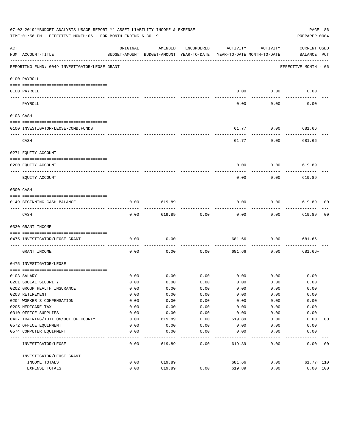|                                                                                                                                                                                                                                                                                                                                                                                                                                                                            | 07-02-2019**BUDGET ANALYSIS USAGE REPORT ** ASSET LIABILITY INCOME & EXPENSE<br>TIME:01:56 PM - EFFECTIVE MONTH:06 - FOR MONTH ENDING 6-30-19 |              |                                                     |              |                                        |                     | PAGE 86<br>PREPARER: 0004          |    |
|----------------------------------------------------------------------------------------------------------------------------------------------------------------------------------------------------------------------------------------------------------------------------------------------------------------------------------------------------------------------------------------------------------------------------------------------------------------------------|-----------------------------------------------------------------------------------------------------------------------------------------------|--------------|-----------------------------------------------------|--------------|----------------------------------------|---------------------|------------------------------------|----|
| ACT                                                                                                                                                                                                                                                                                                                                                                                                                                                                        | NUM ACCOUNT-TITLE                                                                                                                             | ORIGINAL     | AMENDED<br>BUDGET-AMOUNT BUDGET-AMOUNT YEAR-TO-DATE | ENCUMBERED   | ACTIVITY<br>YEAR-TO-DATE MONTH-TO-DATE | ACTIVITY            | <b>CURRENT USED</b><br>BALANCE PCT |    |
|                                                                                                                                                                                                                                                                                                                                                                                                                                                                            | REPORTING FUND: 0049 INVESTIGATOR/LEOSE GRANT                                                                                                 |              |                                                     |              |                                        |                     | EFFECTIVE MONTH - 06               |    |
|                                                                                                                                                                                                                                                                                                                                                                                                                                                                            | 0100 PAYROLL                                                                                                                                  |              |                                                     |              |                                        |                     |                                    |    |
|                                                                                                                                                                                                                                                                                                                                                                                                                                                                            | 0100 PAYROLL                                                                                                                                  |              |                                                     |              | 0.00                                   | 0.00                | 0.00                               |    |
| $\frac{1}{2} \left( \frac{1}{2} \right) \left( \frac{1}{2} \right) \left( \frac{1}{2} \right) \left( \frac{1}{2} \right) \left( \frac{1}{2} \right) \left( \frac{1}{2} \right) \left( \frac{1}{2} \right) \left( \frac{1}{2} \right) \left( \frac{1}{2} \right) \left( \frac{1}{2} \right) \left( \frac{1}{2} \right) \left( \frac{1}{2} \right) \left( \frac{1}{2} \right) \left( \frac{1}{2} \right) \left( \frac{1}{2} \right) \left( \frac{1}{2} \right) \left( \frac$ | -------------------------- --------<br>PAYROLL                                                                                                |              |                                                     |              | $---$<br>0.00                          | -------<br>0.00     | 0.00                               |    |
|                                                                                                                                                                                                                                                                                                                                                                                                                                                                            | 0103 CASH                                                                                                                                     |              |                                                     |              |                                        |                     |                                    |    |
|                                                                                                                                                                                                                                                                                                                                                                                                                                                                            |                                                                                                                                               |              |                                                     |              |                                        |                     |                                    |    |
|                                                                                                                                                                                                                                                                                                                                                                                                                                                                            | 0100 INVESTIGATOR/LEOSE-COMB.FUNDS                                                                                                            |              |                                                     |              | 61.77                                  | 0.00                | 681.66                             |    |
|                                                                                                                                                                                                                                                                                                                                                                                                                                                                            | CASH                                                                                                                                          |              |                                                     |              | 61.77                                  | 0.00                | 681.66                             |    |
|                                                                                                                                                                                                                                                                                                                                                                                                                                                                            | 0271 EQUITY ACCOUNT                                                                                                                           |              |                                                     |              |                                        |                     |                                    |    |
|                                                                                                                                                                                                                                                                                                                                                                                                                                                                            | 0200 EQUITY ACCOUNT                                                                                                                           |              |                                                     |              | 0.00                                   | 0.00                | 619.89                             |    |
|                                                                                                                                                                                                                                                                                                                                                                                                                                                                            | ----------------------- ---------<br>---- -----------                                                                                         |              |                                                     |              |                                        |                     |                                    |    |
|                                                                                                                                                                                                                                                                                                                                                                                                                                                                            | EQUITY ACCOUNT                                                                                                                                |              |                                                     |              | 0.00                                   | 0.00                | 619.89                             |    |
| 0300 CASH                                                                                                                                                                                                                                                                                                                                                                                                                                                                  |                                                                                                                                               |              |                                                     |              |                                        |                     |                                    |    |
|                                                                                                                                                                                                                                                                                                                                                                                                                                                                            | 0149 BEGINNING CASH BALANCE                                                                                                                   | 0.00         | 619.89                                              |              | 0.00                                   | 0.00                | 619.89 00                          |    |
|                                                                                                                                                                                                                                                                                                                                                                                                                                                                            | CASH                                                                                                                                          | 0.00         | 619.89                                              | 0.00         | 0.00                                   | ---------<br>0.00   | ----------<br>619.89               | 00 |
|                                                                                                                                                                                                                                                                                                                                                                                                                                                                            | 0330 GRANT INCOME                                                                                                                             |              |                                                     |              |                                        |                     |                                    |    |
|                                                                                                                                                                                                                                                                                                                                                                                                                                                                            | 0475 INVESTIGATOR/LEOSE GRANT                                                                                                                 | 0.00         | 0.00                                                |              | 681.66                                 | 0.00                | 681.66+                            |    |
|                                                                                                                                                                                                                                                                                                                                                                                                                                                                            | GRANT INCOME                                                                                                                                  | 0.00         | 0.00                                                | 0.00         | 681.66                                 | 0.00                | 681.66+                            |    |
|                                                                                                                                                                                                                                                                                                                                                                                                                                                                            | 0475 INVESTIGATOR/LEOSE                                                                                                                       |              |                                                     |              |                                        |                     |                                    |    |
|                                                                                                                                                                                                                                                                                                                                                                                                                                                                            |                                                                                                                                               |              |                                                     |              |                                        |                     |                                    |    |
|                                                                                                                                                                                                                                                                                                                                                                                                                                                                            | 0103 SALARY<br>0201 SOCIAL SECURITY                                                                                                           | 0.00<br>0.00 | 0.00<br>0.00                                        | 0.00<br>0.00 | 0.00                                   | $0.00$ 0.00<br>0.00 | 0.00<br>0.00                       |    |
|                                                                                                                                                                                                                                                                                                                                                                                                                                                                            | 0202 GROUP HEALTH INSURANCE                                                                                                                   | 0.00         | 0.00                                                | 0.00         | 0.00                                   | 0.00                | 0.00                               |    |
|                                                                                                                                                                                                                                                                                                                                                                                                                                                                            | 0203 RETIREMENT                                                                                                                               | 0.00         | 0.00                                                | 0.00         | 0.00                                   | 0.00                | 0.00                               |    |
|                                                                                                                                                                                                                                                                                                                                                                                                                                                                            | 0204 WORKER'S COMPENSATION                                                                                                                    | 0.00         | 0.00                                                | 0.00         | 0.00                                   | 0.00                | 0.00                               |    |
|                                                                                                                                                                                                                                                                                                                                                                                                                                                                            | 0205 MEDICARE TAX                                                                                                                             | 0.00         | 0.00                                                | 0.00         | 0.00                                   | 0.00                | 0.00                               |    |
|                                                                                                                                                                                                                                                                                                                                                                                                                                                                            | 0310 OFFICE SUPPLIES                                                                                                                          | 0.00         | 0.00                                                | 0.00         | 0.00                                   | 0.00                | 0.00                               |    |
|                                                                                                                                                                                                                                                                                                                                                                                                                                                                            | 0427 TRAINING/TUITION/OUT OF COUNTY                                                                                                           | 0.00         | 619.89                                              | 0.00         | 619.89                                 | 0.00                | 0.00 100                           |    |
|                                                                                                                                                                                                                                                                                                                                                                                                                                                                            | 0572 OFFICE EQUIPMENT                                                                                                                         | 0.00         | 0.00                                                | 0.00         | 0.00                                   | 0.00                | 0.00                               |    |
|                                                                                                                                                                                                                                                                                                                                                                                                                                                                            | 0574 COMPUTER EQUIPMENT                                                                                                                       | 0.00         | 0.00                                                | 0.00         | 0.00                                   | 0.00                | 0.00                               |    |
|                                                                                                                                                                                                                                                                                                                                                                                                                                                                            | INVESTIGATOR/LEOSE                                                                                                                            | 0.00         | 619.89                                              | 0.00         | 619.89                                 | 0.00                | 0.00 100                           |    |
|                                                                                                                                                                                                                                                                                                                                                                                                                                                                            | INVESTIGATOR/LEOSE GRANT                                                                                                                      |              |                                                     |              |                                        |                     |                                    |    |
|                                                                                                                                                                                                                                                                                                                                                                                                                                                                            | INCOME TOTALS                                                                                                                                 | 0.00         | 619.89                                              |              | 681.66                                 | 0.00                | $61.77 + 110$                      |    |
|                                                                                                                                                                                                                                                                                                                                                                                                                                                                            | EXPENSE TOTALS                                                                                                                                | 0.00         | 619.89                                              | 0.00         | 619.89                                 | 0.00                | 0.00 100                           |    |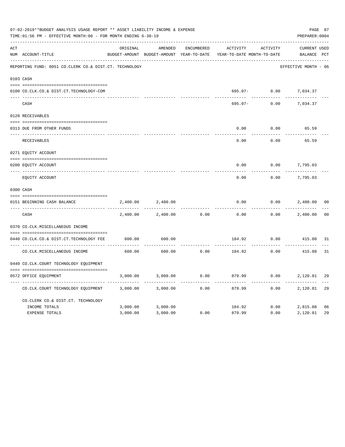|     | 07-02-2019**BUDGET ANALYSIS USAGE REPORT ** ASSET LIABILITY INCOME & EXPENSE<br>TIME: 01:56 PM - EFFECTIVE MONTH: 06 - FOR MONTH ENDING 6-30-19 |          |                                                     |            |                                        |          |                             |                |  |
|-----|-------------------------------------------------------------------------------------------------------------------------------------------------|----------|-----------------------------------------------------|------------|----------------------------------------|----------|-----------------------------|----------------|--|
| ACT | NUM ACCOUNT-TITLE                                                                                                                               | ORIGINAL | AMENDED<br>BUDGET-AMOUNT BUDGET-AMOUNT YEAR-TO-DATE | ENCUMBERED | ACTIVITY<br>YEAR-TO-DATE MONTH-TO-DATE | ACTIVITY | CURRENT USED<br>BALANCE PCT |                |  |
|     | REPORTING FUND: 0051 CO.CLERK CO.& DIST.CT. TECHNOLOGY                                                                                          |          |                                                     |            |                                        |          | EFFECTIVE MONTH - 06        |                |  |
|     | 0103 CASH                                                                                                                                       |          |                                                     |            |                                        |          |                             |                |  |
|     | 0100 CO.CLK.CO.& DIST.CT.TECHNOLOGY-COM                                                                                                         |          |                                                     |            |                                        |          | 695.07- 0.00 7,034.37       |                |  |
|     | CASH                                                                                                                                            |          |                                                     |            | 695.07-                                | 0.00     | 7,034.37                    |                |  |
|     | 0120 RECEIVABLES                                                                                                                                |          |                                                     |            |                                        |          |                             |                |  |
|     | 0313 DUE FROM OTHER FUNDS                                                                                                                       |          |                                                     |            | 0.00                                   | 0.00     | 65.59                       |                |  |
|     | RECEIVABLES                                                                                                                                     |          |                                                     |            | 0.00                                   | 0.00     | 65.59                       |                |  |
|     | 0271 EQUITY ACCOUNT                                                                                                                             |          |                                                     |            |                                        |          |                             |                |  |
|     | 0200 EQUITY ACCOUNT                                                                                                                             |          |                                                     |            | 0.00                                   | 0.00     | 7,795.03                    |                |  |
|     | ______________________________<br>EQUITY ACCOUNT                                                                                                |          |                                                     |            | ------<br>0.00                         | 0.00     | 7,795.03                    |                |  |
|     | 0300 CASH                                                                                                                                       |          |                                                     |            |                                        |          |                             |                |  |
|     | 0151 BEGINNING CASH BALANCE                                                                                                                     | 2,400.00 | 2,400.00                                            |            | 0.00                                   | 0.00     | 2,400.00                    | 0 <sub>0</sub> |  |
|     | CASH                                                                                                                                            | 2,400.00 | 2,400.00                                            | 0.00       | 0.00                                   | 0.00     | 2,400.00                    | 0 <sub>0</sub> |  |
|     | 0370 CO.CLK.MISCELLANEOUS INCOME                                                                                                                |          |                                                     |            |                                        |          |                             |                |  |
|     | 0440 CO.CLK.CO.& DIST.CT.TECHNOLOGY FEE                                                                                                         | 600.00   | 600.00                                              |            | 184.92                                 | 0.00     | 415.08 31                   |                |  |
|     | CO. CLK. MISCELLANEOUS INCOME                                                                                                                   | 600.00   | 600.00                                              | 0.00       | 184.92 0.00                            | .        | 415.08                      | 31             |  |
|     | 0440 CO.CLK.COURT TECHNOLOGY EQUIPMENT                                                                                                          |          |                                                     |            |                                        |          |                             |                |  |
|     | 0572 OFFICE EQUIPMENT                                                                                                                           | 3,000.00 | 3,000.00                                            | 0.00       | 879.99                                 | 0.00     | 2,120.01                    | 29             |  |
|     | CO.CLK.COURT TECHNOLOGY EQUIPMENT                                                                                                               | 3,000.00 | 3,000.00                                            | 0.00       | 879.99                                 | 0.00     | 2,120.01                    | 29             |  |
|     | CO.CLERK CO.& DIST.CT. TECHNOLOGY                                                                                                               |          |                                                     |            |                                        |          |                             |                |  |
|     | INCOME TOTALS                                                                                                                                   | 3,000.00 | 3,000.00                                            |            |                                        |          | 184.92 0.00 2,815.08        | 06             |  |
|     | <b>EXPENSE TOTALS</b>                                                                                                                           | 3,000.00 | 3,000.00                                            | 0.00       | 879.99                                 | 0.00     | 2,120.01                    | 29             |  |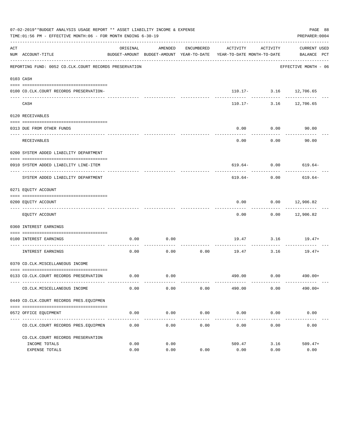|     | 07-02-2019**BUDGET ANALYSIS USAGE REPORT ** ASSET LIABILITY INCOME & EXPENSE<br>TIME:01:56 PM - EFFECTIVE MONTH:06 - FOR MONTH ENDING 6-30-19 |              |                     |                      |                                                                                 |                                               | PAGE 88<br>PREPARER: 0004   |
|-----|-----------------------------------------------------------------------------------------------------------------------------------------------|--------------|---------------------|----------------------|---------------------------------------------------------------------------------|-----------------------------------------------|-----------------------------|
| ACT | NUM ACCOUNT-TITLE                                                                                                                             | ORIGINAL     | AMENDED             | ENCUMBERED           | ACTIVITY<br>BUDGET-AMOUNT BUDGET-AMOUNT YEAR-TO-DATE YEAR-TO-DATE MONTH-TO-DATE | ACTIVITY                                      | CURRENT USED<br>BALANCE PCT |
|     | REPORTING FUND: 0052 CO.CLK.COURT RECORDS PRESERVATION                                                                                        |              |                     |                      |                                                                                 |                                               | EFFECTIVE MONTH - 06        |
|     | 0103 CASH                                                                                                                                     |              |                     |                      |                                                                                 |                                               |                             |
|     | 0100 CO.CLK.COURT RECORDS PRESERVATION-                                                                                                       |              |                     |                      |                                                                                 | 110.17- 3.16 12,706.65                        |                             |
|     | CASH                                                                                                                                          |              |                     |                      |                                                                                 | ________________<br>$110.17 - 3.16$ 12,706.65 | .                           |
|     | 0120 RECEIVABLES                                                                                                                              |              |                     |                      |                                                                                 |                                               |                             |
|     | 0313 DUE FROM OTHER FUNDS                                                                                                                     |              |                     |                      | 0.00                                                                            | 0.00                                          | 90.00                       |
|     | RECEIVABLES                                                                                                                                   |              |                     |                      | 0.00                                                                            | ----------<br>0.00                            | 90.00                       |
|     | 0200 SYSTEM ADDED LIABILITY DEPARTMENT                                                                                                        |              |                     |                      |                                                                                 |                                               |                             |
|     | 0910 SYSTEM ADDED LIABILITY LINE-ITEM                                                                                                         |              |                     |                      |                                                                                 |                                               | $619.64 - 0.00$ 619.64-     |
|     | SYSTEM ADDED LIABILITY DEPARTMENT                                                                                                             |              |                     |                      | ----------- ------------<br>619.64-                                             | 0.00                                          | -----------<br>619.64-      |
|     | 0271 EQUITY ACCOUNT                                                                                                                           |              |                     |                      |                                                                                 |                                               |                             |
|     | 0200 EQUITY ACCOUNT                                                                                                                           |              |                     |                      | 0.00<br>---------                                                               | $0.00$ 12,906.82                              | --------------              |
|     | EQUITY ACCOUNT                                                                                                                                |              |                     |                      | 0.00                                                                            |                                               | $0.00$ 12,906.82            |
|     | 0360 INTEREST EARNINGS                                                                                                                        |              |                     |                      |                                                                                 |                                               |                             |
|     | 0100 INTEREST EARNINGS<br>-------------------- ---<br>.                                                                                       | 0.00         | 0.00                |                      |                                                                                 | .                                             | $19.47$ $3.16$ $19.47+$     |
|     | INTEREST EARNINGS                                                                                                                             | 0.00         | 0.00                | . <u>.</u> .<br>0.00 | 19.47                                                                           | 3.16                                          | $19.47+$                    |
|     | 0370 CO.CLK.MISCELLANEOUS INCOME                                                                                                              |              |                     |                      |                                                                                 |                                               |                             |
|     | 0133 CO.CLK.COURT RECORDS PRESERVATION                                                                                                        |              | $0.00$ 0.00         |                      |                                                                                 |                                               | 490.00 0.00 490.00+         |
|     | CO. CLK. MISCELLANEOUS INCOME                                                                                                                 | 0.00         | 0.00                | 0.00                 | 490.00                                                                          | 0.00                                          | $490.00+$                   |
|     | 0449 CO.CLK.COURT RECORDS PRES.EOUIPMEN                                                                                                       |              |                     |                      |                                                                                 |                                               |                             |
|     | 0572 OFFICE EQUIPMENT                                                                                                                         | 0.00         | 0.00                | 0.00                 | 0.00                                                                            | 0.00                                          | 0.00                        |
|     | CO. CLK. COURT RECORDS PRES. EQUIPMEN                                                                                                         | 0.00         | -----------<br>0.00 | -----------<br>0.00  | -------------<br>0.00                                                           | ------------<br>0.00                          | -------------<br>0.00       |
|     | CO. CLK. COURT RECORDS PRESERVATION                                                                                                           |              |                     |                      |                                                                                 |                                               |                             |
|     | INCOME TOTALS<br>EXPENSE TOTALS                                                                                                               | 0.00<br>0.00 | 0.00<br>0.00        | 0.00                 | 509.47<br>0.00                                                                  | 3.16<br>0.00                                  | $509.47+$<br>0.00           |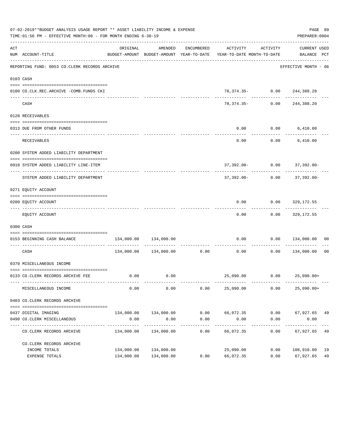|     | 07-02-2019**BUDGET ANALYSIS USAGE REPORT ** ASSET LIABILITY INCOME & EXPENSE<br>TIME:01:56 PM - EFFECTIVE MONTH:06 - FOR MONTH ENDING 6-30-19 |                       |                            |                     |                                                                                 |                     | PREPARER: 0004                | PAGE 89 |
|-----|-----------------------------------------------------------------------------------------------------------------------------------------------|-----------------------|----------------------------|---------------------|---------------------------------------------------------------------------------|---------------------|-------------------------------|---------|
| ACT | NUM ACCOUNT-TITLE                                                                                                                             | ORIGINAL              | AMENDED                    | ENCUMBERED          | ACTIVITY<br>BUDGET-AMOUNT BUDGET-AMOUNT YEAR-TO-DATE YEAR-TO-DATE MONTH-TO-DATE | ACTIVITY            | CURRENT USED<br>BALANCE PCT   |         |
|     | REPORTING FUND: 0053 CO.CLERK RECORDS ARCHIVE                                                                                                 |                       |                            |                     |                                                                                 |                     | EFFECTIVE MONTH - 06          |         |
|     | 0103 CASH                                                                                                                                     |                       |                            |                     |                                                                                 |                     |                               |         |
|     | 0100 CO.CLK.REC.ARCHIVE -COMB.FUNDS CKI                                                                                                       |                       |                            |                     |                                                                                 |                     | $78,374.35 - 0.00$ 244,388.20 |         |
|     | CASH                                                                                                                                          |                       |                            |                     | ---------- ------------<br>78,374.35-                                           | 0.00                | .<br>244,388.20               |         |
|     | 0120 RECEIVABLES                                                                                                                              |                       |                            |                     |                                                                                 |                     |                               |         |
|     | 0313 DUE FROM OTHER FUNDS                                                                                                                     |                       |                            |                     | 0.00                                                                            |                     | $0.00$ 6,410.00               |         |
|     | <b>RECEIVABLES</b>                                                                                                                            |                       |                            |                     | ---------<br>0.00                                                               | .                   | $0.00$ 6,410.00               |         |
|     | 0200 SYSTEM ADDED LIABILITY DEPARTMENT                                                                                                        |                       |                            |                     |                                                                                 |                     |                               |         |
|     | 0910 SYSTEM ADDED LIABILITY LINE-ITEM                                                                                                         |                       |                            |                     |                                                                                 |                     | 37,392.00- 0.00 37,392.00-    |         |
|     | SYSTEM ADDED LIABILITY DEPARTMENT                                                                                                             |                       |                            |                     | 37,392.00-                                                                      |                     | $0.00$ 37,392.00-             |         |
|     | 0271 EQUITY ACCOUNT                                                                                                                           |                       |                            |                     |                                                                                 |                     |                               |         |
|     | 0200 EQUITY ACCOUNT                                                                                                                           |                       |                            |                     | 0.00                                                                            |                     | $0.00$ 329,172.55             |         |
|     | EQUITY ACCOUNT                                                                                                                                |                       |                            |                     | 0.00                                                                            |                     | $0.00$ 329,172.55             |         |
|     | 0300 CASH                                                                                                                                     |                       |                            |                     |                                                                                 |                     |                               |         |
|     | 0153 BEGINNING CASH BALANCE                                                                                                                   |                       | 134,000.00 134,000.00      |                     | 0.00                                                                            |                     | $0.00$ $134,000.00$ 00        |         |
|     | CASH                                                                                                                                          |                       | 134,000.00 134,000.00 0.00 |                     | 0.00                                                                            | 0.00                | 134,000.00                    | 00      |
|     | 0370 MISCELLANEOUS INCOME                                                                                                                     |                       |                            |                     |                                                                                 |                     |                               |         |
|     | 0133 CO.CLERK RECORDS ARCHIVE FEE                                                                                                             | 0.00                  | 0.00                       |                     |                                                                                 |                     | 25,090.00   0.00   25,090.00+ |         |
|     | MISCELLANEOUS INCOME                                                                                                                          | 0.00                  | 0.00                       | 0.00                | 25,090.00                                                                       | 0.00                | $25,090.00+$                  |         |
|     | 0403 CO. CLERK RECORDS ARCHIVE                                                                                                                |                       |                            |                     |                                                                                 |                     |                               |         |
|     | 0437 DIGITAL IMAGING                                                                                                                          |                       | 134,000.00 134,000.00      | 0.00                | 66,072.35                                                                       |                     | $0.00$ 67,927.65 49           |         |
|     | 0490 CO. CLERK MISCELLANEOUS<br>-----------                                                                                                   | 0.00<br>------------- | 0.00<br>-------------      | 0.00<br>----------- | 0.00<br>----------                                                              | 0.00<br>----------- | 0.00<br>-----------           |         |
|     | CO. CLERK RECORDS ARCHIVE                                                                                                                     | 134,000.00            | 134,000.00                 | 0.00                | 66,072.35                                                                       | 0.00                | 67,927.65                     | 49      |
|     | CO. CLERK RECORDS ARCHIVE                                                                                                                     |                       |                            |                     |                                                                                 |                     |                               |         |
|     | INCOME TOTALS                                                                                                                                 | 134,000.00            | 134,000.00                 |                     | 25,090.00                                                                       | 0.00                | 108,910.00 19                 |         |
|     | EXPENSE TOTALS                                                                                                                                |                       | 134,000.00 134,000.00      | 0.00                | 66,072.35                                                                       | 0.00                | 67,927.65                     | 49      |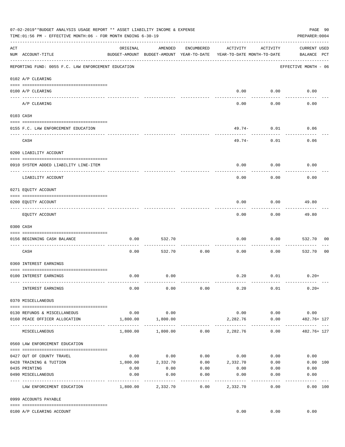|     | 07-02-2019**BUDGET ANALYSIS USAGE REPORT ** ASSET LIABILITY INCOME & EXPENSE<br>TIME:01:56 PM - EFFECTIVE MONTH:06 - FOR MONTH ENDING 6-30-19 |                     |                    |                    |                                                                                 |                     |                                    |                |  |  |
|-----|-----------------------------------------------------------------------------------------------------------------------------------------------|---------------------|--------------------|--------------------|---------------------------------------------------------------------------------|---------------------|------------------------------------|----------------|--|--|
| ACT | NUM ACCOUNT-TITLE                                                                                                                             | ORIGINAL            | AMENDED            | ENCUMBERED         | ACTIVITY<br>BUDGET-AMOUNT BUDGET-AMOUNT YEAR-TO-DATE YEAR-TO-DATE MONTH-TO-DATE | ACTIVITY            | <b>CURRENT USED</b><br>BALANCE PCT |                |  |  |
|     | REPORTING FUND: 0055 F.C. LAW ENFORCEMENT EDUCATION                                                                                           |                     |                    |                    |                                                                                 |                     | EFFECTIVE MONTH - 06               |                |  |  |
|     | 0102 A/P CLEARING                                                                                                                             |                     |                    |                    |                                                                                 |                     |                                    |                |  |  |
|     | 0100 A/P CLEARING                                                                                                                             |                     |                    |                    | 0.00                                                                            | 0.00                | 0.00                               |                |  |  |
|     | A/P CLEARING                                                                                                                                  |                     |                    |                    | 0.00                                                                            | 0.00                | 0.00                               |                |  |  |
|     | 0103 CASH                                                                                                                                     |                     |                    |                    |                                                                                 |                     |                                    |                |  |  |
|     | 0155 F.C. LAW ENFORCEMENT EDUCATION                                                                                                           |                     |                    |                    |                                                                                 | 49.74- 0.01         | 0.06                               |                |  |  |
|     | CASH                                                                                                                                          |                     |                    |                    | 49.74-                                                                          | 0.01                | 0.06                               |                |  |  |
|     | 0200 LIABILITY ACCOUNT                                                                                                                        |                     |                    |                    |                                                                                 |                     |                                    |                |  |  |
|     | 0910 SYSTEM ADDED LIABILITY LINE-ITEM                                                                                                         |                     |                    |                    | 0.00                                                                            | 0.00                | 0.00                               |                |  |  |
|     | LIABILITY ACCOUNT                                                                                                                             |                     |                    |                    | 0.00                                                                            | 0.00                | 0.00                               |                |  |  |
|     | 0271 EQUITY ACCOUNT                                                                                                                           |                     |                    |                    |                                                                                 |                     |                                    |                |  |  |
|     | 0200 EQUITY ACCOUNT                                                                                                                           |                     |                    |                    | 0.00                                                                            | 0.00                | 49.80                              |                |  |  |
|     | EQUITY ACCOUNT                                                                                                                                |                     |                    |                    | 0.00                                                                            | . <u>.</u><br>0.00  | ----------<br>49.80                |                |  |  |
|     | 0300 CASH                                                                                                                                     |                     |                    |                    |                                                                                 |                     |                                    |                |  |  |
|     | 0156 BEGINNING CASH BALANCE                                                                                                                   | 0.00                | 532.70             |                    | 0.00                                                                            | 0.00                | 532.70                             | 00             |  |  |
|     | -------------------------------<br>CASH                                                                                                       | 0.00                | 532.70             | 0.00               | 0.00                                                                            | 0.00                | 532.70                             | 0 <sub>0</sub> |  |  |
|     | 0360 INTEREST EARNINGS                                                                                                                        |                     |                    |                    |                                                                                 |                     |                                    |                |  |  |
|     | 0100 INTEREST EARNINGS                                                                                                                        | 0.00                | 0.00               |                    |                                                                                 | $0.20$ $0.01$       | $0.20+$                            |                |  |  |
|     |                                                                                                                                               |                     |                    |                    |                                                                                 |                     |                                    |                |  |  |
|     | INTEREST EARNINGS                                                                                                                             | 0.00                | 0.00               | 0.00               | 0.20                                                                            | 0.01                | $0.20+$                            |                |  |  |
|     | 0370 MISCELLANEOUS                                                                                                                            |                     |                    |                    |                                                                                 |                     |                                    |                |  |  |
|     | 0130 REFUNDS & MISCELLANEOUS<br>0160 PEACE OFFICER ALLOCATION                                                                                 | 0.00<br>1,800.00    | 0.00<br>1,800.00   |                    | 2,282.76                                                                        | $0.00$ 0.00<br>0.00 | 0.00<br>482.76+ 127                |                |  |  |
|     | MISCELLANEOUS                                                                                                                                 |                     |                    |                    | $1,800.00$ $1,800.00$ $0.00$ $2,282.76$                                         | 0.00                | ----------------<br>482.76+ 127    |                |  |  |
|     | 0560 LAW ENFORCEMENT EDUCATION                                                                                                                |                     |                    |                    |                                                                                 |                     |                                    |                |  |  |
|     | 0427 OUT OF COUNTY TRAVEL                                                                                                                     | 0.00                | 0.00               |                    | $0.00$ $0.00$ $0.00$                                                            |                     | 0.00                               |                |  |  |
|     | 0428 TRAINING & TUITION                                                                                                                       |                     |                    |                    | $1,800.00$ $2,332.70$ $0.00$ $2,332.70$ $0.00$                                  |                     | 0.00 100                           |                |  |  |
|     | 0435 PRINTING                                                                                                                                 | 0.00                | 0.00               | 0.00               | $0.00$ $0.00$                                                                   |                     | 0.00                               |                |  |  |
|     | 0490 MISCELLANEOUS                                                                                                                            | 0.00<br>----------- | 0.00<br>---------- | 0.00<br>---------- | 0.00<br>----------                                                              | 0.00                | 0.00<br>----------                 |                |  |  |
|     | LAW ENFORCEMENT EDUCATION                                                                                                                     |                     | 1,800.00 2,332.70  | 0.00               | 2,332.70                                                                        | 0.00                | 0.00 100                           |                |  |  |
|     | 0999 ACCOUNTS PAYABLE                                                                                                                         |                     |                    |                    |                                                                                 |                     |                                    |                |  |  |
|     | 0100 A/P CLEARING ACCOUNT                                                                                                                     |                     |                    |                    |                                                                                 |                     | $0.00$ $0.00$ $0.00$               |                |  |  |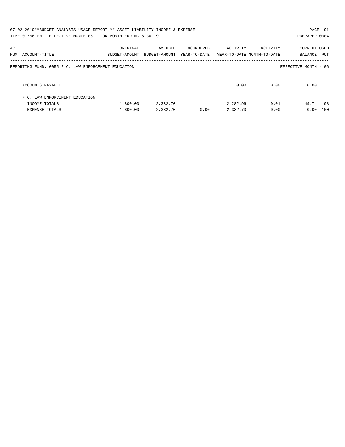|     | 07-02-2019**BUDGET ANALYSIS USAGE REPORT ** ASSET LIABILITY INCOME & EXPENSE |               |               |              |          |                            |                      | PAGE 91 |
|-----|------------------------------------------------------------------------------|---------------|---------------|--------------|----------|----------------------------|----------------------|---------|
|     | TIME:01:56 PM - EFFECTIVE MONTH:06 - FOR MONTH ENDING 6-30-19                |               |               |              |          |                            | PREPARER: 0004       |         |
|     |                                                                              |               |               |              |          |                            |                      |         |
| ACT |                                                                              | ORIGINAL      | AMENDED       | ENCUMBERED   | ACTIVITY | ACTIVITY                   | <b>CURRENT USED</b>  |         |
|     | NUM ACCOUNT-TITLE                                                            | BUDGET-AMOUNT | BUDGET-AMOUNT | YEAR-TO-DATE |          | YEAR-TO-DATE MONTH-TO-DATE | BALANCE              | PCT     |
|     |                                                                              |               |               |              |          |                            |                      |         |
|     | REPORTING FUND: 0055 F.C. LAW ENFORCEMENT EDUCATION                          |               |               |              |          |                            | EFFECTIVE MONTH - 06 |         |
|     |                                                                              |               |               |              |          |                            |                      |         |
|     |                                                                              |               |               |              |          |                            |                      |         |
|     | ACCOUNTS PAYABLE                                                             |               |               |              | 0.00     | 0.00                       | 0.00                 |         |
|     | F.C. LAW ENFORCEMENT EDUCATION                                               |               |               |              |          |                            |                      |         |
|     |                                                                              |               |               |              |          |                            |                      |         |
|     | INCOME TOTALS                                                                | 1,800.00      | 2,332.70      |              | 2,282.96 | 0.01                       | 49.74 98             |         |
|     | <b>EXPENSE TOTALS</b>                                                        | 1,800.00      | 2,332.70      | 0.00         | 2,332.70 | 0.00                       | 0.00                 | 100     |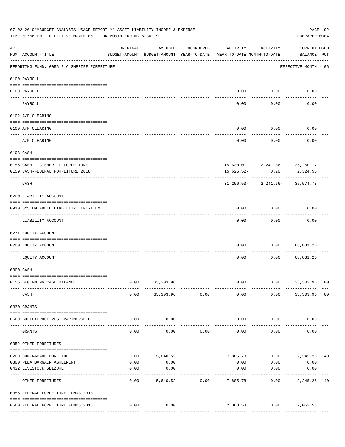|                    | 07-02-2019**BUDGET ANALYSIS USAGE REPORT ** ASSET LIABILITY INCOME & EXPENSE<br>TIME: 01:56 PM - EFFECTIVE MONTH: 06 - FOR MONTH ENDING 6-30-19 |                                                      |           |            |                                        |                                       | PAGE 92<br>PREPARER: 0004          |  |
|--------------------|-------------------------------------------------------------------------------------------------------------------------------------------------|------------------------------------------------------|-----------|------------|----------------------------------------|---------------------------------------|------------------------------------|--|
| $\mathop{\rm ACT}$ | NUM ACCOUNT-TITLE                                                                                                                               | ORIGINAL<br>BUDGET-AMOUNT BUDGET-AMOUNT YEAR-TO-DATE | AMENDED   | ENCUMBERED | ACTIVITY<br>YEAR-TO-DATE MONTH-TO-DATE | ACTIVITY                              | <b>CURRENT USED</b><br>BALANCE PCT |  |
|                    | REPORTING FUND: 0056 F C SHERIFF FORFEITURE                                                                                                     |                                                      |           |            |                                        |                                       | EFFECTIVE MONTH - 06               |  |
|                    | 0100 PAYROLL                                                                                                                                    |                                                      |           |            |                                        |                                       |                                    |  |
| $\frac{1}{2}$      | 0100 PAYROLL                                                                                                                                    |                                                      |           |            |                                        | $0.00$ 0.00                           | 0.00                               |  |
|                    | PAYROLL                                                                                                                                         |                                                      |           |            | 0.00                                   | 0.00                                  | 0.00                               |  |
|                    | 0102 A/P CLEARING                                                                                                                               |                                                      |           |            |                                        |                                       |                                    |  |
|                    | 0100 A/P CLEARING                                                                                                                               |                                                      |           |            | 0.00                                   | 0.00                                  | 0.00                               |  |
|                    | A/P CLEARING                                                                                                                                    |                                                      |           |            | 0.00                                   | 0.00                                  | 0.00                               |  |
|                    | 0103 CASH                                                                                                                                       |                                                      |           |            |                                        |                                       |                                    |  |
|                    | 0156 CASH-F C SHERIFF FORFEITURE                                                                                                                |                                                      |           |            |                                        | $15,630.01 - 2,241.86 - 35,250.17$    |                                    |  |
|                    | 0159 CASH-FEDERAL FORFEITURE 2018                                                                                                               |                                                      |           |            | 15,626.52-                             | 0.20                                  | 2,324.56                           |  |
|                    | CASH                                                                                                                                            |                                                      |           |            |                                        | $31, 256.53 - 2, 241.66 - 37, 574.73$ |                                    |  |
|                    | 0200 LIABILITY ACCOUNT                                                                                                                          |                                                      |           |            |                                        |                                       |                                    |  |
|                    | 0910 SYSTEM ADDED LIABILITY LINE-ITEM                                                                                                           |                                                      |           |            | 0.00                                   | 0.00                                  | 0.00                               |  |
|                    | LIABILITY ACCOUNT                                                                                                                               |                                                      |           |            | 0.00                                   | 0.00                                  | 0.00                               |  |
|                    | 0271 EQUITY ACCOUNT                                                                                                                             |                                                      |           |            |                                        |                                       |                                    |  |
|                    | 0200 EQUITY ACCOUNT                                                                                                                             |                                                      |           |            | 0.00                                   | 0.00                                  | 68,831.26                          |  |
|                    | EQUITY ACCOUNT                                                                                                                                  |                                                      |           |            | 0.00                                   | 0.00                                  | 68,831.26                          |  |
|                    | 0300 CASH                                                                                                                                       |                                                      |           |            |                                        |                                       |                                    |  |
|                    | 0156 BEGINNING CASH BALANCE                                                                                                                     | 0.00                                                 | 33,303.96 |            | 0.00                                   | 0.00                                  | 33,303.96 00                       |  |
|                    | CASH                                                                                                                                            | 0.00                                                 | 33,303.96 | 0.00       | 0.00                                   |                                       | $0.00$ 33,303.96 00                |  |
|                    | 0330 GRANTS                                                                                                                                     |                                                      |           |            |                                        |                                       |                                    |  |
|                    | 0560 BULLETPROOF VEST PARTNERSHIP                                                                                                               | 0.00                                                 | 0.00      |            | 0.00                                   | 0.00                                  | 0.00                               |  |
|                    | GRANTS                                                                                                                                          | 0.00                                                 | 0.00      | 0.00       | 0.00                                   | 0.00                                  | 0.00                               |  |
|                    | 0352 OTHER FOREITURES                                                                                                                           |                                                      |           |            |                                        |                                       |                                    |  |
|                    | 0200 CONTRABAND FOREITURE                                                                                                                       | 0.00                                                 | 5,640.52  |            |                                        | 7,885.78   0.00   2,245.26+ 140       |                                    |  |
|                    | 0300 PLEA BARGAIN AGREEMENT                                                                                                                     | 0.00                                                 | 0.00      |            | 0.00                                   | 0.00                                  | 0.00                               |  |
|                    | 0432 LIVESTOCK SEIZURE                                                                                                                          | 0.00                                                 | 0.00      |            | 0.00                                   | 0.00                                  | 0.00                               |  |
|                    | OTHER FOREITURES                                                                                                                                | 0.00                                                 | 5,640.52  | 0.00       | . <u>.</u> .<br>7,885.78               | 0.00                                  | -----------<br>2, 245. 26+ 140     |  |
|                    | 0355 FEDERAL FORFEITURE FUNDS 2018                                                                                                              |                                                      |           |            |                                        |                                       |                                    |  |
|                    | 0560 FEDERAL FORFEITURE FUNDS 2018                                                                                                              | 0.00                                                 | 0.00      |            |                                        | 2,063.58 0.00 2,063.58+               |                                    |  |
|                    |                                                                                                                                                 |                                                      |           |            |                                        |                                       |                                    |  |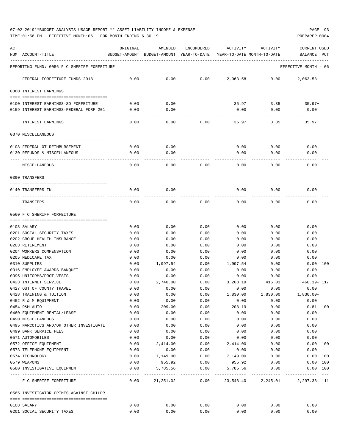TIME:01:56 PM - EFFECTIVE MONTH:06 - FOR MONTH ENDING 6-30-19 PREPARER:0004

| ACT<br>NUM ACCOUNT-TITLE                                  | ORIGINAL     | AMENDED<br>BUDGET-AMOUNT BUDGET-AMOUNT YEAR-TO-DATE | ENCUMBERED   | ACTIVITY<br>YEAR-TO-DATE MONTH-TO-DATE | ACTIVITY     | <b>CURRENT USED</b><br>BALANCE<br>PCT |
|-----------------------------------------------------------|--------------|-----------------------------------------------------|--------------|----------------------------------------|--------------|---------------------------------------|
| REPORTING FUND: 0056 F C SHERIFF FORFEITURE               |              |                                                     |              |                                        |              | EFFECTIVE MONTH - 06                  |
| FEDERAL FORFEITURE FUNDS 2018                             | 0.00         | 0.00                                                | 0.00         | 2,063.58                               | 0.00         | $2,063.58+$                           |
| 0360 INTEREST EARNINGS                                    |              |                                                     |              |                                        |              |                                       |
| 0100 INTEREST EARNINGS-SO FORFEITURE                      |              |                                                     |              | 35.97                                  |              |                                       |
| 0159 INTEREST EARNINGS-FEDERAL FORF 201                   | 0.00<br>0.00 | 0.00<br>0.00                                        |              | 0.00                                   | 3.35<br>0.00 | $35.97+$<br>0.00                      |
|                                                           |              |                                                     |              |                                        |              |                                       |
| INTEREST EARNINGS                                         | 0.00         | 0.00                                                | 0.00         | 35.97                                  | 3.35         | $35.97+$                              |
| 0370 MISCELLANEOUS                                        |              |                                                     |              |                                        |              |                                       |
| 0108 FEDERAL OT REIMBURSEMENT                             | 0.00         | 0.00                                                |              | 0.00                                   | 0.00         | 0.00                                  |
| 0130 REFUNDS & MISCELLANEOUS                              | 0.00         | 0.00                                                |              | 0.00                                   | 0.00         | 0.00                                  |
|                                                           |              |                                                     |              |                                        |              |                                       |
| MISCELLANEOUS                                             | 0.00         | 0.00                                                | 0.00         | 0.00                                   | 0.00         | 0.00                                  |
| 0390 TRANSFERS                                            |              |                                                     |              |                                        |              |                                       |
| 0140 TRANSFERS IN                                         | 0.00         | 0.00                                                |              | 0.00                                   | 0.00         | 0.00                                  |
| TRANSFERS                                                 | 0.00         | 0.00                                                | 0.00         | 0.00                                   | 0.00         | 0.00                                  |
| 0560 F C SHERIFF FORFEITURE                               |              |                                                     |              |                                        |              |                                       |
|                                                           |              |                                                     |              |                                        |              |                                       |
| 0108 SALARY                                               | 0.00         | 0.00                                                | 0.00         | 0.00                                   | 0.00         | 0.00                                  |
| 0201 SOCIAL SECURITY TAXES<br>0202 GROUP HEALTH INSURANCE | 0.00<br>0.00 | 0.00<br>0.00                                        | 0.00<br>0.00 | 0.00<br>0.00                           | 0.00<br>0.00 | 0.00<br>0.00                          |
| 0203 RETIREMENT                                           | 0.00         | 0.00                                                | 0.00         | 0.00                                   | 0.00         | 0.00                                  |
| 0204 WORKERS COMPENSATION                                 | 0.00         | 0.00                                                | 0.00         | 0.00                                   | 0.00         | 0.00                                  |
| 0205 MEDICARE TAX                                         | 0.00         | 0.00                                                | 0.00         | 0.00                                   | 0.00         | 0.00                                  |
| 0310 SUPPLIES                                             | 0.00         | 1,997.54                                            | 0.00         | 1,997.54                               | 0.00         | 0.00 100                              |
| 0316 EMPLOYEE AWARDS BANOUET                              | 0.00         | 0.00                                                | 0.00         | 0.00                                   | 0.00         | 0.00                                  |
| 0395 UNIFORMS/PROT.VESTS                                  | 0.00         | 0.00                                                | 0.00         | 0.00                                   | 0.00         | 0.00                                  |
| 0423 INTERNET SERVICE                                     | 0.00         | 2,740.00                                            | 0.00         | 3,208.19                               | 415.01       | 468.19- 117                           |
| 0427 OUT OF COUNTY TRAVEL                                 | 0.00         | 0.00                                                | 0.00         | 0.00                                   | 0.00         | 0.00                                  |
| 0428 TRAINING & TUITION                                   | 0.00         | 0.00                                                | 0.00         | 1,830.00                               | 1,830.00     | $1,830.00 -$                          |
| 0452 R & M EQUIPMENT                                      | 0.00         | 0.00                                                | 0.00         | 0.00                                   | 0.00         | 0.00                                  |
| 0454 R&M AUTO                                             | 0.00         | 209.00                                              | 0.00         | 208.19                                 | 0.00         | $0.81$ 100                            |
| 0460 EQUIPMENT RENTAL/LEASE                               | 0.00         | 0.00                                                | 0.00         | 0.00                                   | 0.00         | 0.00                                  |
| 0490 MISCELLANEOUS                                        | 0.00         | 0.00                                                | 0.00         | 0.00                                   | 0.00         | 0.00                                  |
| 0495 NARCOTICS AND/OR OTHER INVESTIGATI                   | 0.00         | 0.00                                                | 0.00         | 0.00                                   | 0.00         | 0.00                                  |
| 0499 BANK SERVICE FEES                                    | 0.00         | 0.00                                                | 0.00         | 0.00                                   | 0.00         | 0.00                                  |
| 0571 AUTOMOBILES                                          | 0.00         | 0.00                                                | 0.00         | 0.00                                   | 0.00         | 0.00                                  |
| 0572 OFFICE EQUIPMENT                                     | 0.00         | 2,414.00                                            | 0.00         | 2,414.00                               | 0.00         | 0.00 100                              |
| 0573 TELEPHONE EQUIPMENT                                  | 0.00         | 0.00                                                | 0.00         | 0.00                                   | 0.00         | 0.00                                  |
| 0574 TECHNOLOGY                                           | 0.00         | 7,149.00                                            | 0.00         | 7,149.00                               | 0.00         | 0.00 100                              |
| 0579 WEAPONS<br>0580 INVESTIGATIVE EQUIPMENT              | 0.00<br>0.00 | 955.92<br>5,785.56                                  | 0.00<br>0.00 | 955.92<br>5,785.56                     | 0.00<br>0.00 | 0.00 100<br>0.00 100                  |
| F C SHERIFF FORFEITURE                                    | 0.00         |                                                     |              |                                        |              |                                       |
| 0565 INVESTIGATOR CRIMES AGAINST CHILDR                   |              |                                                     |              |                                        |              |                                       |
|                                                           |              |                                                     |              |                                        |              |                                       |
| 0108 SALARY                                               | 0.00         | 0.00                                                | 0.00         | 0.00                                   | 0.00         | 0.00                                  |
| 0201 SOCIAL SECURITY TAXES                                | 0.00         | 0.00                                                | 0.00         | 0.00                                   | 0.00         | 0.00                                  |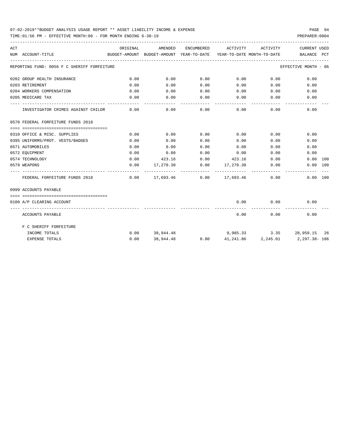TIME:01:56 PM - EFFECTIVE MONTH:06 - FOR MONTH ENDING 6-30-19 PREPARER:0004

| ACT |                                             | ORIGINAL | AMENDED          |                    | ENCUMBERED ACTIVITY                                                         | ACTIVITY                   | <b>CURRENT USED</b>                                                             |  |
|-----|---------------------------------------------|----------|------------------|--------------------|-----------------------------------------------------------------------------|----------------------------|---------------------------------------------------------------------------------|--|
|     | NUM ACCOUNT-TITLE                           |          |                  |                    |                                                                             |                            | BUDGET-AMOUNT BUDGET-AMOUNT YEAR-TO-DATE YEAR-TO-DATE MONTH-TO-DATE BALANCE PCT |  |
|     | REPORTING FUND: 0056 F C SHERIFF FORFEITURE |          |                  |                    |                                                                             |                            | EFFECTIVE MONTH - 06                                                            |  |
|     | 0202 GROUP HEALTH INSURANCE                 | 0.00     | 0.00             | 0.00               | $0.00$ 0.00                                                                 |                            | 0.00                                                                            |  |
|     | 0203 RETIREMENT                             | 0.00     | 0.00             | 0.00               | $0.00$ 0.00                                                                 |                            | 0.00                                                                            |  |
|     | 0204 WORKERS COMPENSATION                   | 0.00     | 0.00             | 0.00               | 0.00                                                                        | 0.00                       | 0.00                                                                            |  |
|     | 0205 MEDICARE TAX                           | 0.00     | 0.00             | 0.00               | $0.00$ 0.00                                                                 |                            | 0.00                                                                            |  |
|     | INVESTIGATOR CRIMES AGAINST CHILDR          | 0.00     | 0.00             | ----------<br>0.00 | -----------                                                                 | -----------<br>$0.00$ 0.00 | 0.00                                                                            |  |
|     | 0570 FEDERAL FORFEITURE FUNDS 2018          |          |                  |                    |                                                                             |                            |                                                                                 |  |
|     |                                             |          |                  |                    |                                                                             |                            |                                                                                 |  |
|     | 0310 OFFICE & MISC. SUPPLIES                | 0.00     | 0.00             | 0.00               | 0.00                                                                        | 0.00                       | 0.00                                                                            |  |
|     | 0395 UNIFORMS/PROT. VESTS/BADGES            | 0.00     | 0.00             | 0.00               | 0.00                                                                        | 0.00                       | 0.00                                                                            |  |
|     | 0571 AUTOMOBILES                            | 0.00     | 0.00             | 0.00               | 0.00                                                                        |                            | 0.00<br>0.00                                                                    |  |
|     | 0572 EOUIPMENT                              | 0.00     | 0.00             | 0.00               | 0.00                                                                        | 0.00                       | 0.00                                                                            |  |
|     | 0574 TECHNOLOGY                             | 0.00     |                  |                    | 423.16 0.00 423.16                                                          | 0.00                       | $0.00$ 100                                                                      |  |
|     | 0579 WEAPONS                                | 0.00     |                  |                    | $17,270.30$ $0.00$ $17,270.30$ $0.00$                                       |                            | 0.00 100                                                                        |  |
|     | FEDERAL FORFEITURE FUNDS 2018               |          |                  |                    | ------------- -------------<br>$0.00$ $17.693.46$ $0.00$ $17.693.46$ $0.00$ |                            | 0.00 100                                                                        |  |
|     | 0999 ACCOUNTS PAYABLE                       |          |                  |                    |                                                                             |                            |                                                                                 |  |
|     |                                             |          |                  |                    |                                                                             |                            |                                                                                 |  |
|     | 0100 A/P CLEARING ACCOUNT                   |          |                  |                    | 0.00                                                                        | 0.00<br>----------         | 0.00                                                                            |  |
|     | ACCOUNTS PAYABLE                            |          |                  |                    |                                                                             | 0.00                       | $0.00$ and $0.00$<br>0.00                                                       |  |
|     | F C SHERIFF FORFEITURE                      |          |                  |                    |                                                                             |                            |                                                                                 |  |
|     | INCOME TOTALS                               |          | $0.00$ 38,944.48 |                    |                                                                             |                            | $9,985.33$ $3.35$ $28,959.15$ 26                                                |  |
|     | <b>EXPENSE TOTALS</b>                       | 0.00     |                  |                    |                                                                             |                            | 38,944.48  0.00  41,241.86  2,245.01  2,297.38-106                              |  |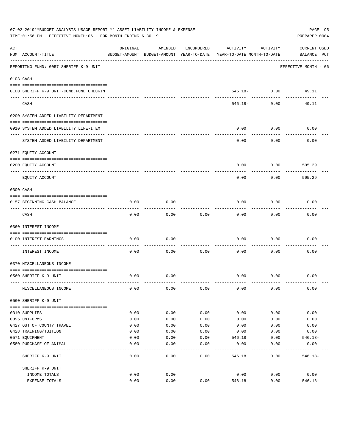|     | 07-02-2019**BUDGET ANALYSIS USAGE REPORT ** ASSET LIABILITY INCOME & EXPENSE<br>TIME: 01:56 PM - EFFECTIVE MONTH: 06 - FOR MONTH ENDING 6-30-19 |          |                                                     |            |                                        |                                | PAGE 95<br>PREPARER: 0004   |
|-----|-------------------------------------------------------------------------------------------------------------------------------------------------|----------|-----------------------------------------------------|------------|----------------------------------------|--------------------------------|-----------------------------|
| ACT | NUM ACCOUNT-TITLE                                                                                                                               | ORIGINAL | AMENDED<br>BUDGET-AMOUNT BUDGET-AMOUNT YEAR-TO-DATE | ENCUMBERED | ACTIVITY<br>YEAR-TO-DATE MONTH-TO-DATE | ACTIVITY                       | CURRENT USED<br>BALANCE PCT |
|     | REPORTING FUND: 0057 SHERIFF K-9 UNIT                                                                                                           |          |                                                     |            |                                        |                                | EFFECTIVE MONTH - 06        |
|     | 0103 CASH                                                                                                                                       |          |                                                     |            |                                        |                                |                             |
|     |                                                                                                                                                 |          |                                                     |            |                                        |                                |                             |
|     | 0100 SHERIFF K-9 UNIT-COMB. FUND CHECKIN                                                                                                        |          |                                                     |            |                                        | $546.18 - 0.00$<br>----------- | 49.11                       |
|     | CASH                                                                                                                                            |          |                                                     |            | 546.18-                                | 0.00                           | 49.11                       |
|     | 0200 SYSTEM ADDED LIABILITY DEPARTMENT                                                                                                          |          |                                                     |            |                                        |                                |                             |
|     | 0910 SYSTEM ADDED LIABILITY LINE-ITEM                                                                                                           |          |                                                     |            | 0.00                                   | 0.00                           | 0.00                        |
|     | SYSTEM ADDED LIABILITY DEPARTMENT                                                                                                               |          |                                                     |            | 0.00                                   | 0.00                           | 0.00                        |
|     | 0271 EQUITY ACCOUNT                                                                                                                             |          |                                                     |            |                                        |                                |                             |
|     | 0200 EQUITY ACCOUNT                                                                                                                             |          |                                                     |            | 0.00                                   | 0.00                           | 595.29                      |
|     | EQUITY ACCOUNT                                                                                                                                  |          |                                                     |            | 0.00                                   | 0.00                           | 595.29                      |
|     | 0300 CASH                                                                                                                                       |          |                                                     |            |                                        |                                |                             |
|     | 0157 BEGINNING CASH BALANCE                                                                                                                     | 0.00     | 0.00                                                |            | 0.00                                   | 0.00                           | 0.00                        |
|     | CASH                                                                                                                                            | 0.00     | 0.00                                                | 0.00       | 0.00                                   | 0.00                           | 0.00                        |
|     | 0360 INTEREST INCOME                                                                                                                            |          |                                                     |            |                                        |                                |                             |
|     | 0100 INTEREST EARNINGS                                                                                                                          | 0.00     | 0.00                                                |            | 0.00                                   | 0.00                           | 0.00                        |
|     | ------------------ -<br>INTEREST INCOME                                                                                                         | 0.00     | 0.00                                                | 0.00       | 0.00                                   | 0.00                           | 0.00                        |
|     | 0370 MISCELLANEOUS INCOME                                                                                                                       |          |                                                     |            |                                        |                                |                             |
|     | 0560 SHERIFF K-9 UNIT                                                                                                                           | 0.00     | 0.00                                                |            | 0.00                                   | 0.00                           | 0.00                        |
|     |                                                                                                                                                 |          |                                                     |            |                                        |                                |                             |
|     | MISCELLANEOUS INCOME                                                                                                                            | 0.00     | 0.00                                                | 0.00       | 0.00                                   | 0.00                           | 0.00                        |
|     | 0560 SHERIFF K-9 UNIT                                                                                                                           |          |                                                     |            |                                        |                                |                             |
|     | 0310 SUPPLIES                                                                                                                                   | 0.00     | 0.00                                                | 0.00       | 0.00                                   | 0.00                           | 0.00                        |
|     | 0395 UNIFORMS                                                                                                                                   | 0.00     | 0.00                                                | 0.00       | 0.00                                   | 0.00                           | 0.00                        |
|     | 0427 OUT OF COUNTY TRAVEL                                                                                                                       | 0.00     | 0.00                                                | 0.00       | 0.00                                   | 0.00                           | 0.00                        |
|     | 0428 TRAINING/TUITION                                                                                                                           | 0.00     | 0.00                                                | 0.00       | 0.00                                   | 0.00                           | 0.00                        |
|     | 0571 EQUIPMENT                                                                                                                                  | 0.00     | 0.00                                                | 0.00       | 546.18                                 | 0.00                           | $546.18-$                   |
|     | 0580 PURCHASE OF ANIMAL                                                                                                                         | 0.00     | 0.00                                                | 0.00       | 0.00                                   | 0.00                           | 0.00                        |
|     | SHERIFF K-9 UNIT                                                                                                                                | 0.00     | $---$<br>0.00                                       | .<br>0.00  | 546.18                                 | 0.00                           | $546.18-$                   |
|     | SHERIFF K-9 UNIT                                                                                                                                |          |                                                     |            |                                        |                                |                             |
|     | INCOME TOTALS                                                                                                                                   | 0.00     | 0.00                                                |            | 0.00                                   | 0.00                           | 0.00                        |
|     | EXPENSE TOTALS                                                                                                                                  | 0.00     | 0.00                                                | 0.00       | 546.18                                 | 0.00                           | $546.18 -$                  |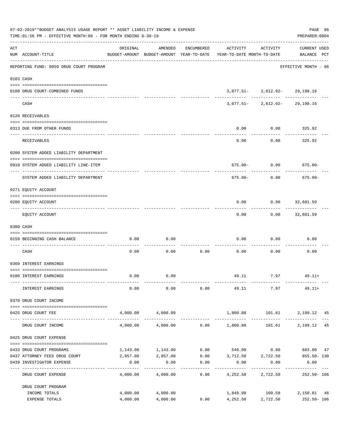|     | 07-02-2019**BUDGET ANALYSIS USAGE REPORT ** ASSET LIABILITY INCOME & EXPENSE<br>TIME: 01:56 PM - EFFECTIVE MONTH: 06 - FOR MONTH ENDING 6-30-19 |          |                               |            |                                                                                 |                                                                      | PAGE 96<br>PREPARER: 0004                  |
|-----|-------------------------------------------------------------------------------------------------------------------------------------------------|----------|-------------------------------|------------|---------------------------------------------------------------------------------|----------------------------------------------------------------------|--------------------------------------------|
| ACT | NUM ACCOUNT-TITLE                                                                                                                               | ORIGINAL | AMENDED                       | ENCUMBERED | ACTIVITY<br>BUDGET-AMOUNT BUDGET-AMOUNT YEAR-TO-DATE YEAR-TO-DATE MONTH-TO-DATE | ACTIVITY                                                             | <b>CURRENT USED</b><br>BALANCE PCT         |
|     | ----------------------------------<br>REPORTING FUND: 0059 DRUG COURT PROGRAM                                                                   |          |                               |            |                                                                                 |                                                                      | EFFECTIVE MONTH - 06                       |
|     | 0103 CASH                                                                                                                                       |          |                               |            |                                                                                 |                                                                      |                                            |
|     | 0100 DRUG COURT-COMBINED FUNDS                                                                                                                  |          |                               |            |                                                                                 | $3,077.51 - 2,612.92 - 29,198.16$                                    |                                            |
|     | CASH                                                                                                                                            |          |                               |            |                                                                                 | --------- ------------ --------<br>$3,077.51 - 2,612.92 - 29,198.16$ |                                            |
|     | 0120 RECEIVABLES                                                                                                                                |          |                               |            |                                                                                 |                                                                      |                                            |
|     | 0313 DUE FROM OTHER FUNDS                                                                                                                       |          |                               |            | 0.00                                                                            | $0.00$ 325.92                                                        |                                            |
|     |                                                                                                                                                 |          |                               |            |                                                                                 | ---------                                                            | ----------                                 |
|     | RECEIVABLES                                                                                                                                     |          |                               |            | 0.00                                                                            | 0.00                                                                 | 325.92                                     |
|     | 0200 SYSTEM ADDED LIABILITY DEPARTMENT                                                                                                          |          |                               |            |                                                                                 |                                                                      |                                            |
|     | 0910 SYSTEM ADDED LIABILITY LINE-ITEM                                                                                                           |          |                               |            |                                                                                 | $675.00 - 0.00$ 675.00-                                              |                                            |
|     | SYSTEM ADDED LIABILITY DEPARTMENT                                                                                                               |          |                               |            | 675.00-                                                                         | 0.00                                                                 | $675.00 -$                                 |
|     | 0271 EQUITY ACCOUNT                                                                                                                             |          |                               |            |                                                                                 |                                                                      |                                            |
|     | 0200 EQUITY ACCOUNT                                                                                                                             |          |                               |            | 0.00                                                                            | $0.00$ 32,601.59                                                     |                                            |
|     | EQUITY ACCOUNT                                                                                                                                  |          |                               |            | 0.00                                                                            |                                                                      | $0.00$ 32,601.59                           |
|     | 0300 CASH                                                                                                                                       |          |                               |            |                                                                                 |                                                                      |                                            |
|     | 0159 BEGINNING CASH BALANCE                                                                                                                     | 0.00     | 0.00                          |            | 0.00                                                                            | 0.00                                                                 | 0.00                                       |
|     |                                                                                                                                                 |          |                               |            | ______________________________                                                  |                                                                      |                                            |
|     | CASH                                                                                                                                            | 0.00     | 0.00                          | 0.00       | 0.00                                                                            | 0.00                                                                 | 0.00                                       |
|     | 0360 INTEREST EARNINGS                                                                                                                          |          |                               |            |                                                                                 |                                                                      |                                            |
|     | 0100 INTEREST EARNINGS                                                                                                                          | 0.00     | 0.00                          |            |                                                                                 | 49.11 7.97 49.11+                                                    |                                            |
|     | INTEREST EARNINGS                                                                                                                               | 0.00     | 0.00                          | 0.00       | 49.11                                                                           | 7.97                                                                 | $49.11+$                                   |
|     | 0370 DRUG COURT INCOME                                                                                                                          |          |                               |            |                                                                                 |                                                                      |                                            |
|     | 0425 DRUG COURT FEE                                                                                                                             | 4,000.00 | 4,000.00                      |            |                                                                                 | 1,800.88 101.61                                                      | 2,199.12 45                                |
|     | DRUG COURT INCOME                                                                                                                               | 4,000.00 | 4,000.00                      |            | $0.00$ 1,800.88                                                                 | 101.61                                                               | 2,199.12 45                                |
|     | 0425 DRUG COURT EXPENSE                                                                                                                         |          |                               |            |                                                                                 |                                                                      |                                            |
|     | 0433 DRUG COURT PROGRAMS                                                                                                                        |          | 1,143.00 1,143.00             |            | $0.00$ 540.00 0.00 603.00 47                                                    |                                                                      |                                            |
|     | 0437 ATTORNEY FEES DRUG COURT                                                                                                                   |          | 2,857.00 2,857.00             |            | $0.00$ $3,712.50$ $2,722.50$                                                    |                                                                      | 855.50- 130                                |
|     | 0439 INVESTIGATOR EXPENSE                                                                                                                       | 0.00     | 0.00                          | 0.00       | 0.00                                                                            | 0.00<br>--------                                                     | 0.00                                       |
|     | DRUG COURT EXPENSE                                                                                                                              | 4,000.00 | 4,000.00                      | 0.00       | 4,252.50 2,722.50                                                               |                                                                      | 252.50- 106                                |
|     | DRUG COURT PROGRAM                                                                                                                              |          |                               |            |                                                                                 |                                                                      |                                            |
|     | INCOME TOTALS<br>EXPENSE TOTALS                                                                                                                 | 4,000.00 | 4,000.00 4,000.00<br>4,000.00 | 0.00       | 4,252.50 2,722.50                                                               |                                                                      | 1,849.99 109.58 2,150.01 46<br>252.50- 106 |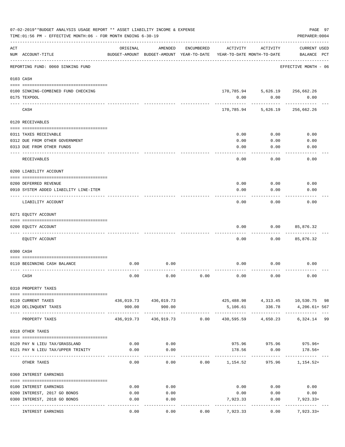|     | 07-02-2019**BUDGET ANALYSIS USAGE REPORT ** ASSET LIABILITY INCOME & EXPENSE<br>TIME: 01:56 PM - EFFECTIVE MONTH: 06 - FOR MONTH ENDING 6-30-19 |                       |                                                     |            |                  |                                        | PREPARER: 0004                      | PAGE 97 |
|-----|-------------------------------------------------------------------------------------------------------------------------------------------------|-----------------------|-----------------------------------------------------|------------|------------------|----------------------------------------|-------------------------------------|---------|
| ACT | NUM ACCOUNT-TITLE                                                                                                                               | ORIGINAL              | AMENDED<br>BUDGET-AMOUNT BUDGET-AMOUNT YEAR-TO-DATE | ENCUMBERED | ACTIVITY         | ACTIVITY<br>YEAR-TO-DATE MONTH-TO-DATE | <b>CURRENT USED</b><br>BALANCE PCT  |         |
|     | REPORTING FUND: 0060 SINKING FUND                                                                                                               | --------------------- |                                                     |            |                  |                                        | EFFECTIVE MONTH - 06                |         |
|     | 0103 CASH                                                                                                                                       |                       |                                                     |            |                  |                                        |                                     |         |
|     | 0100 SINKING-COMBINED FUND CHECKING                                                                                                             |                       |                                                     |            |                  |                                        | 170,785.94 5,626.19 256,662.26      |         |
|     | 0175 TEXPOOL                                                                                                                                    |                       |                                                     |            | 0.00             | 0.00                                   | 0.00                                |         |
|     | CASH                                                                                                                                            |                       |                                                     |            |                  | 170,785.94 5,626.19                    | 256,662.26                          |         |
|     | 0120 RECEIVABLES                                                                                                                                |                       |                                                     |            |                  |                                        |                                     |         |
|     |                                                                                                                                                 |                       |                                                     |            | 0.00             | 0.00                                   | 0.00                                |         |
|     | 0311 TAXES RECEIVABLE<br>0312 DUE FROM OTHER GOVERNMENT                                                                                         |                       |                                                     |            | 0.00             | 0.00                                   | 0.00                                |         |
|     | 0313 DUE FROM OTHER FUNDS                                                                                                                       |                       |                                                     |            | 0.00             | 0.00                                   | 0.00                                |         |
|     | RECEIVABLES                                                                                                                                     |                       |                                                     |            | 0.00             | 0.00                                   | 0.00                                |         |
|     | 0200 LIABILITY ACCOUNT                                                                                                                          |                       |                                                     |            |                  |                                        |                                     |         |
|     |                                                                                                                                                 |                       |                                                     |            |                  |                                        |                                     |         |
|     | 0200 DEFERRED REVENUE<br>0910 SYSTEM ADDED LIABILITY LINE-ITEM                                                                                  |                       |                                                     |            | 0.00<br>0.00     | 0.00<br>0.00                           | 0.00<br>0.00                        |         |
|     | LIABILITY ACCOUNT                                                                                                                               |                       |                                                     |            | 0.00             | 0.00                                   | 0.00                                |         |
|     | 0271 EQUITY ACCOUNT                                                                                                                             |                       |                                                     |            |                  |                                        |                                     |         |
|     |                                                                                                                                                 |                       |                                                     |            |                  |                                        |                                     |         |
|     | 0200 EQUITY ACCOUNT                                                                                                                             |                       |                                                     |            | 0.00             | 0.00                                   | 85,876.32                           |         |
|     | EQUITY ACCOUNT                                                                                                                                  |                       |                                                     |            | 0.00             | 0.00                                   | 85,876.32                           |         |
|     | 0300 CASH                                                                                                                                       |                       |                                                     |            |                  |                                        |                                     |         |
|     | 0110 BEGINNING CASH BALANCE                                                                                                                     | 0.00                  | 0.00                                                |            | 0.00             | 0.00                                   | 0.00                                |         |
|     | CASH                                                                                                                                            | 0.00                  | 0.00                                                | 0.00       | 0.00             | 0.00                                   | 0.00                                |         |
|     | 0310 PROPERTY TAXES                                                                                                                             |                       |                                                     |            |                  |                                        |                                     |         |
|     |                                                                                                                                                 |                       | 436,019.73 436,019.73                               |            |                  |                                        | 425,488.98  4,313.45  10,530.75  98 |         |
|     | 0110 CURRENT TAXES<br>0120 DELINQUENT TAXES                                                                                                     | 900.00                | 900.00                                              |            | 5,106.61         | 336.78                                 | 4,206.61+ 567                       |         |
|     | PROPERTY TAXES                                                                                                                                  |                       | 436,919.73 436,919.73 0.00                          |            |                  |                                        | 430,595.59  4,650.23  6,324.14  99  |         |
|     | 0318 OTHER TAXES                                                                                                                                |                       |                                                     |            |                  |                                        |                                     |         |
|     |                                                                                                                                                 |                       |                                                     |            |                  |                                        |                                     |         |
|     | 0120 PAY N LIEU TAX/GRASSLAND<br>0121 PAY N LIEU TAX/UPPER TRINITY                                                                              | 0.00                  | 0.00<br>0.00                                        |            | 178.56           |                                        | 975.96 975.96 975.96+               |         |
|     |                                                                                                                                                 | 0.00                  |                                                     |            |                  | 0.00<br>--------------------------     | 178.56+                             |         |
|     | OTHER TAXES                                                                                                                                     | 0.00                  | 0.00                                                |            | $0.00$ 1, 154.52 |                                        | $975.96$ 1, 154.52+                 |         |
|     | 0360 INTEREST EARNINGS                                                                                                                          |                       |                                                     |            |                  |                                        |                                     |         |
|     | 0100 INTEREST EARNINGS                                                                                                                          | 0.00                  | 0.00                                                |            |                  | $0.00$ 0.00                            | 0.00                                |         |
|     | 0200 INTEREST, 2017 GO BONDS                                                                                                                    | 0.00                  | 0.00                                                |            | 0.00             | 0.00                                   | 0.00                                |         |
|     | 0300 INTEREST, 2018 GO BONDS                                                                                                                    | 0.00                  | 0.00                                                |            | 7,923.33         | 0.00                                   | 7,923.33+                           |         |
|     | INTEREST EARNINGS                                                                                                                               | 0.00                  | 0.00                                                | 0.00       | 7,923.33         | 0.00                                   | 7,923.33+                           |         |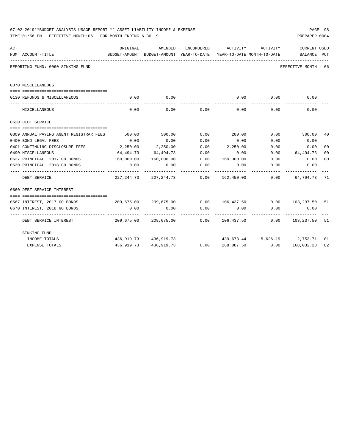|     | 07-02-2019**BUDGET ANALYSIS USAGE REPORT ** ASSET LIABILITY INCOME & EXPENSE<br>TIME: 01:56 PM - EFFECTIVE MONTH: 06 - FOR MONTH ENDING 6-30-19 |                  |                                |                      |                                                                                                 |                                     | PREPARER: 0004       | PAGE 98 |
|-----|-------------------------------------------------------------------------------------------------------------------------------------------------|------------------|--------------------------------|----------------------|-------------------------------------------------------------------------------------------------|-------------------------------------|----------------------|---------|
| ACT | NUM ACCOUNT-TITLE                                                                                                                               | ORIGINAL         | AMENDED                        | ENCUMBERED           | ACTIVITY<br>BUDGET-AMOUNT BUDGET-AMOUNT YEAR-TO-DATE YEAR-TO-DATE MONTH-TO-DATE     BALANCE PCT | ACTIVITY                            | CURRENT USED         |         |
|     | REPORTING FUND: 0060 SINKING FUND                                                                                                               |                  |                                |                      |                                                                                                 |                                     | EFFECTIVE MONTH - 06 |         |
|     | 0370 MISCELLANEOUS                                                                                                                              |                  |                                |                      |                                                                                                 |                                     |                      |         |
|     | 0130 REFUNDS & MISCELLANEOUS                                                                                                                    | 0.00             | 0.00                           |                      | 0.00                                                                                            | 0.00                                | 0.00                 |         |
|     | MISCELLANEOUS                                                                                                                                   | 0.00             | 0.00                           | 0.00                 | 0.00                                                                                            | 0.00                                | 0.00                 |         |
|     | 0620 DEBT SERVICE                                                                                                                               |                  |                                |                      |                                                                                                 |                                     |                      |         |
|     | 0309 ANNUAL PAYING AGENT REGISTRAR FEES                                                                                                         | 500.00           | 500.00                         | 0.00                 | 200.00                                                                                          |                                     | $0.00$ 300.00        | 40      |
|     | 0400 BOND LEGAL FEES                                                                                                                            | 0.00             | 0.00                           | 0.00                 | 0.00                                                                                            | 0.00                                | 0.00                 |         |
|     | 0401 CONTINUING DISCLOSURE FEES                                                                                                                 | 2,250.00         | 2,250.00                       | 0.00                 | 2,250.00                                                                                        | 0.00                                | 0.00 100             |         |
|     | 0490 MISCELLANEOUS                                                                                                                              | 64,494.73        | 64,494.73                      | 0.00                 | 0.00                                                                                            | 0.00                                | 64,494.73 00         |         |
|     | 0627 PRINCIPAL, 2017 GO BONDS                                                                                                                   | 160,000.00       | 160,000.00                     |                      | $0.00$ 160,000.00 0.00                                                                          |                                     | $0.00$ 100           |         |
|     | 0630 PRINCIPAL, 2018 GO BONDS                                                                                                                   | 0.00<br><u>.</u> | 0.00                           | 0.00                 | 0.00                                                                                            | 0.00                                | 0.00<br>-----------  |         |
|     | DEBT SERVICE                                                                                                                                    |                  | 227, 244, 73 227, 244, 73 0.00 |                      |                                                                                                 |                                     |                      |         |
|     | 0660 DEBT SERVICE INTEREST                                                                                                                      |                  |                                |                      |                                                                                                 |                                     |                      |         |
|     |                                                                                                                                                 |                  |                                |                      |                                                                                                 |                                     |                      |         |
|     | 0667 INTEREST, 2017 GO BONDS                                                                                                                    |                  |                                |                      | $209,675.00$ $209,675.00$ $0.00$ $106,437.50$ $0.00$ $103,237.50$                               |                                     |                      | 51      |
|     | 0670 INTEREST, 2018 GO BONDS                                                                                                                    | 0.00             | 0.00                           | 0.00<br>------------ | 0.00<br>------------                                                                            | 0.00                                | 0.00                 |         |
|     | DEBT SERVICE INTEREST                                                                                                                           |                  |                                |                      | 209,675.00 209,675.00 0.00 106,437.50 0.00 103,237.50 51                                        |                                     |                      |         |
|     | SINKING FUND                                                                                                                                    |                  |                                |                      |                                                                                                 |                                     |                      |         |
|     | INCOME TOTALS                                                                                                                                   |                  | 436,919.73 436,919.73          |                      |                                                                                                 | $439,673.44$ 5,626.19 2,753.71+ 101 |                      |         |
|     | <b>EXPENSE TOTALS</b>                                                                                                                           |                  |                                |                      | 436,919.73 436,919.73 0.00 268,887.50 0.00 168,032.23 62                                        |                                     |                      |         |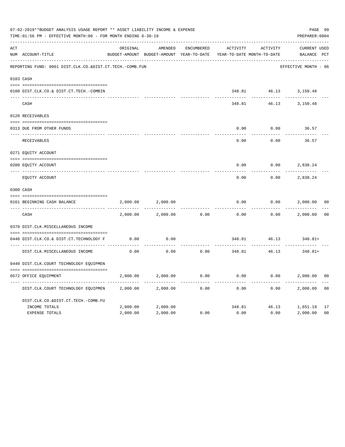|                | 07-02-2019**BUDGET ANALYSIS USAGE REPORT ** ASSET LIABILITY INCOME & EXPENSE<br>TIME: 01:56 PM - EFFECTIVE MONTH: 06 - FOR MONTH ENDING 6-30-19 |          |                                                     |                   |                                        |                       | PAGE 99<br>PREPARER: 0004          |                |
|----------------|-------------------------------------------------------------------------------------------------------------------------------------------------|----------|-----------------------------------------------------|-------------------|----------------------------------------|-----------------------|------------------------------------|----------------|
| $\mathtt{ACT}$ | NUM ACCOUNT-TITLE                                                                                                                               | ORIGINAL | AMENDED<br>BUDGET-AMOUNT BUDGET-AMOUNT YEAR-TO-DATE | <b>ENCUMBERED</b> | ACTIVITY<br>YEAR-TO-DATE MONTH-TO-DATE | ACTIVITY              | <b>CURRENT USED</b><br>BALANCE PCT |                |
|                | REPORTING FUND: 0061 DIST.CLK.CO.&DIST.CT.TECH.-COMB.FUN                                                                                        |          |                                                     |                   |                                        |                       | EFFECTIVE MONTH - 06               |                |
|                | 0103 CASH                                                                                                                                       |          |                                                     |                   |                                        |                       |                                    |                |
|                | 0100 DIST.CLK.CO.& DIST.CT.TECH.-COMBIN                                                                                                         |          |                                                     |                   |                                        | 348.81 46.13 3,150.48 |                                    |                |
|                | CASH                                                                                                                                            |          |                                                     |                   | 348.81                                 | 46.13                 | 3,150.48                           |                |
|                | 0120 RECEIVABLES                                                                                                                                |          |                                                     |                   |                                        |                       |                                    |                |
|                | 0313 DUE FROM OTHER FUNDS                                                                                                                       |          |                                                     |                   | 0.00                                   | 0.00                  | 36.57                              |                |
|                | RECEIVABLES                                                                                                                                     |          |                                                     |                   | 0.00                                   | 0.00                  | 36.57                              |                |
|                | 0271 EQUITY ACCOUNT                                                                                                                             |          |                                                     |                   |                                        |                       |                                    |                |
|                | 0200 EQUITY ACCOUNT                                                                                                                             |          |                                                     |                   | 0.00                                   | 0.00                  | 2,838.24                           |                |
|                | ---- ------------<br>EQUITY ACCOUNT                                                                                                             |          |                                                     |                   | 0.00                                   | 0.00                  | 2,838.24                           |                |
|                | 0300 CASH                                                                                                                                       |          |                                                     |                   |                                        |                       |                                    |                |
|                | 0161 BEGINNING CASH BALANCE                                                                                                                     | 2,000.00 | 2,000.00                                            |                   | 0.00                                   | 0.00                  | 2,000.00                           | 0 <sup>0</sup> |
|                | CASH                                                                                                                                            | 2,000.00 | 2,000.00                                            | 0.00              | 0.00                                   | 0.00                  | 2,000.00                           | 0 <sup>0</sup> |
|                | 0370 DIST.CLK.MISCELLANEOUS INCOME                                                                                                              |          |                                                     |                   |                                        |                       |                                    |                |
|                | 0440 DIST.CLK.CO.& DIST.CT.TECHNOLOGY F                                                                                                         | 0.00     | 0.00                                                |                   | 348.81                                 | 46.13                 | 348.81+                            |                |
|                | DIST.CLK.MISCELLANEOUS INCOME                                                                                                                   | 0.00     | 0.00                                                | 0.00              | 348.81                                 | 46.13                 | 348.81+                            |                |
|                | 0440 DIST.CLK.COURT TECHNOLOGY EQUIPMEN                                                                                                         |          |                                                     |                   |                                        |                       |                                    |                |
|                | 0572 OFFICE EOUIPMENT                                                                                                                           | 2,000.00 | 2,000.00                                            | 0.00              | 0.00                                   | 0.00                  | 2,000.00                           | 0 <sub>0</sub> |
|                | DIST.CLK.COURT TECHNOLOGY EQUIPMEN                                                                                                              | 2,000.00 | 2,000.00                                            | 0.00              | 0.00                                   | 0.00                  | 2,000.00                           | 0 <sub>0</sub> |
|                | DIST.CLK.CO.&DIST.CT.TECH.-COMB.FU                                                                                                              |          |                                                     |                   |                                        |                       |                                    |                |
|                | INCOME TOTALS                                                                                                                                   | 2,000.00 | 2,000.00                                            |                   | 348.81                                 |                       | 46.13 1,651.19                     | 17             |
|                | <b>EXPENSE TOTALS</b>                                                                                                                           | 2,000.00 | 2,000.00                                            | 0.00              | 0.00                                   | 0.00                  | 2,000.00                           | 0 <sub>0</sub> |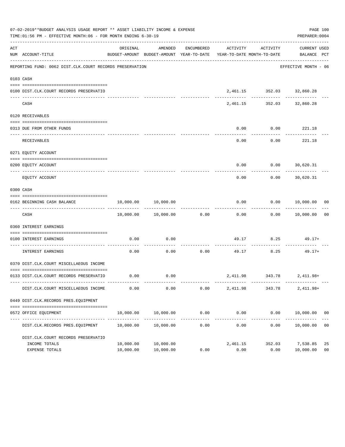|     | 07-02-2019**BUDGET ANALYSIS USAGE REPORT ** ASSET LIABILITY INCOME & EXPENSE<br>TIME:01:56 PM - EFFECTIVE MONTH:06 - FOR MONTH ENDING 6-30-19 |                        |                                                                                |            |                  |                                               | PAGE 100<br>PREPARER: 0004                    |                      |
|-----|-----------------------------------------------------------------------------------------------------------------------------------------------|------------------------|--------------------------------------------------------------------------------|------------|------------------|-----------------------------------------------|-----------------------------------------------|----------------------|
| ACT | NUM ACCOUNT-TITLE                                                                                                                             | ORIGINAL               | AMENDED<br>BUDGET-AMOUNT BUDGET-AMOUNT YEAR-TO-DATE YEAR-TO-DATE MONTH-TO-DATE | ENCUMBERED | ACTIVITY         | ACTIVITY                                      | <b>CURRENT USED</b><br>BALANCE PCT            |                      |
|     | REPORTING FUND: 0062 DIST.CLK.COURT RECORDS PRESERVATION                                                                                      |                        |                                                                                |            |                  |                                               | ---------------------<br>EFFECTIVE MONTH - 06 |                      |
|     | 0103 CASH                                                                                                                                     |                        |                                                                                |            |                  |                                               |                                               |                      |
|     | 0100 DIST.CLK.COURT RECORDS PRESERVATIO                                                                                                       |                        |                                                                                |            |                  | 2,461.15 352.03 32,860.28                     | ---------                                     |                      |
|     | CASH                                                                                                                                          |                        |                                                                                |            |                  | ________________<br>2,461.15 352.03 32,860.28 |                                               |                      |
|     | 0120 RECEIVABLES                                                                                                                              |                        |                                                                                |            |                  |                                               |                                               |                      |
|     | 0313 DUE FROM OTHER FUNDS                                                                                                                     |                        |                                                                                |            | 0.00             |                                               | $0.00$ 221.18                                 |                      |
|     | RECEIVABLES                                                                                                                                   |                        |                                                                                |            | 0.00             | 0.00                                          | 221.18                                        |                      |
|     | 0271 EQUITY ACCOUNT                                                                                                                           |                        |                                                                                |            |                  |                                               |                                               |                      |
|     | 0200 EQUITY ACCOUNT                                                                                                                           |                        |                                                                                |            | 0.00             | 0.00                                          | 30,620.31                                     |                      |
|     | EQUITY ACCOUNT                                                                                                                                |                        |                                                                                |            | 0.00             | 0.00                                          | --------<br>30,620.31                         |                      |
|     | 0300 CASH                                                                                                                                     |                        |                                                                                |            |                  |                                               |                                               |                      |
|     | 0162 BEGINNING CASH BALANCE                                                                                                                   | 10,000.00              | 10,000.00                                                                      |            | 0.00             | -----------                                   | 0.00 10,000.00<br>------------                | 00                   |
|     | CASH                                                                                                                                          |                        | 10,000.00 10,000.00 0.00                                                       |            | 0.00             |                                               | 0.00 10,000.00                                | 0 <sub>0</sub>       |
|     | 0360 INTEREST EARNINGS                                                                                                                        |                        |                                                                                |            |                  |                                               |                                               |                      |
|     | 0100 INTEREST EARNINGS                                                                                                                        | 0.00                   | 0.00                                                                           |            |                  |                                               | 49.17 8.25 49.17+                             |                      |
|     | INTEREST EARNINGS                                                                                                                             | 0.00                   | 0.00                                                                           | 0.00       | 49.17            | 8.25                                          | $49.17+$                                      |                      |
|     | 0370 DIST.CLK.COURT MISCELLAEOUS INCOME                                                                                                       |                        |                                                                                |            |                  |                                               |                                               |                      |
|     | 0133 DIST.CLK.COURT RECORDS PRESERVATIO                                                                                                       | 0.00                   | 0.00                                                                           |            |                  |                                               | 2,411.98 343.78 2,411.98+                     |                      |
|     | DIST.CLK.COURT MISCELLAEOUS INCOME                                                                                                            | 0.00                   | 0.00                                                                           | 0.00       | 2,411.98         | 343.78                                        | $2,411.98+$                                   |                      |
|     | 0449 DIST.CLK.RECORDS PRES.EQUIPMENT                                                                                                          |                        |                                                                                |            |                  |                                               |                                               |                      |
|     | 0572 OFFICE EQUIPMENT                                                                                                                         | 10,000.00              | 10,000.00                                                                      | 0.00       | 0.00             |                                               | $0.00$ $10,000.00$ 00                         |                      |
|     | DIST.CLK.RECORDS PRES.EQUIPMENT                                                                                                               | 10,000.00              | 10,000.00                                                                      | 0.00       | 0.00             | 0.00                                          | 10,000.00                                     | 0 <sub>0</sub>       |
|     | DIST.CLK.COURT RECORDS PRESERVATIO                                                                                                            |                        |                                                                                |            |                  |                                               |                                               |                      |
|     | INCOME TOTALS<br>EXPENSE TOTALS                                                                                                               | 10,000.00<br>10,000.00 | 10,000.00<br>10,000.00                                                         | 0.00       | 2,461.15<br>0.00 | 352.03<br>0.00                                | 7,538.85<br>10,000.00                         | 25<br>0 <sub>0</sub> |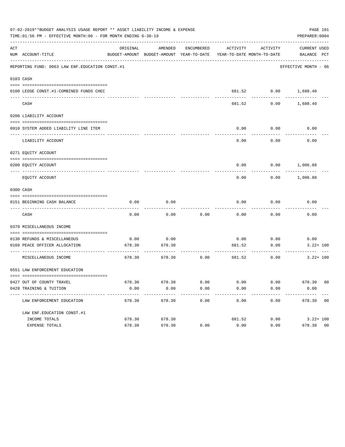|     | 07-02-2019**BUDGET ANALYSIS USAGE REPORT ** ASSET LIABILITY INCOME & EXPENSE<br>TIME: 01:56 PM - EFFECTIVE MONTH: 06 - FOR MONTH ENDING 6-30-19 |          |                                                     |                      |                                        |                          | PAGE 101<br>PREPARER: 0004  |  |
|-----|-------------------------------------------------------------------------------------------------------------------------------------------------|----------|-----------------------------------------------------|----------------------|----------------------------------------|--------------------------|-----------------------------|--|
| ACT | NUM ACCOUNT-TITLE                                                                                                                               | ORIGINAL | AMENDED<br>BUDGET-AMOUNT BUDGET-AMOUNT YEAR-TO-DATE | ENCUMBERED           | ACTIVITY<br>YEAR-TO-DATE MONTH-TO-DATE | ACTIVITY                 | CURRENT USED<br>BALANCE PCT |  |
|     | REPORTING FUND: 0063 LAW ENF. EDUCATION CONST.#1                                                                                                |          |                                                     |                      |                                        |                          | EFFECTIVE MONTH - 06        |  |
|     | 0103 CASH                                                                                                                                       |          |                                                     |                      |                                        |                          |                             |  |
|     | 0100 LEOSE CONST.#1-COMBINED FUNDS CHEC                                                                                                         |          |                                                     |                      |                                        | 681.52 0.00 1,688.40     |                             |  |
|     | CASH                                                                                                                                            |          |                                                     |                      | 681.52                                 | 0.00                     | 1,688.40                    |  |
|     | 0200 LIABILITY ACCOUNT                                                                                                                          |          |                                                     |                      |                                        |                          |                             |  |
|     | 0910 SYSTEM ADDED LIABILITY LINE ITEM                                                                                                           |          |                                                     |                      | 0.00                                   | 0.00<br>--------         | 0.00                        |  |
|     | LIABILITY ACCOUNT                                                                                                                               |          |                                                     |                      | 0.00                                   | 0.00                     | 0.00                        |  |
|     | 0271 EQUITY ACCOUNT                                                                                                                             |          |                                                     |                      |                                        |                          |                             |  |
|     | 0200 EQUITY ACCOUNT                                                                                                                             |          |                                                     |                      |                                        | $0.00$ $0.00$ $1,006.88$ |                             |  |
|     | EQUITY ACCOUNT                                                                                                                                  |          |                                                     |                      | 0.00                                   |                          | $0.00$ 1,006.88             |  |
|     | 0300 CASH                                                                                                                                       |          |                                                     |                      |                                        |                          |                             |  |
|     |                                                                                                                                                 |          |                                                     |                      |                                        |                          |                             |  |
|     | 0151 BEGINNING CASH BALANCE                                                                                                                     | 0.00     | 0.00                                                |                      | 0.00                                   | 0.00                     | 0.00                        |  |
|     | CASH                                                                                                                                            | 0.00     | 0.00                                                | 0.00                 | 0.00                                   | 0.00                     | 0.00                        |  |
|     | 0370 MISCELLANEOUS INCOME                                                                                                                       |          |                                                     |                      |                                        |                          |                             |  |
|     | 0130 REFUNDS & MISCELLANEOUS                                                                                                                    | 0.00     | 0.00                                                |                      |                                        | $0.00$ 0.00              | 0.00                        |  |
|     | 0160 PEACE OFFICER ALLOCATION<br>---------------------------------                                                                              | 678.30   | 678.30                                              |                      | 681.52                                 | 0.00                     | $3.22 + 100$                |  |
|     | MISCELLANEOUS INCOME                                                                                                                            | 678.30   | 678.30                                              | 0.00                 | 681.52                                 | ---------<br>0.00        | $3.22 + 100$                |  |
|     | 0551 LAW ENFORCEMENT EDUCATION                                                                                                                  |          |                                                     |                      |                                        |                          |                             |  |
|     | 0427 OUT OF COUNTY TRAVEL                                                                                                                       |          | 678.30 678.30                                       | 0.00                 | 0.00                                   |                          | $0.00$ 678.30 00            |  |
|     | 0428 TRAINING & TUITION                                                                                                                         | 0.00     | 0.00                                                | 0.00<br>------------ | 0.00<br>-------------                  | 0.00                     | 0.00<br>-------------       |  |
|     | LAW ENFORCEMENT EDUCATION                                                                                                                       | 678.30   | -------------<br>678.30                             | 0.00                 | 0.00                                   | ------------             | 0.00 678.30 00              |  |
|     | LAW ENF. EDUCATION CONST. #1                                                                                                                    |          |                                                     |                      |                                        |                          |                             |  |
|     | INCOME TOTALS                                                                                                                                   | 678.30   | 678.30                                              |                      | 681.52                                 | 0.00                     | $3.22 + 100$                |  |
|     | EXPENSE TOTALS                                                                                                                                  | 678.30   | 678.30                                              | 0.00                 | 0.00                                   | 0.00                     | 678.30 00                   |  |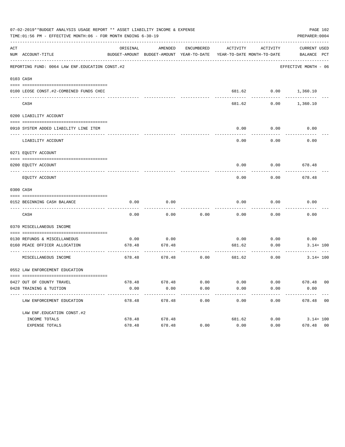|     | 07-02-2019**BUDGET ANALYSIS USAGE REPORT ** ASSET LIABILITY INCOME & EXPENSE<br>TIME:01:56 PM - EFFECTIVE MONTH:06 - FOR MONTH ENDING 6-30-19 |          |                                                     |                      |                                        |                      | PAGE 102<br>PREPARER: 0004  |
|-----|-----------------------------------------------------------------------------------------------------------------------------------------------|----------|-----------------------------------------------------|----------------------|----------------------------------------|----------------------|-----------------------------|
| ACT | NUM ACCOUNT-TITLE                                                                                                                             | ORIGINAL | AMENDED<br>BUDGET-AMOUNT BUDGET-AMOUNT YEAR-TO-DATE | ENCUMBERED           | ACTIVITY<br>YEAR-TO-DATE MONTH-TO-DATE | ACTIVITY             | CURRENT USED<br>BALANCE PCT |
|     | REPORTING FUND: 0064 LAW ENF. EDUCATION CONST. #2                                                                                             |          |                                                     |                      |                                        |                      | EFFECTIVE MONTH - 06        |
|     | 0103 CASH                                                                                                                                     |          |                                                     |                      |                                        |                      |                             |
|     | 0100 LEOSE CONST.#2-COMBINED FUNDS CHEC                                                                                                       |          |                                                     |                      |                                        | 681.62 0.00 1,360.10 |                             |
|     | CASH                                                                                                                                          |          |                                                     |                      | 681.62                                 | 0.00                 | 1,360.10                    |
|     | 0200 LIABILITY ACCOUNT                                                                                                                        |          |                                                     |                      |                                        |                      |                             |
|     | 0910 SYSTEM ADDED LIABILITY LINE ITEM                                                                                                         |          |                                                     |                      | 0.00                                   | 0.00<br>--------     | 0.00                        |
|     | LIABILITY ACCOUNT                                                                                                                             |          |                                                     |                      | 0.00                                   | 0.00                 | 0.00                        |
|     | 0271 EQUITY ACCOUNT                                                                                                                           |          |                                                     |                      |                                        |                      |                             |
|     | 0200 EOUITY ACCOUNT                                                                                                                           |          |                                                     |                      | 0.00                                   |                      | $0.00$ 678.48               |
|     | EQUITY ACCOUNT                                                                                                                                |          |                                                     |                      | 0.00                                   | 0.00                 | 678.48                      |
|     | 0300 CASH                                                                                                                                     |          |                                                     |                      |                                        |                      |                             |
|     |                                                                                                                                               |          |                                                     |                      |                                        |                      |                             |
|     | 0152 BEGINNING CASH BALANCE                                                                                                                   | 0.00     | 0.00                                                |                      | 0.00                                   | 0.00                 | 0.00                        |
|     | CASH                                                                                                                                          | 0.00     | 0.00                                                | 0.00                 | 0.00                                   | 0.00                 | 0.00                        |
|     | 0370 MISCELLANEOUS INCOME                                                                                                                     |          |                                                     |                      |                                        |                      |                             |
|     | 0130 REFUNDS & MISCELLANEOUS                                                                                                                  | 0.00     | 0.00                                                |                      |                                        | $0.00$ 0.00          | 0.00                        |
|     | 0160 PEACE OFFICER ALLOCATION<br>-----------------------------------                                                                          | 678.48   | 678.48                                              |                      | 681.62                                 | 0.00<br>---------    | $3.14 + 100$                |
|     | MISCELLANEOUS INCOME                                                                                                                          | 678.48   | 678.48                                              | 0.00                 | 681.62                                 | 0.00                 | $3.14 + 100$                |
|     | 0552 LAW ENFORCEMENT EDUCATION                                                                                                                |          |                                                     |                      |                                        |                      |                             |
|     | 0427 OUT OF COUNTY TRAVEL                                                                                                                     |          | 678.48 678.48                                       | 0.00                 | 0.00                                   |                      | $0.00$ 678.48 00            |
|     | 0428 TRAINING & TUITION                                                                                                                       | 0.00     | 0.00                                                | 0.00                 | 0.00                                   | 0.00                 | 0.00<br>-------------       |
|     | LAW ENFORCEMENT EDUCATION                                                                                                                     | 678.48   | -------------<br>678.48                             | ------------<br>0.00 | -------------<br>0.00                  | ------------         | $0.00$ 678.48 00            |
|     | LAW ENF. EDUCATION CONST. #2                                                                                                                  |          |                                                     |                      |                                        |                      |                             |
|     | INCOME TOTALS                                                                                                                                 | 678.48   | 678.48                                              |                      | 681.62                                 |                      | $0.00$ $3.14 + 100$         |
|     | EXPENSE TOTALS                                                                                                                                | 678.48   | 678.48                                              | 0.00                 | 0.00                                   | 0.00                 | 678.48 00                   |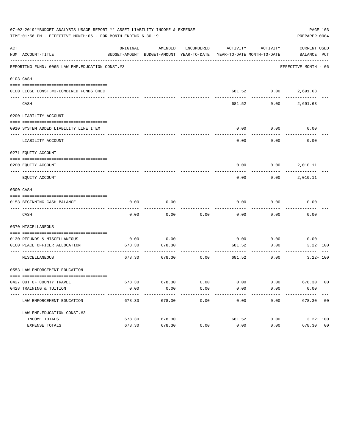|     | 07-02-2019**BUDGET ANALYSIS USAGE REPORT ** ASSET LIABILITY INCOME & EXPENSE<br>TIME:01:56 PM - EFFECTIVE MONTH:06 - FOR MONTH ENDING 6-30-19 |                |                                                     |              |                |                              | PREPARER: 0004                                         | PAGE 103 |
|-----|-----------------------------------------------------------------------------------------------------------------------------------------------|----------------|-----------------------------------------------------|--------------|----------------|------------------------------|--------------------------------------------------------|----------|
| ACT | NUM ACCOUNT-TITLE                                                                                                                             | ORIGINAL       | AMENDED<br>BUDGET-AMOUNT BUDGET-AMOUNT YEAR-TO-DATE | ENCUMBERED   | ACTIVITY       | ACTIVITY                     | CURRENT USED<br>YEAR-TO-DATE MONTH-TO-DATE BALANCE PCT |          |
|     | REPORTING FUND: 0065 LAW ENF. EDUCATION CONST. #3                                                                                             |                |                                                     |              |                |                              | EFFECTIVE MONTH - 06                                   |          |
|     | 0103 CASH                                                                                                                                     |                |                                                     |              |                |                              |                                                        |          |
|     | 0100 LEOSE CONST.#3-COMBINED FUNDS CHEC                                                                                                       |                |                                                     |              |                | 681.52 0.00 2,691.63         |                                                        |          |
|     | CASH                                                                                                                                          |                |                                                     |              | 681.52         | 0.00                         | 2,691.63                                               |          |
|     | 0200 LIABILITY ACCOUNT                                                                                                                        |                |                                                     |              |                |                              |                                                        |          |
|     | 0910 SYSTEM ADDED LIABILITY LINE ITEM                                                                                                         |                |                                                     |              | 0.00           | 0.00                         | 0.00                                                   |          |
|     | LIABILITY ACCOUNT                                                                                                                             |                |                                                     |              | 0.00           | 0.00                         | 0.00                                                   |          |
|     | 0271 EQUITY ACCOUNT                                                                                                                           |                |                                                     |              |                |                              |                                                        |          |
|     | 0200 EQUITY ACCOUNT                                                                                                                           |                |                                                     |              |                | $0.00$ $0.00$ $2,010.11$     |                                                        |          |
|     | EQUITY ACCOUNT                                                                                                                                |                |                                                     |              | 0.00           |                              | $0.00$ 2,010.11                                        |          |
|     | 0300 CASH                                                                                                                                     |                |                                                     |              |                |                              |                                                        |          |
|     | 0153 BEGINNING CASH BALANCE                                                                                                                   | 0.00           | 0.00                                                |              | 0.00           | 0.00                         | 0.00                                                   |          |
|     | CASH                                                                                                                                          | 0.00           | 0.00                                                | 0.00         | 0.00           | -------<br>0.00              | 0.00                                                   |          |
|     | 0370 MISCELLANEOUS                                                                                                                            |                |                                                     |              |                |                              |                                                        |          |
|     |                                                                                                                                               |                |                                                     |              |                |                              |                                                        |          |
|     | 0130 REFUNDS & MISCELLANEOUS<br>0160 PEACE OFFICER ALLOCATION                                                                                 | 0.00<br>678.30 | 0.00<br>678.30                                      |              | 0.00<br>681.52 | 0.00<br>0.00                 | 0.00<br>$3.22 + 100$                                   |          |
|     | -------------------------------------<br>MISCELLANEOUS                                                                                        | 678.30         | 678.30                                              | 0.00         | -------------  | ----------<br>681.52<br>0.00 | $3.22 + 100$                                           |          |
|     | 0553 LAW ENFORCEMENT EDUCATION                                                                                                                |                |                                                     |              |                |                              |                                                        |          |
|     |                                                                                                                                               |                |                                                     |              |                |                              |                                                        |          |
|     | 0427 OUT OF COUNTY TRAVEL<br>0428 TRAINING & TUITION                                                                                          | 678.30<br>0.00 | 678.30<br>0.00                                      | 0.00<br>0.00 | 0.00<br>0.00   | 0.00<br>0.00                 | 678.30 00<br>0.00                                      |          |
|     | ---------------------------                                                                                                                   |                |                                                     |              |                |                              |                                                        |          |
|     | LAW ENFORCEMENT EDUCATION                                                                                                                     | 678.30         | 678.30                                              | 0.00         | 0.00           | 0.00                         | 678.30 00                                              |          |
|     | LAW ENF. EDUCATION CONST. #3                                                                                                                  |                |                                                     |              |                |                              |                                                        |          |
|     | INCOME TOTALS                                                                                                                                 | 678.30         | 678.30                                              |              | 681.52         | 0.00                         | $3.22 + 100$                                           |          |
|     | EXPENSE TOTALS                                                                                                                                | 678.30         | 678.30                                              | 0.00         | 0.00           | 0.00                         | 678.30 00                                              |          |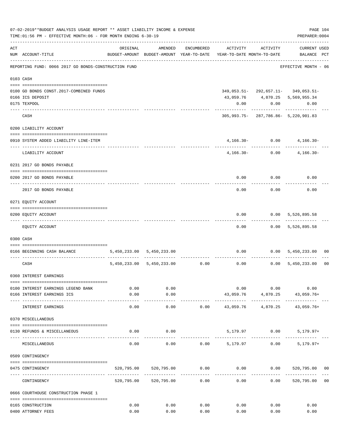|     | 07-02-2019**BUDGET ANALYSIS USAGE REPORT ** ASSET LIABILITY INCOME & EXPENSE<br>TIME:01:56 PM - EFFECTIVE MONTH:06 - FOR MONTH ENDING 6-30-19 |                |                                |                           |                                                                     |                          | PAGE 104<br>PREPARER: 0004                |                |
|-----|-----------------------------------------------------------------------------------------------------------------------------------------------|----------------|--------------------------------|---------------------------|---------------------------------------------------------------------|--------------------------|-------------------------------------------|----------------|
| ACT | NUM ACCOUNT-TITLE                                                                                                                             | ORIGINAL       | AMENDED                        | ENCUMBERED                | BUDGET-AMOUNT BUDGET-AMOUNT YEAR-TO-DATE YEAR-TO-DATE MONTH-TO-DATE | ACTIVITY ACTIVITY        | <b>CURRENT USED</b><br>BALANCE PCT        |                |
|     | REPORTING FUND: 0066 2017 GO BONDS-CONSTRUCTION FUND                                                                                          |                |                                |                           |                                                                     |                          | EFFECTIVE MONTH - 06                      |                |
|     | 0103 CASH                                                                                                                                     |                |                                |                           |                                                                     |                          |                                           |                |
|     | 0100 GO BONDS CONST.2017-COMBINED FUNDS                                                                                                       |                |                                |                           |                                                                     |                          | 349, 053.51 - 292, 657.11 - 349, 053.51 - |                |
|     | 0166 ICS DEPOSIT                                                                                                                              |                |                                |                           |                                                                     |                          | 43,059.76 4,870.25 5,569,955.34           |                |
|     | 0175 TEXPOOL                                                                                                                                  |                |                                |                           | 0.00                                                                |                          | 0.00<br>0.00                              |                |
|     | CASH                                                                                                                                          |                |                                |                           |                                                                     | ----------               | 305,993.75-287,786.86-5,220,901.83        |                |
|     | 0200 LIABILITY ACCOUNT                                                                                                                        |                |                                |                           |                                                                     |                          |                                           |                |
|     | 0910 SYSTEM ADDED LIABILITY LINE-ITEM                                                                                                         |                |                                |                           |                                                                     |                          | $4,166.30 - 0.00$ $4,166.30 -$            |                |
|     | LIABILITY ACCOUNT                                                                                                                             |                |                                |                           |                                                                     | ------------------------ | $4,166.30 - 0.00$ $4,166.30 -$            |                |
|     | 0231 2017 GO BONDS PAYABLE                                                                                                                    |                |                                |                           |                                                                     |                          |                                           |                |
|     | 0200 2017 GO BONDS PAYABLE                                                                                                                    |                |                                |                           |                                                                     | $0.00$ $0.00$            | 0.00                                      |                |
|     | 2017 GO BONDS PAYABLE                                                                                                                         |                |                                |                           |                                                                     | $0.00$ 0.00              | 0.00                                      |                |
|     | 0271 EQUITY ACCOUNT                                                                                                                           |                |                                |                           |                                                                     |                          |                                           |                |
|     | 0200 EQUITY ACCOUNT                                                                                                                           |                |                                |                           | 0.00                                                                |                          | 0.00 5,526,895.58                         |                |
|     | EQUITY ACCOUNT                                                                                                                                |                |                                |                           | 0.00                                                                |                          | ------------<br>$0.00$ 5,526,895.58       |                |
|     | 0300 CASH                                                                                                                                     |                |                                |                           |                                                                     |                          |                                           |                |
|     | 0166 BEGINNING CASH BALANCE                                                                                                                   |                | 5,450,233.00 5,450,233.00      |                           |                                                                     |                          | $0.00$ $0.00$ $5,450,233.00$              | 00             |
|     | CASH                                                                                                                                          |                | 5,450,233.00 5,450,233.00 0.00 | ------------ ------------ | ------------                                                        | .                        | $0.00$ $0.00$ $5,450,233.00$              | 0 <sub>0</sub> |
|     | 0360 INTEREST EARNINGS                                                                                                                        |                |                                |                           |                                                                     |                          |                                           |                |
|     | 0100 INTEREST EARNINGS LEGEND BANK                                                                                                            | 0.00           | 0.00                           |                           | 0.00                                                                | 0.00                     | 0.00                                      |                |
|     | 0166 INTEREST EARNINGS ICS                                                                                                                    | 0.00           | 0.00                           |                           |                                                                     |                          | 43,059.76 4,870.25 43,059.76+             |                |
|     | INTEREST EARNINGS                                                                                                                             | ------<br>0.00 | . <u>.</u> .<br>0.00           | 0.00                      | --------------<br>43,059.76                                         | -----------<br>4,870.25  | 43,059.76+                                |                |
|     | 0370 MISCELLANEOUS                                                                                                                            |                |                                |                           |                                                                     |                          |                                           |                |
|     | 0130 REFUNDS & MISCELLANEOUS                                                                                                                  | 0.00           | 0.00                           |                           |                                                                     |                          | 5,179.97 0.00 5,179.97+                   |                |
|     | MISCELLANEOUS                                                                                                                                 | 0.00           | 0.00                           | 0.00                      | 5,179.97                                                            | 0.00                     | $5,179.97+$                               |                |
|     | 0509 CONTINGENCY                                                                                                                              |                |                                |                           |                                                                     |                          |                                           |                |
|     | 0475 CONTINGENCY                                                                                                                              |                |                                |                           | $520,795.00$ $520,795.00$ $0.00$ $0.00$ $0.00$ $520,795.00$ $00$    |                          |                                           |                |
|     | CONTINGENCY                                                                                                                                   |                | 520,795.00 520,795.00          | 0.00                      | 0.00                                                                | 0.00                     | 520,795.00                                | 0 <sub>0</sub> |
|     | 0666 COURTHOUSE CONSTRUCTION PHASE 1                                                                                                          |                |                                |                           |                                                                     |                          |                                           |                |
|     | 0165 CONSTRUCTION                                                                                                                             | 0.00           | 0.00                           | 0.00                      | 0.00                                                                | 0.00                     | 0.00                                      |                |
|     | 0400 ATTORNEY FEES                                                                                                                            | 0.00           | 0.00                           | 0.00                      | 0.00                                                                | 0.00                     | 0.00                                      |                |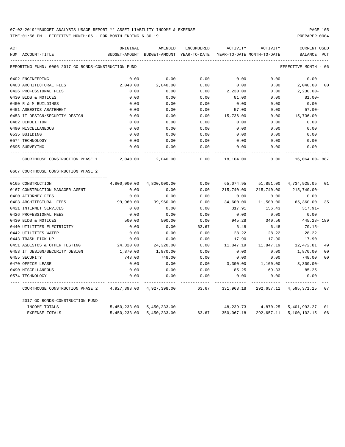TIME:01:56 PM - EFFECTIVE MONTH:06 - FOR MONTH ENDING 6-30-19 PREPARER:0004

| ACT |                                                      | ORIGINAL      | AMENDED                    | <b>ENCUMBERED</b> | ACTIVITY   | ACTIVITY                   | <b>CURRENT USED</b>        |
|-----|------------------------------------------------------|---------------|----------------------------|-------------------|------------|----------------------------|----------------------------|
|     | NUM ACCOUNT-TITLE                                    | BUDGET-AMOUNT | BUDGET-AMOUNT YEAR-TO-DATE |                   |            | YEAR-TO-DATE MONTH-TO-DATE | <b>BALANCE</b><br>PCT      |
|     | REPORTING FUND: 0066 2017 GO BONDS-CONSTRUCTION FUND |               |                            |                   |            |                            | EFFECTIVE MONTH - 06       |
|     | 0402 ENGINEERING                                     | 0.00          | 0.00                       | 0.00              | 0.00       | 0.00                       | 0.00                       |
|     | 0403 ARCHITECTURAL FEES                              | 2,040.00      | 2,040.00                   | 0.00              | 0.00       | 0.00                       | 2,040.00<br>00             |
|     | 0426 PROFESSIONAL FEES                               | 0.00          | 0.00                       | 0.00              | 2,230.00   | 0.00                       | $2,230.00 -$               |
|     | 0430 BIDS & NOTICES                                  | 0.00          | 0.00                       | 0.00              | 81.00      | 0.00                       | $81.00 -$                  |
|     | 0450 R & M BUILDINGS                                 | 0.00          | 0.00                       | 0.00              | 0.00       | 0.00                       | 0.00                       |
|     | 0451 ASBESTOS ABATEMENT                              | 0.00          | 0.00                       | 0.00              | 57.00      | 0.00                       | $57.00 -$                  |
|     | 0453 IT DESIGN/SECURITY DESIGN                       | 0.00          | 0.00                       | 0.00              | 15,736.00  | 0.00                       | $15,736.00 -$              |
|     | 0482 DEMOLITION                                      | 0.00          | 0.00                       | 0.00              | 0.00       | 0.00                       | 0.00                       |
|     | 0490 MISCELLANEOUS                                   | 0.00          | 0.00                       | 0.00              | 0.00       | 0.00                       | 0.00                       |
|     | 0535 BUILDING                                        | 0.00          | 0.00                       | 0.00              | 0.00       | 0.00                       | 0.00                       |
|     | 0574 TECHNOLOGY                                      | 0.00          | 0.00                       | 0.00              | 0.00       | 0.00                       | 0.00                       |
|     | 0695 SURVEYING                                       | 0.00          | 0.00                       | 0.00              | 0.00       | 0.00                       | 0.00                       |
|     | COURTHOUSE CONSTRUCTION PHASE 1                      | 2,040.00      | 2,040.00                   | 0.00              | 18,104.00  | 0.00                       | 16,064.00-887              |
|     | 0667 COURTHOUSE CONSTRUCTION PHASE 2                 |               |                            |                   |            |                            |                            |
|     |                                                      |               |                            |                   |            |                            |                            |
|     | 0165 CONSTRUCTION                                    | 4,800,000.00  | 4,800,000.00               | 0.00              | 65,074.95  | 51,851.00                  | 4,734,925.05<br>01         |
|     | 0167 CONSTRUCTION MANAGER AGENT                      | 0.00          | 0.00                       | 0.00              | 215,740.00 | 215,740.00                 | $215,740.00 -$             |
|     | 0400 ATTORNEY FEES                                   | 0.00          | 0.00                       | 0.00              | 0.00       | 0.00                       | 0.00                       |
|     | 0403 ARCHITECTURAL FEES                              | 99,960.00     | 99,960.00                  | 0.00              | 34,600.00  | 11,500.00                  | 65,360.00<br>35            |
|     | 0421 INTERNET SERVICES                               | 0.00          | 0.00                       | 0.00              | 317.91     | 156.43                     | $317.91 -$                 |
|     | 0426 PROFESSIONAL FEES                               | 0.00          | 0.00                       | 0.00              | 0.00       | 0.00                       | 0.00                       |
|     | 0430 BIDS & NOTICES                                  | 500.00        | 500.00                     | 0.00              | 945.28     | 340.56                     | $445.28 - 189$             |
|     | 0440 UTILITIES ELECTRICITY                           | 0.00          | 0.00                       | 63.67             | 6.48       | 6.48                       | $70.15 -$                  |
|     | 0442 UTILITIES WATER                                 | 0.00          | 0.00                       | 0.00              | 28.22      | 28.22                      | $28.22 -$                  |
|     | 0443 TRASH PICK UP                                   | 0.00          | 0.00                       | 0.00              | 17.90      | 17.90                      | $17.90 -$                  |
|     | 0451 ASBESTOS & OTHER TESTING                        | 24,320.00     | 24,320.00                  | 0.00              | 11,847.19  | 11,847.19                  | 12,472.81<br>49            |
|     | 0453 IT DESIGN/SECURITY DESIGN                       | 1,870.00      | 1,870.00                   | 0.00              | 0.00       | 0.00                       | 0 <sub>0</sub><br>1,870.00 |
|     | 0455 SECURITY                                        | 748.00        | 748.00                     | 0.00              | 0.00       | 0.00                       | 0 <sub>0</sub><br>748.00   |
|     | 0470 OFFICE LEASE                                    | 0.00          | 0.00                       | 0.00              | 3,300.00   | 1,100.00                   | $3,300.00 -$               |
|     | 0490 MISCELLANEOUS                                   | 0.00          | 0.00                       | 0.00              | 85.25      | 69.33                      | $85.25 -$                  |
|     | 0574 TECHNOLOGY                                      | 0.00          | 0.00                       | 0.00              | 0.00       | 0.00                       | 0.00                       |
|     | COURTHOUSE CONSTRUCTION PHASE 2                      | 4,927,398.00  | 4,927,398.00               | 63.67             | 331,963.18 | 292,657.11                 | 4,595,371.15<br>07         |
|     | 2017 GO BONDS-CONSTRUCTION FUND                      |               |                            |                   |            |                            |                            |
|     | INCOME TOTALS                                        | 5,450,233.00  | 5,450,233.00               |                   | 48,239.73  | 4,870.25                   | 5,401,993.27<br>01         |
|     | <b>EXPENSE TOTALS</b>                                | 5,450,233.00  | 5,450,233.00               | 63.67             | 350,067.18 | 292,657.11                 | 5,100,102.15<br>06         |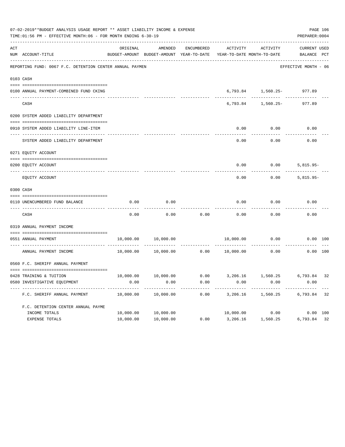|     | 07-02-2019**BUDGET ANALYSIS USAGE REPORT ** ASSET LIABILITY INCOME & EXPENSE<br>TIME: 01:56 PM - EFFECTIVE MONTH: 06 - FOR MONTH ENDING 6-30-19 |           |                                                     |                   |                 |                                        | PREPARER: 0004                     | PAGE 106 |
|-----|-------------------------------------------------------------------------------------------------------------------------------------------------|-----------|-----------------------------------------------------|-------------------|-----------------|----------------------------------------|------------------------------------|----------|
| ACT | NUM ACCOUNT-TITLE                                                                                                                               | ORIGINAL  | AMENDED<br>BUDGET-AMOUNT BUDGET-AMOUNT YEAR-TO-DATE | <b>ENCUMBERED</b> | <b>ACTIVITY</b> | ACTIVITY<br>YEAR-TO-DATE MONTH-TO-DATE | <b>CURRENT USED</b><br>BALANCE PCT |          |
|     | REPORTING FUND: 0067 F.C. DETENTION CENTER ANNUAL PAYMEN                                                                                        |           |                                                     |                   |                 |                                        | EFFECTIVE MONTH - 06               |          |
|     | 0103 CASH                                                                                                                                       |           |                                                     |                   |                 |                                        |                                    |          |
|     | 0100 ANNUAL PAYMENT-COMBINED FUND CKING                                                                                                         |           |                                                     |                   | 6,793.84        | 1,560.25- 977.89                       |                                    |          |
|     | CASH                                                                                                                                            |           |                                                     |                   | 6,793.84        | $1,560.25-$                            | 977.89                             |          |
|     | 0200 SYSTEM ADDED LIABILITY DEPARTMENT                                                                                                          |           |                                                     |                   |                 |                                        |                                    |          |
|     | 0910 SYSTEM ADDED LIABILITY LINE-ITEM                                                                                                           |           |                                                     |                   | 0.00            | 0.00                                   | 0.00                               |          |
|     | SYSTEM ADDED LIABILITY DEPARTMENT                                                                                                               |           |                                                     |                   | 0.00            | 0.00                                   | 0.00                               |          |
|     | 0271 EQUITY ACCOUNT                                                                                                                             |           |                                                     |                   |                 |                                        |                                    |          |
|     | 0200 EQUITY ACCOUNT                                                                                                                             |           |                                                     |                   | 0.00            | 0.00                                   | $5,815.95-$                        |          |
|     | EQUITY ACCOUNT                                                                                                                                  |           |                                                     |                   | 0.00            | 0.00                                   | $5,815.95-$                        |          |
|     | 0300 CASH                                                                                                                                       |           |                                                     |                   |                 |                                        |                                    |          |
|     | 0110 UNENCUMBERED FUND BALANCE                                                                                                                  | 0.00      | 0.00                                                |                   | 0.00            | 0.00                                   | 0.00                               |          |
|     | CASH                                                                                                                                            | 0.00      | 0.00                                                | 0.00              | 0.00            | 0.00                                   | 0.00                               |          |
|     | 0319 ANNUAL PAYMENT INCOME                                                                                                                      |           |                                                     |                   |                 |                                        |                                    |          |
|     | 0551 ANNUAL PAYMENT<br>---- --------------------                                                                                                | 10,000.00 | 10,000.00                                           |                   | 10,000.00       | 0.00                                   | 0.00 100                           |          |
|     | ANNUAL PAYMENT INCOME                                                                                                                           | 10,000.00 | 10,000.00                                           | 0.00              | 10,000.00       | 0.00                                   | 0.00 100                           |          |
|     | 0560 F.C. SHERIFF ANNUAL PAYMENT                                                                                                                |           |                                                     |                   |                 |                                        |                                    |          |
|     |                                                                                                                                                 | 10,000.00 | 10,000.00                                           | 0.00              | 3,206.16        | 1,560.25                               | 6,793.84                           | 32       |
|     | 0428 TRAINING & TUITION<br>0580 INVESTIGATIVE EQUIPMENT                                                                                         | 0.00      | 0.00                                                | 0.00              | 0.00            | 0.00                                   | 0.00                               |          |
|     | F.C. SHERIFF ANNUAL PAYMENT                                                                                                                     | 10,000.00 | 10,000.00                                           | 0.00              | 3,206.16        | 1,560.25                               | 6,793.84                           | 32       |
|     | F.C. DETENTION CENTER ANNUAL PAYME                                                                                                              |           |                                                     |                   |                 |                                        |                                    |          |
|     | INCOME TOTALS                                                                                                                                   | 10,000.00 | 10,000.00                                           |                   |                 | 10,000.00 0.00                         | 0.00 100                           |          |
|     | EXPENSE TOTALS                                                                                                                                  | 10,000.00 | 10,000.00                                           | 0.00              | 3,206.16        | 1,560.25                               | 6,793.84 32                        |          |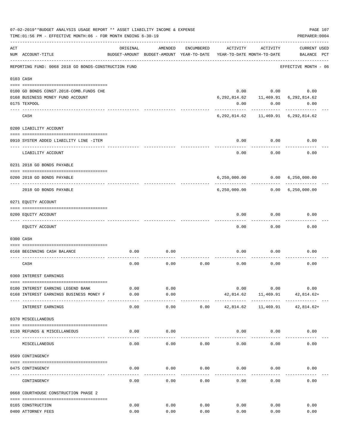| 07-02-2019**BUDGET ANALYSIS USAGE REPORT ** ASSET LIABILITY INCOME & EXPENSE<br>TIME: 01:56 PM - EFFECTIVE MONTH: 06 - FOR MONTH ENDING 6-30-19 |                                                               |               |                                                     |            |           |                                        |                                              | PAGE 107<br>PREPARER: 0004 |  |
|-------------------------------------------------------------------------------------------------------------------------------------------------|---------------------------------------------------------------|---------------|-----------------------------------------------------|------------|-----------|----------------------------------------|----------------------------------------------|----------------------------|--|
| ACT                                                                                                                                             | NUM ACCOUNT-TITLE                                             | ORIGINAL      | AMENDED<br>BUDGET-AMOUNT BUDGET-AMOUNT YEAR-TO-DATE | ENCUMBERED | ACTIVITY  | ACTIVITY<br>YEAR-TO-DATE MONTH-TO-DATE | <b>CURRENT USED</b><br>BALANCE PCT           |                            |  |
|                                                                                                                                                 | REPORTING FUND: 0068 2018 GO BONDS-CONSTRUCTION FUND          |               |                                                     |            |           |                                        | EFFECTIVE MONTH - 06                         |                            |  |
|                                                                                                                                                 | 0103 CASH                                                     |               |                                                     |            |           |                                        |                                              |                            |  |
|                                                                                                                                                 |                                                               |               |                                                     |            |           |                                        |                                              |                            |  |
|                                                                                                                                                 | 0100 GO BONDS CONST. 2018-COMB. FUNDS CHE                     |               |                                                     |            |           |                                        | $0.00$ $0.00$ $0.00$                         |                            |  |
|                                                                                                                                                 | 0168 BUSINESS MONEY FUND ACCOUNT                              |               |                                                     |            |           |                                        | 6, 292, 814.62   11, 469.91   6, 292, 814.62 |                            |  |
|                                                                                                                                                 | 0175 TEXPOOL                                                  |               |                                                     |            | 0.00      | 0.00                                   | 0.00                                         |                            |  |
|                                                                                                                                                 | CASH                                                          |               |                                                     |            |           |                                        | 6, 292, 814.62 11, 469.91 6, 292, 814.62     |                            |  |
|                                                                                                                                                 | 0200 LIABILITY ACCOUNT                                        |               |                                                     |            |           |                                        |                                              |                            |  |
|                                                                                                                                                 |                                                               |               |                                                     |            |           |                                        |                                              |                            |  |
|                                                                                                                                                 | 0910 SYSTEM ADDED LIABILITY LINE -ITEM                        |               |                                                     |            | 0.00      | 0.00                                   | 0.00                                         |                            |  |
|                                                                                                                                                 | LIABILITY ACCOUNT                                             |               |                                                     |            | 0.00      | 0.00                                   | 0.00                                         |                            |  |
|                                                                                                                                                 | 0231 2018 GO BONDS PAYABLE                                    |               |                                                     |            |           |                                        |                                              |                            |  |
|                                                                                                                                                 | 0200 2018 GO BONDS PAYABLE                                    |               |                                                     |            |           |                                        | 6,250,000.00   0.00   6,250,000.00           |                            |  |
|                                                                                                                                                 | 2018 GO BONDS PAYABLE                                         |               |                                                     |            |           | ------------                           |                                              |                            |  |
|                                                                                                                                                 | 0271 EQUITY ACCOUNT                                           |               |                                                     |            |           |                                        |                                              |                            |  |
|                                                                                                                                                 | --------------------------------------<br>0200 EQUITY ACCOUNT |               |                                                     |            | 0.00      | 0.00                                   | 0.00                                         |                            |  |
|                                                                                                                                                 |                                                               |               |                                                     |            |           |                                        |                                              |                            |  |
|                                                                                                                                                 | EQUITY ACCOUNT                                                |               |                                                     |            | 0.00      | 0.00                                   | 0.00                                         |                            |  |
|                                                                                                                                                 | 0300 CASH                                                     |               |                                                     |            |           |                                        |                                              |                            |  |
|                                                                                                                                                 |                                                               |               |                                                     |            |           |                                        |                                              |                            |  |
|                                                                                                                                                 | 0168 BEGINNING CASH BALANCE                                   | 0.00          | 0.00                                                |            | 0.00      | 0.00                                   | 0.00                                         |                            |  |
|                                                                                                                                                 | CASH                                                          | 0.00          | 0.00                                                | 0.00       | 0.00      | 0.00                                   | 0.00                                         |                            |  |
|                                                                                                                                                 | 0360 INTEREST EARNINGS                                        |               |                                                     |            |           |                                        |                                              |                            |  |
|                                                                                                                                                 |                                                               |               |                                                     |            |           |                                        |                                              |                            |  |
|                                                                                                                                                 | 0100 INTEREST EARNING LEGEND BANK                             | 0.00          | 0.00                                                |            | 0.00      | 0.00                                   | 0.00                                         |                            |  |
|                                                                                                                                                 | 0168 INTEREST EARNINGS BUSINESS MONEY F                       | 0.00<br>----- | 0.00<br>-----                                       |            | 42,814.62 | 11,469.91<br>-----------               | 42,814.62+                                   |                            |  |
|                                                                                                                                                 | INTEREST EARNINGS                                             | 0.00          | 0.00                                                | 0.00       | 42,814.62 | 11,469.91                              | 42,814.62+                                   |                            |  |
|                                                                                                                                                 | 0370 MISCELLANEOUS                                            |               |                                                     |            |           |                                        |                                              |                            |  |
|                                                                                                                                                 | 0130 REFUNDS & MISCELLANEOUS                                  | 0.00          | 0.00                                                |            | 0.00      | 0.00                                   | 0.00                                         |                            |  |
|                                                                                                                                                 | MISCELLANEOUS                                                 | 0.00          | 0.00                                                | 0.00       | 0.00      | 0.00                                   | 0.00                                         |                            |  |
|                                                                                                                                                 | 0509 CONTINGENCY                                              |               |                                                     |            |           |                                        |                                              |                            |  |
|                                                                                                                                                 |                                                               |               |                                                     |            |           |                                        |                                              |                            |  |
|                                                                                                                                                 | 0475 CONTINGENCY                                              | 0.00          | 0.00                                                | 0.00       | 0.00      | 0.00                                   | 0.00                                         |                            |  |
|                                                                                                                                                 | CONTINGENCY                                                   | 0.00          | 0.00                                                | 0.00       | 0.00      | 0.00                                   | 0.00                                         |                            |  |
|                                                                                                                                                 | 0668 COURTHOUSE CONSTRUCTION PHASE 2                          |               |                                                     |            |           |                                        |                                              |                            |  |
|                                                                                                                                                 | 0165 CONSTRUCTION                                             | 0.00          | 0.00                                                | 0.00       | 0.00      | 0.00                                   | 0.00                                         |                            |  |
|                                                                                                                                                 | 0400 ATTORNEY FEES                                            | 0.00          | 0.00                                                | 0.00       | 0.00      | 0.00                                   | 0.00                                         |                            |  |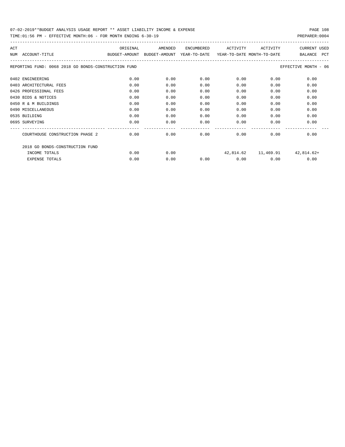TIME:01:56 PM - EFFECTIVE MONTH:06 - FOR MONTH ENDING 6-30-19 PREPARER:0004

| ACT                                                  | ORIGINAL                                 | AMENDED | <b>ENCUMBERED</b> | ACTIVITY                   | ACTIVITY | <b>CURRENT USED</b>   |
|------------------------------------------------------|------------------------------------------|---------|-------------------|----------------------------|----------|-----------------------|
| ACCOUNT-TITLE<br>NUM                                 | BUDGET-AMOUNT BUDGET-AMOUNT YEAR-TO-DATE |         |                   | YEAR-TO-DATE MONTH-TO-DATE |          | BALANCE<br><b>PCT</b> |
| REPORTING FUND: 0068 2018 GO BONDS-CONSTRUCTION FUND |                                          |         |                   |                            |          | EFFECTIVE MONTH - 06  |
| 0402 ENGINEERING                                     | 0.00                                     | 0.00    | 0.00              | 0.00                       | 0.00     | 0.00                  |
| 0403 ARCHITECTURAL FEES                              | 0.00                                     | 0.00    | 0.00              | 0.00                       | 0.00     | 0.00                  |
| 0426 PROFESSIONAL FEES                               | 0.00                                     | 0.00    | 0.00              | 0.00                       | 0.00     | 0.00                  |
| 0430 BIDS & NOTICES                                  | 0.00                                     | 0.00    | 0.00              | 0.00                       | 0.00     | 0.00                  |
| 0450 R & M BUILDINGS                                 | 0.00                                     | 0.00    | 0.00              | 0.00                       | 0.00     | 0.00                  |
| 0490 MISCELLANEOUS                                   | 0.00                                     | 0.00    | 0.00              | 0.00                       | 0.00     | 0.00                  |
| 0535 BUILDING                                        | 0.00                                     | 0.00    | 0.00              | 0.00                       | 0.00     | 0.00                  |
| 0695 SURVEYING                                       | 0.00                                     | 0.00    | 0.00              | 0.00                       | 0.00     | 0.00                  |
|                                                      |                                          |         |                   |                            |          |                       |
| COURTHOUSE CONSTRUCTION PHASE 2                      | 0.00                                     | 0.00    | 0.00              | 0.00                       | 0.00     | 0.00                  |
| 2018 GO BONDS-CONSTRUCTION FUND                      |                                          |         |                   |                            |          |                       |
| INCOME TOTALS                                        | 0.00                                     | 0.00    |                   | 42,814.62                  |          | 11,469.91 42,814.62+  |
| <b>EXPENSE TOTALS</b>                                | 0.00                                     | 0.00    | 0.00              | 0.00                       | 0.00     | 0.00                  |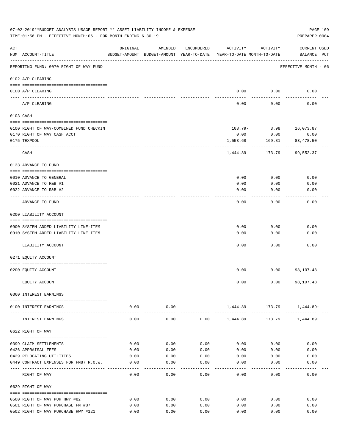|                    | 07-02-2019**BUDGET ANALYSIS USAGE REPORT ** ASSET LIABILITY INCOME & EXPENSE<br>TIME: 01:56 PM - EFFECTIVE MONTH: 06 - FOR MONTH ENDING 6-30-19 |                |                                                                                |            |          |                        | PAGE 109<br>PREPARER: 0004         |
|--------------------|-------------------------------------------------------------------------------------------------------------------------------------------------|----------------|--------------------------------------------------------------------------------|------------|----------|------------------------|------------------------------------|
| $\mathop{\rm ACT}$ | NUM ACCOUNT-TITLE                                                                                                                               | ORIGINAL       | AMENDED<br>BUDGET-AMOUNT BUDGET-AMOUNT YEAR-TO-DATE YEAR-TO-DATE MONTH-TO-DATE | ENCUMBERED | ACTIVITY | ACTIVITY               | <b>CURRENT USED</b><br>BALANCE PCT |
|                    | REPORTING FUND: 0070 RIGHT OF WAY FUND                                                                                                          |                |                                                                                |            |          |                        | EFFECTIVE MONTH - 06               |
|                    | 0102 A/P CLEARING                                                                                                                               |                |                                                                                |            |          |                        |                                    |
|                    | 0100 A/P CLEARING<br>---- ----------                                                                                                            |                |                                                                                |            |          | $0.00$ 0.00            | 0.00                               |
|                    | A/P CLEARING                                                                                                                                    |                |                                                                                |            | 0.00     | 0.00                   | 0.00                               |
|                    | 0103 CASH                                                                                                                                       |                |                                                                                |            |          |                        |                                    |
|                    | 0100 RIGHT OF WAY-COMBINED FUND CHECKIN                                                                                                         |                |                                                                                |            |          | 108.79- 3.98 16,073.87 |                                    |
|                    | 0170 RIGHT OF WAY CASH ACCT.                                                                                                                    |                |                                                                                |            | 0.00     | 0.00                   | 0.00                               |
|                    | 0175 TEXPOOL                                                                                                                                    |                |                                                                                |            | 1,553.68 | 169.81                 | 83,478.50                          |
|                    | CASH                                                                                                                                            |                |                                                                                |            | 1,444.89 | 173.79                 | 99,552.37                          |
|                    | 0133 ADVANCE TO FUND                                                                                                                            |                |                                                                                |            |          |                        |                                    |
|                    | 0010 ADVANCE TO GENERAL                                                                                                                         |                |                                                                                |            | 0.00     | 0.00                   | 0.00                               |
|                    | 0021 ADVANCE TO R&B #1                                                                                                                          |                |                                                                                |            | 0.00     | 0.00                   | 0.00                               |
|                    | 0022 ADVANCE TO R&B #2                                                                                                                          |                |                                                                                |            | 0.00     | 0.00                   | 0.00                               |
|                    |                                                                                                                                                 |                |                                                                                |            |          |                        |                                    |
|                    | ADVANCE TO FUND                                                                                                                                 |                |                                                                                |            | 0.00     | 0.00                   | 0.00                               |
|                    | 0200 LIABILITY ACCOUNT                                                                                                                          |                |                                                                                |            |          |                        |                                    |
|                    | 0900 SYSTEM ADDED LIABILITY LINE-ITEM                                                                                                           |                |                                                                                |            | 0.00     | 0.00                   | 0.00                               |
|                    | 0910 SYSTEM ADDED LIABILITY LINE-ITEM                                                                                                           |                |                                                                                |            | 0.00     | 0.00                   | 0.00                               |
|                    |                                                                                                                                                 |                |                                                                                |            |          |                        |                                    |
|                    | LIABILITY ACCOUNT                                                                                                                               |                |                                                                                |            | 0.00     | 0.00                   | 0.00                               |
|                    | 0271 EQUITY ACCOUNT                                                                                                                             |                |                                                                                |            |          |                        |                                    |
|                    | 0200 EQUITY ACCOUNT                                                                                                                             |                |                                                                                |            | 0.00     |                        | $0.00$ 98,107.48                   |
|                    | EQUITY ACCOUNT                                                                                                                                  |                |                                                                                |            | 0.00     |                        | $0.00$ 98,107.48                   |
|                    | 0360 INTEREST EARNINGS                                                                                                                          |                |                                                                                |            |          |                        |                                    |
|                    | 0100 INTEREST EARNINGS                                                                                                                          | 0.00           | 0.00                                                                           |            |          |                        | 1,444.89 173.79 1,444.89+          |
|                    | INTEREST EARNINGS                                                                                                                               | ------<br>0.00 | ---------<br>0.00                                                              | 0.00       | 1,444.89 | 173.79                 | 1,444.89+                          |
|                    | 0622 RIGHT OF WAY                                                                                                                               |                |                                                                                |            |          |                        |                                    |
|                    |                                                                                                                                                 |                |                                                                                |            |          |                        |                                    |
|                    | 0399 CLAIM SETTLEMENTS                                                                                                                          | 0.00           | 0.00                                                                           | 0.00       | 0.00     | 0.00                   | 0.00                               |
|                    | 0426 APPRAISAL FEES                                                                                                                             | 0.00           | 0.00                                                                           | 0.00       | 0.00     | 0.00                   | 0.00                               |
|                    | 0429 RELOCATING UTILITIES<br>0449 CONTRACT EXPENSES FOR FM87 R.O.W.                                                                             | 0.00           | 0.00                                                                           | 0.00       | 0.00     | 0.00                   | 0.00                               |
|                    |                                                                                                                                                 | 0.00           | 0.00                                                                           | 0.00       | 0.00     | 0.00                   | 0.00                               |
|                    | RIGHT OF WAY                                                                                                                                    | 0.00           | 0.00                                                                           | 0.00       | 0.00     | 0.00                   | 0.00                               |
|                    | 0629 RIGHT OF WAY                                                                                                                               |                |                                                                                |            |          |                        |                                    |
|                    | 0500 RIGHT OF WAY PUR HWY #82                                                                                                                   | 0.00           | 0.00                                                                           | 0.00       | 0.00     | 0.00                   | 0.00                               |
|                    | 0501 RIGHT OF WAY PURCHASE FM #87                                                                                                               | 0.00           | 0.00                                                                           | 0.00       | 0.00     | 0.00                   | 0.00                               |
|                    | 0502 RIGHT OF WAY PURCHASE HWY #121                                                                                                             | 0.00           | 0.00                                                                           | 0.00       | 0.00     | 0.00                   | 0.00                               |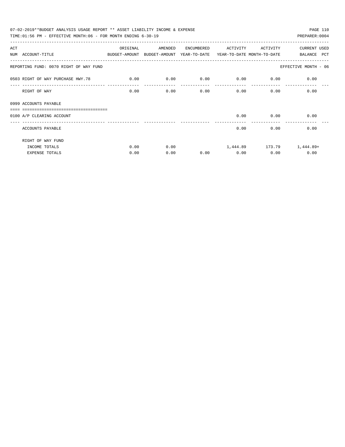| 07-02-2019**BUDGET ANALYSIS USAGE REPORT ** ASSET LIABILITY INCOME & EXPENSE<br>PAGE 110 |             |         |            |             |              |                           |  |  |  |
|------------------------------------------------------------------------------------------|-------------|---------|------------|-------------|--------------|---------------------------|--|--|--|
| TIME:01:56 PM - EFFECTIVE MONTH:06 - FOR MONTH ENDING 6-30-19                            |             |         |            |             |              | PREPARER: 0004            |  |  |  |
| ACT                                                                                      | ORIGINAL    | AMENDED | ENCUMBERED | ACTIVITY    | ACTIVITY     | CURRENT USED              |  |  |  |
| NUM ACCOUNT-TITLE<br>BUDGET-AMOUNT BUDGET-AMOUNT YEAR-TO-DATE YEAR-TO-DATE_MONTH-TO-DATE |             |         |            |             |              | BALANCE PCT               |  |  |  |
| REPORTING FUND: 0070 RIGHT OF WAY FUND                                                   |             |         |            |             |              | EFFECTIVE MONTH - 06      |  |  |  |
| 0503 RIGHT OF WAY PURCHASE HWY.78                                                        | $\sim$ 0.00 | 0.00    | 0.00       | $0.00$ 0.00 |              | 0.00                      |  |  |  |
| RIGHT OF WAY                                                                             | 0.00        | 0.00    | 0.00       |             | 0.00<br>0.00 | 0.00                      |  |  |  |
| 0999 ACCOUNTS PAYABLE<br>_______________________________                                 |             |         |            |             |              |                           |  |  |  |
| 0100 A/P CLEARING ACCOUNT                                                                |             |         |            |             | $0.00$ 0.00  | 0.00                      |  |  |  |
| ACCOUNTS PAYABLE                                                                         |             |         |            | 0.00        | 0.00         | 0.00                      |  |  |  |
| RIGHT OF WAY FUND                                                                        |             |         |            |             |              |                           |  |  |  |
| INCOME TOTALS                                                                            | 0.00        | 0.00    |            |             |              | 1,444.89 173.79 1,444.89+ |  |  |  |
| <b>EXPENSE TOTALS</b>                                                                    | 0.00        | 0.00    | 0.00       | 0.00        | 0.00         | 0.00                      |  |  |  |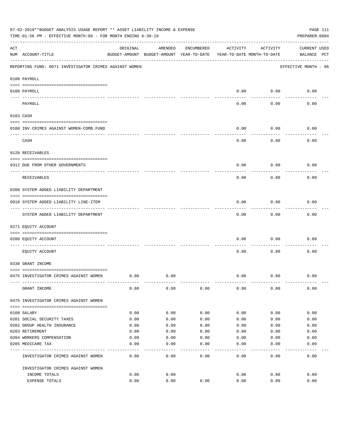|     | 07-02-2019**BUDGET ANALYSIS USAGE REPORT ** ASSET LIABILITY INCOME & EXPENSE<br>TIME:01:56 PM - EFFECTIVE MONTH:06 - FOR MONTH ENDING 6-30-19 |                                                      |         |            |          |                                        | PAGE 111<br>PREPARER: 0004         |
|-----|-----------------------------------------------------------------------------------------------------------------------------------------------|------------------------------------------------------|---------|------------|----------|----------------------------------------|------------------------------------|
| ACT | NUM ACCOUNT-TITLE                                                                                                                             | ORIGINAL<br>BUDGET-AMOUNT BUDGET-AMOUNT YEAR-TO-DATE | AMENDED | ENCUMBERED | ACTIVITY | ACTIVITY<br>YEAR-TO-DATE MONTH-TO-DATE | <b>CURRENT USED</b><br>BALANCE PCT |
|     | REPORTING FUND: 0071 INVESTIGATOR CRIMES AGAINST WOMEN                                                                                        |                                                      |         |            |          |                                        | EFFECTIVE MONTH - 06               |
|     | 0100 PAYROLL                                                                                                                                  |                                                      |         |            |          |                                        |                                    |
|     | 0100 PAYROLL                                                                                                                                  |                                                      |         |            | 0.00     | 0.00                                   | 0.00                               |
|     | ---- ----<br>PAYROLL                                                                                                                          |                                                      |         |            | 0.00     | 0.00                                   | 0.00                               |
|     | 0103 CASH                                                                                                                                     |                                                      |         |            |          |                                        |                                    |
|     | 0100 INV. CRIMES AGAINST WOMEN-COMB. FUND                                                                                                     |                                                      |         |            | 0.00     | 0.00                                   | 0.00                               |
|     | CASH                                                                                                                                          |                                                      |         |            | 0.00     | 0.00                                   | 0.00                               |
|     | 0120 RECEIVABLES                                                                                                                              |                                                      |         |            |          |                                        |                                    |
|     | 0312 DUE FROM OTHER GOVERNMENTS                                                                                                               |                                                      |         |            | 0.00     | 0.00                                   | 0.00                               |
|     | RECEIVABLES                                                                                                                                   |                                                      |         |            | 0.00     | 0.00                                   | 0.00                               |
|     | 0200 SYSTEM ADDED LIABILITY DEPARTMENT                                                                                                        |                                                      |         |            |          |                                        |                                    |
|     | 0910 SYSTEM ADDED LIABILITY LINE-ITEM                                                                                                         |                                                      |         |            | 0.00     | 0.00                                   | 0.00                               |
|     | SYSTEM ADDED LIABILITY DEPARTMENT                                                                                                             |                                                      |         |            | 0.00     | 0.00                                   | 0.00                               |
|     | 0271 EQUITY ACCOUNT                                                                                                                           |                                                      |         |            |          |                                        |                                    |
|     | 0200 EQUITY ACCOUNT                                                                                                                           |                                                      |         |            | 0.00     | 0.00                                   | 0.00                               |
|     | EQUITY ACCOUNT                                                                                                                                |                                                      |         |            | 0.00     | 0.00                                   | 0.00                               |
|     | 0330 GRANT INCOME                                                                                                                             |                                                      |         |            |          |                                        |                                    |
|     | 0475 INVESTIGATOR CRIMES AGAINST WOMEN                                                                                                        | 0.00                                                 | 0.00    |            | 0.00     | 0.00                                   | 0.00                               |
|     | GRANT INCOME                                                                                                                                  | 0.00                                                 | 0.00    | 0.00       | 0.00     | 0.00                                   | 0.00                               |
|     | 0475 INVESTIGATOR CRIMES AGAINST WOMEN                                                                                                        |                                                      |         |            |          |                                        |                                    |
|     | 0108 SALARY                                                                                                                                   | 0.00                                                 | 0.00    | 0.00       | 0.00     | 0.00                                   | 0.00                               |
|     | 0201 SOCIAL SECURITY TAXES                                                                                                                    | 0.00                                                 | 0.00    | 0.00       | 0.00     | 0.00                                   | 0.00                               |
|     | 0202 GROUP HEALTH INSURANCE                                                                                                                   | 0.00                                                 | 0.00    | 0.00       | 0.00     | 0.00                                   | 0.00                               |
|     | 0203 RETIREMENT                                                                                                                               | 0.00                                                 | 0.00    | 0.00       | 0.00     | 0.00                                   | 0.00                               |
|     | 0204 WORKERS COMPENSATION                                                                                                                     | 0.00                                                 | 0.00    | 0.00       | 0.00     | 0.00                                   | 0.00                               |
|     | 0205 MEDICARE TAX                                                                                                                             | 0.00                                                 | 0.00    | 0.00       | 0.00     | 0.00                                   | 0.00                               |
|     | INVESTIGATOR CRIMES AGAINST WOMEN                                                                                                             | 0.00                                                 | 0.00    | 0.00       | 0.00     | 0.00                                   | 0.00                               |
|     | INVESTIGATOR CRIMES AGAINST WOMEN                                                                                                             |                                                      |         |            |          |                                        |                                    |
|     | INCOME TOTALS                                                                                                                                 | 0.00                                                 | 0.00    |            | 0.00     | 0.00                                   | 0.00                               |
|     | EXPENSE TOTALS                                                                                                                                | 0.00                                                 | 0.00    | 0.00       | 0.00     | 0.00                                   | 0.00                               |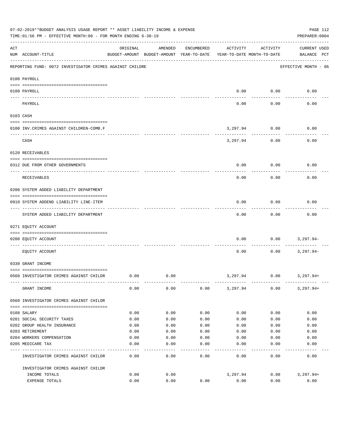|          | 07-02-2019**BUDGET ANALYSIS USAGE REPORT ** ASSET LIABILITY INCOME & EXPENSE<br>TIME:01:56 PM - EFFECTIVE MONTH:06 - FOR MONTH ENDING 6-30-19 |          |                                                     |            |                                        |                    | PAGE 112<br>PREPARER: 0004         |
|----------|-----------------------------------------------------------------------------------------------------------------------------------------------|----------|-----------------------------------------------------|------------|----------------------------------------|--------------------|------------------------------------|
| ACT      | NUM ACCOUNT-TITLE                                                                                                                             | ORIGINAL | AMENDED<br>BUDGET-AMOUNT BUDGET-AMOUNT YEAR-TO-DATE | ENCUMBERED | ACTIVITY<br>YEAR-TO-DATE MONTH-TO-DATE | ACTIVITY           | <b>CURRENT USED</b><br>BALANCE PCT |
|          | REPORTING FUND: 0072 INVESTIGATOR CRIMES AGAINST CHILDRE                                                                                      |          |                                                     |            |                                        |                    | EFFECTIVE MONTH - 06               |
|          | 0100 PAYROLL                                                                                                                                  |          |                                                     |            |                                        |                    |                                    |
| ---- --- | 0100 PAYROLL                                                                                                                                  |          |                                                     |            | 0.00                                   | 0.00               | 0.00                               |
|          | PAYROLL                                                                                                                                       |          |                                                     |            | 0.00                                   | 0.00               | 0.00                               |
|          | 0103 CASH                                                                                                                                     |          |                                                     |            |                                        |                    |                                    |
|          | 0100 INV. CRIMES AGAINST CHILDREN-COMB.F                                                                                                      |          |                                                     |            | 3,297.94                               | 0.00               | 0.00                               |
|          | CASH                                                                                                                                          |          |                                                     |            | 3,297.94                               | ----------<br>0.00 | 0.00                               |
|          | 0120 RECEIVABLES                                                                                                                              |          |                                                     |            |                                        |                    |                                    |
|          | 0312 DUE FROM OTHER GOVERNMENTS                                                                                                               |          |                                                     |            | 0.00                                   | 0.00               | 0.00                               |
|          | RECEIVABLES                                                                                                                                   |          |                                                     |            | 0.00                                   | 0.00               | 0.00                               |
|          | 0200 SYSTEM ADDED LIABILITY DEPARTMENT                                                                                                        |          |                                                     |            |                                        |                    |                                    |
|          | 0910 SYSTEM ADDEND LIABILITY LINE-ITEM                                                                                                        |          |                                                     |            | 0.00                                   | 0.00               | 0.00                               |
|          | SYSTEM ADDED LIABILITY DEPARTMENT                                                                                                             |          |                                                     |            | 0.00                                   | 0.00               | 0.00                               |
|          | 0271 EQUITY ACCOUNT                                                                                                                           |          |                                                     |            |                                        |                    |                                    |
|          | 0200 EQUITY ACCOUNT                                                                                                                           |          |                                                     |            | 0.00                                   | 0.00               | 3,297.94-                          |
|          | EQUITY ACCOUNT                                                                                                                                |          |                                                     |            | 0.00                                   | 0.00               | $3,297.94-$                        |
|          | 0330 GRANT INCOME                                                                                                                             |          |                                                     |            |                                        |                    |                                    |
|          | 0560 INVESTIGATOR CRIMES AGAINST CHILDR                                                                                                       | 0.00     | 0.00                                                |            | 3,297.94                               | 0.00               | 3,297.94+                          |
|          | GRANT INCOME                                                                                                                                  | 0.00     | 0.00                                                | 0.00       | 3,297.94                               | 0.00               | $3,297.94+$                        |
|          | 0560 INVESTIGATOR CRIMES AGAINST CHILDR                                                                                                       |          |                                                     |            |                                        |                    |                                    |
|          | 0108 SALARY                                                                                                                                   | 0.00     | 0.00                                                | 0.00       | 0.00                                   | 0.00               | 0.00                               |
|          | 0201 SOCIAL SECURITY TAXES                                                                                                                    | 0.00     | 0.00                                                | 0.00       | 0.00                                   | 0.00               | 0.00                               |
|          | 0202 GROUP HEALTH INSURANCE                                                                                                                   | 0.00     | 0.00                                                | 0.00       | 0.00                                   | 0.00               | 0.00                               |
|          | 0203 RETIREMENT                                                                                                                               | 0.00     | 0.00                                                | 0.00       | 0.00                                   | 0.00               | 0.00                               |
|          | 0204 WORKERS COMPENSATION                                                                                                                     | 0.00     | 0.00                                                | 0.00       | 0.00                                   | 0.00               | 0.00                               |
|          | 0205 MEDICARE TAX                                                                                                                             | 0.00     | 0.00                                                | 0.00       | 0.00                                   | 0.00               | 0.00                               |
|          | INVESTIGATOR CRIMES AGAINST CHILDR                                                                                                            | 0.00     | 0.00                                                | 0.00       | 0.00                                   | 0.00               | 0.00                               |
|          | INVESTIGATOR CRIMES AGAINST CHILDR                                                                                                            |          |                                                     |            |                                        |                    |                                    |
|          | INCOME TOTALS                                                                                                                                 | 0.00     | 0.00                                                |            | 3,297.94                               | 0.00               | $3,297.94+$                        |
|          | EXPENSE TOTALS                                                                                                                                | 0.00     | 0.00                                                | 0.00       | 0.00                                   | 0.00               | 0.00                               |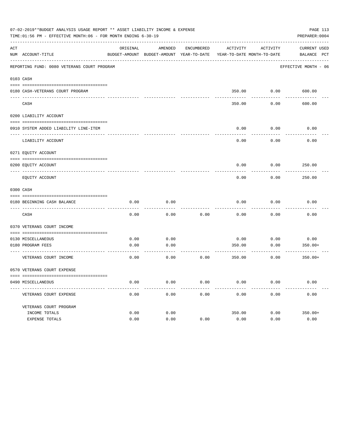|     | 07-02-2019**BUDGET ANALYSIS USAGE REPORT ** ASSET LIABILITY INCOME & EXPENSE<br>TIME:01:56 PM - EFFECTIVE MONTH:06 - FOR MONTH ENDING 6-30-19 |          |                                                     |            |          |                                        | PREPARER: 0004                     | PAGE 113 |
|-----|-----------------------------------------------------------------------------------------------------------------------------------------------|----------|-----------------------------------------------------|------------|----------|----------------------------------------|------------------------------------|----------|
| ACT | NUM ACCOUNT-TITLE                                                                                                                             | ORIGINAL | AMENDED<br>BUDGET-AMOUNT BUDGET-AMOUNT YEAR-TO-DATE | ENCUMBERED | ACTIVITY | ACTIVITY<br>YEAR-TO-DATE MONTH-TO-DATE | <b>CURRENT USED</b><br>BALANCE PCT |          |
|     | REPORTING FUND: 0080 VETERANS COURT PROGRAM                                                                                                   |          |                                                     |            |          |                                        | EFFECTIVE MONTH - 06               |          |
|     | 0103 CASH                                                                                                                                     |          |                                                     |            |          |                                        |                                    |          |
|     | 0180 CASH-VETERANS COURT PROGRAM                                                                                                              |          |                                                     |            |          | 350.00 0.00                            | 600.00                             |          |
|     | CASH                                                                                                                                          |          |                                                     |            | 350.00   | 0.00                                   | 600.00                             |          |
|     | 0200 LIABILITY ACCOUNT                                                                                                                        |          |                                                     |            |          |                                        |                                    |          |
|     | 0910 SYSTEM ADDED LIABILITY LINE-ITEM                                                                                                         |          |                                                     |            | 0.00     | 0.00                                   | 0.00                               |          |
|     | LIABILITY ACCOUNT                                                                                                                             |          |                                                     |            | 0.00     | 0.00                                   | 0.00                               |          |
|     | 0271 EQUITY ACCOUNT                                                                                                                           |          |                                                     |            |          |                                        |                                    |          |
|     | 0200 EQUITY ACCOUNT                                                                                                                           |          |                                                     |            | 0.00     | 0.00                                   | 250.00                             |          |
|     | EQUITY ACCOUNT                                                                                                                                |          |                                                     |            | 0.00     | 0.00                                   | 250.00                             |          |
|     | 0300 CASH                                                                                                                                     |          |                                                     |            |          |                                        |                                    |          |
|     | 0180 BEGINNING CASH BALANCE<br>_________________________________                                                                              | 0.00     | 0.00                                                |            | 0.00     | 0.00                                   | 0.00                               |          |
|     | CASH                                                                                                                                          | 0.00     | 0.00                                                | 0.00       | 0.00     | 0.00                                   | 0.00                               |          |
|     | 0370 VETERANS COURT INCOME                                                                                                                    |          |                                                     |            |          |                                        |                                    |          |
|     | 0130 MISCELLANEOUS                                                                                                                            | 0.00     | 0.00                                                |            | 0.00     | 0.00                                   | 0.00                               |          |
|     | 0180 PROGRAM FEES                                                                                                                             | 0.00     | 0.00                                                |            | 350.00   | 0.00                                   | $350.00+$                          |          |
|     | VETERANS COURT INCOME                                                                                                                         | 0.00     | 0.00                                                | 0.00       | 350.00   | 0.00                                   | $350.00+$                          |          |
|     | 0570 VETERANS COURT EXPENSE                                                                                                                   |          |                                                     |            |          |                                        |                                    |          |
|     | 0490 MISCELLANEOUS                                                                                                                            | 0.00     | 0.00                                                | 0.00       | 0.00     | 0.00                                   | 0.00                               |          |
|     | VETERANS COURT EXPENSE                                                                                                                        | 0.00     | 0.00                                                | 0.00       | 0.00     | 0.00                                   | 0.00                               |          |
|     | VETERANS COURT PROGRAM                                                                                                                        |          |                                                     |            |          |                                        |                                    |          |
|     | INCOME TOTALS                                                                                                                                 | 0.00     | 0.00                                                |            | 350.00   | 0.00                                   | $350.00+$                          |          |
|     | EXPENSE TOTALS                                                                                                                                | 0.00     | 0.00                                                | 0.00       | 0.00     | 0.00                                   | 0.00                               |          |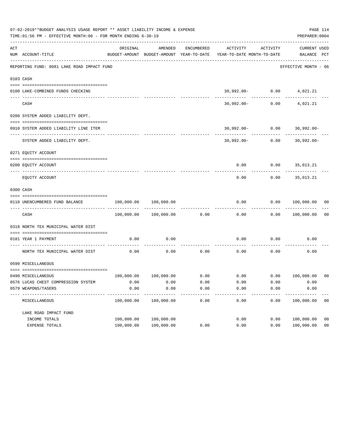|     | 07-02-2019**BUDGET ANALYSIS USAGE REPORT ** ASSET LIABILITY INCOME & EXPENSE<br>TIME: 01:56 PM - EFFECTIVE MONTH: 06 - FOR MONTH ENDING 6-30-19 |                                                      |                       |            |                                                                           |                    | PREPARER: 0004                   | PAGE 114       |
|-----|-------------------------------------------------------------------------------------------------------------------------------------------------|------------------------------------------------------|-----------------------|------------|---------------------------------------------------------------------------|--------------------|----------------------------------|----------------|
| ACT | NUM ACCOUNT-TITLE                                                                                                                               | ORIGINAL<br>BUDGET-AMOUNT BUDGET-AMOUNT YEAR-TO-DATE | AMENDED               | ENCUMBERED | ACTIVITY<br>YEAR-TO-DATE MONTH-TO-DATE                                    | ACTIVITY           | CURRENT USED<br>BALANCE PCT      |                |
|     | REPORTING FUND: 0081 LAKE ROAD IMPACT FUND                                                                                                      |                                                      |                       |            |                                                                           |                    | EFFECTIVE MONTH - 06             |                |
|     | 0103 CASH                                                                                                                                       |                                                      |                       |            |                                                                           |                    |                                  |                |
|     | 0100 LAKE-COMBINED FUNDS CHECKING                                                                                                               |                                                      |                       |            |                                                                           |                    | $30,992.00 - 0.00$ 4,021.21      |                |
|     | CASH                                                                                                                                            |                                                      |                       |            |                                                                           | $30,992.00 - 0.00$ | 4,021.21                         |                |
|     | 0200 SYSTEM ADDED LIABILITY DEPT.                                                                                                               |                                                      |                       |            |                                                                           |                    |                                  |                |
|     | 0910 SYSTEM ADDED LIABILITY LINE ITEM                                                                                                           |                                                      |                       |            |                                                                           |                    | $30,992.00 - 0.00$ 30,992.00-    |                |
|     | SYSTEM ADDED LIABILITY DEPT.                                                                                                                    |                                                      |                       |            |                                                                           |                    | $30,992.00 - 0.00$ $30,992.00 -$ |                |
|     | 0271 EQUITY ACCOUNT                                                                                                                             |                                                      |                       |            |                                                                           |                    |                                  |                |
|     | 0200 EQUITY ACCOUNT                                                                                                                             |                                                      |                       |            |                                                                           |                    | $0.00$ $0.00$ $35,013.21$        |                |
|     | EQUITY ACCOUNT                                                                                                                                  |                                                      |                       |            | 0.00                                                                      | 0.00               | 35,013.21                        |                |
|     | 0300 CASH                                                                                                                                       |                                                      |                       |            |                                                                           |                    |                                  |                |
|     | 0110 UNENCUMBERED FUND BALANCE                                                                                                                  | $100,000.00$ $100,000.00$                            |                       |            | 0.00                                                                      |                    | $0.00$ $100,000.00$ 00           |                |
|     | CASH                                                                                                                                            |                                                      | 100,000.00 100,000.00 | 0.00       | 0.00                                                                      |                    | 0.00 100,000.00                  | 0 <sub>0</sub> |
|     | 0318 NORTH TEX MUNICIPAL WATER DIST                                                                                                             |                                                      |                       |            |                                                                           |                    |                                  |                |
|     | 0181 YEAR 1 PAYMENT<br>--------------------------- ----------                                                                                   | 0.00                                                 | 0.00                  |            | 0.00                                                                      |                    | $0.00$ 0.00                      |                |
|     | NORTH TEX MUNICIPAL WATER DIST                                                                                                                  | 0.00                                                 | 0.00                  | 0.00       | 0.00                                                                      | 0.00               | 0.00                             |                |
|     | 0590 MISCELLANEOUS                                                                                                                              |                                                      |                       |            |                                                                           |                    |                                  |                |
|     | 0490 MISCELLANEOUS                                                                                                                              |                                                      |                       |            | $100,000.00$ $100,000.00$ $0.00$ $0.00$ $0.00$ $0.00$ $0.00$ $100,000.00$ |                    |                                  | 00             |
|     | 0576 LUCAS CHEST COMPRESSION SYSTEM                                                                                                             | 0.00                                                 | 0.00                  | 0.00       | 0.00                                                                      | 0.00               | 0.00                             |                |
|     | 0579 WEAPONS/TASERS                                                                                                                             | 0.00                                                 | 0.00                  | 0.00       | 0.00                                                                      | 0.00               | 0.00                             |                |
|     | MISCELLANEOUS                                                                                                                                   | 100,000.00                                           | 100,000.00            | 0.00       | 0.00                                                                      | 0.00               | 100,000.00                       | 0 <sub>0</sub> |
|     | LAKE ROAD IMPACT FUND                                                                                                                           |                                                      |                       |            |                                                                           |                    |                                  |                |
|     | INCOME TOTALS                                                                                                                                   | 100,000.00                                           | 100,000.00            |            | 0.00                                                                      | 0.00               | 100,000.00                       | 0 <sub>0</sub> |
|     | EXPENSE TOTALS                                                                                                                                  | 100,000.00                                           | 100,000.00            | 0.00       | 0.00                                                                      | 0.00               | 100,000.00                       | 0 <sub>0</sub> |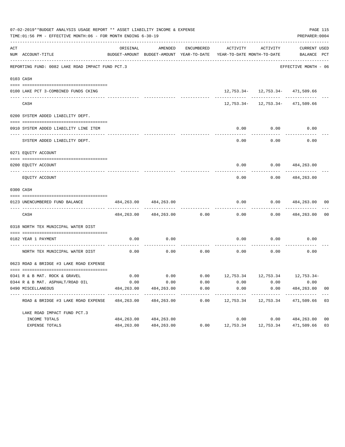|     | 07-02-2019**BUDGET ANALYSIS USAGE REPORT ** ASSET LIABILITY INCOME & EXPENSE<br>TIME:01:56 PM - EFFECTIVE MONTH:06 - FOR MONTH ENDING 6-30-19 |            |                             |            |                                                                                 |                                     | PREPARER: 0004              | PAGE 115       |
|-----|-----------------------------------------------------------------------------------------------------------------------------------------------|------------|-----------------------------|------------|---------------------------------------------------------------------------------|-------------------------------------|-----------------------------|----------------|
| ACT | NUM ACCOUNT-TITLE                                                                                                                             | ORIGINAL   | AMENDED                     | ENCUMBERED | ACTIVITY<br>BUDGET-AMOUNT BUDGET-AMOUNT YEAR-TO-DATE YEAR-TO-DATE MONTH-TO-DATE | ACTIVITY                            | CURRENT USED<br>BALANCE PCT |                |
|     | REPORTING FUND: 0082 LAKE ROAD IMPACT FUND PCT.3                                                                                              |            |                             |            |                                                                                 |                                     | EFFECTIVE MONTH - 06        |                |
|     | 0103 CASH                                                                                                                                     |            |                             |            |                                                                                 |                                     |                             |                |
|     | 0100 LAKE PCT 3-COMBINED FUNDS CKING                                                                                                          |            |                             |            |                                                                                 | 12, 753.34- 12, 753.34- 471, 509.66 |                             |                |
|     | CASH                                                                                                                                          |            |                             |            |                                                                                 | 12, 753.34- 12, 753.34- 471, 509.66 |                             |                |
|     | 0200 SYSTEM ADDED LIABILITY DEPT.                                                                                                             |            |                             |            |                                                                                 |                                     |                             |                |
|     | 0910 SYSTEM ADDED LIABILITY LINE ITEM                                                                                                         |            |                             |            | 0.00                                                                            | 0.00                                | 0.00                        |                |
|     | SYSTEM ADDED LIABILITY DEPT.                                                                                                                  |            |                             |            | 0.00                                                                            | 0.00                                | 0.00                        |                |
|     | 0271 EQUITY ACCOUNT                                                                                                                           |            |                             |            |                                                                                 |                                     |                             |                |
|     | 0200 EOUITY ACCOUNT                                                                                                                           |            |                             |            | 0.00                                                                            |                                     | $0.00$ $484,263.00$         |                |
|     | EQUITY ACCOUNT                                                                                                                                |            |                             |            | 0.00                                                                            | 0.00                                | 484,263.00                  |                |
|     | 0300 CASH                                                                                                                                     |            |                             |            |                                                                                 |                                     |                             |                |
|     | 0123 UNENCUMBERED FUND BALANCE                                                                                                                | 484,263.00 | 484,263.00                  |            | 0.00                                                                            | 0.00                                | 484,263.00 00               |                |
|     | CASH                                                                                                                                          |            | 484,263.00 484,263.00       | 0.00       | 0.00                                                                            |                                     | $0.00$ $484,263.00$         | 00             |
|     | 0318 NORTH TEX MUNICIPAL WATER DIST                                                                                                           |            |                             |            |                                                                                 |                                     |                             |                |
|     | 0182 YEAR 1 PAYMENT                                                                                                                           | 0.00       | 0.00                        |            | 0.00                                                                            | 0.00                                | 0.00                        |                |
|     | NORTH TEX MUNICIPAL WATER DIST                                                                                                                | 0.00       | 0.00                        | 0.00       | 0.00                                                                            | 0.00                                | 0.00                        |                |
|     | 0623 ROAD & BRIDGE #3 LAKE ROAD EXPENSE                                                                                                       |            |                             |            |                                                                                 |                                     |                             |                |
|     | 0341 R & B MAT. ROCK & GRAVEL                                                                                                                 | 0.00       |                             |            | $0.00$ $0.00$ $12,753.34$ $12,753.34$ $12,753.34$                               |                                     |                             |                |
|     | 0344 R & B MAT. ASPHALT/ROAD OIL                                                                                                              | 0.00       | 0.00                        | 0.00       | 0.00                                                                            | 0.00                                | 0.00                        |                |
|     | 0490 MISCELLANEOUS                                                                                                                            | 484,263.00 | 484,263.00                  | 0.00       | 0.00<br>-----------                                                             | 0.00<br>-------------               | 484,263.00                  | 0 <sub>0</sub> |
|     | ROAD & BRIDGE #3 LAKE ROAD EXPENSE                                                                                                            | 484,263.00 | -------------<br>484,263.00 | 0.00       | 12,753.34                                                                       | 12,753.34                           | 471,509.66                  | 03             |
|     | LAKE ROAD IMPACT FUND PCT.3                                                                                                                   |            |                             |            |                                                                                 |                                     |                             |                |
|     | INCOME TOTALS                                                                                                                                 | 484,263.00 | 484,263.00                  |            | 0.00                                                                            | 0.00                                | 484,263.00                  | 0 <sub>0</sub> |
|     | EXPENSE TOTALS                                                                                                                                | 484,263.00 | 484,263.00                  | 0.00       | 12,753.34                                                                       | 12,753.34                           | 471,509.66                  | 03             |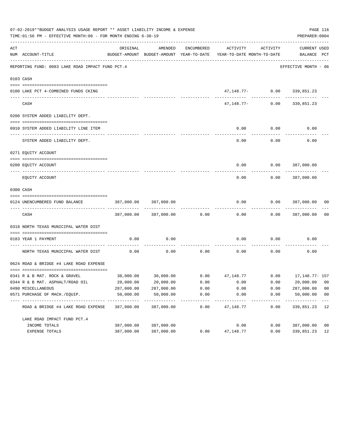|     | 07-02-2019**BUDGET ANALYSIS USAGE REPORT ** ASSET LIABILITY INCOME & EXPENSE<br>TIME:01:56 PM - EFFECTIVE MONTH:06 - FOR MONTH ENDING 6-30-19 |            |                            |            |                                                                                 |                              | PAGE 116<br>PREPARER: 0004         |                         |
|-----|-----------------------------------------------------------------------------------------------------------------------------------------------|------------|----------------------------|------------|---------------------------------------------------------------------------------|------------------------------|------------------------------------|-------------------------|
| ACT | NUM ACCOUNT-TITLE                                                                                                                             | ORIGINAL   | AMENDED                    | ENCUMBERED | ACTIVITY<br>BUDGET-AMOUNT BUDGET-AMOUNT YEAR-TO-DATE YEAR-TO-DATE MONTH-TO-DATE | ACTIVITY                     | <b>CURRENT USED</b><br>BALANCE PCT |                         |
|     | REPORTING FUND: 0083 LAKE ROAD IMPACT FUND PCT.4                                                                                              |            |                            |            |                                                                                 |                              | EFFECTIVE MONTH - 06               |                         |
|     | 0103 CASH                                                                                                                                     |            |                            |            |                                                                                 |                              |                                    |                         |
|     | 0100 LAKE PCT 4-COMBINED FUNDS CKING                                                                                                          |            |                            |            |                                                                                 | 47, 148.77- 0.00 339, 851.23 |                                    |                         |
|     | CASH                                                                                                                                          |            |                            |            |                                                                                 | $47,148.77-$ 0.00            | --------<br>339,851.23             |                         |
|     | 0200 SYSTEM ADDED LIABILITY DEPT.                                                                                                             |            |                            |            |                                                                                 |                              |                                    |                         |
|     | 0910 SYSTEM ADDED LIABILITY LINE ITEM                                                                                                         |            |                            |            | 0.00                                                                            | 0.00                         | 0.00                               |                         |
|     | SYSTEM ADDED LIABILITY DEPT.                                                                                                                  |            |                            |            | 0.00                                                                            | 0.00                         | 0.00                               |                         |
|     | 0271 EQUITY ACCOUNT                                                                                                                           |            |                            |            |                                                                                 |                              |                                    |                         |
|     | 0200 EQUITY ACCOUNT                                                                                                                           |            |                            |            | 0.00                                                                            | 0.00                         | 387,000.00                         |                         |
|     | EQUITY ACCOUNT                                                                                                                                |            |                            |            | 0.00                                                                            | 0.00                         | 387,000.00                         |                         |
|     | 0300 CASH                                                                                                                                     |            |                            |            |                                                                                 |                              |                                    |                         |
|     | 0124 UNENCUMBERED FUND BALANCE                                                                                                                | 387,000.00 | 387,000.00                 |            | 0.00                                                                            | 0.00                         | 387,000.00                         | 00                      |
|     | CASH                                                                                                                                          | 387,000.00 | 387,000.00                 | 0.00       | 0.00                                                                            | 0.00                         | 387,000.00                         | 00                      |
|     | 0318 NORTH TEXAS MUNICIPAL WATER DIST                                                                                                         |            |                            |            |                                                                                 |                              |                                    |                         |
|     | 0183 YEAR 1 PAYMENT                                                                                                                           | 0.00       | 0.00                       |            | 0.00                                                                            | 0.00                         | 0.00                               |                         |
|     | NORTH TEXAS MUNICIPAL WATER DIST                                                                                                              | 0.00       | 0.00                       | 0.00       | 0.00                                                                            | 0.00                         | 0.00                               |                         |
|     | 0624 ROAD & BRIDGE #4 LAKE ROAD EXPENSE                                                                                                       |            |                            |            |                                                                                 |                              |                                    |                         |
|     | 0341 R & B MAT. ROCK & GRAVEL                                                                                                                 |            |                            |            | $30,000.00$ $30,000.00$ $0.00$ $47,148.77$ $0.00$ $17,148.77$ $157$             |                              |                                    |                         |
|     | 0344 R & B MAT. ASPHALT/ROAD OIL                                                                                                              | 20,000.00  | 20,000.00                  | 0.00       | 0.00                                                                            | 0.00                         | 20,000.00                          | 00                      |
|     | 0490 MISCELLANEOUS                                                                                                                            | 287,000.00 | 287,000.00                 | 0.00       | 0.00                                                                            | 0.00                         | 287,000.00                         | 0 <sub>0</sub>          |
|     | 0571 PURCHASE OF MACH./EOUIP.                                                                                                                 | 50,000.00  | 50,000.00<br>------------- | 0.00       | 0.00<br>----------                                                              | 0.00                         | 50,000.00<br>-----------           | 0 <sub>0</sub><br>$---$ |
|     | ROAD & BRIDGE #4 LAKE ROAD EXPENSE                                                                                                            | 387,000.00 | 387,000.00                 | 0.00       | 47,148.77                                                                       | 0.00                         | 339,851.23                         | 12                      |
|     | LAKE ROAD IMPACT FUND PCT. 4                                                                                                                  |            |                            |            |                                                                                 |                              |                                    |                         |
|     | INCOME TOTALS                                                                                                                                 | 387,000.00 | 387,000.00                 |            | 0.00                                                                            | 0.00                         | 387,000.00                         | 0 <sub>0</sub>          |
|     | EXPENSE TOTALS                                                                                                                                | 387,000.00 | 387,000.00                 | 0.00       | 47, 148.77                                                                      | 0.00                         | 339,851.23                         | 12                      |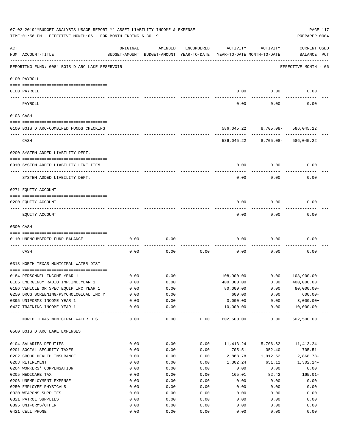|     | 07-02-2019**BUDGET ANALYSIS USAGE REPORT ** ASSET LIABILITY INCOME & EXPENSE<br>TIME: 01:56 PM - EFFECTIVE MONTH: 06 - FOR MONTH ENDING 6-30-19 |              |                                                     |              |                                            |                                 | PAGE 117<br>PREPARER: 0004     |  |
|-----|-------------------------------------------------------------------------------------------------------------------------------------------------|--------------|-----------------------------------------------------|--------------|--------------------------------------------|---------------------------------|--------------------------------|--|
| ACT | NUM ACCOUNT-TITLE                                                                                                                               | ORIGINAL     | AMENDED<br>BUDGET-AMOUNT BUDGET-AMOUNT YEAR-TO-DATE | ENCUMBERED   | ACTIVITY<br>YEAR-TO-DATE MONTH-TO-DATE     | ACTIVITY                        | CURRENT USED<br>BALANCE PCT    |  |
|     | REPORTING FUND: 0084 BOIS D'ARC LAKE RESERVOIR                                                                                                  |              |                                                     |              |                                            |                                 | EFFECTIVE MONTH - 06           |  |
|     | 0100 PAYROLL                                                                                                                                    |              |                                                     |              |                                            |                                 |                                |  |
|     | 0100 PAYROLL                                                                                                                                    |              |                                                     |              | 0.00                                       | 0.00                            | 0.00                           |  |
|     | PAYROLL                                                                                                                                         |              |                                                     |              | 0.00                                       | 0.00                            | 0.00                           |  |
|     | 0103 CASH                                                                                                                                       |              |                                                     |              |                                            |                                 |                                |  |
|     | 0100 BOIS D'ARC-COMBINED FUNDS CHECKING                                                                                                         |              |                                                     |              |                                            | 586,045.22 8,705.08- 586,045.22 |                                |  |
|     | CASH                                                                                                                                            |              |                                                     |              | 586,045.22                                 | ------------<br>8,705.08-       | 586,045.22                     |  |
|     | 0200 SYSTEM ADDED LIABILITY DEPT.                                                                                                               |              |                                                     |              |                                            |                                 |                                |  |
|     | 0910 SYSTEM ADDED LIABILITY LINE ITEM                                                                                                           |              |                                                     |              | 0.00                                       | 0.00                            | 0.00                           |  |
|     | SYSTEM ADDED LIABILITY DEPT.                                                                                                                    |              |                                                     |              | 0.00                                       | 0.00                            | 0.00                           |  |
|     | 0271 EQUITY ACCOUNT                                                                                                                             |              |                                                     |              |                                            |                                 |                                |  |
|     | 0200 EQUITY ACCOUNT                                                                                                                             |              |                                                     |              | 0.00                                       | 0.00                            | 0.00                           |  |
|     | EQUITY ACCOUNT                                                                                                                                  |              |                                                     |              | 0.00                                       | 0.00                            | 0.00                           |  |
|     | 0300 CASH                                                                                                                                       |              |                                                     |              |                                            |                                 |                                |  |
|     | 0110 UNENCUMBERED FUND BALANCE                                                                                                                  | 0.00         | 0.00                                                |              | 0.00                                       | 0.00                            | 0.00                           |  |
|     | CASH                                                                                                                                            | 0.00         | 0.00                                                | 0.00         | 0.00                                       | 0.00                            | 0.00                           |  |
|     | 0318 NORTH TEXAS MUNICIPAL WATER DIST                                                                                                           |              |                                                     |              |                                            |                                 |                                |  |
|     |                                                                                                                                                 |              |                                                     |              |                                            |                                 |                                |  |
|     | 0184 PERSONNEL INCOME YEAR 1                                                                                                                    | 0.00         | 0.00                                                |              | 108,900.00                                 | 0.00                            | 108,900.00+                    |  |
|     | 0185 EMERGENCY RADIO IMP. INC. YEAR 1                                                                                                           | 0.00         | 0.00                                                |              | 400,000.00                                 | 0.00                            | $400,000.00+$                  |  |
|     | 0186 VEHICLE OR SPEC EQUIP INC YEAR 1                                                                                                           | 0.00         | 0.00                                                |              | 80,000.00                                  | 0.00                            | $80,000.00+$                   |  |
|     | 0250 DRUG SCREENING/PSYCHOLOGICAL INC Y                                                                                                         | 0.00         | 0.00                                                |              | 600.00                                     | 0.00                            | $600.00+$                      |  |
|     | 0395 UNIFORMS INCOME YEAR 1                                                                                                                     | 0.00         | 0.00                                                |              | 3,000.00                                   | 0.00                            | $3,000.00+$                    |  |
|     | 0427 TRAINING INCOME YEAR 1                                                                                                                     | 0.00         | 0.00<br>----------                                  |              | 10,000.00<br>----------------------------- | 0.00                            | $10,000.00+$<br>-------------- |  |
|     | NORTH TEXAS MUNICIPAL WATER DIST                                                                                                                | 0.00         | 0.00                                                | 0.00         | 602,500.00                                 | 0.00                            | $602,500.00+$                  |  |
|     | 0560 BOIS D'ARC LAKE EXPENSES                                                                                                                   |              |                                                     |              |                                            |                                 |                                |  |
|     |                                                                                                                                                 |              |                                                     |              |                                            |                                 |                                |  |
|     | 0104 SALARIES DEPUTIES                                                                                                                          | 0.00         | 0.00                                                | 0.00         | 11,413.24                                  | 5,706.62                        | 11,413.24-                     |  |
|     | 0201 SOCIAL SECURITY TAXES                                                                                                                      | 0.00         | 0.00                                                | 0.00         | 705.51                                     | 352.40                          | $705.51 -$                     |  |
|     | 0202 GROUP HEALTH INSURANCE                                                                                                                     | 0.00         | 0.00                                                | 0.00         | 2,868.78                                   | 1,912.52                        | $2,868.78-$                    |  |
|     | 0203 RETIREMENT                                                                                                                                 | 0.00         | 0.00                                                | 0.00         | 1,302.24                                   | 651.12                          | $1,302.24-$                    |  |
|     | 0204 WORKERS' COMPENSATION                                                                                                                      | 0.00         | 0.00                                                | 0.00         | 0.00                                       | 0.00                            | 0.00                           |  |
|     | 0205 MEDICARE TAX                                                                                                                               | 0.00         | 0.00                                                | 0.00         | 165.01                                     | 82.42                           | $165.01-$                      |  |
|     | 0206 UNEMPLOYMENT EXPENSE                                                                                                                       | 0.00         | 0.00                                                | 0.00         | 0.00                                       | 0.00                            | 0.00                           |  |
|     | 0250 EMPLOYEE PHYSICALS                                                                                                                         | 0.00         | 0.00                                                | 0.00         | 0.00                                       | 0.00                            | 0.00                           |  |
|     | 0320 WEAPONS SUPPLIES                                                                                                                           | 0.00         | 0.00                                                | 0.00         | 0.00                                       | 0.00                            | 0.00                           |  |
|     | 0321 PATROL SUPPLIES                                                                                                                            | 0.00<br>0.00 | 0.00<br>0.00                                        | 0.00<br>0.00 | 0.00                                       | 0.00                            | 0.00                           |  |
|     | 0395 UNIFORMS/OTHER<br>0421 CELL PHONE                                                                                                          | 0.00         | 0.00                                                | 0.00         | 0.00<br>0.00                               | 0.00<br>0.00                    | 0.00<br>0.00                   |  |
|     |                                                                                                                                                 |              |                                                     |              |                                            |                                 |                                |  |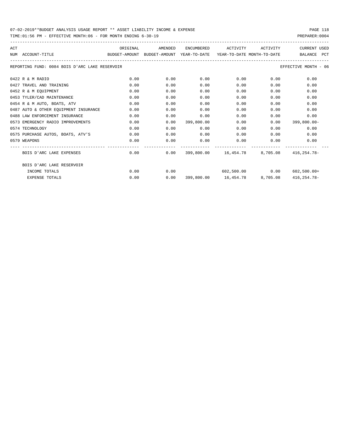TIME:01:56 PM - EFFECTIVE MONTH:06 - FOR MONTH ENDING 6-30-19

| ACT |                                                                                                                     |      | ORIGINAL AMENDED                          |            | ENCUMBERED ACTIVITY ACTIVITY |                           | CURRENT USED         |
|-----|---------------------------------------------------------------------------------------------------------------------|------|-------------------------------------------|------------|------------------------------|---------------------------|----------------------|
|     | NUM ACCOUNT-TITLE                              BUDGET-AMOUNT BUDGET-AMOUNT YEAR-TO-DATE  YEAR-TO-DATE MONTH-TO-DATE |      |                                           |            |                              |                           | BALANCE PCT          |
|     | REPORTING FUND: 0084 BOIS D'ARC LAKE RESERVOIR                                                                      |      |                                           |            |                              |                           | EFFECTIVE MONTH - 06 |
|     | 0422 R & M RADIO                                                                                                    | 0.00 | 0.00                                      | 0.00       | 0.00                         | 0.00                      | 0.00                 |
|     | 0427 TRAVEL AND TRAINING                                                                                            | 0.00 | 0.00                                      | 0.00       | 0.00                         | 0.00                      | 0.00                 |
|     | 0452 R & M EOUIPMENT                                                                                                | 0.00 | 0.00                                      | 0.00       | 0.00                         | 0.00                      | 0.00                 |
|     | 0453 TYLER/CAD MAINTENANCE                                                                                          | 0.00 | 0.00                                      | 0.00       | 0.00                         | 0.00                      | 0.00                 |
|     | 0454 R & M AUTO, BOATS, ATV                                                                                         | 0.00 | 0.00                                      | 0.00       | 0.00                         | 0.00                      | 0.00                 |
|     | 0487 AUTO & OTHER EOUIPMENT INSURANCE                                                                               | 0.00 | 0.00                                      | 0.00       | 0.00                         | 0.00                      | 0.00                 |
|     | 0488 LAW ENFORCEMENT INSURANCE                                                                                      | 0.00 | 0.00                                      | 0.00       | 0.00                         | 0.00                      | 0.00                 |
|     | 0573 EMERGENCY RADIO IMPROVEMENTS                                                                                   | 0.00 | 0.00                                      | 399,800.00 | 0.00                         | 0.00                      | $399.800.00 -$       |
|     | 0574 TECHNOLOGY                                                                                                     | 0.00 | 0.00                                      | 0.00       | 0.00                         | 0.00                      | 0.00                 |
|     | 0575 PURCHASE AUTOS, BOATS, ATV'S                                                                                   | 0.00 | 0.00                                      | 0.00       |                              | 0.00<br>0.00              | 0.00                 |
|     | 0579 WEAPONS                                                                                                        | 0.00 | 0.00                                      | 0.00       |                              | $0.00$ and $0.00$<br>0.00 | 0.00                 |
|     | BOIS D'ARC LAKE EXPENSES                                                                                            |      | $0.00$ 0.00 399,800.00 16,454.78 8,705.08 |            |                              |                           | 416,254.78-          |
|     | BOIS D'ARC LAKE RESERVOIR                                                                                           |      |                                           |            |                              |                           |                      |
|     | INCOME TOTALS                                                                                                       | 0.00 | 0.00                                      |            |                              | 602,500.00 0.00           | 602,500.00+          |
|     | <b>EXPENSE TOTALS</b>                                                                                               | 0.00 | 0.00                                      |            |                              |                           | 416,254.78-          |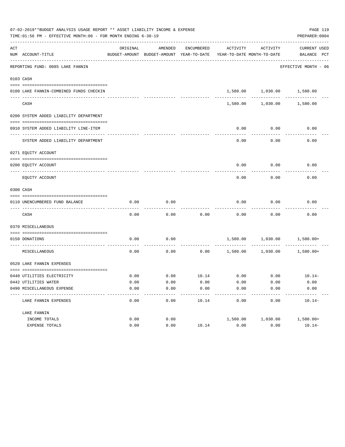| 07-02-2019**BUDGET ANALYSIS USAGE REPORT ** ASSET LIABILITY INCOME & EXPENSE<br>TIME: 01:56 PM - EFFECTIVE MONTH: 06 - FOR MONTH ENDING 6-30-19<br>PREPARER: 0004 |                                               |          |                                                     |                       |          |                                        |                                      |  |  |
|-------------------------------------------------------------------------------------------------------------------------------------------------------------------|-----------------------------------------------|----------|-----------------------------------------------------|-----------------------|----------|----------------------------------------|--------------------------------------|--|--|
| ACT                                                                                                                                                               | NUM ACCOUNT-TITLE                             | ORIGINAL | AMENDED<br>BUDGET-AMOUNT BUDGET-AMOUNT YEAR-TO-DATE | ENCUMBERED            | ACTIVITY | ACTIVITY<br>YEAR-TO-DATE MONTH-TO-DATE | <b>CURRENT USED</b><br>BALANCE PCT   |  |  |
|                                                                                                                                                                   | REPORTING FUND: 0085 LAKE FANNIN              |          |                                                     |                       |          |                                        | EFFECTIVE MONTH - 06                 |  |  |
|                                                                                                                                                                   | 0103 CASH                                     |          |                                                     |                       |          |                                        |                                      |  |  |
|                                                                                                                                                                   | 0100 LAKE FANNIN-COMBINED FUNDS CHECKIN       |          |                                                     |                       |          | 1,580.00 1,030.00                      | 1,580.00                             |  |  |
|                                                                                                                                                                   | CASH                                          |          |                                                     |                       | 1,580.00 | 1,030.00                               | 1,580.00                             |  |  |
|                                                                                                                                                                   | 0200 SYSTEM ADDED LIABILITY DEPARTMENT        |          |                                                     |                       |          |                                        |                                      |  |  |
|                                                                                                                                                                   | 0910 SYSTEM ADDED LIABILITY LINE-ITEM         |          |                                                     |                       | 0.00     | 0.00                                   | 0.00                                 |  |  |
|                                                                                                                                                                   | SYSTEM ADDED LIABILITY DEPARTMENT             |          |                                                     |                       | 0.00     | 0.00                                   | 0.00                                 |  |  |
|                                                                                                                                                                   | 0271 EQUITY ACCOUNT                           |          |                                                     |                       |          |                                        |                                      |  |  |
|                                                                                                                                                                   | 0200 EQUITY ACCOUNT                           |          |                                                     |                       | 0.00     | 0.00                                   | 0.00                                 |  |  |
|                                                                                                                                                                   | EQUITY ACCOUNT                                |          |                                                     |                       | 0.00     | 0.00                                   | 0.00                                 |  |  |
|                                                                                                                                                                   | 0300 CASH                                     |          |                                                     |                       |          |                                        |                                      |  |  |
|                                                                                                                                                                   | 0110 UNENCUMBERED FUND BALANCE                | 0.00     | 0.00                                                |                       | 0.00     | 0.00                                   | 0.00                                 |  |  |
|                                                                                                                                                                   | CASH                                          | 0.00     | 0.00                                                | 0.00                  | 0.00     | 0.00                                   | 0.00                                 |  |  |
|                                                                                                                                                                   | 0370 MISCELLANEOUS                            |          |                                                     |                       |          |                                        |                                      |  |  |
|                                                                                                                                                                   | 0150 DONATIONS                                | 0.00     | 0.00                                                |                       |          |                                        | 1,580.00   1,030.00   1,580.00+      |  |  |
|                                                                                                                                                                   | MISCELLANEOUS                                 | 0.00     | 0.00                                                | 0.00                  |          |                                        | $1,580.00$ $1,030.00$ $1,580.00+$    |  |  |
|                                                                                                                                                                   | 0520 LAKE FANNIN EXPENSES                     |          |                                                     |                       |          |                                        |                                      |  |  |
|                                                                                                                                                                   | 0440 UTILITIES ELECTRICITY                    | 0.00     |                                                     |                       |          |                                        | $0.00$ $10.14$ $0.00$ $0.00$ $10.14$ |  |  |
|                                                                                                                                                                   | 0442 UTILITIES WATER                          | 0.00     | 0.00                                                | 0.00                  | 0.00     | 0.00                                   | 0.00                                 |  |  |
|                                                                                                                                                                   | 0490 MISCELLANEOUS EXPENSE<br>--------------- | 0.00     | 0.00<br>$- - - - -$                                 | 0.00<br>$- - - - - -$ | 0.00     | 0.00                                   | 0.00                                 |  |  |
|                                                                                                                                                                   | LAKE FANNIN EXPENSES                          | 0.00     | 0.00                                                | 10.14                 | 0.00     | 0.00                                   | $10.14-$                             |  |  |
|                                                                                                                                                                   | LAKE FANNIN                                   |          |                                                     |                       |          |                                        |                                      |  |  |
|                                                                                                                                                                   | INCOME TOTALS                                 | 0.00     | 0.00                                                |                       | 1,580.00 | 1,030.00                               | 1,580.00+                            |  |  |
|                                                                                                                                                                   | EXPENSE TOTALS                                | 0.00     | 0.00                                                | 10.14                 | 0.00     | 0.00                                   | $10.14-$                             |  |  |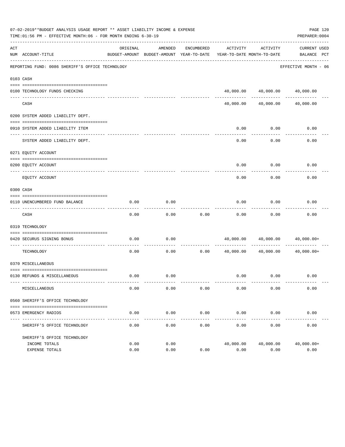|     | 07-02-2019**BUDGET ANALYSIS USAGE REPORT ** ASSET LIABILITY INCOME & EXPENSE<br>TIME:01:56 PM - EFFECTIVE MONTH:06 - FOR MONTH ENDING 6-30-19 |                                                                                 |               |                       |           |                                                | PAGE 120<br>PREPARER: 0004  |
|-----|-----------------------------------------------------------------------------------------------------------------------------------------------|---------------------------------------------------------------------------------|---------------|-----------------------|-----------|------------------------------------------------|-----------------------------|
| ACT | NUM ACCOUNT-TITLE                                                                                                                             | ORIGINAL<br>BUDGET-AMOUNT BUDGET-AMOUNT YEAR-TO-DATE YEAR-TO-DATE MONTH-TO-DATE | AMENDED       | ENCUMBERED            | ACTIVITY  | ACTIVITY                                       | CURRENT USED<br>BALANCE PCT |
|     | REPORTING FUND: 0086 SHERIFF'S OFFICE TECHNOLOGY                                                                                              |                                                                                 |               |                       |           |                                                | EFFECTIVE MONTH - 06        |
|     | 0103 CASH                                                                                                                                     |                                                                                 |               |                       |           |                                                |                             |
|     | 0100 TECHNOLOGY FUNDS CHECKING                                                                                                                |                                                                                 |               |                       |           | 40,000.00  40,000.00  40,000.00                |                             |
|     | CASH                                                                                                                                          |                                                                                 | ------------- |                       | 40,000.00 | -------------<br>40,000.00                     | 40,000.00                   |
|     | 0200 SYSTEM ADDED LIABILITY DEPT.                                                                                                             |                                                                                 |               |                       |           |                                                |                             |
|     | 0910 SYSTEM ADDED LIABILITY ITEM                                                                                                              |                                                                                 |               |                       | 0.00      | 0.00                                           | 0.00                        |
|     | SYSTEM ADDED LIABILITY DEPT.                                                                                                                  |                                                                                 |               |                       | 0.00      | 0.00                                           | 0.00                        |
|     | 0271 EQUITY ACCOUNT                                                                                                                           |                                                                                 |               |                       |           |                                                |                             |
|     | 0200 EQUITY ACCOUNT                                                                                                                           |                                                                                 |               |                       | 0.00      | 0.00                                           | 0.00                        |
|     | EQUITY ACCOUNT                                                                                                                                |                                                                                 |               |                       | 0.00      | 0.00                                           | 0.00                        |
|     | 0300 CASH                                                                                                                                     |                                                                                 |               |                       |           |                                                |                             |
|     | 0110 UNENCUMBERED FUND BALANCE                                                                                                                | 0.00                                                                            | 0.00          |                       | 0.00      | 0.00                                           | 0.00                        |
|     | CASH                                                                                                                                          | 0.00                                                                            | 0.00          | 0.00                  | 0.00      | 0.00                                           | 0.00                        |
|     | 0319 TECHNOLOGY                                                                                                                               |                                                                                 |               |                       |           |                                                |                             |
|     | 0420 SECURUS SIGNING BONUS<br>--------------------- --                                                                                        | 0.00                                                                            | 0.00          |                       |           | 40,000.00 40,000.00                            | 40,000.00+                  |
|     | TECHNOLOGY                                                                                                                                    | 0.00                                                                            | 0.00          | 0.00                  | 40,000.00 | 40,000.00                                      | 40,000.00+                  |
|     | 0370 MISCELLANEOUS                                                                                                                            |                                                                                 |               |                       |           |                                                |                             |
|     | 0130 REFUNDS & MISCELLANEOUS                                                                                                                  | 0.00                                                                            | 0.00          |                       |           | $0.00$ $0.00$                                  | 0.00                        |
|     | MISCELLANEOUS                                                                                                                                 | 0.00                                                                            | 0.00          | 0.00                  | 0.00      | 0.00                                           | 0.00                        |
|     | 0560 SHERIFF'S OFFICE TECHNOLOGY                                                                                                              |                                                                                 |               |                       |           |                                                |                             |
|     | 0573 EMERGENCY RADIOS                                                                                                                         | 0.00                                                                            | 0.00          | 0.00<br>------------- | 0.00      | 0.00                                           | 0.00                        |
|     | SHERIFF'S OFFICE TECHNOLOGY                                                                                                                   | 0.00                                                                            | 0.00          | 0.00                  | 0.00      | ------------- ------------ -----------<br>0.00 | 0.00                        |
|     | SHERIFF'S OFFICE TECHNOLOGY<br>INCOME TOTALS                                                                                                  | 0.00                                                                            | 0.00          |                       |           | 40,000.00 40,000.00                            | 40,000.00+                  |
|     | EXPENSE TOTALS                                                                                                                                | 0.00                                                                            | 0.00          | 0.00                  | 0.00      | 0.00                                           | 0.00                        |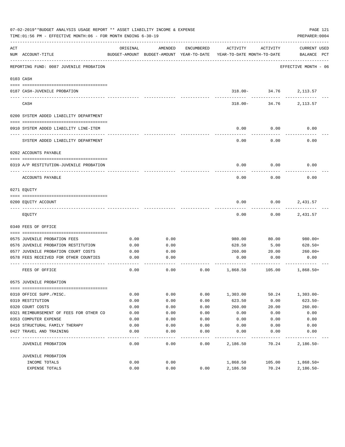|     | 07-02-2019**BUDGET ANALYSIS USAGE REPORT ** ASSET LIABILITY INCOME & EXPENSE<br>TIME:01:56 PM - EFFECTIVE MONTH:06 - FOR MONTH ENDING 6-30-19 |          |                                                     |            |                                        |                      | PAGE 121<br>PREPARER: 0004         |
|-----|-----------------------------------------------------------------------------------------------------------------------------------------------|----------|-----------------------------------------------------|------------|----------------------------------------|----------------------|------------------------------------|
| ACT | NUM ACCOUNT-TITLE                                                                                                                             | ORIGINAL | AMENDED<br>BUDGET-AMOUNT BUDGET-AMOUNT YEAR-TO-DATE | ENCUMBERED | ACTIVITY<br>YEAR-TO-DATE MONTH-TO-DATE | ACTIVITY             | <b>CURRENT USED</b><br>BALANCE PCT |
|     | REPORTING FUND: 0087 JUVENILE PROBATION                                                                                                       |          |                                                     |            |                                        |                      | EFFECTIVE MONTH - 06               |
|     | 0103 CASH                                                                                                                                     |          |                                                     |            |                                        |                      |                                    |
|     | 0187 CASH-JUVENILE PROBATION                                                                                                                  |          |                                                     |            |                                        | $318.00 - 34.76$     | 2,113.57                           |
|     | CASH                                                                                                                                          |          |                                                     |            | $318.00 -$                             | -----------<br>34.76 | 2,113.57                           |
|     | 0200 SYSTEM ADDED LIABILITY DEPARTMENT                                                                                                        |          |                                                     |            |                                        |                      |                                    |
|     | 0910 SYSTEM ADDED LIABILITY LINE-ITEM                                                                                                         |          |                                                     |            | 0.00                                   | 0.00                 | 0.00                               |
|     | SYSTEM ADDED LIABILITY DEPARTMENT                                                                                                             |          |                                                     |            | 0.00                                   | 0.00                 | 0.00                               |
|     | 0202 ACCOUNTS PAYABLE                                                                                                                         |          |                                                     |            |                                        |                      |                                    |
|     | 0319 A/P RESTITUTION-JUVENILE PROBATION                                                                                                       |          |                                                     |            | 0.00                                   | 0.00                 | 0.00                               |
|     | ACCOUNTS PAYABLE                                                                                                                              |          |                                                     |            | 0.00                                   | 0.00                 | 0.00                               |
|     | 0271 EOUITY                                                                                                                                   |          |                                                     |            |                                        |                      |                                    |
|     | 0200 EQUITY ACCOUNT                                                                                                                           |          |                                                     |            | 0.00                                   | 0.00                 | 2,431.57                           |
|     | EQUITY                                                                                                                                        |          |                                                     |            | 0.00                                   | 0.00                 | 2,431.57                           |
|     | 0340 FEES OF OFFICE                                                                                                                           |          |                                                     |            |                                        |                      |                                    |
|     | 0575 JUVENILE PROBATION FEES                                                                                                                  | 0.00     | 0.00                                                |            | 980.00                                 | 80.00                | 980.00+                            |
|     | 0576 JUVENILE PROBATION RESTITUTION                                                                                                           | 0.00     | 0.00                                                |            | 628.50                                 | 5.00                 | 628.50+                            |
|     | 0577 JUVENILE PROBATION COURT COSTS                                                                                                           | 0.00     | 0.00                                                |            | 260.00                                 | 20.00                | 260.00+                            |
|     | 0578 FEES RECEIVED FOR OTHER COUNTIES                                                                                                         | 0.00     | 0.00                                                |            | 0.00                                   | 0.00                 | 0.00                               |
|     | FEES OF OFFICE                                                                                                                                | 0.00     | 0.00                                                | 0.00       | 1,868.50                               | 105.00               | $1,868.50+$                        |
|     | 0575 JUVENILE PROBATION                                                                                                                       |          |                                                     |            |                                        |                      |                                    |
|     |                                                                                                                                               |          |                                                     |            |                                        |                      |                                    |
|     | 0310 OFFICE SUPP./MISC.<br>0319 RESTITUTION                                                                                                   | 0.00     | 0.00                                                | 0.00       | 1,303.00                               | 50.24                | $1,303.00 -$                       |
|     |                                                                                                                                               | 0.00     | 0.00                                                | 0.00       | 623.50                                 | 0.00                 | $623.50 -$                         |
|     | 0320 COURT COSTS                                                                                                                              | 0.00     | 0.00                                                | 0.00       | 260.00                                 | 20.00                | $260.00 -$                         |
|     | 0321 REIMBURSEMENT OF FEES FOR OTHER CO                                                                                                       | 0.00     | 0.00                                                | 0.00       | 0.00                                   | 0.00                 | 0.00                               |
|     | 0353 COMPUTER EXPENSE                                                                                                                         | 0.00     | 0.00                                                | 0.00       | 0.00                                   | 0.00                 | 0.00                               |
|     | 0416 STRUCTURAL FAMILY THERAPY                                                                                                                | 0.00     | 0.00                                                | 0.00       | 0.00                                   | 0.00                 | 0.00                               |
|     | 0427 TRAVEL AND TRAINING                                                                                                                      | 0.00     | 0.00                                                | 0.00       | 0.00                                   | 0.00                 | 0.00                               |
|     | JUVENILE PROBATION                                                                                                                            | 0.00     | 0.00                                                | 0.00       | 2,186.50                               | 70.24                | $2,186.50-$                        |
|     | JUVENILE PROBATION                                                                                                                            |          |                                                     |            |                                        |                      |                                    |
|     | INCOME TOTALS                                                                                                                                 | 0.00     | 0.00                                                |            | 1,868.50                               | 105.00               | $1,868.50+$                        |
|     | EXPENSE TOTALS                                                                                                                                | 0.00     | 0.00                                                | 0.00       | 2,186.50                               | 70.24                | $2,186.50-$                        |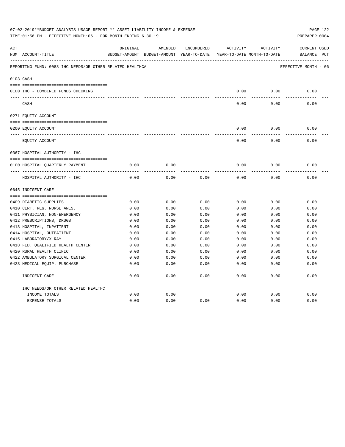|     | 07-02-2019**BUDGET ANALYSIS USAGE REPORT ** ASSET LIABILITY INCOME & EXPENSE<br>TIME:01:56 PM - EFFECTIVE MONTH:06 - FOR MONTH ENDING 6-30-19 |          |                                          |            |              |                            | PAGE 122<br>PREPARER: 0004 |
|-----|-----------------------------------------------------------------------------------------------------------------------------------------------|----------|------------------------------------------|------------|--------------|----------------------------|----------------------------|
| ACT |                                                                                                                                               | ORIGINAL | AMENDED                                  | ENCUMBERED | ACTIVITY     | ACTIVITY                   | CURRENT USED               |
|     | NUM ACCOUNT-TITLE                                                                                                                             |          | BUDGET-AMOUNT BUDGET-AMOUNT YEAR-TO-DATE |            |              | YEAR-TO-DATE MONTH-TO-DATE | $_{\rm PCT}$<br>BALANCE    |
|     | REPORTING FUND: 0088 IHC NEEDS/OR OTHER RELATED HEALTHCA                                                                                      |          |                                          |            |              |                            | EFFECTIVE MONTH - 06       |
|     | 0103 CASH                                                                                                                                     |          |                                          |            |              |                            |                            |
|     |                                                                                                                                               |          |                                          |            |              |                            |                            |
|     | 0100 IHC - COMBINED FUNDS CHECKING                                                                                                            |          |                                          |            | 0.00         | 0.00                       | 0.00                       |
|     | CASH                                                                                                                                          |          |                                          |            | 0.00         | 0.00                       | 0.00                       |
|     | 0271 EQUITY ACCOUNT                                                                                                                           |          |                                          |            |              |                            |                            |
|     | 0200 EQUITY ACCOUNT                                                                                                                           |          |                                          |            | 0.00         | 0.00                       | 0.00                       |
|     | ______________________________<br>EQUITY ACCOUNT                                                                                              |          |                                          |            | 0.00         | 0.00                       | 0.00                       |
|     | 0367 HOSPITAL AUTHORITY - IHC                                                                                                                 |          |                                          |            |              |                            |                            |
|     |                                                                                                                                               |          |                                          |            |              |                            |                            |
|     | 0100 HOSPITAL QUARTERLY PAYMENT                                                                                                               | 0.00     | 0.00                                     |            | 0.00         | 0.00                       | 0.00                       |
|     | HOSPITAL AUTHORITY - IHC                                                                                                                      | 0.00     | 0.00                                     | 0.00       | 0.00         | 0.00                       | 0.00                       |
|     | 0645 INDIGENT CARE                                                                                                                            |          |                                          |            |              |                            |                            |
|     |                                                                                                                                               |          |                                          |            |              |                            |                            |
|     | 0409 DIABETIC SUPPLIES                                                                                                                        | 0.00     | 0.00                                     | 0.00       | 0.00         | 0.00                       | 0.00                       |
|     | 0410 CERT. REG. NURSE ANES.                                                                                                                   | 0.00     | 0.00                                     | 0.00       | 0.00         | 0.00                       | 0.00                       |
|     | 0411 PHYSICIAN, NON-EMERGENCY                                                                                                                 | 0.00     | 0.00                                     | 0.00       | 0.00         | 0.00                       | 0.00                       |
|     | 0412 PRESCRIPTIONS, DRUGS                                                                                                                     | 0.00     | 0.00                                     | 0.00       | 0.00         | 0.00                       | 0.00                       |
|     | 0413 HOSPITAL, INPATIENT                                                                                                                      | 0.00     | 0.00                                     | 0.00       | 0.00         | 0.00                       | 0.00                       |
|     | 0414 HOSPITAL, OUTPATIENT                                                                                                                     | 0.00     | 0.00                                     | 0.00       | 0.00         | 0.00                       | 0.00                       |
|     | 0415 LABORATORY/X-RAY                                                                                                                         | 0.00     | 0.00                                     | 0.00       | 0.00         | 0.00                       | 0.00                       |
|     | 0418 FED. OUALIFIED HEALTH CENTER                                                                                                             | 0.00     | 0.00                                     | 0.00       | 0.00         | 0.00                       | 0.00                       |
|     | 0420 RURAL HEALTH CLINIC                                                                                                                      | 0.00     | 0.00                                     | 0.00       | 0.00         | 0.00                       | 0.00                       |
|     | 0422 AMBULATORY SURGICAL CENTER                                                                                                               | 0.00     | 0.00                                     | 0.00       | 0.00         | 0.00                       | 0.00                       |
|     | 0423 MEDICAL EQUIP. PURCHASE                                                                                                                  | 0.00     | 0.00                                     | 0.00       | 0.00         | 0.00                       | 0.00                       |
|     | INDIGENT CARE                                                                                                                                 | 0.00     | 0.00                                     | 0.00       | ----<br>0.00 | ----<br>0.00               | -----<br>0.00              |
|     | IHC NEEDS/OR OTHER RELATED HEALTHC                                                                                                            |          |                                          |            |              |                            |                            |
|     | INCOME TOTALS                                                                                                                                 | 0.00     | 0.00                                     |            | 0.00         | 0.00                       | 0.00                       |
|     | <b>EXPENSE TOTALS</b>                                                                                                                         | 0.00     | 0.00                                     | 0.00       | 0.00         | 0.00                       | 0.00                       |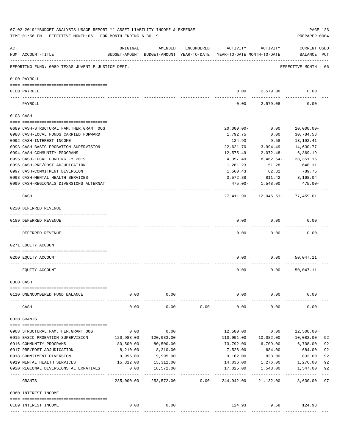|          | 07-02-2019**BUDGET ANALYSIS USAGE REPORT ** ASSET LIABILITY INCOME & EXPENSE<br>TIME:01:56 PM - EFFECTIVE MONTH:06 - FOR MONTH ENDING 6-30-19 |              |            |            |                                                                                 |                             | PAGE 123<br>PREPARER: 0004         |    |
|----------|-----------------------------------------------------------------------------------------------------------------------------------------------|--------------|------------|------------|---------------------------------------------------------------------------------|-----------------------------|------------------------------------|----|
| ACT      | NUM ACCOUNT-TITLE                                                                                                                             | ORIGINAL     | AMENDED    | ENCUMBERED | ACTIVITY<br>BUDGET-AMOUNT BUDGET-AMOUNT YEAR-TO-DATE YEAR-TO-DATE MONTH-TO-DATE | ACTIVITY                    | <b>CURRENT USED</b><br>BALANCE PCT |    |
|          | REPORTING FUND: 0089 TEXAS JUVENILE JUSTICE DEPT.                                                                                             |              |            |            |                                                                                 |                             | EFFECTIVE MONTH - 06               |    |
|          | 0100 PAYROLL                                                                                                                                  |              |            |            |                                                                                 |                             |                                    |    |
|          | 0100 PAYROLL                                                                                                                                  |              |            |            |                                                                                 | 0.00 2,579.08               | 0.00                               |    |
| ---- --- | PAYROLL                                                                                                                                       |              |            |            | 0.00                                                                            | 2,579.08                    | 0.00                               |    |
|          | 0103 CASH                                                                                                                                     |              |            |            |                                                                                 |                             |                                    |    |
|          | 0689 CASH-STRUCTURAL FAM.THER.GRANT OOG                                                                                                       |              |            |            | $20,000.00 -$                                                                   | 0.00                        | $20,000.00 -$                      |    |
|          | 0988 CASH-LOCAL FUNDS CARRIED FORWARD                                                                                                         |              |            |            | 1,792.75                                                                        | 0.00                        | 30,784.58                          |    |
|          | 0992 CASH-INTEREST INCOME                                                                                                                     |              |            |            | 124.93                                                                          | 9.58                        | 13, 192. 41                        |    |
|          | 0993 CASH-BASIC PROBATION SUPERVISION                                                                                                         |              |            |            | 22,621.70                                                                       | $3,994.49-$                 | 14,630.77                          |    |
|          | 0994 CASH-COMMUNITY PROGRAMS                                                                                                                  |              |            |            | 12,575.49                                                                       | $2,072.48-$                 | 6,369.19                           |    |
|          | 0995 CASH-LOCAL FUNDING FY 2019                                                                                                               |              |            |            | 4,357.49                                                                        | 8,462.64-                   | 28, 351. 16                        |    |
|          | 0996 CASH-PRE/POST ADJUDICATION                                                                                                               |              |            |            | 1,281.23                                                                        | 51.28                       | 648.11                             |    |
|          | 0997 CASH-COMMITMENT DIVERSION                                                                                                                |              |            |            | 1,560.43                                                                        | 62.82                       | 789.75                             |    |
|          | 0998 CASH-MENTAL HEALTH SERVICES                                                                                                              |              |            |            | 3,572.88                                                                        | 811.42                      | 3,168.04                           |    |
|          | 0999 CASH-REGIONALS DIVERSIONS ALTERNAT                                                                                                       |              |            |            |                                                                                 | 475.00- 1,548.00            | 475.00-                            |    |
|          |                                                                                                                                               |              |            |            |                                                                                 | ------------                | -------------                      |    |
|          | CASH                                                                                                                                          |              |            |            | 27,411.90                                                                       | 12,046.51- 77,459.01        |                                    |    |
|          | 0220 DEFERRED REVENUE                                                                                                                         |              |            |            |                                                                                 |                             |                                    |    |
|          |                                                                                                                                               |              |            |            |                                                                                 |                             |                                    |    |
|          | 0189 DEFERRED REVENUE                                                                                                                         |              |            |            | 0.00                                                                            | 0.00                        | 0.00                               |    |
|          | DEFERRED REVENUE                                                                                                                              |              |            |            | 0.00                                                                            | 0.00                        | 0.00                               |    |
|          | 0271 EQUITY ACCOUNT                                                                                                                           |              |            |            |                                                                                 |                             |                                    |    |
|          | 0200 EQUITY ACCOUNT                                                                                                                           |              |            |            | 0.00                                                                            | 0.00                        | 50,047.11                          |    |
|          | EQUITY ACCOUNT                                                                                                                                |              |            |            | 0.00                                                                            | 0.00                        | 50,047.11                          |    |
|          | 0300 CASH                                                                                                                                     |              |            |            |                                                                                 |                             |                                    |    |
|          |                                                                                                                                               |              |            |            |                                                                                 |                             |                                    |    |
|          | 0110 UNENCUMBERED FUND BALANCE                                                                                                                | 0.00         | 0.00       |            | 0.00                                                                            | 0.00                        | 0.00                               |    |
|          | CASH                                                                                                                                          | 0.00         | 0.00       | 0.00       | 0.00                                                                            | 0.00                        | 0.00                               |    |
|          | 0330 GRANTS                                                                                                                                   |              |            |            |                                                                                 |                             |                                    |    |
|          | 0908 STRUCTURAL FAM. THER. GRANT OOG                                                                                                          | 0.00         | 0.00       |            |                                                                                 | 0.00                        |                                    |    |
|          | 0915 BASIC PROBATION SUPERVISION                                                                                                              | 120,983.00   | 120,983.00 |            | 12,500.00<br>110,901.00                                                         | 10,082.00                   | 12,500.00+<br>10,082.00            | 92 |
|          | 0916 COMMUNITY PROGRAMS                                                                                                                       | 80,500.00    | 80,500.00  |            | 73,792.00                                                                       | 6,709.00                    | 6,708.00                           | 92 |
|          | 0917 PRE/POST ADJUDICATION                                                                                                                    | 8,210.00     | 8,210.00   |            | 7,526.00                                                                        | 684.00                      | 684.00                             | 92 |
|          | 0918 COMMITMENT DIVERSION                                                                                                                     | 9,995.00     | 9,995.00   |            | 9,162.00                                                                        | 833.00 833.00               |                                    | 92 |
|          | 0919 MENTAL HEALTH SERVICES                                                                                                                   | 15,312.00    | 15,312.00  |            |                                                                                 | 14,036.00 1,276.00 1,276.00 |                                    | 92 |
|          | 0920 REGIONAL DIVERSIONS ALTERNATIVES                                                                                                         | 0.00         | 18,572.00  |            | 17,025.00                                                                       | 1,548.00                    | 1,547.00                           | 92 |
|          |                                                                                                                                               | . <u>.</u> . |            |            | -----------                                                                     |                             |                                    |    |
|          | GRANTS                                                                                                                                        | 235,000.00   | 253,572.00 | 0.00       | 244,942.00                                                                      | 21,132.00                   | 8,630.00                           | 97 |
|          | 0360 INTEREST INCOME                                                                                                                          |              |            |            |                                                                                 |                             |                                    |    |
|          | 0189 INTEREST INCOME                                                                                                                          | 0.00         | 0.00       |            | 124.93                                                                          |                             | $9.58$ 124.93+                     |    |
|          |                                                                                                                                               |              |            |            |                                                                                 |                             |                                    |    |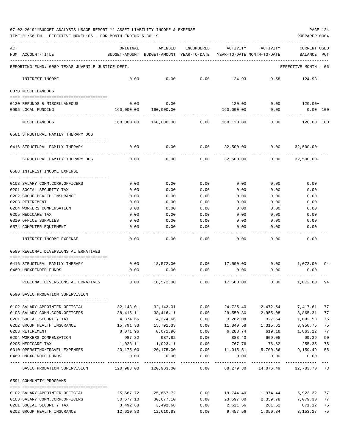| 07-02-2019**BUDGET ANALYSIS USAGE REPORT ** ASSET LIABILITY INCOME & EXPENSE |  |  |  | PAGE 124 |  |
|------------------------------------------------------------------------------|--|--|--|----------|--|
|                                                                              |  |  |  |          |  |

TIME:01:56 PM - EFFECTIVE MONTH:06 - FOR MONTH ENDING 6-30-19 PREPARER:0004

| ACT | NUM ACCOUNT-TITLE                                                       | ORIGINAL               | AMENDED<br>BUDGET-AMOUNT BUDGET-AMOUNT YEAR-TO-DATE | <b>ENCUMBERED</b> | ACTIVITY<br>YEAR-TO-DATE MONTH-TO-DATE | ACTIVITY                            | <b>CURRENT USED</b><br>BALANCE | PCT |
|-----|-------------------------------------------------------------------------|------------------------|-----------------------------------------------------|-------------------|----------------------------------------|-------------------------------------|--------------------------------|-----|
|     | REPORTING FUND: 0089 TEXAS JUVENILE JUSTICE DEPT.                       |                        |                                                     |                   |                                        |                                     | EFFECTIVE MONTH - 06           |     |
|     | INTEREST INCOME                                                         | 0.00                   | 0.00                                                | 0.00              | 124.93                                 | 9.58                                | $124.93+$                      |     |
|     | 0370 MISCELLANEOUS                                                      |                        |                                                     |                   |                                        |                                     |                                |     |
|     | 0130 REFUNDS & MISCELLANEOUS                                            | 0.00                   | 0.00                                                |                   | 120.00                                 | 0.00                                | 120.00+                        |     |
|     | 0995 LOCAL FUNDING                                                      | 160,000.00             | 160,000.00                                          |                   | 160,000.00                             | 0.00                                | $0.00$ $100$                   |     |
|     | MISCELLANEOUS                                                           | 160,000.00             | 160,000.00                                          | 0.00              | 160,120.00                             | 0.00                                | 120.00+ 100                    |     |
|     | 0581 STRUCTURAL FAMILY THERAPY OOG                                      |                        |                                                     |                   |                                        |                                     |                                |     |
|     | 0416 STRUCTURAL FAMILY THERAPY                                          | 0.00                   | 0.00                                                | 0.00              | 32,500.00                              | 0.00                                | $32,500.00 -$                  |     |
|     | STRUCTURAL FAMILY THERAPY OOG                                           | 0.00                   | 0.00                                                | 0.00              | 32,500.00                              | 0.00                                | $32,500.00 -$                  |     |
|     | 0588 INTEREST INCOME EXPENSE                                            |                        |                                                     |                   |                                        |                                     |                                |     |
|     | 0103 SALARY COMM.CORR.OFFICERS                                          | 0.00                   | 0.00                                                | 0.00              | 0.00                                   | 0.00                                | 0.00                           |     |
|     | 0201 SOCIAL SECURITY TAX                                                | 0.00                   | 0.00                                                | 0.00              | 0.00                                   | 0.00                                | 0.00                           |     |
|     | 0202 GROUP HEALTH INSURANCE                                             | 0.00                   | 0.00                                                | 0.00              | 0.00                                   | 0.00                                | 0.00                           |     |
|     | 0203 RETIREMENT                                                         | 0.00                   | 0.00                                                | 0.00              | 0.00                                   | 0.00                                | 0.00                           |     |
|     | 0204 WORKERS COMPENSATION                                               | 0.00                   | 0.00                                                | 0.00              | 0.00                                   | 0.00                                | 0.00                           |     |
|     | 0205 MEDICARE TAX                                                       | 0.00                   | 0.00                                                | 0.00              | 0.00                                   | 0.00                                | 0.00                           |     |
|     | 0310 OFFICE SUPPLIES                                                    | 0.00                   | 0.00                                                | 0.00              | 0.00                                   | 0.00                                | 0.00                           |     |
|     | 0574 COMPUTER EQUIPMENT                                                 | 0.00                   | 0.00                                                | 0.00              | 0.00                                   | 0.00                                | 0.00                           |     |
|     | INTEREST INCOME EXPENSE                                                 | 0.00                   | 0.00                                                | 0.00              | 0.00                                   | 0.00                                | 0.00                           |     |
|     | 0589 REGIONAL DIVERSIONS ALTERNATIVES                                   |                        |                                                     |                   |                                        |                                     |                                |     |
|     | -200000000000000000000000000000000000<br>0416 STRUCTURAL FAMILY THERAPY | 0.00                   | 18,572.00                                           |                   | $0.00$ 17,500.00                       |                                     | $0.00$ $1,072.00$              | 94  |
|     | 0469 UNEXPENDED FUNDS                                                   | 0.00                   | 0.00                                                | 0.00              | 0.00                                   | 0.00                                | 0.00                           |     |
|     | REGIONAL DIVERSIONS ALTERNATIVES                                        | 0.00                   | 18,572.00                                           | 0.00              | 17,500.00                              | 0.00                                | 1,072.00                       | 94  |
|     | 0590 BASIC PROBATION SUPERVISION                                        |                        |                                                     |                   |                                        |                                     |                                |     |
|     | 0102 SALARY APPOINTED OFFICIAL                                          |                        |                                                     | 0.00              | 24,725.40                              | 2,472.54                            | 7,417.61                       | 77  |
|     | 0103 SALARY COMM.CORR.OFFICERS                                          | 32,143.01<br>38,416.11 | 32,143.01<br>38,416.11                              | 0.00              | 29,550.80                              | 2,955.08                            | 8,865.31                       | 77  |
|     | 0201 SOCIAL SECURITY TAX                                                | 4,374.66               | 4,374.66                                            | 0.00              | 3,282.08                               | 327.54                              | 1,092.58                       | 75  |
|     | 0202 GROUP HEALTH INSURANCE                                             | 15,791.33              | 15,791.33                                           | 0.00              | 11,840.58                              | 1,315.62                            | 3,950.75                       | 75  |
|     | 0203 RETIREMENT                                                         | 8,071.96               | 8,071.96                                            | 0.00              | 6,208.74                               | 619.18                              | 1,863.22                       | 77  |
|     | 0204 WORKERS COMPENSATION                                               | 987.82                 | 987.82                                              | 0.00              | 888.43                                 | 609.05                              | 99.39                          | 90  |
|     | 0205 MEDICARE TAX                                                       | 1,023.11               | 1,023.11                                            | 0.00              | 767.76                                 | 76.62                               | 255.35                         | 75  |
|     | 0310 OPERATING/TRAVEL EXPENSES                                          | 20,175.00              | 20,175.00                                           | 0.00              | 11,015.51                              | 5,700.86                            | 9,159.49                       | 55  |
|     | 0469 UNEXPENDED FUNDS                                                   | 0.00                   | 0.00                                                | 0.00              | 0.00                                   | 0.00                                | 0.00                           |     |
|     | BASIC PROBATION SUPERVISION 120,983.00 120,983.00 0.00                  |                        |                                                     |                   |                                        | 88, 279.30 14, 076.49 32, 703.70 73 |                                |     |
|     | 0591 COMMUNITY PROGRAMS                                                 |                        |                                                     |                   |                                        |                                     |                                |     |
|     |                                                                         |                        |                                                     | 0.00              |                                        | 19,744.40 1,974.44                  | 5,923.32                       | 77  |
|     | 0102 SALARY APPOINTED OFFICIAL<br>0103 SALARY COMM.CORR.OFFICERS        | 25,667.72<br>30,677.10 | 25,667.72<br>30,677.10                              | 0.00              | 23,597.80                              | 2,359.78                            | 7,079.30                       | 77  |
|     | 0201 SOCIAL SECURITY TAX                                                | 3,492.68               | 3,492.68                                            | 0.00              | 2,621.56                               | 261.62                              | 871.12                         | 75  |
|     | 0202 GROUP HEALTH INSURANCE                                             | 12,610.83              | 12,610.83                                           | 0.00              | 9,457.56                               | 1,050.84                            | 3,153.27                       | 75  |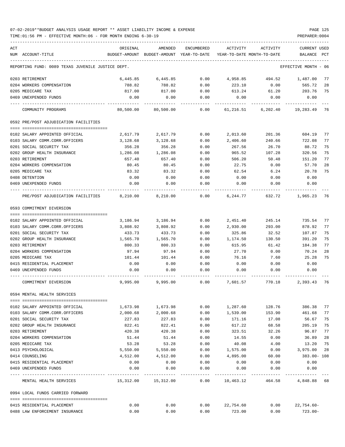TIME:01:56 PM - EFFECTIVE MONTH:06 - FOR MONTH ENDING 6-30-19 PREPARER:0004

| ACT<br>NUM ACCOUNT-TITLE                          | ORIGINAL  | AMENDED<br>BUDGET-AMOUNT BUDGET-AMOUNT YEAR-TO-DATE | ENCUMBERED         | ACTIVITY<br>YEAR-TO-DATE MONTH-TO-DATE | ACTIVITY                      | <b>CURRENT USED</b><br>BALANCE PCT |    |
|---------------------------------------------------|-----------|-----------------------------------------------------|--------------------|----------------------------------------|-------------------------------|------------------------------------|----|
| REPORTING FUND: 0089 TEXAS JUVENILE JUSTICE DEPT. |           |                                                     |                    |                                        |                               | EFFECTIVE MONTH - 06               |    |
| 0203 RETIREMENT                                   | 6,445.85  | 6,445.85                                            | 0.00               | 4,958.85                               |                               | 494.52 1.487.00                    | 77 |
| 0204 WORKERS COMPENSATION                         | 788.82    | 788.82                                              | 0.00               | 223.10                                 | 0.00                          | 565.72                             | 28 |
| 0205 MEDICARE TAX                                 | 817.00    | 817.00                                              | 0.00               | 613.24                                 | 61.20                         | 203.76                             | 75 |
| 0469 UNEXPENDED FUNDS                             | 0.00      | 0.00                                                | 0.00               | 0.00                                   | 0.00                          | 0.00                               |    |
| COMMUNITY PROGRAMS                                | 80,500.00 | 80,500.00                                           | 0.00               | 61,216.51                              | 6,202.40                      | 19,283.49                          | 76 |
| 0592 PRE/POST ADJUDICATION FACILITIES             |           |                                                     |                    |                                        |                               |                                    |    |
| 0102 SALARY APPOINTED OFFICIAL                    | 2,617.79  | 2,617.79                                            | 0.00               | 2,013.60                               | 201.36                        | 604.19                             | 77 |
| 0103 SALARY COMM.CORR.OFFICERS                    | 3,128.68  | 3,128.68                                            | 0.00               | 2,406.60                               | 240.66                        | 722.08                             | 77 |
| 0201 SOCIAL SECURITY TAX                          | 356.28    | 356.28                                              | 0.00               | 267.56                                 | 26.70                         | 88.72                              | 75 |
| 0202 GROUP HEALTH INSURANCE                       | 1,286.08  | 1,286.08                                            | 0.00               | 965.52                                 | 107.28                        | 320.56                             | 75 |
| 0203 RETIREMENT                                   | 657.40    | 657.40                                              | 0.00               | 506.20                                 | 50.48                         | 151.20                             | 77 |
| 0204 WORKERS COMPENSATION                         | 80.45     | 80.45                                               | 0.00               | 22.75                                  | 0.00                          | 57.70                              | 28 |
| 0205 MEDICARE TAX                                 | 83.32     | 83.32                                               | 0.00               | 62.54                                  | 6.24                          | 20.78                              | 75 |
| 0408 DETENTION                                    | 0.00      | 0.00                                                | 0.00               | 0.00                                   | 0.00                          | 0.00                               |    |
| 0469 UNEXPENDED FUNDS                             | 0.00      | 0.00                                                | 0.00               | 0.00                                   | 0.00                          | 0.00                               |    |
| PRE/POST ADJUDICATION FACILITIES 8,210.00         |           | 8,210.00                                            | 0.00               |                                        | 6, 244, 77 632, 72 1, 965, 23 |                                    | 76 |
| 0593 COMMITMENT DIVERSION                         |           |                                                     |                    |                                        |                               |                                    |    |
|                                                   |           |                                                     |                    |                                        |                               |                                    |    |
| 0102 SALARY APPOINTED OFFICIAL                    | 3,186.94  | 3,186.94                                            | 0.00               | 2,451.40                               | 245.14                        | 735.54                             | 77 |
| 0103 SALARY COMM.CORR.OFFICERS                    | 3,808.92  | 3,808.92                                            | 0.00               | 2,930.00                               | 293.00                        | 878.92                             | 77 |
| 0201 SOCIAL SECURITY TAX                          | 433.73    | 433.73                                              | 0.00               | 325.86                                 | 32.52                         | 107.87                             | 75 |
| 0202 GROUP HEALTH INSURANCE                       | 1,565.70  | 1,565.70                                            | 0.00               | 1,174.50                               | 130.50                        | 391.20                             | 75 |
| 0203 RETIREMENT                                   | 800.33    | 800.33                                              | 0.00               | 615.95                                 | 61.42                         | 184.38                             | 77 |
| 0204 WORKERS COMPENSATION                         | 97.94     | 97.94                                               | 0.00               | 27.70                                  | 0.00                          | 70.24                              | 28 |
| 0205 MEDICARE TAX                                 | 101.44    | 101.44                                              | 0.00               | 76.16                                  | 7.60                          | 25.28                              | 75 |
| 0415 RESIDENTIAL PLACEMENT                        | 0.00      | 0.00                                                | 0.00               | 0.00                                   | 0.00                          | 0.00                               |    |
| 0469 UNEXPENDED FUNDS                             | 0.00      | 0.00                                                | 0.00               | 0.00                                   | 0.00                          | 0.00                               |    |
| COMMITMENT DIVERSION                              | 9,995.00  | 9,995.00                                            | 0.00               | 7,601.57                               | 770.18                        | 2,393.43                           | 76 |
| 0594 MENTAL HEALTH SERVICES                       |           |                                                     |                    |                                        |                               |                                    |    |
| 0102 SALARY APPOINTED OFFICIAL                    | 1,673.98  | 1,673.98                                            | 0.00               | 1,287.60                               | 128.76                        | 386.38                             | 77 |
| 0103 SALARY COMM.CORR.OFFICERS                    | 2,000.68  | 2,000.68                                            | 0.00               | 1,539.00                               | 153.90                        | 461.68                             | 77 |
| 0201 SOCIAL SECURITY TAX                          | 227.83    | 227.83                                              | 0.00               | 171.16                                 | 17.08                         | 56.67                              | 75 |
| 0202 GROUP HEALTH INSURANCE                       | 822.41    | 822.41                                              | 0.00               | 617.22                                 | 68.58                         | 205.19                             | 75 |
| 0203 RETIREMENT                                   | 420.38    | 420.38                                              | 0.00               | 323.51                                 | 32.26                         | 96.87                              | 77 |
| 0204 WORKERS COMPENSATION                         | 51.44     | 51.44                                               | 0.00               | 14.55                                  | 0.00                          | 36.89                              | 28 |
| 0205 MEDICARE TAX                                 | 53.28     | 53.28                                               | 0.00               | 40.08                                  | 4.00                          | 13.20                              | 75 |
| 0413 PSYCHOLOGICAL                                | 5,550.00  | 5,550.00                                            | 0.00               | 1,575.00                               | 0.00                          | 3,975.00                           | 28 |
| 0414 COUNSELING                                   | 4,512.00  | 4,512.00                                            | 0.00               | 4,895.00                               | 60.00                         | 383.00- 108                        |    |
| 0415 RESIDENTIAL PLACEMENT                        | 0.00      | 0.00                                                | 0.00               | 0.00                                   | 0.00                          | 0.00                               |    |
| 0469 UNEXPENDED FUNDS                             | 0.00      | 0.00<br>-----------                                 | 0.00<br>---------- | 0.00                                   | 0.00                          | 0.00                               |    |
| MENTAL HEALTH SERVICES                            |           | 15,312.00    15,312.00                              |                    |                                        | $0.00$ 10,463.12 464.58       | 4,848.88 68                        |    |
| 0994 LOCAL FUNDS CARRIED FORWARD                  |           |                                                     |                    |                                        |                               |                                    |    |
| 0415 RESIDENTIAL PLACEMENT                        | 0.00      | 0.00                                                |                    | $0.00$ 22,754.60                       |                               | $0.00$ 22,754.60-                  |    |

0488 LAW ENFORCEMENT INSURANCE 0.00 0.00 0.00 723.00 0.00 723.00-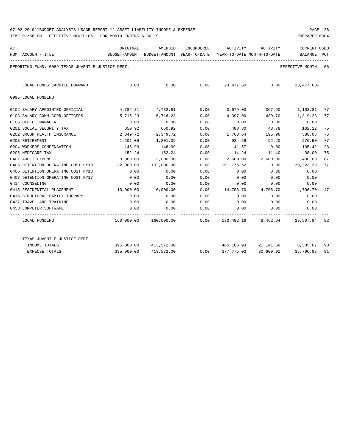TIME:01:56 PM - EFFECTIVE MONTH:06 - FOR MONTH ENDING 6-30-19 PREPARER:0004

| ACT |                                                   | ORIGINAL   | AMENDED               | ENCUMBERED | ACTIVITY                                                              | ACTIVITY                      | <b>CURRENT USED</b>  |     |
|-----|---------------------------------------------------|------------|-----------------------|------------|-----------------------------------------------------------------------|-------------------------------|----------------------|-----|
|     | NUM ACCOUNT-TITLE                                 |            |                       |            | BUDGET-AMOUNT BUDGET-AMOUNT YEAR-TO-DATE YEAR-TO-DATE MONTH-TO-DATE   |                               | BALANCE              | PCT |
|     | REPORTING FUND: 0089 TEXAS JUVENILE JUSTICE DEPT. |            |                       |            |                                                                       |                               | EFFECTIVE MONTH - 06 |     |
|     | LOCAL FUNDS CARRIED FORWARD                       |            |                       |            | ______________<br>$0.00$ $0.00$ $0.00$ $23,477.60$ $0.00$ $23,477.60$ |                               |                      |     |
|     | 0995 LOCAL FUNDING                                |            |                       |            |                                                                       |                               |                      |     |
|     | 0102 SALARY APPOINTED OFFICIAL                    |            | 4,782.81 4,782.81     |            | $0.00$ 3,679.00                                                       | 367.90                        | 1,103.81             | 77  |
|     | 0103 SALARY COMM.CORR.OFFICERS                    | 5,716.23   | 5,716.23              | 0.00       | 4,397.00                                                              | 439.70                        | 1,319.23             | 77  |
|     | 0105 OFFICE MANAGER                               | 0.00       | 0.00                  | 0.00       | 0.00                                                                  | 0.00                          | 0.00                 |     |
|     | 0201 SOCIAL SECURITY TAX                          | 650.92     | 650.92                | 0.00       | 488.80                                                                | 48.78                         | 162.12               | 75  |
|     | 0202 GROUP HEALTH INSURANCE                       | 2,349.72   | 2,349.72              | 0.00       | 1,763.64 195.96                                                       |                               | 586.08               | 75  |
|     | 0203 RETIREMENT                                   | 1,201.09   | 1,201.09              | 0.00       | 924.59                                                                | 92.20                         | 276.50               | 77  |
|     | 0204 WORKERS COMPENSATION                         | 146.99     | 146.99                | 0.00       | 41.57                                                                 | 0.00                          | 105.42               | 28  |
|     | 0205 MEDICARE TAX                                 | 152.24     | 152.24                | 0.00       |                                                                       | 114.24 11.40                  | 38.00                | 75  |
|     | 0401 AUDIT EXPENSE                                | 3,000.00   | 3,000.00              | 0.00       | 2,600.00 2,600.00                                                     |                               | 400.00               | 87  |
|     | 0405 DETENTION OPERATING COST FY19                | 132,000.00 | 132,000.00            | 0.00       | 101,776.62                                                            | 0.00                          | 30,223.38            | 77  |
|     | 0406 DETENTION OPERATING COST FY18                | 0.00       | 0.00                  | 0.00       | 0.00                                                                  | 0.00                          | 0.00                 |     |
|     | 0407 DETENTION OPERATING COST FY17                | 0.00       | 0.00                  | 0.00       | 0.00                                                                  | 0.00                          | 0.00                 |     |
|     | 0414 COUNSELING                                   | 0.00       | 0.00                  | 0.00       | 0.00                                                                  | 0.00                          | 0.00                 |     |
|     | 0415 RESIDENTIAL PLACEMENT                        | 10,000.00  | 10,000.00             | 0.00       | 14,706.70  4,706.70  4,706.70  147                                    |                               |                      |     |
|     | 0416 STRUCTURAL FAMILY THERAPY                    | 0.00       | 0.00                  | 0.00       | 0.00                                                                  | 0.00                          | 0.00                 |     |
|     | 0427 TRAVEL AND TRAINING                          | 0.00       | 0.00                  | 0.00       | 0.00                                                                  | 0.00                          | 0.00                 |     |
|     | 0453 COMPUTER SOFTWARE                            | 0.00       | 0.00                  | 0.00       | $0.00$ 0.00 0.00                                                      |                               |                      |     |
|     | LOCAL FUNDING                                     |            |                       |            | $160,000.00$ $160,000.00$ 0.00 $130,492.16$ 8,462.64 29,507.84 82     |                               |                      |     |
|     | TEXAS JUVENILE JUSTICE DEPT.                      |            |                       |            |                                                                       |                               |                      |     |
|     | INCOME TOTALS                                     |            | 395,000.00 413,572.00 |            |                                                                       | 405,186.93 21,141.58 8,385.07 |                      | 98  |
|     | <b>EXPENSE TOTALS</b>                             |            | 395,000.00 413,572.00 |            | $0.00$ 377,775.03 30,609.01 35,796.97                                 |                               |                      | 91  |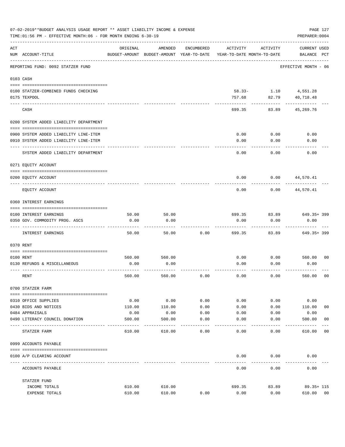|                | 07-02-2019**BUDGET ANALYSIS USAGE REPORT ** ASSET LIABILITY INCOME & EXPENSE<br>TIME: 01:56 PM - EFFECTIVE MONTH: 06 - FOR MONTH ENDING 6-30-19 |          |                                                     |              |                                        |                               | PAGE 127<br>PREPARER: 0004         |                |
|----------------|-------------------------------------------------------------------------------------------------------------------------------------------------|----------|-----------------------------------------------------|--------------|----------------------------------------|-------------------------------|------------------------------------|----------------|
| $\mathtt{ACT}$ | NUM ACCOUNT-TITLE                                                                                                                               | ORIGINAL | AMENDED<br>BUDGET-AMOUNT BUDGET-AMOUNT YEAR-TO-DATE | ENCUMBERED   | ACTIVITY<br>YEAR-TO-DATE MONTH-TO-DATE | ACTIVITY                      | <b>CURRENT USED</b><br>BALANCE PCT |                |
|                | REPORTING FUND: 0092 STATZER FUND                                                                                                               |          |                                                     |              |                                        |                               | EFFECTIVE MONTH - 06               |                |
|                | 0103 CASH                                                                                                                                       |          |                                                     |              |                                        |                               |                                    |                |
|                | 0100 STATZER-COMBINED FUNDS CHECKING<br>0175 TEXPOOL                                                                                            |          |                                                     |              | 757.68                                 | 58.33- 1.10 4,551.28<br>82.79 | 40,718.48                          |                |
|                | CASH                                                                                                                                            |          |                                                     |              | 699.35                                 | 83.89                         | 45,269.76                          |                |
|                | 0200 SYSTEM ADDED LIABILITY DEPARTMENT                                                                                                          |          |                                                     |              |                                        |                               |                                    |                |
|                |                                                                                                                                                 |          |                                                     |              | 0.00                                   | 0.00                          | 0.00                               |                |
|                | 0900 SYSTEM ADDED LIABILITY LINE-ITEM<br>0910 SYSTEM ADDED LIABILITY LINE-ITEM                                                                  |          |                                                     |              | 0.00                                   | 0.00                          | 0.00                               |                |
|                | SYSTEM ADDED LIABILITY DEPARTMENT                                                                                                               |          |                                                     |              | 0.00                                   | 0.00                          | 0.00                               |                |
|                | 0271 EQUITY ACCOUNT                                                                                                                             |          |                                                     |              |                                        |                               |                                    |                |
|                | 0200 EQUITY ACCOUNT                                                                                                                             |          |                                                     |              | 0.00                                   | 0.00                          | 44,570.41                          |                |
|                | EQUITY ACCOUNT                                                                                                                                  |          |                                                     |              | 0.00                                   | 0.00                          | 44,570.41                          |                |
|                | 0360 INTEREST EARNINGS                                                                                                                          |          |                                                     |              |                                        |                               |                                    |                |
|                |                                                                                                                                                 |          |                                                     |              |                                        |                               |                                    |                |
|                | 0100 INTEREST EARNINGS                                                                                                                          | 50.00    | 50.00                                               |              | 699.35                                 | 83.89                         | 649.35+399                         |                |
|                | 0350 GOV. COMMODITY PROG. ASCS                                                                                                                  | 0.00     | 0.00                                                |              | 0.00                                   | 0.00                          | 0.00                               |                |
|                | INTEREST EARNINGS                                                                                                                               | 50.00    | 50.00                                               | 0.00         | 699.35                                 | 83.89                         | 649.35+ 399                        |                |
|                | 0370 RENT                                                                                                                                       |          |                                                     |              |                                        |                               |                                    |                |
|                |                                                                                                                                                 |          |                                                     |              |                                        |                               |                                    |                |
|                | 0100 RENT                                                                                                                                       | 560.00   | 560.00                                              |              | 0.00                                   | 0.00                          | 560.00 00                          |                |
|                | 0130 REFUNDS & MISCELLANEOUS                                                                                                                    | 0.00     | 0.00                                                |              | 0.00                                   | 0.00                          | 0.00                               |                |
|                | RENT                                                                                                                                            | 560.00   | 560.00                                              | 0.00         | 0.00                                   | 0.00                          | 560.00                             | 0 <sub>0</sub> |
|                | 0700 STATZER FARM                                                                                                                               |          |                                                     |              |                                        |                               |                                    |                |
|                | 0310 OFFICE SUPPLIES                                                                                                                            | 0.00     | 0.00                                                | 0.00         | 0.00                                   | 0.00                          | 0.00                               |                |
|                | 0430 BIDS AND NOTICES                                                                                                                           | 110.00   | 110.00                                              | 0.00         | 0.00                                   | 0.00                          | 110.00                             | 0 <sub>0</sub> |
|                | 0484 APPRAISALS                                                                                                                                 | 0.00     | 0.00                                                | 0.00         | 0.00                                   | 0.00                          | 0.00                               |                |
|                | 0490 LITERACY COUNCIL DONATION                                                                                                                  | 500.00   | 500.00                                              | 0.00<br>---- | 0.00                                   | 0.00                          | 500.00                             | 00             |
|                | STATZER FARM                                                                                                                                    | 610.00   | 610.00                                              | 0.00         | 0.00                                   | 0.00                          | 610.00                             | 0 <sub>0</sub> |
|                | 0999 ACCOUNTS PAYABLE                                                                                                                           |          |                                                     |              |                                        |                               |                                    |                |
|                | 0100 A/P CLEARING ACCOUNT                                                                                                                       |          |                                                     |              | 0.00                                   | 0.00                          | 0.00                               |                |
|                | ACCOUNTS PAYABLE                                                                                                                                |          |                                                     |              | 0.00                                   | 0.00                          | 0.00                               |                |
|                | STATZER FUND                                                                                                                                    |          |                                                     |              |                                        |                               |                                    |                |
|                | INCOME TOTALS                                                                                                                                   | 610.00   | 610.00                                              |              | 699.35                                 | 83.89                         | 89.35+ 115                         |                |
|                | EXPENSE TOTALS                                                                                                                                  | 610.00   | 610.00                                              | 0.00         | 0.00                                   | 0.00                          | 610.00                             | 00             |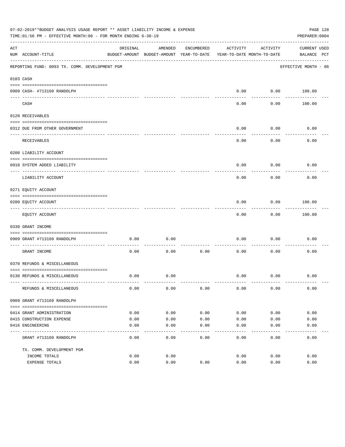|     | 07-02-2019**BUDGET ANALYSIS USAGE REPORT ** ASSET LIABILITY INCOME & EXPENSE<br>PAGE 128<br>TIME:01:56 PM - EFFECTIVE MONTH:06 - FOR MONTH ENDING 6-30-19<br>PREPARER: 0004 |          |                                          |            |                            |                  |                      |  |  |  |
|-----|-----------------------------------------------------------------------------------------------------------------------------------------------------------------------------|----------|------------------------------------------|------------|----------------------------|------------------|----------------------|--|--|--|
| ACT |                                                                                                                                                                             | ORIGINAL | AMENDED                                  | ENCUMBERED | ACTIVITY                   | ACTIVITY         | <b>CURRENT USED</b>  |  |  |  |
|     | NUM ACCOUNT-TITLE                                                                                                                                                           |          | BUDGET-AMOUNT BUDGET-AMOUNT YEAR-TO-DATE |            | YEAR-TO-DATE MONTH-TO-DATE |                  | BALANCE PCT          |  |  |  |
|     | REPORTING FUND: 0093 TX. COMM. DEVELOPMENT PGM                                                                                                                              |          |                                          |            |                            |                  | EFFECTIVE MONTH - 06 |  |  |  |
|     | 0103 CASH                                                                                                                                                                   |          |                                          |            |                            |                  |                      |  |  |  |
|     |                                                                                                                                                                             |          |                                          |            |                            |                  |                      |  |  |  |
|     | 0909 CASH- #713169 RANDOLPH                                                                                                                                                 |          |                                          |            | 0.00                       | ---------        | $0.00$ 100.00        |  |  |  |
|     | CASH                                                                                                                                                                        |          |                                          |            | 0.00                       | 0.00             | 100.00               |  |  |  |
|     | 0120 RECEIVABLES                                                                                                                                                            |          |                                          |            |                            |                  |                      |  |  |  |
|     |                                                                                                                                                                             |          |                                          |            |                            |                  |                      |  |  |  |
|     | 0312 DUE FROM OTHER GOVERNMENT                                                                                                                                              |          |                                          |            | 0.00                       | 0.00<br>-------- | 0.00                 |  |  |  |
|     | RECEIVABLES                                                                                                                                                                 |          |                                          |            | 0.00                       | 0.00             | 0.00                 |  |  |  |
|     | 0200 LIABILITY ACCOUNT                                                                                                                                                      |          |                                          |            |                            |                  |                      |  |  |  |
|     | 0910 SYSTEM ADDED LIABILITY                                                                                                                                                 |          |                                          |            | 0.00                       | 0.00             | 0.00                 |  |  |  |
|     | LIABILITY ACCOUNT                                                                                                                                                           |          |                                          |            | 0.00                       | 0.00             | 0.00                 |  |  |  |
|     | 0271 EQUITY ACCOUNT                                                                                                                                                         |          |                                          |            |                            |                  |                      |  |  |  |
|     | 0200 EQUITY ACCOUNT                                                                                                                                                         |          |                                          |            | 0.00                       | 0.00             | 100.00               |  |  |  |
|     | EQUITY ACCOUNT                                                                                                                                                              |          |                                          |            | 0.00                       | 0.00             | 100.00               |  |  |  |
|     | 0330 GRANT INCOME                                                                                                                                                           |          |                                          |            |                            |                  |                      |  |  |  |
|     |                                                                                                                                                                             |          |                                          |            |                            |                  |                      |  |  |  |
|     | 0909 GRANT #713169 RANDOLPH<br>---------------------- -----                                                                                                                 | 0.00     | 0.00                                     |            | 0.00                       | 0.00             | 0.00                 |  |  |  |
|     | GRANT INCOME                                                                                                                                                                | 0.00     | 0.00                                     | 0.00       | 0.00                       | 0.00             | 0.00                 |  |  |  |
|     | 0370 REFUNDS & MISCELLANEOUS                                                                                                                                                |          |                                          |            |                            |                  |                      |  |  |  |
|     |                                                                                                                                                                             |          |                                          |            |                            |                  |                      |  |  |  |
|     | 0130 REFUNDS & MISCELLANEOUS                                                                                                                                                | 0.00     | 0.00                                     |            | 0.00                       | 0.00             | 0.00                 |  |  |  |
|     | REFUNDS & MISCELLANEOUS                                                                                                                                                     | 0.00     | 0.00                                     | 0.00       | 0.00                       | 0.00             | 0.00                 |  |  |  |
|     | 0909 GRANT #713169 RANDOLPH                                                                                                                                                 |          |                                          |            |                            |                  |                      |  |  |  |
|     |                                                                                                                                                                             |          |                                          |            |                            |                  |                      |  |  |  |
|     | 0414 GRANT ADMINISTRATION                                                                                                                                                   | 0.00     | 0.00                                     | 0.00       | 0.00                       | 0.00             | 0.00                 |  |  |  |
|     | 0415 CONSTRUCTION EXPENSE                                                                                                                                                   | 0.00     | 0.00                                     | 0.00       | 0.00                       | 0.00             | 0.00                 |  |  |  |
|     | 0416 ENGINEERING                                                                                                                                                            | 0.00     | 0.00                                     | 0.00       | 0.00                       | 0.00             | 0.00                 |  |  |  |
|     | GRANT #713169 RANDOLPH                                                                                                                                                      | 0.00     | 0.00                                     | 0.00       | 0.00                       | 0.00             | 0.00                 |  |  |  |
|     | TX. COMM. DEVELOPMENT PGM                                                                                                                                                   |          |                                          |            |                            |                  |                      |  |  |  |
|     | INCOME TOTALS                                                                                                                                                               | 0.00     | 0.00                                     |            | 0.00                       | 0.00             | 0.00                 |  |  |  |
|     | EXPENSE TOTALS                                                                                                                                                              | 0.00     | 0.00                                     | 0.00       | 0.00                       | 0.00             | 0.00                 |  |  |  |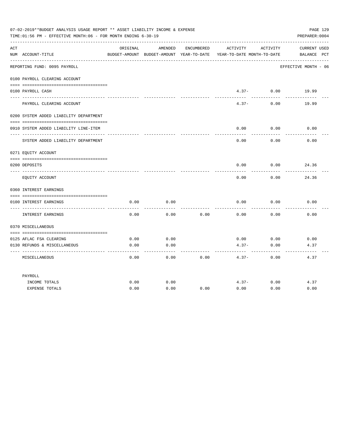|     | 07-02-2019**BUDGET ANALYSIS USAGE REPORT ** ASSET LIABILITY INCOME & EXPENSE<br>TIME:01:56 PM - EFFECTIVE MONTH:06 - FOR MONTH ENDING 6-30-19 |          |                   |            |                                                                                 |                               | PAGE 129<br>PREPARER: 0004  |
|-----|-----------------------------------------------------------------------------------------------------------------------------------------------|----------|-------------------|------------|---------------------------------------------------------------------------------|-------------------------------|-----------------------------|
| ACT | NUM ACCOUNT-TITLE                                                                                                                             | ORIGINAL | AMENDED           | ENCUMBERED | ACTIVITY<br>BUDGET-AMOUNT BUDGET-AMOUNT YEAR-TO-DATE YEAR-TO-DATE MONTH-TO-DATE | ACTIVITY                      | CURRENT USED<br>BALANCE PCT |
|     | REPORTING FUND: 0095 PAYROLL                                                                                                                  |          |                   |            |                                                                                 |                               | EFFECTIVE MONTH - 06        |
|     | 0100 PAYROLL CLEARING ACCOUNT                                                                                                                 |          |                   |            |                                                                                 |                               |                             |
|     | 0100 PAYROLL CASH                                                                                                                             |          |                   |            | -----------                                                                     | $4.37 - 0.00$<br>------------ | 19.99<br>.                  |
|     | PAYROLL CLEARING ACCOUNT                                                                                                                      |          |                   |            | $4.37 -$                                                                        | 0.00                          | 19.99                       |
|     | 0200 SYSTEM ADDED LIABILITY DEPARTMENT                                                                                                        |          |                   |            |                                                                                 |                               |                             |
|     | 0910 SYSTEM ADDED LIABILITY LINE-ITEM                                                                                                         |          |                   |            | 0.00                                                                            | 0.00                          | 0.00                        |
|     | SYSTEM ADDED LIABILITY DEPARTMENT                                                                                                             |          |                   |            | 0.00                                                                            | 0.00                          | 0.00                        |
|     | 0271 EOUITY ACCOUNT                                                                                                                           |          |                   |            |                                                                                 |                               |                             |
|     | 0200 DEPOSITS                                                                                                                                 |          |                   |            | 0.00                                                                            | 0.00                          | 24.36                       |
|     |                                                                                                                                               |          |                   |            |                                                                                 |                               |                             |
|     | EQUITY ACCOUNT                                                                                                                                |          |                   |            | 0.00                                                                            | 0.00                          | 24.36                       |
|     | 0360 INTEREST EARNINGS                                                                                                                        |          |                   |            |                                                                                 |                               |                             |
|     |                                                                                                                                               |          |                   |            |                                                                                 |                               |                             |
|     | 0100 INTEREST EARNINGS                                                                                                                        | 0.00     | 0.00              |            | 0.00                                                                            | 0.00                          | 0.00                        |
|     | INTEREST EARNINGS                                                                                                                             | 0.00     | 0.00              | 0.00       | 0.00                                                                            | 0.00                          | 0.00                        |
|     | 0370 MISCELLANEOUS                                                                                                                            |          |                   |            |                                                                                 |                               |                             |
|     |                                                                                                                                               |          |                   |            |                                                                                 |                               |                             |
|     | 0125 AFLAC FSA CLEARING                                                                                                                       | 0.00     | 0.00              |            | 0.00                                                                            | 0.00                          | 0.00                        |
|     | 0130 REFUNDS & MISCELLANEOUS                                                                                                                  | 0.00     | 0.00<br>$- - - -$ |            | $4.37-$                                                                         | 0.00<br>$- - - - -$           | 4.37                        |
|     | MISCELLANEOUS                                                                                                                                 | 0.00     | 0.00              | 0.00       | $4.37 -$                                                                        | 0.00                          | 4.37                        |
|     | PAYROLL                                                                                                                                       |          |                   |            |                                                                                 |                               |                             |
|     | INCOME TOTALS                                                                                                                                 | 0.00     | 0.00              |            | $4.37-$                                                                         | 0.00                          | 4.37                        |
|     | <b>EXPENSE TOTALS</b>                                                                                                                         | 0.00     | 0.00              | 0.00       | 0.00                                                                            | 0.00                          | 0.00                        |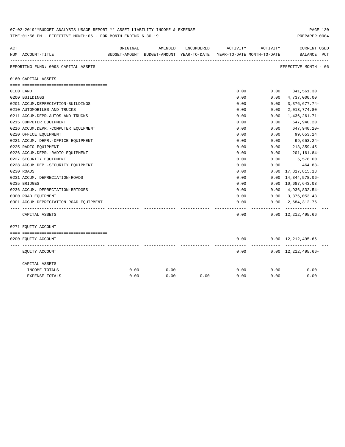|     | 07-02-2019^^BUDGET ANALYSIS USAGE REPORT ^^ ASSET LIABILITY INCOME & EXPENSE<br>TIME: 01:56 PM - EFFECTIVE MONTH: 06 - FOR MONTH ENDING 6-30-19 |          |         |            |                                                                     |          | PAGE 130<br>PREPARER: 0004                   |
|-----|-------------------------------------------------------------------------------------------------------------------------------------------------|----------|---------|------------|---------------------------------------------------------------------|----------|----------------------------------------------|
| ACT |                                                                                                                                                 | ORIGINAL | AMENDED | ENCUMBERED | ACTIVITY                                                            | ACTIVITY | <b>CURRENT USED</b>                          |
|     | NUM ACCOUNT-TITLE                                                                                                                               |          |         |            | BUDGET-AMOUNT BUDGET-AMOUNT YEAR-TO-DATE YEAR-TO-DATE MONTH-TO-DATE |          | BALANCE PCT                                  |
|     | REPORTING FUND: 0098 CAPITAL ASSETS                                                                                                             |          |         |            |                                                                     |          | EFFECTIVE MONTH - 06                         |
|     | 0160 CAPITAL ASSETS                                                                                                                             |          |         |            |                                                                     |          |                                              |
|     |                                                                                                                                                 |          |         |            |                                                                     |          |                                              |
|     | 0100 LAND                                                                                                                                       |          |         |            | 0.00                                                                |          | $0.00$ $341,561.30$                          |
|     | 0200 BUILDINGS                                                                                                                                  |          |         |            | 0.00                                                                | 0.00     | 4,737,000.00                                 |
|     | 0201 ACCUM.DEPRECIATION-BUILDINGS                                                                                                               |          |         |            | 0.00                                                                | 0.00     | $3,376,677.74-$                              |
|     | 0210 AUTOMOBILES AND TRUCKS                                                                                                                     |          |         |            | 0.00                                                                | 0.00     | 2,013,774.80                                 |
|     | 0211 ACCUM.DEPR.AUTOS AND TRUCKS                                                                                                                |          |         |            | 0.00                                                                | 0.00     | 1,436,261.71-                                |
|     | 0215 COMPUTER EQUIPMENT                                                                                                                         |          |         |            | 0.00                                                                | 0.00     | 647,940.20                                   |
|     | 0216 ACCUM.DEPR.-COMPUTER EQUIPMENT                                                                                                             |          |         |            | 0.00                                                                | 0.00     | 647,940.20-                                  |
|     | 0220 OFFICE EQUIPMENT                                                                                                                           |          |         |            | 0.00                                                                | 0.00     | 99,653.24                                    |
|     | 0221 ACCUM. DEPR. - OFFICE EQUIPMENT                                                                                                            |          |         |            | 0.00                                                                | 0.00     | 99,653.24-                                   |
|     | 0225 RADIO EQUIPMENT                                                                                                                            |          |         |            | 0.00                                                                | 0.00     | 213, 359.45                                  |
|     | 0226 ACCUM.DEPR.-RADIO EQUIPMENT                                                                                                                |          |         |            | 0.00                                                                | 0.00     | 201,161.84-                                  |
|     | 0227 SECURITY EQUIPMENT                                                                                                                         |          |         |            | 0.00                                                                | 0.00     | 5,578.00                                     |
|     | 0228 ACCUM.DEP. - SECURITY EQUIPMENT                                                                                                            |          |         |            | 0.00                                                                | 0.00     | 464.83-                                      |
|     | 0230 ROADS                                                                                                                                      |          |         |            | 0.00                                                                | 0.00     | 17,817,815.13                                |
|     | 0231 ACCUM. DEPRECIATION-ROADS                                                                                                                  |          |         |            | 0.00                                                                | 0.00     | 14, 344, 578.06-                             |
|     | 0235 BRIDGES                                                                                                                                    |          |         |            | 0.00                                                                |          | 0.00 10,687,643.03                           |
|     | 0236 ACCUM. DEPRECIATION-BRIDGES                                                                                                                |          |         |            | 0.00                                                                |          | $0.00 \quad 4,936,832.54-$                   |
|     | 0300 ROAD EQUIPMENT                                                                                                                             |          |         |            | 0.00                                                                |          | $0.00 \quad 3,376,053.43$                    |
|     | 0301 ACCUM.DEPRECIATION-ROAD EOUIPMENT                                                                                                          |          |         |            | 0.00                                                                | -------- | $0.00 \quad 2.684.312.76 -$<br>------------- |
|     | CAPITAL ASSETS                                                                                                                                  |          |         |            | 0.00                                                                |          | $0.00 \quad 12,212,495.66$                   |
|     | 0271 EQUITY ACCOUNT                                                                                                                             |          |         |            |                                                                     |          |                                              |
|     |                                                                                                                                                 |          |         |            |                                                                     |          |                                              |
|     | 0200 EQUITY ACCOUNT                                                                                                                             |          |         |            | 0.00                                                                |          | $0.00 \quad 12,212,495.66 -$                 |
|     | EQUITY ACCOUNT                                                                                                                                  |          |         |            | 0.00                                                                |          | $0.00 \quad 12,212,495.66-$                  |
|     | CAPITAL ASSETS                                                                                                                                  |          |         |            |                                                                     |          |                                              |
|     | INCOME TOTALS                                                                                                                                   | 0.00     | 0.00    |            | 0.00                                                                | 0.00     | 0.00                                         |
|     | <b>EXPENSE TOTALS</b>                                                                                                                           | 0.00     | 0.00    | 0.00       | 0.00                                                                | 0.00     | 0.00                                         |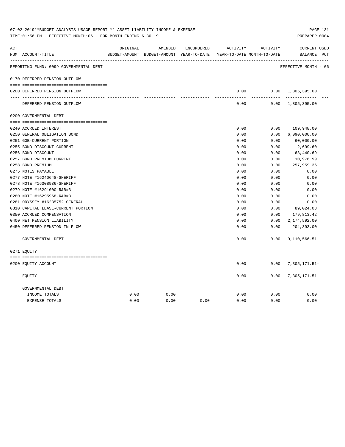| ACT |                                        | ORIGINAL | AMENDED                                  | ENCUMBERED | ACTIVITY                   | ACTIVITY | <b>CURRENT USED</b>       |  |
|-----|----------------------------------------|----------|------------------------------------------|------------|----------------------------|----------|---------------------------|--|
|     | NUM ACCOUNT-TITLE                      |          | BUDGET-AMOUNT BUDGET-AMOUNT YEAR-TO-DATE |            | YEAR-TO-DATE MONTH-TO-DATE |          | BALANCE PCT               |  |
|     | REPORTING FUND: 0099 GOVERNMENTAL DEBT |          |                                          |            |                            |          | EFFECTIVE MONTH - 06      |  |
|     | 0170 DEFERRED PENSION OUTFLOW          |          |                                          |            |                            |          |                           |  |
|     | 0200 DEFERRED PENSION OUTFLOW          |          |                                          |            | 0.00                       |          | $0.00 \quad 1,805,395.00$ |  |
|     |                                        |          |                                          |            |                            |          |                           |  |
|     | DEFERRED PENSION OUTFLOW               |          |                                          |            | 0.00                       |          | $0.00 \quad 1,805,395.00$ |  |
|     | 0200 GOVERNMENTAL DEBT                 |          |                                          |            |                            |          |                           |  |
|     |                                        |          |                                          |            |                            |          |                           |  |
|     | 0240 ACCRUED INTEREST                  |          |                                          |            | 0.00                       | 0.00     | 109,948.00                |  |
|     | 0250 GENERAL OBLIGATION BOND           |          |                                          |            | 0.00                       | 0.00     | 6,090,000.00              |  |
|     | 0251 GOB-CURRENT PORTION               |          |                                          |            | 0.00                       | 0.00     | 60,000.00                 |  |
|     | 0255 BOND DISCOUNT CURRENT             |          |                                          |            | 0.00                       | 0.00     | $2,699.60-$               |  |
|     | 0256 BOND DISCOUNT                     |          |                                          |            | 0.00                       | 0.00     | $63,440.69-$              |  |
|     | 0257 BOND PREMIUM CURRENT              |          |                                          |            | 0.00                       | 0.00     | 10,976.99                 |  |
|     | 0258 BOND PREMIUM                      |          |                                          |            | 0.00                       | 0.00     | 257,959.36                |  |
|     | 0275 NOTES PAYABLE                     |          |                                          |            | 0.00                       | 0.00     | 0.00                      |  |
|     | 0277 NOTE #16240648-SHERIFF            |          |                                          |            | 0.00                       | 0.00     | 0.00                      |  |
|     | 0278 NOTE #16308936-SHERIFF            |          |                                          |            | 0.00                       | 0.00     | 0.00                      |  |
|     | 0279 NOTE #16291000-R&B#3              |          |                                          |            | 0.00                       | 0.00     | 0.00                      |  |
|     | 0280 NOTE #16295968-R&B#3              |          |                                          |            | 0.00                       | 0.00     | 0.00                      |  |
|     | 0281 ODYSSEY #16235752-GENERAL         |          |                                          |            | 0.00                       | 0.00     | 0.00                      |  |
|     | 0310 CAPITAL LEASE-CURRENT PORTION     |          |                                          |            | 0.00                       | 0.00     | 89,024.03                 |  |
|     | 0350 ACCRUED COMPENSATION              |          |                                          |            | 0.00                       | 0.00     | 179,813.42                |  |
|     | 0400 NET PENSION LIABILITY             |          |                                          |            | 0.00                       | 0.00     | 2,174,592.00              |  |
|     | 0450 DEFERRED PENSION IN FLOW          |          |                                          |            | 0.00                       | 0.00     | 204,393.00<br>----------- |  |
|     | GOVERNMENTAL DEBT                      |          |                                          |            | 0.00                       | 0.00     | 9,110,566.51              |  |
|     | 0271 EOUITY                            |          |                                          |            |                            |          |                           |  |
|     | 0200 EQUITY ACCOUNT                    |          |                                          |            | 0.00                       |          | $0.00$ 7, 305, 171.51-    |  |
|     | EQUITY                                 |          |                                          |            | 0.00                       | 0.00     | 7,305,171.51-             |  |
|     | GOVERNMENTAL DEBT                      |          |                                          |            |                            |          |                           |  |
|     | INCOME TOTALS                          | 0.00     | 0.00                                     |            | 0.00                       | 0.00     | 0.00                      |  |
|     | <b>EXPENSE TOTALS</b>                  | 0.00     | 0.00                                     | 0.00       | 0.00                       | 0.00     | 0.00                      |  |